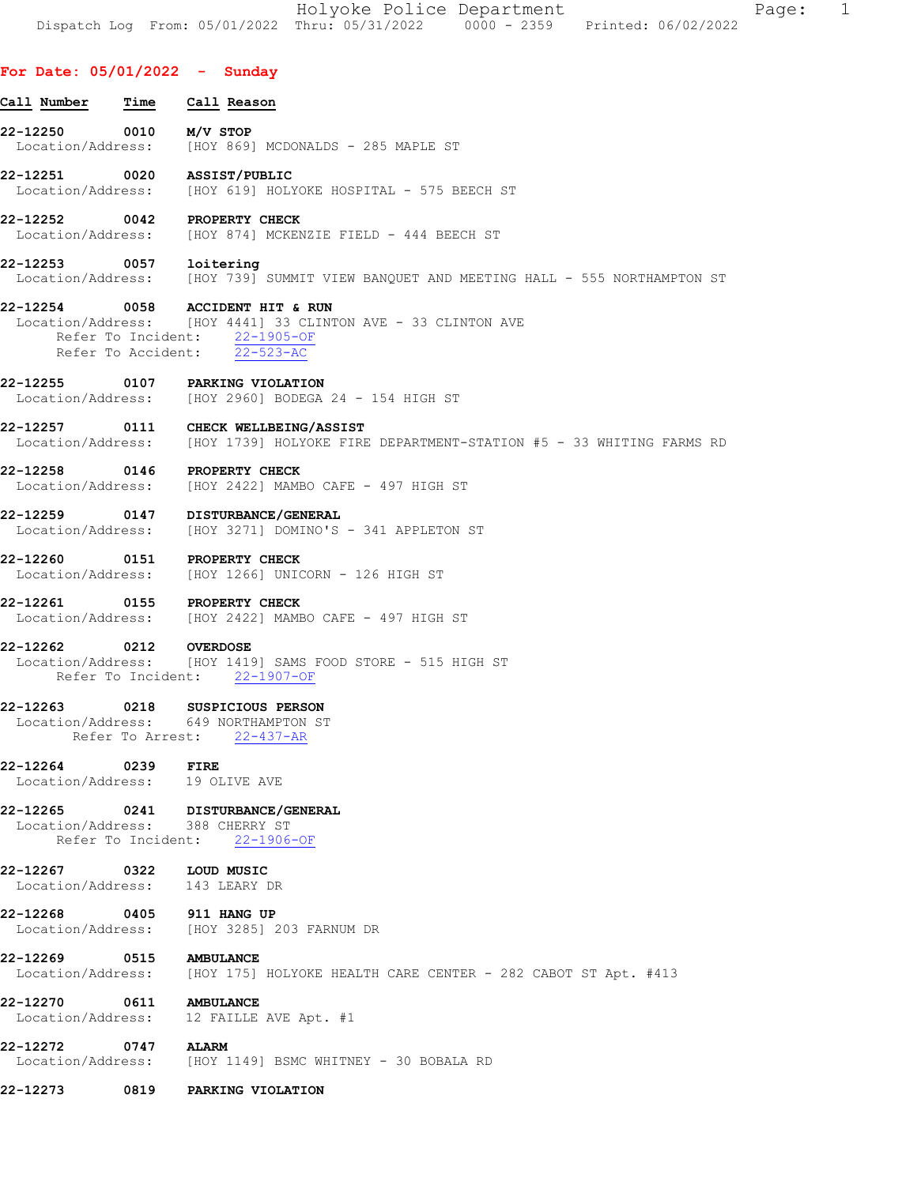|  | Holyoke Police Department |                                                                                | Page: |  |
|--|---------------------------|--------------------------------------------------------------------------------|-------|--|
|  |                           | Dispatch Log From: 05/01/2022 Thru: 05/31/2022 0000 - 2359 Printed: 06/02/2022 |       |  |

## For Date: 05/01/2022 - Sunday

| Call Number Time Call Reason                               |                                                                                                                                                                   |
|------------------------------------------------------------|-------------------------------------------------------------------------------------------------------------------------------------------------------------------|
| 22-12250 0010                                              | M/V STOP<br>Location/Address: [HOY 869] MCDONALDS - 285 MAPLE ST                                                                                                  |
| 22-12251 0020 ASSIST/PUBLIC                                | Location/Address: [HOY 619] HOLYOKE HOSPITAL - 575 BEECH ST                                                                                                       |
| 22-12252 0042 PROPERTY CHECK                               | Location/Address: [HOY 874] MCKENZIE FIELD - 444 BEECH ST                                                                                                         |
| 22-12253 0057 loitering                                    | Location/Address: [HOY 739] SUMMIT VIEW BANQUET AND MEETING HALL - 555 NORTHAMPTON ST                                                                             |
|                                                            | 22-12254 0058 ACCIDENT HIT & RUN<br>Location/Address: [HOY 4441] 33 CLINTON AVE - 33 CLINTON AVE<br>Refer To Incident: 22-1905-OF<br>Refer To Accident: 22-523-AC |
|                                                            | 22-12255 0107 PARKING VIOLATION<br>Location/Address: [HOY 2960] BODEGA 24 - 154 HIGH ST                                                                           |
|                                                            | 22-12257 0111 CHECK WELLBEING/ASSIST<br>Location/Address: [HOY 1739] HOLYOKE FIRE DEPARTMENT-STATION #5 - 33 WHITING FARMS RD                                     |
| 22-12258 0146 PROPERTY CHECK                               | Location/Address: [HOY 2422] MAMBO CAFE - 497 HIGH ST                                                                                                             |
|                                                            | 22-12259 0147 DISTURBANCE/GENERAL<br>Location/Address: [HOY 3271] DOMINO'S - 341 APPLETON ST                                                                      |
| 22-12260 0151 PROPERTY CHECK                               | Location/Address: [HOY 1266] UNICORN - 126 HIGH ST                                                                                                                |
| 22-12261 0155 PROPERTY CHECK                               | Location/Address: [HOY 2422] MAMBO CAFE - 497 HIGH ST                                                                                                             |
| 22-12262 0212 OVERDOSE                                     | Location/Address: [HOY 1419] SAMS FOOD STORE - 515 HIGH ST<br>Refer To Incident: 22-1907-OF                                                                       |
|                                                            | 22-12263 0218 SUSPICIOUS PERSON<br>Location/Address: 649 NORTHAMPTON ST<br>Refer To Arrest: 22-437-AR                                                             |
| 22-12264 0239 FIRE<br>Location/Address: 19 OLIVE AVE       |                                                                                                                                                                   |
| Location/Address: 388 CHERRY ST                            | 22-12265 0241 DISTURBANCE/GENERAL<br>Refer To Incident: 22-1906-OF                                                                                                |
| 22-12267 0322 LOUD MUSIC<br>Location/Address: 143 LEARY DR |                                                                                                                                                                   |
| 22-12268 0405 911 HANG UP                                  | Location/Address: [HOY 3285] 203 FARNUM DR                                                                                                                        |
| 22-12269 0515 AMBULANCE                                    | Location/Address: [HOY 175] HOLYOKE HEALTH CARE CENTER - 282 CABOT ST Apt. #413                                                                                   |
| 22-12270 0611 AMBULANCE                                    | Location/Address: 12 FAILLE AVE Apt. #1                                                                                                                           |
| 22-12272 0747 ALARM                                        | Location/Address: [HOY 1149] BSMC WHITNEY - 30 BOBALA RD                                                                                                          |
|                                                            | 22-12273 0819 PARKING VIOLATION                                                                                                                                   |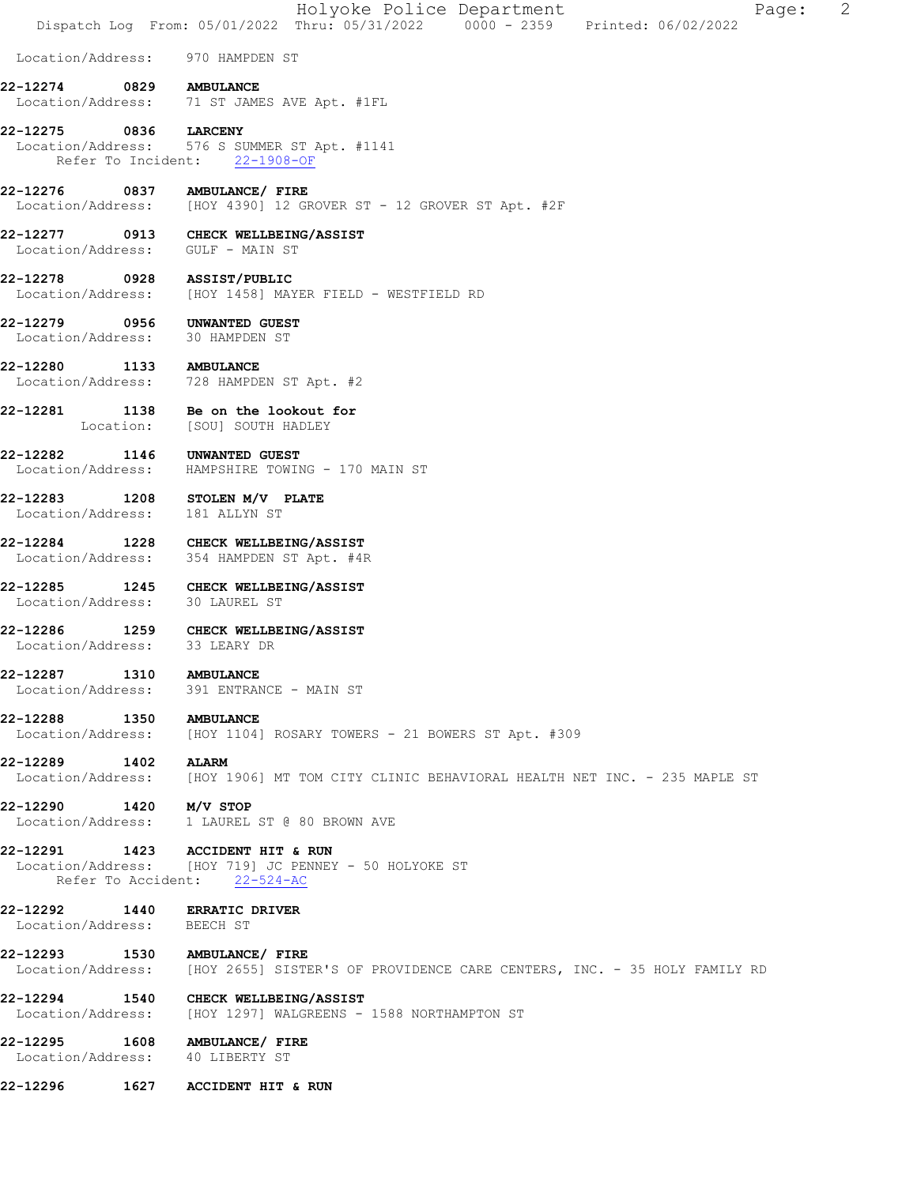| Location/Address: 970 HAMPDEN ST                                |      |                                                                                                                             |
|-----------------------------------------------------------------|------|-----------------------------------------------------------------------------------------------------------------------------|
| 22-12274 0829 AMBULANCE                                         |      | Location/Address: 71 ST JAMES AVE Apt. #1FL                                                                                 |
| 22-12275 0836 LARCENY                                           |      | Location/Address: 576 S SUMMER ST Apt. #1141<br>Refer To Incident: 22-1908-OF                                               |
|                                                                 |      | 22-12276 0837 AMBULANCE/ FIRE<br>Location/Address: [HOY 4390] 12 GROVER ST - 12 GROVER ST Apt. #2F                          |
| Location/Address: GULF - MAIN ST                                |      | 22-12277 0913 CHECK WELLBEING/ASSIST                                                                                        |
| 22-12278 0928 ASSIST/PUBLIC                                     |      | Location/Address: [HOY 1458] MAYER FIELD - WESTFIELD RD                                                                     |
| 22-12279 0956 UNWANTED GUEST<br>Location/Address: 30 HAMPDEN ST |      |                                                                                                                             |
| 22-12280 1133 AMBULANCE                                         |      | Location/Address: 728 HAMPDEN ST Apt. #2                                                                                    |
|                                                                 |      | $22-12281$ 1138 Be on the lookout for<br>Location: [SOU] SOUTH HADLEY                                                       |
|                                                                 |      | 22-12282 1146 UNWANTED GUEST<br>Location/Address: HAMPSHIRE TOWING - 170 MAIN ST                                            |
| Location/Address: 181 ALLYN ST                                  |      | 22-12283 1208 STOLEN M/V PLATE                                                                                              |
|                                                                 |      | 22-12284 1228 CHECK WELLBEING/ASSIST<br>Location/Address: 354 HAMPDEN ST Apt. #4R                                           |
| Location/Address: 30 LAUREL ST                                  |      | 22-12285 1245 CHECK WELLBEING/ASSIST                                                                                        |
| Location/Address: 33 LEARY DR                                   |      | 22-12286 1259 CHECK WELLBEING/ASSIST                                                                                        |
| 22-12287 1310 AMBULANCE                                         |      | Location/Address: 391 ENTRANCE - MAIN ST                                                                                    |
| 22-12288                                                        | 1350 | <b>AMBULANCE</b><br>Location/Address: [HOY 1104] ROSARY TOWERS - 21 BOWERS ST Apt. #309                                     |
| 22-12289 1402<br>Location/Address:                              |      | <b>ALARM</b><br>[HOY 1906] MT TOM CITY CLINIC BEHAVIORAL HEALTH NET INC. - 235 MAPLE ST                                     |
| 22-12290 1420                                                   |      | M/V STOP<br>Location/Address: 1 LAUREL ST @ 80 BROWN AVE                                                                    |
|                                                                 |      | 22-12291 1423 ACCIDENT HIT & RUN<br>Location/Address: [HOY 719] JC PENNEY - 50 HOLYOKE ST<br>Refer To Accident: 22-524-AC   |
| 22-12292 1440 ERRATIC DRIVER<br>Location/Address: BEECH ST      |      |                                                                                                                             |
|                                                                 |      | 22-12293 1530 AMBULANCE/ FIRE<br>Location/Address: [HOY 2655] SISTER'S OF PROVIDENCE CARE CENTERS, INC. - 35 HOLY FAMILY RD |
|                                                                 |      | 22-12294 1540 CHECK WELLBEING/ASSIST<br>Location/Address: [HOY 1297] WALGREENS - 1588 NORTHAMPTON ST                        |
| Location/Address: 40 LIBERTY ST                                 |      | 22-12295 1608 AMBULANCE/ FIRE                                                                                               |
|                                                                 |      | 22-12296 1627 ACCIDENT HIT & RUN                                                                                            |

Holyoke Police Department The Page: 2

Dispatch Log From: 05/01/2022 Thru: 05/31/2022 0000 - 2359 Printed: 06/02/2022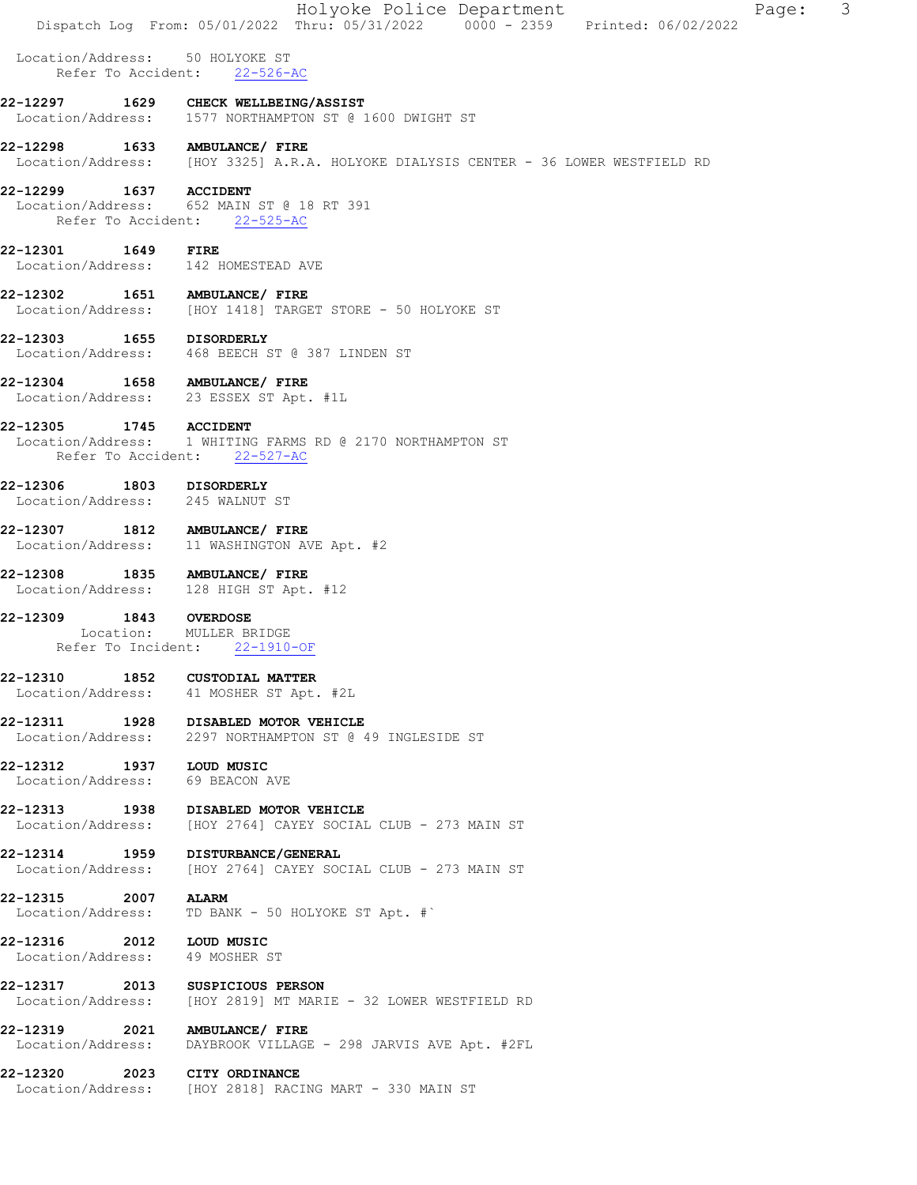|                                                            |      | Dispatch Log From: 05/01/2022 Thru: 05/31/2022   0000 - 2359   Printed: 06/02/2022                                   |  | Holyoke Police Department |  | Page: | 3 |
|------------------------------------------------------------|------|----------------------------------------------------------------------------------------------------------------------|--|---------------------------|--|-------|---|
|                                                            |      | Location/Address: 50 HOLYOKE ST<br>Refer To Accident: 22-526-AC                                                      |  |                           |  |       |   |
|                                                            |      | 22-12297 1629 CHECK WELLBEING/ASSIST<br>Location/Address: 1577 NORTHAMPTON ST @ 1600 DWIGHT ST                       |  |                           |  |       |   |
|                                                            |      | 22-12298 1633 AMBULANCE/ FIRE<br>Location/Address: [HOY 3325] A.R.A. HOLYOKE DIALYSIS CENTER - 36 LOWER WESTFIELD RD |  |                           |  |       |   |
| 22-12299                                                   |      | 1637 ACCIDENT<br>Location/Address: 652 MAIN ST @ 18 RT 391<br>Refer To Accident: 22-525-AC                           |  |                           |  |       |   |
| 22-12301 1649 FIRE                                         |      | Location/Address: 142 HOMESTEAD AVE                                                                                  |  |                           |  |       |   |
| 22-12302                                                   |      | 1651 AMBULANCE/ FIRE<br>Location/Address: [HOY 1418] TARGET STORE - 50 HOLYOKE ST                                    |  |                           |  |       |   |
| 22-12303 1655 DISORDERLY                                   |      | Location/Address: 468 BEECH ST @ 387 LINDEN ST                                                                       |  |                           |  |       |   |
|                                                            |      | 22-12304 1658 AMBULANCE/ FIRE<br>Location/Address: 23 ESSEX ST Apt. #1L                                              |  |                           |  |       |   |
|                                                            |      | 22-12305 1745 ACCIDENT<br>Location/Address: 1 WHITING FARMS RD @ 2170 NORTHAMPTON ST<br>Refer To Accident: 22-527-AC |  |                           |  |       |   |
| 22-12306                                                   |      | 1803 DISORDERLY<br>Location/Address: 245 WALNUT ST                                                                   |  |                           |  |       |   |
| 22-12307                                                   |      | 1812 AMBULANCE/ FIRE<br>Location/Address: 11 WASHINGTON AVE Apt. #2                                                  |  |                           |  |       |   |
| 22-12308                                                   |      | 1835 AMBULANCE/ FIRE<br>Location/Address: 128 HIGH ST Apt. #12                                                       |  |                           |  |       |   |
| 22-12309 1843                                              |      | <b>OVERDOSE</b><br>Location: MULLER BRIDGE<br>Refer To Incident: 22-1910-OF                                          |  |                           |  |       |   |
| 22-12310                                                   | 1852 | <b>CUSTODIAL MATTER</b><br>Location/Address: 41 MOSHER ST Apt. #2L                                                   |  |                           |  |       |   |
| 22-12311                                                   |      | 1928 DISABLED MOTOR VEHICLE<br>Location/Address: 2297 NORTHAMPTON ST @ 49 INGLESIDE ST                               |  |                           |  |       |   |
| 22-12312 1937 LOUD MUSIC                                   |      | Location/Address: 69 BEACON AVE                                                                                      |  |                           |  |       |   |
| 22-12313                                                   |      | 1938 DISABLED MOTOR VEHICLE<br>Location/Address: [HOY 2764] CAYEY SOCIAL CLUB - 273 MAIN ST                          |  |                           |  |       |   |
|                                                            |      | 22-12314 1959 DISTURBANCE/GENERAL<br>Location/Address: [HOY 2764] CAYEY SOCIAL CLUB - 273 MAIN ST                    |  |                           |  |       |   |
| 22-12315<br>Location/Address:                              | 2007 | <b>ALARM</b><br>TD BANK - 50 HOLYOKE ST Apt. #`                                                                      |  |                           |  |       |   |
| 22-12316 2012 LOUD MUSIC<br>Location/Address: 49 MOSHER ST |      |                                                                                                                      |  |                           |  |       |   |
| 22-12317<br>Location/Address:                              | 2013 | SUSPICIOUS PERSON<br>[HOY 2819] MT MARIE - 32 LOWER WESTFIELD RD                                                     |  |                           |  |       |   |
|                                                            |      | 22-12319 2021 AMBULANCE/ FIRE<br>Location/Address: DAYBROOK VILLAGE - 298 JARVIS AVE Apt. #2FL                       |  |                           |  |       |   |
| 22-12320                                                   |      | 2023 CITY ORDINANCE<br>Location/Address: [HOY 2818] RACING MART - 330 MAIN ST                                        |  |                           |  |       |   |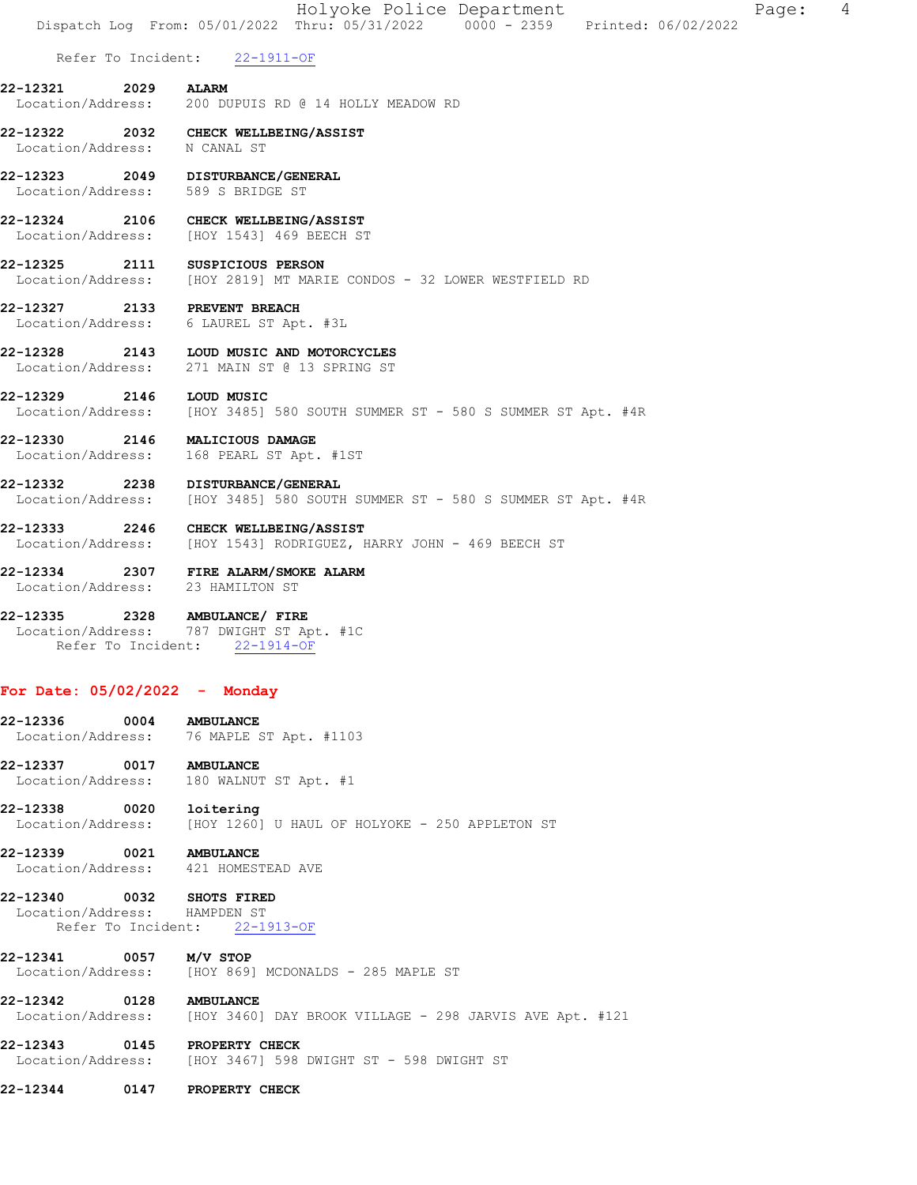|                                                                                 | Holyoke Police Department<br>4<br>Page:<br>Dispatch Log From: 05/01/2022 Thru: 05/31/2022 0000 - 2359 Printed: 06/02/2022 |  |
|---------------------------------------------------------------------------------|---------------------------------------------------------------------------------------------------------------------------|--|
|                                                                                 | Refer To Incident: 22-1911-OF                                                                                             |  |
| 22-12321<br>2029                                                                | <b>ALARM</b><br>Location/Address: 200 DUPUIS RD @ 14 HOLLY MEADOW RD                                                      |  |
| Location/Address: N CANAL ST                                                    | 22-12322 2032 CHECK WELLBEING/ASSIST                                                                                      |  |
| 22-12323                                                                        | 2049 DISTURBANCE/GENERAL<br>Location/Address: 589 S BRIDGE ST                                                             |  |
| 22-12324                                                                        | 2106 CHECK WELLBEING/ASSIST<br>Location/Address: [HOY 1543] 469 BEECH ST                                                  |  |
| 22-12325<br>2111                                                                | SUSPICIOUS PERSON<br>Location/Address: [HOY 2819] MT MARIE CONDOS - 32 LOWER WESTFIELD RD                                 |  |
| 22-12327                                                                        | 2133 PREVENT BREACH<br>Location/Address: 6 LAUREL ST Apt. #3L                                                             |  |
| 22-12328                                                                        | 2143 LOUD MUSIC AND MOTORCYCLES<br>Location/Address: 271 MAIN ST @ 13 SPRING ST                                           |  |
| 22-12329<br>2146                                                                | LOUD MUSIC<br>Location/Address: [HOY 3485] 580 SOUTH SUMMER ST - 580 S SUMMER ST Apt. #4R                                 |  |
| 22-12330<br>2146<br>Location/Address:                                           | <b>MALICIOUS DAMAGE</b><br>168 PEARL ST Apt. #1ST                                                                         |  |
| 2238<br>22-12332                                                                | <b>DISTURBANCE/GENERAL</b><br>Location/Address: [HOY 3485] 580 SOUTH SUMMER ST - 580 S SUMMER ST Apt. #4R                 |  |
| 22-12333                                                                        | 2246 CHECK WELLBEING/ASSIST<br>Location/Address: [HOY 1543] RODRIGUEZ, HARRY JOHN - 469 BEECH ST                          |  |
| 22-12334<br>Location/Address: 23 HAMILTON ST                                    | 2307 FIRE ALARM/SMOKE ALARM                                                                                               |  |
| 22-12335<br>Refer To Incident:                                                  | 2328 AMBULANCE/ FIRE<br>Location/Address: 787 DWIGHT ST Apt. #1C<br>$22 - 1914 - OF$                                      |  |
| For Date: 05/02/2022 - Monday                                                   |                                                                                                                           |  |
| 22-12336<br>0004                                                                | <b>AMBULANCE</b><br>Location/Address: 76 MAPLE ST Apt. #1103                                                              |  |
| 22-12337                                                                        | 0017 AMBULANCE<br>Location/Address: 180 WALNUT ST Apt. #1                                                                 |  |
| 22-12338<br>0020                                                                | loitering<br>Location/Address: [HOY 1260] U HAUL OF HOLYOKE - 250 APPLETON ST                                             |  |
| 22-12339                                                                        | 0021 AMBULANCE<br>Location/Address: 421 HOMESTEAD AVE                                                                     |  |
| 22-12340 0032 SHOTS FIRED<br>Location/Address: HAMPDEN ST<br>Refer To Incident: | $22 - 1913 - OF$                                                                                                          |  |
| 22-12341                                                                        | $0057$ $M/V$ STOP<br>Location/Address: [HOY 869] MCDONALDS - 285 MAPLE ST                                                 |  |
| 22-12342 0128 AMBULANCE                                                         | Location/Address: [HOY 3460] DAY BROOK VILLAGE - 298 JARVIS AVE Apt. #121                                                 |  |
| 22-12343                                                                        | 0145 PROPERTY CHECK<br>Location/Address: [HOY 3467] 598 DWIGHT ST - 598 DWIGHT ST                                         |  |

22-12344 0147 PROPERTY CHECK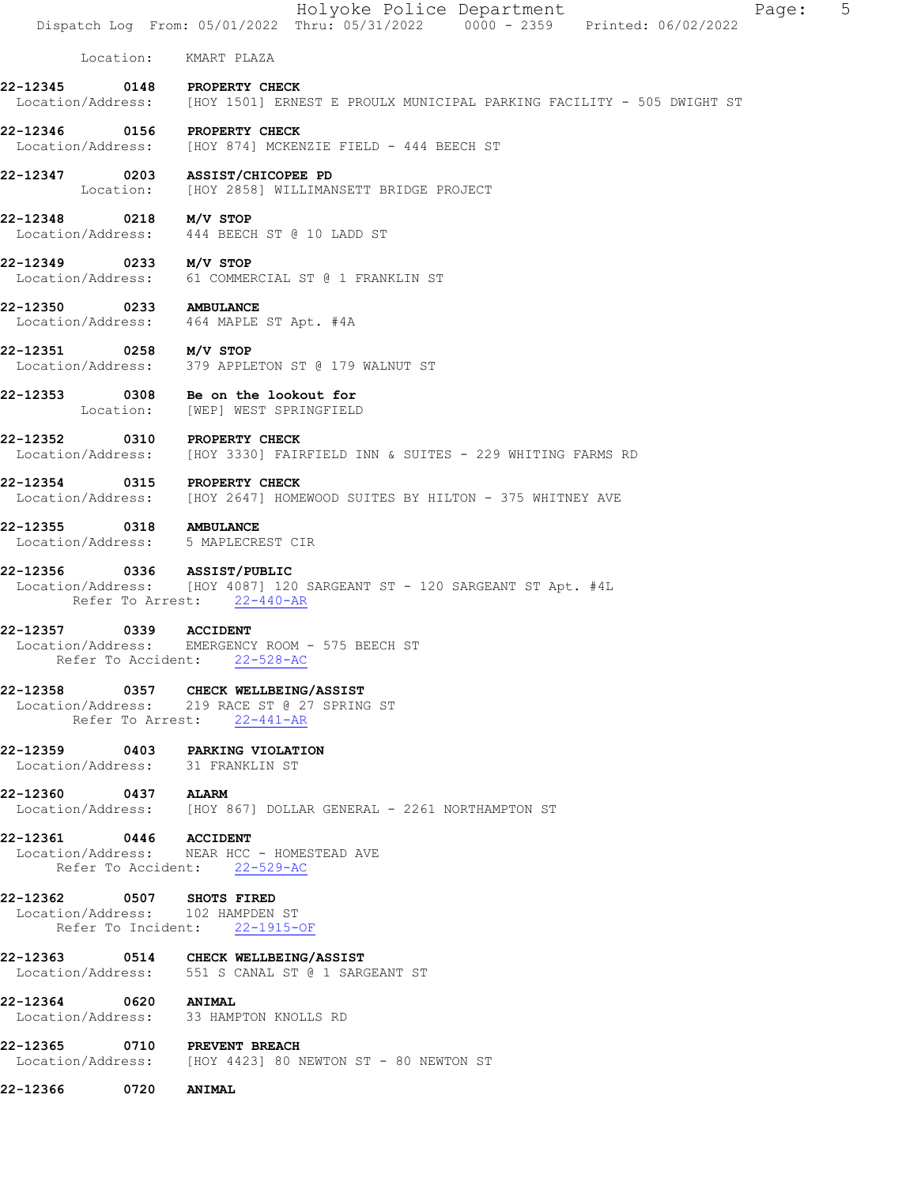|                         |                    | Holyoke Police Department<br>$5\overline{)}$<br>Page:<br>Dispatch Log From: 05/01/2022 Thru: 05/31/2022 0000 - 2359 Printed: 06/02/2022 |  |
|-------------------------|--------------------|-----------------------------------------------------------------------------------------------------------------------------------------|--|
|                         | Location:          | KMART PLAZA                                                                                                                             |  |
| 22-12345                | 0148               | <b>PROPERTY CHECK</b><br>Location/Address: [HOY 1501] ERNEST E PROULX MUNICIPAL PARKING FACILITY - 505 DWIGHT ST                        |  |
|                         |                    | 22-12346 0156 PROPERTY CHECK<br>Location/Address: [HOY 874] MCKENZIE FIELD - 444 BEECH ST                                               |  |
|                         |                    | 22-12347 0203 ASSIST/CHICOPEE PD<br>Location: [HOY 2858] WILLIMANSETT BRIDGE PROJECT                                                    |  |
| 22-12348 0218 M/V STOP  |                    | Location/Address: 444 BEECH ST @ 10 LADD ST                                                                                             |  |
| 22-12349                |                    | 0233 M/V STOP<br>Location/Address: 61 COMMERCIAL ST @ 1 FRANKLIN ST                                                                     |  |
| 22-12350                |                    | 0233 AMBULANCE<br>Location/Address: 464 MAPLE ST Apt. #4A                                                                               |  |
| 22-12351 0258 M/V STOP  |                    | Location/Address: 379 APPLETON ST @ 179 WALNUT ST                                                                                       |  |
|                         |                    | 22-12353 0308 Be on the lookout for<br>Location: [WEP] WEST SPRINGFIELD                                                                 |  |
| 22-12352                |                    | 0310 PROPERTY CHECK<br>Location/Address: [HOY 3330] FAIRFIELD INN & SUITES - 229 WHITING FARMS RD                                       |  |
| 22-12354                |                    | 0315 PROPERTY CHECK<br>Location/Address: [HOY 2647] HOMEWOOD SUITES BY HILTON - 375 WHITNEY AVE                                         |  |
| 22-12355 0318 AMBULANCE |                    | Location/Address: 5 MAPLECREST CIR                                                                                                      |  |
| 22-12356                |                    | 0336 ASSIST/PUBLIC<br>Location/Address: [HOY 4087] 120 SARGEANT ST - 120 SARGEANT ST Apt. #4L<br>Refer To Arrest: 22-440-AR             |  |
| 22-12357                |                    | 0339 ACCIDENT<br>Location/Address: EMERGENCY ROOM - 575 BEECH ST<br>Refer To Accident: 22-528-AC                                        |  |
|                         |                    | 22-12358 0357 CHECK WELLBEING/ASSIST<br>Location/Address: 219 RACE ST @ 27 SPRING ST<br>Refer To Arrest: 22-441-AR                      |  |
|                         |                    | 22-12359 0403 PARKING VIOLATION<br>Location/Address: 31 FRANKLIN ST                                                                     |  |
| 22-12360 0437 ALARM     |                    | Location/Address: [HOY 867] DOLLAR GENERAL - 2261 NORTHAMPTON ST                                                                        |  |
| 22-12361 0446 ACCIDENT  |                    | Location/Address: WEAR HCC - HOMESTEAD AVE<br>Refer To Accident: 22-529-AC                                                              |  |
|                         | Refer To Incident: | 22-12362 0507 SHOTS FIRED<br>Location/Address: 102 HAMPDEN ST<br>$22 - 1915 - OF$                                                       |  |
|                         |                    | 22-12363 0514 CHECK WELLBEING/ASSIST<br>Location/Address: 551 S CANAL ST @ 1 SARGEANT ST                                                |  |
| 22-12364 0620 ANIMAL    |                    | Location/Address: 33 HAMPTON KNOLLS RD                                                                                                  |  |
| 22-12365                |                    | 0710 PREVENT BREACH<br>Location/Address: [HOY 4423] 80 NEWTON ST - 80 NEWTON ST                                                         |  |
| 22-12366                | 0720               | <b>ANIMAL</b>                                                                                                                           |  |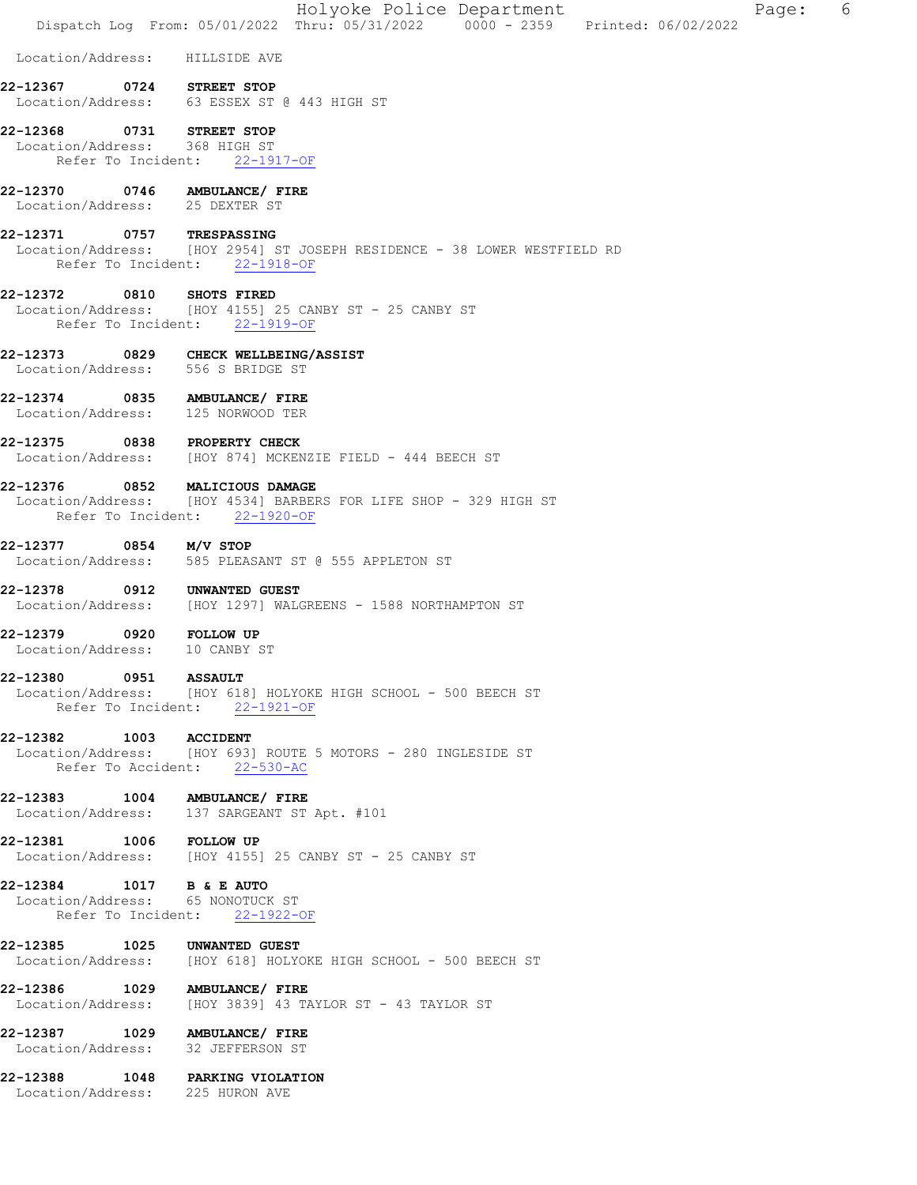|                                                                              |              |                                   | Holyoke Police Department<br>Dispatch Log From: 05/01/2022 Thru: 05/31/2022 0000 - 2359 Printed: 06/02/2022 |  | Page: | 6 |
|------------------------------------------------------------------------------|--------------|-----------------------------------|-------------------------------------------------------------------------------------------------------------|--|-------|---|
| Location/Address: HILLSIDE AVE                                               |              |                                   |                                                                                                             |  |       |   |
| 22-12367 0724 STREET STOP<br>Location/Address: 63 ESSEX ST @ 443 HIGH ST     |              |                                   |                                                                                                             |  |       |   |
| 22-12368 0731 STREET STOP<br>Location/Address: 368 HIGH ST                   |              | Refer To Incident: 22-1917-OF     |                                                                                                             |  |       |   |
| 22-12370 0746 AMBULANCE/ FIRE<br>Location/Address: 25 DEXTER ST              |              |                                   |                                                                                                             |  |       |   |
|                                                                              |              | Refer To Incident: 22-1918-OF     | 22-12371 0757 TRESPASSING<br>Location/Address: [HOY 2954] ST JOSEPH RESIDENCE - 38 LOWER WESTFIELD RD       |  |       |   |
| 22-12372 0810 SHOTS FIRED                                                    |              | Refer To Incident: 22-1919-OF     | Location/Address: [HOY 4155] 25 CANBY ST - 25 CANBY ST                                                      |  |       |   |
| 22-12373 0829 CHECK WELLBEING/ASSIST<br>Location/Address: 556 S BRIDGE ST    |              |                                   |                                                                                                             |  |       |   |
| 22-12374 0835 AMBULANCE/ FIRE                                                |              | Location/Address: 125 NORWOOD TER |                                                                                                             |  |       |   |
| 22-12375                                                                     |              |                                   | 22-12375 0838 PROPERTY CHECK<br>Location/Address: [HOY 874] MCKENZIE FIELD - 444 BEECH ST                   |  |       |   |
|                                                                              |              | Refer To Incident: 22-1920-OF     | 22-12376 0852 MALICIOUS DAMAGE<br>Location/Address: [HOY 4534] BARBERS FOR LIFE SHOP - 329 HIGH ST          |  |       |   |
| 22-12377 0854 M/V STOP                                                       |              |                                   | Location/Address: 585 PLEASANT ST @ 555 APPLETON ST                                                         |  |       |   |
| 22-12378 0912 UNWANTED GUEST                                                 |              |                                   | Location/Address: [HOY 1297] WALGREENS - 1588 NORTHAMPTON ST                                                |  |       |   |
| 22-12379 0920 FOLLOW UP<br>Location/Address: 10 CANBY ST                     |              |                                   |                                                                                                             |  |       |   |
| 22-12380                                                                     | 0951 ASSAULT | Refer To Incident: 22-1921-OF     | Location/Address: [HOY 618] HOLYOKE HIGH SCHOOL - 500 BEECH ST                                              |  |       |   |
| 22-12382 1003 ACCIDENT                                                       |              | Refer To Accident: 22-530-AC      | Location/Address: [HOY 693] ROUTE 5 MOTORS - 280 INGLESIDE ST                                               |  |       |   |
| 22-12383 1004 AMBULANCE/ FIRE<br>Location/Address: 137 SARGEANT ST Apt. #101 |              |                                   |                                                                                                             |  |       |   |
| 22-12381 1006 FOLLOW UP                                                      |              |                                   | Location/Address: [HOY 4155] 25 CANBY ST - 25 CANBY ST                                                      |  |       |   |
| 22-12384 1017 B & E AUTO<br>Location/Address: 65 NONOTUCK ST                 |              | Refer To Incident: 22-1922-OF     |                                                                                                             |  |       |   |
| 22-12385 1025 UNWANTED GUEST                                                 |              |                                   | Location/Address: [HOY 618] HOLYOKE HIGH SCHOOL - 500 BEECH ST                                              |  |       |   |
| 22-12386 1029 AMBULANCE/ FIRE<br>Location/Address:                           |              |                                   | [HOY 3839] 43 TAYLOR ST - 43 TAYLOR ST                                                                      |  |       |   |
| 22-12387 1029 AMBULANCE/ FIRE<br>Location/Address: 32 JEFFERSON ST           |              |                                   |                                                                                                             |  |       |   |
| 22-12388 1048 PARKING VIOLATION<br>Location/Address: 225 HURON AVE           |              |                                   |                                                                                                             |  |       |   |
|                                                                              |              |                                   |                                                                                                             |  |       |   |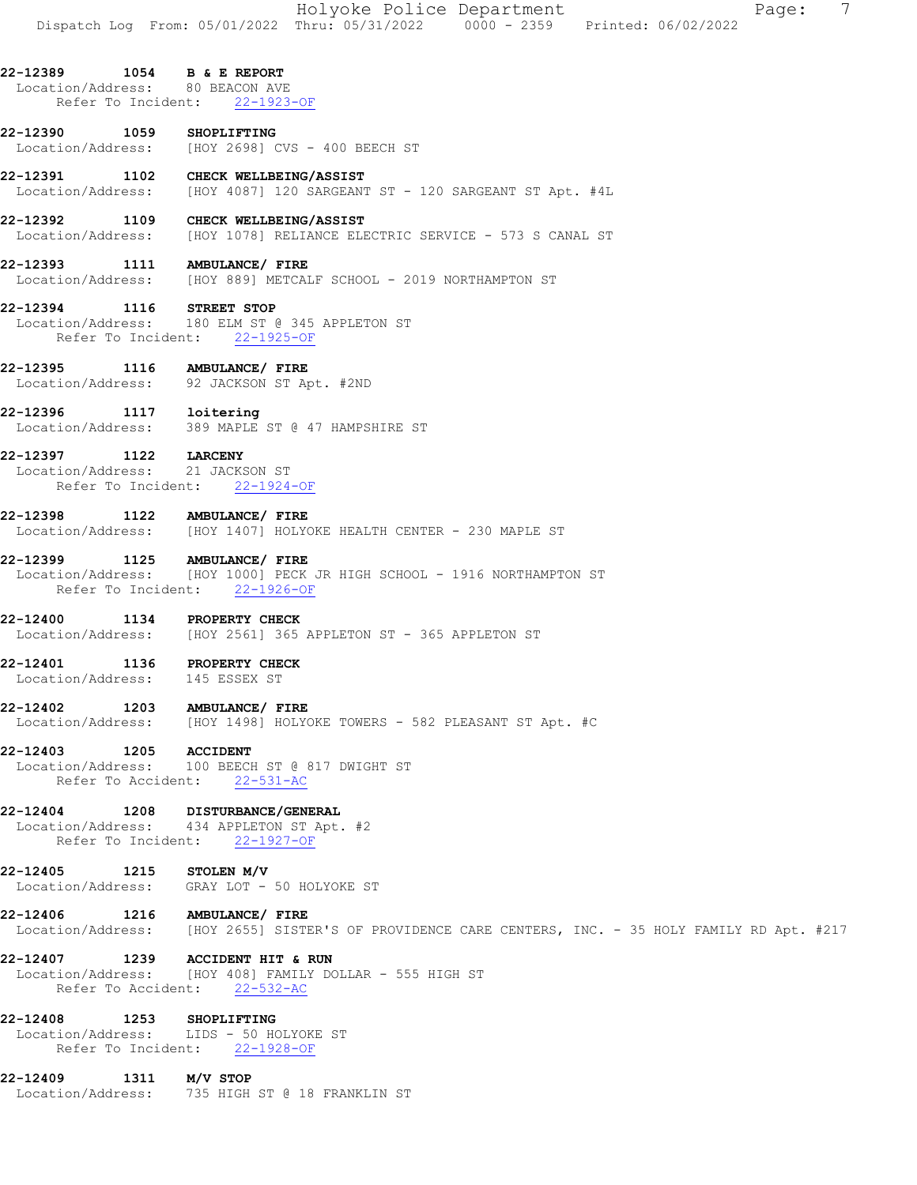22-12389 1054 B & E REPORT Location/Address: 80 BEACON AVE Refer To Incident: 22-1923-OF

22-12390 1059 SHOPLIFTING<br>Location/Address: [HOY 2698] C [HOY 2698] CVS - 400 BEECH ST

22-12391 1102 CHECK WELLBEING/ASSIST Location/Address: [HOY 4087] 120 SARGEANT ST - 120 SARGEANT ST Apt. #4L

22-12392 1109 CHECK WELLBEING/ASSIST<br>Location/Address: [HOY 1078] RELIANCE ELE [HOY 1078] RELIANCE ELECTRIC SERVICE - 573 S CANAL ST

22-12393 1111 AMBULANCE/ FIRE Location/Address: [HOY 889] METCALF SCHOOL - 2019 NORTHAMPTON ST

22-12394 1116 STREET STOP Location/Address: 180 ELM ST @ 345 APPLETON ST Refer To Incident: 22-1925-OF

22-12395 1116 AMBULANCE/ FIRE Location/Address: 92 JACKSON ST Apt. #2ND

22-12396 1117 loitering<br>Location/Address: 389 MAPLE 389 MAPLE ST @ 47 HAMPSHIRE ST

22-12397 1122 LARCENY<br>Location/Address: 21 JACKSON ST Location/Address: Refer To Incident: 22-1924-OF

22-12398 1122 AMBULANCE/ FIRE Location/Address: [HOY 1407] HOLYOKE HEALTH CENTER - 230 MAPLE ST

22-12399 1125 AMBULANCE/ FIRE

Location/Address: [HOY 1000] PECK JR HIGH SCHOOL - 1916 NORTHAMPTON ST Refer To Incident: 22-1926-OF

22-12400 1134 PROPERTY CHECK

Location/Address: [HOY 2561] 365 APPLETON ST - 365 APPLETON ST

22-12401 1136 PROPERTY CHECK<br>Location/Address: 145 ESSEX ST Location/Address:

22-12402 1203 AMBULANCE/FIRE<br>Location/Address: [HOY 1498] HOLYO

[HOY 1498] HOLYOKE TOWERS - 582 PLEASANT ST Apt. #C

22-12403 1205 ACCIDENT

 Location/Address: 100 BEECH ST @ 817 DWIGHT ST Refer To Accident: 22-531-AC

22-12404 1208 DISTURBANCE/GENERAL

 Location/Address: 434 APPLETON ST Apt. #2 Refer To Incident: 22-1927-OF

22-12405 1215 STOLEN M/V Location/Address: GRAY LOT - 50 HOLYOKE ST

22-12406 1216 AMBULANCE/FIRE<br>Location/Address: [HOY 2655] SISTE [HOY 2655] SISTER'S OF PROVIDENCE CARE CENTERS, INC. - 35 HOLY FAMILY RD Apt. #217

22-12407 1239 ACCIDENT HIT & RUN Location/Address: [HOY 408] FAMILY DOLLAR - 555 HIGH ST Refer To Accident: 22-532-AC

22-12408 1253 SHOPLIFTING Location/Address: LIDS - 50 HOLYOKE ST Refer To Incident: 22-1928-OF

**22-12409 1311 M/V STOP**<br>Location/Address: 735 HIGH Location/Address: 735 HIGH ST @ 18 FRANKLIN ST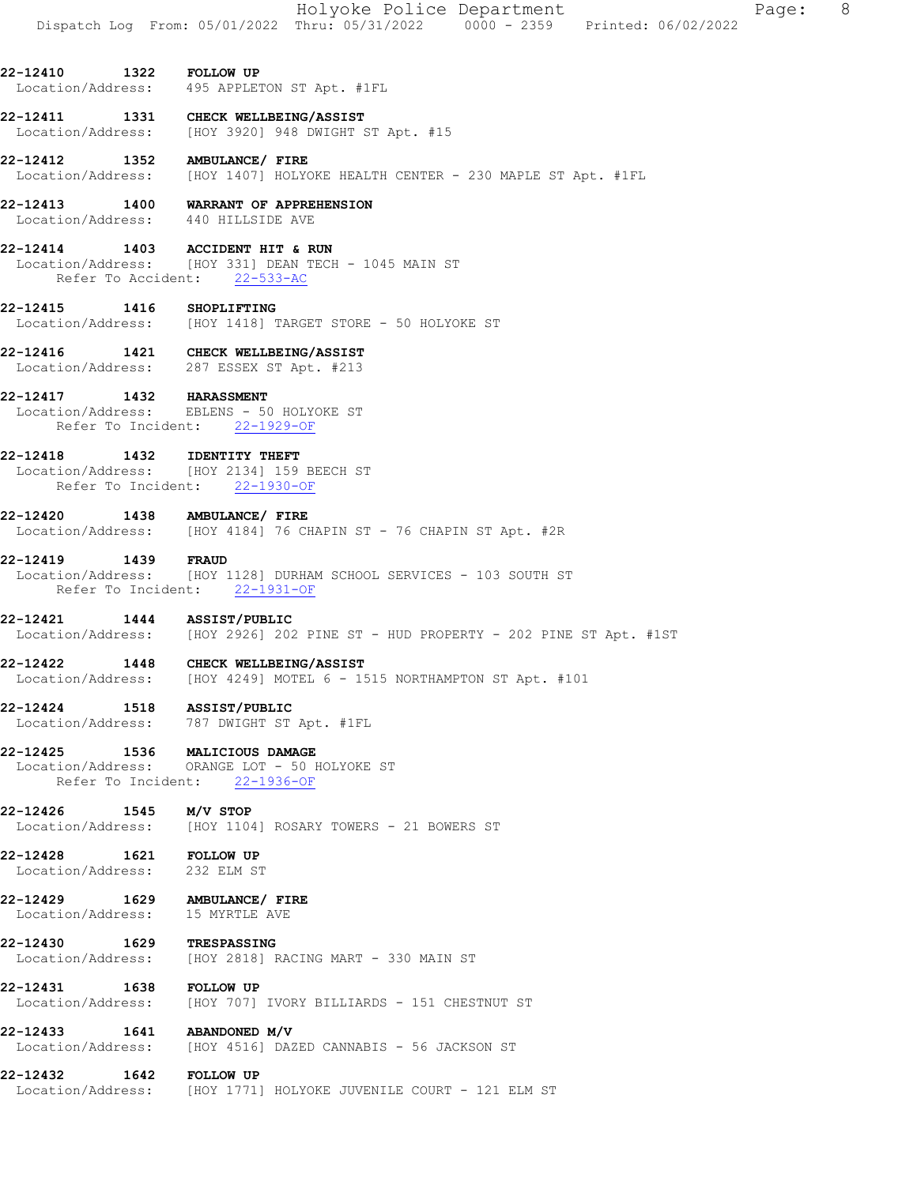22-12410 1322 FOLLOW UP Location/Address: 495 APPLETON ST Apt. #1FL

22-12411 1331 CHECK WELLBEING/ASSIST Location/Address: [HOY 3920] 948 DWIGHT ST Apt. #15

22-12412 1352 AMBULANCE/ FIRE Location/Address: [HOY 1407] HOLYOKE HEALTH CENTER - 230 MAPLE ST Apt. #1FL

22-12413 1400 WARRANT OF APPREHENSION Location/Address: 440 HILLSIDE AVE

22-12414 1403 ACCIDENT HIT & RUN Location/Address: [HOY 331] DEAN TECH - 1045 MAIN ST

Refer To Accident: 22-533-AC

22-12415 1416 SHOPLIFTING Location/Address: [HOY 1418] TARGET STORE - 50 HOLYOKE ST

22-12416 1421 CHECK WELLBEING/ASSIST<br>Location/Address: 287 ESSEX ST Apt. #213

287 ESSEX ST Apt. #213

# 22-12417 1432 HARASSMENT<br>Location/Address: EBLENS - 50

 Location/Address: EBLENS - 50 HOLYOKE ST Refer To Incident: 22-1929-OF

## 22-12418 1432 IDENTITY THEFT

 Location/Address: [HOY 2134] 159 BEECH ST Refer To Incident: 22-1930-OF

22-12420 1438 AMBULANCE/ FIRE

Location/Address: [HOY 4184] 76 CHAPIN ST - 76 CHAPIN ST Apt. #2R

## 22-12419 1439 FRAUD

 Location/Address: [HOY 1128] DURHAM SCHOOL SERVICES - 103 SOUTH ST Refer To Incident: 22-1931-OF

22-12421 1444 ASSIST/PUBLIC

Location/Address: [HOY 2926] 202 PINE ST - HUD PROPERTY - 202 PINE ST Apt. #1ST

22-12422 1448 CHECK WELLBEING/ASSIST<br>Location/Address: [HOY 4249] MOTEL 6 - 19

[HOY 4249] MOTEL 6 - 1515 NORTHAMPTON ST Apt. #101

22-12424 1518 ASSIST/PUBLIC<br>Location/Address: 787 DWIGHT ST 787 DWIGHT ST Apt. #1FL

22-12425 1536 MALICIOUS DAMAGE Location/Address: ORANGE LOT - 50 HOLYOKE ST Refer To Incident: 22-1936-OF

**22-12426 1545 M/V STOP**<br>Location/Address: [HOY 1104 [HOY 1104] ROSARY TOWERS - 21 BOWERS ST

22-12428 1621 FOLLOW UP Location/Address: 232 ELM ST

## 22-12429 1629 AMBULANCE/FIRE<br>Location/Address: 15 MYRTLE AVE Location/Address:

22-12430 1629 TRESPASSING Location/Address: [HOY 2818] RACING MART - 330 MAIN ST

22-12431 1638 FOLLOW UP Location/Address: [HOY 707] IVORY BILLIARDS - 151 CHESTNUT ST

22-12433 1641 ABANDONED M/V<br>Location/Address: [HOY 4516] DA2 [HOY 4516] DAZED CANNABIS - 56 JACKSON ST

# 22-12432 1642 FOLLOW UP

Location/Address: [HOY 1771] HOLYOKE JUVENILE COURT - 121 ELM ST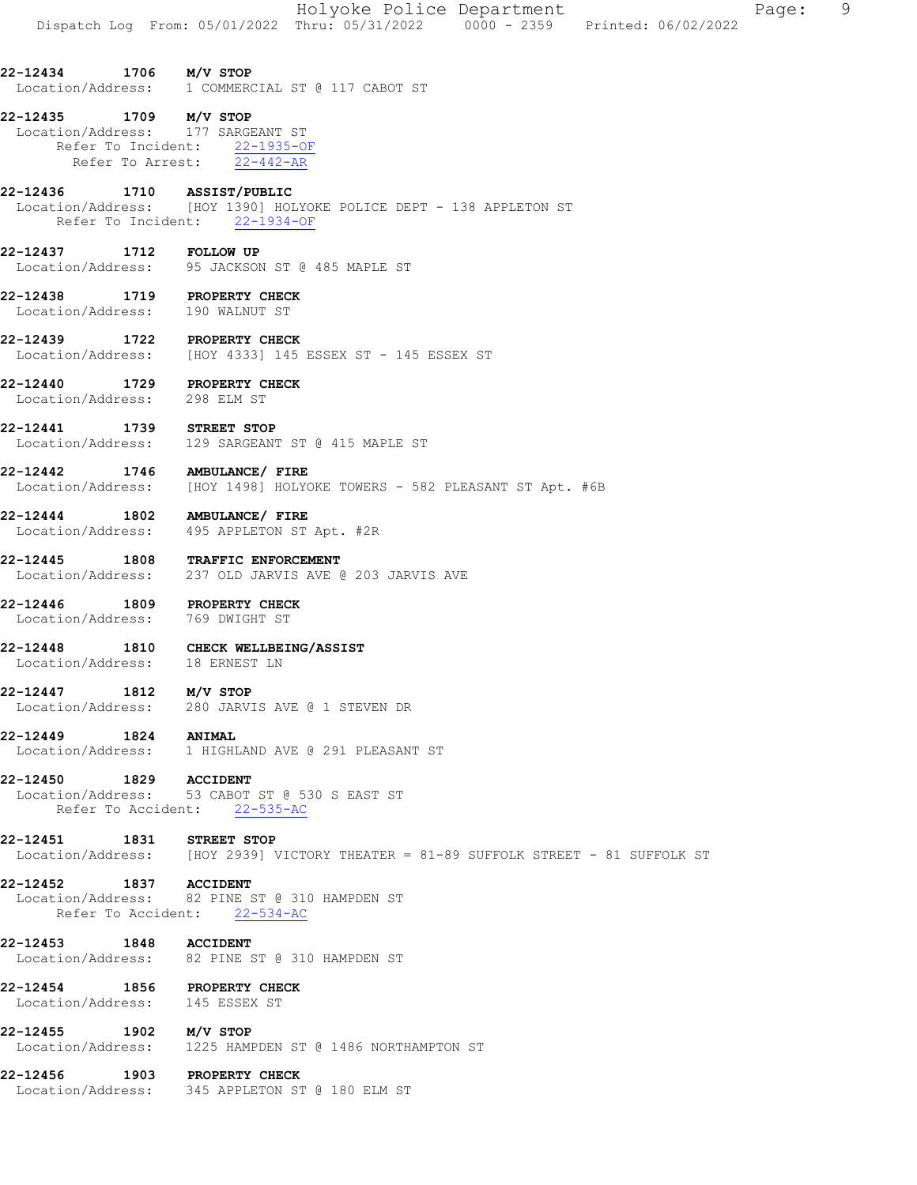#### 22-12435 1709 M/V STOP Location/Address: 177 SARGEANT ST Refer To Incident: 22-1935-OF Refer To Arrest: 22-442-AR

#### 22-12436 1710 ASSIST/PUBLIC Location/Address: [HOY 1390] HOLYOKE POLICE DEPT - 138 APPLETON ST Refer To Incident: 22-1934-OF

22-12437 1712 FOLLOW UP Location/Address: 95 JACKSON ST @ 485 MAPLE ST

22-12438 1719 PROPERTY CHECK Location/Address: 190 WALNUT ST

22-12439 1722 PROPERTY CHECK Location/Address: [HOY 4333] 145 ESSEX ST - 145 ESSEX ST

22-12440 1729 PROPERTY CHECK Location/Address: 298 ELM ST

22-12441 1739 STREET STOP Location/Address: 129 SARGEANT ST @ 415 MAPLE ST

22-12442 1746 AMBULANCE/ FIRE Location/Address: [HOY 1498] HOLYOKE TOWERS - 582 PLEASANT ST Apt. #6B

22-12444 1802 AMBULANCE/ FIRE Location/Address: 495 APPLETON ST Apt. #2R

22-12445 1808 TRAFFIC ENFORCEMENT<br>Location/Address: 237 OLD JARVIS AVE ( 237 OLD JARVIS AVE @ 203 JARVIS AVE

22-12446 1809 PROPERTY CHECK Location/Address: 769 DWIGHT ST

22-12448 1810 CHECK WELLBEING/ASSIST Location/Address: 18 ERNEST LN

22-12447 1812 M/V STOP Location/Address: 280 JARVIS AVE @ 1 STEVEN DR

22-12449 1824 ANIMAL Location/Address: 1 HIGHLAND AVE @ 291 PLEASANT ST

22-12450 1829 ACCIDENT Location/Address: 53 CABOT ST @ 530 S EAST ST Refer To Accident: 22-535-AC

22-12451 1831 STREET STOP Location/Address: [HOY 2939] VICTORY THEATER = 81-89 SUFFOLK STREET - 81 SUFFOLK ST

22-12452 1837 ACCIDENT Location/Address: 82 PINE ST @ 310 HAMPDEN ST Refer To Accident: 22-534-AC

22-12453 1848 ACCIDENT Location/Address: 82 PINE ST @ 310 HAMPDEN ST

22-12454 1856 PROPERTY CHECK<br>Location/Address: 145 ESSEX ST Location/Address:

**22-12455 1902 M/V STOP**<br>Location/Address: 1225 HAMP Location/Address: 1225 HAMPDEN ST @ 1486 NORTHAMPTON ST

22-12456 1903 PROPERTY CHECK Location/Address: 345 APPLETON ST @ 180 ELM ST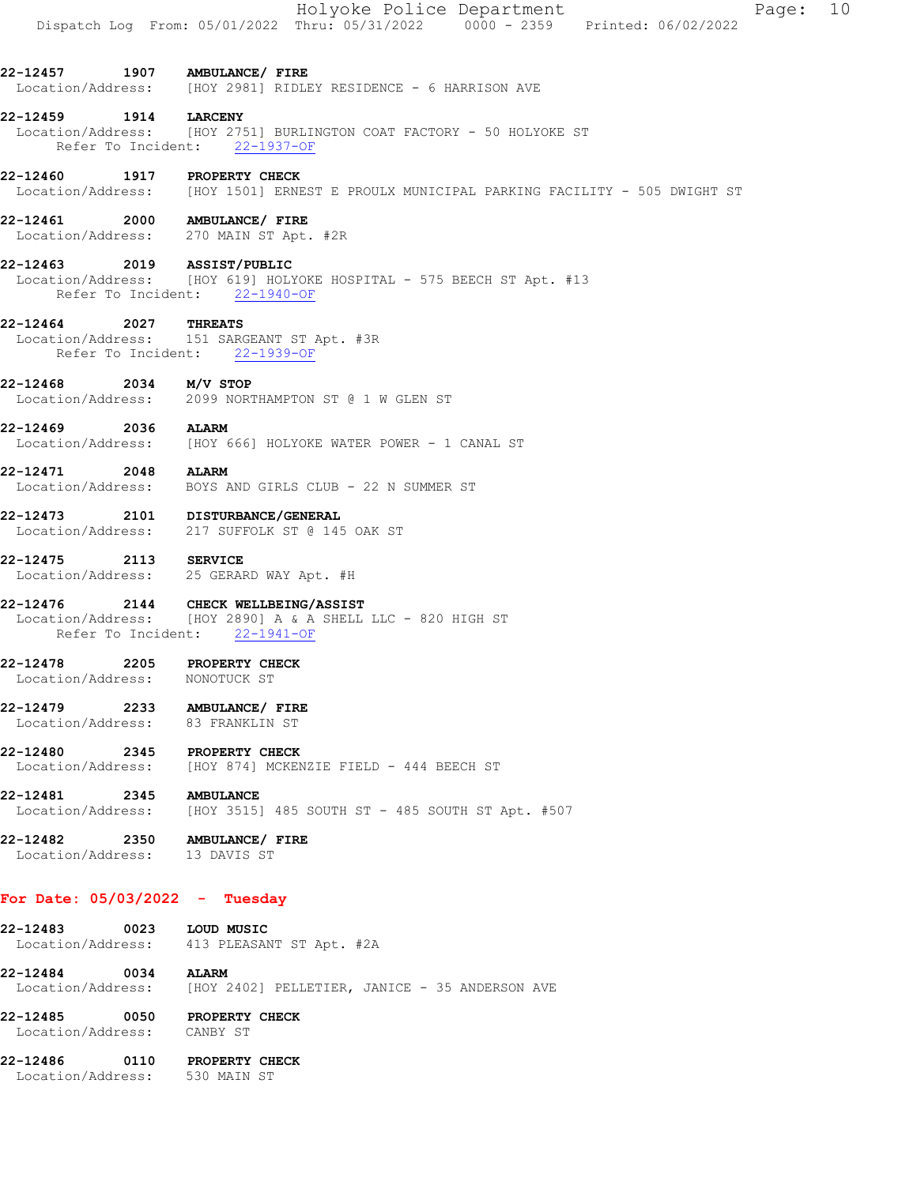|                                           |            | Dispatch Log From: 05/01/2022 Thru: 05/31/2022 0000 - 2359 Printed: 06/02/2022                                                      |
|-------------------------------------------|------------|-------------------------------------------------------------------------------------------------------------------------------------|
|                                           |            | 22-12457 1907 AMBULANCE/ FIRE<br>Location/Address: [HOY 2981] RIDLEY RESIDENCE - 6 HARRISON AVE                                     |
| 22-12459 1914 LARCENY                     |            | Location/Address: [HOY 2751] BURLINGTON COAT FACTORY - 50 HOLYOKE ST<br>Refer To Incident: 22-1937-OF                               |
|                                           |            | 22-12460 1917 PROPERTY CHECK<br>Location/Address: [HOY 1501] ERNEST E PROULX MUNICIPAL PARKING FACILITY - 505 DWIGHT ST             |
|                                           |            | 22-12461 2000 AMBULANCE/ FIRE<br>Location/Address: 270 MAIN ST Apt. #2R                                                             |
| 22-12463 2019 ASSIST/PUBLIC               |            | Location/Address: [HOY 619] HOLYOKE HOSPITAL - 575 BEECH ST Apt. #13<br>Refer To Incident: 22-1940-OF                               |
| 22-12464                                  | 2027       | <b>THREATS</b><br>Location/Address: 151 SARGEANT ST Apt. #3R<br>Refer To Incident: 22-1939-OF                                       |
| 22-12468 2034 M/V STOP                    |            | Location/Address: 2099 NORTHAMPTON ST @ 1 W GLEN ST                                                                                 |
| 22-12469                                  | 2036 ALARM | Location/Address: [HOY 666] HOLYOKE WATER POWER - 1 CANAL ST                                                                        |
| 22-12471 2048 ALARM                       |            | Location/Address: BOYS AND GIRLS CLUB - 22 N SUMMER ST                                                                              |
|                                           |            | 22-12473 2101 DISTURBANCE/GENERAL<br>Location/Address: 217 SUFFOLK ST @ 145 OAK ST                                                  |
|                                           |            | 22-12475 2113 SERVICE<br>Location/Address: 25 GERARD WAY Apt. #H                                                                    |
|                                           |            | 22-12476 2144 CHECK WELLBEING/ASSIST<br>Location/Address: [HOY 2890] A & A SHELL LLC - 820 HIGH ST<br>Refer To Incident: 22-1941-OF |
| 22-12478<br>Location/Address: NONOTUCK ST |            | 2205 PROPERTY CHECK                                                                                                                 |
|                                           |            | 22-12479 2233 AMBULANCE/ FIRE<br>Location/Address: 83 FRANKLIN ST                                                                   |
|                                           |            | 22-12480 2345 PROPERTY CHECK<br>Location/Address: [HOY 874] MCKENZIE FIELD - 444 BEECH ST                                           |
| 22-12481 2345 AMBULANCE                   |            | Location/Address: [HOY 3515] 485 SOUTH ST - 485 SOUTH ST Apt. #507                                                                  |
| Location/Address: 13 DAVIS ST             |            | 22-12482 2350 AMBULANCE/ FIRE                                                                                                       |
| For Date: $05/03/2022 - Tuesday$          |            |                                                                                                                                     |
| 22-12483 0023 LOUD MUSIC                  |            | Location/Address: 413 PLEASANT ST Apt. #2A                                                                                          |
|                                           |            | 22-12484 0034 ALARM<br>Location/Address: [HOY 2402] PELLETIER, JANICE - 35 ANDERSON AVE                                             |
| Location/Address: CANBY ST                |            | 22-12485 0050 PROPERTY CHECK                                                                                                        |

Holyoke Police Department The Page: 10

22-12486 0110 PROPERTY CHECK Location/Address: 530 MAIN ST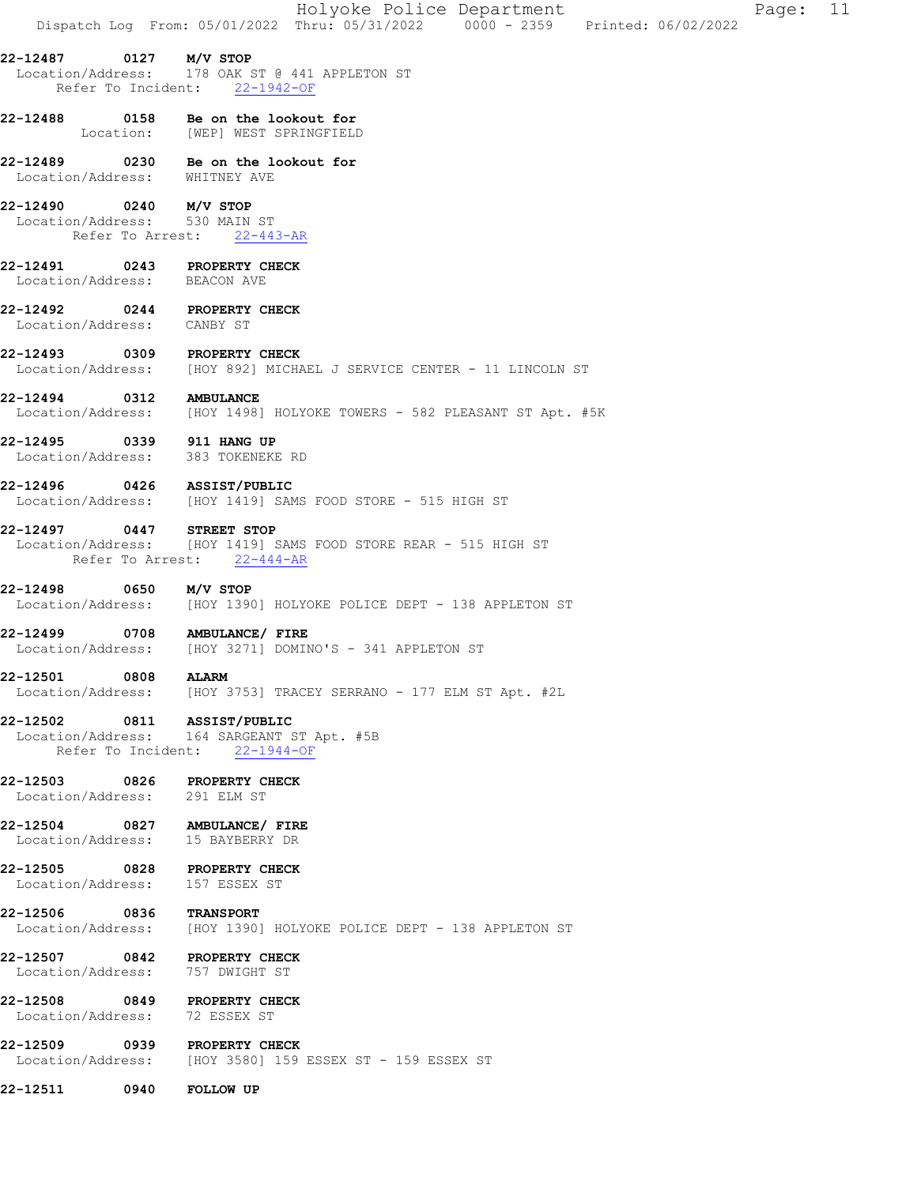|                                                                |      | Holyoke Police Department<br>Page: 11<br>Dispatch Log From: 05/01/2022 Thru: 05/31/2022 0000 - 2359 Printed: 06/02/2022 |  |
|----------------------------------------------------------------|------|-------------------------------------------------------------------------------------------------------------------------|--|
| 22-12487 0127 M/V STOP                                         |      | Location/Address: 178 OAK ST @ 441 APPLETON ST<br>Refer To Incident: 22-1942-OF                                         |  |
|                                                                |      | 22-12488 0158 Be on the lookout for<br>Location: [WEP] WEST SPRINGFIELD                                                 |  |
| Location/Address: WHITNEY AVE                                  |      | 22-12489 0230 Be on the lookout for                                                                                     |  |
| 22-12490 0240 M/V STOP<br>Location/Address: 530 MAIN ST        |      | Refer To Arrest: 22-443-AR                                                                                              |  |
| 22-12491 0243 PROPERTY CHECK<br>Location/Address: BEACON AVE   |      |                                                                                                                         |  |
| 22-12492 0244 PROPERTY CHECK<br>Location/Address: CANBY ST     |      |                                                                                                                         |  |
| 22-12493 0309 PROPERTY CHECK                                   |      | Location/Address: [HOY 892] MICHAEL J SERVICE CENTER - 11 LINCOLN ST                                                    |  |
| 22-12494 0312 AMBULANCE                                        |      | Location/Address: [HOY 1498] HOLYOKE TOWERS - 582 PLEASANT ST Apt. #5K                                                  |  |
| 22-12495                                                       |      | 0339 911 HANG UP<br>Location/Address: 383 TOKENEKE RD                                                                   |  |
| 22-12496 0426 ASSIST/PUBLIC                                    |      | Location/Address: [HOY 1419] SAMS FOOD STORE - 515 HIGH ST                                                              |  |
| 22-12497 0447 STREET STOP                                      |      | Location/Address: [HOY 1419] SAMS FOOD STORE REAR - 515 HIGH ST<br>Refer To Arrest: 22-444-AR                           |  |
| $22-12498$ 0650 M/V STOP                                       |      | Location/Address: [HOY 1390] HOLYOKE POLICE DEPT - 138 APPLETON ST                                                      |  |
|                                                                |      | 22-12499 0708 AMBULANCE/ FIRE<br>Location/Address: [HOY 3271] DOMINO'S - 341 APPLETON ST                                |  |
| 22-12501                                                       | 0808 | <b>ALARM</b><br>Location/Address: [HOY 3753] TRACEY SERRANO - 177 ELM ST Apt. #2L                                       |  |
| 22-12502 0811 ASSIST/PUBLIC                                    |      | Location/Address: 164 SARGEANT ST Apt. #5B<br>Refer To Incident: 22-1944-OF                                             |  |
| $22-12503$ 0826 PROPERTY CHECK<br>Location/Address: 291 ELM ST |      |                                                                                                                         |  |
|                                                                |      | 22-12504 0827 AMBULANCE/ FIRE<br>Location/Address: 15 BAYBERRY DR                                                       |  |
| 22-12505 0828 PROPERTY CHECK<br>Location/Address: 157 ESSEX ST |      |                                                                                                                         |  |
| 22-12506 0836 TRANSPORT                                        |      | Location/Address: [HOY 1390] HOLYOKE POLICE DEPT - 138 APPLETON ST                                                      |  |
| 22-12507 0842 PROPERTY CHECK<br>Location/Address:              |      | 757 DWIGHT ST                                                                                                           |  |
| 22-12508 0849 PROPERTY CHECK<br>Location/Address: 72 ESSEX ST  |      |                                                                                                                         |  |
| 22-12509                                                       |      | 0939 PROPERTY CHECK<br>Location/Address: [HOY 3580] 159 ESSEX ST - 159 ESSEX ST                                         |  |
| 22-12511                                                       | 0940 | <b>FOLLOW UP</b>                                                                                                        |  |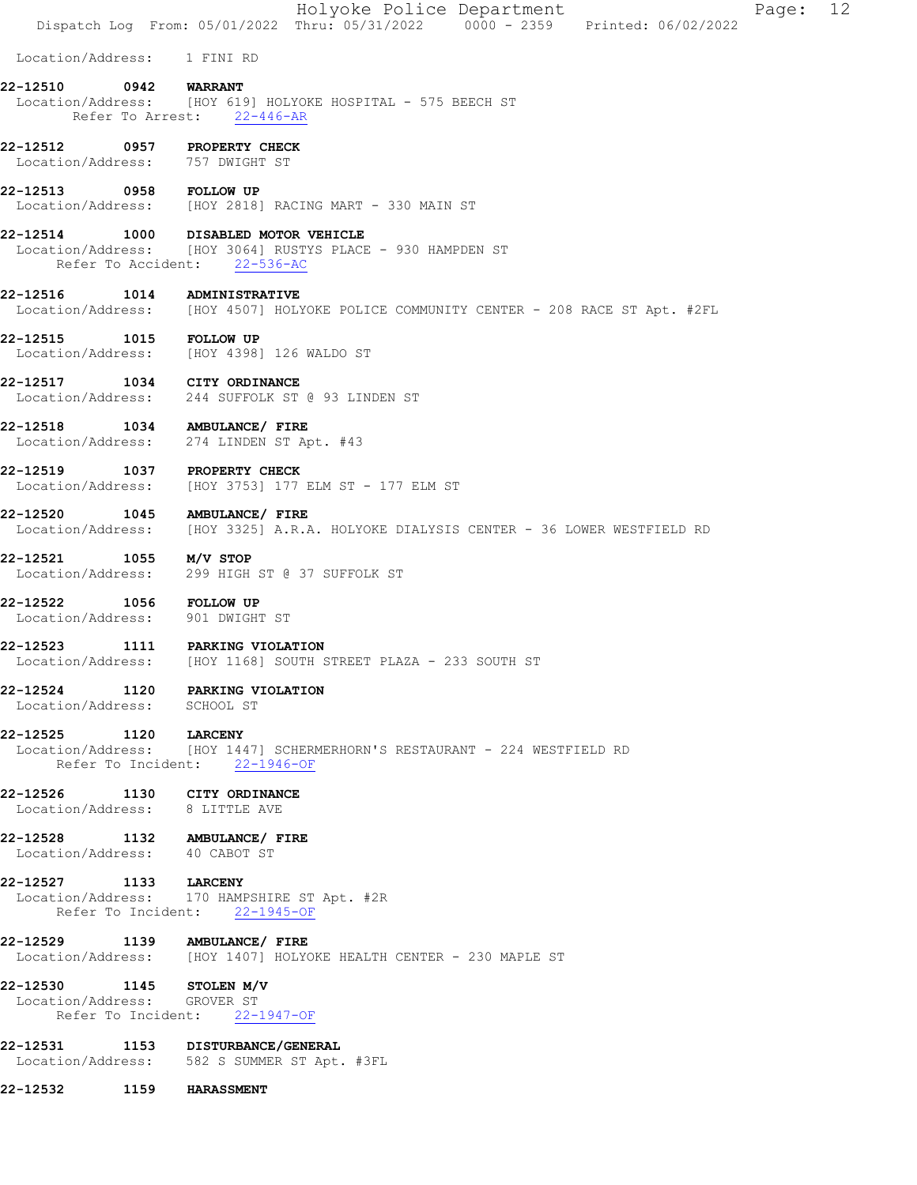|                                |              | Holyoke Police Department<br>12<br>Page:<br>Dispatch Log From: 05/01/2022 Thru: 05/31/2022 0000 - 2359 Printed: 06/02/2022 |
|--------------------------------|--------------|----------------------------------------------------------------------------------------------------------------------------|
| Location/Address: 1 FINI RD    |              |                                                                                                                            |
| 22-12510                       | 0942 WARRANT |                                                                                                                            |
|                                |              | Location/Address: [HOY 619] HOLYOKE HOSPITAL - 575 BEECH ST<br>Refer To Arrest: 22-446-AR                                  |
|                                |              | 22-12512 0957 PROPERTY CHECK<br>Location/Address: 757 DWIGHT ST                                                            |
| 22-12513                       |              | 0958 FOLLOW UP<br>Location/Address: [HOY 2818] RACING MART - 330 MAIN ST                                                   |
| 22-12514                       |              | 1000 DISABLED MOTOR VEHICLE<br>Location/Address: [HOY 3064] RUSTYS PLACE - 930 HAMPDEN ST<br>Refer To Accident: 22-536-AC  |
|                                |              | 22-12516 1014 ADMINISTRATIVE<br>Location/Address: [HOY 4507] HOLYOKE POLICE COMMUNITY CENTER - 208 RACE ST Apt. #2FL       |
| 22-12515 1015 FOLLOW UP        |              | Location/Address: [HOY 4398] 126 WALDO ST                                                                                  |
|                                |              | 22-12517 1034 CITY ORDINANCE<br>Location/Address: 244 SUFFOLK ST @ 93 LINDEN ST                                            |
| 22-12518                       |              | 1034 AMBULANCE/ FIRE<br>Location/Address: 274 LINDEN ST Apt. #43                                                           |
|                                |              | 22-12519 1037 PROPERTY CHECK<br>Location/Address: [HOY 3753] 177 ELM ST - 177 ELM ST                                       |
| 22-12520                       |              | 1045 AMBULANCE/ FIRE<br>Location/Address: [HOY 3325] A.R.A. HOLYOKE DIALYSIS CENTER - 36 LOWER WESTFIELD RD                |
| 22-12521 1055 M/V STOP         |              | Location/Address: 299 HIGH ST @ 37 SUFFOLK ST                                                                              |
| 22-12522                       |              | <b>1056 FOLLOW UP</b><br>Location/Address: 901 DWIGHT ST                                                                   |
| 22-12523                       |              | 1111 PARKING VIOLATION<br>Location/Address: [HOY 1168] SOUTH STREET PLAZA - 233 SOUTH ST                                   |
| Location/Address: SCHOOL ST    |              | 22-12524 1120 PARKING VIOLATION                                                                                            |
| 22-12525 1120 LARCENY          |              | Location/Address: [HOY 1447] SCHERMERHORN'S RESTAURANT - 224 WESTFIELD RD<br>Refer To Incident: 22-1946-OF                 |
| Location/Address: 8 LITTLE AVE |              | 22-12526 1130 CITY ORDINANCE                                                                                               |
| Location/Address: 40 CABOT ST  |              | 22-12528 1132 AMBULANCE/ FIRE                                                                                              |
| 22-12527 1133 LARCENY          |              | Location/Address: 170 HAMPSHIRE ST Apt. #2R<br>Refer To Incident: 22-1945-OF                                               |
|                                |              | 22-12529 1139 AMBULANCE/ FIRE<br>Location/Address: [HOY 1407] HOLYOKE HEALTH CENTER - 230 MAPLE ST                         |
| 22-12530 1145 STOLEN M/V       |              |                                                                                                                            |
| Location/Address: GROVER ST    |              | Refer To Incident: 22-1947-OF                                                                                              |
|                                |              | 22-12531 1153 DISTURBANCE/GENERAL<br>Location/Address: 582 S SUMMER ST Apt. #3FL                                           |
| 22-12532 1159 HARASSMENT       |              |                                                                                                                            |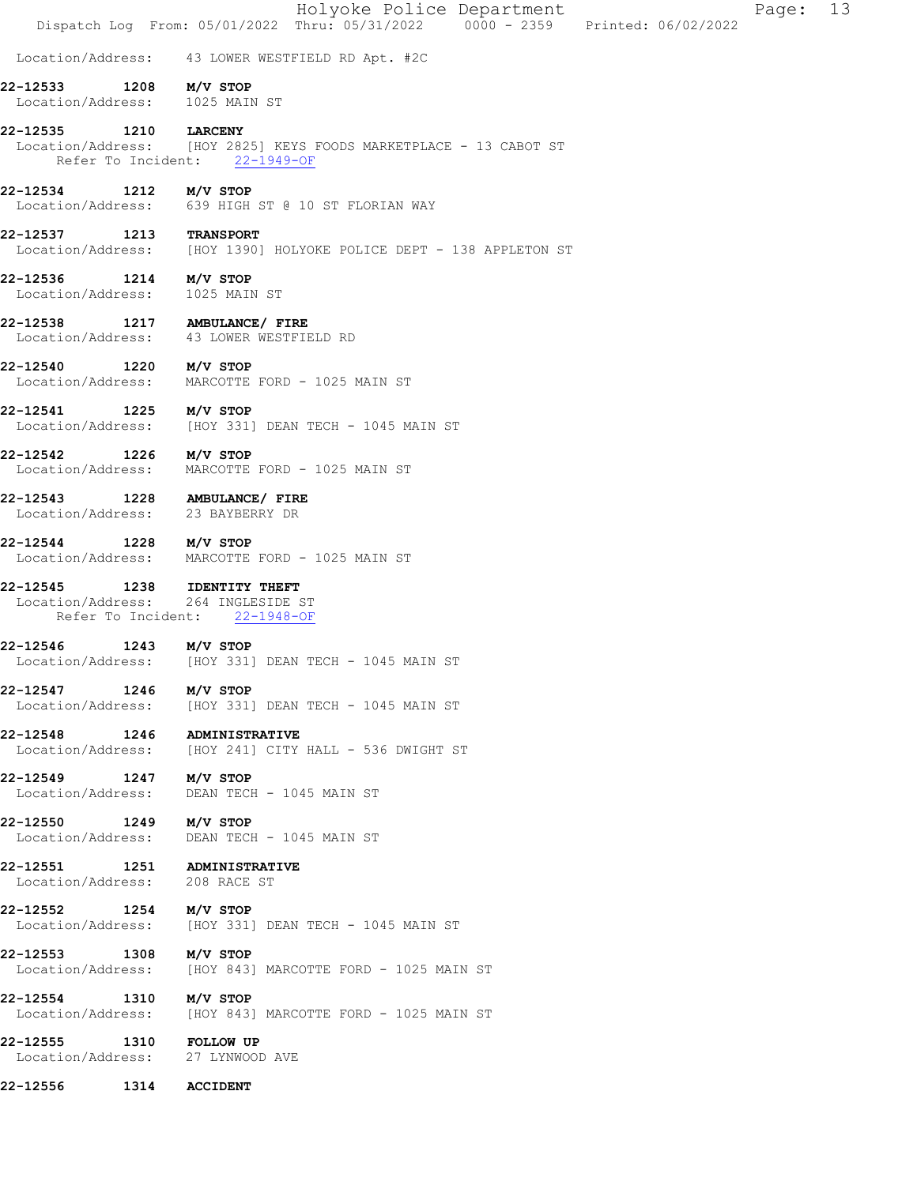|                                             | Holyoke Police Department<br>Page: 13<br>Dispatch Log From: 05/01/2022 Thru: 05/31/2022   0000 - 2359   Printed: 06/02/2022 |
|---------------------------------------------|-----------------------------------------------------------------------------------------------------------------------------|
|                                             | Location/Address: 43 LOWER WESTFIELD RD Apt. #2C                                                                            |
| 22-12533                                    | $1208$ $M/V$ STOP<br>Location/Address: 1025 MAIN ST                                                                         |
| 22-12535 1210 LARCENY                       | Location/Address: [HOY 2825] KEYS FOODS MARKETPLACE - 13 CABOT ST<br>Refer To Incident: 22-1949-OF                          |
|                                             | Location/Address: 639 HIGH ST @ 10 ST FLORIAN WAY                                                                           |
| 22-12537 1213                               | <b>TRANSPORT</b><br>Location/Address: [HOY 1390] HOLYOKE POLICE DEPT - 138 APPLETON ST                                      |
| 22-12536 1214 M/V STOP<br>Location/Address: | 1025 MAIN ST                                                                                                                |
|                                             | 22-12538 1217 AMBULANCE/ FIRE<br>Location/Address: 43 LOWER WESTFIELD RD                                                    |
| 22-12540 1220 M/V STOP<br>Location/Address: | MARCOTTE FORD - 1025 MAIN ST                                                                                                |
| 22-12541                                    | 1225 M/V STOP<br>Location/Address: [HOY 331] DEAN TECH - 1045 MAIN ST                                                       |
| 22-12542 1226 M/V STOP<br>Location/Address: | MARCOTTE FORD - 1025 MAIN ST                                                                                                |
| 22-12543                                    | 1228 AMBULANCE/ FIRE<br>Location/Address: 23 BAYBERRY DR                                                                    |
| 22-12544 1228 M/V STOP<br>Location/Address: | MARCOTTE FORD - 1025 MAIN ST                                                                                                |
| 22-12545<br>Location/Address:               | 1238 IDENTITY THEFT<br>264 INGLESIDE ST<br>Refer To Incident: 22-1948-OF                                                    |
| 22-12546                                    | 1243 M/V STOP<br>Location/Address: [HOY 331] DEAN TECH - 1045 MAIN ST                                                       |
| 22-12547 1246 M/V STOP                      | Location/Address: [HOY 331] DEAN TECH - 1045 MAIN ST                                                                        |
|                                             | 22-12548 1246 ADMINISTRATIVE<br>Location/Address: [HOY 241] CITY HALL - 536 DWIGHT ST                                       |
| 22-12549 1247 M/V STOP<br>Location/Address: | DEAN TECH - 1045 MAIN ST                                                                                                    |
| 22-12550 1249 M/V STOP<br>Location/Address: | DEAN TECH - 1045 MAIN ST                                                                                                    |
|                                             | 22-12551 1251 ADMINISTRATIVE<br>Location/Address: 208 RACE ST                                                               |
| 22-12552 1254 M/V STOP                      | Location/Address: [HOY 331] DEAN TECH - 1045 MAIN ST                                                                        |
| 22-12553 1308                               | M/V STOP<br>Location/Address: [HOY 843] MARCOTTE FORD - 1025 MAIN ST                                                        |
|                                             | Location/Address: [HOY 843] MARCOTTE FORD - 1025 MAIN ST                                                                    |
| 22-12555 1310 FOLLOW UP                     | Location/Address: 27 LYNWOOD AVE                                                                                            |
| <b>22-12556 1314 ACCIDENT</b>               |                                                                                                                             |
|                                             |                                                                                                                             |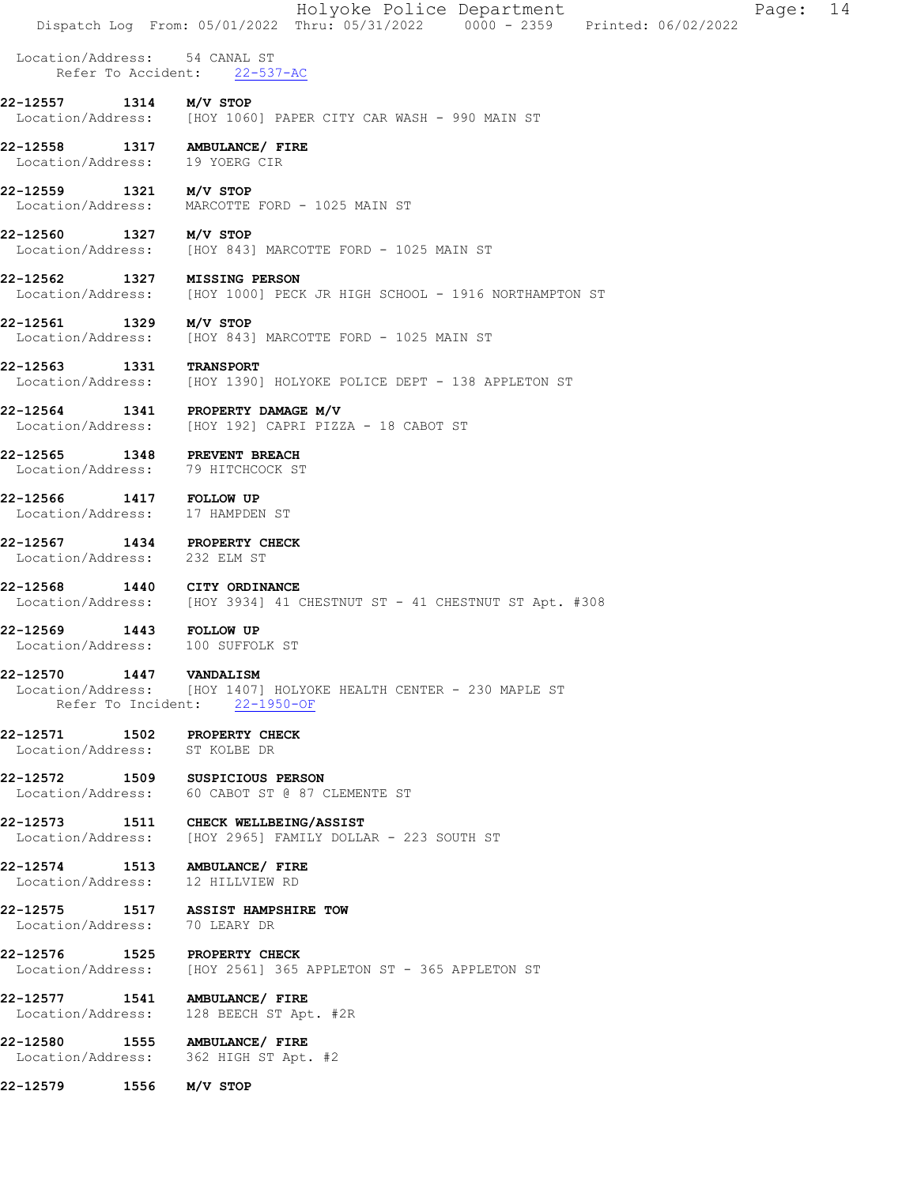|                                                              |                    | Holyoke Police Department<br>Page: 14<br>Dispatch Log From: 05/01/2022 Thru: 05/31/2022   0000 - 2359   Printed: 06/02/2022 |  |
|--------------------------------------------------------------|--------------------|-----------------------------------------------------------------------------------------------------------------------------|--|
| Location/Address: 54 CANAL ST                                | Refer To Accident: | $22 - 537 - AC$                                                                                                             |  |
| 22-12557 1314 M/V STOP                                       |                    | Location/Address: [HOY 1060] PAPER CITY CAR WASH - 990 MAIN ST                                                              |  |
| Location/Address: 19 YOERG CIR                               |                    | 22-12558 1317 AMBULANCE/ FIRE                                                                                               |  |
| 22-12559 1321 M/V STOP                                       |                    | Location/Address: MARCOTTE FORD - 1025 MAIN ST                                                                              |  |
| 22-12560 1327 M/V STOP                                       |                    | Location/Address: [HOY 843] MARCOTTE FORD - 1025 MAIN ST                                                                    |  |
| 22-12562                                                     |                    | 1327 MISSING PERSON<br>Location/Address: [HOY 1000] PECK JR HIGH SCHOOL - 1916 NORTHAMPTON ST                               |  |
| 22-12561 1329 M/V STOP                                       |                    | Location/Address: [HOY 843] MARCOTTE FORD - 1025 MAIN ST                                                                    |  |
| 22-12563                                                     |                    | <b>1331 TRANSPORT</b><br>Location/Address: [HOY 1390] HOLYOKE POLICE DEPT - 138 APPLETON ST                                 |  |
|                                                              |                    | 22-12564 1341 PROPERTY DAMAGE M/V<br>Location/Address: [HOY 192] CAPRI PIZZA - 18 CABOT ST                                  |  |
| 22-12565 1348 PREVENT BREACH                                 |                    | Location/Address: 79 HITCHCOCK ST                                                                                           |  |
| 22-12566 1417 FOLLOW UP<br>Location/Address: 17 HAMPDEN ST   |                    |                                                                                                                             |  |
| 22-12567 1434 PROPERTY CHECK<br>Location/Address: 232 ELM ST |                    |                                                                                                                             |  |
| 22-12568 1440 CITY ORDINANCE                                 |                    | Location/Address: [HOY 3934] 41 CHESTNUT ST - 41 CHESTNUT ST Apt. #308                                                      |  |
| 22-12569<br>Location/Address: 100 SUFFOLK ST                 |                    | 1443 FOLLOW UP                                                                                                              |  |
| 22-12570                                                     | 1447               | <b>VANDALISM</b><br>Location/Address: [HOY 1407] HOLYOKE HEALTH CENTER - 230 MAPLE ST<br>Refer To Incident: 22-1950-OF      |  |
| 22-12571 1502<br>Location/Address: ST KOLBE DR               |                    | <b>PROPERTY CHECK</b>                                                                                                       |  |
|                                                              |                    | 22-12572 1509 SUSPICIOUS PERSON<br>Location/Address: 60 CABOT ST @ 87 CLEMENTE ST                                           |  |
| Location/Address:                                            |                    | 22-12573 1511 CHECK WELLBEING/ASSIST<br>[HOY 2965] FAMILY DOLLAR - 223 SOUTH ST                                             |  |
| Location/Address:                                            |                    | 22-12574 1513 AMBULANCE/ FIRE<br>12 HILLVIEW RD                                                                             |  |
| Location/Address:                                            |                    | 22-12575 1517 ASSIST HAMPSHIRE TOW<br>70 LEARY DR                                                                           |  |
| 22-12576<br>Location/Address:                                | 1525               | <b>PROPERTY CHECK</b><br>[HOY 2561] 365 APPLETON ST - 365 APPLETON ST                                                       |  |
| 22-12577 1541<br>Location/Address:                           |                    | AMBULANCE/ FIRE<br>128 BEECH ST Apt. #2R                                                                                    |  |
| 22-12580<br>Location/Address:                                | 1555               | AMBULANCE/ FIRE<br>362 HIGH ST Apt. #2                                                                                      |  |
| 22-12579                                                     | 1556               | M/V STOP                                                                                                                    |  |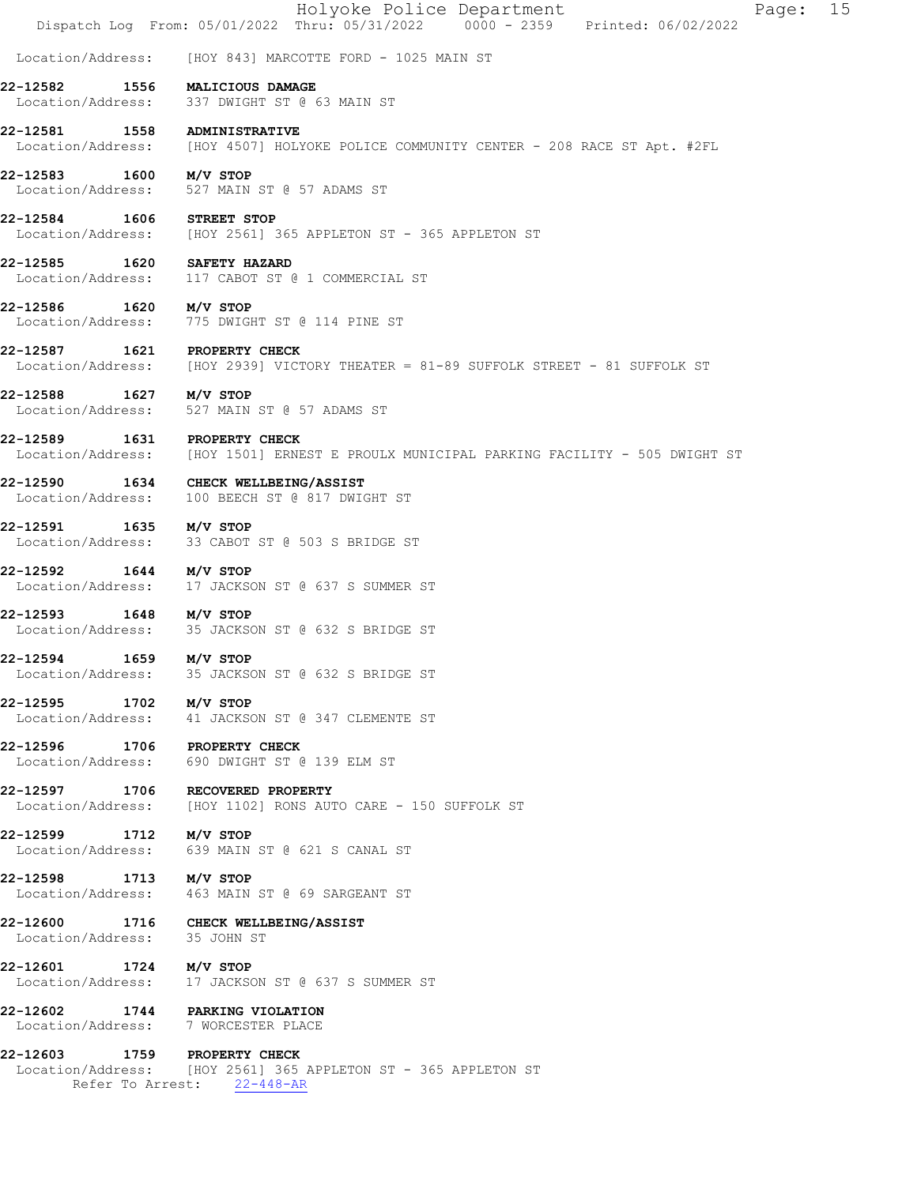|                                                                        | Holyoke Police Department<br>15<br>Page:<br>Dispatch Log From: 05/01/2022 Thru: 05/31/2022   0000 - 2359   Printed: 06/02/2022 |
|------------------------------------------------------------------------|--------------------------------------------------------------------------------------------------------------------------------|
| Location/Address:                                                      | [HOY 843] MARCOTTE FORD - 1025 MAIN ST                                                                                         |
| 22-12582                                                               | 1556 MALICIOUS DAMAGE<br>Location/Address: 337 DWIGHT ST @ 63 MAIN ST                                                          |
| 22-12581 1558 ADMINISTRATIVE                                           | Location/Address: [HOY 4507] HOLYOKE POLICE COMMUNITY CENTER - 208 RACE ST Apt. #2FL                                           |
| 22-12583<br>Location/Address:                                          | $1600$ $M/V$ STOP<br>527 MAIN ST @ 57 ADAMS ST                                                                                 |
| 22-12584 1606 STREET STOP                                              | Location/Address: [HOY 2561] 365 APPLETON ST - 365 APPLETON ST                                                                 |
| 1620<br>22-12585                                                       | <b>SAFETY HAZARD</b><br>Location/Address: 117 CABOT ST @ 1 COMMERCIAL ST                                                       |
| 22-12586 1620 M/V STOP                                                 | Location/Address: 775 DWIGHT ST @ 114 PINE ST                                                                                  |
|                                                                        | Location/Address: [HOY 2939] VICTORY THEATER = 81-89 SUFFOLK STREET - 81 SUFFOLK ST                                            |
| 22-12588 1627 M/V STOP                                                 | Location/Address: 527 MAIN ST @ 57 ADAMS ST                                                                                    |
| 22-12589 1631 PROPERTY CHECK                                           | Location/Address: [HOY 1501] ERNEST E PROULX MUNICIPAL PARKING FACILITY - 505 DWIGHT ST                                        |
|                                                                        | 22-12590 1634 CHECK WELLBEING/ASSIST<br>Location/Address: 100 BEECH ST @ 817 DWIGHT ST                                         |
| 22-12591 1635 M/V STOP                                                 | Location/Address: 33 CABOT ST @ 503 S BRIDGE ST                                                                                |
| 22-12592<br>Location/Address:                                          | $1644$ $M/V$ STOP<br>17 JACKSON ST @ 637 S SUMMER ST                                                                           |
| 22-12593 1648 M/V STOP                                                 | Location/Address: 35 JACKSON ST @ 632 S BRIDGE ST                                                                              |
| 22-12594<br>1659                                                       | M/V STOP<br>Location/Address: 35 JACKSON ST @ 632 S BRIDGE ST                                                                  |
| 22-12595 1702                                                          | M/V STOP<br>Location/Address: 41 JACKSON ST @ 347 CLEMENTE ST                                                                  |
| 22-12596 1706 PROPERTY CHECK                                           | Location/Address: 690 DWIGHT ST @ 139 ELM ST                                                                                   |
| 22-12597 1706 RECOVERED PROPERTY                                       | Location/Address: [HOY 1102] RONS AUTO CARE - 150 SUFFOLK ST                                                                   |
| 22-12599 1712 M/V STOP                                                 | Location/Address: 639 MAIN ST @ 621 S CANAL ST                                                                                 |
| 22-12598 1713 M/V STOP                                                 | Location/Address: 463 MAIN ST @ 69 SARGEANT ST                                                                                 |
| Location/Address: 35 JOHN ST                                           | 22-12600 1716 CHECK WELLBEING/ASSIST                                                                                           |
| 22-12601 1724 M/V STOP<br>Location/Address:                            | 17 JACKSON ST @ 637 S SUMMER ST                                                                                                |
| 22-12602 1744 PARKING VIOLATION<br>Location/Address: 7 WORCESTER PLACE |                                                                                                                                |
| 22-12603 1759 PROPERTY CHECK                                           | Location/Address: [HOY 2561] 365 APPLETON ST - 365 APPLETON ST<br>Refer To Arrest: 22-448-AR                                   |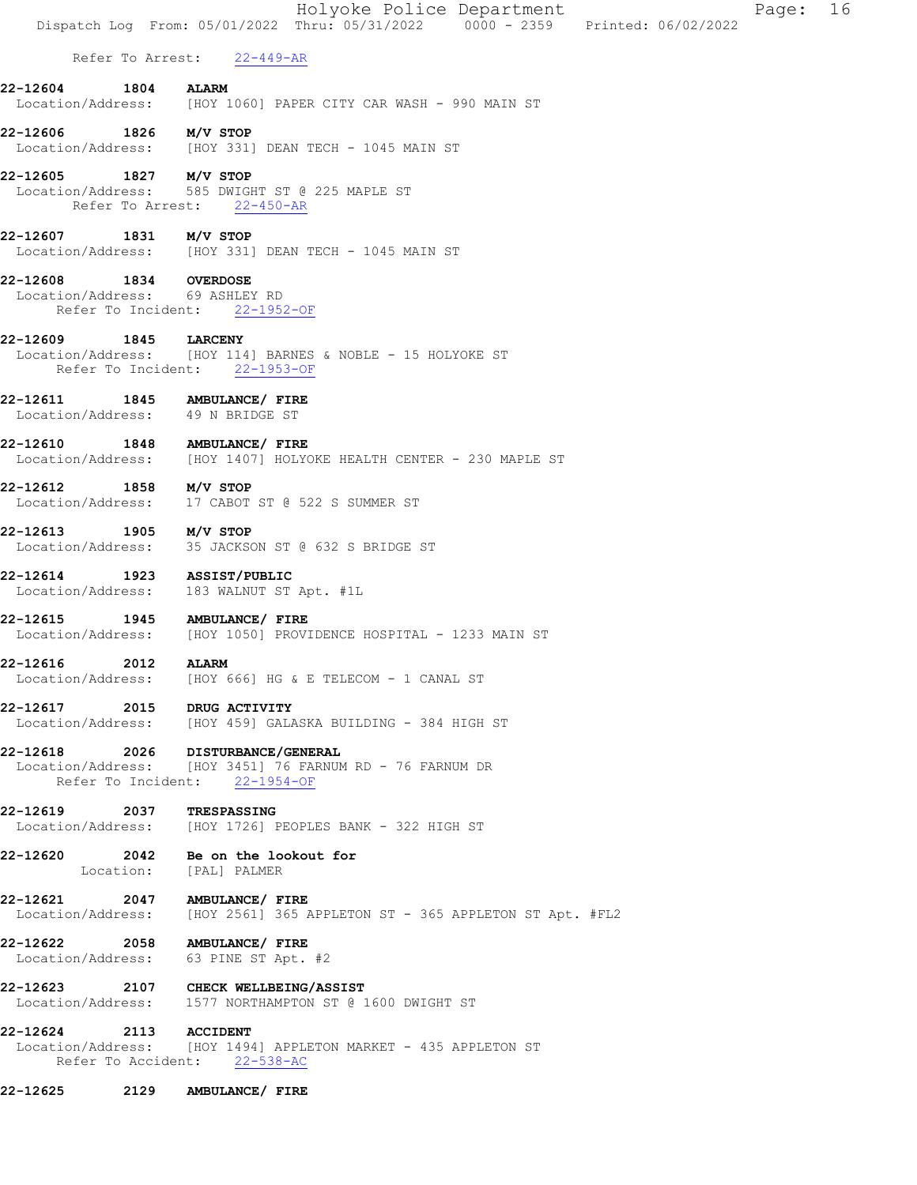|                                                          |              | Holyoke Police Department<br>Page: 16<br>Dispatch Log From: 05/01/2022 Thru: 05/31/2022 0000 - 2359 Printed: 06/02/2022        |
|----------------------------------------------------------|--------------|--------------------------------------------------------------------------------------------------------------------------------|
|                                                          |              | Refer To Arrest: 22-449-AR                                                                                                     |
| 22-12604                                                 |              | <b>ALARM</b>                                                                                                                   |
|                                                          | 1804         | Location/Address: [HOY 1060] PAPER CITY CAR WASH - 990 MAIN ST                                                                 |
| 22-12606 1826 M/V STOP                                   |              | Location/Address: [HOY 331] DEAN TECH - 1045 MAIN ST                                                                           |
| 22-12605                                                 |              | $1827$ M/V STOP<br>Location/Address: 585 DWIGHT ST @ 225 MAPLE ST<br>Refer To Arrest: 22-450-AR                                |
| 22-12607 1831 M/V STOP                                   |              | Location/Address: [HOY 331] DEAN TECH - 1045 MAIN ST                                                                           |
| 22-12608 1834 OVERDOSE<br>Location/Address: 69 ASHLEY RD |              | Refer To Incident: 22-1952-OF                                                                                                  |
| 22-12609                                                 | 1845 LARCENY | Location/Address: [HOY 114] BARNES & NOBLE - 15 HOLYOKE ST<br>Refer To Incident: 22-1953-OF                                    |
|                                                          |              | 22-12611 1845 AMBULANCE/ FIRE<br>Location/Address: 49 N BRIDGE ST                                                              |
| 22-12610                                                 |              | 1848 AMBULANCE/ FIRE<br>Location/Address: [HOY 1407] HOLYOKE HEALTH CENTER - 230 MAPLE ST                                      |
| 22-12612 1858 M/V STOP                                   |              | Location/Address: 17 CABOT ST @ 522 S SUMMER ST                                                                                |
| 22-12613 1905 M/V STOP                                   |              | Location/Address: 35 JACKSON ST @ 632 S BRIDGE ST                                                                              |
| $22-12614$ 1923 ASSIST/PUBLIC                            |              | Location/Address: 183 WALNUT ST Apt. #1L                                                                                       |
| 22-12615                                                 |              | 1945 AMBULANCE/ FIRE<br>Location/Address: [HOY 1050] PROVIDENCE HOSPITAL - 1233 MAIN ST                                        |
| 22-12616                                                 | 2012         | <b>ALARM</b><br>Location/Address: [HOY 666] HG & E TELECOM - 1 CANAL ST                                                        |
| 22-12617 2015 DRUG ACTIVITY                              |              | Location/Address: [HOY 459] GALASKA BUILDING - 384 HIGH ST                                                                     |
|                                                          |              | 22-12618 2026 DISTURBANCE/GENERAL<br>Location/Address: [HOY 3451] 76 FARNUM RD - 76 FARNUM DR<br>Refer To Incident: 22-1954-OF |
| 22-12619                                                 | 2037         | <b>TRESPASSING</b><br>Location/Address: [HOY 1726] PEOPLES BANK - 322 HIGH ST                                                  |
| 22-12620                                                 | Location:    | 2042 Be on the lookout for<br>[PAL] PALMER                                                                                     |
|                                                          |              | 22-12621 2047 AMBULANCE/ FIRE<br>Location/Address: [HOY 2561] 365 APPLETON ST - 365 APPLETON ST Apt. #FL2                      |
|                                                          |              | 22-12622 2058 AMBULANCE/ FIRE<br>Location/Address: 63 PINE ST Apt. #2                                                          |
|                                                          |              | 22-12623 2107 CHECK WELLBEING/ASSIST<br>Location/Address: 1577 NORTHAMPTON ST @ 1600 DWIGHT ST                                 |
| 22-12624 2113 ACCIDENT                                   |              | Location/Address: [HOY 1494] APPLETON MARKET - 435 APPLETON ST<br>Refer To Accident: 22-538-AC                                 |
| 22-12625                                                 | 2129         | AMBULANCE/ FIRE                                                                                                                |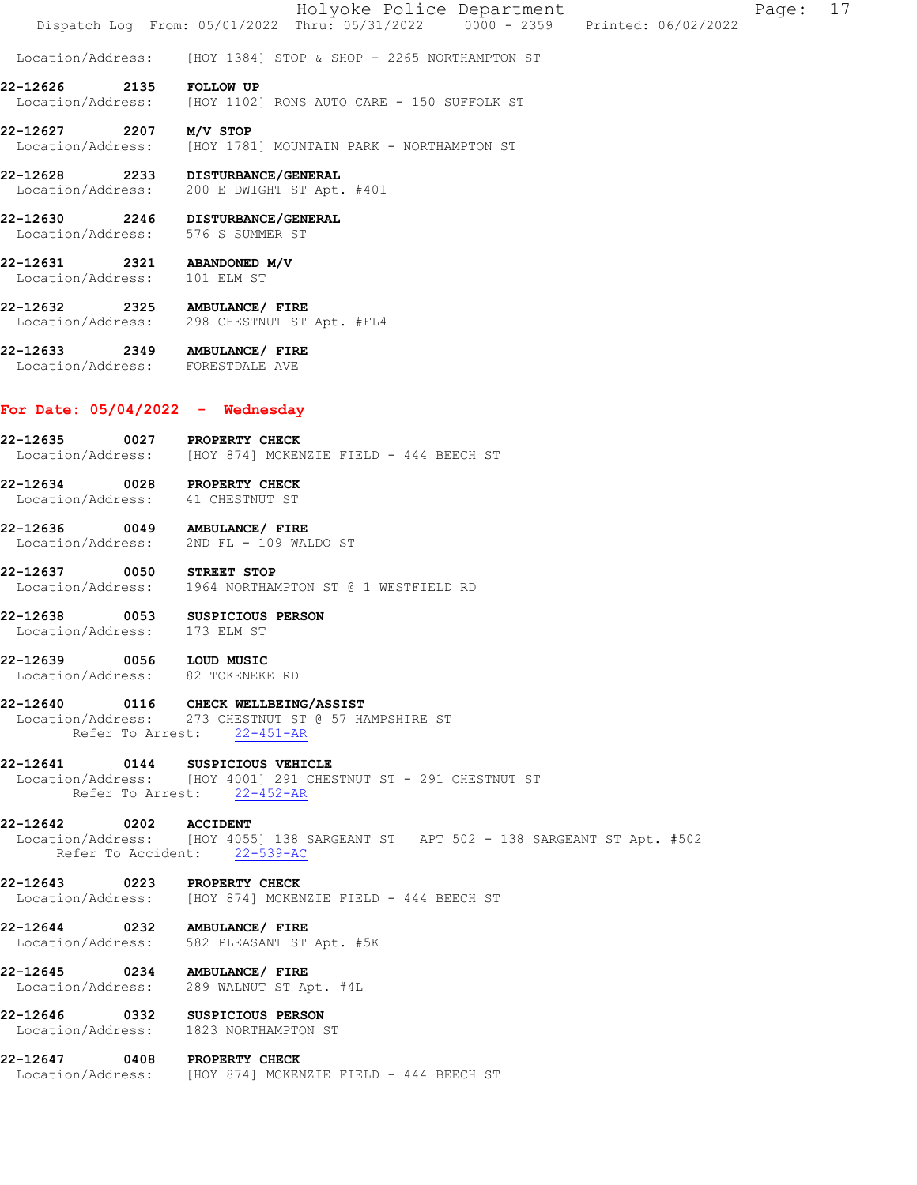|                                          |      | Holyoke Police Department<br>17<br>Page:<br>Dispatch Log From: 05/01/2022 Thru: 05/31/2022 0000 - 2359 Printed: 06/02/2022       |
|------------------------------------------|------|----------------------------------------------------------------------------------------------------------------------------------|
| Location/Address:                        |      | [HOY 1384] STOP & SHOP - 2265 NORTHAMPTON ST                                                                                     |
| 22-12626                                 | 2135 | <b>FOLLOW UP</b><br>Location/Address: [HOY 1102] RONS AUTO CARE - 150 SUFFOLK ST                                                 |
| 22-12627                                 |      | 2207 $M/V$ STOP<br>Location/Address: [HOY 1781] MOUNTAIN PARK - NORTHAMPTON ST                                                   |
| 22-12628                                 |      | 2233 DISTURBANCE/GENERAL<br>Location/Address: 200 E DWIGHT ST Apt. #401                                                          |
|                                          |      | 22-12630 2246 DISTURBANCE/GENERAL<br>Location/Address: 576 S SUMMER ST                                                           |
| 22-12631<br>Location/Address: 101 ELM ST |      | 2321 ABANDONED M/V                                                                                                               |
|                                          |      | 22-12632 2325 AMBULANCE/ FIRE<br>Location/Address: 298 CHESTNUT ST Apt. #FL4                                                     |
|                                          |      | 22-12633 2349 AMBULANCE/ FIRE<br>Location/Address: FORESTDALE AVE                                                                |
|                                          |      | For Date: $05/04/2022 -$ Wednesday                                                                                               |
| 22-12635                                 |      | 0027 PROPERTY CHECK<br>Location/Address: [HOY 874] MCKENZIE FIELD - 444 BEECH ST                                                 |
|                                          |      | 22-12634 0028 PROPERTY CHECK<br>Location/Address: 41 CHESTNUT ST                                                                 |
|                                          |      | 22-12636 0049 AMBULANCE/ FIRE<br>Location/Address: 2ND FL - 109 WALDO ST                                                         |
| 22-12637 0050 STREET STOP                |      | Location/Address: 1964 NORTHAMPTON ST @ 1 WESTFIELD RD                                                                           |
| 22-12638<br>Location/Address: 173 ELM ST |      | 0053 SUSPICIOUS PERSON                                                                                                           |
| 22-12639 0056                            |      | LOUD MUSIC<br>Location/Address: 82 TOKENEKE RD                                                                                   |
|                                          |      | 22-12640 0116 CHECK WELLBEING/ASSIST<br>Location/Address: 273 CHESTNUT ST @ 57 HAMPSHIRE ST<br>Refer To Arrest: 22-451-AR        |
|                                          |      | 22-12641 0144 SUSPICIOUS VEHICLE<br>Location/Address: [HOY 4001] 291 CHESTNUT ST - 291 CHESTNUT ST<br>Refer To Arrest: 22-452-AR |
| 22-12642 0202 ACCIDENT                   |      | Location/Address: [HOY 4055] 138 SARGEANT ST APT 502 - 138 SARGEANT ST Apt. #502<br>Refer To Accident: 22-539-AC                 |
|                                          |      | 22-12643 0223 PROPERTY CHECK<br>Location/Address: [HOY 874] MCKENZIE FIELD - 444 BEECH ST                                        |
|                                          |      | 22-12644 0232 AMBULANCE/ FIRE<br>Location/Address: 582 PLEASANT ST Apt. #5K                                                      |
|                                          |      | 22-12645 0234 AMBULANCE/ FIRE<br>Location/Address: 289 WALNUT ST Apt. #4L                                                        |
|                                          |      | 22-12646 0332 SUSPICIOUS PERSON<br>Location/Address: 1823 NORTHAMPTON ST                                                         |
|                                          |      | 22-12647 0408 PROPERTY CHECK<br>Location/Address: [HOY 874] MCKENZIE FIELD - 444 BEECH ST                                        |
|                                          |      |                                                                                                                                  |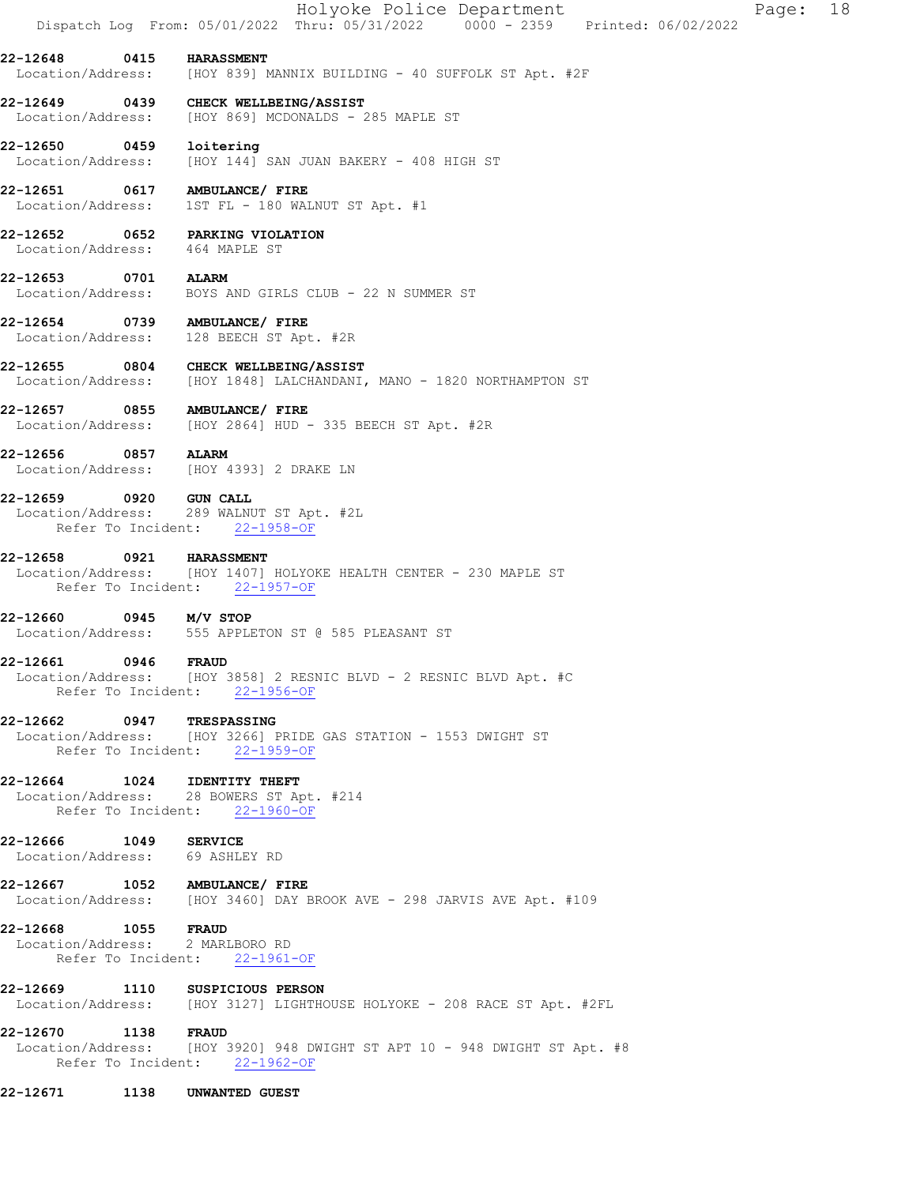|                                                         |            | Holyoke Police Department<br>Dispatch Log From: 05/01/2022 Thru: 05/31/2022 0000 - 2359 Printed: 06/02/2022                | Page: | 18 |
|---------------------------------------------------------|------------|----------------------------------------------------------------------------------------------------------------------------|-------|----|
| 22-12648                                                |            | 0415 HARASSMENT<br>Location/Address: [HOY 839] MANNIX BUILDING - 40 SUFFOLK ST Apt. #2F                                    |       |    |
| 22-12649                                                |            | 0439 CHECK WELLBEING/ASSIST<br>Location/Address: [HOY 869] MCDONALDS - 285 MAPLE ST                                        |       |    |
| 22-12650 0459<br>Location/Address:                      |            | loitering<br>[HOY 144] SAN JUAN BAKERY - 408 HIGH ST                                                                       |       |    |
| 22-12651                                                |            | 0617 AMBULANCE/ FIRE<br>Location/Address: 1ST FL - 180 WALNUT ST Apt. #1                                                   |       |    |
| Location/Address: 464 MAPLE ST                          |            | 22-12652 0652 PARKING VIOLATION                                                                                            |       |    |
| 22-12653                                                | 0701 ALARM | Location/Address: BOYS AND GIRLS CLUB - 22 N SUMMER ST                                                                     |       |    |
|                                                         |            | 22-12654 0739 AMBULANCE/ FIRE<br>Location/Address: 128 BEECH ST Apt. #2R                                                   |       |    |
|                                                         |            | 22-12655 0804 CHECK WELLBEING/ASSIST<br>Location/Address: [HOY 1848] LALCHANDANI, MANO - 1820 NORTHAMPTON ST               |       |    |
|                                                         |            | 22-12657 0855 AMBULANCE/ FIRE<br>Location/Address: [HOY 2864] HUD - 335 BEECH ST Apt. #2R                                  |       |    |
| 22-12656                                                | 0857 ALARM | Location/Address: [HOY 4393] 2 DRAKE LN                                                                                    |       |    |
| 22-12659                                                | 0920       | <b>GUN CALL</b><br>Location/Address: 289 WALNUT ST Apt. #2L<br>Refer To Incident: 22-1958-OF                               |       |    |
| 22-12658                                                |            | 0921 HARASSMENT<br>Location/Address: [HOY 1407] HOLYOKE HEALTH CENTER - 230 MAPLE ST<br>Refer To Incident: 22-1957-OF      |       |    |
| 22-12660                                                |            | $0945$ M/V STOP<br>Location/Address: 555 APPLETON ST @ 585 PLEASANT ST                                                     |       |    |
| 22-12661                                                | 0946       | <b>FRAUD</b><br>Location/Address: [HOY 3858] 2 RESNIC BLVD - 2 RESNIC BLVD Apt. #C<br>Refer To Incident: 22-1956-OF        |       |    |
| 22-12662                                                |            | 0947 TRESPASSING<br>Location/Address: [HOY 3266] PRIDE GAS STATION - 1553 DWIGHT ST<br>Refer To Incident: 22-1959-OF       |       |    |
| 22-12664                                                | 1024       | <b>IDENTITY THEFT</b><br>Location/Address: 28 BOWERS ST Apt. #214<br>Refer To Incident: 22-1960-OF                         |       |    |
| 22-12666 1049 SERVICE<br>Location/Address: 69 ASHLEY RD |            |                                                                                                                            |       |    |
|                                                         |            | 22-12667 1052 AMBULANCE/ FIRE<br>Location/Address: [HOY 3460] DAY BROOK AVE - 298 JARVIS AVE Apt. #109                     |       |    |
| 22-12668 1055 FRAUD<br>Location/Address: 2 MARLBORO RD  |            | Refer To Incident: 22-1961-OF                                                                                              |       |    |
| 22-12669 1110                                           |            | SUSPICIOUS PERSON<br>Location/Address: [HOY 3127] LIGHTHOUSE HOLYOKE - 208 RACE ST Apt. #2FL                               |       |    |
| 22-12670                                                | 1138       | <b>FRAUD</b><br>Location/Address: [HOY 3920] 948 DWIGHT ST APT 10 - 948 DWIGHT ST Apt. #8<br>Refer To Incident: 22-1962-OF |       |    |
| 22-12671                                                | 1138       | UNWANTED GUEST                                                                                                             |       |    |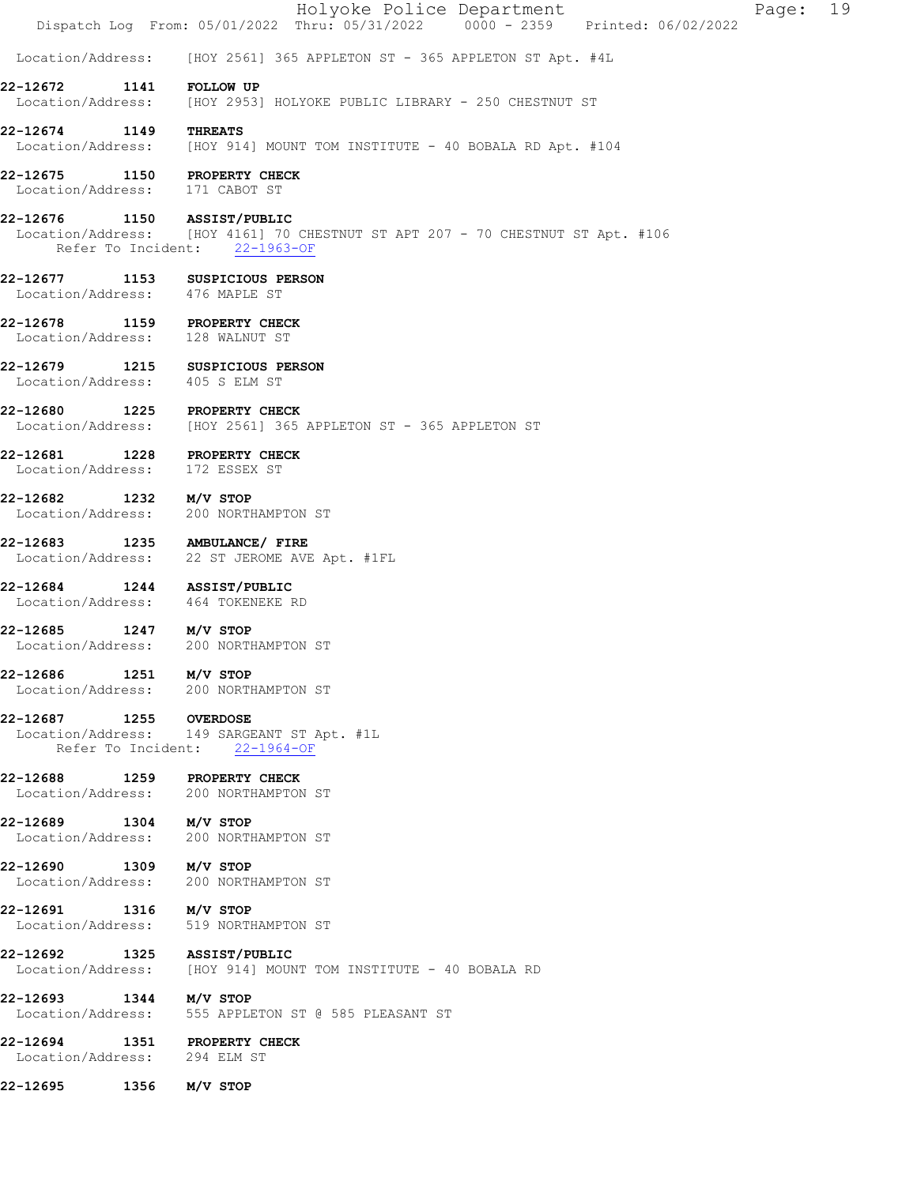|                                                                                                               | Dispatch Log From: 05/01/2022 Thru: 05/31/2022 0000 - 2359 Printed: 06/02/2022 |  | Holyoke Police Department |  | Page: 19 |  |
|---------------------------------------------------------------------------------------------------------------|--------------------------------------------------------------------------------|--|---------------------------|--|----------|--|
| Location/Address: [HOY 2561] 365 APPLETON ST - 365 APPLETON ST Apt. #4L                                       |                                                                                |  |                           |  |          |  |
| 22-12672<br>Location/Address: [HOY 2953] HOLYOKE PUBLIC LIBRARY - 250 CHESTNUT ST                             | 1141 FOLLOW UP                                                                 |  |                           |  |          |  |
| 22-12674 1149 THREATS<br>Location/Address: [HOY 914] MOUNT TOM INSTITUTE - 40 BOBALA RD Apt. #104             |                                                                                |  |                           |  |          |  |
| 22-12675 1150 PROPERTY CHECK<br>Location/Address: 171 CABOT ST                                                |                                                                                |  |                           |  |          |  |
| 22-12676 1150 ASSIST/PUBLIC<br>Location/Address: [HOY 4161] 70 CHESTNUT ST APT 207 - 70 CHESTNUT ST Apt. #106 | Refer To Incident: 22-1963-OF                                                  |  |                           |  |          |  |
| 22-12677 1153 SUSPICIOUS PERSON<br>Location/Address: 476 MAPLE ST                                             |                                                                                |  |                           |  |          |  |
| 22-12678 1159 PROPERTY CHECK<br>Location/Address: 128 WALNUT ST                                               |                                                                                |  |                           |  |          |  |
| 22-12679 1215 SUSPICIOUS PERSON<br>Location/Address: 405 S ELM ST                                             |                                                                                |  |                           |  |          |  |
| 22-12680 1225 PROPERTY CHECK<br>Location/Address: [HOY 2561] 365 APPLETON ST - 365 APPLETON ST                |                                                                                |  |                           |  |          |  |
| 22-12681 1228 PROPERTY CHECK<br>Location/Address: 172 ESSEX ST                                                |                                                                                |  |                           |  |          |  |
| 22-12682 1232 M/V STOP<br>Location/Address: 200 NORTHAMPTON ST                                                |                                                                                |  |                           |  |          |  |
| 22-12683 1235 AMBULANCE/ FIRE<br>Location/Address: 22 ST JEROME AVE Apt. #1FL                                 |                                                                                |  |                           |  |          |  |
| 22-12684 1244 ASSIST/PUBLIC<br>Location/Address: 464 TOKENEKE RD                                              |                                                                                |  |                           |  |          |  |
| 22-12685 1247 M/V STOP<br>Location/Address: 200 NORTHAMPTON ST                                                |                                                                                |  |                           |  |          |  |
| 22-12686 1251 M/V STOP<br>Location/Address: 200 NORTHAMPTON ST                                                |                                                                                |  |                           |  |          |  |
| 22-12687 1255 OVERDOSE<br>Location/Address: 149 SARGEANT ST Apt. #1L                                          | Refer To Incident: 22-1964-OF                                                  |  |                           |  |          |  |
| 22-12688 1259 PROPERTY CHECK<br>Location/Address: 200 NORTHAMPTON ST                                          |                                                                                |  |                           |  |          |  |
| 22-12689 1304 M/V STOP<br>Location/Address: 200 NORTHAMPTON ST                                                |                                                                                |  |                           |  |          |  |
| 22-12690 1309 M/V STOP<br>Location/Address: 200 NORTHAMPTON ST                                                |                                                                                |  |                           |  |          |  |
| 22-12691 1316 M/V STOP<br>Location/Address: 519 NORTHAMPTON ST                                                |                                                                                |  |                           |  |          |  |
| 22-12692 1325 ASSIST/PUBLIC<br>Location/Address: [HOY 914] MOUNT TOM INSTITUTE - 40 BOBALA RD                 |                                                                                |  |                           |  |          |  |
| 22-12693 1344 M/V STOP<br>Location/Address: 555 APPLETON ST @ 585 PLEASANT ST                                 |                                                                                |  |                           |  |          |  |
| 22-12694 1351 PROPERTY CHECK<br>Location/Address: 294 ELM ST                                                  |                                                                                |  |                           |  |          |  |
| 22-12695                                                                                                      | $1356$ $M/V$ STOP                                                              |  |                           |  |          |  |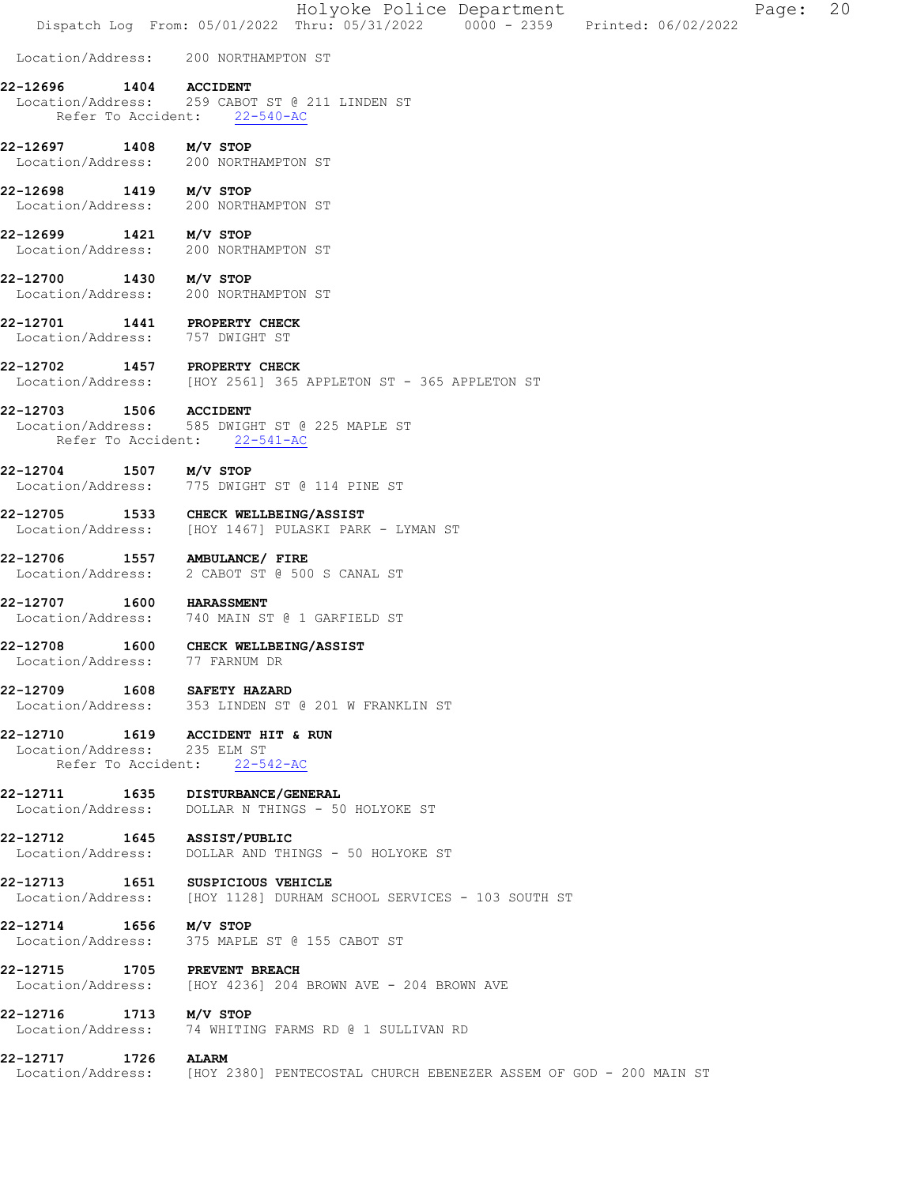|                                 | Holyoke Police Department<br>20<br>Page:<br>Dispatch Log From: 05/01/2022 Thru: 05/31/2022 0000 - 2359 Printed: 06/02/2022 |
|---------------------------------|----------------------------------------------------------------------------------------------------------------------------|
|                                 | Location/Address: 200 NORTHAMPTON ST                                                                                       |
| 22-12696                        | 1404 ACCIDENT<br>Location/Address: 259 CABOT ST @ 211 LINDEN ST<br>Refer To Accident: 22-540-AC                            |
| 22-12697 1408 M/V STOP          | Location/Address: 200 NORTHAMPTON ST                                                                                       |
| 22-12698 1419 M/V STOP          | Location/Address: 200 NORTHAMPTON ST                                                                                       |
| 22-12699 1421 M/V STOP          | Location/Address: 200 NORTHAMPTON ST                                                                                       |
| 22-12700 1430 M/V STOP          | Location/Address: 200 NORTHAMPTON ST                                                                                       |
| Location/Address: 757 DWIGHT ST | 22-12701 1441 PROPERTY CHECK                                                                                               |
|                                 | 22-12702 1457 PROPERTY CHECK<br>Location/Address: [HOY 2561] 365 APPLETON ST - 365 APPLETON ST                             |
| 22-12703 1506 ACCIDENT          | Location/Address: 585 DWIGHT ST @ 225 MAPLE ST<br>Refer To Accident: 22-541-AC                                             |
| 22-12704 1507 M/V STOP          | Location/Address: 775 DWIGHT ST @ 114 PINE ST                                                                              |
| 22-12705                        | 1533 CHECK WELLBEING/ASSIST<br>Location/Address: [HOY 1467] PULASKI PARK - LYMAN ST                                        |
|                                 | 22-12706 1557 AMBULANCE/FIRE<br>Location/Address: 2 CABOT ST @ 500 S CANAL ST                                              |
| 22-12707 1600 HARASSMENT        | Location/Address: 740 MAIN ST @ 1 GARFIELD ST                                                                              |
| Location/Address: 77 FARNUM DR  | 22-12708 1600 CHECK WELLBEING/ASSIST                                                                                       |
| 22-12709 1608 SAFETY HAZARD     | Location/Address: 353 LINDEN ST @ 201 W FRANKLIN ST                                                                        |
| Location/Address: 235 ELM ST    | 22-12710 1619 ACCIDENT HIT & RUN<br>Refer To Accident: 22-542-AC                                                           |
|                                 | 22-12711 1635 DISTURBANCE/GENERAL<br>Location/Address: DOLLAR N THINGS - 50 HOLYOKE ST                                     |
| 22-12712   1645   ASSIST/PUBLIC | Location/Address: DOLLAR AND THINGS - 50 HOLYOKE ST                                                                        |
|                                 | 22-12713 1651 SUSPICIOUS VEHICLE<br>Location/Address: [HOY 1128] DURHAM SCHOOL SERVICES - 103 SOUTH ST                     |
| 22-12714 1656 M/V STOP          | Location/Address: 375 MAPLE ST @ 155 CABOT ST                                                                              |
|                                 | 22-12715 1705 PREVENT BREACH<br>Location/Address: [HOY 4236] 204 BROWN AVE - 204 BROWN AVE                                 |
| 22-12716 1713 M/V STOP          | Location/Address: 74 WHITING FARMS RD @ 1 SULLIVAN RD                                                                      |
| 22-12717 1726 ALARM             | Location/Address: [HOY 2380] PENTECOSTAL CHURCH EBENEZER ASSEM OF GOD - 200 MAIN ST                                        |
|                                 |                                                                                                                            |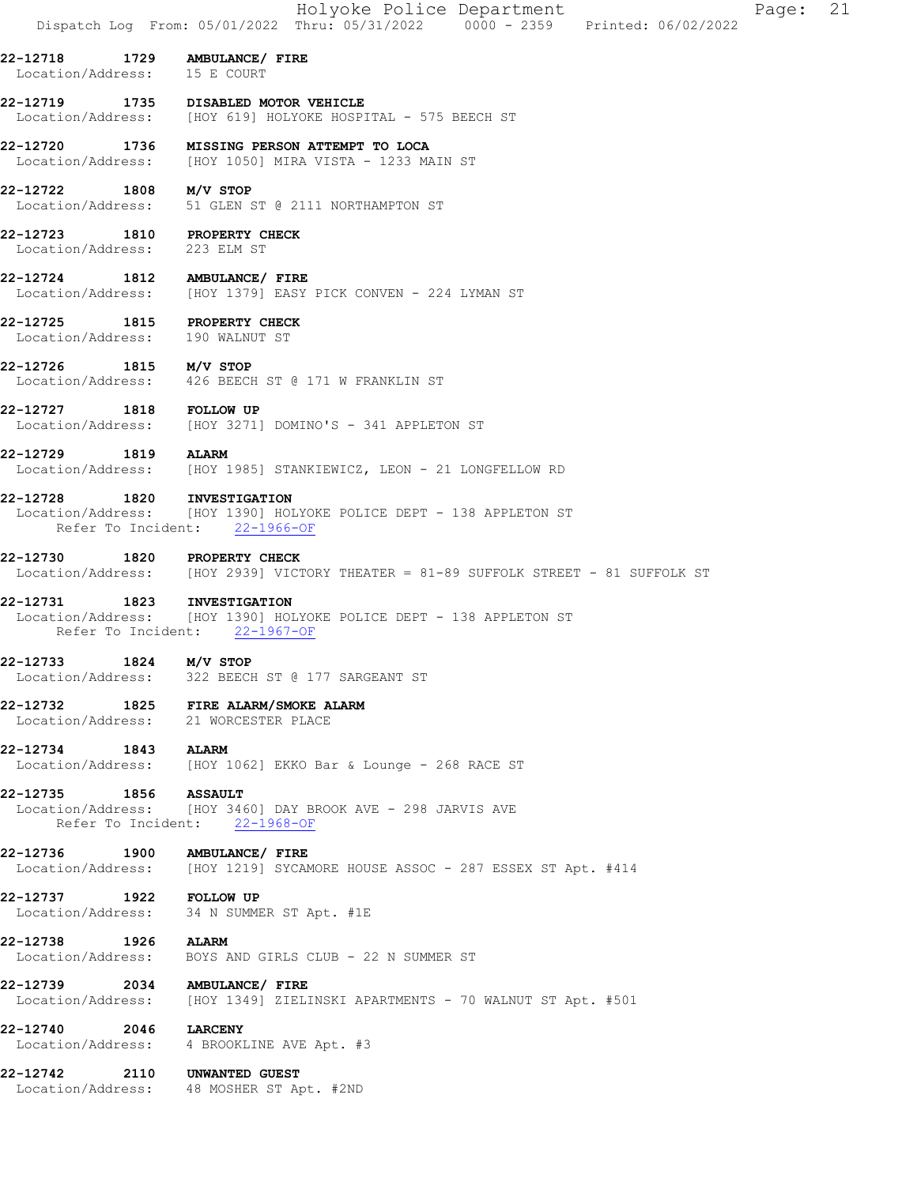|                                                                 | Holyoke Police Department<br>21<br>Page:<br>Dispatch Log From: 05/01/2022 Thru: 05/31/2022 0000 - 2359 Printed: 06/02/2022       |
|-----------------------------------------------------------------|----------------------------------------------------------------------------------------------------------------------------------|
| Location/Address: 15 E COURT                                    | 22-12718 1729 AMBULANCE/ FIRE                                                                                                    |
|                                                                 | 22-12719 1735 DISABLED MOTOR VEHICLE<br>Location/Address: [HOY 619] HOLYOKE HOSPITAL - 575 BEECH ST                              |
|                                                                 | 22-12720 1736 MISSING PERSON ATTEMPT TO LOCA<br>Location/Address: [HOY 1050] MIRA VISTA - 1233 MAIN ST                           |
| 22-12722                                                        | 1808 M/V STOP<br>Location/Address: 51 GLEN ST @ 2111 NORTHAMPTON ST                                                              |
| 22-12723 1810 PROPERTY CHECK<br>Location/Address: 223 ELM ST    |                                                                                                                                  |
|                                                                 | 22-12724 1812 AMBULANCE/ FIRE<br>Location/Address: [HOY 1379] EASY PICK CONVEN - 224 LYMAN ST                                    |
| 22-12725 1815 PROPERTY CHECK<br>Location/Address: 190 WALNUT ST |                                                                                                                                  |
| 22-12726 1815 M/V STOP                                          | Location/Address: 426 BEECH ST @ 171 W FRANKLIN ST                                                                               |
| 22-12727 1818 FOLLOW UP                                         | Location/Address: [HOY 3271] DOMINO'S - 341 APPLETON ST                                                                          |
| 22-12729 1819 ALARM                                             | Location/Address: [HOY 1985] STANKIEWICZ, LEON - 21 LONGFELLOW RD                                                                |
| 22-12728 1820 INVESTIGATION                                     | Location/Address: [HOY 1390] HOLYOKE POLICE DEPT - 138 APPLETON ST<br>Refer To Incident: 22-1966-OF                              |
| 22-12730 1820 PROPERTY CHECK                                    | Location/Address: [HOY 2939] VICTORY THEATER = 81-89 SUFFOLK STREET - 81 SUFFOLK ST                                              |
| 22-12731                                                        | <b>1823 INVESTIGATION</b><br>Location/Address: [HOY 1390] HOLYOKE POLICE DEPT - 138 APPLETON ST<br>Refer To Incident: 22-1967-OF |
| 22-12733<br>Location/Address:                                   | 1824 M/V STOP<br>322 BEECH ST @ 177 SARGEANT ST                                                                                  |
|                                                                 | 22-12732 1825 FIRE ALARM/SMOKE ALARM<br>Location/Address: 21 WORCESTER PLACE                                                     |
| 22-12734 1843 ALARM                                             | Location/Address: [HOY 1062] EKKO Bar & Lounge - 268 RACE ST                                                                     |
| 22-12735 1856 ASSAULT                                           | Location/Address: [HOY 3460] DAY BROOK AVE - 298 JARVIS AVE<br>Refer To Incident: 22-1968-OF                                     |
| 22-12736 1900                                                   | AMBULANCE/ FIRE<br>Location/Address: [HOY 1219] SYCAMORE HOUSE ASSOC - 287 ESSEX ST Apt. #414                                    |
| 22-12737 1922 FOLLOW UP                                         | Location/Address: 34 N SUMMER ST Apt. #1E                                                                                        |
| 22-12738 1926 ALARM                                             | Location/Address: BOYS AND GIRLS CLUB - 22 N SUMMER ST                                                                           |
|                                                                 | 22-12739 2034 AMBULANCE/ FIRE<br>Location/Address: [HOY 1349] ZIELINSKI APARTMENTS - 70 WALNUT ST Apt. #501                      |
| 22-12740 2046 LARCENY                                           | Location/Address: 4 BROOKLINE AVE Apt. #3                                                                                        |
| 22-12742 2110 UNWANTED GUEST                                    | Location/Address: 48 MOSHER ST Apt. #2ND                                                                                         |
|                                                                 |                                                                                                                                  |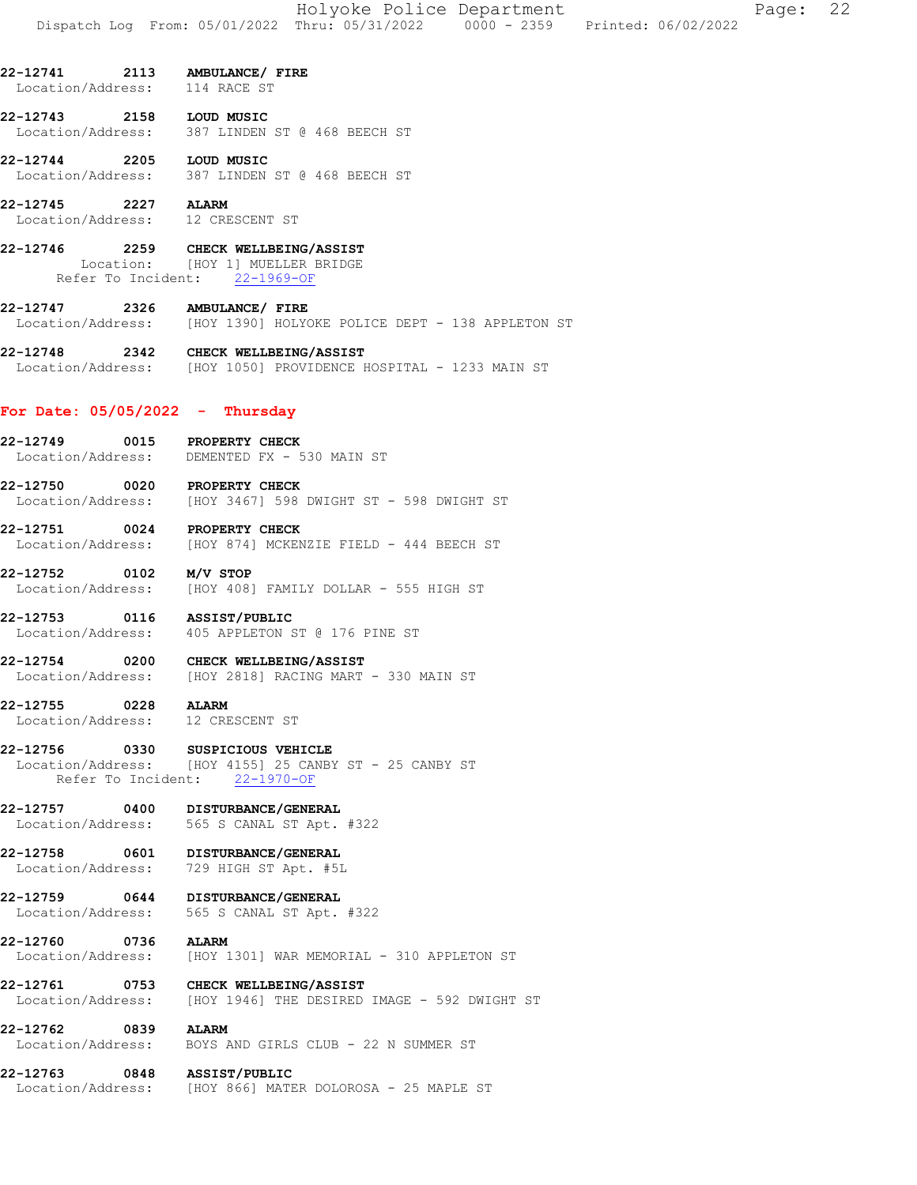- 22-12741 2113 AMBULANCE/ FIRE Location/Address: 114 RACE ST
- 22-12743 2158 LOUD MUSIC<br>Location/Address: 387 LINDEN 387 LINDEN ST @ 468 BEECH ST
- 22-12744 2205 LOUD MUSIC<br>Location/Address: 387 LINDEN 387 LINDEN ST @ 468 BEECH ST
- 22-12745 2227 ALARM Location/Address: 12 CRESCENT ST
- 22-12746 2259 CHECK WELLBEING/ASSIST Location: [HOY 1] MUELLER BRIDGE Refer To Incident: 22-1969-OF
- 22-12747 2326 AMBULANCE/ FIRE Location/Address: [HOY 1390] HOLYOKE POLICE DEPT - 138 APPLETON ST
- 22-12748 2342 CHECK WELLBEING/ASSIST<br>Location/Address: [HOY 1050] PROVIDENCE H [HOY 1050] PROVIDENCE HOSPITAL - 1233 MAIN ST

## For Date: 05/05/2022 - Thursday

- 22-12749 0015 PROPERTY CHECK Location/Address: DEMENTED FX - 530 MAIN ST
- 22-12750 0020 PROPERTY CHECK Location/Address: [HOY 3467] 598 DWIGHT ST - 598 DWIGHT ST
- 22-12751 0024 PROPERTY CHECK Location/Address: [HOY 874] MCKENZIE FIELD - 444 BEECH ST
- **22-12752 0102 M/V STOP**<br>Location/Address: [HOY 408] [HOY 408] FAMILY DOLLAR - 555 HIGH ST
- 22-12753 0116 ASSIST/PUBLIC Location/Address: 405 APPLETON ST @ 176 PINE ST
- 22-12754 0200 CHECK WELLBEING/ASSIST<br>Location/Address: [HOY 2818] RACING MART [HOY 2818] RACING MART - 330 MAIN ST

#### 22-12755 0228 ALARM Location/Address: 12 CRESCENT ST

- 
- 22-12756 0330 SUSPICIOUS VEHICLE Location/Address: [HOY 4155] 25 CANBY ST - 25 CANBY ST Refer To Incident: 22-1970-OF
- 22-12757 0400 DISTURBANCE/GENERAL Location/Address: 565 S CANAL ST Apt. #322
- 22-12758 0601 DISTURBANCE/GENERAL Location/Address: 729 HIGH ST Apt. #5L

#### 22-12759 0644 DISTURBANCE/GENERAL Location/Address: 565 S CANAL ST Apt. #322

- 22-12760 0736 ALARM Location/Address: [HOY 1301] WAR MEMORIAL - 310 APPLETON ST
- 22-12761 0753 CHECK WELLBEING/ASSIST<br>Location/Address: [HOY 1946] THE DESIRED [HOY 1946] THE DESIRED IMAGE - 592 DWIGHT ST
- 22-12762 0839 ALARM Location/Address: BOYS AND GIRLS CLUB - 22 N SUMMER ST

#### 22-12763 0848 ASSIST/PUBLIC Location/Address: [HOY 866] MATER DOLOROSA - 25 MAPLE ST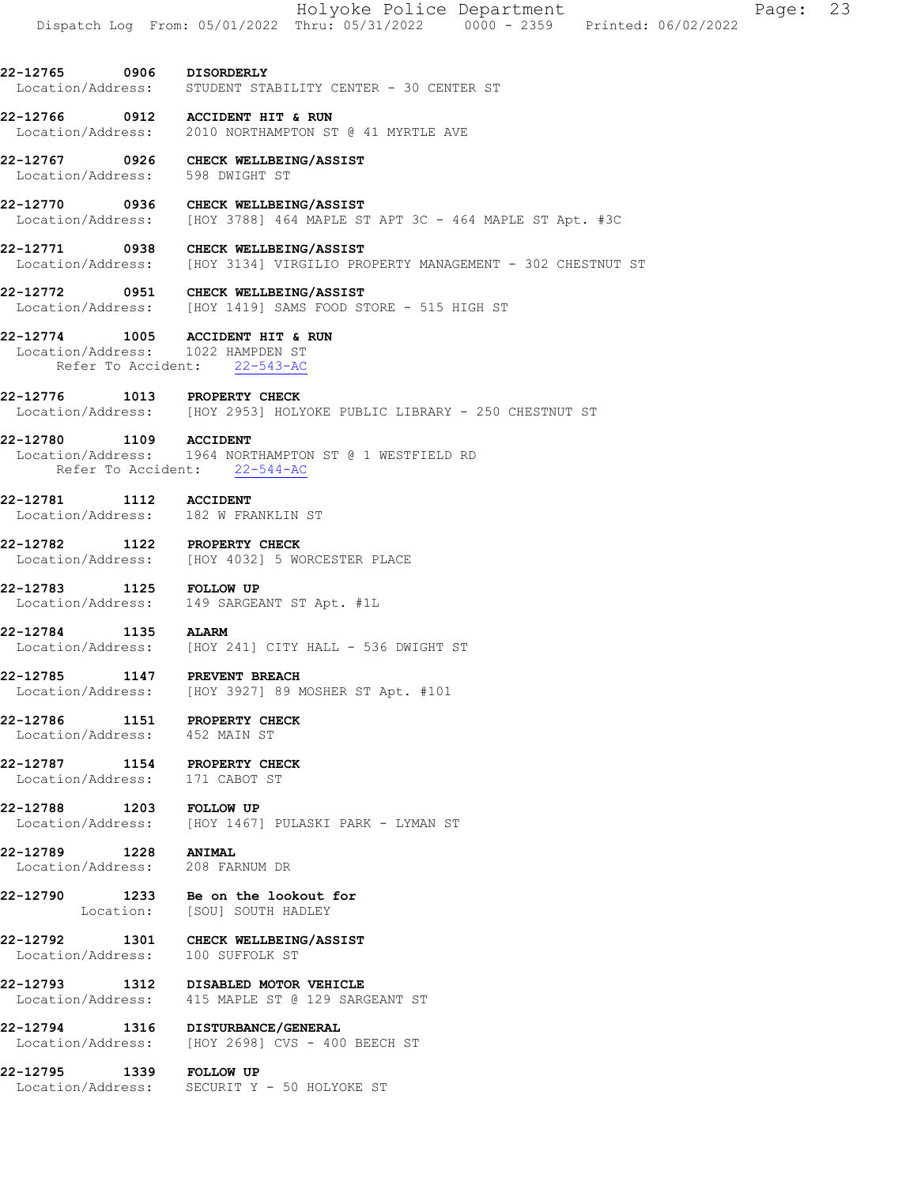22-12765 0906 DISORDERLY Location/Address: STUDENT STABILITY CENTER - 30 CENTER ST

22-12766 0912 ACCIDENT HIT & RUN Location/Address: 2010 NORTHAMPTON ST @ 41 MYRTLE AVE

22-12767 0926 CHECK WELLBEING/ASSIST<br>Location/Address: 598 DWIGHT ST Location/Address:

22-12770 0936 CHECK WELLBEING/ASSIST Location/Address: [HOY 3788] 464 MAPLE ST APT 3C - 464 MAPLE ST Apt. #3C

22-12771 0938 CHECK WELLBEING/ASSIST Location/Address: [HOY 3134] VIRGILIO PROPERTY MANAGEMENT - 302 CHESTNUT ST

22-12772 0951 CHECK WELLBEING/ASSIST Location/Address: [HOY 1419] SAMS FOOD STORE - 515 HIGH ST

22-12774 1005 ACCIDENT HIT & RUN Location/Address: 1022 HAMPDEN ST Refer To Accident: 22-543-AC

22-12776 1013 PROPERTY CHECK<br>Location/Address: [HOY 2953] HOLY [HOY 2953] HOLYOKE PUBLIC LIBRARY - 250 CHESTNUT ST

22-12780 1109 ACCIDENT Location/Address: 1964 NORTHAMPTON ST @ 1 WESTFIELD RD Refer To Accident: 22-544-AC

22-12781 1112 ACCIDENT Location/Address: 182 W FRANKLIN ST

22-12782 1122 PROPERTY CHECK Location/Address: [HOY 4032] 5 WORCESTER PLACE

22-12783 1125 FOLLOW UP Location/Address: 149 SARGEANT ST Apt. #1L

22-12784 1135 ALARM Location/Address: [HOY 241] CITY HALL - 536 DWIGHT ST

22-12785 1147 PREVENT BREACH Location/Address: [HOY 3927] 89 MOSHER ST Apt. #101

22-12786 1151 PROPERTY CHECK Location/Address: 452 MAIN ST

22-12787 1154 PROPERTY CHECK Location/Address: 171 CABOT ST

22-12788 1203 FOLLOW UP Location/Address: [HOY 1467] PULASKI PARK - LYMAN ST

**22-12789 1228 ANIMAL**<br>Location/Address: 208 FARNUM DR Location/Address:

22-12790 1233 Be on the lookout for Location: [SOU] SOUTH HADLEY

22-12792 1301 CHECK WELLBEING/ASSIST Location/Address: 100 SUFFOLK ST

22-12793 1312 DISABLED MOTOR VEHICLE Location/Address: 415 MAPLE ST @ 129 SARGEANT ST

22-12794 1316 DISTURBANCE/GENERAL<br>Location/Address: [HOY 2698] CVS - 400 [HOY 2698] CVS - 400 BEECH ST

22-12795 1339 FOLLOW UP Location/Address: SECURIT Y - 50 HOLYOKE ST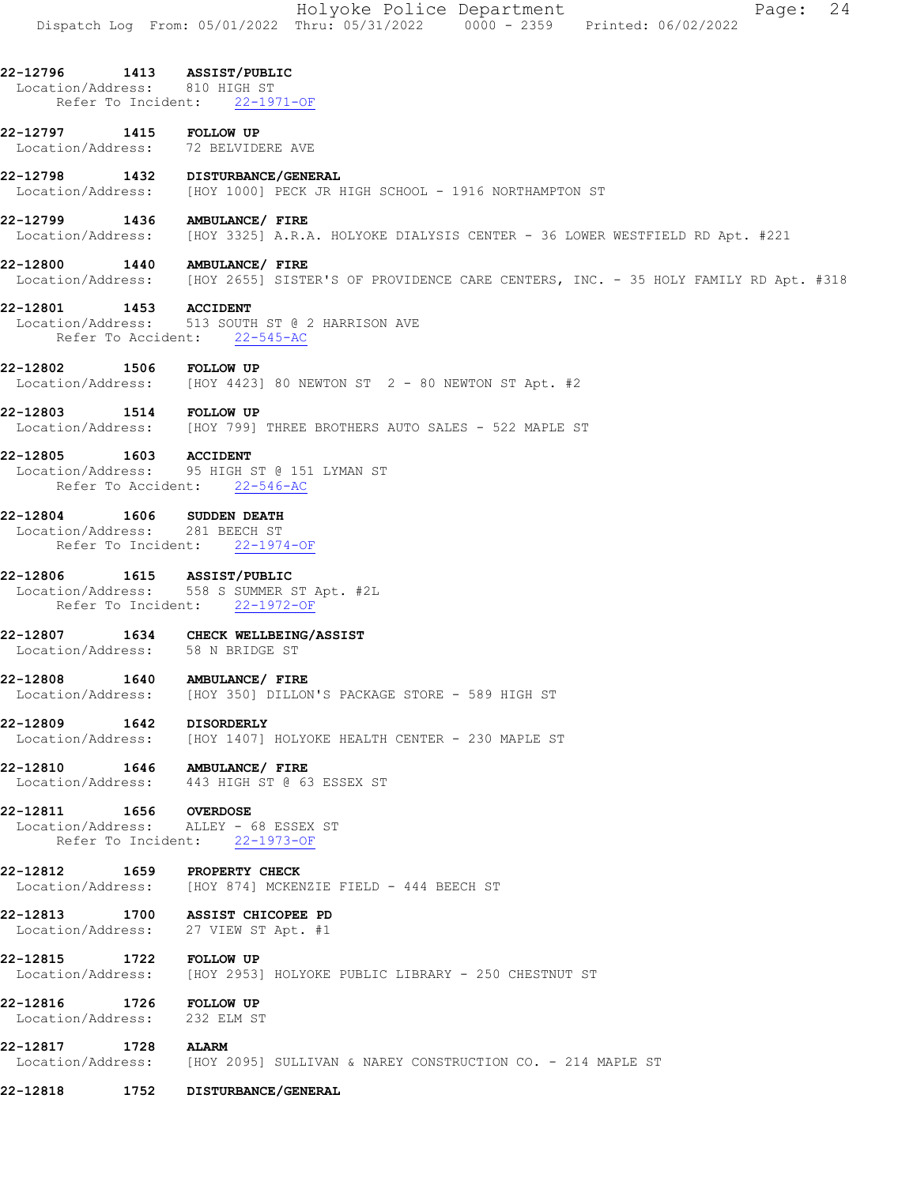|                                                 |                                                                                                            | Holyoke Police Department<br>Dispatch Log From: 05/01/2022 Thru: 05/31/2022 0000 - 2359 Printed: 06/02/2022 |  | Page: | 24 |
|-------------------------------------------------|------------------------------------------------------------------------------------------------------------|-------------------------------------------------------------------------------------------------------------|--|-------|----|
|                                                 |                                                                                                            |                                                                                                             |  |       |    |
| Location/Address: 810 HIGH ST                   | 22-12796 1413 ASSIST/PUBLIC<br>Refer To Incident: 22-1971-OF                                               |                                                                                                             |  |       |    |
| 22-12797 1415 FOLLOW UP                         | Location/Address: 72 BELVIDERE AVE                                                                         |                                                                                                             |  |       |    |
|                                                 | 22-12798 1432 DISTURBANCE/GENERAL                                                                          | Location/Address: [HOY 1000] PECK JR HIGH SCHOOL - 1916 NORTHAMPTON ST                                      |  |       |    |
|                                                 | 22-12799 1436 AMBULANCE/ FIRE                                                                              | Location/Address: [HOY 3325] A.R.A. HOLYOKE DIALYSIS CENTER - 36 LOWER WESTFIELD RD Apt. #221               |  |       |    |
| 22-12800                                        | 1440 AMBULANCE/ FIRE                                                                                       | Location/Address: [HOY 2655] SISTER'S OF PROVIDENCE CARE CENTERS, INC. - 35 HOLY FAMILY RD Apt. #318        |  |       |    |
| 22-12801 1453 ACCIDENT                          | Location/Address: 513 SOUTH ST @ 2 HARRISON AVE<br>Refer To Accident: 22-545-AC                            |                                                                                                             |  |       |    |
| 22-12802 1506 FOLLOW UP                         |                                                                                                            | Location/Address: [HOY 4423] 80 NEWTON ST 2 - 80 NEWTON ST Apt. #2                                          |  |       |    |
| 22-12803 1514 FOLLOW UP                         |                                                                                                            | Location/Address: [HOY 799] THREE BROTHERS AUTO SALES - 522 MAPLE ST                                        |  |       |    |
| 22-12805 1603 ACCIDENT                          | Location/Address: 95 HIGH ST @ 151 LYMAN ST<br>Refer To Accident: 22-546-AC                                |                                                                                                             |  |       |    |
| 22-12804 1606<br>Location/Address: 281 BEECH ST | <b>SUDDEN DEATH</b><br>Refer To Incident: 22-1974-OF                                                       |                                                                                                             |  |       |    |
|                                                 | 22-12806 1615 ASSIST/PUBLIC<br>Location/Address: 558 S SUMMER ST Apt. #2L<br>Refer To Incident: 22-1972-OF |                                                                                                             |  |       |    |
|                                                 | 22-12807 1634 CHECK WELLBEING/ASSIST<br>Location/Address: 58 N BRIDGE ST                                   |                                                                                                             |  |       |    |
| 22-12808                                        | 1640 AMBULANCE/ FIRE                                                                                       | Location/Address: [HOY 350] DILLON'S PACKAGE STORE - 589 HIGH ST                                            |  |       |    |
| 22-12809 1642                                   | <b>DISORDERLY</b>                                                                                          | Location/Address: [HOY 1407] HOLYOKE HEALTH CENTER - 230 MAPLE ST                                           |  |       |    |
|                                                 | 22-12810   1646   AMBULANCE/ FIRE<br>Location/Address: 443 HIGH ST @ 63 ESSEX ST                           |                                                                                                             |  |       |    |
| 22-12811 1656 OVERDOSE                          | Location/Address: ALLEY - 68 ESSEX ST<br>Refer To Incident: 22-1973-OF                                     |                                                                                                             |  |       |    |
|                                                 | 22-12812 1659 PROPERTY CHECK                                                                               | Location/Address: [HOY 874] MCKENZIE FIELD - 444 BEECH ST                                                   |  |       |    |
| Location/Address:                               | 22-12813 1700 ASSIST CHICOPEE PD<br>27 VIEW ST Apt. #1                                                     |                                                                                                             |  |       |    |
| 22-12815<br>1722<br>Location/Address:           | <b>FOLLOW UP</b>                                                                                           | [HOY 2953] HOLYOKE PUBLIC LIBRARY - 250 CHESTNUT ST                                                         |  |       |    |
| 22-12816 1726 FOLLOW UP<br>Location/Address:    | 232 ELM ST                                                                                                 |                                                                                                             |  |       |    |
| 22-12817<br>1728                                | <b>ALARM</b>                                                                                               | Location/Address: [HOY 2095] SULLIVAN & NAREY CONSTRUCTION CO. - 214 MAPLE ST                               |  |       |    |
| 22-12818<br>1752                                | DISTURBANCE/GENERAL                                                                                        |                                                                                                             |  |       |    |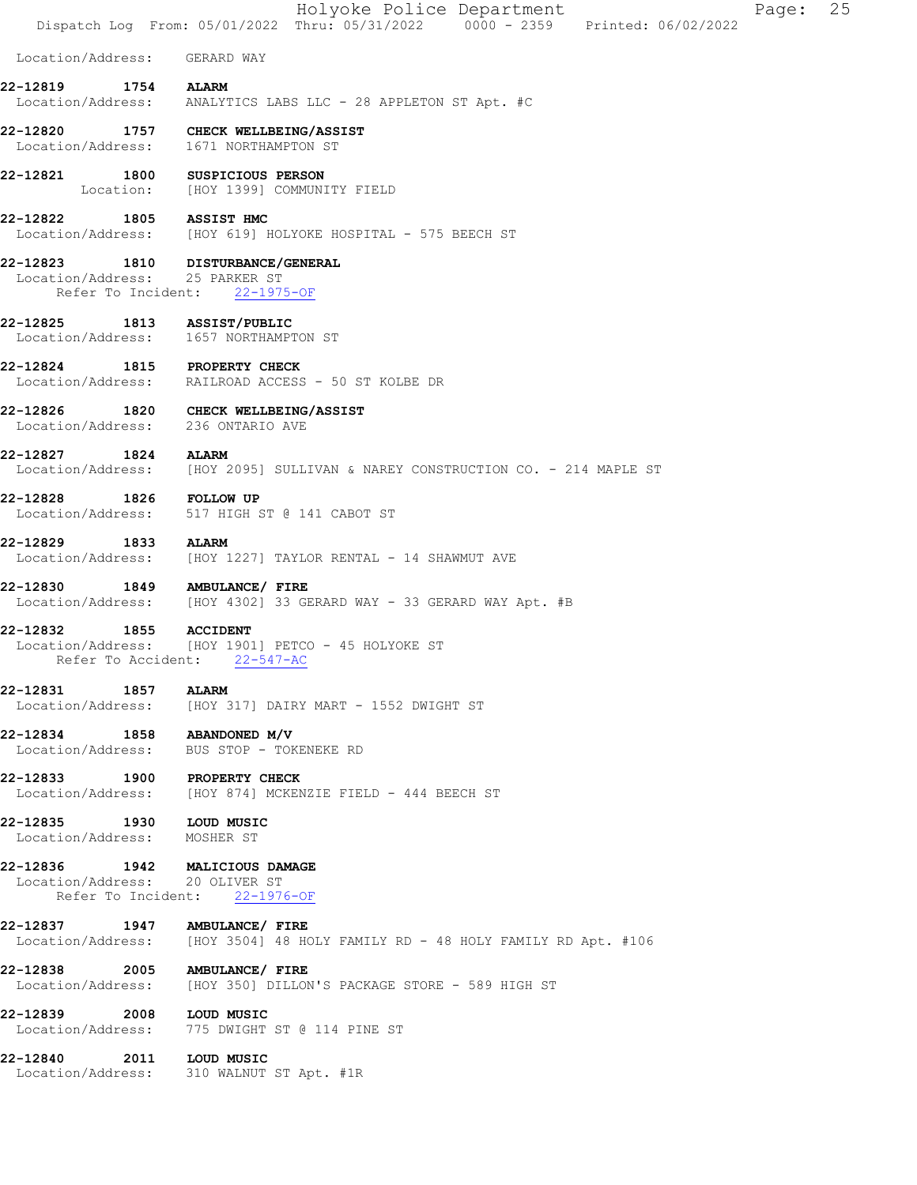|          |                                                         | Holyoke Police Department<br>25<br>Page:<br>Dispatch Log From: 05/01/2022 Thru: 05/31/2022 0000 - 2359 Printed: 06/02/2022 |
|----------|---------------------------------------------------------|----------------------------------------------------------------------------------------------------------------------------|
|          | Location/Address:                                       | GERARD WAY                                                                                                                 |
| 22-12819 | 1754                                                    | <b>ALARM</b><br>Location/Address: ANALYTICS LABS LLC - 28 APPLETON ST Apt. #C                                              |
|          |                                                         | 22-12820 1757 CHECK WELLBEING/ASSIST<br>Location/Address: 1671 NORTHAMPTON ST                                              |
| 22-12821 |                                                         | 1800 SUSPICIOUS PERSON<br>Location: [HOY 1399] COMMUNITY FIELD                                                             |
| 22-12822 |                                                         | 1805 ASSIST HMC<br>Location/Address: [HOY 619] HOLYOKE HOSPITAL - 575 BEECH ST                                             |
|          | Refer To Incident:                                      | 22-12823 1810 DISTURBANCE/GENERAL<br>Location/Address: 25 PARKER ST<br>$22 - 1975 - OF$                                    |
| 22-12825 |                                                         | 1813 ASSIST/PUBLIC<br>Location/Address: 1657 NORTHAMPTON ST                                                                |
|          |                                                         | 22-12824 1815 PROPERTY CHECK<br>Location/Address: RAILROAD ACCESS - 50 ST KOLBE DR                                         |
|          |                                                         | 22-12826 1820 CHECK WELLBEING/ASSIST<br>Location/Address: 236 ONTARIO AVE                                                  |
| 22-12827 | 1824 ALARM                                              | Location/Address: [HOY 2095] SULLIVAN & NAREY CONSTRUCTION CO. - 214 MAPLE ST                                              |
| 22-12828 | 1826 FOLLOW UP                                          | Location/Address: 517 HIGH ST @ 141 CABOT ST                                                                               |
|          | 22-12829 1833                                           | <b>ALARM</b><br>Location/Address: [HOY 1227] TAYLOR RENTAL - 14 SHAWMUT AVE                                                |
| 22-12830 |                                                         | 1849 AMBULANCE/ FIRE<br>Location/Address: [HOY 4302] 33 GERARD WAY - 33 GERARD WAY Apt. #B                                 |
| 22-12832 |                                                         | 1855 ACCIDENT<br>Location/Address: [HOY 1901] PETCO - 45 HOLYOKE ST<br>Refer To Accident: 22-547-AC                        |
|          | 22-12831 1857 ALARM                                     | Location/Address: [HOY 317] DAIRY MART - 1552 DWIGHT ST                                                                    |
|          |                                                         | 22-12834 1858 ABANDONED M/V<br>Location/Address: BUS STOP - TOKENEKE RD                                                    |
|          |                                                         | 22-12833 1900 PROPERTY CHECK<br>Location/Address: [HOY 874] MCKENZIE FIELD - 444 BEECH ST                                  |
|          | 22-12835 1930 LOUD MUSIC<br>Location/Address: MOSHER ST |                                                                                                                            |
|          |                                                         | 22-12836 1942 MALICIOUS DAMAGE<br>Location/Address: 20 OLIVER ST<br>Refer To Incident: 22-1976-OF                          |
|          |                                                         | 22-12837 1947 AMBULANCE/ FIRE<br>Location/Address: [HOY 3504] 48 HOLY FAMILY RD - 48 HOLY FAMILY RD Apt. #106              |
|          |                                                         | 22-12838 2005 AMBULANCE/ FIRE<br>Location/Address: [HOY 350] DILLON'S PACKAGE STORE - 589 HIGH ST                          |
|          |                                                         | 22-12839 2008 LOUD MUSIC<br>Location/Address: 775 DWIGHT ST @ 114 PINE ST                                                  |
|          | 22-12840 2011 LOUD MUSIC                                | Location/Address: 310 WALNUT ST Apt. #1R                                                                                   |
|          |                                                         |                                                                                                                            |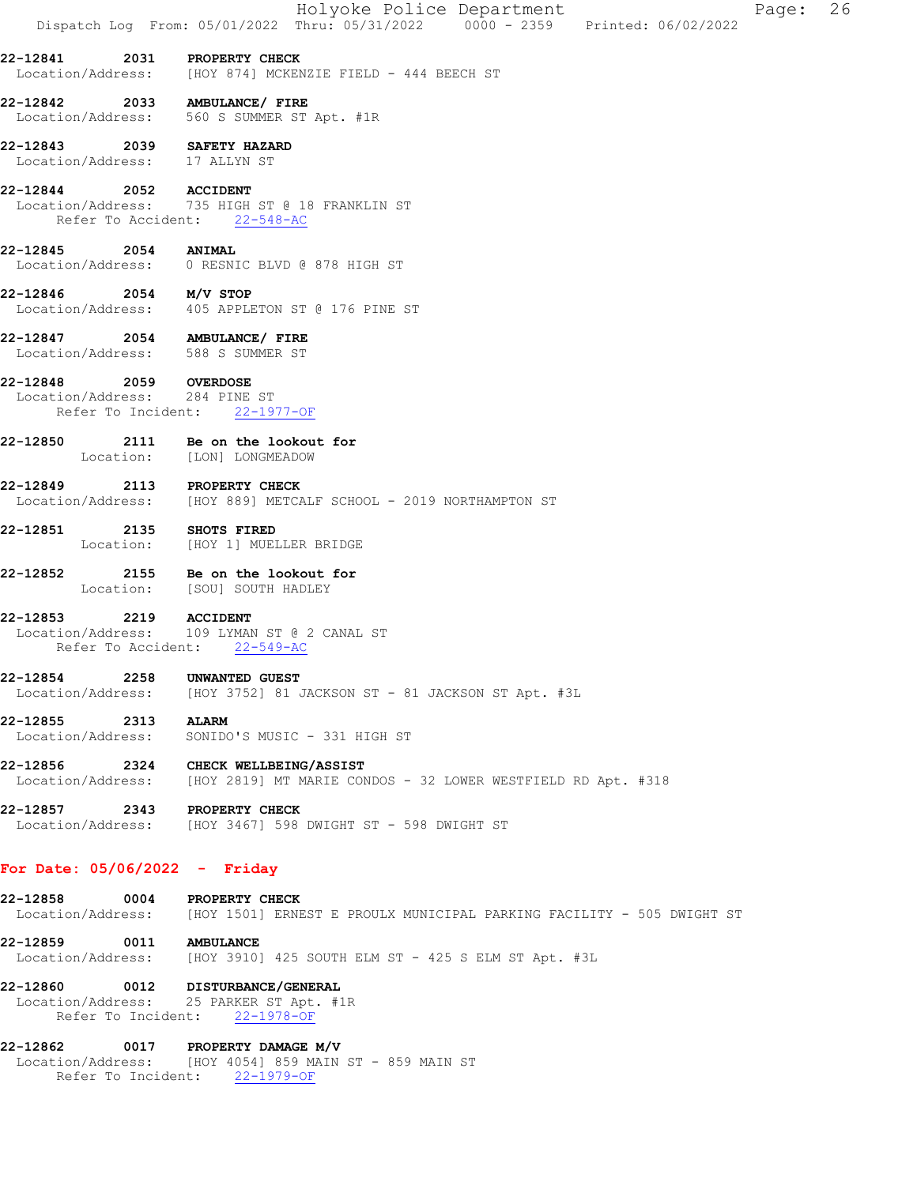|                                                              |      | Holyoke Police Department<br>26<br>Page:<br>Dispatch Log From: 05/01/2022 Thru: 05/31/2022 0000 - 2359 Printed: 06/02/2022 |
|--------------------------------------------------------------|------|----------------------------------------------------------------------------------------------------------------------------|
| 22-12841                                                     |      | 2031 PROPERTY CHECK<br>Location/Address: [HOY 874] MCKENZIE FIELD - 444 BEECH ST                                           |
| 22-12842 2033 AMBULANCE/ FIRE                                |      | Location/Address: 560 S SUMMER ST Apt. #1R                                                                                 |
| 22-12843 2039 SAFETY HAZARD<br>Location/Address: 17 ALLYN ST |      |                                                                                                                            |
| 22-12844 2052 ACCIDENT                                       |      | Location/Address: 735 HIGH ST @ 18 FRANKLIN ST<br>Refer To Accident: 22-548-AC                                             |
| 22-12845 2054 ANIMAL                                         |      | Location/Address: 0 RESNIC BLVD @ 878 HIGH ST                                                                              |
| 22-12846 2054 M/V STOP                                       |      | Location/Address: 405 APPLETON ST @ 176 PINE ST                                                                            |
| 22-12847 2054 AMBULANCE/ FIRE                                |      | Location/Address: 588 S SUMMER ST                                                                                          |
| 22-12848 2059 OVERDOSE<br>Location/Address: 284 PINE ST      |      | Refer To Incident: 22-1977-OF                                                                                              |
| 22-12850                                                     |      | 2111 Be on the lookout for<br>Location: [LON] LONGMEADOW                                                                   |
| 22-12849 2113 PROPERTY CHECK                                 |      | Location/Address: [HOY 889] METCALF SCHOOL - 2019 NORTHAMPTON ST                                                           |
| 22-12851 2135 SHOTS FIRED                                    |      | Location: [HOY 1] MUELLER BRIDGE                                                                                           |
| 22-12852                                                     |      | 2155 Be on the lookout for<br>Location: [SOU] SOUTH HADLEY                                                                 |
| 22-12853<br>Refer To Accident:                               |      | 2219 ACCIDENT<br>Location/Address: 109 LYMAN ST @ 2 CANAL ST<br>$22 - 549 - AC$                                            |
| 22-12854<br>Location/Address:                                | 2258 | UNWANTED GUEST<br>[HOY 3752] 81 JACKSON ST - 81 JACKSON ST Apt. #3L                                                        |
| 22-12855<br>Location/Address:                                | 2313 | <b>ALARM</b><br>SONIDO'S MUSIC - 331 HIGH ST                                                                               |
| 22-12856                                                     |      | 2324 CHECK WELLBEING/ASSIST<br>Location/Address: [HOY 2819] MT MARIE CONDOS - 32 LOWER WESTFIELD RD Apt. #318              |
| 22-12857                                                     | 2343 | <b>PROPERTY CHECK</b><br>Location/Address: [HOY 3467] 598 DWIGHT ST - 598 DWIGHT ST                                        |
| For Date: $05/06/2022 -$ Friday                              |      |                                                                                                                            |
| 22-12858                                                     | 0004 | PROPERTY CHECK<br>Location/Address: [HOY 1501] ERNEST E PROULX MUNICIPAL PARKING FACILITY - 505 DWIGHT ST                  |
| 22-12859                                                     | 0011 | <b>AMBULANCE</b><br>Location/Address: [HOY 3910] 425 SOUTH ELM ST - 425 S ELM ST Apt. #3L                                  |
| Refer To Incident:                                           |      | 22-12860 0012 DISTURBANCE/GENERAL<br>Location/Address: 25 PARKER ST Apt. #1R<br>$22 - 1978 - OF$                           |
| 22-12862<br>Location/Address:<br>Refer To Incident:          | 0017 | PROPERTY DAMAGE M/V<br>[HOY 4054] 859 MAIN ST - 859 MAIN ST<br>$22 - 1979 - OF$                                            |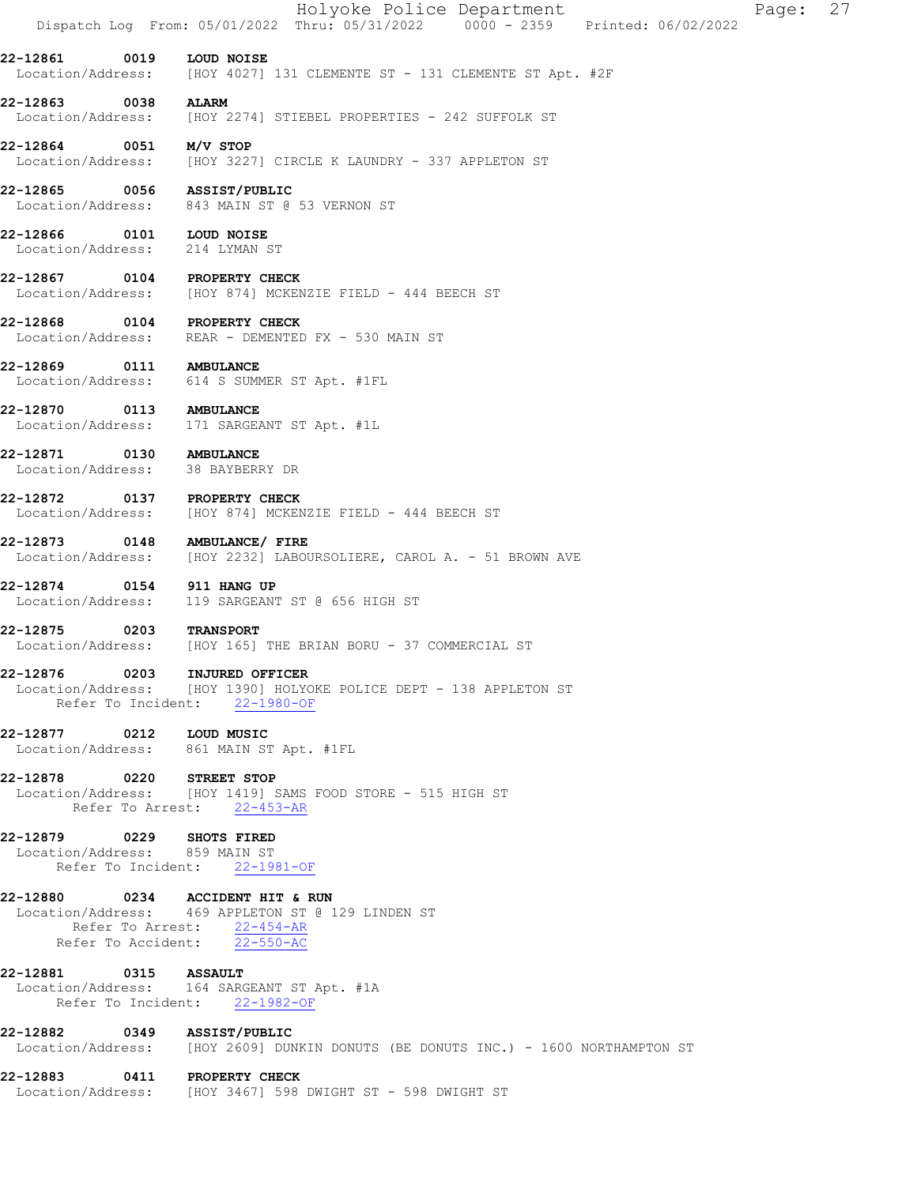|                                                             |      | Holyoke Police Department<br>27<br>Page:<br>Dispatch Log From: 05/01/2022 Thru: 05/31/2022 0000 - 2359 Printed: 06/02/2022                          |
|-------------------------------------------------------------|------|-----------------------------------------------------------------------------------------------------------------------------------------------------|
| 22-12861                                                    | 0019 | LOUD NOISE<br>Location/Address: [HOY 4027] 131 CLEMENTE ST - 131 CLEMENTE ST Apt. #2F                                                               |
| 22-12863<br>Location/Address:                               | 0038 | <b>ALARM</b><br>[HOY 2274] STIEBEL PROPERTIES - 242 SUFFOLK ST                                                                                      |
| 22-12864 0051 M/V STOP                                      |      | Location/Address: [HOY 3227] CIRCLE K LAUNDRY - 337 APPLETON ST                                                                                     |
| 22-12865 0056 ASSIST/PUBLIC                                 |      | Location/Address: 843 MAIN ST @ 53 VERNON ST                                                                                                        |
| 22-12866<br>Location/Address: 214 LYMAN ST                  |      | 0101 LOUD NOISE                                                                                                                                     |
| 22-12867 0104 PROPERTY CHECK                                |      | Location/Address: [HOY 874] MCKENZIE FIELD - 444 BEECH ST                                                                                           |
| 22-12868 0104 PROPERTY CHECK                                |      | Location/Address: REAR - DEMENTED FX - 530 MAIN ST                                                                                                  |
| 22-12869 0111 AMBULANCE                                     |      | Location/Address: 614 S SUMMER ST Apt. #1FL                                                                                                         |
| 22-12870                                                    |      | 0113 AMBULANCE<br>Location/Address: 171 SARGEANT ST Apt. #1L                                                                                        |
| 22-12871 0130 AMBULANCE<br>Location/Address: 38 BAYBERRY DR |      |                                                                                                                                                     |
| 22-12872                                                    |      | 0137 PROPERTY CHECK<br>Location/Address: [HOY 874] MCKENZIE FIELD - 444 BEECH ST                                                                    |
|                                                             |      | 22-12873 0148 AMBULANCE/ FIRE<br>Location/Address: [HOY 2232] LABOURSOLIERE, CAROL A. - 51 BROWN AVE                                                |
| 22-12874                                                    |      | 0154 911 HANG UP<br>Location/Address: 119 SARGEANT ST @ 656 HIGH ST                                                                                 |
| 22-12875                                                    |      | 0203 TRANSPORT<br>Location/Address: [HOY 165] THE BRIAN BORU - 37 COMMERCIAL ST                                                                     |
|                                                             |      | 22-12876 0203 INJURED OFFICER<br>Location/Address: [HOY 1390] HOLYOKE POLICE DEPT - 138 APPLETON ST<br>Refer To Incident: 22-1980-OF                |
| 22-12877 0212 LOUD MUSIC                                    |      | Location/Address: 861 MAIN ST Apt. #1FL                                                                                                             |
| 22-12878 0220 STREET STOP                                   |      | Location/Address: [HOY 1419] SAMS FOOD STORE - 515 HIGH ST<br>Refer To Arrest: 22-453-AR                                                            |
| 22-12879 0229 SHOTS FIRED<br>Location/Address: 859 MAIN ST  |      | Refer To Incident: 22-1981-OF                                                                                                                       |
|                                                             |      | 22-12880 0234 ACCIDENT HIT & RUN<br>Location/Address: 469 APPLETON ST @ 129 LINDEN ST<br>Refer To Arrest: 22-454-AR<br>Refer To Accident: 22-550-AC |
| 22-12881 0315 ASSAULT                                       |      | Location/Address: 164 SARGEANT ST Apt. #1A<br>Refer To Incident: 22-1982-OF                                                                         |
| 22-12882 0349 ASSIST/PUBLIC                                 |      | Location/Address: [HOY 2609] DUNKIN DONUTS (BE DONUTS INC.) - 1600 NORTHAMPTON ST                                                                   |
| 22-12883 0411 PROPERTY CHECK                                |      | Location/Address: [HOY 3467] 598 DWIGHT ST - 598 DWIGHT ST                                                                                          |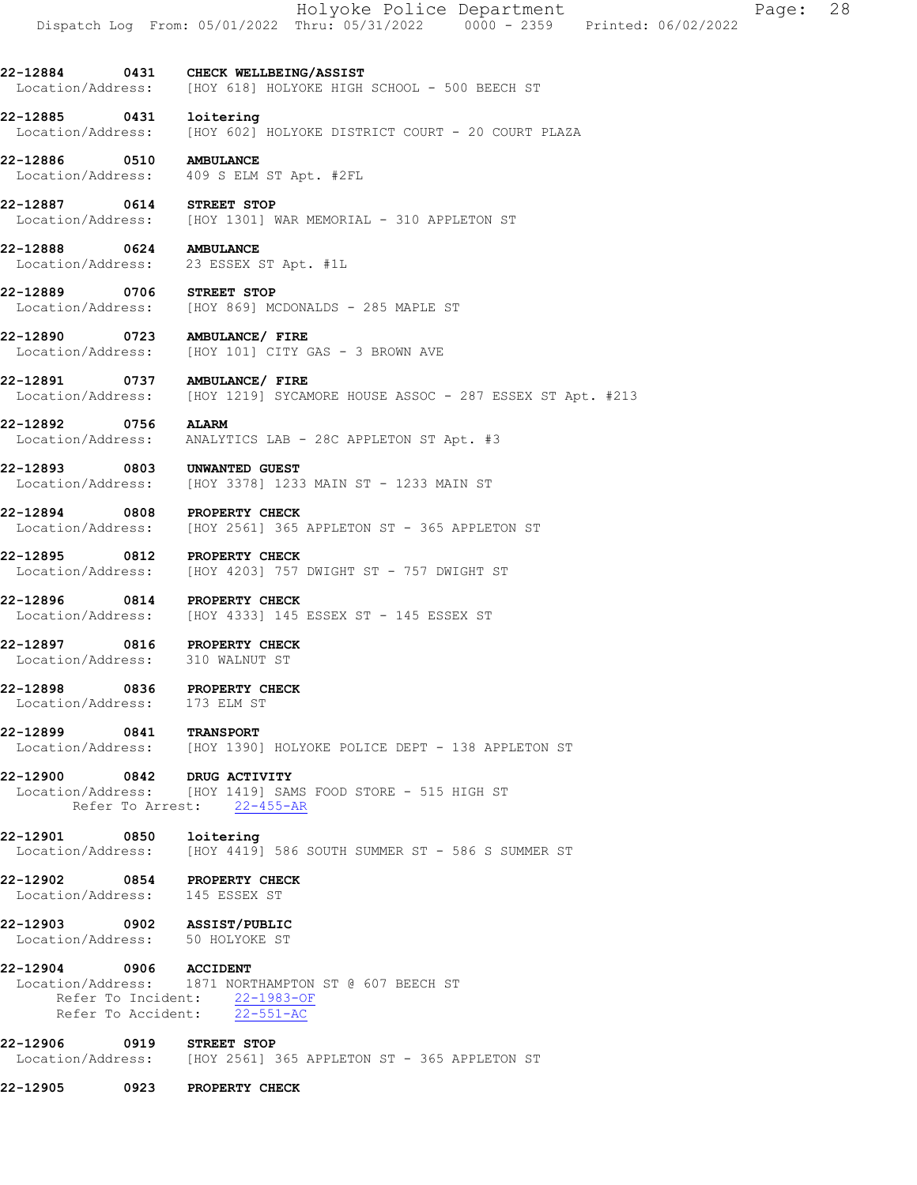22-12884 0431 CHECK WELLBEING/ASSIST Location/Address: [HOY 618] HOLYOKE HIGH SCHOOL - 500 BEECH ST

22-12885 0431 loitering Location/Address: [HOY 602] HOLYOKE DISTRICT COURT - 20 COURT PLAZA

22-12886 0510 AMBULANCE Location/Address: 409 S ELM ST Apt. #2FL

22-12887 0614 STREET STOP Location/Address: [HOY 1301] WAR MEMORIAL - 310 APPLETON ST

22-12888 0624 AMBULANCE Location/Address: 23 ESSEX ST Apt. #1L

22-12889 0706 STREET STOP Location/Address: [HOY 869] MCDONALDS - 285 MAPLE ST

22-12890 0723 AMBULANCE/FIRE<br>Location/Address: [HOY 101] CITY ( [HOY 101] CITY GAS - 3 BROWN AVE

22-12891 0737 AMBULANCE/ FIRE Location/Address: [HOY 1219] SYCAMORE HOUSE ASSOC - 287 ESSEX ST Apt. #213

22-12892 0756 ALARM Location/Address: ANALYTICS LAB - 28C APPLETON ST Apt. #3

22-12893 0803 UNWANTED GUEST Location/Address: [HOY 3378] 1233 MAIN ST - 1233 MAIN ST

22-12894 0808 PROPERTY CHECK Location/Address: [HOY 2561] 365 APPLETON ST - 365 APPLETON ST

22-12895 0812 PROPERTY CHECK Location/Address: [HOY 4203] 757 DWIGHT ST - 757 DWIGHT ST

22-12896 0814 PROPERTY CHECK<br>Location/Address: [HOY 4333] 145 [HOY 4333] 145 ESSEX ST - 145 ESSEX ST

22-12897 0816 PROPERTY CHECK Location/Address: 310 WALNUT ST

22-12898 0836 PROPERTY CHECK Location/Address: 173 ELM ST

22-12899 0841 TRANSPORT Location/Address: [HOY 1390] HOLYOKE POLICE DEPT - 138 APPLETON ST

22-12900 0842 DRUG ACTIVITY Location/Address: [HOY 1419] SAMS FOOD STORE - 515 HIGH ST Refer To Arrest: 22-455-AR

**22-12901 0850 loitering**<br>
Location/Address: [HOY 4419]  $[HOY 4419] 586$  SOUTH SUMMER ST - 586 S SUMMER ST

22-12902 0854 PROPERTY CHECK Location/Address: 145 ESSEX ST

22-12903 0902 ASSIST/PUBLIC Location/Address: 50 HOLYOKE ST

22-12904 0906 ACCIDENT Location/Address: 1871 NORTHAMPTON ST @ 607 BEECH ST Refer To Incident: 22-1983-OF Refer To Accident: 22-551-AC

22-12906 0919 STREET STOP Location/Address: [HOY 2561] 365 APPLETON ST - 365 APPLETON ST

22-12905 0923 PROPERTY CHECK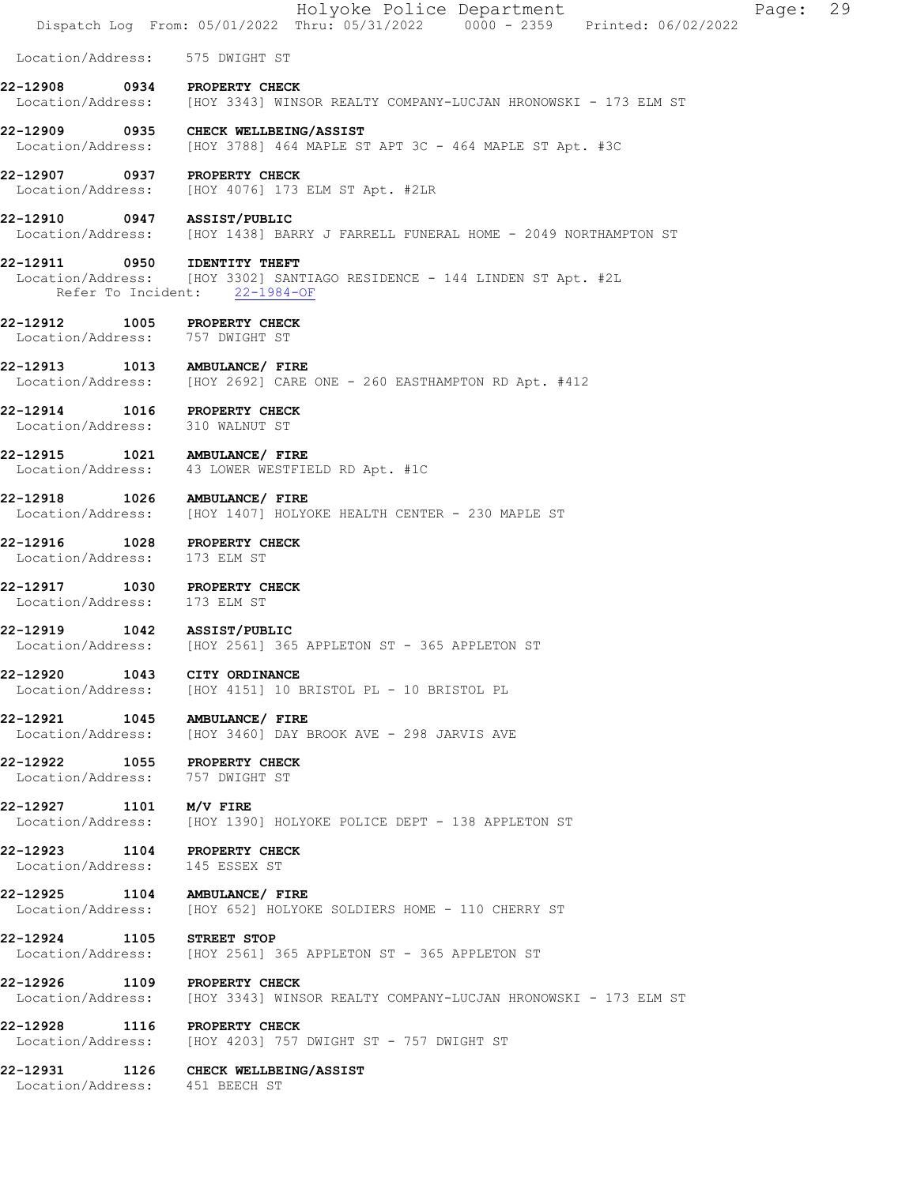|                                                                 | Holyoke Police Department<br>29<br>Page:<br>Dispatch Log From: 05/01/2022 Thru: 05/31/2022 0000 - 2359 Printed: 06/02/2022 |
|-----------------------------------------------------------------|----------------------------------------------------------------------------------------------------------------------------|
| Location/Address: 575 DWIGHT ST                                 |                                                                                                                            |
| 22-12908                                                        | 0934 PROPERTY CHECK<br>Location/Address: [HOY 3343] WINSOR REALTY COMPANY-LUCJAN HRONOWSKI - 173 ELM ST                    |
|                                                                 | 22-12909 0935 CHECK WELLBEING/ASSIST<br>Location/Address: [HOY 3788] 464 MAPLE ST APT 3C - 464 MAPLE ST Apt. #3C           |
| 22-12907 0937 PROPERTY CHECK                                    | Location/Address: [HOY 4076] 173 ELM ST Apt. #2LR                                                                          |
|                                                                 | 22-12910 0947 ASSIST/PUBLIC<br>Location/Address: [HOY 1438] BARRY J FARRELL FUNERAL HOME - 2049 NORTHAMPTON ST             |
| 22-12911 0950 IDENTITY THEFT                                    | Location/Address: [HOY 3302] SANTIAGO RESIDENCE - 144 LINDEN ST Apt. #2L<br>Refer To Incident: 22-1984-OF                  |
| 22-12912<br>Location/Address: 757 DWIGHT ST                     | 1005 PROPERTY CHECK                                                                                                        |
|                                                                 | 22-12913   1013   AMBULANCE/ FIRE<br>Location/Address: [HOY 2692] CARE ONE - 260 EASTHAMPTON RD Apt. #412                  |
| 22-12914 1016 PROPERTY CHECK<br>Location/Address: 310 WALNUT ST |                                                                                                                            |
|                                                                 | 22-12915   1021   AMBULANCE/ FIRE<br>Location/Address: 43 LOWER WESTFIELD RD Apt. #1C                                      |
|                                                                 | 22-12918  1026  AMBULANCE/ FIRE<br>Location/Address: [HOY 1407] HOLYOKE HEALTH CENTER - 230 MAPLE ST                       |
| 22-12916 1028 PROPERTY CHECK<br>Location/Address:               | 173 ELM ST                                                                                                                 |
| 22-12917 1030 PROPERTY CHECK<br>Location/Address: 173 ELM ST    |                                                                                                                            |
| 22-12919 1042 ASSIST/PUBLIC                                     | Location/Address: [HOY 2561] 365 APPLETON ST - 365 APPLETON ST                                                             |
| 22-12920 1043 CITY ORDINANCE                                    | Location/Address: [HOY 4151] 10 BRISTOL PL - 10 BRISTOL PL                                                                 |
|                                                                 | 22-12921 1045 AMBULANCE/ FIRE<br>Location/Address: [HOY 3460] DAY BROOK AVE - 298 JARVIS AVE                               |
| 22-12922 1055 PROPERTY CHECK<br>Location/Address: 757 DWIGHT ST |                                                                                                                            |
| 22-12927 1101 M/V FIRE<br>Location/Address:                     | [HOY 1390] HOLYOKE POLICE DEPT - 138 APPLETON ST                                                                           |
| 22-12923 1104 PROPERTY CHECK<br>Location/Address:               | 145 ESSEX ST                                                                                                               |
|                                                                 | 22-12925 1104 AMBULANCE/ FIRE<br>Location/Address: [HOY 652] HOLYOKE SOLDIERS HOME - 110 CHERRY ST                         |
| 22-12924<br>Location/Address:                                   | 1105 STREET STOP<br>[HOY 2561] 365 APPLETON ST - 365 APPLETON ST                                                           |
| 22-12926 1109 PROPERTY CHECK<br>Location/Address:               | [HOY 3343] WINSOR REALTY COMPANY-LUCJAN HRONOWSKI - 173 ELM ST                                                             |
| 22-12928                                                        | 1116 PROPERTY CHECK<br>Location/Address: [HOY 4203] 757 DWIGHT ST - 757 DWIGHT ST                                          |
| Location/Address: 451 BEECH ST                                  | 22-12931 1126 CHECK WELLBEING/ASSIST                                                                                       |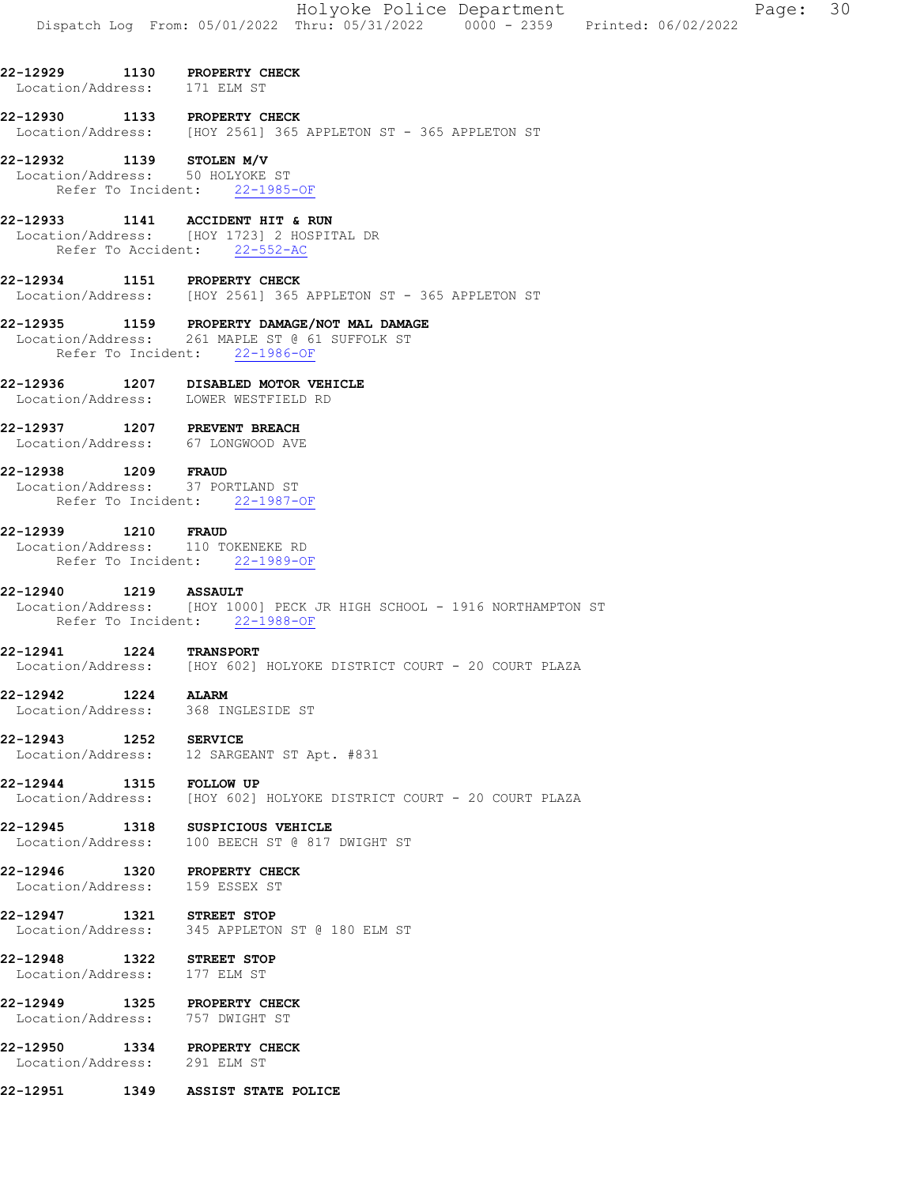- 22-12929 1130 PROPERTY CHECK Location/Address: 171 ELM ST
- 22-12930 1133 PROPERTY CHECK<br>Location/Address: [HOY 2561] 365 [HOY 2561] 365 APPLETON ST - 365 APPLETON ST

#### 22-12932 1139 STOLEN M/V

 Location/Address: 50 HOLYOKE ST Refer To Incident: 22-1985-OF

#### 22-12933 1141 ACCIDENT HIT & RUN

 Location/Address: [HOY 1723] 2 HOSPITAL DR Refer To Accident: 22-552-AC

- 22-12934 1151 PROPERTY CHECK Location/Address: [HOY 2561] 365 APPLETON ST - 365 APPLETON ST
- 22-12935 1159 PROPERTY DAMAGE/NOT MAL DAMAGE Location/Address: 261 MAPLE ST @ 61 SUFFOLK ST Refer To Incident: 22-1986-OF
- 22-12936 1207 DISABLED MOTOR VEHICLE Location/Address: LOWER WESTFIELD RD

## 22-12937 1207 PREVENT BREACH

Location/Address: 67 LONGWOOD AVE

## 22-12938 1209 FRAUD

 Location/Address: 37 PORTLAND ST Refer To Incident: 22-1987-OF

## 22-12939 1210 FRAUD

 Location/Address: 110 TOKENEKE RD Refer To Incident: 22-1989-OF

## 22-12940 1219 ASSAULT

Location/Address: [HOY 1000] PECK JR HIGH SCHOOL - 1916 NORTHAMPTON ST Refer To Incident: 22-1988-OF

#### 22-12941 1224 TRANSPORT

Location/Address: [HOY 602] HOLYOKE DISTRICT COURT - 20 COURT PLAZA

## 22-12942 1224 ALARM

Location/Address: 368 INGLESIDE ST

## 22-12943 1252 SERVICE

Location/Address: 12 SARGEANT ST Apt. #831

## 22-12944 1315 FOLLOW UP

Location/Address: [HOY 602] HOLYOKE DISTRICT COURT - 20 COURT PLAZA

#### 22-12945 1318 SUSPICIOUS VEHICLE Location/Address: 100 BEECH ST @ 817 DWIGHT ST

#### 22-12946 1320 PROPERTY CHECK Location/Address: 159 ESSEX ST

22-12947 1321 STREET STOP Location/Address: 345 APPLETON ST @ 180 ELM ST

## 22-12948 1322 STREET STOP Location/Address: 177 ELM ST

22-12949 1325 PROPERTY CHECK<br>Location/Address: 757 DWIGHT ST

Location/Address:

#### 22-12950 1334 PROPERTY CHECK Location/Address: 291 ELM ST

22-12951 1349 ASSIST STATE POLICE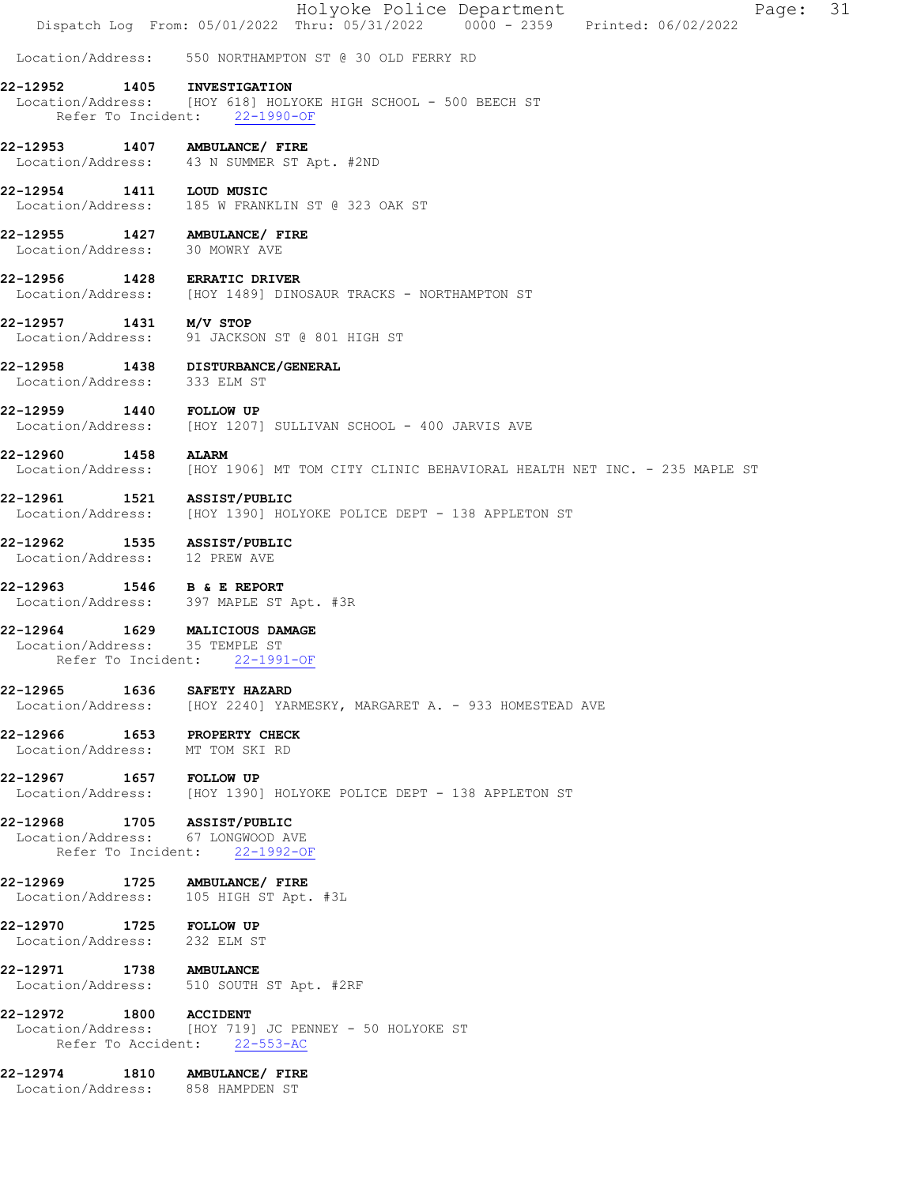|                                                                   | Holyoke Police Department<br>Page: 31<br>Dispatch Log From: 05/01/2022 Thru: 05/31/2022 0000 - 2359 Printed: 06/02/2022 |
|-------------------------------------------------------------------|-------------------------------------------------------------------------------------------------------------------------|
|                                                                   | Location/Address: 550 NORTHAMPTON ST @ 30 OLD FERRY RD                                                                  |
| 22-12952                                                          | 1405 INVESTIGATION<br>Location/Address: [HOY 618] HOLYOKE HIGH SCHOOL - 500 BEECH ST<br>Refer To Incident: 22-1990-OF   |
| 22-12953 1407 AMBULANCE/ FIRE                                     | Location/Address: 43 N SUMMER ST Apt. #2ND                                                                              |
| 22-12954                                                          | 1411 LOUD MUSIC<br>Location/Address: 185 W FRANKLIN ST @ 323 OAK ST                                                     |
| 22-12955 1427 AMBULANCE/FIRE<br>Location/Address: 30 MOWRY AVE    |                                                                                                                         |
| 22-12956 1428 ERRATIC DRIVER                                      | Location/Address: [HOY 1489] DINOSAUR TRACKS - NORTHAMPTON ST                                                           |
| 22-12957 1431 M/V STOP                                            | Location/Address: 91 JACKSON ST @ 801 HIGH ST                                                                           |
| Location/Address: 333 ELM ST                                      | 22-12958 1438 DISTURBANCE/GENERAL                                                                                       |
| 22-12959 1440 FOLLOW UP                                           | Location/Address: [HOY 1207] SULLIVAN SCHOOL - 400 JARVIS AVE                                                           |
| 22-12960 1458 ALARM                                               | Location/Address: [HOY 1906] MT TOM CITY CLINIC BEHAVIORAL HEALTH NET INC. - 235 MAPLE ST                               |
| 22-12961  1521  ASSIST/PUBLIC                                     | Location/Address: [HOY 1390] HOLYOKE POLICE DEPT - 138 APPLETON ST                                                      |
| 22-12962 1535 ASSIST/PUBLIC<br>Location/Address: 12 PREW AVE      |                                                                                                                         |
| 22-12963 1546 B & E REPORT                                        | Location/Address: 397 MAPLE ST Apt. #3R                                                                                 |
| 22-12964<br>Location/Address: 35 TEMPLE ST                        | 1629 MALICIOUS DAMAGE<br>Refer To Incident: 22-1991-OF                                                                  |
| 22-12965 1636 SAFETY HAZARD                                       | Location/Address: [HOY 2240] YARMESKY, MARGARET A. - 933 HOMESTEAD AVE                                                  |
| 22-12966 1653 PROPERTY CHECK<br>Location/Address: MT TOM SKI RD   |                                                                                                                         |
| 22-12967 1657 FOLLOW UP                                           | Location/Address: [HOY 1390] HOLYOKE POLICE DEPT - 138 APPLETON ST                                                      |
| 22-12968 1705 ASSIST/PUBLIC<br>Location/Address: 67 LONGWOOD AVE  | Refer To Incident: 22-1992-OF                                                                                           |
| 22-12969 1725 AMBULANCE/ FIRE                                     | Location/Address: 105 HIGH ST Apt. #3L                                                                                  |
| 22-12970 1725 FOLLOW UP<br>Location/Address: 232 ELM ST           |                                                                                                                         |
| 22-12971 1738 AMBULANCE                                           | Location/Address: 510 SOUTH ST Apt. #2RF                                                                                |
| 22-12972 1800 ACCIDENT                                            | Location/Address: [HOY 719] JC PENNEY - 50 HOLYOKE ST<br>Refer To Accident: 22-553-AC                                   |
| 22-12974 1810 AMBULANCE/ FIRE<br>Location/Address: 858 HAMPDEN ST |                                                                                                                         |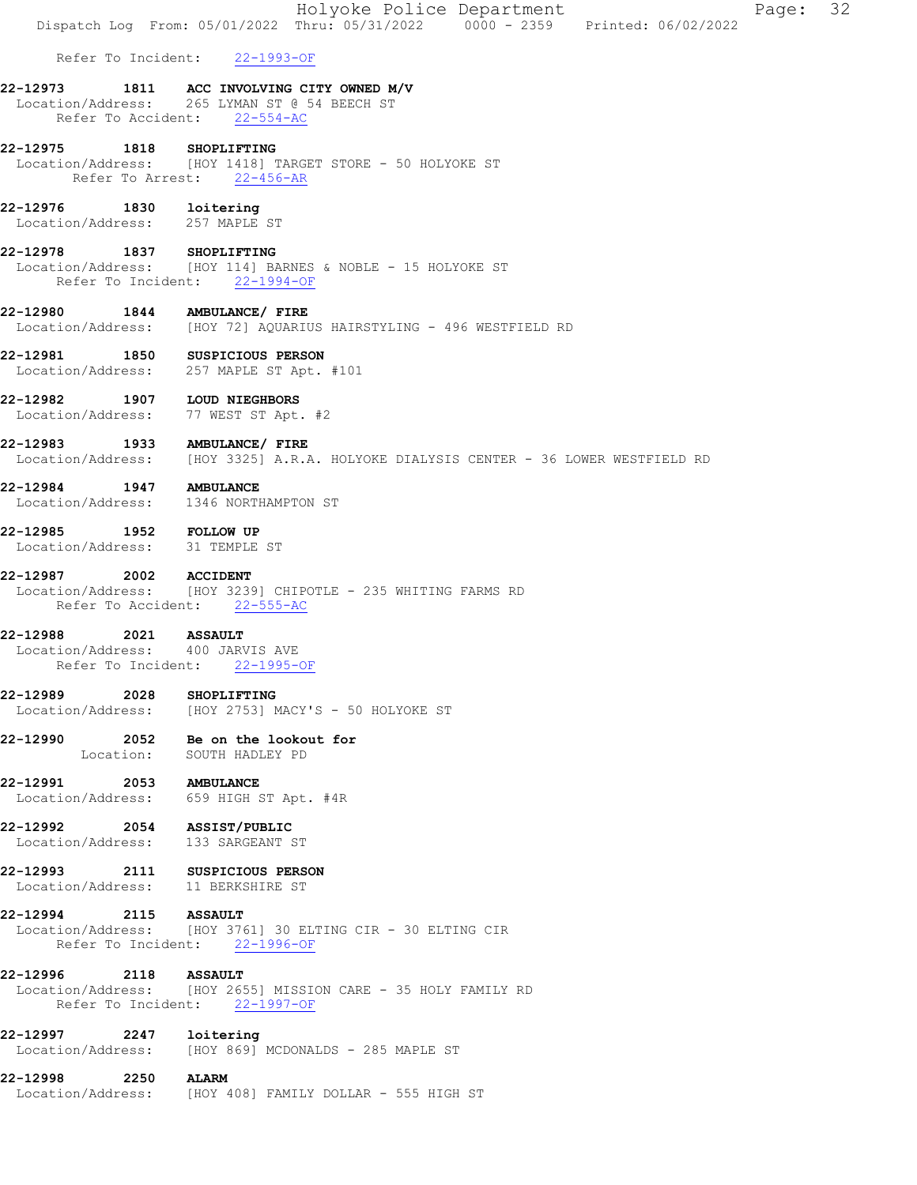|                         |                                                                                   | Holyoke Police Department<br>Dispatch Log From: 05/01/2022 Thru: 05/31/2022   0000 - 2359   Printed: 06/02/2022 |  | Page: 32 |  |
|-------------------------|-----------------------------------------------------------------------------------|-----------------------------------------------------------------------------------------------------------------|--|----------|--|
|                         | Refer To Incident: 22-1993-OF                                                     |                                                                                                                 |  |          |  |
| 22-12973                | 1811 ACC INVOLVING CITY OWNED M/V<br>Location/Address: 265 LYMAN ST @ 54 BEECH ST |                                                                                                                 |  |          |  |
|                         | Refer To Accident: 22-554-AC                                                      |                                                                                                                 |  |          |  |
|                         | 22-12975 1818 SHOPLIFTING<br>Refer To Arrest: 22-456-AR                           | Location/Address: [HOY 1418] TARGET STORE - 50 HOLYOKE ST                                                       |  |          |  |
| 22-12976 1830 loitering | Location/Address: 257 MAPLE ST                                                    |                                                                                                                 |  |          |  |
| 22-12978                | 1837 SHOPLIFTING<br>Refer To Incident: 22-1994-OF                                 | Location/Address: [HOY 114] BARNES & NOBLE - 15 HOLYOKE ST                                                      |  |          |  |
|                         | 22-12980 1844 AMBULANCE/ FIRE                                                     | Location/Address: [HOY 72] AQUARIUS HAIRSTYLING - 496 WESTFIELD RD                                              |  |          |  |
| 22-12981                | 1850 SUSPICIOUS PERSON<br>Location/Address: 257 MAPLE ST Apt. #101                |                                                                                                                 |  |          |  |
|                         | 22-12982 1907 LOUD NIEGHBORS<br>Location/Address: 77 WEST ST Apt. #2              |                                                                                                                 |  |          |  |
| 22-12983                | 1933 AMBULANCE/ FIRE                                                              | Location/Address: [HOY 3325] A.R.A. HOLYOKE DIALYSIS CENTER - 36 LOWER WESTFIELD RD                             |  |          |  |
|                         | 22-12984 1947 AMBULANCE<br>Location/Address: 1346 NORTHAMPTON ST                  |                                                                                                                 |  |          |  |
| 22-12985                | 1952 FOLLOW UP<br>Location/Address: 31 TEMPLE ST                                  |                                                                                                                 |  |          |  |
| 22-12987 2002 ACCIDENT  | Refer To Accident: 22-555-AC                                                      | Location/Address: [HOY 3239] CHIPOTLE - 235 WHITING FARMS RD                                                    |  |          |  |
| 22-12988                | 2021 ASSAULT<br>Location/Address: 400 JARVIS AVE<br>Refer To Incident: 22-1995-OF |                                                                                                                 |  |          |  |
|                         | 22-12989 2028 SHOPLIFTING                                                         | Location/Address: [HOY 2753] MACY'S - 50 HOLYOKE ST                                                             |  |          |  |
|                         | 22-12990 2052 Be on the lookout for<br>Location: SOUTH HADLEY PD                  |                                                                                                                 |  |          |  |
| 22-12991 2053 AMBULANCE | Location/Address: 659 HIGH ST Apt. #4R                                            |                                                                                                                 |  |          |  |
|                         | 22-12992 2054 ASSIST/PUBLIC<br>Location/Address: 133 SARGEANT ST                  |                                                                                                                 |  |          |  |
|                         | 22-12993 2111 SUSPICIOUS PERSON<br>Location/Address: 11 BERKSHIRE ST              |                                                                                                                 |  |          |  |
| 22-12994 2115 ASSAULT   | Refer To Incident: 22-1996-OF                                                     | Location/Address: [HOY 3761] 30 ELTING CIR - 30 ELTING CIR                                                      |  |          |  |
| 22-12996 2118 ASSAULT   | Refer To Incident: 22-1997-OF                                                     | Location/Address: [HOY 2655] MISSION CARE - 35 HOLY FAMILY RD                                                   |  |          |  |
| 22-12997 2247           | loitering                                                                         | Location/Address: [HOY 869] MCDONALDS - 285 MAPLE ST                                                            |  |          |  |
| 22-12998 2250 ALARM     |                                                                                   | Location/Address: [HOY 408] FAMILY DOLLAR - 555 HIGH ST                                                         |  |          |  |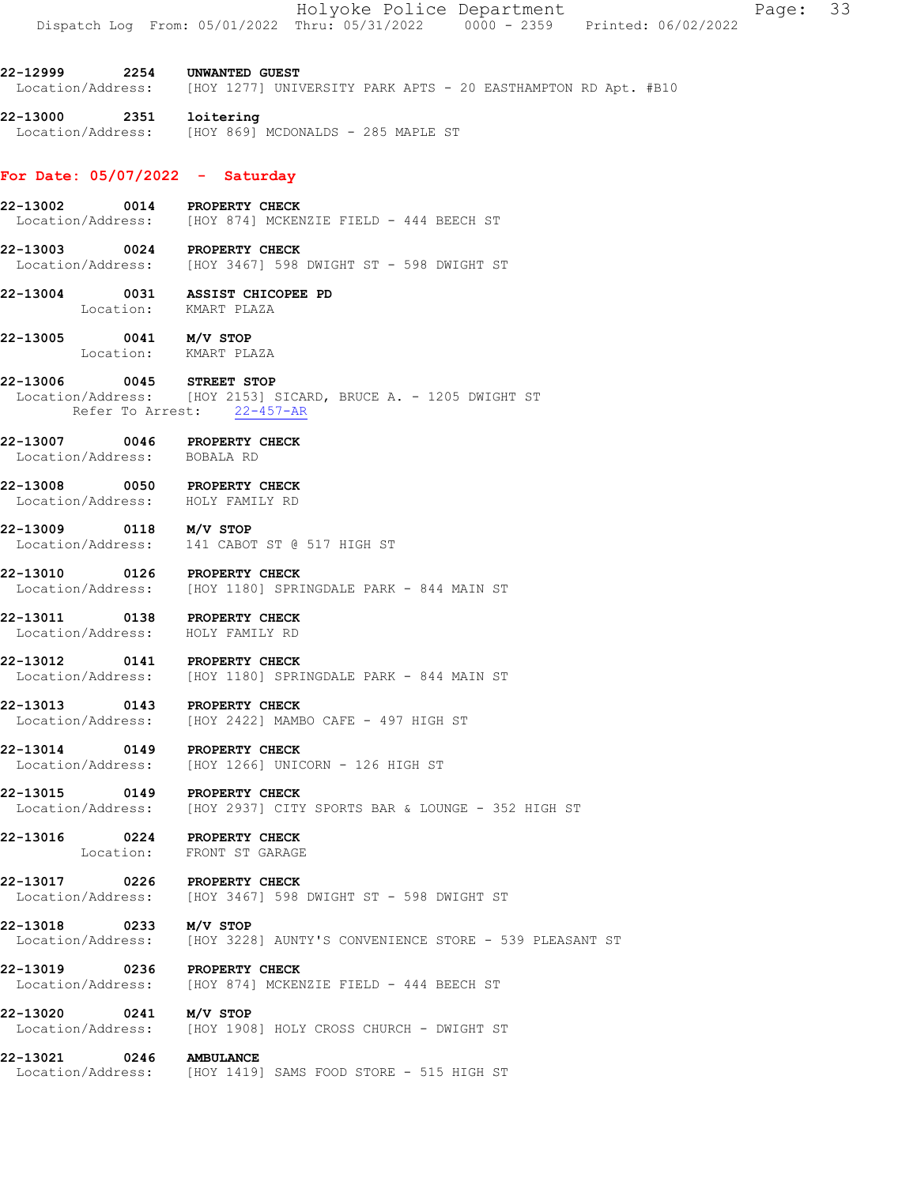22-12999 2254 UNWANTED GUEST Location/Address: [HOY 1277] UNIVERSITY PARK APTS - 20 EASTHAMPTON RD Apt. #B10

22-13000 2351 loitering Location/Address: [HOY 869] MCDONALDS - 285 MAPLE ST

#### For Date: 05/07/2022 - Saturday

- 22-13002 0014 PROPERTY CHECK Location/Address: [HOY 874] MCKENZIE FIELD - 444 BEECH ST
- 22-13003 0024 PROPERTY CHECK Location/Address: [HOY 3467] 598 DWIGHT ST - 598 DWIGHT ST
- 22-13004 0031 ASSIST CHICOPEE PD Location: KMART PLAZA
- **22-13005 0041 M/V STOP**<br>Location: KMART PL<sub>2</sub> KMART PLAZA
- 22-13006 0045 STREET STOP Location/Address: [HOY 2153] SICARD, BRUCE A. - 1205 DWIGHT ST Refer To Arrest: 22-457-AR
- 22-13007 0046 PROPERTY CHECK Location/Address: BOBALA RD
- 22-13008 0050 PROPERTY CHECK Location/Address: HOLY FAMILY RD
- 22-13009 0118 M/V STOP Location/Address: 141 CABOT ST @ 517 HIGH ST
- 22-13010 0126 PROPERTY CHECK<br>Location/Address: [HOY 1180] SPRI [HOY 1180] SPRINGDALE PARK - 844 MAIN ST
- 22-13011 0138 PROPERTY CHECK Location/Address: HOLY FAMILY RD
- 22-13012 0141 PROPERTY CHECK Location/Address: [HOY 1180] SPRINGDALE PARK - 844 MAIN ST
- 22-13013 0143 PROPERTY CHECK Location/Address: [HOY 2422] MAMBO CAFE - 497 HIGH ST
- 22-13014 0149 PROPERTY CHECK Location/Address: [HOY 1266] UNICORN - 126 HIGH ST
- 22-13015 0149 PROPERTY CHECK Location/Address: [HOY 2937] CITY SPORTS BAR & LOUNGE - 352 HIGH ST
- 22-13016 0224 PROPERTY CHECK Location: FRONT ST GARAGE
- 22-13017 0226 PROPERTY CHECK Location/Address: [HOY 3467] 598 DWIGHT ST - 598 DWIGHT ST
- 22-13018 0233 M/V STOP
- Location/Address: [HOY 3228] AUNTY'S CONVENIENCE STORE 539 PLEASANT ST
- 22-13019 0236 PROPERTY CHECK<br>Location/Address: [HOY 874] MCKER [HOY 874] MCKENZIE FIELD - 444 BEECH ST
- 22-13020 0241 M/V STOP Location/Address: [HOY 1908] HOLY CROSS CHURCH - DWIGHT ST
- **22-13021 0246 AMBULANCE**<br>Location/Address: [HOY 1419] [HOY 1419] SAMS FOOD STORE - 515 HIGH ST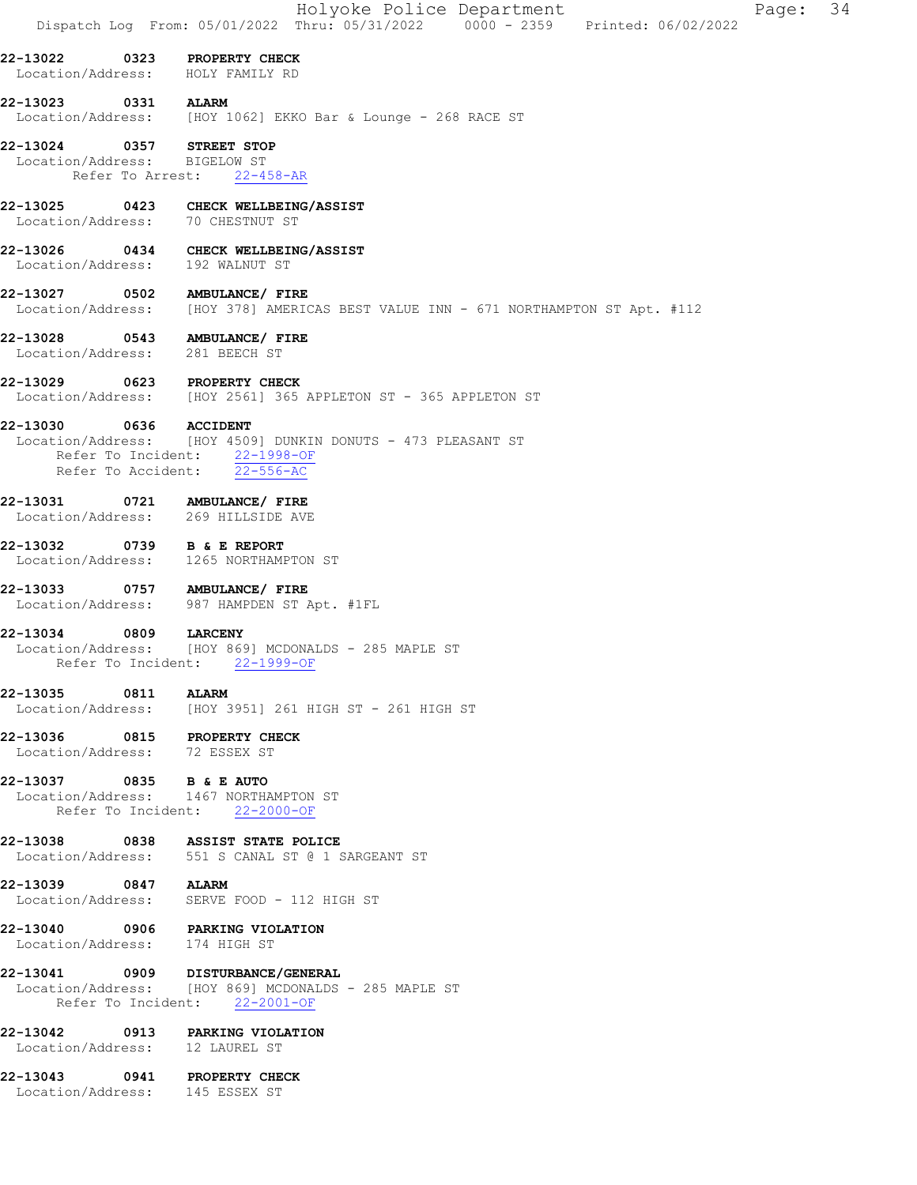|                               | Holyoke Police Department<br>Page: 34<br>Dispatch Log From: 05/01/2022 Thru: 05/31/2022 0000 - 2359 Printed: 06/02/2022                        |
|-------------------------------|------------------------------------------------------------------------------------------------------------------------------------------------|
| 22-13022                      | 0323 PROPERTY CHECK<br>Location/Address: HOLY FAMILY RD                                                                                        |
| 22-13023 0331 ALARM           | Location/Address: [HOY 1062] EKKO Bar & Lounge - 268 RACE ST                                                                                   |
| 22-13024 0357 STREET STOP     | Location/Address: BIGELOW ST<br>Refer To Arrest: 22-458-AR                                                                                     |
|                               | 22-13025 0423 CHECK WELLBEING/ASSIST<br>Location/Address: 70 CHESTNUT ST                                                                       |
| 22-13026                      | 0434 CHECK WELLBEING/ASSIST<br>Location/Address: 192 WALNUT ST                                                                                 |
|                               | 22-13027 0502 AMBULANCE/ FIRE<br>Location/Address: [HOY 378] AMERICAS BEST VALUE INN - 671 NORTHAMPTON ST Apt. #112                            |
| 22-13028                      | 0543 AMBULANCE/ FIRE<br>Location/Address: 281 BEECH ST                                                                                         |
|                               | 22-13029 0623 PROPERTY CHECK<br>Location/Address: [HOY 2561] 365 APPLETON ST - 365 APPLETON ST                                                 |
| 22-13030                      | 0636 ACCIDENT<br>Location/Address: [HOY 4509] DUNKIN DONUTS - 473 PLEASANT ST<br>Refer To Incident: 22-1998-OF<br>Refer To Accident: 22-556-AC |
| 22-13031                      | 0721 AMBULANCE/ FIRE<br>Location/Address: 269 HILLSIDE AVE                                                                                     |
|                               | 22-13032 0739 B & E REPORT<br>Location/Address: 1265 NORTHAMPTON ST                                                                            |
| 22-13033                      | 0757 AMBULANCE/ FIRE<br>Location/Address: 987 HAMPDEN ST Apt. #1FL                                                                             |
| 22-13034                      | 0809 LARCENY<br>Location/Address: [HOY 869] MCDONALDS - 285 MAPLE ST<br>Refer To Incident: 22-1999-OF                                          |
| 22-13035 0811 ALARM           | Location/Address: [HOY 3951] 261 HIGH ST - 261 HIGH ST                                                                                         |
| Location/Address: 72 ESSEX ST | 22-13036 0815 PROPERTY CHECK                                                                                                                   |
| 22-13037 0835 B & E AUTO      | Location/Address: 1467 NORTHAMPTON ST<br>Refer To Incident: 22-2000-OF                                                                         |
|                               | 22-13038 0838 ASSIST STATE POLICE<br>Location/Address: 551 S CANAL ST @ 1 SARGEANT ST                                                          |
| 22-13039 0847 ALARM           | Location/Address: SERVE FOOD - 112 HIGH ST                                                                                                     |
|                               | 22-13040 0906 PARKING VIOLATION<br>Location/Address: 174 HIGH ST                                                                               |
|                               | 22-13041 0909 DISTURBANCE/GENERAL<br>Location/Address: [HOY 869] MCDONALDS - 285 MAPLE ST<br>Refer To Incident: 22-2001-OF                     |
|                               | 22-13042 0913 PARKING VIOLATION<br>Location/Address: 12 LAUREL ST                                                                              |
|                               | 22-13043 0941 PROPERTY CHECK<br>Location/Address: 145 ESSEX ST                                                                                 |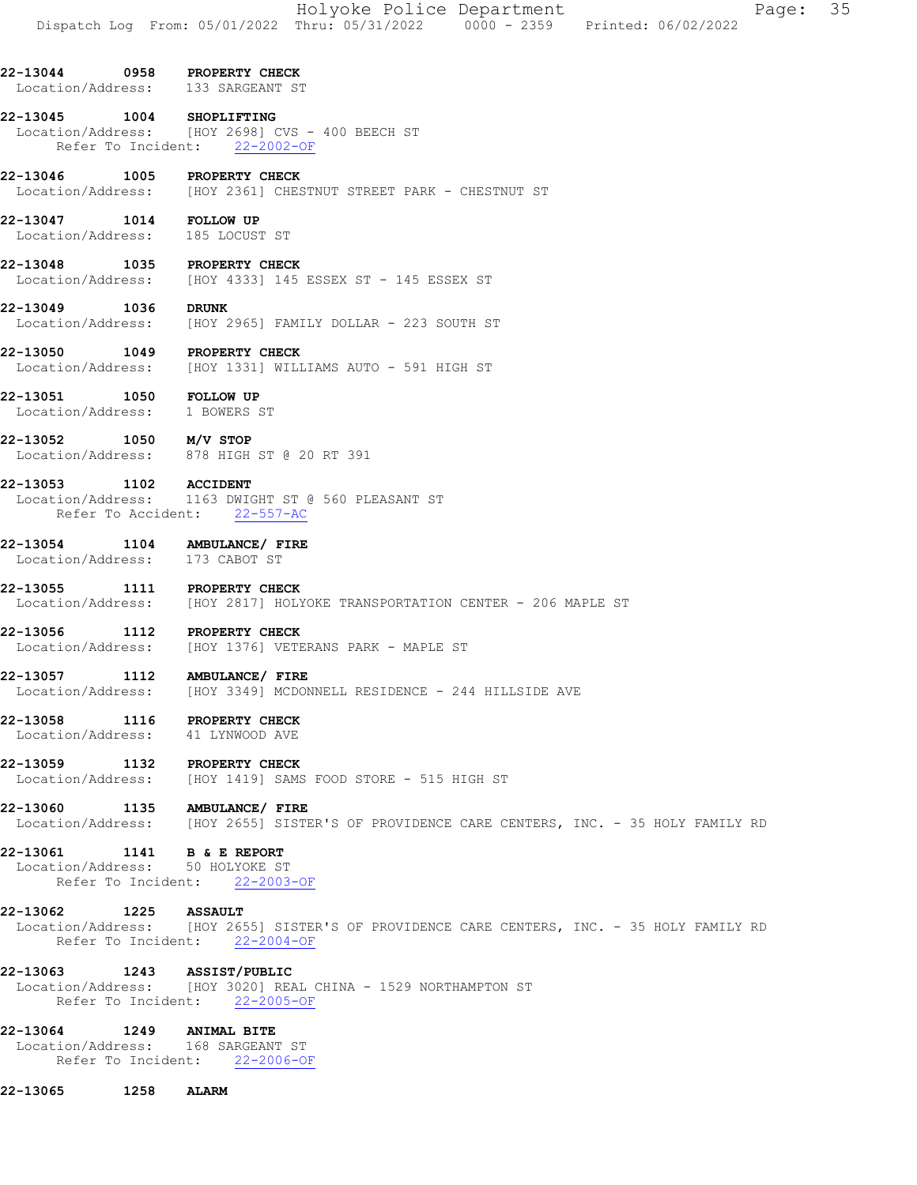22-13044 0958 PROPERTY CHECK Location/Address: 133 SARGEANT ST

#### 22-13045 1004 SHOPLIFTING Location/Address: [HOY 2698] CVS - 400 BEECH ST Refer To Incident: 22-2002-OF

## 22-13046 1005 PROPERTY CHECK Location/Address: [HOY 2361] CHESTNUT STREET PARK - CHESTNUT ST

- 22-13047 1014 FOLLOW UP Location/Address: 185 LOCUST ST
- 22-13048 1035 PROPERTY CHECK Location/Address: [HOY 4333] 145 ESSEX ST - 145 ESSEX ST

## 22-13049 1036 DRUNK Location/Address: [HOY 2965] FAMILY DOLLAR - 223 SOUTH ST

## 22-13050 1049 PROPERTY CHECK<br>Location/Address: [HOY 1331] WILI [HOY 1331] WILLIAMS AUTO - 591 HIGH ST

- 22-13051 1050 FOLLOW UP<br>
Location/Address: 1 BOWERS ST Location/Address:
- 22-13052 1050 M/V STOP Location/Address: 878 HIGH ST @ 20 RT 391

## 22-13053 1102 ACCIDENT

- Location/Address: 1163 DWIGHT ST @ 560 PLEASANT ST Refer To Accident: 22-557-AC
- 22-13054 1104 AMBULANCE/FIRE<br>Location/Address: 173 CABOT ST Location/Address:
- 22-13055 1111 PROPERTY CHECK Location/Address: [HOY 2817] HOLYOKE TRANSPORTATION CENTER - 206 MAPLE ST
- 22-13056 1112 PROPERTY CHECK Location/Address: [HOY 1376] VETERANS PARK - MAPLE ST

## 22-13057 1112 AMBULANCE/ FIRE Location/Address: [HOY 3349] MCDONNELL RESIDENCE - 244 HILLSIDE AVE

## 22-13058 1116 PROPERTY CHECK Location/Address: 41 LYNWOOD AVE

- 22-13059 1132 PROPERTY CHECK<br>Location/Address: [HOY 1419] SAMS [HOY 1419] SAMS FOOD STORE - 515 HIGH ST
- 22-13060 1135 AMBULANCE/ FIRE Location/Address: [HOY 2655] SISTER'S OF PROVIDENCE CARE CENTERS, INC. - 35 HOLY FAMILY RD

# 22-13061 1141 B & E REPORT<br>Location/Address: 50 HOLYOKE ST

```
Location/Address: 50 HOLYOKE ST<br>Refer To Incident: 22-2003-OF
       Refer To Incident:
```
# 22-13062 1225 ASSAULT

 Location/Address: [HOY 2655] SISTER'S OF PROVIDENCE CARE CENTERS, INC. - 35 HOLY FAMILY RD Refer To Incident: 22-2004-OF

## 22-13063 1243 ASSIST/PUBLIC

 Location/Address: [HOY 3020] REAL CHINA - 1529 NORTHAMPTON ST Refer To Incident: 22-2005-OF

## 22-13064 1249 ANIMAL BITE

- Location/Address: 168 SARGEANT ST Refer To Incident: 22-2006-OF
- 22-13065 1258 ALARM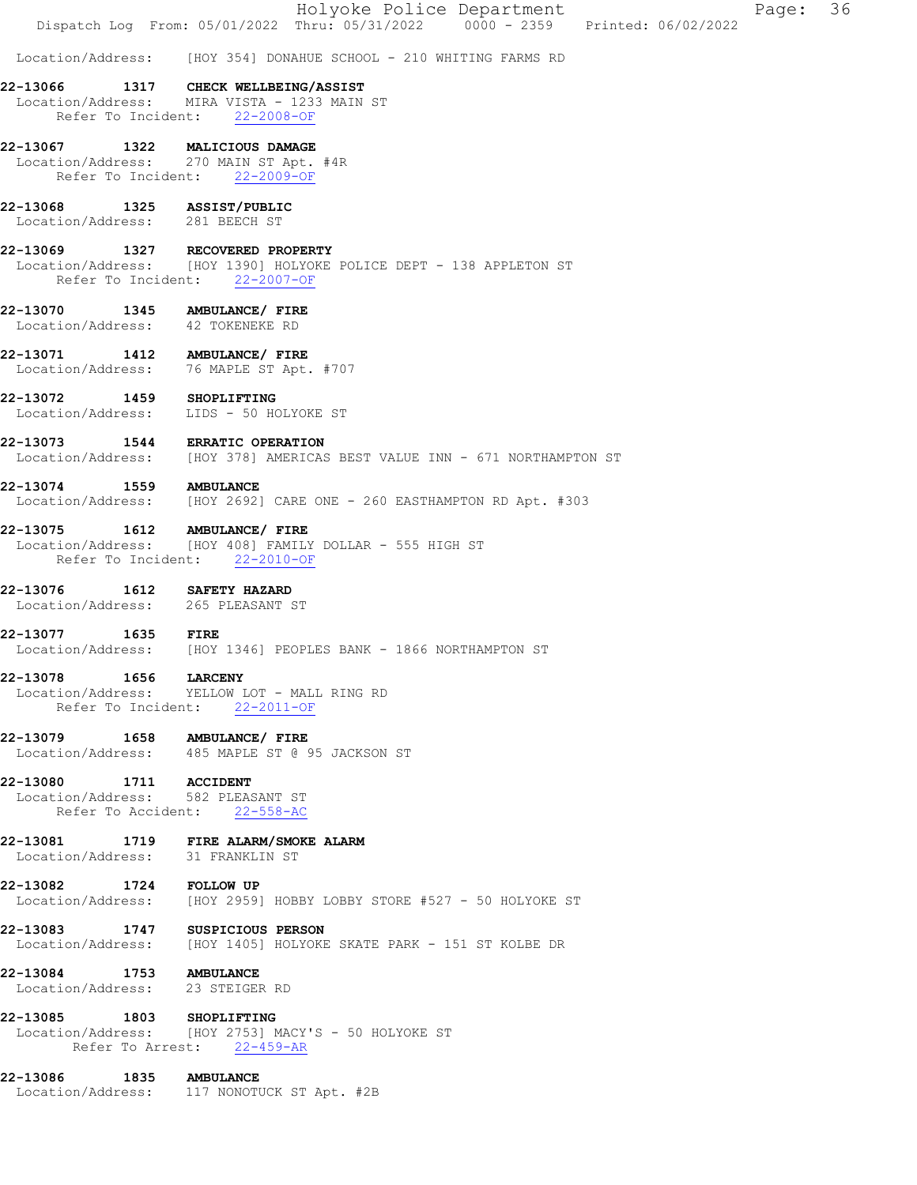|                                                               |           | 36<br>Holyoke Police Department<br>Page:<br>Dispatch Log From: 05/01/2022 Thru: 05/31/2022 0000 - 2359 Printed: 06/02/2022              |
|---------------------------------------------------------------|-----------|-----------------------------------------------------------------------------------------------------------------------------------------|
|                                                               |           | Location/Address: [HOY 354] DONAHUE SCHOOL - 210 WHITING FARMS RD                                                                       |
| 22-13066                                                      |           | 1317 CHECK WELLBEING/ASSIST<br>Location/Address: MIRA VISTA - 1233 MAIN ST<br>Refer To Incident: 22-2008-OF                             |
|                                                               |           | 22-13067 1322 MALICIOUS DAMAGE<br>Location/Address: 270 MAIN ST Apt. #4R<br>Refer To Incident: 22-2009-OF                               |
| 22-13068 1325 ASSIST/PUBLIC<br>Location/Address: 281 BEECH ST |           |                                                                                                                                         |
|                                                               |           | 22-13069 1327 RECOVERED PROPERTY<br>Location/Address: [HOY 1390] HOLYOKE POLICE DEPT - 138 APPLETON ST<br>Refer To Incident: 22-2007-OF |
|                                                               |           | 22-13070   1345   AMBULANCE/ FIRE<br>Location/Address: 42 TOKENEKE RD                                                                   |
|                                                               |           | 22-13071 1412 AMBULANCE/ FIRE<br>Location/Address: 76 MAPLE ST Apt. #707                                                                |
| 22-13072 1459 SHOPLIFTING                                     |           | Location/Address: LIDS - 50 HOLYOKE ST                                                                                                  |
|                                                               |           | 22-13073 1544 ERRATIC OPERATION<br>Location/Address: [HOY 378] AMERICAS BEST VALUE INN - 671 NORTHAMPTON ST                             |
| 22-13074 1559 AMBULANCE                                       |           | Location/Address: [HOY 2692] CARE ONE - 260 EASTHAMPTON RD Apt. #303                                                                    |
|                                                               |           | 22-13075   1612   AMBULANCE/ FIRE<br>Location/Address: [HOY 408] FAMILY DOLLAR - 555 HIGH ST<br>Refer To Incident: 22-2010-OF           |
| 22-13076   1612   SAFETY HAZARD                               |           | Location/Address: 265 PLEASANT ST                                                                                                       |
| 22-13077                                                      | 1635 FIRE | Location/Address: [HOY 1346] PEOPLES BANK - 1866 NORTHAMPTON ST                                                                         |
| 22-13078 1656 LARCENY                                         |           | Location/Address: YELLOW LOT - MALL RING RD<br>Refer To Incident: 22-2011-OF                                                            |
|                                                               |           | 22-13079 1658 AMBULANCE/ FIRE<br>Location/Address: 485 MAPLE ST @ 95 JACKSON ST                                                         |
| 22-13080 1711 ACCIDENT                                        |           | Location/Address: 582 PLEASANT ST<br>Refer To Accident: 22-558-AC                                                                       |
|                                                               |           | 22-13081 1719 FIRE ALARM/SMOKE ALARM<br>Location/Address: 31 FRANKLIN ST                                                                |
| 22-13082 1724 FOLLOW UP                                       |           | Location/Address: [HOY 2959] HOBBY LOBBY STORE #527 - 50 HOLYOKE ST                                                                     |
|                                                               |           | 22-13083 1747 SUSPICIOUS PERSON<br>Location/Address: [HOY 1405] HOLYOKE SKATE PARK - 151 ST KOLBE DR                                    |
| 22-13084<br>Location/Address: 23 STEIGER RD                   |           | 1753 AMBULANCE                                                                                                                          |
| 22-13085 1803 SHOPLIFTING                                     |           | Location/Address: [HOY 2753] MACY'S - 50 HOLYOKE ST<br>Refer To Arrest: 22-459-AR                                                       |
| 22-13086 1835 AMBULANCE                                       |           | Location/Address: 117 NONOTUCK ST Apt. #2B                                                                                              |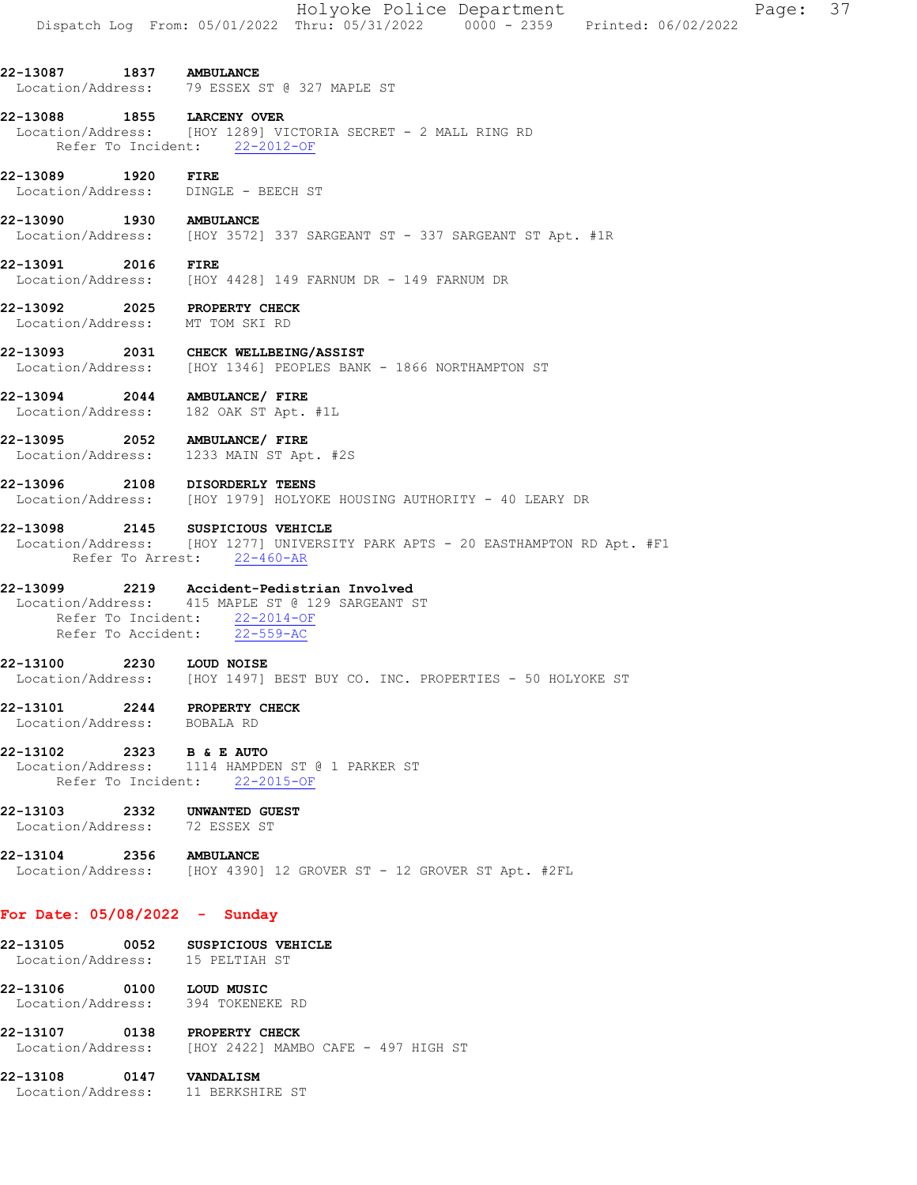22-13087 1837 AMBULANCE<br>Location/Address: 79 ESSEX 3 Location/Address: 79 ESSEX ST @ 327 MAPLE ST

#### 22-13088 1855 LARCENY OVER Location/Address: [HOY 1289] VICTORIA SECRET - 2 MALL RING RD Refer To Incident: 22-2012-OF

22-13089 1920 FIRE Location/Address: DINGLE - BEECH ST

- 22-13090 1930 AMBULANCE Location/Address: [HOY 3572] 337 SARGEANT ST - 337 SARGEANT ST Apt. #1R
- 22-13091 2016 FIRE Location/Address: [HOY 4428] 149 FARNUM DR - 149 FARNUM DR
- 22-13092 2025 PROPERTY CHECK Location/Address: MT TOM SKI RD
- 22-13093 2031 CHECK WELLBEING/ASSIST<br>Location/Address: [HOY 1346] PEOPLES BANK [HOY 1346] PEOPLES BANK - 1866 NORTHAMPTON ST
- 22-13094 2044 AMBULANCE/FIRE<br>Location/Address: 182 OAK ST Apt. 182 OAK ST Apt. #1L
- 22-13095 2052 AMBULANCE/ FIRE Location/Address: 1233 MAIN ST Apt. #2S
- 22-13096 2108 DISORDERLY TEENS Location/Address: [HOY 1979] HOLYOKE HOUSING AUTHORITY - 40 LEARY DR
- 22-13098 2145 SUSPICIOUS VEHICLE
- Location/Address: [HOY 1277] UNIVERSITY PARK APTS 20 EASTHAMPTON RD Apt. #F1 Refer To Arrest: 22-460-AR
- 22-13099 2219 Accident-Pedistrian Involved

 Location/Address: 415 MAPLE ST @ 129 SARGEANT ST Refer To Incident:  $\frac{22-2014-OF}{22-559-AC}$ Refer To Accident:

- 22-13100 2230 LOUD NOISE Location/Address: [HOY 1497] BEST BUY CO. INC. PROPERTIES - 50 HOLYOKE ST
- 22-13101 2244 PROPERTY CHECK
- Location/Address: BOBALA RD
- 22-13102 2323 B & E AUTO Location/Address: 1114 HAMPDEN ST @ 1 PARKER ST Refer To Incident: 22-2015-OF
- 22-13103 2332 UNWANTED GUEST<br>Location/Address: 72 ESSEX ST Location/Address:
- 22-13104 2356 AMBULANCE Location/Address: [HOY 4390] 12 GROVER ST - 12 GROVER ST Apt. #2FL

# For Date: 05/08/2022 - Sunday

- 22-13105 0052 SUSPICIOUS VEHICLE Location/Address: 15 PELTIAH ST
- 22-13106 0100 LOUD MUSIC<br>Location/Address: 394 TOKENEKE RD Location/Address:
- 22-13107 0138 PROPERTY CHECK<br>Location/Address: [HOY 2422] MAMP  $[HOY 2422]$  MAMBO CAFE - 497 HIGH ST

# 22-13108 0147 VANDALISM Location/Address: 11 BERKSHIRE ST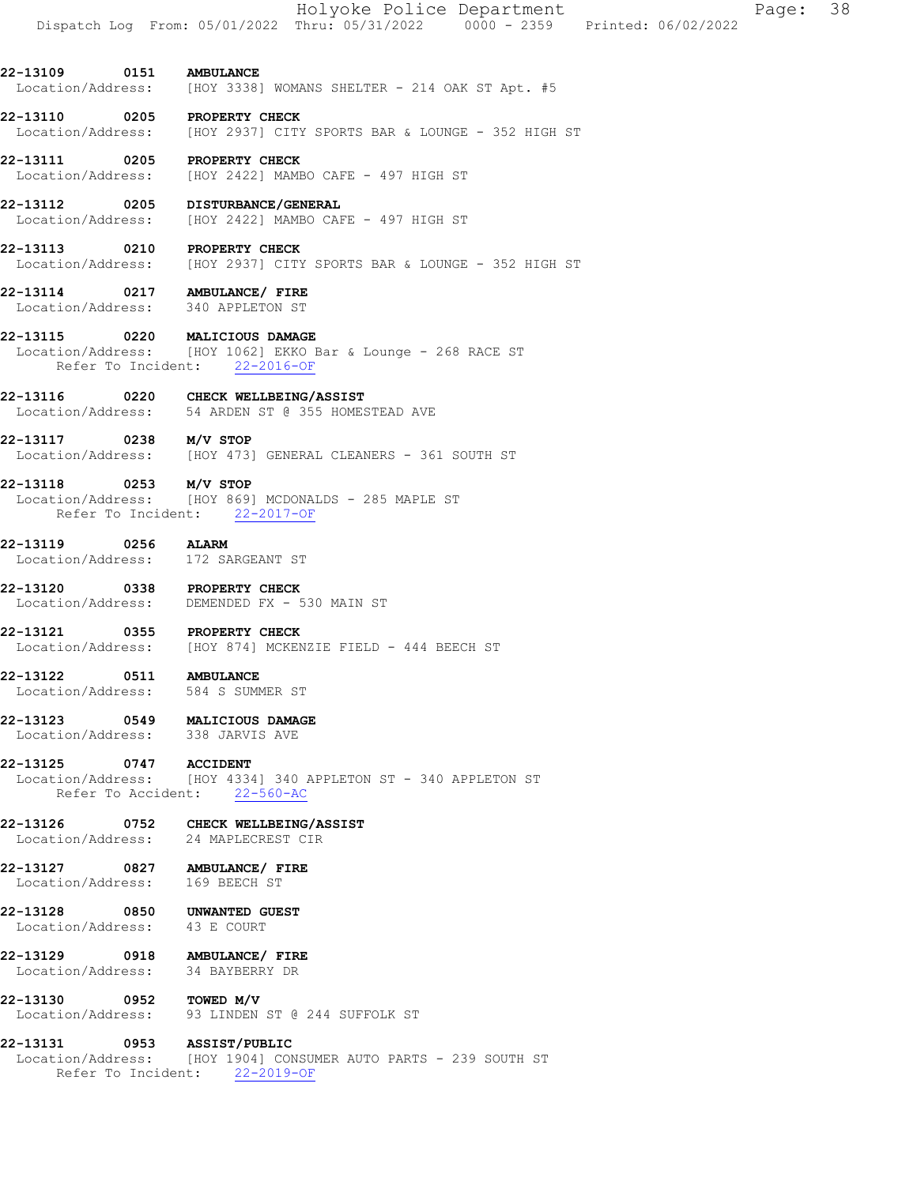22-13110 0205 PROPERTY CHECK<br>Location/Address: [HOY 2937] CITY [HOY 2937] CITY SPORTS BAR & LOUNGE - 352 HIGH ST

22-13111 0205 PROPERTY CHECK Location/Address: [HOY 2422] MAMBO CAFE - 497 HIGH ST

22-13112 0205 DISTURBANCE/GENERAL<br>Location/Address: [HOY 2422] MAMBO CAE [HOY 2422] MAMBO CAFE - 497 HIGH ST

22-13113 0210 PROPERTY CHECK Location/Address: [HOY 2937] CITY SPORTS BAR & LOUNGE - 352 HIGH ST

22-13114 0217 AMBULANCE/ FIRE Location/Address: 340 APPLETON ST

22-13115 0220 MALICIOUS DAMAGE

 Location/Address: [HOY 1062] EKKO Bar & Lounge - 268 RACE ST Refer To Incident: 22-2016-OF

22-13116 0220 CHECK WELLBEING/ASSIST<br>Location/Address: 54 ARDEN ST @ 355 HOMES 54 ARDEN ST @ 355 HOMESTEAD AVE

22-13117 0238 M/V STOP Location/Address: [HOY 473] GENERAL CLEANERS - 361 SOUTH ST

22-13118 0253 M/V STOP

 Location/Address: [HOY 869] MCDONALDS - 285 MAPLE ST Refer To Incident: 22-2017-OF

22-13119 0256 ALARM<br>Location/Address: 172 SARGEANT ST Location/Address:

22-13120 0338 PROPERTY CHECK Location/Address: DEMENDED FX - 530 MAIN ST

22-13121 0355 PROPERTY CHECK Location/Address: [HOY 874] MCKENZIE FIELD - 444 BEECH ST

22-13122 0511 AMBULANCE

Location/Address: 584 S SUMMER ST

22-13123 0549 MALICIOUS DAMAGE Location/Address: 338 JARVIS AVE

22-13125 0747 ACCIDENT Location/Address: [HOY 4334] 340 APPLETON ST - 340 APPLETON ST Refer To Accident: 22-560-AC

22-13126 0752 CHECK WELLBEING/ASSIST Location/Address: 24 MAPLECREST CIR

22-13127 0827 AMBULANCE/FIRE<br>Location/Address: 169 BEECH ST Location/Address:

- 22-13128 0850 UNWANTED GUEST Location/Address: 43 E COURT
- 22-13129 0918 AMBULANCE/ FIRE Location/Address: 34 BAYBERRY DR

22-13130 0952 TOWED M/V<br>Location/Address: 93 LINDEN 93 LINDEN ST @ 244 SUFFOLK ST

22-13131 0953 ASSIST/PUBLIC<br>Location/Address: [HOY 1904] CON [HOY 1904] CONSUMER AUTO PARTS - 239 SOUTH ST Refer To Incident: 22-2019-OF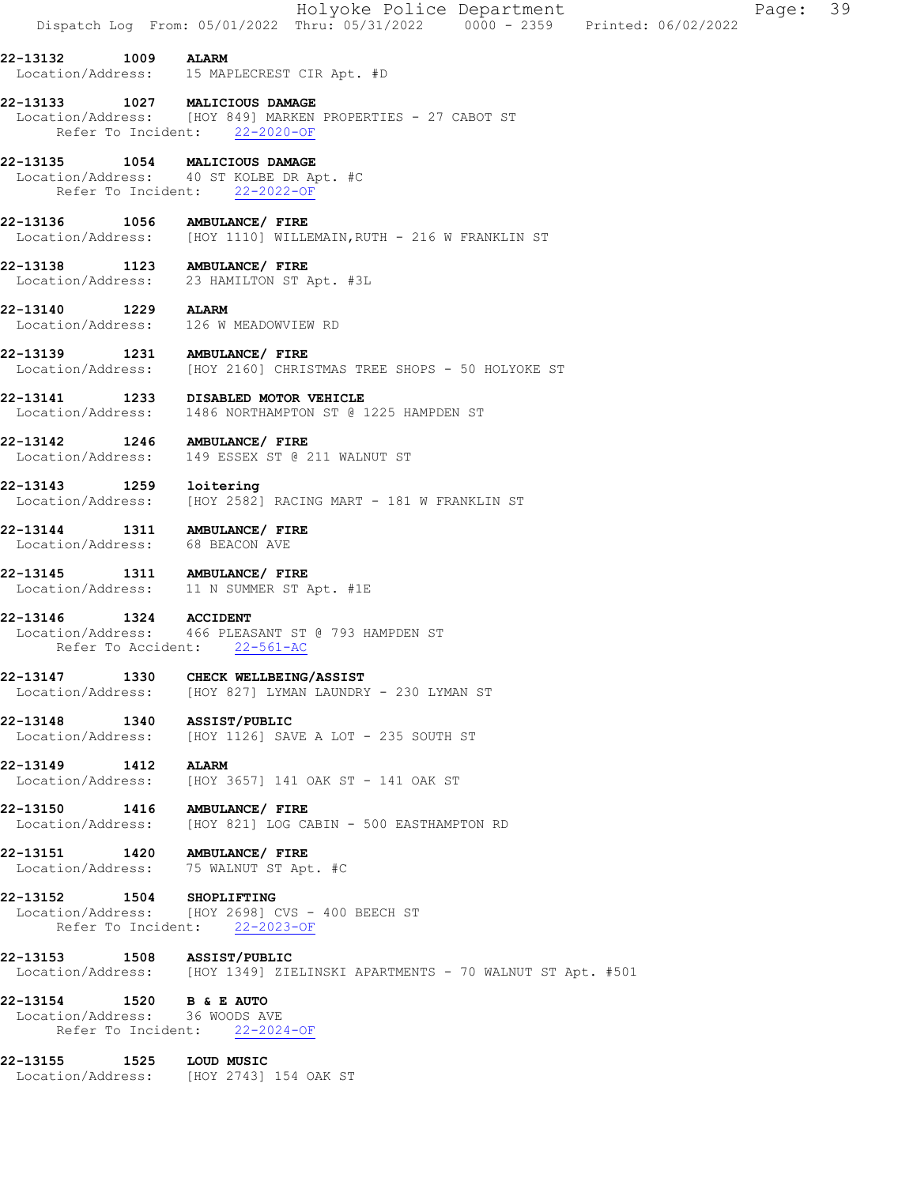22-13132 1009 ALARM Location/Address: 15 MAPLECREST CIR Apt. #D

22-13133 1027 MALICIOUS DAMAGE Location/Address: [HOY 849] MARKEN PROPERTIES - 27 CABOT ST Refer To Incident: 22-2020-OF

22-13135 1054 MALICIOUS DAMAGE Location/Address: 40 ST KOLBE DR Apt. #C Refer To Incident: 22-2022-OF

22-13136 1056 AMBULANCE/ FIRE Location/Address: [HOY 1110] WILLEMAIN, RUTH - 216 W FRANKLIN ST

22-13138 1123 AMBULANCE/ FIRE Location/Address: 23 HAMILTON ST Apt. #3L

22-13140 1229 ALARM Location/Address: 126 W MEADOWVIEW RD

22-13139 1231 AMBULANCE/ FIRE Location/Address: [HOY 2160] CHRISTMAS TREE SHOPS - 50 HOLYOKE ST

22-13141 1233 DISABLED MOTOR VEHICLE Location/Address: 1486 NORTHAMPTON ST @ 1225 HAMPDEN ST

22-13142 1246 AMBULANCE/ FIRE Location/Address: 149 ESSEX ST @ 211 WALNUT ST

22-13143 1259 loitering Location/Address: [HOY 2582] RACING MART - 181 W FRANKLIN ST

22-13144 1311 AMBULANCE/ FIRE Location/Address: 68 BEACON AVE

22-13145 1311 AMBULANCE/FIRE<br>Location/Address: 11 N SUMMER ST 1 11 N SUMMER ST Apt. #1E

22-13146 1324 ACCIDENT<br>Location/Address: 466 PLEAS 466 PLEASANT ST @ 793 HAMPDEN ST Refer To Accident: 22-561-AC

22-13147 1330 CHECK WELLBEING/ASSIST Location/Address: [HOY 827] LYMAN LAUNDRY - 230 LYMAN ST

22-13148 1340 ASSIST/PUBLIC Location/Address: [HOY 1126] SAVE A LOT - 235 SOUTH ST

22-13149 1412 ALARM Location/Address: [HOY 3657] 141 OAK ST - 141 OAK ST

22-13150 1416 AMBULANCE/ FIRE Location/Address: [HOY 821] LOG CABIN - 500 EASTHAMPTON RD

22-13151 1420 AMBULANCE/ FIRE Location/Address: 75 WALNUT ST Apt. #C

22-13152 1504 SHOPLIFTING Location/Address: [HOY 2698] CVS - 400 BEECH ST Refer To Incident: 22-2023-OF

22-13153 1508 ASSIST/PUBLIC Location/Address: [HOY 1349] ZIELINSKI APARTMENTS - 70 WALNUT ST Apt. #501

22-13154 1520 B & E AUTO

 Location/Address: 36 WOODS AVE Refer To Incident: 22-2024-OF

22-13155 1525 LOUD MUSIC Location/Address: [HOY 2743] 154 OAK ST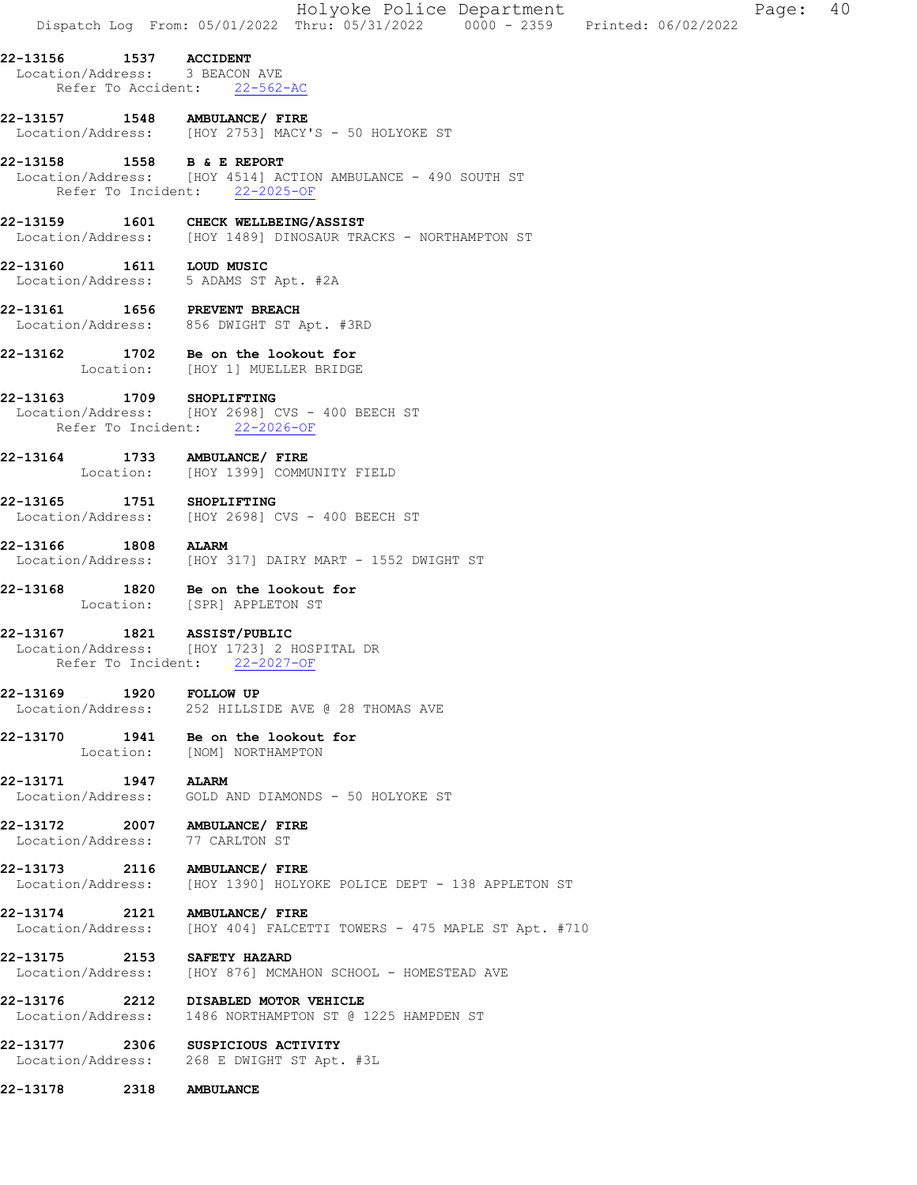|  | Holyoke Police Department |                                                                                | Page: $40$ |  |
|--|---------------------------|--------------------------------------------------------------------------------|------------|--|
|  |                           | Dispatch Log From: 05/01/2022 Thru: 05/31/2022 0000 - 2359 Printed: 06/02/2022 |            |  |

22-13156 1537 ACCIDENT

 Location/Address: 3 BEACON AVE Refer To Accident: 22-562-AC

22-13157 1548 AMBULANCE/ FIRE Location/Address: [HOY 2753] MACY'S - 50 HOLYOKE ST

## 22-13158 1558 B & E REPORT

 Location/Address: [HOY 4514] ACTION AMBULANCE - 490 SOUTH ST Refer To Incident: 22-2025-OF

22-13159 1601 CHECK WELLBEING/ASSIST

Location/Address: [HOY 1489] DINOSAUR TRACKS - NORTHAMPTON ST

22-13160 1611 LOUD MUSIC Location/Address: 5 ADAMS ST Apt. #2A

22-13161 1656 PREVENT BREACH Location/Address: 856 DWIGHT ST Apt. #3RD

22-13162 1702 Be on the lookout for<br>Location: [HOY 1] MUELLER BRIDGI [HOY 1] MUELLER BRIDGE

### 22-13163 1709 SHOPLIFTING

 Location/Address: [HOY 2698] CVS - 400 BEECH ST Refer To Incident: 22-2026-OF

22-13164 1733 AMBULANCE/ FIRE Location: [HOY 1399] COMMUNITY FIELD

22-13165 1751 SHOPLIFTING Location/Address: [HOY 2698] CVS - 400 BEECH ST

22-13166 1808 ALARM

Location/Address: [HOY 317] DAIRY MART - 1552 DWIGHT ST

22-13168 1820 Be on the lookout for Location: [SPR] APPLETON ST

22-13167 1821 ASSIST/PUBLIC<br>
Location/Address: [HOY 1723] 2 F

 Location/Address: [HOY 1723] 2 HOSPITAL DR Refer To Incident: 22-2027-OF

### 22-13169 1920 FOLLOW UP

Location/Address: 252 HILLSIDE AVE @ 28 THOMAS AVE

22-13170 1941 Be on the lookout for Location: [NOM] NORTHAMPTON

22-13171 1947 ALARM<br>Location/Address: GOLD A GOLD AND DIAMONDS - 50 HOLYOKE ST

22-13172 2007 AMBULANCE/ FIRE Location/Address: 77 CARLTON ST

22-13173 2116 AMBULANCE/ FIRE Location/Address: [HOY 1390] HOLYOKE POLICE DEPT - 138 APPLETON ST

22-13174 2121 AMBULANCE/ FIRE Location/Address: [HOY 404] FALCETTI TOWERS - 475 MAPLE ST Apt. #710

22-13175 2153 SAFETY HAZARD Location/Address: [HOY 876] MCMAHON SCHOOL - HOMESTEAD AVE

22-13176 2212 DISABLED MOTOR VEHICLE Location/Address: 1486 NORTHAMPTON ST @ 1225 HAMPDEN ST

22-13177 2306 SUSPICIOUS ACTIVITY Location/Address: 268 E DWIGHT ST Apt. #3L

22-13178 2318 AMBULANCE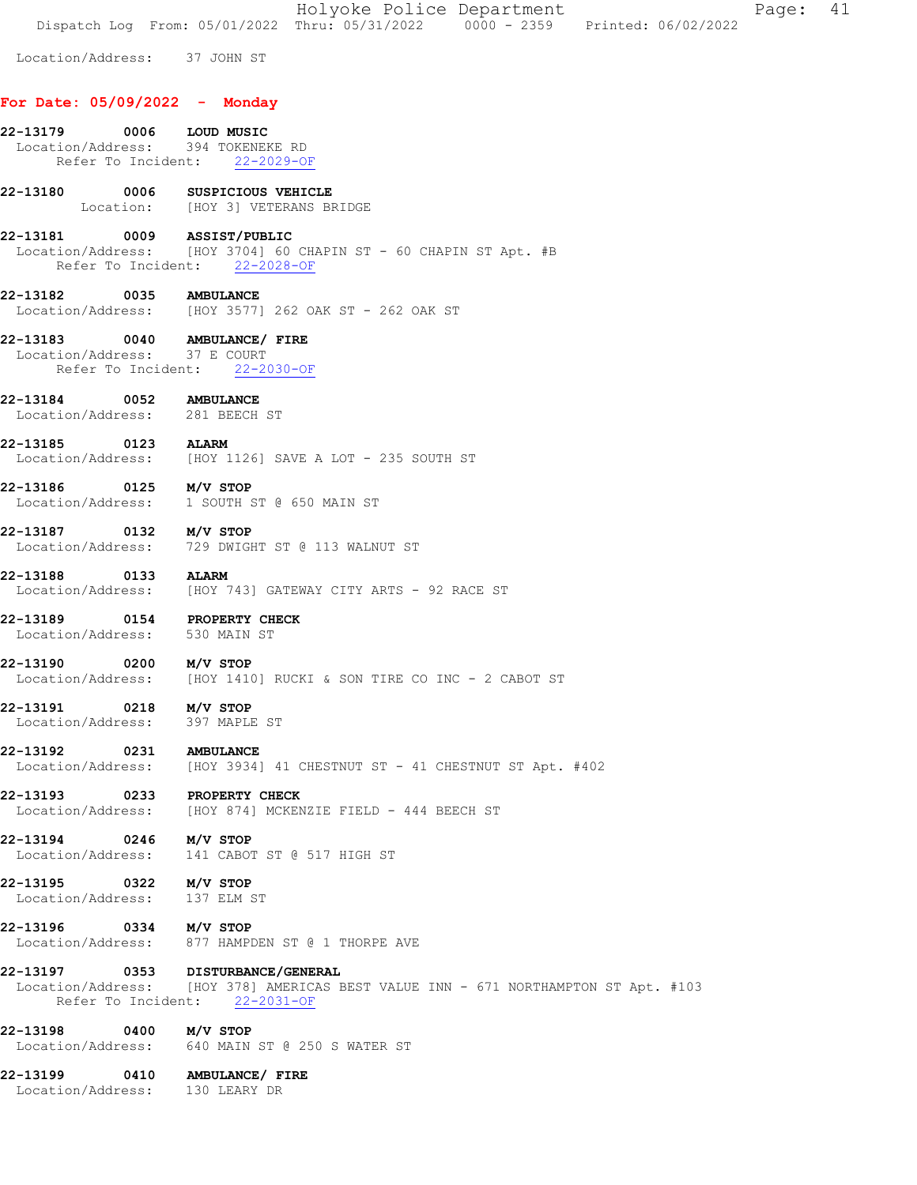Holyoke Police Department Fage: 41 Dispatch Log From: 05/01/2022 Thru: 05/31/2022 0000 - 2359 Printed: 06/02/2022

Location/Address: 37 JOHN ST

# For Date: 05/09/2022 - Monday

| 22-13179 0006 LOUD MUSIC<br>Location/Address: 394 TOKENEKE RD | Refer To Incident: 22-2029-OF                                                                                       |
|---------------------------------------------------------------|---------------------------------------------------------------------------------------------------------------------|
|                                                               | 22-13180 0006 SUSPICIOUS VEHICLE<br>Location: [HOY 3] VETERANS BRIDGE                                               |
| 22-13181 0009 ASSIST/PUBLIC                                   | Location/Address: [HOY 3704] 60 CHAPIN ST - 60 CHAPIN ST Apt. #B<br>Refer To Incident: 22-2028-OF                   |
| 22-13182 0035 AMBULANCE                                       | Location/Address: [HOY 3577] 262 OAK ST - 262 OAK ST                                                                |
| 22-13183 0040 AMBULANCE/ FIRE<br>Location/Address: 37 E COURT | Refer To Incident: 22-2030-OF                                                                                       |
| 22-13184 0052 AMBULANCE<br>Location/Address: 281 BEECH ST     |                                                                                                                     |
|                                                               | 22-13185 0123 ALARM<br>Location/Address: [HOY 1126] SAVE A LOT - 235 SOUTH ST                                       |
| 22-13186 0125 M/V STOP                                        | Location/Address: 1 SOUTH ST @ 650 MAIN ST                                                                          |
| 22-13187 0132 M/V STOP                                        | Location/Address: 729 DWIGHT ST @ 113 WALNUT ST                                                                     |
| 22-13188 0133 ALARM                                           | Location/Address: [HOY 743] GATEWAY CITY ARTS - 92 RACE ST                                                          |
| 22-13189 0154 PROPERTY CHECK<br>Location/Address: 530 MAIN ST |                                                                                                                     |
| 22-13190 0200 M/V STOP                                        | Location/Address: [HOY 1410] RUCKI & SON TIRE CO INC - 2 CABOT ST                                                   |
| 22-13191 0218 M/V STOP<br>Location/Address: 397 MAPLE ST      |                                                                                                                     |
| 22-13192 0231 AMBULANCE                                       | Location/Address: [HOY 3934] 41 CHESTNUT ST - 41 CHESTNUT ST Apt. #402                                              |
| 22-13193                                                      | 0233 PROPERTY CHECK<br>Location/Address: [HOY 874] MCKENZIE FIELD - 444 BEECH ST                                    |
| 22-13194 0246 M/V STOP                                        | Location/Address: 141 CABOT ST @ 517 HIGH ST                                                                        |
| 22-13195 0322 M/V STOP<br>Location/Address: 137 ELM ST        |                                                                                                                     |
| 22-13196 0334 M/V STOP                                        | Location/Address: 877 HAMPDEN ST @ 1 THORPE AVE                                                                     |
| 22-13197 0353 DISTURBANCE/GENERAL                             | Location/Address: [HOY 378] AMERICAS BEST VALUE INN - 671 NORTHAMPTON ST Apt. #103<br>Refer To Incident: 22-2031-OF |
| 22-13198 0400 M/V STOP                                        | Location/Address: 640 MAIN ST @ 250 S WATER ST                                                                      |

22-13199 0410 AMBULANCE/ FIRE Location/Address: 130 LEARY DR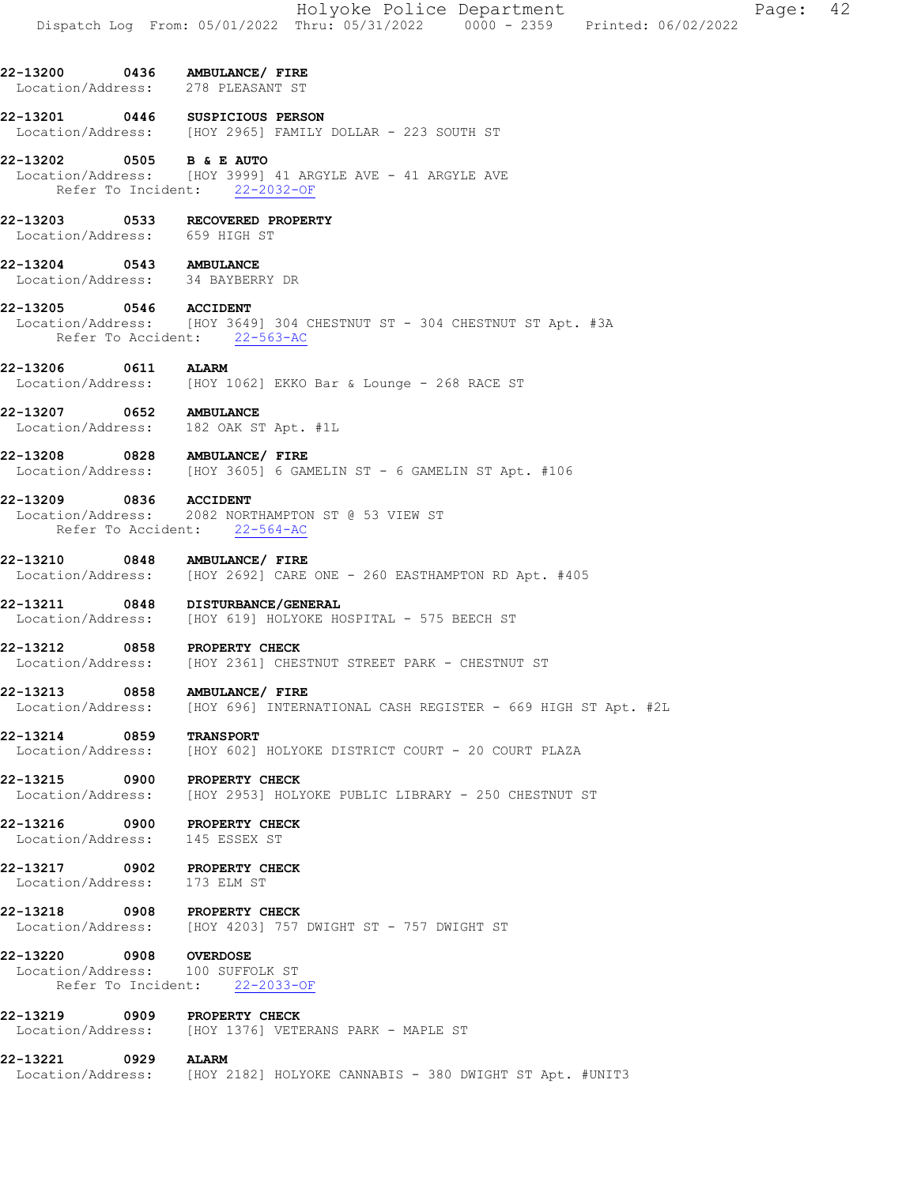|                                                                   |                                                  | Holyoke Police Department<br>Dispatch Log From: 05/01/2022 Thru: 05/31/2022 0000 - 2359 Printed: 06/02/2022 |  | Page: | 42 |
|-------------------------------------------------------------------|--------------------------------------------------|-------------------------------------------------------------------------------------------------------------|--|-------|----|
| 22-13200 0436 AMBULANCE/FIRE<br>Location/Address: 278 PLEASANT ST |                                                  |                                                                                                             |  |       |    |
| 22-13201 0446 SUSPICIOUS PERSON                                   |                                                  | Location/Address: [HOY 2965] FAMILY DOLLAR - 223 SOUTH ST                                                   |  |       |    |
| 22-13202                                                          | 0505 B & E AUTO<br>Refer To Incident: 22-2032-OF | Location/Address: [HOY 3999] 41 ARGYLE AVE - 41 ARGYLE AVE                                                  |  |       |    |
| 22-13203 0533 RECOVERED PROPERTY<br>Location/Address: 659 HIGH ST |                                                  |                                                                                                             |  |       |    |
| 22-13204 0543 AMBULANCE<br>Location/Address: 34 BAYBERRY DR       |                                                  |                                                                                                             |  |       |    |
| 22-13205 0546 ACCIDENT                                            | Refer To Accident: 22-563-AC                     | Location/Address: [HOY 3649] 304 CHESTNUT ST - 304 CHESTNUT ST Apt. #3A                                     |  |       |    |
| 22-13206                                                          | 0611 ALARM                                       | Location/Address: [HOY 1062] EKKO Bar & Lounge - 268 RACE ST                                                |  |       |    |
| 22-13207 0652 AMBULANCE<br>Location/Address: 182 OAK ST Apt. #1L  |                                                  |                                                                                                             |  |       |    |
| 22-13208 0828 AMBULANCE/ FIRE                                     |                                                  | Location/Address: [HOY 3605] 6 GAMELIN ST - 6 GAMELIN ST Apt. #106                                          |  |       |    |
| 22-13209 0836 ACCIDENT                                            | Refer To Accident: 22-564-AC                     | Location/Address: 2082 NORTHAMPTON ST @ 53 VIEW ST                                                          |  |       |    |
| 22-13210 0848 AMBULANCE/ FIRE                                     |                                                  | Location/Address: [HOY 2692] CARE ONE - 260 EASTHAMPTON RD Apt. #405                                        |  |       |    |
| 22-13211                                                          | 0848 DISTURBANCE/GENERAL                         | Location/Address: [HOY 619] HOLYOKE HOSPITAL - 575 BEECH ST                                                 |  |       |    |
| 22-13212 0858 PROPERTY CHECK                                      |                                                  | Location/Address: [HOY 2361] CHESTNUT STREET PARK - CHESTNUT ST                                             |  |       |    |
| 22-13213 0858 AMBULANCE/FIRE                                      |                                                  | Location/Address: [HOY 696] INTERNATIONAL CASH REGISTER - 669 HIGH ST Apt. #2L                              |  |       |    |
| 22-13214 0859                                                     | <b>TRANSPORT</b>                                 | Location/Address: [HOY 602] HOLYOKE DISTRICT COURT - 20 COURT PLAZA                                         |  |       |    |
| 22-13215 0900 PROPERTY CHECK                                      |                                                  | Location/Address: [HOY 2953] HOLYOKE PUBLIC LIBRARY - 250 CHESTNUT ST                                       |  |       |    |
| 22-13216 0900 PROPERTY CHECK<br>Location/Address: 145 ESSEX ST    |                                                  |                                                                                                             |  |       |    |
| 22-13217 0902 PROPERTY CHECK<br>Location/Address: 173 ELM ST      |                                                  |                                                                                                             |  |       |    |
| 22-13218 0908 PROPERTY CHECK                                      |                                                  | Location/Address: [HOY 4203] 757 DWIGHT ST - 757 DWIGHT ST                                                  |  |       |    |
| 22-13220 0908 OVERDOSE<br>Location/Address: 100 SUFFOLK ST        | Refer To Incident: 22-2033-OF                    |                                                                                                             |  |       |    |
| 22-13219 0909 PROPERTY CHECK                                      |                                                  | Location/Address: [HOY 1376] VETERANS PARK - MAPLE ST                                                       |  |       |    |
| 22-13221 0929 ALARM                                               |                                                  | Location/Address: [HOY 2182] HOLYOKE CANNABIS - 380 DWIGHT ST Apt. #UNIT3                                   |  |       |    |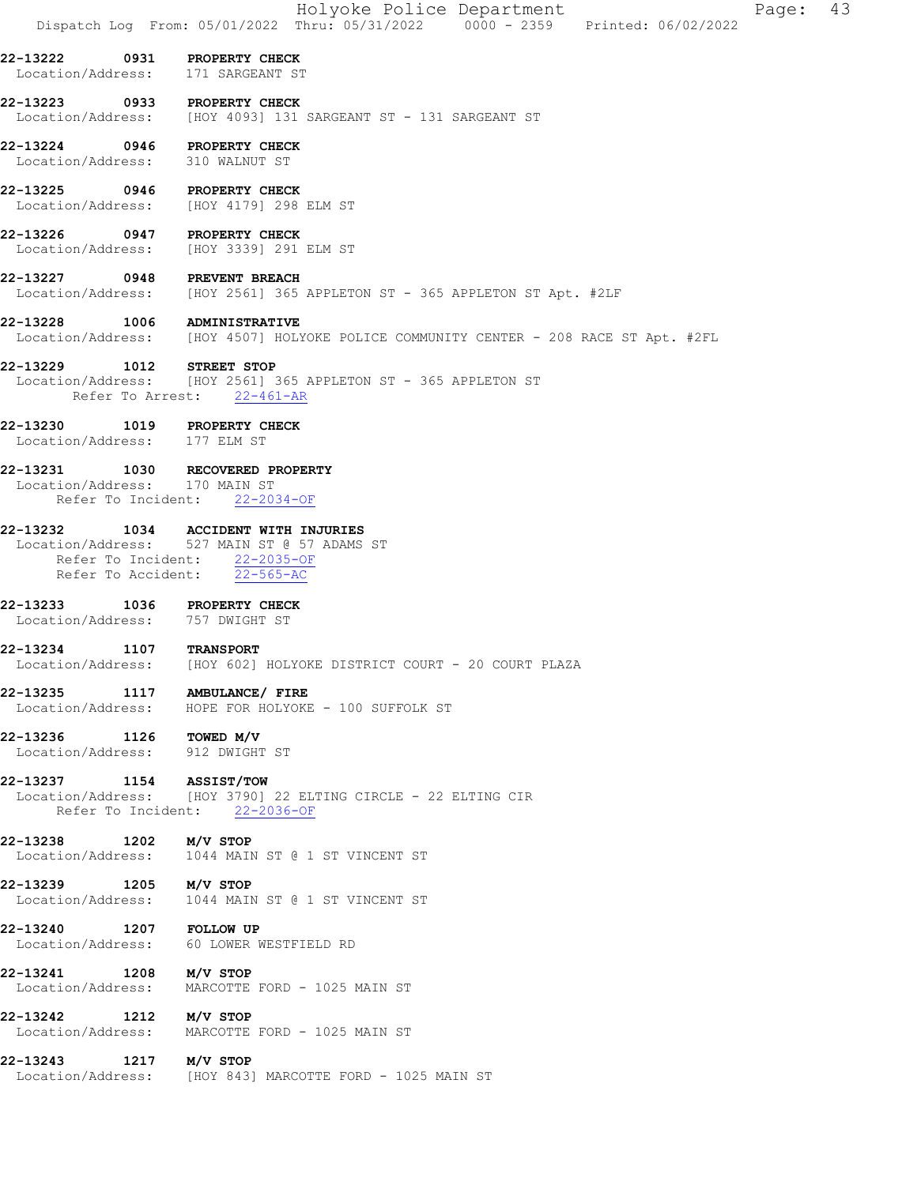|                                                            |                    | Holyoke Police Department<br>43<br>Page:<br>Dispatch Log From: 05/01/2022 Thru: 05/31/2022 0000 - 2359 Printed: 06/02/2022                  |
|------------------------------------------------------------|--------------------|---------------------------------------------------------------------------------------------------------------------------------------------|
|                                                            |                    | 22-13222 0931 PROPERTY CHECK<br>Location/Address: 171 SARGEANT ST                                                                           |
|                                                            |                    | 22-13223 0933 PROPERTY CHECK<br>Location/Address: [HOY 4093] 131 SARGEANT ST - 131 SARGEANT ST                                              |
| Location/Address: 310 WALNUT ST                            |                    | 22-13224 0946 PROPERTY CHECK                                                                                                                |
|                                                            |                    | 22-13225 0946 PROPERTY CHECK<br>Location/Address: [HOY 4179] 298 ELM ST                                                                     |
|                                                            |                    | 22-13226 0947 PROPERTY CHECK<br>Location/Address: [HOY 3339] 291 ELM ST                                                                     |
|                                                            |                    | 22-13227 0948 PREVENT BREACH<br>Location/Address: [HOY 2561] 365 APPLETON ST - 365 APPLETON ST Apt. #2LF                                    |
|                                                            |                    | 22-13228 1006 ADMINISTRATIVE<br>Location/Address: [HOY 4507] HOLYOKE POLICE COMMUNITY CENTER - 208 RACE ST Apt. #2FL                        |
| 22-13229 1012 STREET STOP                                  |                    | Location/Address: [HOY 2561] 365 APPLETON ST - 365 APPLETON ST<br>Refer To Arrest: 22-461-AR                                                |
| Location/Address: 177 ELM ST                               |                    | 22-13230 1019 PROPERTY CHECK                                                                                                                |
| Location/Address: 170 MAIN ST                              | Refer To Incident: | 22-13231 1030 RECOVERED PROPERTY<br>$22 - 2034 - OF$                                                                                        |
| 22-13232                                                   |                    | 1034 ACCIDENT WITH INJURIES<br>Location/Address: 527 MAIN ST @ 57 ADAMS ST<br>Refer To Incident: 22-2035-OF<br>Refer To Accident: 22-565-AC |
| 22-13233<br>Location/Address: 757 DWIGHT ST                |                    | 1036 PROPERTY CHECK                                                                                                                         |
| 22-13234                                                   |                    | 22-13234 1107 TRANSPORT<br>Location/Address: [HOY 602] HOLYOKE DISTRICT COURT - 20 COURT PLAZA                                              |
|                                                            |                    | 22-13235 1117 AMBULANCE/ FIRE<br>Location/Address: HOPE FOR HOLYOKE - 100 SUFFOLK ST                                                        |
| 22-13236 1126 TOWED M/V<br>Location/Address: 912 DWIGHT ST |                    |                                                                                                                                             |
| 22-13237 1154 ASSIST/TOW                                   |                    | Location/Address: [HOY 3790] 22 ELTING CIRCLE - 22 ELTING CIR<br>Refer To Incident: 22-2036-OF                                              |
| 22-13238 1202 M/V STOP                                     |                    | Location/Address: 1044 MAIN ST @ 1 ST VINCENT ST                                                                                            |
| 22-13239 1205 M/V STOP                                     |                    | Location/Address: 1044 MAIN ST @ 1 ST VINCENT ST                                                                                            |
| 22-13240 1207 FOLLOW UP                                    |                    | Location/Address: 60 LOWER WESTFIELD RD                                                                                                     |
| 22-13241 1208 M/V STOP                                     |                    | Location/Address: MARCOTTE FORD - 1025 MAIN ST                                                                                              |
| 22-13242 1212 M/V STOP                                     |                    | Location/Address: MARCOTTE FORD - 1025 MAIN ST                                                                                              |
| 22-13243 1217 M/V STOP                                     |                    | Location/Address: [HOY 843] MARCOTTE FORD - 1025 MAIN ST                                                                                    |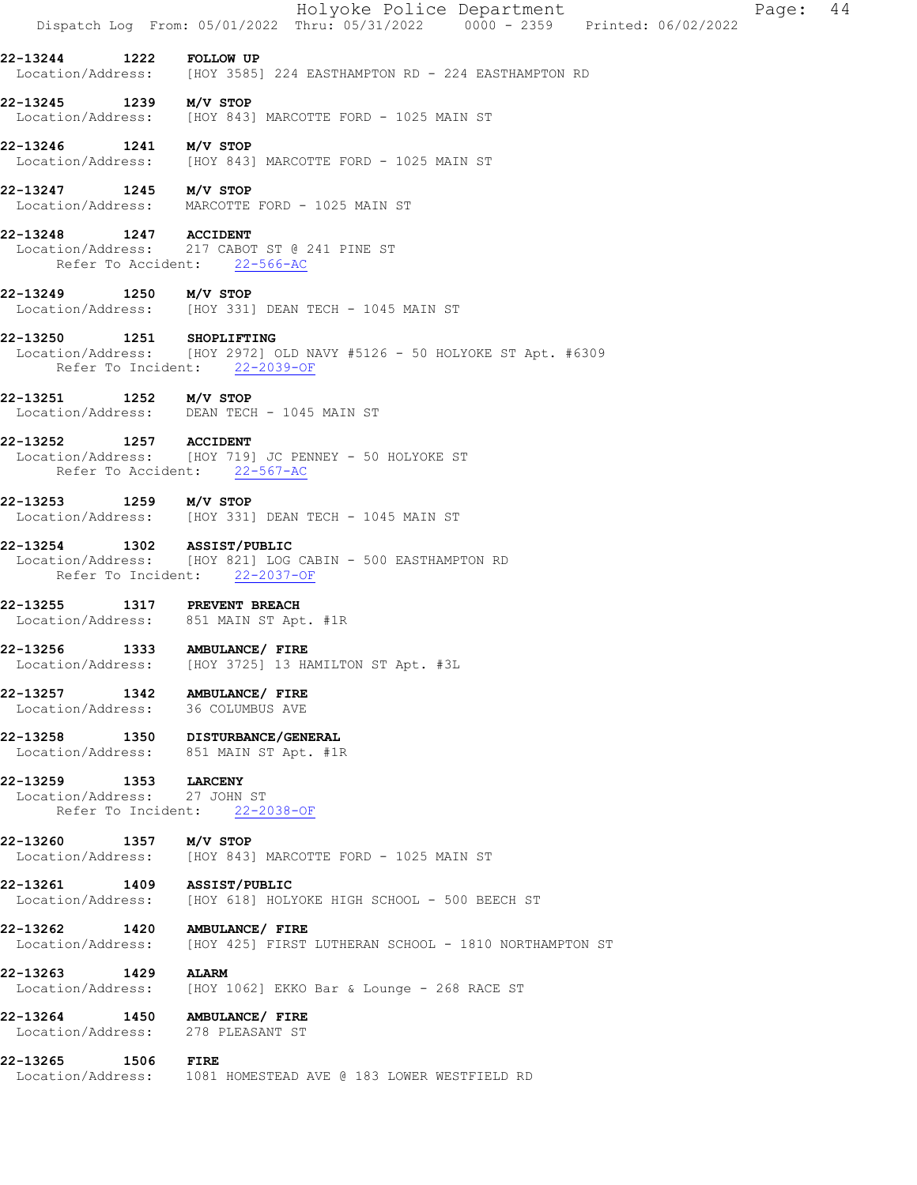|                                                  | Holyoke Police Department<br>Page: 44<br>Dispatch Log From: 05/01/2022 Thru: 05/31/2022 0000 - 2359 Printed: 06/02/2022 |
|--------------------------------------------------|-------------------------------------------------------------------------------------------------------------------------|
| 22-13244                                         | 1222 FOLLOW UP<br>Location/Address: [HOY 3585] 224 EASTHAMPTON RD - 224 EASTHAMPTON RD                                  |
| 22-13245                                         | 1239 M/V STOP<br>Location/Address: [HOY 843] MARCOTTE FORD - 1025 MAIN ST                                               |
| 22-13246 1241 M/V STOP                           | Location/Address: [HOY 843] MARCOTTE FORD - 1025 MAIN ST                                                                |
| 22-13247 1245 M/V STOP                           | Location/Address: MARCOTTE FORD - 1025 MAIN ST                                                                          |
| 22-13248 1247 ACCIDENT                           | Location/Address: 217 CABOT ST @ 241 PINE ST<br>Refer To Accident: 22-566-AC                                            |
| 22-13249 1250 M/V STOP                           | Location/Address: [HOY 331] DEAN TECH - 1045 MAIN ST                                                                    |
| 22-13250 1251 SHOPLIFTING                        | Location/Address: [HOY 2972] OLD NAVY #5126 - 50 HOLYOKE ST Apt. #6309<br>Refer To Incident: 22-2039-OF                 |
| 22-13251 1252 M/V STOP                           | Location/Address: DEAN TECH - 1045 MAIN ST                                                                              |
| 22-13252 1257 ACCIDENT                           | Location/Address: [HOY 719] JC PENNEY - 50 HOLYOKE ST<br>Refer To Accident: 22-567-AC                                   |
| 22-13253 1259 M/V STOP                           | Location/Address: [HOY 331] DEAN TECH - 1045 MAIN ST                                                                    |
| 22-13254 1302 ASSIST/PUBLIC                      | Location/Address: [HOY 821] LOG CABIN - 500 EASTHAMPTON RD<br>Refer To Incident: 22-2037-OF                             |
| 22-13255                                         | 1317 PREVENT BREACH<br>Location/Address: 851 MAIN ST Apt. #1R                                                           |
| 22-13256                                         | 1333 AMBULANCE/ FIRE<br>Location/Address: [HOY 3725] 13 HAMILTON ST Apt. #3L                                            |
|                                                  | 22-13257 1342 AMBULANCE/ FIRE<br>Location/Address: 36 COLUMBUS AVE                                                      |
| 22-13258 1350                                    | <b>DISTURBANCE/GENERAL</b><br>Location/Address: 851 MAIN ST Apt. #1R                                                    |
| 22-13259 1353<br>Location/Address: 27 JOHN ST    | <b>LARCENY</b><br>Refer To Incident: 22-2038-OF                                                                         |
| 22-13260 1357 M/V STOP                           | Location/Address: [HOY 843] MARCOTTE FORD - 1025 MAIN ST                                                                |
| 22-13261 1409 ASSIST/PUBLIC<br>Location/Address: | [HOY 618] HOLYOKE HIGH SCHOOL - 500 BEECH ST                                                                            |
| 22-13262 1420<br>Location/Address:               | AMBULANCE/ FIRE<br>[HOY 425] FIRST LUTHERAN SCHOOL - 1810 NORTHAMPTON ST                                                |
| 22-13263 1429<br>Location/Address:               | <b>ALARM</b><br>[HOY 1062] EKKO Bar & Lounge - 268 RACE ST                                                              |
|                                                  | 22-13264 1450 AMBULANCE/ FIRE<br>Location/Address: 278 PLEASANT ST                                                      |
| 22-13265 1506 FIRE                               | Location/Address: 1081 HOMESTEAD AVE @ 183 LOWER WESTFIELD RD                                                           |
|                                                  |                                                                                                                         |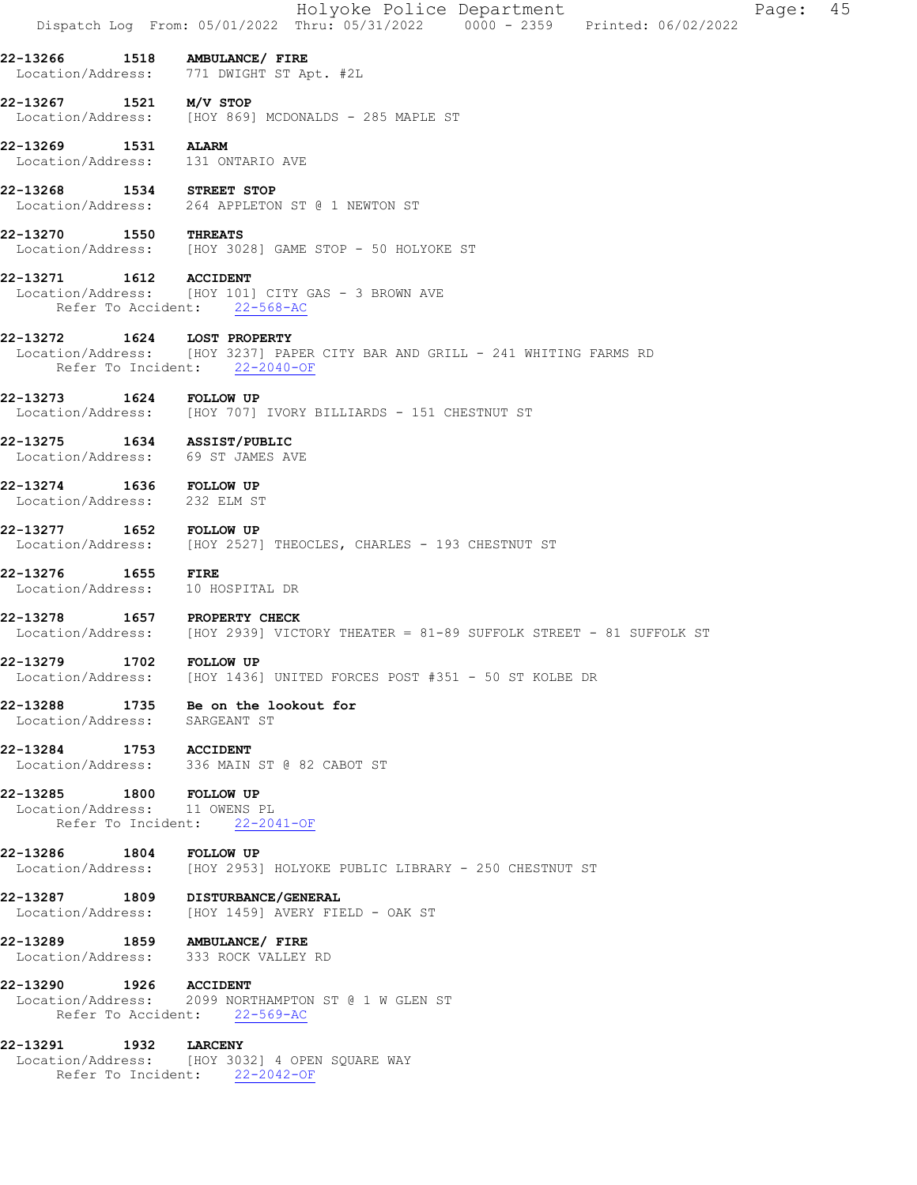|                                                          |      | Holyoke Police Department<br>45<br>Page:<br>Dispatch Log From: 05/01/2022 Thru: 05/31/2022 0000 - 2359 Printed: 06/02/2022            |
|----------------------------------------------------------|------|---------------------------------------------------------------------------------------------------------------------------------------|
| 22-13266                                                 | 1518 | AMBULANCE/ FIRE<br>Location/Address: 771 DWIGHT ST Apt. #2L                                                                           |
| 22-13267                                                 | 1521 | M/V STOP<br>Location/Address: [HOY 869] MCDONALDS - 285 MAPLE ST                                                                      |
| 22-13269                                                 | 1531 | <b>ALARM</b><br>Location/Address: 131 ONTARIO AVE                                                                                     |
| 22-13268                                                 |      | 1534 STREET STOP<br>Location/Address: 264 APPLETON ST @ 1 NEWTON ST                                                                   |
| 22-13270                                                 | 1550 | <b>THREATS</b><br>Location/Address: [HOY 3028] GAME STOP - 50 HOLYOKE ST                                                              |
| 22-13271 1612 ACCIDENT                                   |      | Location/Address: [HOY 101] CITY GAS - 3 BROWN AVE<br>Refer To Accident: 22-568-AC                                                    |
| 22-13272                                                 | 1624 | <b>LOST PROPERTY</b><br>Location/Address: [HOY 3237] PAPER CITY BAR AND GRILL - 241 WHITING FARMS RD<br>Refer To Incident: 22-2040-OF |
| 22-13273                                                 | 1624 | <b>FOLLOW UP</b><br>Location/Address: [HOY 707] IVORY BILLIARDS - 151 CHESTNUT ST                                                     |
| 22-13275                                                 |      | 1634 ASSIST/PUBLIC<br>Location/Address: 69 ST JAMES AVE                                                                               |
| 22-13274 1636 FOLLOW UP<br>Location/Address: 232 ELM ST  |      |                                                                                                                                       |
| 22-13277                                                 |      | 1652 FOLLOW UP<br>Location/Address: [HOY 2527] THEOCLES, CHARLES - 193 CHESTNUT ST                                                    |
| 22-13276                                                 | 1655 | FIRE<br>Location/Address: 10 HOSPITAL DR                                                                                              |
| 22-13278                                                 |      | 1657 PROPERTY CHECK<br>Location/Address: [HOY 2939] VICTORY THEATER = 81-89 SUFFOLK STREET - 81 SUFFOLK ST                            |
| 22-13279<br>Location/Address:                            | 1702 | <b>FOLLOW UP</b><br>[HOY 1436] UNITED FORCES POST #351 - 50 ST KOLBE DR                                                               |
| 22-13288<br>Location/Address:                            |      | 1735 Be on the lookout for<br>SARGEANT ST                                                                                             |
| 22-13284 1753 ACCIDENT                                   |      | Location/Address: 336 MAIN ST @ 82 CABOT ST                                                                                           |
| 22-13285 1800 FOLLOW UP<br>Location/Address: 11 OWENS PL |      | Refer To Incident: 22-2041-OF                                                                                                         |
| 22-13286                                                 |      | 1804 FOLLOW UP<br>Location/Address: [HOY 2953] HOLYOKE PUBLIC LIBRARY - 250 CHESTNUT ST                                               |
|                                                          |      | 22-13287 1809 DISTURBANCE/GENERAL<br>Location/Address: [HOY 1459] AVERY FIELD - OAK ST                                                |
|                                                          |      | 22-13289 1859 AMBULANCE/ FIRE<br>Location/Address: 333 ROCK VALLEY RD                                                                 |
| 22-13290 1926 ACCIDENT                                   |      | Location/Address: 2099 NORTHAMPTON ST @ 1 W GLEN ST<br>Refer To Accident: 22-569-AC                                                   |
| 22-13291                                                 | 1932 | <b>LARCENY</b><br>Location/Address: [HOY 3032] 4 OPEN SQUARE WAY<br>Refer To Incident: 22-2042-OF                                     |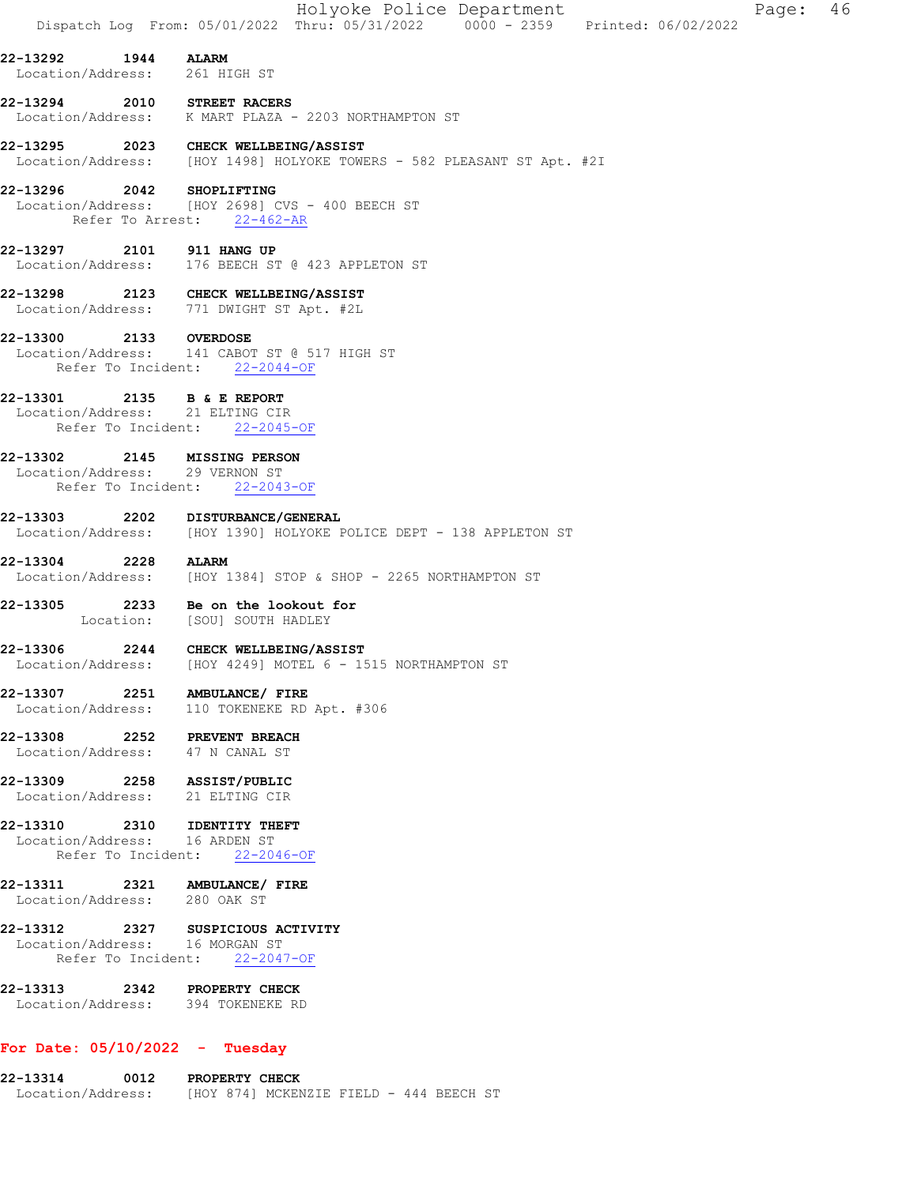|                                                                                                                |      |                                                            |  | Holyoke Police Department<br>Dispatch Log From: 05/01/2022 Thru: 05/31/2022 0000 - 2359 Printed: 06/02/2022 |  | Page: | 46 |
|----------------------------------------------------------------------------------------------------------------|------|------------------------------------------------------------|--|-------------------------------------------------------------------------------------------------------------|--|-------|----|
| 22-13292<br>Location/Address: 261 HIGH ST                                                                      | 1944 | <b>ALARM</b>                                               |  |                                                                                                             |  |       |    |
| 22-13294<br>Location/Address: K MART PLAZA - 2203 NORTHAMPTON ST                                               |      | 2010 STREET RACERS                                         |  |                                                                                                             |  |       |    |
| 22-13295 2023 CHECK WELLBEING/ASSIST<br>Location/Address: [HOY 1498] HOLYOKE TOWERS - 582 PLEASANT ST Apt. #2I |      |                                                            |  |                                                                                                             |  |       |    |
| 22-13296 2042 SHOPLIFTING<br>Location/Address: [HOY 2698] CVS - 400 BEECH ST                                   |      | Refer To Arrest: 22-462-AR                                 |  |                                                                                                             |  |       |    |
| 22-13297 2101 911 HANG UP<br>Location/Address: 176 BEECH ST @ 423 APPLETON ST                                  |      |                                                            |  |                                                                                                             |  |       |    |
| 22-13298 2123 CHECK WELLBEING/ASSIST<br>Location/Address: 771 DWIGHT ST Apt. #2L                               |      |                                                            |  |                                                                                                             |  |       |    |
| 22-13300 2133 OVERDOSE<br>Location/Address: 141 CABOT ST @ 517 HIGH ST                                         |      | Refer To Incident: 22-2044-OF                              |  |                                                                                                             |  |       |    |
| 22-13301 2135 B & E REPORT<br>Location/Address: 21 ELTING CIR                                                  |      | Refer To Incident: 22-2045-OF                              |  |                                                                                                             |  |       |    |
| 22-13302 2145 MISSING PERSON<br>Location/Address: 29 VERNON ST<br>Refer To Incident:                           |      | $22 - 2043 - OF$                                           |  |                                                                                                             |  |       |    |
| 22-13303<br>Location/Address: [HOY 1390] HOLYOKE POLICE DEPT - 138 APPLETON ST                                 |      | 2202 DISTURBANCE/GENERAL                                   |  |                                                                                                             |  |       |    |
| 22-13304 2228<br>Location/Address: [HOY 1384] STOP & SHOP - 2265 NORTHAMPTON ST                                |      | <b>ALARM</b>                                               |  |                                                                                                             |  |       |    |
| 22-13305                                                                                                       |      | 2233 Be on the lookout for<br>Location: [SOU] SOUTH HADLEY |  |                                                                                                             |  |       |    |
| 22-13306<br>Location/Address: [HOY 4249] MOTEL 6 - 1515 NORTHAMPTON ST                                         |      | 2244 CHECK WELLBEING/ASSIST                                |  |                                                                                                             |  |       |    |
| 22-13307 2251 AMBULANCE/ FIRE<br>Location/Address: 110 TOKENEKE RD Apt. #306                                   |      |                                                            |  |                                                                                                             |  |       |    |
| 22-13308 2252 PREVENT BREACH<br>Location/Address: 47 N CANAL ST                                                |      |                                                            |  |                                                                                                             |  |       |    |
| 22-13309 2258 ASSIST/PUBLIC<br>Location/Address: 21 ELTING CIR                                                 |      |                                                            |  |                                                                                                             |  |       |    |
| 22-13310 2310 IDENTITY THEFT<br>Location/Address: 16 ARDEN ST                                                  |      | Refer To Incident: 22-2046-OF                              |  |                                                                                                             |  |       |    |
| 22-13311 2321 AMBULANCE/ FIRE<br>Location/Address: 280 OAK ST                                                  |      |                                                            |  |                                                                                                             |  |       |    |
| 22-13312 2327 SUSPICIOUS ACTIVITY<br>Location/Address: 16 MORGAN ST                                            |      | Refer To Incident: 22-2047-OF                              |  |                                                                                                             |  |       |    |
| 22-13313 2342 PROPERTY CHECK<br>Location/Address: 394 TOKENEKE RD                                              |      |                                                            |  |                                                                                                             |  |       |    |
| For Date: $05/10/2022 - Tuesday$                                                                               |      |                                                            |  |                                                                                                             |  |       |    |

22-13314 0012 PROPERTY CHECK Location/Address: [HOY 874] MCKENZIE FIELD - 444 BEECH ST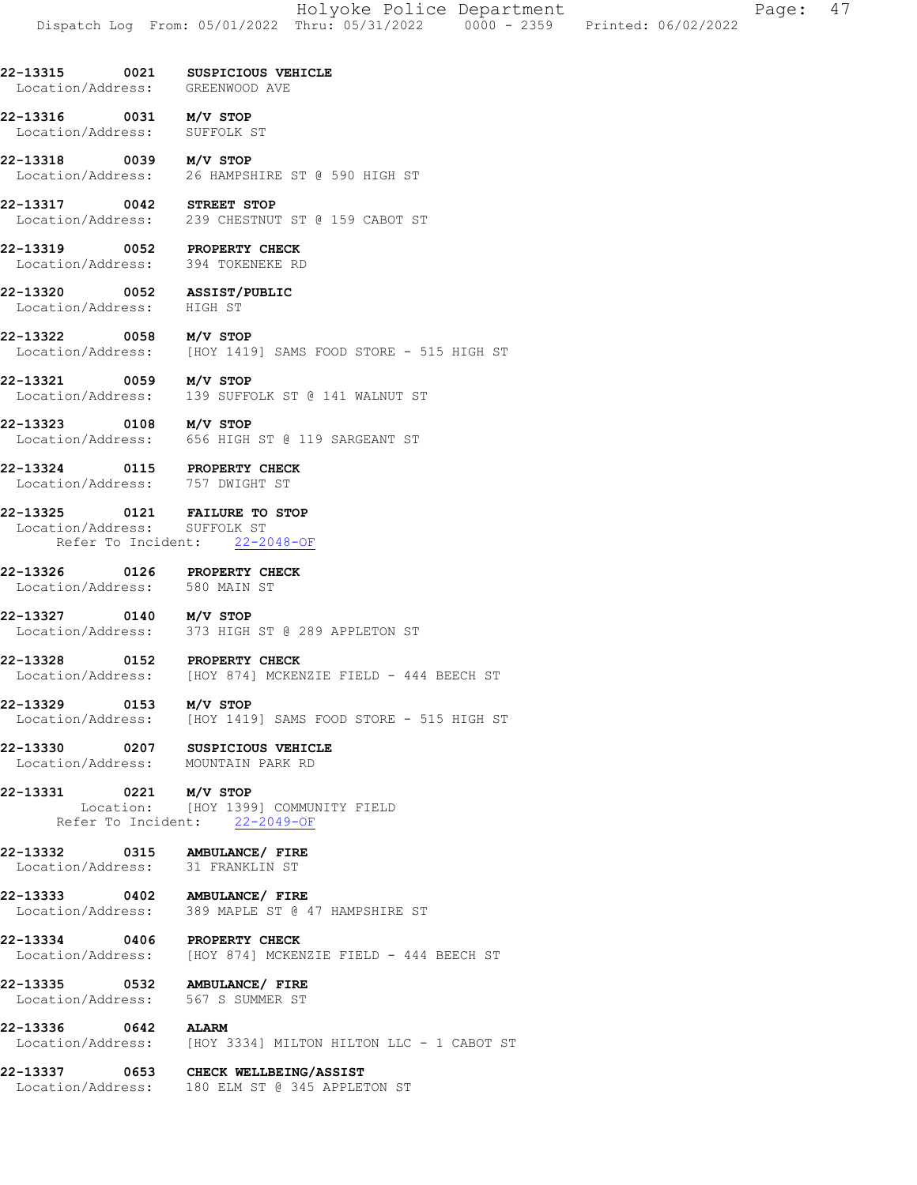22-13315 0021 SUSPICIOUS VEHICLE Location/Address: GREENWOOD AVE

22-13316 0031 M/V STOP<br>Location/Address: SUFFOLK ST Location/Address:

22-13318 0039 M/V STOP<br>Location/Address: 26 HAMPSP 26 HAMPSHIRE ST @ 590 HIGH ST

22-13317 0042 STREET STOP Location/Address: 239 CHESTNUT ST @ 159 CABOT ST

22-13319 0052 PROPERTY CHECK Location/Address: 394 TOKENEKE RD

22-13320 0052 ASSIST/PUBLIC Location/Address: HIGH ST

**22-13322 0058 M/V STOP**<br>Location/Address: [HOY 1419 [HOY 1419] SAMS FOOD STORE - 515 HIGH ST

**22-13321 0059 M/V STOP**<br>Location/Address: 139 SUFFC 139 SUFFOLK ST @ 141 WALNUT ST

22-13323 0108 M/V STOP Location/Address: 656 HIGH ST @ 119 SARGEANT ST

22-13324 0115 PROPERTY CHECK Location/Address: 757 DWIGHT ST

22-13325 0121 FAILURE TO STOP Location/Address: SUFFOLK ST Refer To Incident: 22-2048-OF

22-13326 0126 PROPERTY CHECK Location/Address: 580 MAIN ST

22-13327 0140 M/V STOP Location/Address: 373 HIGH ST @ 289 APPLETON ST

22-13328 0152 PROPERTY CHECK Location/Address: [HOY 874] MCKENZIE FIELD - 444 BEECH ST

22-13329 0153 M/V STOP Location/Address: [HOY 1419] SAMS FOOD STORE - 515 HIGH ST

22-13330 0207 SUSPICIOUS VEHICLE<br>Location/Address: MOUNTAIN PARK RD Location/Address: MOUNTAIN PARK RD

22-13331 0221 M/V STOP Location: [HOY 1399] COMMUNITY FIELD Refer To Incident: 22-2049-OF

22-13332 0315 AMBULANCE/FIRE<br>Location/Address: 31 FRANKLIN ST Location/Address:

22-13333 0402 AMBULANCE/ FIRE Location/Address: 389 MAPLE ST @ 47 HAMPSHIRE ST

22-13334 0406 PROPERTY CHECK Location/Address: [HOY 874] MCKENZIE FIELD - 444 BEECH ST

22-13335 0532 AMBULANCE/ FIRE Location/Address: 567 S SUMMER ST

**22-13336 0642 ALARM**<br>Location/Address: [HOY 3 [HOY 3334] MILTON HILTON LLC - 1 CABOT ST

22-13337 0653 CHECK WELLBEING/ASSIST Location/Address: 180 ELM ST @ 345 APPLETON ST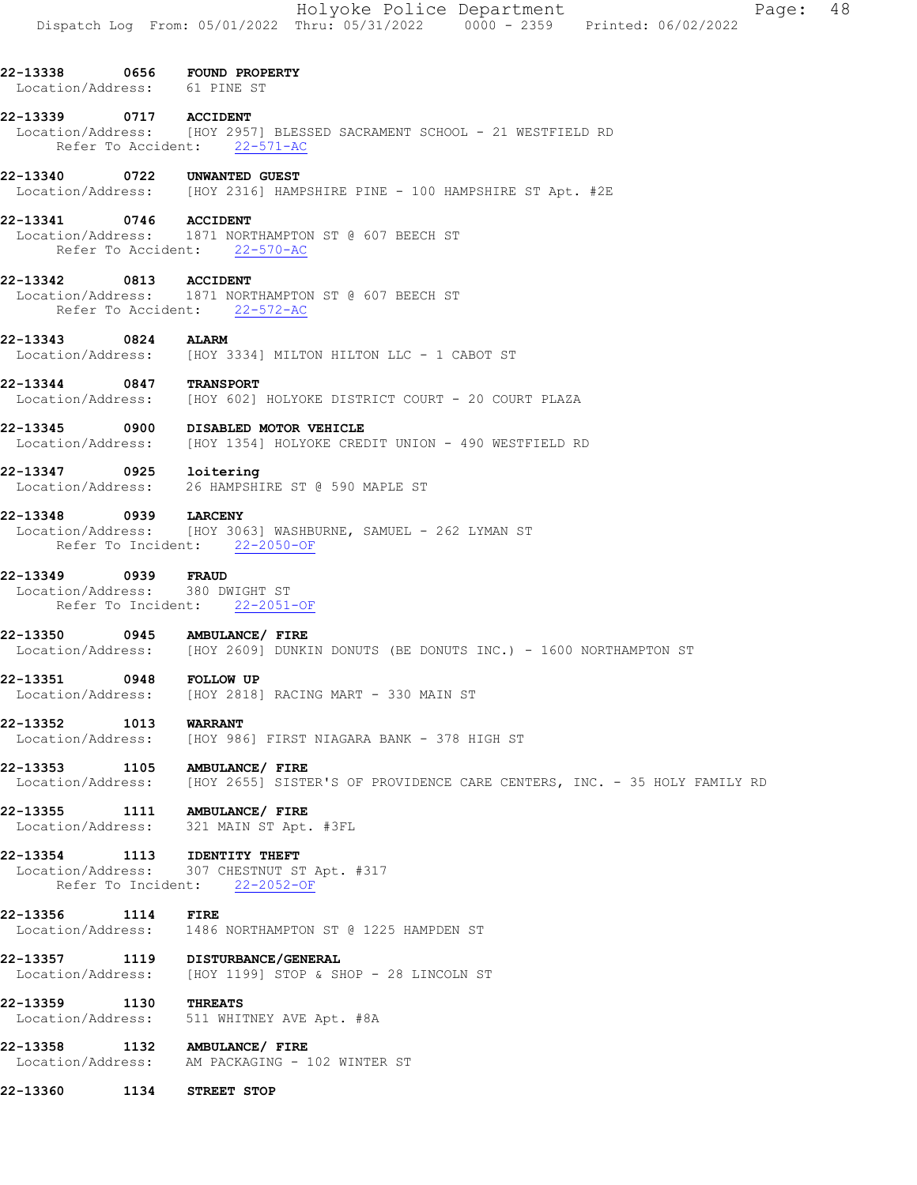- 22-13338 0656 FOUND PROPERTY Location/Address: 61 PINE ST
- 22-13339 0717 ACCIDENT Location/Address: [HOY 2957] BLESSED SACRAMENT SCHOOL - 21 WESTFIELD RD Refer To Accident: 22-571-AC
- 22-13340 0722 UNWANTED GUEST
- Location/Address: [HOY 2316] HAMPSHIRE PINE 100 HAMPSHIRE ST Apt. #2E
- 22-13341 0746 ACCIDENT
- Location/Address: 1871 NORTHAMPTON ST @ 607 BEECH ST Location/Address: 1871 NORTHAMPTO<br>Refer To Accident: 22-570-AC
- 22-13342 0813 ACCIDENT
- Location/Address: 1871 NORTHAMPTON ST @ 607 BEECH ST Refer To Accident: 22-572-AC
- 22-13343 0824 ALARM Location/Address: [HOY 3334] MILTON HILTON LLC - 1 CABOT ST
- 22-13344 0847 TRANSPORT Location/Address: [HOY 602] HOLYOKE DISTRICT COURT - 20 COURT PLAZA
- 22-13345 0900 DISABLED MOTOR VEHICLE<br>Location/Address: [HOY 1354] HOLYOKE CREI [HOY 1354] HOLYOKE CREDIT UNION - 490 WESTFIELD RD
- 22-13347 0925 loitering Location/Address: 26 HAMPSHIRE ST @ 590 MAPLE ST
- 22-13348 0939 LARCENY Location/Address: [HOY 3063] WASHBURNE, SAMUEL - 262 LYMAN ST Refer To Incident: 22-2050-OF
- 22-13349 0939 FRAUD
- Location/Address: 380 DWIGHT ST Refer To Incident: 22-2051-OF
- 22-13350 0945 AMBULANCE/ FIRE Location/Address: [HOY 2609] DUNKIN DONUTS (BE DONUTS INC.) - 1600 NORTHAMPTON ST
- 22-13351 0948 FOLLOW UP Location/Address: [HOY 2818] RACING MART - 330 MAIN ST
- **22-13352 1013 WARRANT**<br>Location/Address: [HOY 986 [HOY 986] FIRST NIAGARA BANK - 378 HIGH ST
- 22-13353 1105 AMBULANCE/ FIRE Location/Address: [HOY 2655] SISTER'S OF PROVIDENCE CARE CENTERS, INC. - 35 HOLY FAMILY RD
- 22-13355 1111 AMBULANCE/FIRE<br>Location/Address: 321 MAIN ST Apt. 321 MAIN ST Apt. #3FL
- 22-13354 1113 IDENTITY THEFT
- Location/Address: 307 CHESTNUT ST Apt. #317 Refer To Incident: 22-2052-OF
- 22-13356 1114 FIRE Location/Address: 1486 NORTHAMPTON ST @ 1225 HAMPDEN ST
- 22-13357 1119 DISTURBANCE/GENERAL Location/Address: [HOY 1199] STOP & SHOP - 28 LINCOLN ST
- 22-13359 1130 THREATS Location/Address: 511 WHITNEY AVE Apt. #8A
- 22-13358 1132 AMBULANCE/FIRE<br>1. Location/Address: AM PACKAGING -AM PACKAGING - 102 WINTER ST
- 22-13360 1134 STREET STOP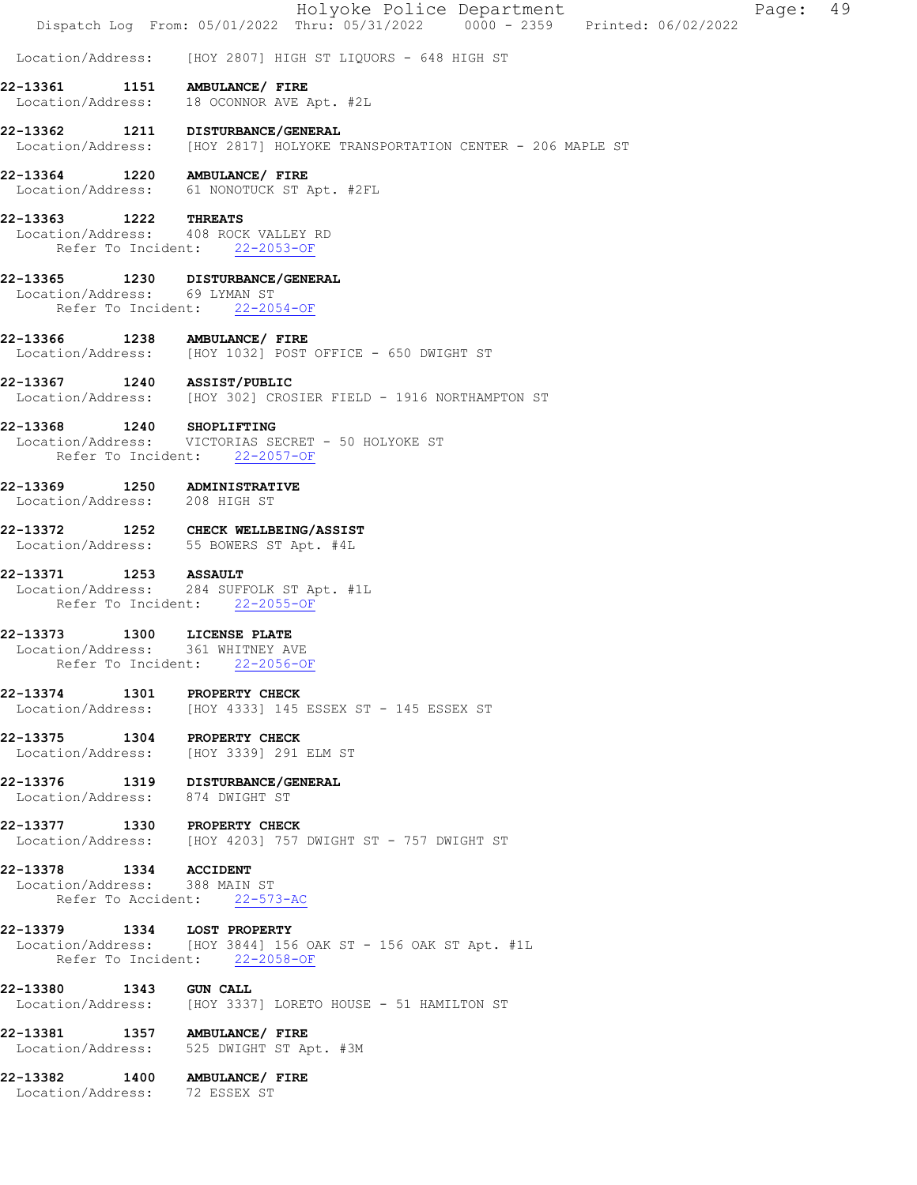|                                                         |                    | Holyoke Police Department<br>Page:<br>Dispatch Log From: 05/01/2022 Thru: 05/31/2022 0000 - 2359 Printed: 06/02/2022          | 49 |
|---------------------------------------------------------|--------------------|-------------------------------------------------------------------------------------------------------------------------------|----|
| Location/Address:                                       |                    | [HOY 2807] HIGH ST LIQUORS - 648 HIGH ST                                                                                      |    |
| 22-13361                                                | 1151               | AMBULANCE/ FIRE                                                                                                               |    |
| Location/Address:                                       |                    | 18 OCONNOR AVE Apt. #2L                                                                                                       |    |
| Location/Address:                                       |                    | 22-13362 1211 DISTURBANCE/GENERAL<br>[HOY 2817] HOLYOKE TRANSPORTATION CENTER - 206 MAPLE ST                                  |    |
| 22-13364                                                |                    | 1220 AMBULANCE/ FIRE<br>Location/Address: 61 NONOTUCK ST Apt. #2FL                                                            |    |
| 22-13363 1222 THREATS                                   |                    | Location/Address: 408 ROCK VALLEY RD<br>Refer To Incident: 22-2053-OF                                                         |    |
|                                                         | Refer To Incident: | 22-13365 1230 DISTURBANCE/GENERAL<br>Location/Address: 69 LYMAN ST<br>$22 - 2054 - OF$                                        |    |
| 22-13366                                                |                    | 1238 AMBULANCE/ FIRE<br>Location/Address: [HOY 1032] POST OFFICE - 650 DWIGHT ST                                              |    |
|                                                         |                    | 22-13367 1240 ASSIST/PUBLIC<br>Location/Address: [HOY 302] CROSIER FIELD - 1916 NORTHAMPTON ST                                |    |
| 22-13368                                                |                    | 1240 SHOPLIFTING<br>Location/Address: VICTORIAS SECRET - 50 HOLYOKE ST<br>Refer To Incident: 22-2057-OF                       |    |
| Location/Address: 208 HIGH ST                           |                    | 22-13369 1250 ADMINISTRATIVE                                                                                                  |    |
| 22-13372                                                |                    | 1252 CHECK WELLBEING/ASSIST<br>Location/Address: 55 BOWERS ST Apt. #4L                                                        |    |
| 22-13371                                                |                    | 1253 ASSAULT<br>Location/Address: 284 SUFFOLK ST Apt. #1L<br>Refer To Incident: 22-2055-OF                                    |    |
| 22-13373                                                | Refer To Incident: | 1300 LICENSE PLATE<br>Location/Address: 361 WHITNEY AVE<br>$22 - 2056 - OF$                                                   |    |
|                                                         |                    | 22-13374 1301 PROPERTY CHECK<br>Location/Address: [HOY 4333] 145 ESSEX ST - 145 ESSEX ST                                      |    |
| 22-13375 1304                                           |                    | <b>PROPERTY CHECK</b><br>Location/Address: [HOY 3339] 291 ELM ST                                                              |    |
|                                                         |                    | 22-13376 1319 DISTURBANCE/GENERAL<br>Location/Address: 874 DWIGHT ST                                                          |    |
|                                                         |                    | 22-13377 1330 PROPERTY CHECK<br>Location/Address: [HOY 4203] 757 DWIGHT ST - 757 DWIGHT ST                                    |    |
| 22-13378 1334 ACCIDENT<br>Location/Address: 388 MAIN ST |                    | Refer To Accident: 22-573-AC                                                                                                  |    |
|                                                         |                    | 22-13379 1334 LOST PROPERTY<br>Location/Address: [HOY 3844] 156 OAK ST - 156 OAK ST Apt. #1L<br>Refer To Incident: 22-2058-OF |    |
| 22-13380 1343 GUN CALL                                  |                    | Location/Address: [HOY 3337] LORETO HOUSE - 51 HAMILTON ST                                                                    |    |
|                                                         |                    | 22-13381 1357 AMBULANCE/ FIRE<br>Location/Address: 525 DWIGHT ST Apt. #3M                                                     |    |
| Location/Address: 72 ESSEX ST                           |                    | 22-13382 1400 AMBULANCE/ FIRE                                                                                                 |    |
|                                                         |                    |                                                                                                                               |    |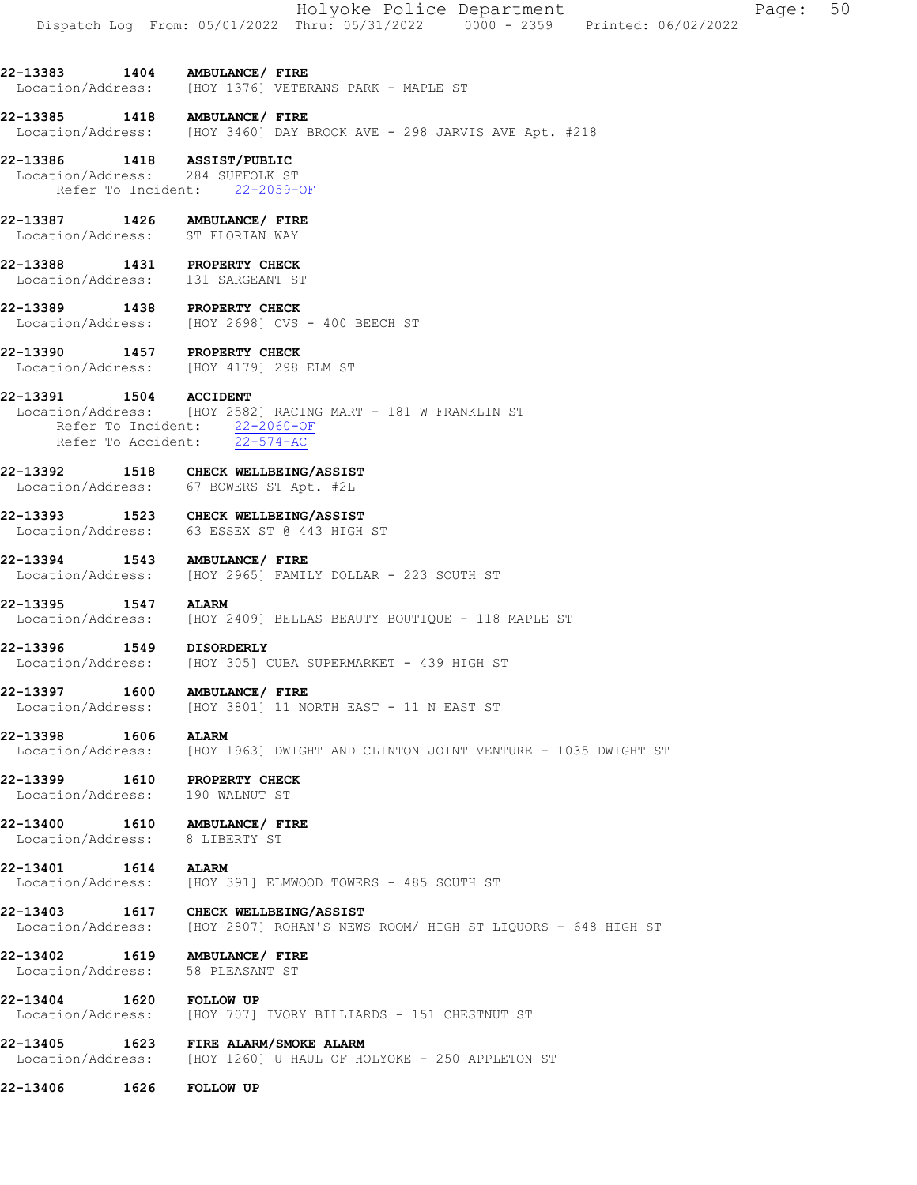22-13383 1404 AMBULANCE/ FIRE Location/Address: [HOY 1376] VETERANS PARK - MAPLE ST

22-13385 1418 AMBULANCE/ FIRE Location/Address: [HOY 3460] DAY BROOK AVE - 298 JARVIS AVE Apt. #218

#### 22-13386 1418 ASSIST/PUBLIC Location/Address: 284 SUFFOLK ST Refer To Incident: 22-2059-OF

- 22-13387 1426 AMBULANCE/ FIRE Location/Address: ST FLORIAN WAY
- 22-13388 1431 PROPERTY CHECK Location/Address: 131 SARGEANT ST
- 22-13389 1438 PROPERTY CHECK Location/Address: [HOY 2698] CVS - 400 BEECH ST
- 22-13390 1457 PROPERTY CHECK<br>Location/Address: [HOY 4179] 298 Location/Address: [HOY 4179] 298 ELM ST

- **22-13391 1504 ACCIDENT**<br>Location/Address: [HOY 2582 [HOY 2582] RACING MART - 181 W FRANKLIN ST Refer To Incident: 22-2060-OF Refer To Accident: 22-574-AC
- 22-13392 1518 CHECK WELLBEING/ASSIST Location/Address: 67 BOWERS ST Apt. #2L
- 22-13393 1523 CHECK WELLBEING/ASSIST Location/Address: 63 ESSEX ST @ 443 HIGH ST
- 22-13394 1543 AMBULANCE/ FIRE Location/Address: [HOY 2965] FAMILY DOLLAR - 223 SOUTH ST
- 22-13395 1547 ALARM Location/Address: [HOY 2409] BELLAS BEAUTY BOUTIQUE - 118 MAPLE ST
- 22-13396 1549 DISORDERLY Location/Address: [HOY 305] CUBA SUPERMARKET - 439 HIGH ST
- 22-13397 1600 AMBULANCE/ FIRE Location/Address: [HOY 3801] 11 NORTH EAST - 11 N EAST ST
- 22-13398 1606 ALARM Location/Address: [HOY 1963] DWIGHT AND CLINTON JOINT VENTURE - 1035 DWIGHT ST
- 22-13399 1610 PROPERTY CHECK Location/Address: 190 WALNUT ST
- 22-13400 1610 AMBULANCE/ FIRE
- Location/Address: 8 LIBERTY ST
- 22-13401 1614 ALARM Location/Address: [HOY 391] ELMWOOD TOWERS - 485 SOUTH ST
- 22-13403 1617 CHECK WELLBEING/ASSIST
- Location/Address: [HOY 2807] ROHAN'S NEWS ROOM/ HIGH ST LIQUORS 648 HIGH ST
- 22-13402 1619 AMBULANCE/ FIRE Location/Address: 58 PLEASANT ST
- **22-13404 1620 FOLLOW UP**<br>Location/Address: [HOY 707] [HOY 707] IVORY BILLIARDS - 151 CHESTNUT ST
- 22-13405 1623 FIRE ALARM/SMOKE ALARM Location/Address: [HOY 1260] U HAUL OF HOLYOKE - 250 APPLETON ST
- 22-13406 1626 FOLLOW UP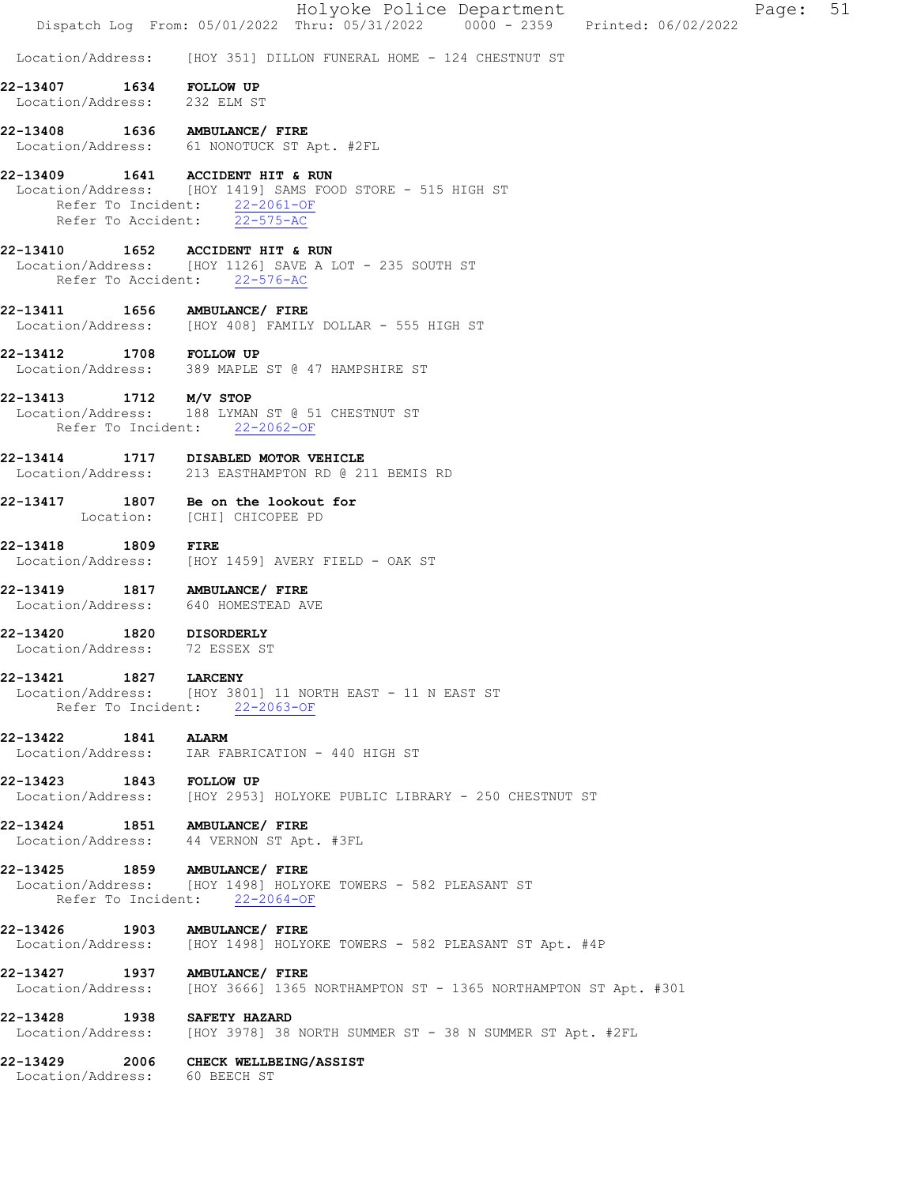|                                                                      | Holyoke Police Department<br>Page: 51<br>Dispatch Log From: 05/01/2022 Thru: 05/31/2022 0000 - 2359 Printed: 06/02/2022 |
|----------------------------------------------------------------------|-------------------------------------------------------------------------------------------------------------------------|
|                                                                      | Location/Address: [HOY 351] DILLON FUNERAL HOME - 124 CHESTNUT ST                                                       |
| 1634 FOLLOW UP<br>22-13407<br>Location/Address: 232 ELM ST           |                                                                                                                         |
| 22-13408  1636  AMBULANCE/ FIRE                                      | Location/Address: 61 NONOTUCK ST Apt. #2FL                                                                              |
| 22-13409 1641 ACCIDENT HIT & RUN<br>Refer To Accident: 22-575-AC     | Location/Address: [HOY 1419] SAMS FOOD STORE - 515 HIGH ST<br>Refer To Incident: 22-2061-OF                             |
| 22-13410<br>Refer To Accident: 22-576-AC                             | 1652 ACCIDENT HIT & RUN<br>Location/Address: [HOY 1126] SAVE A LOT - 235 SOUTH ST                                       |
| 22-13411  1656 AMBULANCE/ FIRE                                       | Location/Address: [HOY 408] FAMILY DOLLAR - 555 HIGH ST                                                                 |
| 1708 FOLLOW UP<br>22-13412                                           | Location/Address: 389 MAPLE ST @ 47 HAMPSHIRE ST                                                                        |
| 22-13413 1712 M/V STOP                                               | Location/Address: 188 LYMAN ST @ 51 CHESTNUT ST<br>Refer To Incident: 22-2062-OF                                        |
|                                                                      | 22-13414 1717 DISABLED MOTOR VEHICLE<br>Location/Address: 213 EASTHAMPTON RD @ 211 BEMIS RD                             |
| 22-13417 1807 Be on the lookout for<br>Location: [CHI] CHICOPEE PD   |                                                                                                                         |
| 22-13418 1809 FIRE                                                   | Location/Address: [HOY 1459] AVERY FIELD - OAK ST                                                                       |
| 22-13419 1817 AMBULANCE/ FIRE<br>Location/Address: 640 HOMESTEAD AVE |                                                                                                                         |
| 22-13420 1820 DISORDERLY<br>Location/Address: 72 ESSEX ST            |                                                                                                                         |
| 22-13421<br>1827 LARCENY                                             | Location/Address: [HOY 3801] 11 NORTH EAST - 11 N EAST ST<br>Refer To Incident: 22-2063-OF                              |
| 22-13422 1841                                                        | <b>ALARM</b><br>Location/Address: IAR FABRICATION - 440 HIGH ST                                                         |
|                                                                      | 22-13423 1843 FOLLOW UP<br>Location/Address: [HOY 2953] HOLYOKE PUBLIC LIBRARY - 250 CHESTNUT ST                        |
| 22-13424 1851 AMBULANCE/ FIRE                                        | Location/Address: 44 VERNON ST Apt. #3FL                                                                                |
| 22-13425 1859 AMBULANCE/ FIRE                                        | Location/Address: [HOY 1498] HOLYOKE TOWERS - 582 PLEASANT ST<br>Refer To Incident: 22-2064-OF                          |
| 22-13426 1903 AMBULANCE/ FIRE                                        | Location/Address: [HOY 1498] HOLYOKE TOWERS - 582 PLEASANT ST Apt. #4P                                                  |
| 22-13427 1937 AMBULANCE/ FIRE                                        | Location/Address: [HOY 3666] 1365 NORTHAMPTON ST - 1365 NORTHAMPTON ST Apt. #301                                        |
| 22-13428 1938 SAFETY HAZARD                                          | Location/Address: [HOY 3978] 38 NORTH SUMMER ST - 38 N SUMMER ST Apt. #2FL                                              |
| Location/Address: 60 BEECH ST                                        | 22-13429 2006 CHECK WELLBEING/ASSIST                                                                                    |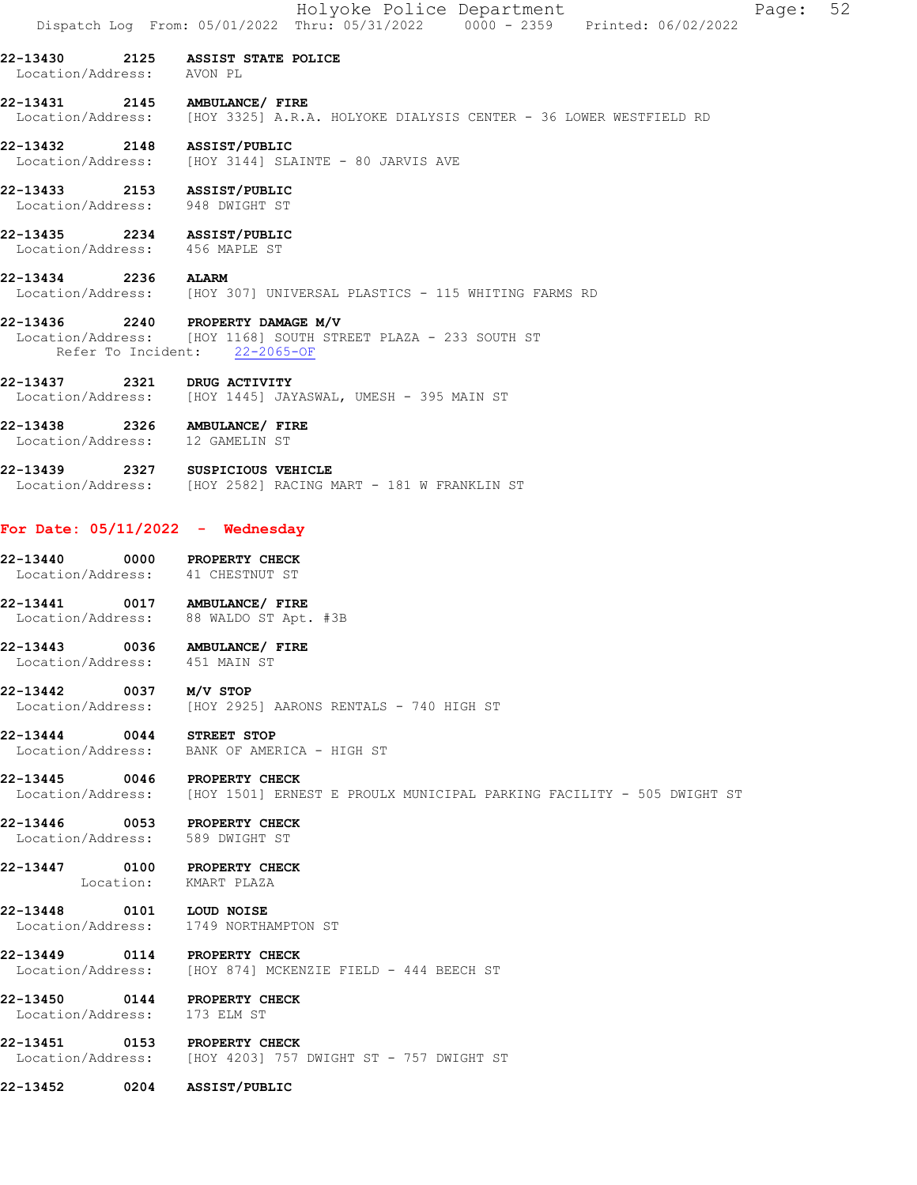|                                                                  |            | 52<br>Holyoke Police Department<br>Page:<br>Dispatch Log From: 05/01/2022 Thru: 05/31/2022   0000 - 2359   Printed: 06/02/2022 |
|------------------------------------------------------------------|------------|--------------------------------------------------------------------------------------------------------------------------------|
| 22-13430<br>Location/Address: AVON PL                            | 2125       | <b>ASSIST STATE POLICE</b>                                                                                                     |
| 22-13431 2145 AMBULANCE/ FIRE                                    |            | Location/Address: [HOY 3325] A.R.A. HOLYOKE DIALYSIS CENTER - 36 LOWER WESTFIELD RD                                            |
| 22-13432 2148 ASSIST/PUBLIC                                      |            | Location/Address: [HOY 3144] SLAINTE - 80 JARVIS AVE                                                                           |
| 22-13433 2153 ASSIST/PUBLIC<br>Location/Address: 948 DWIGHT ST   |            |                                                                                                                                |
| 22-13435  2234  ASSIST/PUBLIC<br>Location/Address: 456 MAPLE ST  |            |                                                                                                                                |
| 22-13434                                                         | 2236 ALARM | Location/Address: [HOY 307] UNIVERSAL PLASTICS - 115 WHITING FARMS RD                                                          |
| Refer To Incident:                                               |            | 22-13436 2240 PROPERTY DAMAGE M/V<br>Location/Address: [HOY 1168] SOUTH STREET PLAZA - 233 SOUTH ST<br>$22 - 2065 - OF$        |
| 22-13437                                                         |            | 2321 DRUG ACTIVITY<br>Location/Address: [HOY 1445] JAYASWAL, UMESH - 395 MAIN ST                                               |
| 22-13438 2326 AMBULANCE/ FIRE<br>Location/Address: 12 GAMELIN ST |            |                                                                                                                                |
|                                                                  |            | 22-13439 2327 SUSPICIOUS VEHICLE<br>Location/Address: [HOY 2582] RACING MART - 181 W FRANKLIN ST                               |
| For Date: $05/11/2022 -$ Wednesday                               |            |                                                                                                                                |
| 22-13440<br>Location/Address: 41 CHESTNUT ST                     |            | 0000 PROPERTY CHECK                                                                                                            |
| 22-13441                                                         |            | 0017 AMBULANCE/ FIRE<br>Location/Address: 88 WALDO ST Apt. #3B                                                                 |
| 22-13443 0036 AMBULANCE/ FIRE<br>Location/Address: 451 MAIN ST   |            |                                                                                                                                |
| 22-13442 0037 M/V STOP                                           |            | Location/Address: [HOY 2925] AARONS RENTALS - 740 HIGH ST                                                                      |
| 22-13444 0044 STREET STOP                                        |            | Location/Address: BANK OF AMERICA - HIGH ST                                                                                    |
| 22-13445 0046 PROPERTY CHECK                                     |            | Location/Address: [HOY 1501] ERNEST E PROULX MUNICIPAL PARKING FACILITY - 505 DWIGHT ST                                        |
| 22-13446 0053 PROPERTY CHECK<br>Location/Address: 589 DWIGHT ST  |            |                                                                                                                                |
| 22-13447 0100 PROPERTY CHECK                                     |            | Location: KMART PLAZA                                                                                                          |
| 22-13448 0101 LOUD NOISE                                         |            | Location/Address: 1749 NORTHAMPTON ST                                                                                          |
| 22-13449 0114 PROPERTY CHECK                                     |            | Location/Address: [HOY 874] MCKENZIE FIELD - 444 BEECH ST                                                                      |
| 22-13450 0144 PROPERTY CHECK<br>Location/Address: 173 ELM ST     |            |                                                                                                                                |
| 22-13451 0153 PROPERTY CHECK                                     |            | Location/Address: [HOY 4203] 757 DWIGHT ST - 757 DWIGHT ST                                                                     |
| 22-13452                                                         |            | 0204 ASSIST/PUBLIC                                                                                                             |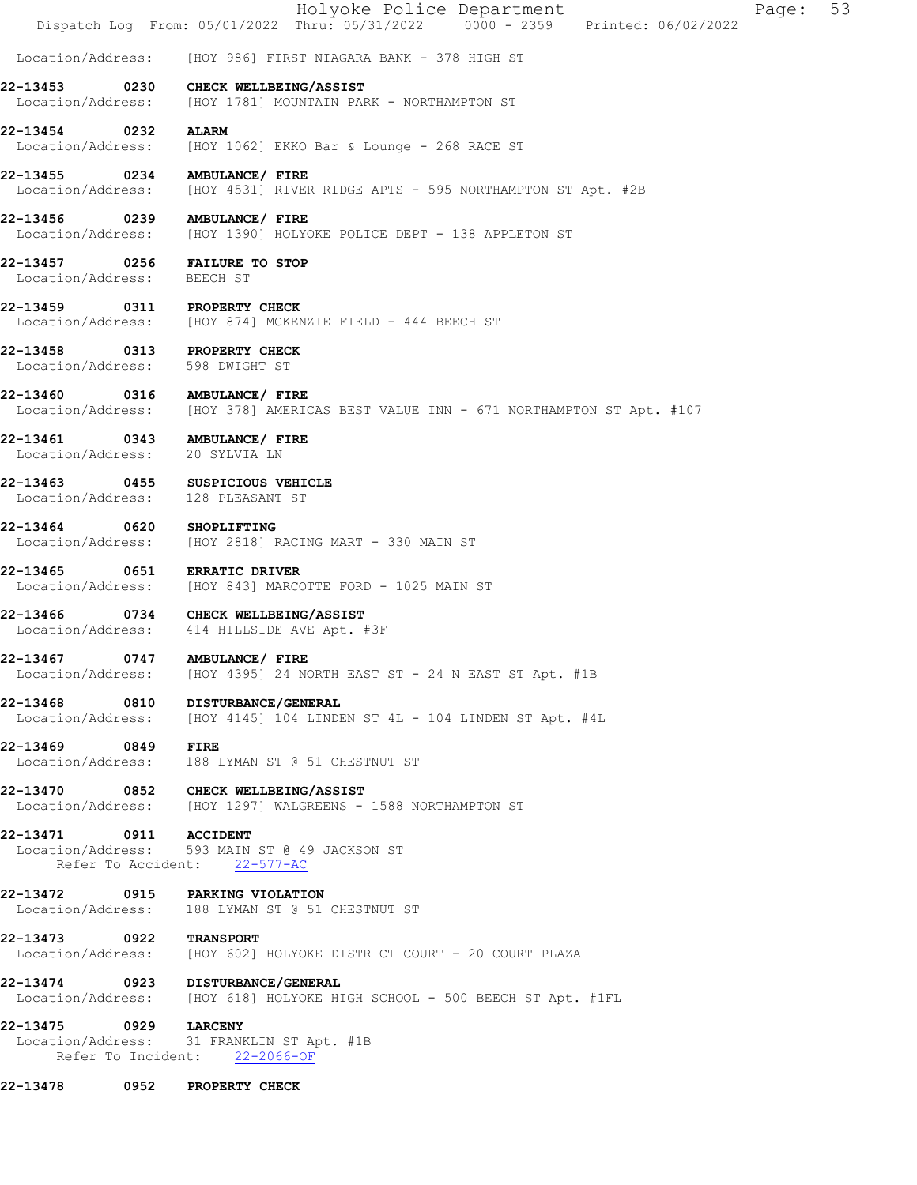|                                             |      | Holyoke Police Department<br>53<br>Page:<br>Dispatch Log From: 05/01/2022 Thru: 05/31/2022 0000 - 2359 Printed: 06/02/2022 |
|---------------------------------------------|------|----------------------------------------------------------------------------------------------------------------------------|
| Location/Address:                           |      | [HOY 986] FIRST NIAGARA BANK - 378 HIGH ST                                                                                 |
| 22-13453<br>Location/Address:               | 0230 | CHECK WELLBEING/ASSIST<br>[HOY 1781] MOUNTAIN PARK - NORTHAMPTON ST                                                        |
| $22 - 13454$<br>Location/Address:           | 0232 | <b>ALARM</b><br>[HOY 1062] EKKO Bar & Lounge - 268 RACE ST                                                                 |
| 22-13455<br>Location/Address:               |      | 0234 AMBULANCE/ FIRE<br>[HOY 4531] RIVER RIDGE APTS - 595 NORTHAMPTON ST Apt. #2B                                          |
| 22-13456 0239                               |      | AMBULANCE/ FIRE<br>Location/Address: [HOY 1390] HOLYOKE POLICE DEPT - 138 APPLETON ST                                      |
| 22-13457 0256<br>Location/Address: BEECH ST |      | <b>FAILURE TO STOP</b>                                                                                                     |
|                                             |      | 22-13459 0311 PROPERTY CHECK<br>Location/Address: [HOY 874] MCKENZIE FIELD - 444 BEECH ST                                  |
|                                             |      | 22-13458 0313 PROPERTY CHECK<br>Location/Address: 598 DWIGHT ST                                                            |
|                                             |      | 22-13460 0316 AMBULANCE/ FIRE<br>Location/Address: [HOY 378] AMERICAS BEST VALUE INN - 671 NORTHAMPTON ST Apt. #107        |
| Location/Address: 20 SYLVIA LN              |      | 22-13461 0343 AMBULANCE/ FIRE                                                                                              |
|                                             |      | 22-13463 0455 SUSPICIOUS VEHICLE<br>Location/Address: 128 PLEASANT ST                                                      |
| 22-13464 0620 SHOPLIFTING                   |      | Location/Address: [HOY 2818] RACING MART - 330 MAIN ST                                                                     |
| 22-13465                                    |      | 0651 ERRATIC DRIVER<br>Location/Address: [HOY 843] MARCOTTE FORD - 1025 MAIN ST                                            |
| 22-13466                                    |      | 0734 CHECK WELLBEING/ASSIST<br>Location/Address: 414 HILLSIDE AVE Apt. #3F                                                 |
| 22-13467                                    | 0747 | AMBULANCE/ FIRE<br>Location/Address: [HOY 4395] 24 NORTH EAST ST - 24 N EAST ST Apt. #1B                                   |
| 22-13468<br>Location/Address:               | 0810 | DISTURBANCE/GENERAL<br>[HOY 4145] 104 LINDEN ST 4L - 104 LINDEN ST Apt. #4L                                                |
| 22-13469 0849                               |      | <b>FIRE</b><br>Location/Address: 188 LYMAN ST @ 51 CHESTNUT ST                                                             |
|                                             |      | 22-13470 0852 CHECK WELLBEING/ASSIST<br>Location/Address: [HOY 1297] WALGREENS - 1588 NORTHAMPTON ST                       |
| 22-13471 0911 ACCIDENT                      |      | Location/Address: 593 MAIN ST @ 49 JACKSON ST<br>Refer To Accident: 22-577-AC                                              |
|                                             |      | 22-13472 0915 PARKING VIOLATION<br>Location/Address: 188 LYMAN ST @ 51 CHESTNUT ST                                         |
| 22-13473 0922 TRANSPORT                     |      | Location/Address: [HOY 602] HOLYOKE DISTRICT COURT - 20 COURT PLAZA                                                        |
| 22-13474 0923                               |      | <b>DISTURBANCE/GENERAL</b><br>Location/Address: [HOY 618] HOLYOKE HIGH SCHOOL - 500 BEECH ST Apt. #1FL                     |
| 22-13475 0929                               |      | <b>LARCENY</b><br>Location/Address: 31 FRANKLIN ST Apt. #1B<br>Refer To Incident: 22-2066-OF                               |
| 22-13478                                    |      | 0952 PROPERTY CHECK                                                                                                        |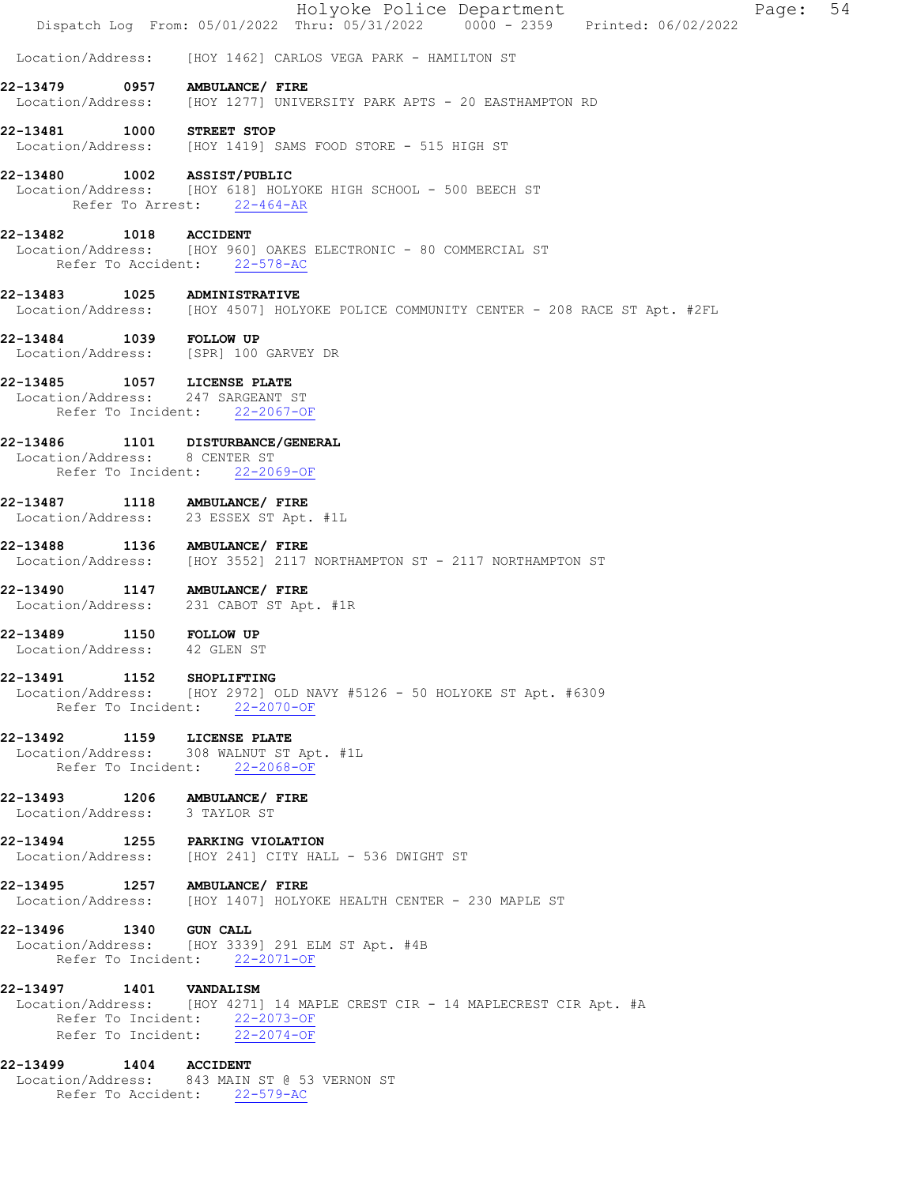|                                                         |                                                                                                                                                                          | Holyoke Police Department | Dispatch Log From: 05/01/2022 Thru: 05/31/2022 0000 - 2359 Printed: 06/02/2022 | Page: 54 |  |
|---------------------------------------------------------|--------------------------------------------------------------------------------------------------------------------------------------------------------------------------|---------------------------|--------------------------------------------------------------------------------|----------|--|
|                                                         | Location/Address: [HOY 1462] CARLOS VEGA PARK - HAMILTON ST                                                                                                              |                           |                                                                                |          |  |
|                                                         | 22-13479 0957 AMBULANCE/ FIRE<br>Location/Address: [HOY 1277] UNIVERSITY PARK APTS - 20 EASTHAMPTON RD                                                                   |                           |                                                                                |          |  |
|                                                         | 22-13481 1000 STREET STOP<br>Location/Address: [HOY 1419] SAMS FOOD STORE - 515 HIGH ST                                                                                  |                           |                                                                                |          |  |
|                                                         | 22-13480 1002 ASSIST/PUBLIC<br>Location/Address: [HOY 618] HOLYOKE HIGH SCHOOL - 500 BEECH ST<br>Refer To Arrest: 22-464-AR                                              |                           |                                                                                |          |  |
|                                                         | 22-13482 1018 ACCIDENT<br>Location/Address: [HOY 960] OAKES ELECTRONIC - 80 COMMERCIAL ST<br>Refer To Accident: 22-578-AC                                                |                           |                                                                                |          |  |
|                                                         | 22-13483 1025 ADMINISTRATIVE<br>Location/Address: [HOY 4507] HOLYOKE POLICE COMMUNITY CENTER - 208 RACE ST Apt. #2FL                                                     |                           |                                                                                |          |  |
| 22-13484 1039 FOLLOW UP                                 | Location/Address: [SPR] 100 GARVEY DR                                                                                                                                    |                           |                                                                                |          |  |
|                                                         | 22-13485 1057 LICENSE PLATE<br>Location/Address: 247 SARGEANT ST<br>Refer To Incident: 22-2067-OF                                                                        |                           |                                                                                |          |  |
|                                                         | 22-13486 1101 DISTURBANCE/GENERAL<br>Location/Address: 8 CENTER ST<br>Refer To Incident: 22-2069-OF                                                                      |                           |                                                                                |          |  |
|                                                         | 22-13487 1118 AMBULANCE/ FIRE<br>Location/Address: 23 ESSEX ST Apt. #1L                                                                                                  |                           |                                                                                |          |  |
|                                                         | 22-13488 1136 AMBULANCE/ FIRE<br>Location/Address: [HOY 3552] 2117 NORTHAMPTON ST - 2117 NORTHAMPTON ST                                                                  |                           |                                                                                |          |  |
|                                                         | 22-13490 1147 AMBULANCE/ FIRE<br>Location/Address: 231 CABOT ST Apt. #1R                                                                                                 |                           |                                                                                |          |  |
| 22-13489 1150 FOLLOW UP<br>Location/Address: 42 GLEN ST |                                                                                                                                                                          |                           |                                                                                |          |  |
| 22-13491                                                | 1152<br>SHOPLIFTING<br>Location/Address: [HOY 2972] OLD NAVY #5126 - 50 HOLYOKE ST Apt. #6309<br>Refer To Incident: 22-2070-OF                                           |                           |                                                                                |          |  |
| 22-13492 1159                                           | <b>LICENSE PLATE</b><br>Location/Address: 308 WALNUT ST Apt. #1L<br>Refer To Incident: 22-2068-OF                                                                        |                           |                                                                                |          |  |
|                                                         | 22-13493 1206 AMBULANCE/ FIRE<br>Location/Address: 3 TAYLOR ST                                                                                                           |                           |                                                                                |          |  |
|                                                         | 22-13494 1255 PARKING VIOLATION<br>Location/Address: [HOY 241] CITY HALL - 536 DWIGHT ST                                                                                 |                           |                                                                                |          |  |
|                                                         | 22-13495 1257 AMBULANCE/ FIRE<br>Location/Address: [HOY 1407] HOLYOKE HEALTH CENTER - 230 MAPLE ST                                                                       |                           |                                                                                |          |  |
| 22-13496 1340 GUN CALL                                  | Location/Address: [HOY 3339] 291 ELM ST Apt. #4B<br>Refer To Incident: 22-2071-OF                                                                                        |                           |                                                                                |          |  |
|                                                         | 22-13497 1401 VANDALISM<br>Location/Address: [HOY 4271] 14 MAPLE CREST CIR - 14 MAPLECREST CIR Apt. #A<br>Refer To Incident: 22-2073-OF<br>Refer To Incident: 22-2074-OF |                           |                                                                                |          |  |
| 22-13499                                                | 1404 ACCIDENT<br>Location/Address: 843 MAIN ST @ 53 VERNON ST<br>Refer To Accident: 22-579-AC                                                                            |                           |                                                                                |          |  |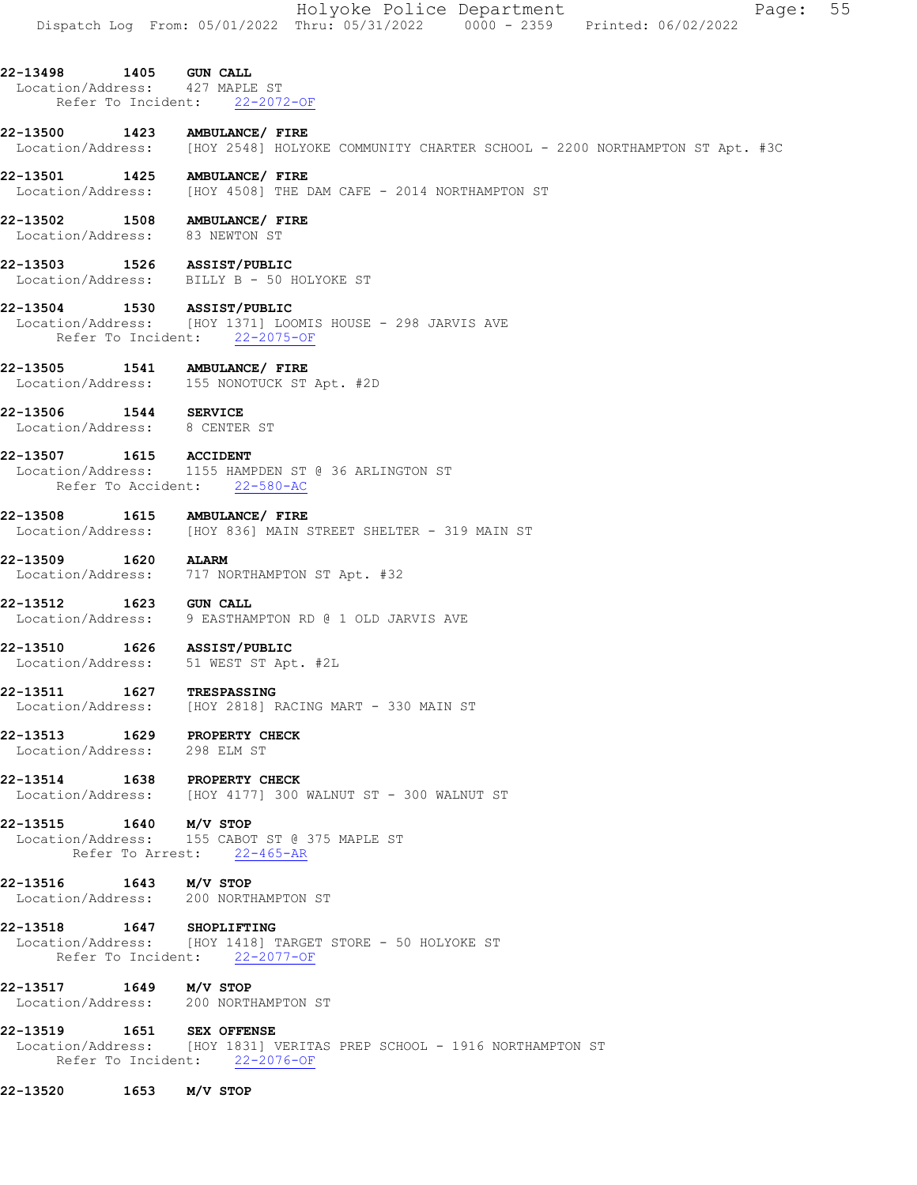|  | Holyoke Police Department |                                                                                | Page: 55 |  |
|--|---------------------------|--------------------------------------------------------------------------------|----------|--|
|  |                           | Dispatch Log From: 05/01/2022 Thru: 05/31/2022 0000 - 2359 Printed: 06/02/2022 |          |  |

22-13498 1405 GUN CALL Location/Address: 427 MAPLE ST Refer To Incident: 22-2072-OF

22-13500 1423 AMBULANCE/FIRE<br>Location/Address: [HOY 2548] HOLYO [HOY 2548] HOLYOKE COMMUNITY CHARTER SCHOOL - 2200 NORTHAMPTON ST Apt. #3C

22-13501 1425 AMBULANCE/ FIRE Location/Address: [HOY 4508] THE DAM CAFE - 2014 NORTHAMPTON ST

22-13502 1508 AMBULANCE/ FIRE Location/Address: 83 NEWTON ST

22-13503 1526 ASSIST/PUBLIC Location/Address: BILLY B - 50 HOLYOKE ST

#### 22-13504 1530 ASSIST/PUBLIC Location/Address: [HOY 1371] LOOMIS HOUSE - 298 JARVIS AVE Refer To Incident: 22-2075-OF

22-13505 1541 AMBULANCE/FIRE<br>Location/Address: 155 NONOTUCK ST 155 NONOTUCK ST Apt. #2D

22-13506 1544 SERVICE<br>
Location/Address: 8 CENTER ST

Location/Address:

# 22-13507 1615 ACCIDENT

 Location/Address: 1155 HAMPDEN ST @ 36 ARLINGTON ST Refer To Accident: 22-580-AC

22-13508 1615 AMBULANCE/ FIRE Location/Address: [HOY 836] MAIN STREET SHELTER - 319 MAIN ST

# 22-13509 1620 ALARM

Location/Address: 717 NORTHAMPTON ST Apt. #32

# 22-13512 1623 GUN CALL Location/Address: 9 EASTHAMPTON RD @ 1 OLD JARVIS AVE

22-13510 1626 ASSIST/PUBLIC Location/Address: 51 WEST ST Apt. #2L

# 22-13511 1627 TRESPASSING

Location/Address: [HOY 2818] RACING MART - 330 MAIN ST

22-13513 1629 PROPERTY CHECK Location/Address: 298 ELM ST

# 22-13514 1638 PROPERTY CHECK<br>Location/Address: [HOY 4177] 300 Location/Address: [HOY 4177] 300 WALNUT ST - 300 WALNUT ST

# **22-13515 1640 M/V STOP**<br>Location/Address: 155 CABOT

155 CABOT ST @ 375 MAPLE ST Refer To Arrest: 22-465-AR

# 22-13516 1643 M/V STOP<br>Location/Address: 200 NORTHAMPTON ST

Location/Address:

# 22-13518 1647 SHOPLIFTING

 Location/Address: [HOY 1418] TARGET STORE - 50 HOLYOKE ST Refer To Incident: 22-2077-OF

# 22-13517 1649 M/V STOP

Location/Address: 200 NORTHAMPTON ST

# **22-13519 1651 SEX OFFENSE**<br>Location/Address: [HOY 1831] \

[HOY 1831] VERITAS PREP SCHOOL - 1916 NORTHAMPTON ST Refer To Incident: 22-2076-OF

22-13520 1653 M/V STOP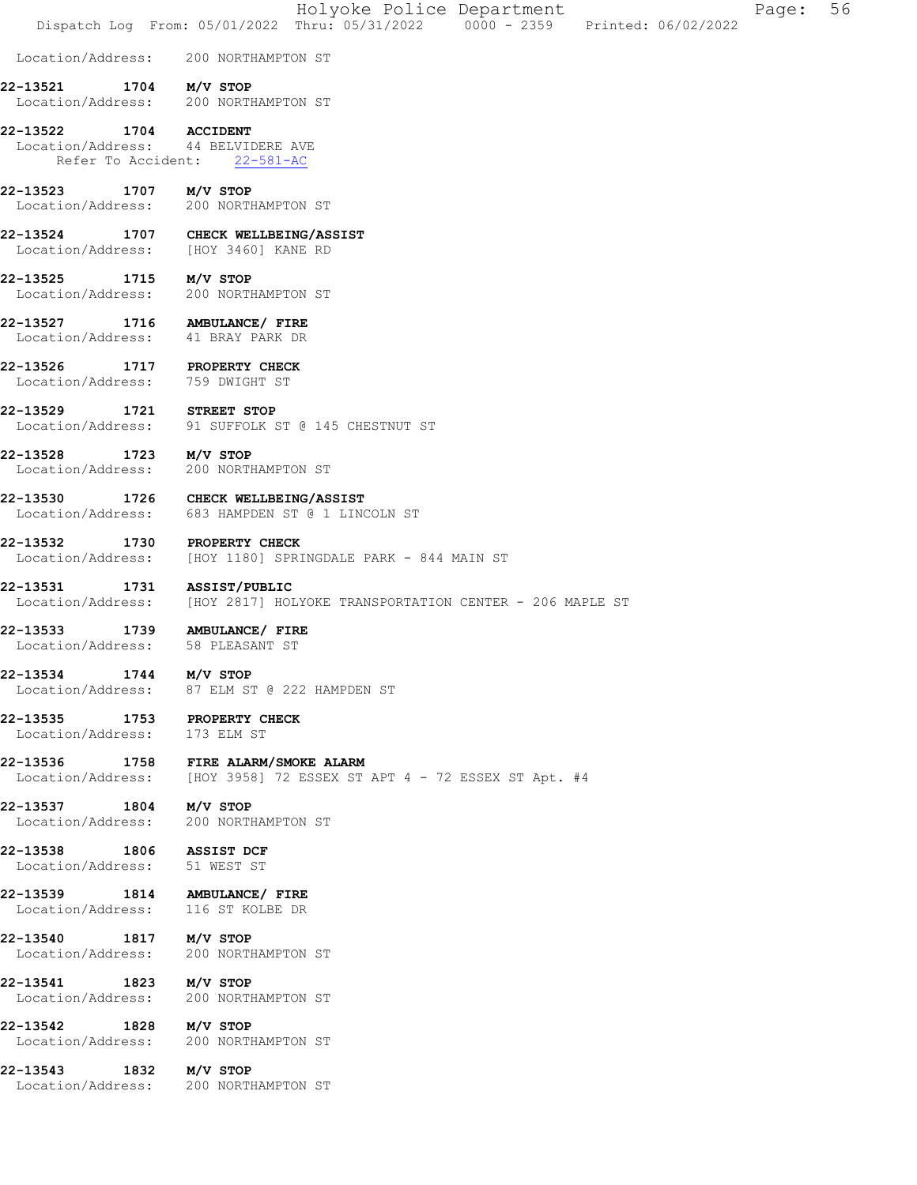|                                                                    | Dispatch Log From: 05/01/2022 Thru: 05/31/2022 0000 - 2359 Printed: 06/02/2022                               |
|--------------------------------------------------------------------|--------------------------------------------------------------------------------------------------------------|
| Location/Address: 200 NORTHAMPTON ST                               |                                                                                                              |
| 22-13521 1704 M/V STOP<br>Location/Address: 200 NORTHAMPTON ST     |                                                                                                              |
| 22-13522 1704 ACCIDENT<br>Location/Address: 44 BELVIDERE AVE       | Refer To Accident: 22-581-AC                                                                                 |
| 22-13523 1707 M/V STOP<br>Location/Address: 200 NORTHAMPTON ST     |                                                                                                              |
| Location/Address: [HOY 3460] KANE RD                               | 22-13524 1707 CHECK WELLBEING/ASSIST                                                                         |
| 22-13525 1715 M/V STOP<br>Location/Address: 200 NORTHAMPTON ST     |                                                                                                              |
| 22-13527 1716 AMBULANCE/ FIRE<br>Location/Address: 41 BRAY PARK DR |                                                                                                              |
| 22-13526 1717 PROPERTY CHECK<br>Location/Address: 759 DWIGHT ST    |                                                                                                              |
| 22-13529 1721 STREET STOP                                          | Location/Address: 91 SUFFOLK ST @ 145 CHESTNUT ST                                                            |
| 22-13528 1723 M/V STOP<br>Location/Address: 200 NORTHAMPTON ST     |                                                                                                              |
|                                                                    | 22-13530 1726 CHECK WELLBEING/ASSIST<br>Location/Address: 683 HAMPDEN ST @ 1 LINCOLN ST                      |
| 22-13532 1730 PROPERTY CHECK                                       | Location/Address: [HOY 1180] SPRINGDALE PARK - 844 MAIN ST                                                   |
| 22-13531 1731 ASSIST/PUBLIC                                        | Location/Address: [HOY 2817] HOLYOKE TRANSPORTATION CENTER - 206 MAPLE ST                                    |
| 22-13533 1739 AMBULANCE/ FIRE<br>Location/Address: 58 PLEASANT ST  |                                                                                                              |
|                                                                    | Location/Address: 87 ELM ST @ 222 HAMPDEN ST                                                                 |
| 22-13535 1753 PROPERTY CHECK<br>Location/Address: 173 ELM ST       |                                                                                                              |
|                                                                    | 22-13536 1758 FIRE ALARM/SMOKE ALARM<br>Location/Address: [HOY 3958] 72 ESSEX ST APT 4 - 72 ESSEX ST Apt. #4 |
| 22-13537 1804 M/V STOP<br>Location/Address: 200 NORTHAMPTON ST     |                                                                                                              |
| 22-13538 1806 ASSIST DCF<br>Location/Address: 51 WEST ST           |                                                                                                              |
| 22-13539 1814 AMBULANCE/ FIRE<br>Location/Address: 116 ST KOLBE DR |                                                                                                              |
| 22-13540 1817 M/V STOP<br>Location/Address: 200 NORTHAMPTON ST     |                                                                                                              |
| 22-13541 1823 M/V STOP<br>Location/Address: 200 NORTHAMPTON ST     |                                                                                                              |
| 22-13542 1828 M/V STOP<br>Location/Address: 200 NORTHAMPTON ST     |                                                                                                              |
| 22-13543 1832 M/V STOP<br>Location/Address: 200 NORTHAMPTON ST     |                                                                                                              |
|                                                                    |                                                                                                              |

Holyoke Police Department Fage: 56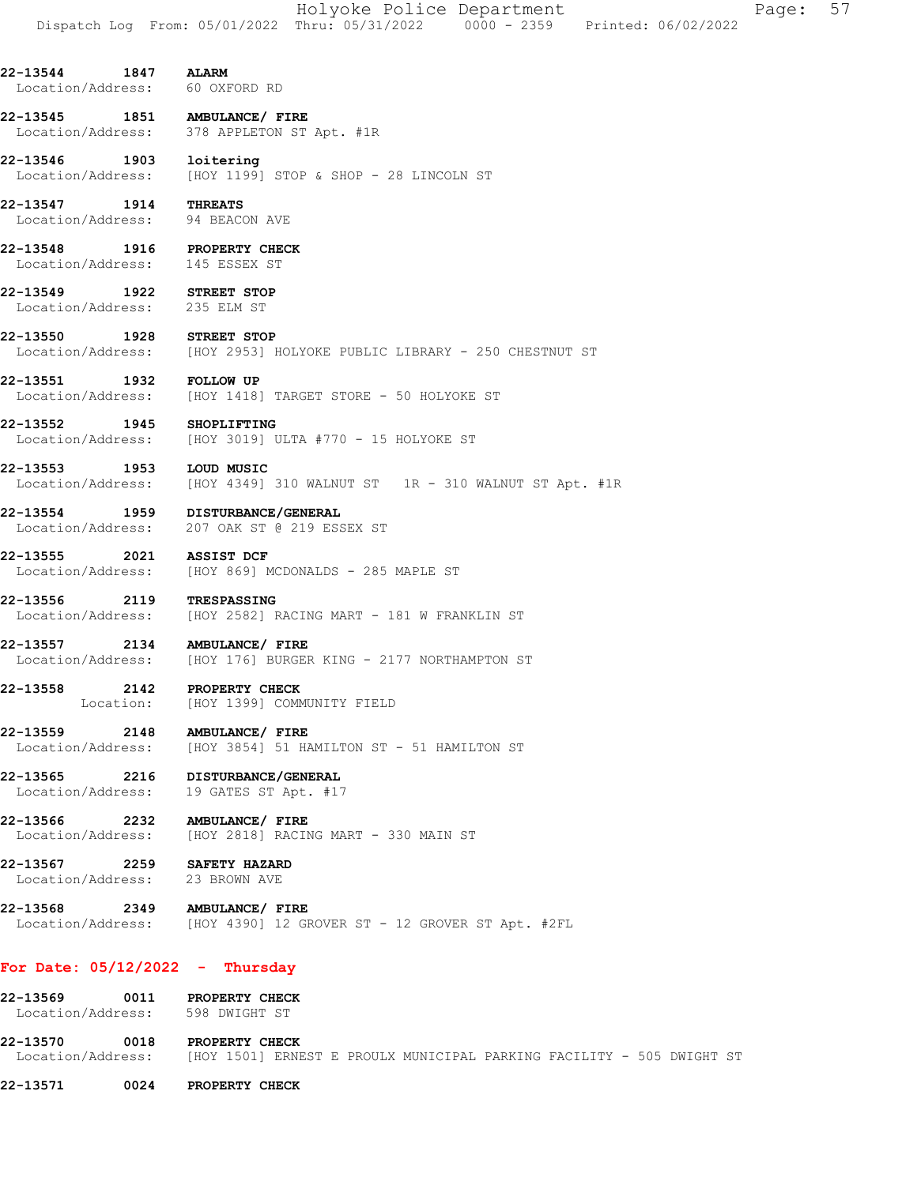| Holyoke Police Department                                                      | Page: 57 |  |
|--------------------------------------------------------------------------------|----------|--|
| Dispatch Log From: 05/01/2022 Thru: 05/31/2022 0000 - 2359 Printed: 06/02/2022 |          |  |

22-13544 1847 ALARM Location/Address: 60 OXFORD RD

22-13545 1851 AMBULANCE/ FIRE Location/Address: 378 APPLETON ST Apt. #1R

22-13546 1903 loitering Location/Address: [HOY 1199] STOP & SHOP - 28 LINCOLN ST

22-13547 1914 THREATS Location/Address: 94 BEACON AVE

22-13548 1916 PROPERTY CHECK Location/Address: 145 ESSEX ST

22-13549 1922 STREET STOP Location/Address: 235 ELM ST

**22-13550 1928 STREET STOP**<br>Location/Address: [HOY 2953] H [HOY 2953] HOLYOKE PUBLIC LIBRARY - 250 CHESTNUT ST

22-13551 1932 FOLLOW UP Location/Address: [HOY 1418] TARGET STORE - 50 HOLYOKE ST

22-13552 1945 SHOPLIFTING Location/Address: [HOY 3019] ULTA #770 - 15 HOLYOKE ST

22-13553 1953 LOUD MUSIC Location/Address: [HOY 4349] 310 WALNUT ST 1R - 310 WALNUT ST Apt. #1R

22-13554 1959 DISTURBANCE/GENERAL Location/Address: 207 OAK ST @ 219 ESSEX ST

22-13555 2021 ASSIST DCF Location/Address: [HOY 869] MCDONALDS - 285 MAPLE ST

22-13556 2119 TRESPASSING<br>Location/Address: [HOY 2582] F [HOY 2582] RACING MART - 181 W FRANKLIN ST

22-13557 2134 AMBULANCE/ FIRE Location/Address: [HOY 176] BURGER KING - 2177 NORTHAMPTON ST

22-13558 2142 PROPERTY CHECK Location: [HOY 1399] COMMUNITY FIELD

22-13559 2148 AMBULANCE/ FIRE Location/Address: [HOY 3854] 51 HAMILTON ST - 51 HAMILTON ST

22-13565 2216 DISTURBANCE/GENERAL Location/Address: 19 GATES ST Apt. #17

22-13566 2232 AMBULANCE/FIRE<br>Location/Address: [HOY 2818] RACIN [HOY 2818] RACING MART - 330 MAIN ST

22-13567 2259 SAFETY HAZARD Location/Address: 23 BROWN AVE

22-13568 2349 AMBULANCE/ FIRE Location/Address: [HOY 4390] 12 GROVER ST - 12 GROVER ST Apt. #2FL

#### For Date: 05/12/2022 - Thursday

22-13569 0011 PROPERTY CHECK Location/Address: 598 DWIGHT ST

22-13570 0018 PROPERTY CHECK<br>Location/Address: [HOY 1501] ERNE [HOY 1501] ERNEST E PROULX MUNICIPAL PARKING FACILITY - 505 DWIGHT ST

22-13571 0024 PROPERTY CHECK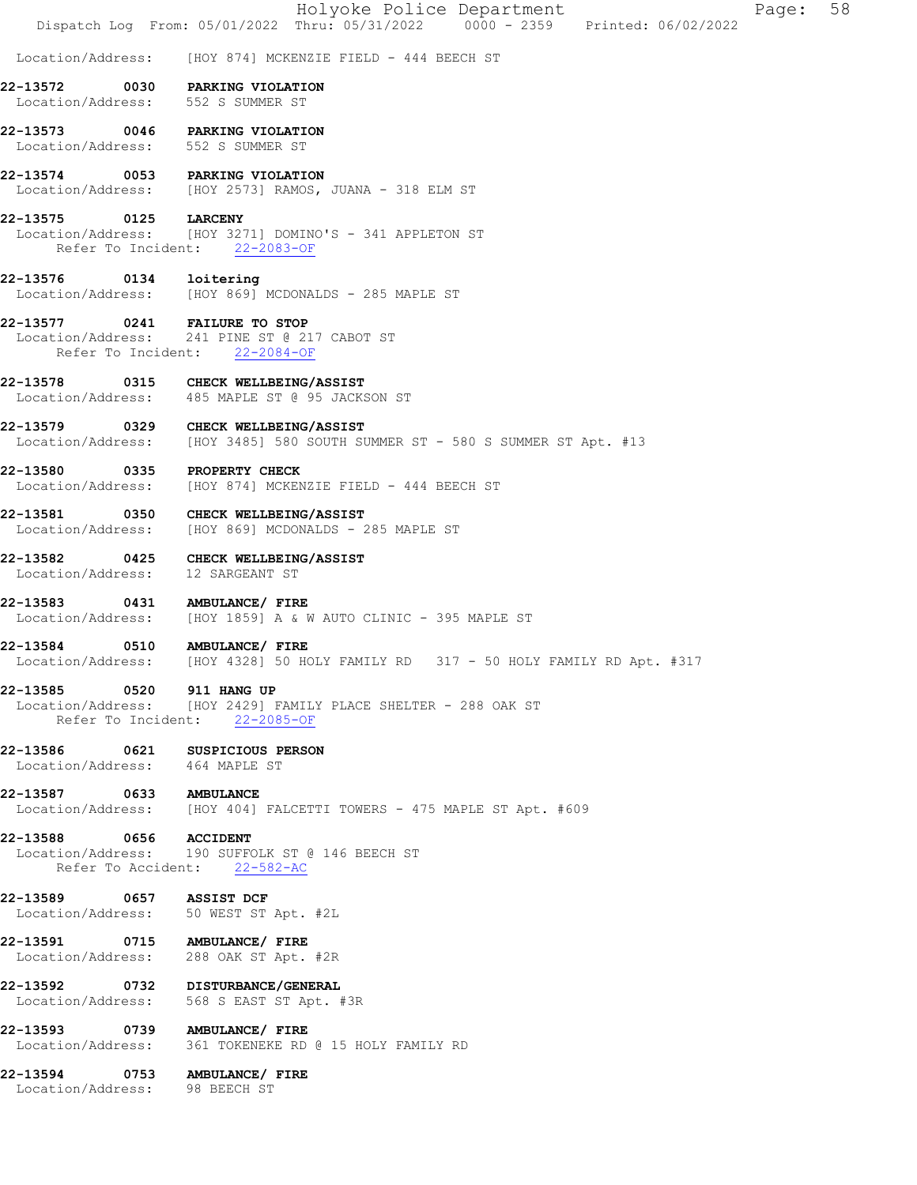|                                | Holyoke Police Department<br>58<br>Page:<br>Dispatch Log From: 05/01/2022 Thru: 05/31/2022 0000 - 2359 Printed: 06/02/2022 |  |
|--------------------------------|----------------------------------------------------------------------------------------------------------------------------|--|
| Location/Address:              | [HOY 874] MCKENZIE FIELD - 444 BEECH ST                                                                                    |  |
| 22-13572                       | 0030 PARKING VIOLATION<br>Location/Address: 552 S SUMMER ST                                                                |  |
|                                | 22-13573 0046 PARKING VIOLATION<br>Location/Address: 552 S SUMMER ST                                                       |  |
| 22-13574                       | 0053 PARKING VIOLATION<br>Location/Address: [HOY 2573] RAMOS, JUANA - 318 ELM ST                                           |  |
| 22-13575 0125 LARCENY          | Location/Address: [HOY 3271] DOMINO'S - 341 APPLETON ST<br>Refer To Incident: 22-2083-OF                                   |  |
| 22-13576 0134 loitering        | Location/Address: [HOY 869] MCDONALDS - 285 MAPLE ST                                                                       |  |
| 22-13577                       | 0241 FAILURE TO STOP<br>Location/Address: 241 PINE ST @ 217 CABOT ST<br>Refer To Incident: 22-2084-OF                      |  |
|                                | 22-13578 0315 CHECK WELLBEING/ASSIST<br>Location/Address: 485 MAPLE ST @ 95 JACKSON ST                                     |  |
|                                | 22-13579 0329 CHECK WELLBEING/ASSIST<br>Location/Address: [HOY 3485] 580 SOUTH SUMMER ST - 580 S SUMMER ST Apt. #13        |  |
| Location/Address:              | 22-13580 0335 PROPERTY CHECK<br>[HOY 874] MCKENZIE FIELD - 444 BEECH ST                                                    |  |
| 22-13581                       | 0350 CHECK WELLBEING/ASSIST<br>Location/Address: [HOY 869] MCDONALDS - 285 MAPLE ST                                        |  |
| Location/Address:              | 22-13582 0425 CHECK WELLBEING/ASSIST<br>12 SARGEANT ST                                                                     |  |
| 22-13583                       | 0431 AMBULANCE/ FIRE<br>Location/Address: [HOY 1859] A & W AUTO CLINIC - 395 MAPLE ST                                      |  |
| 22-13584                       | 0510 AMBULANCE/ FIRE<br>Location/Address: [HOY 4328] 50 HOLY FAMILY RD 317 - 50 HOLY FAMILY RD Apt. #317                   |  |
| 22-13585 0520 911 HANG UP      | Location/Address: [HOY 2429] FAMILY PLACE SHELTER - 288 OAK ST<br>Refer To Incident: 22-2085-OF                            |  |
| Location/Address: 464 MAPLE ST | 22-13586 0621 SUSPICIOUS PERSON                                                                                            |  |
| 22-13587 0633 AMBULANCE        | Location/Address: [HOY 404] FALCETTI TOWERS - 475 MAPLE ST Apt. #609                                                       |  |
| 22-13588 0656 ACCIDENT         | Location/Address: 190 SUFFOLK ST @ 146 BEECH ST<br>Refer To Accident: 22-582-AC                                            |  |
| 22-13589 0657 ASSIST DCF       | Location/Address: 50 WEST ST Apt. #2L                                                                                      |  |
|                                | 22-13591 0715 AMBULANCE/ FIRE<br>Location/Address: 288 OAK ST Apt. #2R                                                     |  |
|                                | 22-13592 0732 DISTURBANCE/GENERAL<br>Location/Address: 568 S EAST ST Apt. #3R                                              |  |
|                                | 22-13593 0739 AMBULANCE/ FIRE<br>Location/Address: 361 TOKENEKE RD @ 15 HOLY FAMILY RD                                     |  |
| Location/Address: 98 BEECH ST  | 22-13594 0753 AMBULANCE/ FIRE                                                                                              |  |
|                                |                                                                                                                            |  |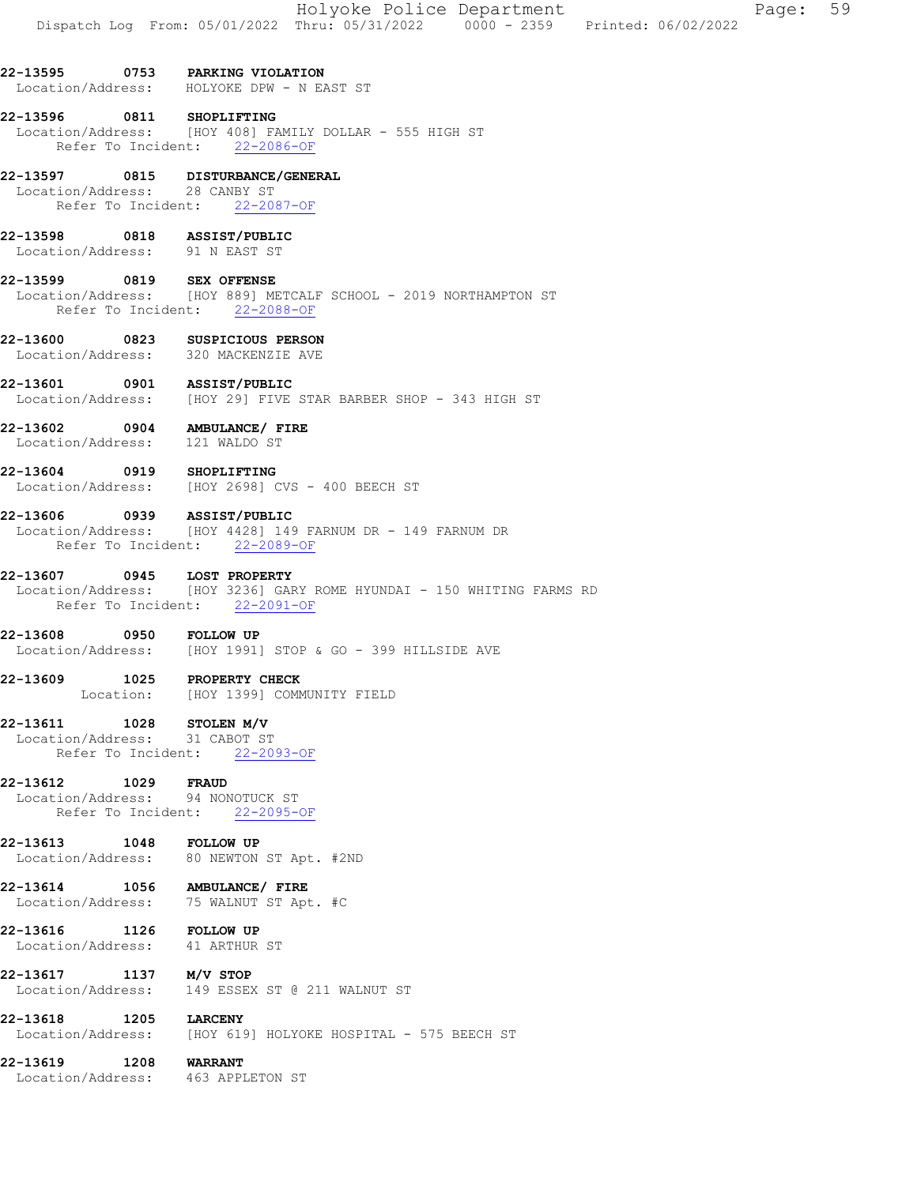# 22-13595 0753 PARKING VIOLATION

Location/Address: HOLYOKE DPW - N EAST ST

#### 22-13596 0811 SHOPLIFTING Location/Address: [HOY 408] FAMILY DOLLAR - 555 HIGH ST Refer To Incident: 22-2086-OF

# 22-13597 0815 DISTURBANCE/GENERAL

 Location/Address: 28 CANBY ST Refer To Incident: 22-2087-OF

# 22-13598 0818 ASSIST/PUBLIC

Location/Address: 91 N EAST ST

### 22-13599 0819 SEX OFFENSE Location/Address: [HOY 889] METCALF SCHOOL - 2019 NORTHAMPTON ST Refer To Incident: 22-2088-OF

# 22-13600 0823 SUSPICIOUS PERSON Location/Address: 320 MACKENZIE AVE

22-13601 0901 ASSIST/PUBLIC<br>Location/Address: [HOY 29] FIVE [HOY 29] FIVE STAR BARBER SHOP - 343 HIGH ST

# 22-13602 0904 AMBULANCE/FIRE<br>Location/Address: 121 WALDO ST Location/Address:

22-13604 0919 SHOPLIFTING Location/Address: [HOY 2698] CVS - 400 BEECH ST

# 22-13606 0939 ASSIST/PUBLIC

 Location/Address: [HOY 4428] 149 FARNUM DR - 149 FARNUM DR Refer To Incident: 22-2089-OF

# 22-13607 0945 LOST PROPERTY

Location/Address: [HOY 3236] GARY ROME HYUNDAI - 150 WHITING FARMS RD Refer To Incident: 22-2091-OF

# 22-13608 0950 FOLLOW UP Location/Address: [HOY 1991] STOP & GO - 399 HILLSIDE AVE

### 22-13609 1025 PROPERTY CHECK Location: [HOY 1399] COMMUNITY FIELD

# 22-13611 1028 STOLEN M/V

 Location/Address: 31 CABOT ST Refer To Incident: 22-2093-OF

#### 22-13612 1029 FRAUD Location/Address: 94 NONOTUCK ST Refer To Incident: 22-2095-OF

# 22-13613 1048 FOLLOW UP Location/Address: 80 NEWTON ST Apt. #2ND

# 22-13614 1056 AMBULANCE/ FIRE Location/Address: 75 WALNUT ST Apt. #C

# 22-13616 1126 FOLLOW UP Location/Address: 41 ARTHUR ST

22-13617 1137 M/V STOP Location/Address: 149 ESSEX ST @ 211 WALNUT ST

# **22-13618 1205 LARCENY**<br>Location/Address: [HOY 619 [HOY 619] HOLYOKE HOSPITAL - 575 BEECH ST

# 22-13619 1208 WARRANT Location/Address: 463 APPLETON ST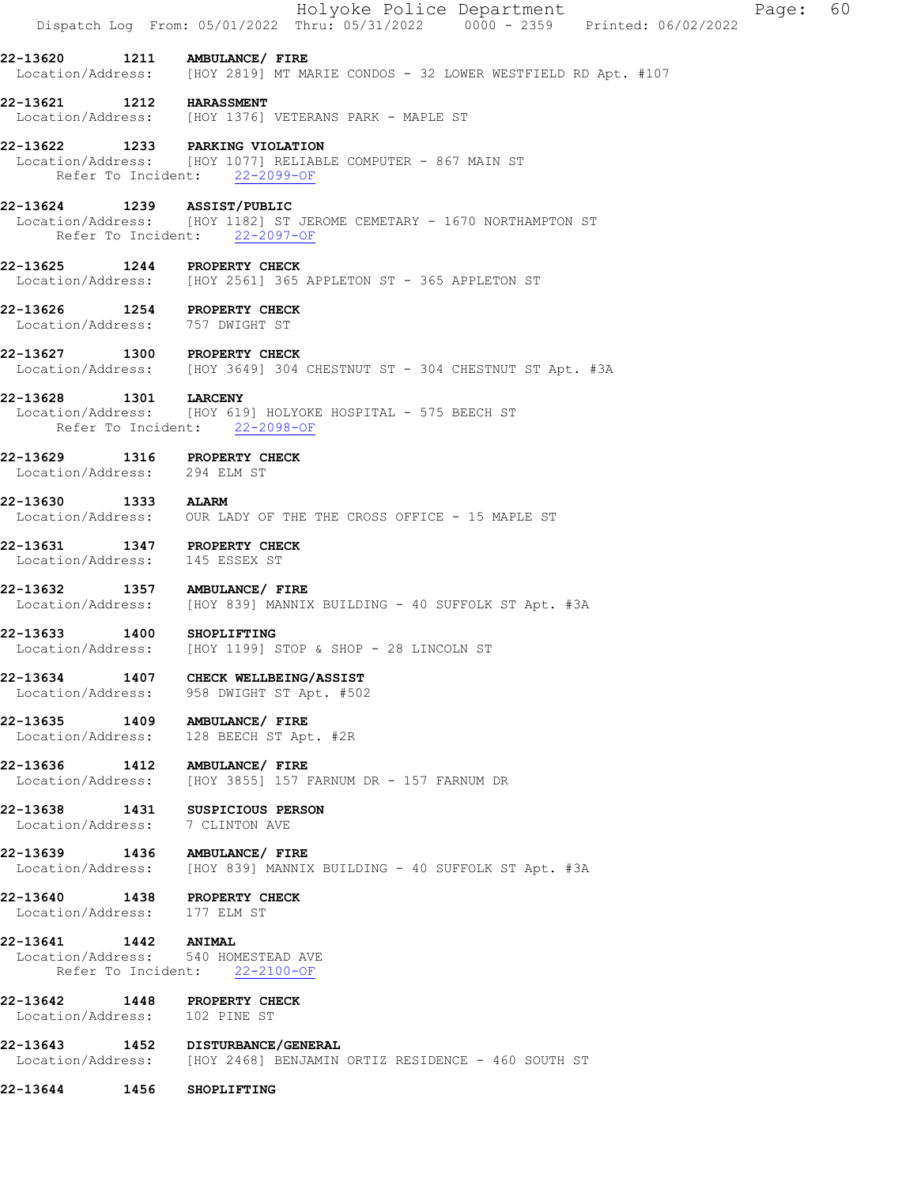|                                                                 |      | Holyoke Police Department<br>Page: 60<br>Dispatch Log From: 05/01/2022 Thru: 05/31/2022   0000 - 2359   Printed: 06/02/2022      |
|-----------------------------------------------------------------|------|----------------------------------------------------------------------------------------------------------------------------------|
| 22-13620 1211 AMBULANCE/ FIRE                                   |      | Location/Address: [HOY 2819] MT MARIE CONDOS - 32 LOWER WESTFIELD RD Apt. #107                                                   |
| 22-13621                                                        |      | 1212 HARASSMENT<br>Location/Address: [HOY 1376] VETERANS PARK - MAPLE ST                                                         |
|                                                                 |      | 22-13622 1233 PARKING VIOLATION<br>Location/Address: [HOY 1077] RELIABLE COMPUTER - 867 MAIN ST<br>Refer To Incident: 22-2099-OF |
| 22-13624 1239 ASSIST/PUBLIC                                     |      | Location/Address: [HOY 1182] ST JEROME CEMETARY - 1670 NORTHAMPTON ST<br>Refer To Incident: 22-2097-OF                           |
| 22-13625 1244 PROPERTY CHECK                                    |      | Location/Address: [HOY 2561] 365 APPLETON ST - 365 APPLETON ST                                                                   |
| 22-13626 1254 PROPERTY CHECK<br>Location/Address: 757 DWIGHT ST |      |                                                                                                                                  |
| 22-13627 1300 PROPERTY CHECK                                    |      | Location/Address: [HOY 3649] 304 CHESTNUT ST - 304 CHESTNUT ST Apt. #3A                                                          |
| 22-13628 1301 LARCENY                                           |      | Location/Address: [HOY 619] HOLYOKE HOSPITAL - 575 BEECH ST<br>Refer To Incident: 22-2098-OF                                     |
| 22-13629 1316 PROPERTY CHECK<br>Location/Address: 294 ELM ST    |      |                                                                                                                                  |
| 22-13630 1333 ALARM                                             |      | Location/Address: OUR LADY OF THE THE CROSS OFFICE - 15 MAPLE ST                                                                 |
| 22-13631 1347 PROPERTY CHECK<br>Location/Address:               |      | 145 ESSEX ST                                                                                                                     |
| 22-13632 1357 AMBULANCE/ FIRE                                   |      | Location/Address: [HOY 839] MANNIX BUILDING - 40 SUFFOLK ST Apt. #3A                                                             |
| 22-13633 1400 SHOPLIFTING                                       |      | Location/Address: [HOY 1199] STOP & SHOP - 28 LINCOLN ST                                                                         |
| 22-13634<br>1407<br>Location/Address:                           |      | CHECK WELLBEING/ASSIST<br>958 DWIGHT ST Apt. #502                                                                                |
| 22-13635 1409<br>Location/Address:                              |      | AMBULANCE/ FIRE<br>128 BEECH ST Apt. #2R                                                                                         |
| 22-13636 1412                                                   |      | AMBULANCE/ FIRE<br>Location/Address: [HOY 3855] 157 FARNUM DR - 157 FARNUM DR                                                    |
| 22-13638 1431<br>Location/Address:                              |      | SUSPICIOUS PERSON<br>7 CLINTON AVE                                                                                               |
| 22-13639 1436 AMBULANCE/ FIRE                                   |      | Location/Address: [HOY 839] MANNIX BUILDING - 40 SUFFOLK ST Apt. #3A                                                             |
| 22-13640 1438 PROPERTY CHECK<br>Location/Address:               |      | 177 ELM ST                                                                                                                       |
| 22-13641 1442 ANIMAL                                            |      | Location/Address: 540 HOMESTEAD AVE<br>Refer To Incident: 22-2100-OF                                                             |
| 22-13642 1448 PROPERTY CHECK<br>Location/Address: 102 PINE ST   |      |                                                                                                                                  |
| 22-13643                                                        |      | 1452 DISTURBANCE/GENERAL<br>Location/Address: [HOY 2468] BENJAMIN ORTIZ RESIDENCE - 460 SOUTH ST                                 |
| 22-13644                                                        | 1456 | SHOPLIFTING                                                                                                                      |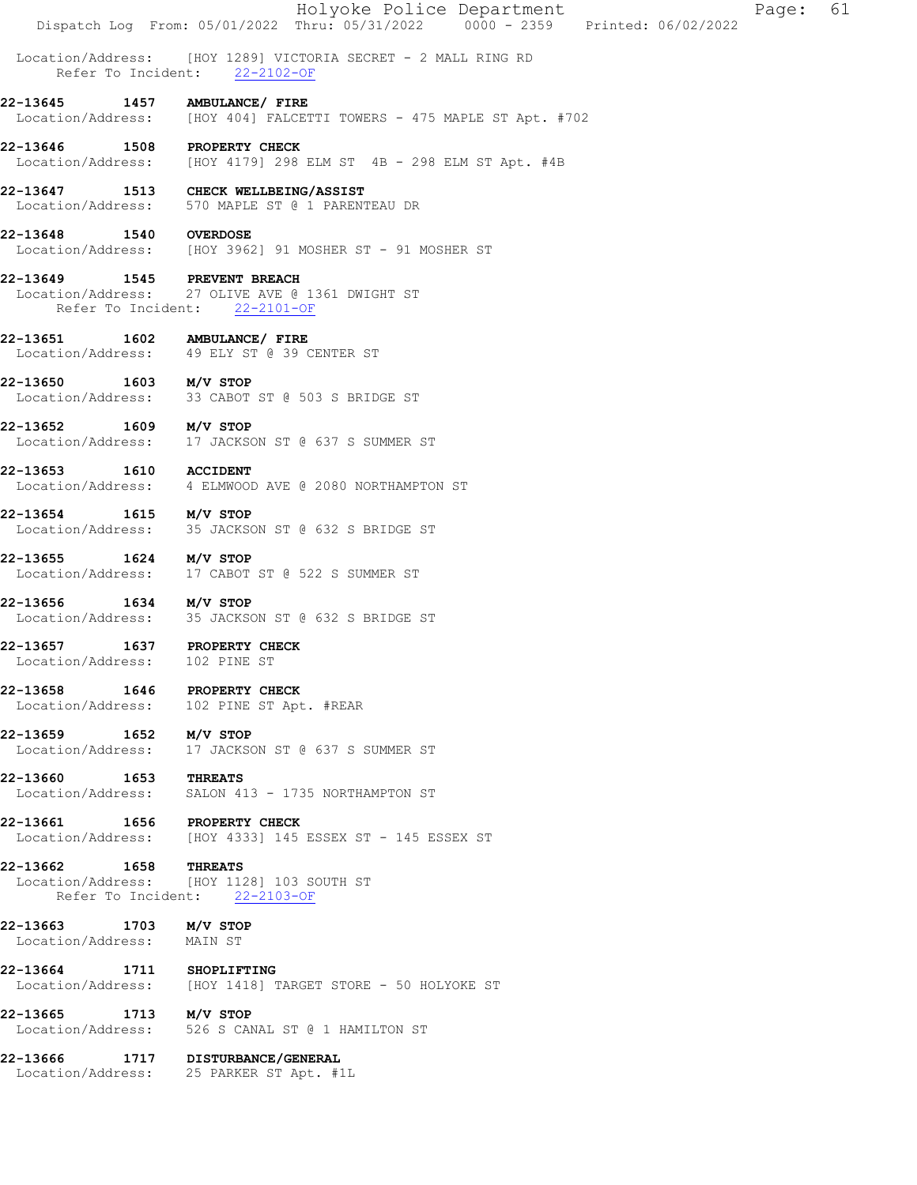|                                                                                                       | Dispatch Log From: 05/01/2022 Thru: 05/31/2022 0000 - 2359 Printed: 06/02/2022 |  | Holyoke Police Department |  | Page: 61 |  |
|-------------------------------------------------------------------------------------------------------|--------------------------------------------------------------------------------|--|---------------------------|--|----------|--|
| Location/Address: [HOY 1289] VICTORIA SECRET - 2 MALL RING RD                                         | Refer To Incident: 22-2102-OF                                                  |  |                           |  |          |  |
| 22-13645 1457 AMBULANCE/ FIRE<br>Location/Address: [HOY 404] FALCETTI TOWERS - 475 MAPLE ST Apt. #702 |                                                                                |  |                           |  |          |  |
| 22-13646 1508 PROPERTY CHECK<br>Location/Address: [HOY 4179] 298 ELM ST 4B - 298 ELM ST Apt. #4B      |                                                                                |  |                           |  |          |  |
| 22-13647 1513 CHECK WELLBEING/ASSIST<br>Location/Address: 570 MAPLE ST @ 1 PARENTEAU DR               |                                                                                |  |                           |  |          |  |
| 22-13648 1540 OVERDOSE<br>Location/Address: [HOY 3962] 91 MOSHER ST - 91 MOSHER ST                    |                                                                                |  |                           |  |          |  |
| 22-13649 1545 PREVENT BREACH<br>Location/Address: 27 OLIVE AVE @ 1361 DWIGHT ST                       | Refer To Incident: 22-2101-OF                                                  |  |                           |  |          |  |
| 22-13651   1602   AMBULANCE/ FIRE<br>Location/Address: 49 ELY ST @ 39 CENTER ST                       |                                                                                |  |                           |  |          |  |
| 22-13650 1603 M/V STOP<br>Location/Address: 33 CABOT ST @ 503 S BRIDGE ST                             |                                                                                |  |                           |  |          |  |
| 22-13652 1609 M/V STOP<br>Location/Address: 17 JACKSON ST @ 637 S SUMMER ST                           |                                                                                |  |                           |  |          |  |
| 22-13653 1610 ACCIDENT<br>Location/Address: 4 ELMWOOD AVE @ 2080 NORTHAMPTON ST                       |                                                                                |  |                           |  |          |  |
| 22-13654 1615 M/V STOP<br>Location/Address: 35 JACKSON ST @ 632 S BRIDGE ST                           |                                                                                |  |                           |  |          |  |
| 22-13655 1624 M/V STOP<br>Location/Address: 17 CABOT ST @ 522 S SUMMER ST                             |                                                                                |  |                           |  |          |  |
| 22-13656 1634 M/V STOP<br>Location/Address: 35 JACKSON ST @ 632 S BRIDGE ST                           |                                                                                |  |                           |  |          |  |
| 22-13657 1637 PROPERTY CHECK<br>Location/Address: 102 PINE ST                                         |                                                                                |  |                           |  |          |  |
| 22-13658 1646 PROPERTY CHECK<br>Location/Address: 102 PINE ST Apt. #REAR                              |                                                                                |  |                           |  |          |  |
| 22-13659 1652 M/V STOP<br>Location/Address: 17 JACKSON ST @ 637 S SUMMER ST                           |                                                                                |  |                           |  |          |  |
| 22-13660 1653 THREATS<br>Location/Address: SALON 413 - 1735 NORTHAMPTON ST                            |                                                                                |  |                           |  |          |  |
| 22-13661 1656 PROPERTY CHECK<br>Location/Address: [HOY 4333] 145 ESSEX ST - 145 ESSEX ST              |                                                                                |  |                           |  |          |  |
| 22-13662 1658 THREATS<br>Location/Address: [HOY 1128] 103 SOUTH ST                                    | Refer To Incident: 22-2103-OF                                                  |  |                           |  |          |  |
| 22-13663 1703 M/V STOP<br>Location/Address: MAIN ST                                                   |                                                                                |  |                           |  |          |  |
| 22-13664 1711 SHOPLIFTING<br>Location/Address: [HOY 1418] TARGET STORE - 50 HOLYOKE ST                |                                                                                |  |                           |  |          |  |
| 22-13665 1713 M/V STOP<br>Location/Address: 526 S CANAL ST @ 1 HAMILTON ST                            |                                                                                |  |                           |  |          |  |
| 22-13666 1717 DISTURBANCE/GENERAL<br>Location/Address: 25 PARKER ST Apt. #1L                          |                                                                                |  |                           |  |          |  |
|                                                                                                       |                                                                                |  |                           |  |          |  |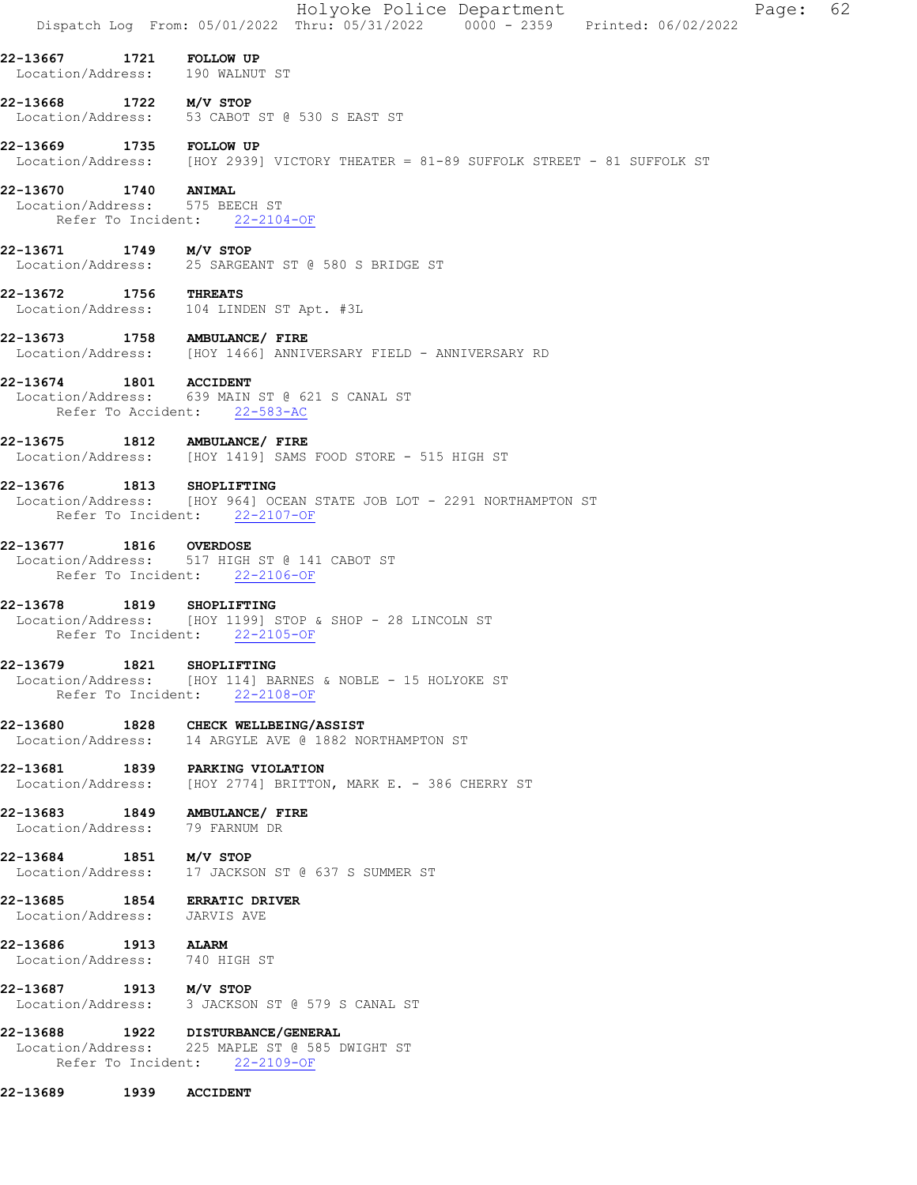|                                                        |      | Holyoke Police Department<br>62<br>Page:<br>Dispatch Log From: 05/01/2022 Thru: 05/31/2022 0000 - 2359 Printed: 06/02/2022 |
|--------------------------------------------------------|------|----------------------------------------------------------------------------------------------------------------------------|
| 22-13667<br>Location/Address: 190 WALNUT ST            |      | 1721 FOLLOW UP                                                                                                             |
| 22-13668                                               |      | 1722 M/V STOP<br>Location/Address: 53 CABOT ST @ 530 S EAST ST                                                             |
| 22-13669 1735 FOLLOW UP                                |      | Location/Address: [HOY 2939] VICTORY THEATER = 81-89 SUFFOLK STREET - 81 SUFFOLK ST                                        |
| 22-13670 1740 ANIMAL<br>Location/Address: 575 BEECH ST |      | Refer To Incident: 22-2104-OF                                                                                              |
| 22-13671 1749 M/V STOP                                 |      | Location/Address: 25 SARGEANT ST @ 580 S BRIDGE ST                                                                         |
| 22-13672 1756 THREATS                                  |      | Location/Address: 104 LINDEN ST Apt. #3L                                                                                   |
|                                                        |      | 22-13673 1758 AMBULANCE/ FIRE<br>Location/Address: [HOY 1466] ANNIVERSARY FIELD - ANNIVERSARY RD                           |
| 22-13674 1801 ACCIDENT                                 |      | Location/Address: 639 MAIN ST @ 621 S CANAL ST<br>Refer To Accident: 22-583-AC                                             |
| 22-13675                                               |      | 1812 AMBULANCE/ FIRE<br>Location/Address: [HOY 1419] SAMS FOOD STORE - 515 HIGH ST                                         |
| 22-13676 1813 SHOPLIFTING                              |      | Location/Address: [HOY 964] OCEAN STATE JOB LOT - 2291 NORTHAMPTON ST<br>Refer To Incident: 22-2107-OF                     |
| 22-13677 1816 OVERDOSE                                 |      | Location/Address: 517 HIGH ST @ 141 CABOT ST<br>Refer To Incident: 22-2106-OF                                              |
| 22-13678                                               | 1819 | SHOPLIFTING<br>Location/Address: [HOY 1199] STOP & SHOP - 28 LINCOLN ST<br>Refer To Incident: 22-2105-OF                   |
| 22-13679                                               | 1821 | <b>SHOPLIFTING</b><br>Location/Address: [HOY 114] BARNES & NOBLE - 15 HOLYOKE ST<br>Refer To Incident: 22-2108-OF          |
| 22-13680                                               |      | 1828 CHECK WELLBEING/ASSIST<br>Location/Address: 14 ARGYLE AVE @ 1882 NORTHAMPTON ST                                       |
|                                                        |      | 22-13681 1839 PARKING VIOLATION<br>Location/Address: [HOY 2774] BRITTON, MARK E. - 386 CHERRY ST                           |
| Location/Address: 79 FARNUM DR                         |      | 22-13683 1849 AMBULANCE/ FIRE                                                                                              |
| 22-13684 1851 M/V STOP                                 |      | Location/Address: 17 JACKSON ST @ 637 S SUMMER ST                                                                          |
| 22-13685 1854 ERRATIC DRIVER<br>Location/Address:      |      | JARVIS AVE                                                                                                                 |
| 22-13686 1913 ALARM<br>Location/Address: 740 HIGH ST   |      |                                                                                                                            |
| $22-13687$ 1913 M/V STOP                               |      | Location/Address: 3 JACKSON ST @ 579 S CANAL ST                                                                            |
|                                                        |      | 22-13688 1922 DISTURBANCE/GENERAL<br>Location/Address: 225 MAPLE ST @ 585 DWIGHT ST<br>Refer To Incident: 22-2109-OF       |
| 22-13689                                               | 1939 | <b>ACCIDENT</b>                                                                                                            |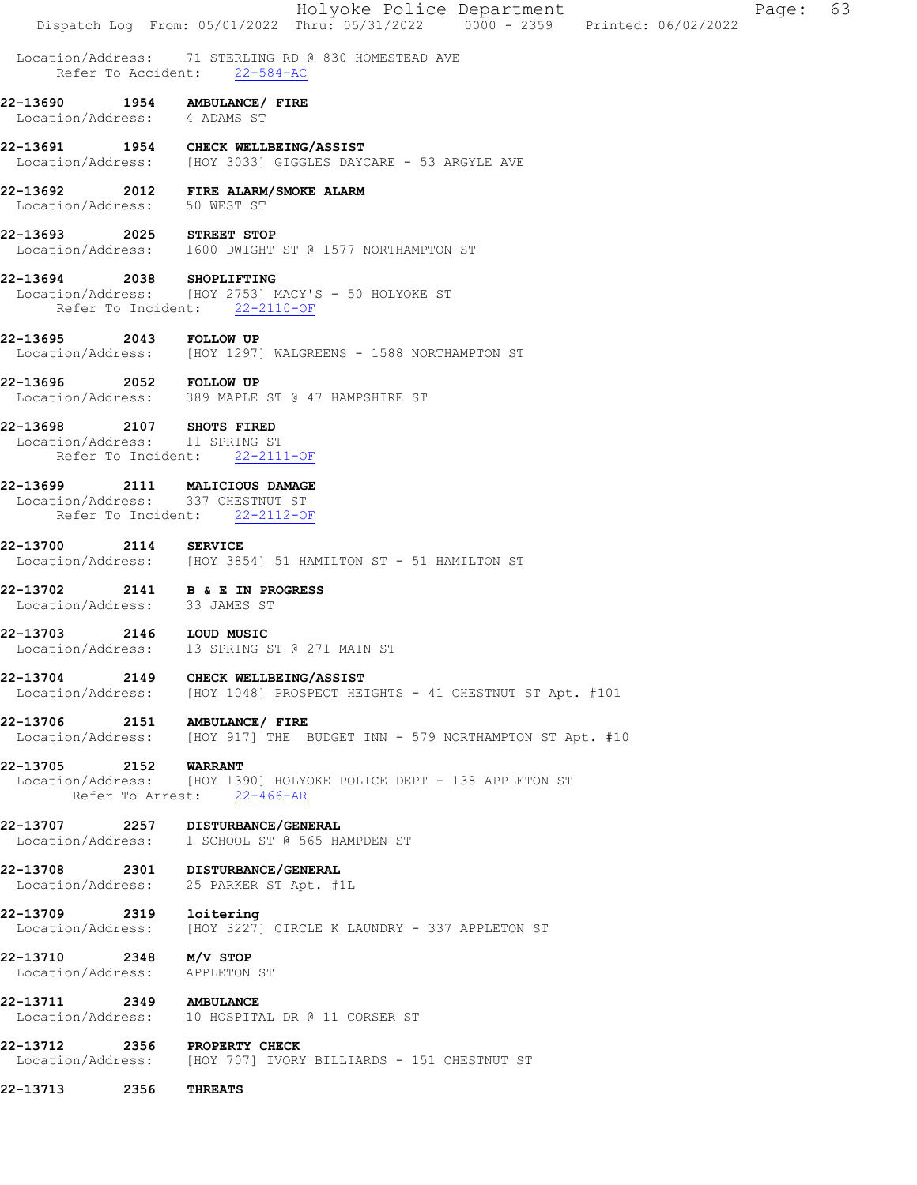|                                            |                    | Holyoke Police Department<br>63<br>Page:<br>Dispatch Log From: 05/01/2022 Thru: 05/31/2022 0000 - 2359 Printed: 06/02/2022 |  |
|--------------------------------------------|--------------------|----------------------------------------------------------------------------------------------------------------------------|--|
|                                            |                    | Location/Address: 71 STERLING RD @ 830 HOMESTEAD AVE<br>Refer To Accident: 22-584-AC                                       |  |
| 22-13690<br>Location/Address: 4 ADAMS ST   |                    | 1954 AMBULANCE/ FIRE                                                                                                       |  |
|                                            |                    | 22-13691 1954 CHECK WELLBEING/ASSIST<br>Location/Address: [HOY 3033] GIGGLES DAYCARE - 53 ARGYLE AVE                       |  |
| 22-13692<br>Location/Address: 50 WEST ST   |                    | 2012 FIRE ALARM/SMOKE ALARM                                                                                                |  |
| 22-13693 2025 STREET STOP                  |                    | Location/Address: 1600 DWIGHT ST @ 1577 NORTHAMPTON ST                                                                     |  |
| 22-13694 2038 SHOPLIFTING                  |                    | Location/Address: [HOY 2753] MACY'S - 50 HOLYOKE ST<br>Refer To Incident: 22-2110-OF                                       |  |
| 22-13695                                   |                    | 2043 FOLLOW UP<br>Location/Address: [HOY 1297] WALGREENS - 1588 NORTHAMPTON ST                                             |  |
| 22-13696 2052 FOLLOW UP                    |                    | Location/Address: 389 MAPLE ST @ 47 HAMPSHIRE ST                                                                           |  |
| 22-13698<br>Location/Address: 11 SPRING ST |                    | 2107 SHOTS FIRED<br>Refer To Incident: 22-2111-OF                                                                          |  |
| 22-13699                                   | Refer To Incident: | 2111 MALICIOUS DAMAGE<br>Location/Address: 337 CHESTNUT ST<br>$22 - 2112 - OF$                                             |  |
| 22-13700                                   | 2114 SERVICE       | Location/Address: [HOY 3854] 51 HAMILTON ST - 51 HAMILTON ST                                                               |  |
| 22-13702<br>Location/Address: 33 JAMES ST  |                    | 2141 B & E IN PROGRESS                                                                                                     |  |
| 22-13703                                   |                    | 2146 LOUD MUSIC<br>Location/Address: 13 SPRING ST @ 271 MAIN ST                                                            |  |
| 22-13704<br>Location/Address:              | 2149               | CHECK WELLBEING/ASSIST<br>[HOY 1048] PROSPECT HEIGHTS - 41 CHESTNUT ST Apt. #101                                           |  |
| 22-13706<br>Location/Address:              | 2151               | AMBULANCE/ FIRE<br>[HOY 917] THE BUDGET INN - 579 NORTHAMPTON ST Apt. #10                                                  |  |
| 22-13705                                   | 2152               | <b>WARRANT</b><br>Location/Address: [HOY 1390] HOLYOKE POLICE DEPT - 138 APPLETON ST<br>Refer To Arrest: 22-466-AR         |  |
| 22-13707<br>Location/Address:              |                    | 2257 DISTURBANCE/GENERAL<br>1 SCHOOL ST @ 565 HAMPDEN ST                                                                   |  |
| 22-13708<br>Location/Address:              | 2301               | <b>DISTURBANCE/GENERAL</b><br>25 PARKER ST Apt. #1L                                                                        |  |
| 22-13709 2319<br>Location/Address:         |                    | loitering<br>[HOY 3227] CIRCLE K LAUNDRY - 337 APPLETON ST                                                                 |  |
| 22-13710<br>Location/Address:              | 2348               | M/V STOP<br>APPLETON ST                                                                                                    |  |
| 22-13711 2349<br>Location/Address:         |                    | <b>AMBULANCE</b><br>10 HOSPITAL DR @ 11 CORSER ST                                                                          |  |
| 22-13712<br>Location/Address:              | 2356               | <b>PROPERTY CHECK</b><br>[HOY 707] IVORY BILLIARDS - 151 CHESTNUT ST                                                       |  |
| 22-13713                                   | 2356               | <b>THREATS</b>                                                                                                             |  |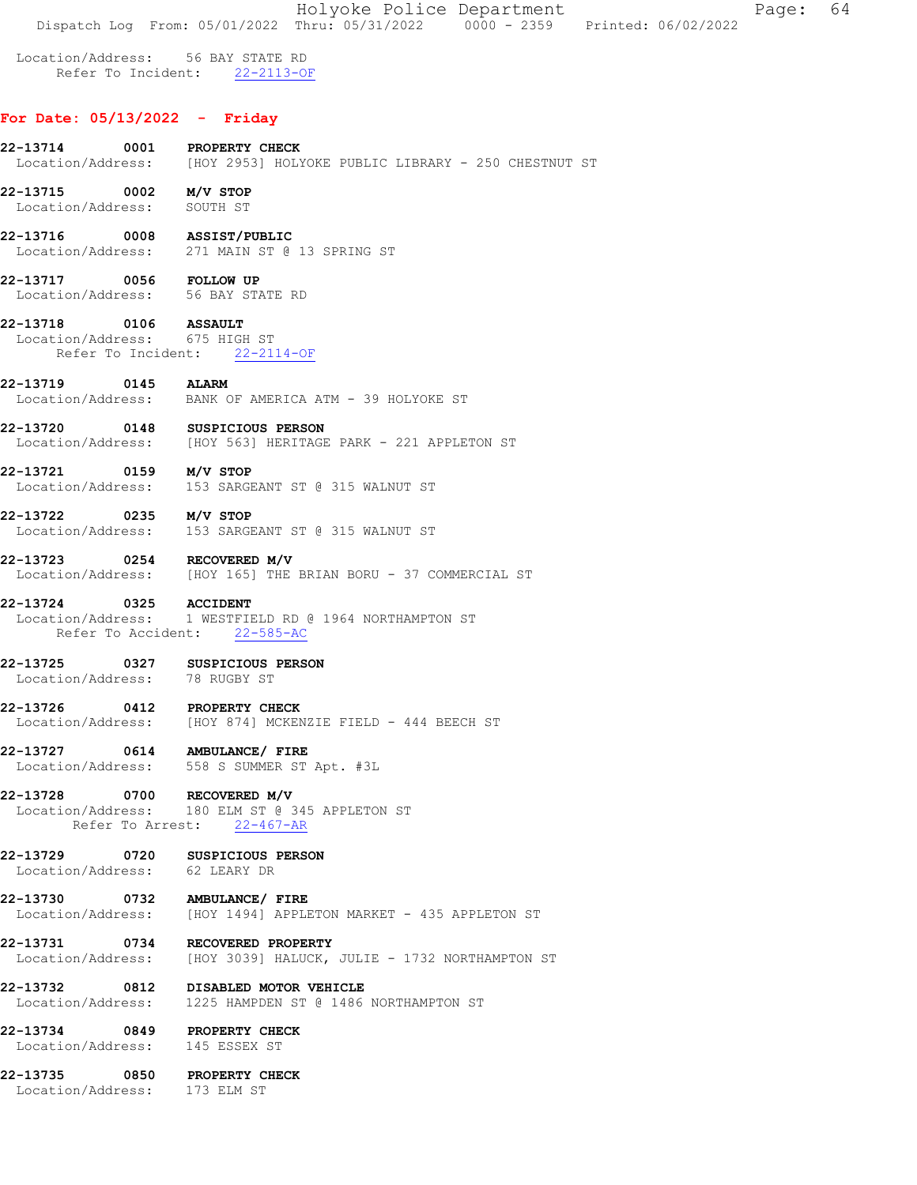Holyoke Police Department Page: 64 Dispatch Log From: 05/01/2022 Thru: 05/31/2022 0000 - 2359 Printed: 06/02/2022

 Location/Address: 56 BAY STATE RD Refer To Incident: 22-2113-OF

#### For Date: 05/13/2022 - Friday

# 22-13714 0001 PROPERTY CHECK Location/Address: [HOY 2953] HOLYOKE PUBLIC LIBRARY - 250 CHESTNUT ST

22-13715 0002 M/V STOP Location/Address: SOUTH ST

- 22-13716 0008 ASSIST/PUBLIC Location/Address: 271 MAIN ST @ 13 SPRING ST
- 22-13717 0056 FOLLOW UP Location/Address: 56 BAY STATE RD

# 22-13718 0106 ASSAULT<br>Location/Address: 675 HIGH ST

Location/Address: Refer To Incident: 22-2114-OF

- 22-13719 0145 ALARM Location/Address: BANK OF AMERICA ATM - 39 HOLYOKE ST
- 22-13720 0148 SUSPICIOUS PERSON<br>Location/Address: [HOY 563] HERITAGE [HOY 563] HERITAGE PARK - 221 APPLETON ST
- 22-13721 0159 M/V STOP Location/Address: 153 SARGEANT ST @ 315 WALNUT ST
- 22-13722 0235 M/V STOP Location/Address: 153 SARGEANT ST @ 315 WALNUT ST
- 22-13723 0254 RECOVERED M/V Location/Address: [HOY 165] THE BRIAN BORU - 37 COMMERCIAL ST

#### 22-13724 0325 ACCIDENT

 Location/Address: 1 WESTFIELD RD @ 1964 NORTHAMPTON ST Refer To Accident: 22-585-AC

#### 22-13725 0327 SUSPICIOUS PERSON Location/Address: 78 RUGBY ST

22-13726 0412 PROPERTY CHECK Location/Address: [HOY 874] MCKENZIE FIELD - 444 BEECH ST

# 22-13727 0614 AMBULANCE/ FIRE

Location/Address: 558 S SUMMER ST Apt. #3L

# 22-13728 0700 RECOVERED M/V Location/Address: 180 ELM ST @ 345 APPLETON ST Refer To Arrest: 22-467-AR

### 22-13729 0720 SUSPICIOUS PERSON Location/Address: 62 LEARY DR

# 22-13730 0732 AMBULANCE/FIRE<br>Location/Address: [HOY 1494] APPLE [HOY 1494] APPLETON MARKET - 435 APPLETON ST

# 22-13731 0734 RECOVERED PROPERTY Location/Address: [HOY 3039] HALUCK, JULIE - 1732 NORTHAMPTON ST

22-13732 0812 DISABLED MOTOR VEHICLE Location/Address: 1225 HAMPDEN ST @ 1486 NORTHAMPTON ST

### 22-13734 0849 PROPERTY CHECK Location/Address: 145 ESSEX ST

#### 22-13735 0850 PROPERTY CHECK Location/Address: 173 ELM ST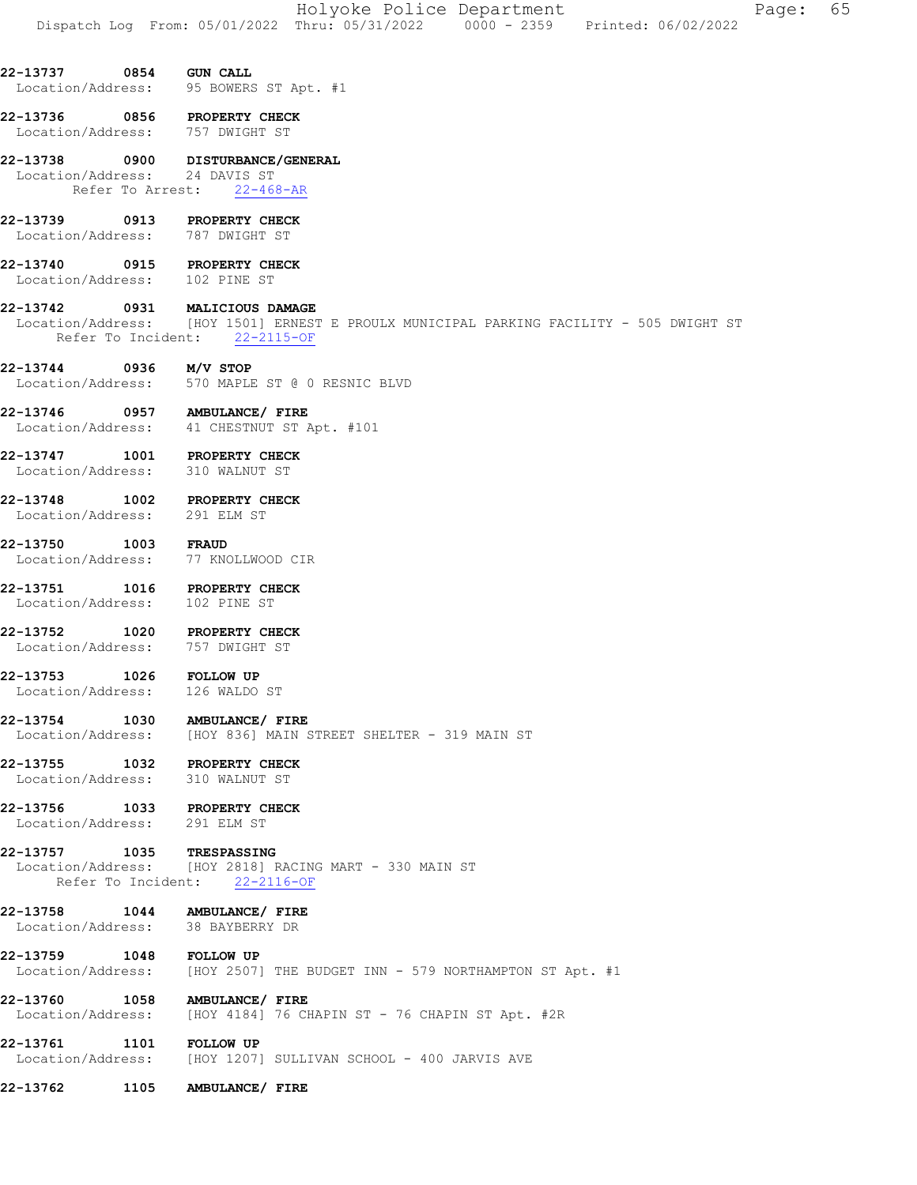| 22-13737 0854 GUN CALL        |            | Location/Address: 95 BOWERS ST Apt. #1                                                                                                                                                      |
|-------------------------------|------------|---------------------------------------------------------------------------------------------------------------------------------------------------------------------------------------------|
|                               |            | 22-13736 0856 PROPERTY CHECK<br>Location/Address: 757 DWIGHT ST                                                                                                                             |
| Location/Address: 24 DAVIS ST |            | 22-13738 0900 DISTURBANCE/GENERAL<br>Refer To Arrest: 22-468-AR                                                                                                                             |
|                               |            | 22-13739 0913 PROPERTY CHECK<br>Location/Address: 787 DWIGHT ST                                                                                                                             |
| Location/Address: 102 PINE ST |            | 22-13740 0915 PROPERTY CHECK                                                                                                                                                                |
|                               |            | 22-13742 0931 MALICIOUS DAMAGE<br>Location/Address: [HOY 1501] ERNEST E PROULX MUNICIPAL PARKING FACILITY - 505 DWIGHT ST<br>Refer To Incident: 22-2115-OF<br>Refer To Incident: 22-2115-OF |
| 22-13744 0936 M/V STOP        |            | Location/Address: 570 MAPLE ST @ 0 RESNIC BLVD                                                                                                                                              |
|                               |            | 22-13746 0957 AMBULANCE/ FIRE<br>Location/Address: 41 CHESTNUT ST Apt. #101                                                                                                                 |
|                               |            | 22-13747 1001 PROPERTY CHECK<br>Location/Address: 310 WALNUT ST                                                                                                                             |
| Location/Address: 291 ELM ST  |            | 22-13748 1002 PROPERTY CHECK                                                                                                                                                                |
| 22-13750                      | 1003 FRAUD | Location/Address: 77 KNOLLWOOD CIR                                                                                                                                                          |
| Location/Address: 102 PINE ST |            | 22-13751 1016 PROPERTY CHECK                                                                                                                                                                |
|                               |            | 22-13752 1020 PROPERTY CHECK<br>Location/Address: 757 DWIGHT ST                                                                                                                             |
|                               |            | 22-13753 1026 FOLLOW UP<br>Location/Address: 126 WALDO ST                                                                                                                                   |
| 22-13754                      |            | 1030 AMBULANCE/ FIRE<br>Location/Address: [HOY 836] MAIN STREET SHELTER - 319 MAIN ST                                                                                                       |
| 22-13755 1032                 |            | <b>PROPERTY CHECK</b><br>Location/Address: 310 WALNUT ST                                                                                                                                    |
| Location/Address: 291 ELM ST  |            | 22-13756 1033 PROPERTY CHECK                                                                                                                                                                |
| 22-13757 1035 TRESPASSING     |            | Location/Address: [HOY 2818] RACING MART - 330 MAIN ST<br>Refer To Incident: 22-2116-OF                                                                                                     |
|                               |            | 22-13758 1044 AMBULANCE/ FIRE<br>Location/Address: 38 BAYBERRY DR                                                                                                                           |
| 22-13759 1048 FOLLOW UP       |            | Location/Address: [HOY 2507] THE BUDGET INN - 579 NORTHAMPTON ST Apt. #1                                                                                                                    |
|                               |            | 22-13760 1058 AMBULANCE/ FIRE<br>Location/Address: [HOY 4184] 76 CHAPIN ST - 76 CHAPIN ST Apt. #2R                                                                                          |
| 22-13761 1101 FOLLOW UP       |            | Location/Address: [HOY 1207] SULLIVAN SCHOOL - 400 JARVIS AVE                                                                                                                               |
| 22-13762                      |            | 1105 AMBULANCE/ FIRE                                                                                                                                                                        |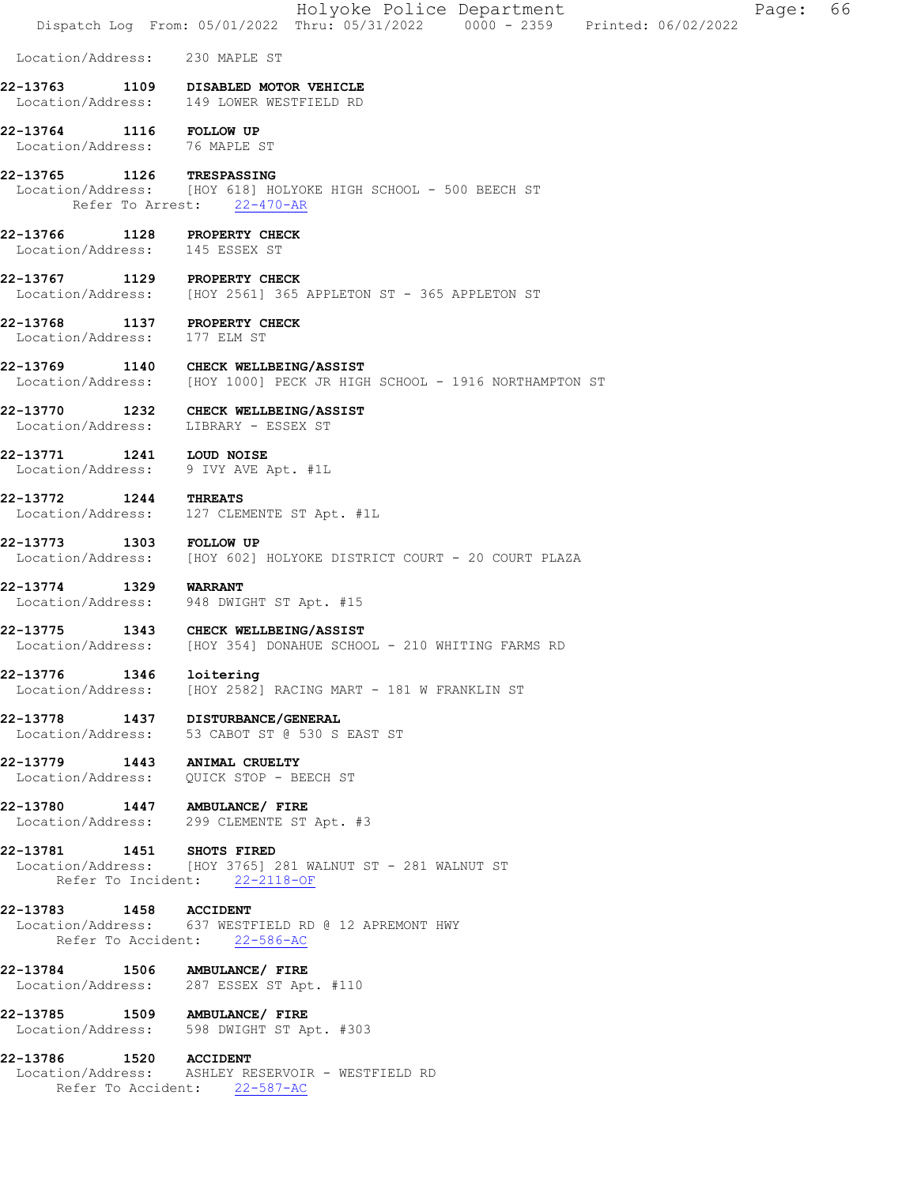| Holyoke Police Department<br>66<br>Page:<br>Dispatch Log From: 05/01/2022 Thru: 05/31/2022 0000 - 2359 Printed: 06/02/2022 |
|----------------------------------------------------------------------------------------------------------------------------|
| Location/Address: 230 MAPLE ST                                                                                             |
| 1109 DISABLED MOTOR VEHICLE                                                                                                |
| Location/Address: 149 LOWER WESTFIELD RD<br>22-13764 1116 FOLLOW UP                                                        |
| Location/Address: 76 MAPLE ST                                                                                              |
| 1126 TRESPASSING<br>Location/Address: [HOY 618] HOLYOKE HIGH SCHOOL - 500 BEECH ST<br>Refer To Arrest: 22-470-AR           |
| 1128 PROPERTY CHECK<br>Location/Address: 145 ESSEX ST                                                                      |
| 22-13767 1129 PROPERTY CHECK<br>Location/Address: [HOY 2561] 365 APPLETON ST - 365 APPLETON ST                             |
| 22-13768 1137 PROPERTY CHECK<br>Location/Address: 177 ELM ST                                                               |
| 22-13769 1140 CHECK WELLBEING/ASSIST<br>Location/Address: [HOY 1000] PECK JR HIGH SCHOOL - 1916 NORTHAMPTON ST             |
| 22-13770 1232 CHECK WELLBEING/ASSIST<br>Location/Address: LIBRARY - ESSEX ST                                               |
| 22-13771 1241 LOUD NOISE<br>Location/Address: 9 IVY AVE Apt. #1L                                                           |
| <b>THREATS</b><br>Location/Address: 127 CLEMENTE ST Apt. #1L                                                               |
| 22-13773 1303 FOLLOW UP<br>Location/Address: [HOY 602] HOLYOKE DISTRICT COURT - 20 COURT PLAZA                             |
| Location/Address: 948 DWIGHT ST Apt. #15                                                                                   |
| 1343 CHECK WELLBEING/ASSIST<br>Location/Address: [HOY 354] DONAHUE SCHOOL - 210 WHITING FARMS RD                           |
| 22-13776 1346 loitering<br>Location/Address: [HOY 2582] RACING MART - 181 W FRANKLIN ST                                    |
| 22-13778 1437 DISTURBANCE/GENERAL<br>Location/Address: 53 CABOT ST @ 530 S EAST ST                                         |
| 22-13779 1443 ANIMAL CRUELTY<br>Location/Address: QUICK STOP - BEECH ST                                                    |
| 22-13780 1447 AMBULANCE/ FIRE<br>Location/Address: 299 CLEMENTE ST Apt. #3                                                 |
| 22-13781 1451 SHOTS FIRED<br>Location/Address: [HOY 3765] 281 WALNUT ST - 281 WALNUT ST<br>Refer To Incident: 22-2118-OF   |
| 22-13783 1458 ACCIDENT<br>Location/Address: 637 WESTFIELD RD @ 12 APREMONT HWY<br>Refer To Accident: 22-586-AC             |
| 22-13784 1506 AMBULANCE/ FIRE<br>Location/Address: 287 ESSEX ST Apt. #110                                                  |
| 22-13785 1509 AMBULANCE/ FIRE<br>Location/Address: 598 DWIGHT ST Apt. #303                                                 |
| 22-13786 1520 ACCIDENT<br>Location/Address: ASHLEY RESERVOIR - WESTFIELD RD<br>Refer To Accident: 22-587-AC                |
| 1244<br>22-13774 1329 WARRANT                                                                                              |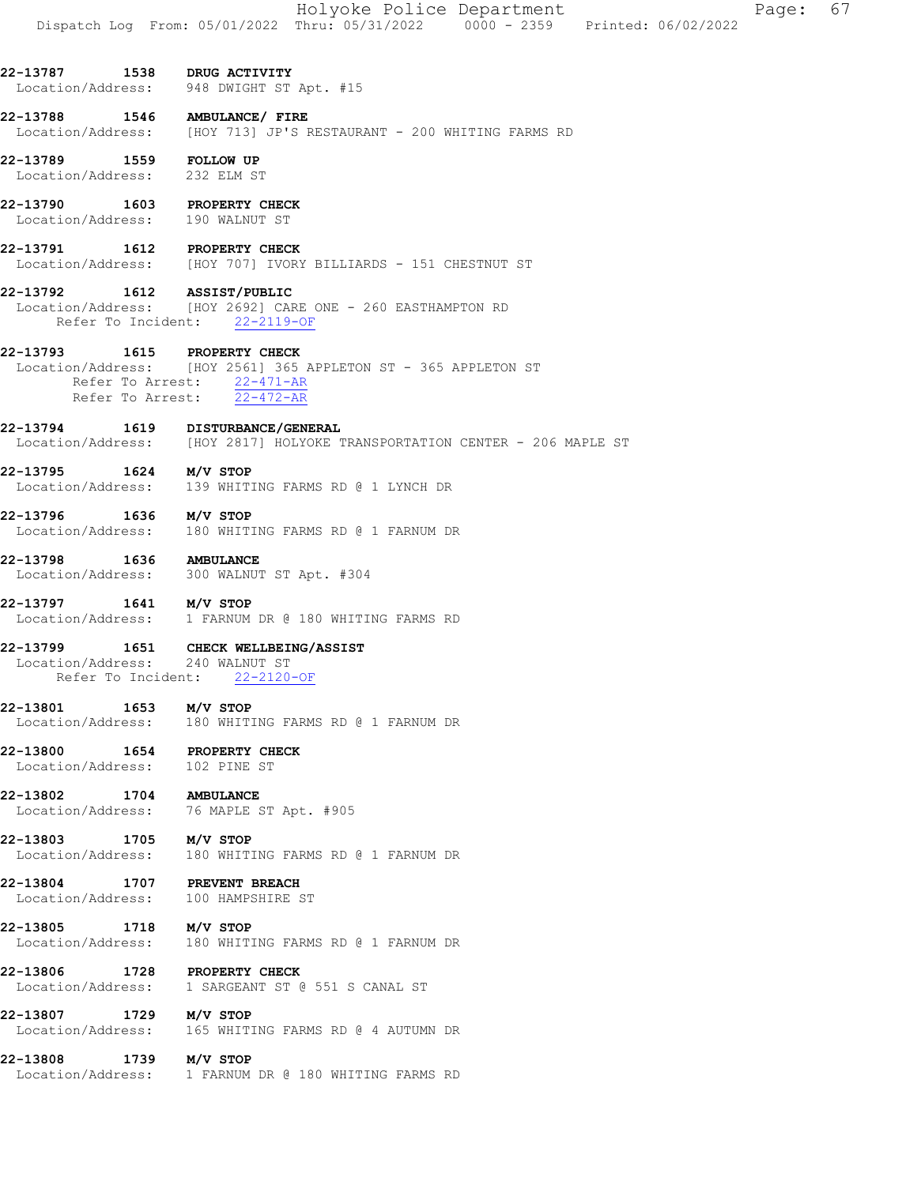- 22-13787 1538 DRUG ACTIVITY Location/Address: 948 DWIGHT ST Apt. #15
- 22-13788 1546 AMBULANCE/FIRE<br>Location/Address: [HOY 713] JP'S H [HOY 713] JP'S RESTAURANT - 200 WHITING FARMS RD
- 22-13789 1559 FOLLOW UP<br>Location/Address: 232 ELM ST Location/Address:
- 22-13790 1603 PROPERTY CHECK Location/Address: 190 WALNUT ST
- 22-13791 1612 PROPERTY CHECK Location/Address: [HOY 707] IVORY BILLIARDS - 151 CHESTNUT ST
- 22-13792 1612 ASSIST/PUBLIC Location/Address: [HOY 2692] CARE ONE - 260 EASTHAMPTON RD Refer To Incident: 22-2119-OF
- 22-13793 1615 PROPERTY CHECK Location/Address: [HOY 2561] 365 APPLETON ST - 365 APPLETON ST Refer To Arrest: 22-471-AR Refer To Arrest: 22-472-AR
- 22-13794 1619 DISTURBANCE/GENERAL<br>The Location/Address: [HOY 2817] HOLYOKE [HOY 2817] HOLYOKE TRANSPORTATION CENTER - 206 MAPLE ST
- 22-13795 1624 M/V STOP Location/Address: 139 WHITING FARMS RD @ 1 LYNCH DR
- 22-13796 1636 M/V STOP Location/Address: 180 WHITING FARMS RD @ 1 FARNUM DR
- 22-13798 1636 AMBULANCE Location/Address: 300 WALNUT ST Apt. #304
- 22-13797 1641 M/V STOP Location/Address: 1 FARNUM DR @ 180 WHITING FARMS RD
- 22-13799 1651 CHECK WELLBEING/ASSIST<br>Location/Address: 240 WALNUT ST Location/Address: Refer To Incident: 22-2120-OF
- 22-13801 1653 M/V STOP Location/Address: 180 WHITING FARMS RD @ 1 FARNUM DR
- 22-13800 1654 PROPERTY CHECK Location/Address: 102 PINE ST
- 22-13802 1704 AMBULANCE<br>Location/Address: 76 MAPLE 3 76 MAPLE ST Apt. #905
- 22-13803 1705 M/V STOP Location/Address: 180 WHITING FARMS RD @ 1 FARNUM DR
- 22-13804 1707 PREVENT BREACH Location/Address: 100 HAMPSHIRE ST
- 22-13805 1718 M/V STOP Location/Address: 180 WHITING FARMS RD @ 1 FARNUM DR
- 22-13806 1728 PROPERTY CHECK Location/Address: 1 SARGEANT ST @ 551 S CANAL ST
- 22-13807 1729 M/V STOP Location/Address: 165 WHITING FARMS RD @ 4 AUTUMN DR
- 22-13808 1739 M/V STOP<br>Location/Address: 1 FARNUM 1 FARNUM DR @ 180 WHITING FARMS RD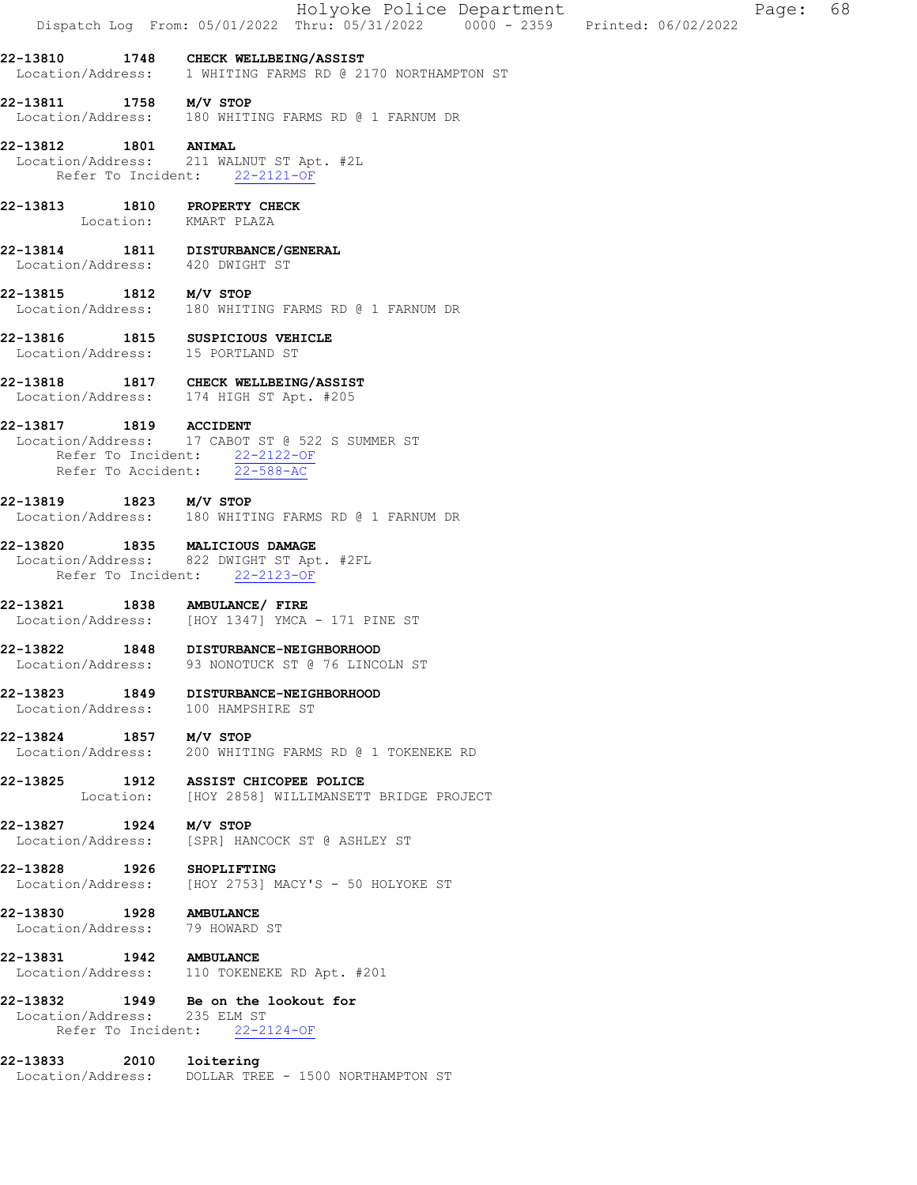|                              | Holyoke Police Department<br>68<br>Page:<br>Dispatch Log From: 05/01/2022 Thru: 05/31/2022 0000 - 2359 Printed: 06/02/2022 |
|------------------------------|----------------------------------------------------------------------------------------------------------------------------|
| 22-13810                     | 1748 CHECK WELLBEING/ASSIST<br>Location/Address: 1 WHITING FARMS RD @ 2170 NORTHAMPTON ST                                  |
| 22-13811 1758 M/V STOP       | Location/Address: 180 WHITING FARMS RD @ 1 FARNUM DR                                                                       |
| 22-13812                     | 22-13812 1801 ANIMAL<br>Location/Address: 211 WALNUT ST Apt. #2L<br>Refer To Incident: 22-2121-OF                          |
|                              | 22-13813 1810 PROPERTY CHECK<br>Location: KMART PLAZA                                                                      |
|                              | 22-13814 1811 DISTURBANCE/GENERAL<br>Location/Address: 420 DWIGHT ST                                                       |
| 22-13815 1812 M/V STOP       | Location/Address: 180 WHITING FARMS RD @ 1 FARNUM DR                                                                       |
| 22-13816                     | 1815 SUSPICIOUS VEHICLE<br>Location/Address: 15 PORTLAND ST                                                                |
|                              | 22-13818 1817 CHECK WELLBEING/ASSIST<br>Location/Address: 174 HIGH ST Apt. #205                                            |
| 22-13817 1819 ACCIDENT       | Location/Address: 17 CABOT ST @ 522 S SUMMER ST<br>Refer To Incident: 22-2122-OF<br>Refer To Accident: 22-588-AC           |
| 22-13819                     | 1823 M/V STOP<br>Location/Address: 180 WHITING FARMS RD @ 1 FARNUM DR                                                      |
| 22-13820                     | 1835 MALICIOUS DAMAGE<br>Location/Address: 822 DWIGHT ST Apt. #2FL<br>Refer To Incident: 22-2123-OF                        |
| 22-13821                     | 1838 AMBULANCE/ FIRE<br>Location/Address: [HOY 1347] YMCA - 171 PINE ST                                                    |
|                              | 22-13822 1848 DISTURBANCE-NEIGHBORHOOD<br>Location/Address: 93 NONOTUCK ST @ 76 LINCOLN ST                                 |
|                              | 22-13823 1849 DISTURBANCE-NEIGHBORHOOD<br>Location/Address: 100 HAMPSHIRE ST                                               |
| 22-13824 1857 M/V STOP       | Location/Address: 200 WHITING FARMS RD @ 1 TOKENEKE RD                                                                     |
|                              | 22-13825 1912 ASSIST CHICOPEE POLICE<br>Location: [HOY 2858] WILLIMANSETT BRIDGE PROJECT                                   |
| 22-13827 1924                | M/V STOP<br>Location/Address: [SPR] HANCOCK ST @ ASHLEY ST                                                                 |
| 22-13828 1926                | <b>SHOPLIFTING</b><br>Location/Address: [HOY 2753] MACY'S - 50 HOLYOKE ST                                                  |
| 22-13830 1928 AMBULANCE      | Location/Address: 79 HOWARD ST                                                                                             |
| 22-13831 1942 AMBULANCE      | Location/Address: 110 TOKENEKE RD Apt. #201                                                                                |
| Location/Address: 235 ELM ST | 22-13832 1949 Be on the lookout for<br>Refer To Incident: 22-2124-OF                                                       |
| 22-13833 2010 loitering      | Location/Address: DOLLAR TREE - 1500 NORTHAMPTON ST                                                                        |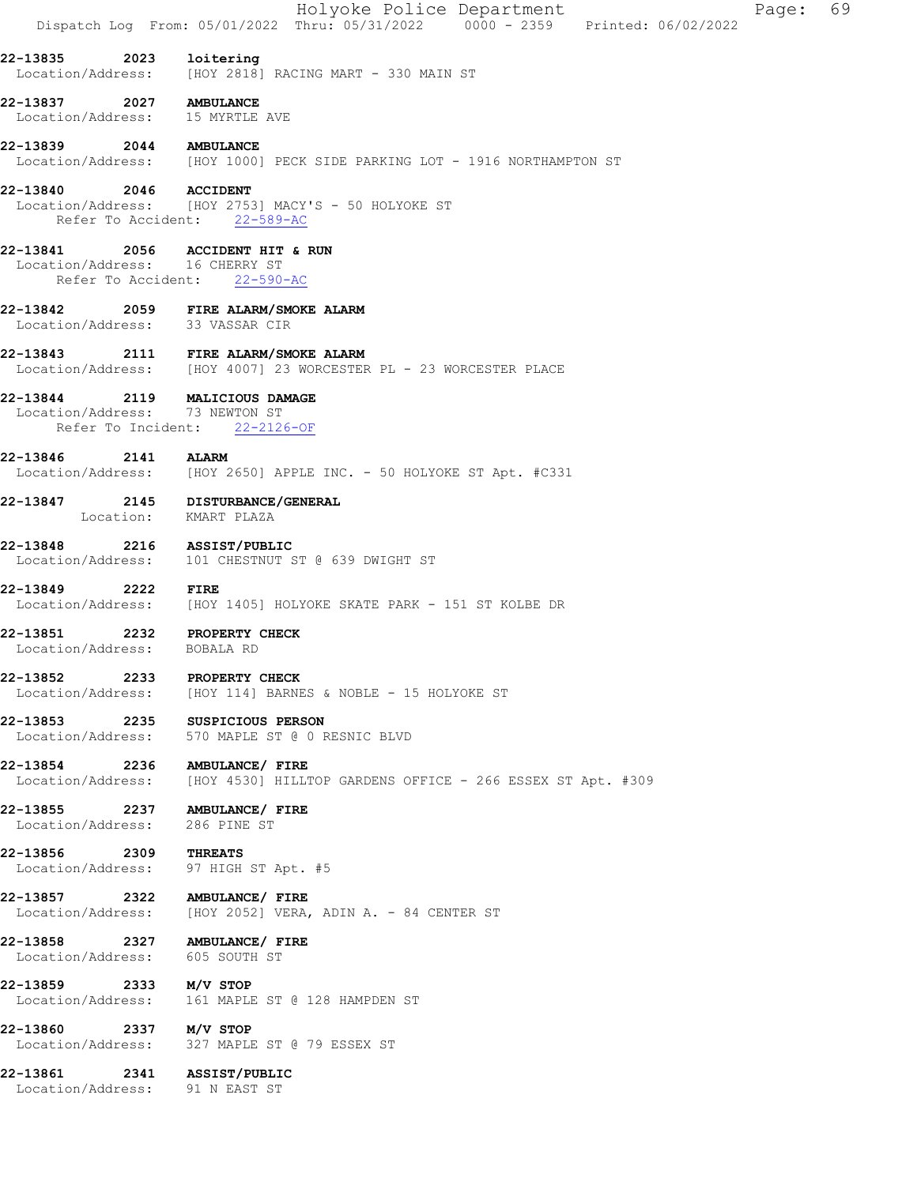| 22-13835 2023 loitering<br>Location/Address: [HOY 2818] RACING MART - 330 MAIN ST<br>22-13837 2027 AMBULANCE<br>Location/Address: 15 MYRTLE AVE<br>22-13839 2044 AMBULANCE<br>Location/Address: [HOY 1000] PECK SIDE PARKING LOT - 1916 NORTHAMPTON ST<br>22-13840 2046 ACCIDENT<br>Location/Address: [HOY 2753] MACY'S - 50 HOLYOKE ST<br>Refer To Accident: 22-589-AC<br>22-13841 2056 ACCIDENT HIT & RUN<br>Location/Address: 16 CHERRY ST<br>Refer To Accident: 22-590-AC<br>22-13842 2059 FIRE ALARM/SMOKE ALARM<br>Location/Address: 33 VASSAR CIR<br>22-13843 2111 FIRE ALARM/SMOKE ALARM<br>Location/Address: [HOY 4007] 23 WORCESTER PL - 23 WORCESTER PLACE<br>22-13844 2119 MALICIOUS DAMAGE<br>Location/Address: 73 NEWTON ST<br>Refer To Incident: 22-2126-OF<br>22-13846 2141 ALARM<br>Location/Address: [HOY 2650] APPLE INC. - 50 HOLYOKE ST Apt. #C331<br>22-13847 2145 DISTURBANCE/GENERAL<br>Location: KMART PLAZA<br>2216 ASSIST/PUBLIC<br>22-13848<br>Location/Address:<br>101 CHESTNUT ST @ 639 DWIGHT ST<br>22-13849 2222<br>FIRE<br>Location/Address: [HOY 1405] HOLYOKE SKATE PARK - 151 ST KOLBE DR<br>22-13851 2232 PROPERTY CHECK<br>Location/Address: BOBALA RD<br>22-13852 2233<br>PROPERTY CHECK<br>Location/Address: [HOY 114] BARNES & NOBLE - 15 HOLYOKE ST<br>22-13853 2235 SUSPICIOUS PERSON<br>Location/Address:<br>570 MAPLE ST @ 0 RESNIC BLVD<br>22-13854 2236 AMBULANCE/FIRE<br>Location/Address: [HOY 4530] HILLTOP GARDENS OFFICE - 266 ESSEX ST Apt. #309<br>22-13855 2237 AMBULANCE/ FIRE<br>Location/Address:<br>286 PINE ST<br>22-13856 2309<br><b>THREATS</b><br>Location/Address: 97 HIGH ST Apt. #5<br>22-13857 2322<br>AMBULANCE/ FIRE<br>Location/Address:<br>[HOY 2052] VERA, ADIN A. - 84 CENTER ST<br>22-13858 2327 AMBULANCE/ FIRE<br>Location/Address: 605 SOUTH ST<br>22-13859 2333 M/V STOP<br>Location/Address:<br>161 MAPLE ST @ 128 HAMPDEN ST<br>2337 M/V STOP<br>22-13860<br>Location/Address: 327 MAPLE ST @ 79 ESSEX ST<br>22-13861 2341 ASSIST/PUBLIC<br>Location/Address: 91 N EAST ST | Holyoke Police Department<br>Page: 69<br>Dispatch Log From: 05/01/2022 Thru: 05/31/2022 0000 - 2359 Printed: 06/02/2022 |
|------------------------------------------------------------------------------------------------------------------------------------------------------------------------------------------------------------------------------------------------------------------------------------------------------------------------------------------------------------------------------------------------------------------------------------------------------------------------------------------------------------------------------------------------------------------------------------------------------------------------------------------------------------------------------------------------------------------------------------------------------------------------------------------------------------------------------------------------------------------------------------------------------------------------------------------------------------------------------------------------------------------------------------------------------------------------------------------------------------------------------------------------------------------------------------------------------------------------------------------------------------------------------------------------------------------------------------------------------------------------------------------------------------------------------------------------------------------------------------------------------------------------------------------------------------------------------------------------------------------------------------------------------------------------------------------------------------------------------------------------------------------------------------------------------------------------------------------------------------------------------------------------------------------------------------------------------------------------------------------------------------------------------------------------------------|-------------------------------------------------------------------------------------------------------------------------|
|                                                                                                                                                                                                                                                                                                                                                                                                                                                                                                                                                                                                                                                                                                                                                                                                                                                                                                                                                                                                                                                                                                                                                                                                                                                                                                                                                                                                                                                                                                                                                                                                                                                                                                                                                                                                                                                                                                                                                                                                                                                            |                                                                                                                         |
|                                                                                                                                                                                                                                                                                                                                                                                                                                                                                                                                                                                                                                                                                                                                                                                                                                                                                                                                                                                                                                                                                                                                                                                                                                                                                                                                                                                                                                                                                                                                                                                                                                                                                                                                                                                                                                                                                                                                                                                                                                                            |                                                                                                                         |
|                                                                                                                                                                                                                                                                                                                                                                                                                                                                                                                                                                                                                                                                                                                                                                                                                                                                                                                                                                                                                                                                                                                                                                                                                                                                                                                                                                                                                                                                                                                                                                                                                                                                                                                                                                                                                                                                                                                                                                                                                                                            |                                                                                                                         |
|                                                                                                                                                                                                                                                                                                                                                                                                                                                                                                                                                                                                                                                                                                                                                                                                                                                                                                                                                                                                                                                                                                                                                                                                                                                                                                                                                                                                                                                                                                                                                                                                                                                                                                                                                                                                                                                                                                                                                                                                                                                            |                                                                                                                         |
|                                                                                                                                                                                                                                                                                                                                                                                                                                                                                                                                                                                                                                                                                                                                                                                                                                                                                                                                                                                                                                                                                                                                                                                                                                                                                                                                                                                                                                                                                                                                                                                                                                                                                                                                                                                                                                                                                                                                                                                                                                                            |                                                                                                                         |
|                                                                                                                                                                                                                                                                                                                                                                                                                                                                                                                                                                                                                                                                                                                                                                                                                                                                                                                                                                                                                                                                                                                                                                                                                                                                                                                                                                                                                                                                                                                                                                                                                                                                                                                                                                                                                                                                                                                                                                                                                                                            |                                                                                                                         |
|                                                                                                                                                                                                                                                                                                                                                                                                                                                                                                                                                                                                                                                                                                                                                                                                                                                                                                                                                                                                                                                                                                                                                                                                                                                                                                                                                                                                                                                                                                                                                                                                                                                                                                                                                                                                                                                                                                                                                                                                                                                            |                                                                                                                         |
|                                                                                                                                                                                                                                                                                                                                                                                                                                                                                                                                                                                                                                                                                                                                                                                                                                                                                                                                                                                                                                                                                                                                                                                                                                                                                                                                                                                                                                                                                                                                                                                                                                                                                                                                                                                                                                                                                                                                                                                                                                                            |                                                                                                                         |
|                                                                                                                                                                                                                                                                                                                                                                                                                                                                                                                                                                                                                                                                                                                                                                                                                                                                                                                                                                                                                                                                                                                                                                                                                                                                                                                                                                                                                                                                                                                                                                                                                                                                                                                                                                                                                                                                                                                                                                                                                                                            |                                                                                                                         |
|                                                                                                                                                                                                                                                                                                                                                                                                                                                                                                                                                                                                                                                                                                                                                                                                                                                                                                                                                                                                                                                                                                                                                                                                                                                                                                                                                                                                                                                                                                                                                                                                                                                                                                                                                                                                                                                                                                                                                                                                                                                            |                                                                                                                         |
|                                                                                                                                                                                                                                                                                                                                                                                                                                                                                                                                                                                                                                                                                                                                                                                                                                                                                                                                                                                                                                                                                                                                                                                                                                                                                                                                                                                                                                                                                                                                                                                                                                                                                                                                                                                                                                                                                                                                                                                                                                                            |                                                                                                                         |
|                                                                                                                                                                                                                                                                                                                                                                                                                                                                                                                                                                                                                                                                                                                                                                                                                                                                                                                                                                                                                                                                                                                                                                                                                                                                                                                                                                                                                                                                                                                                                                                                                                                                                                                                                                                                                                                                                                                                                                                                                                                            |                                                                                                                         |
|                                                                                                                                                                                                                                                                                                                                                                                                                                                                                                                                                                                                                                                                                                                                                                                                                                                                                                                                                                                                                                                                                                                                                                                                                                                                                                                                                                                                                                                                                                                                                                                                                                                                                                                                                                                                                                                                                                                                                                                                                                                            |                                                                                                                         |
|                                                                                                                                                                                                                                                                                                                                                                                                                                                                                                                                                                                                                                                                                                                                                                                                                                                                                                                                                                                                                                                                                                                                                                                                                                                                                                                                                                                                                                                                                                                                                                                                                                                                                                                                                                                                                                                                                                                                                                                                                                                            |                                                                                                                         |
|                                                                                                                                                                                                                                                                                                                                                                                                                                                                                                                                                                                                                                                                                                                                                                                                                                                                                                                                                                                                                                                                                                                                                                                                                                                                                                                                                                                                                                                                                                                                                                                                                                                                                                                                                                                                                                                                                                                                                                                                                                                            |                                                                                                                         |
|                                                                                                                                                                                                                                                                                                                                                                                                                                                                                                                                                                                                                                                                                                                                                                                                                                                                                                                                                                                                                                                                                                                                                                                                                                                                                                                                                                                                                                                                                                                                                                                                                                                                                                                                                                                                                                                                                                                                                                                                                                                            |                                                                                                                         |
|                                                                                                                                                                                                                                                                                                                                                                                                                                                                                                                                                                                                                                                                                                                                                                                                                                                                                                                                                                                                                                                                                                                                                                                                                                                                                                                                                                                                                                                                                                                                                                                                                                                                                                                                                                                                                                                                                                                                                                                                                                                            |                                                                                                                         |
|                                                                                                                                                                                                                                                                                                                                                                                                                                                                                                                                                                                                                                                                                                                                                                                                                                                                                                                                                                                                                                                                                                                                                                                                                                                                                                                                                                                                                                                                                                                                                                                                                                                                                                                                                                                                                                                                                                                                                                                                                                                            |                                                                                                                         |
|                                                                                                                                                                                                                                                                                                                                                                                                                                                                                                                                                                                                                                                                                                                                                                                                                                                                                                                                                                                                                                                                                                                                                                                                                                                                                                                                                                                                                                                                                                                                                                                                                                                                                                                                                                                                                                                                                                                                                                                                                                                            |                                                                                                                         |
|                                                                                                                                                                                                                                                                                                                                                                                                                                                                                                                                                                                                                                                                                                                                                                                                                                                                                                                                                                                                                                                                                                                                                                                                                                                                                                                                                                                                                                                                                                                                                                                                                                                                                                                                                                                                                                                                                                                                                                                                                                                            |                                                                                                                         |
|                                                                                                                                                                                                                                                                                                                                                                                                                                                                                                                                                                                                                                                                                                                                                                                                                                                                                                                                                                                                                                                                                                                                                                                                                                                                                                                                                                                                                                                                                                                                                                                                                                                                                                                                                                                                                                                                                                                                                                                                                                                            |                                                                                                                         |
|                                                                                                                                                                                                                                                                                                                                                                                                                                                                                                                                                                                                                                                                                                                                                                                                                                                                                                                                                                                                                                                                                                                                                                                                                                                                                                                                                                                                                                                                                                                                                                                                                                                                                                                                                                                                                                                                                                                                                                                                                                                            |                                                                                                                         |
|                                                                                                                                                                                                                                                                                                                                                                                                                                                                                                                                                                                                                                                                                                                                                                                                                                                                                                                                                                                                                                                                                                                                                                                                                                                                                                                                                                                                                                                                                                                                                                                                                                                                                                                                                                                                                                                                                                                                                                                                                                                            |                                                                                                                         |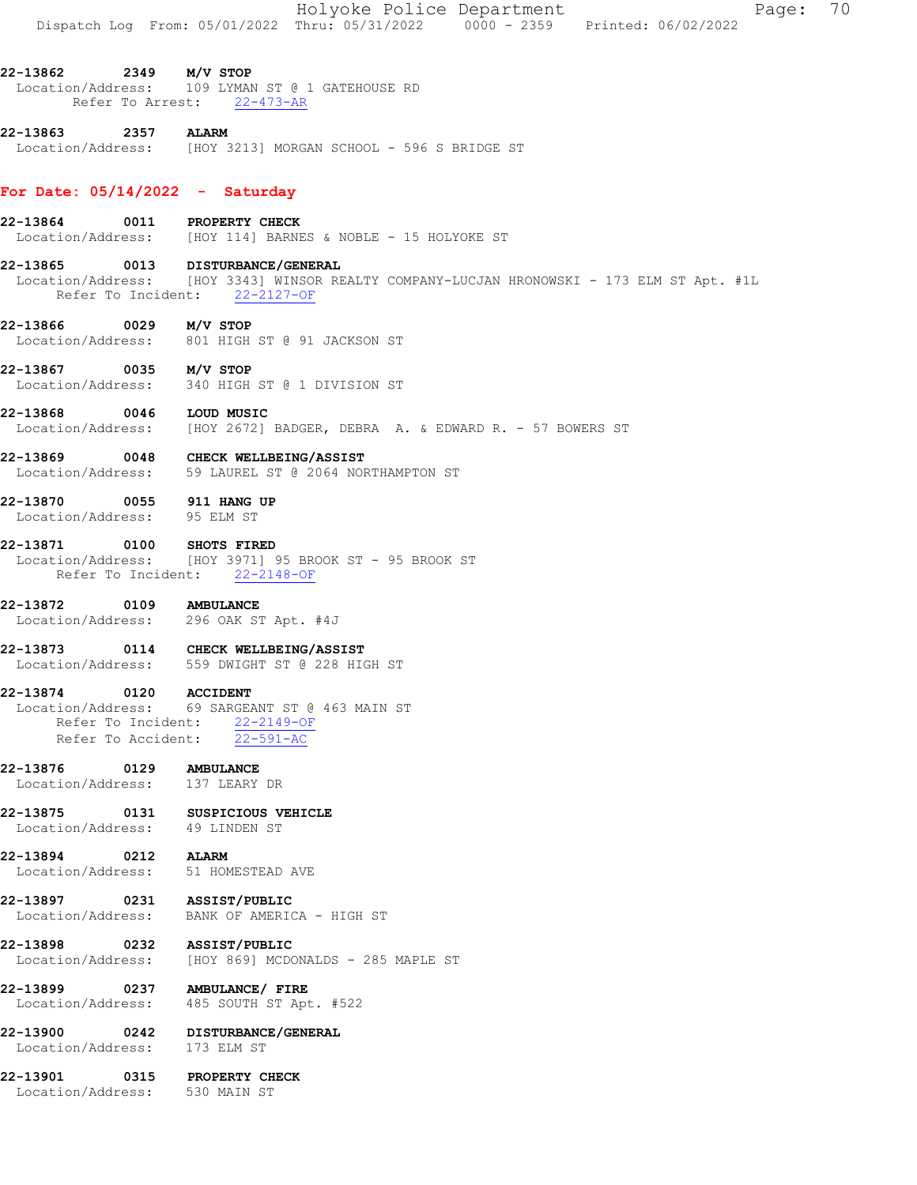|                                                           | Holyoke Police Department<br>70<br>Page:<br>Dispatch Log From: 05/01/2022 Thru: 05/31/2022 0000 - 2359 Printed: 06/02/2022                             |
|-----------------------------------------------------------|--------------------------------------------------------------------------------------------------------------------------------------------------------|
| 22-13862 2349 M/V STOP                                    | Location/Address: 109 LYMAN ST @ 1 GATEHOUSE RD<br>Refer To Arrest: 22-473-AR                                                                          |
| 22-13863 2357 ALARM                                       | Location/Address: [HOY 3213] MORGAN SCHOOL - 596 S BRIDGE ST                                                                                           |
|                                                           | For Date: $05/14/2022 -$ Saturday                                                                                                                      |
|                                                           | 22-13864 0011 PROPERTY CHECK<br>Location/Address: [HOY 114] BARNES & NOBLE - 15 HOLYOKE ST                                                             |
| 22-13865                                                  | 0013 DISTURBANCE/GENERAL<br>Location/Address: [HOY 3343] WINSOR REALTY COMPANY-LUCJAN HRONOWSKI - 173 ELM ST Apt. #1L<br>Refer To Incident: 22-2127-OF |
| 22-13866 0029 M/V STOP                                    | Location/Address: 801 HIGH ST @ 91 JACKSON ST                                                                                                          |
| 22-13867 0035 M/V STOP                                    | Location/Address: 340 HIGH ST @ 1 DIVISION ST                                                                                                          |
| 22-13868 0046 LOUD MUSIC                                  | Location/Address: [HOY 2672] BADGER, DEBRA A. & EDWARD R. - 57 BOWERS ST                                                                               |
|                                                           | 22-13869 0048 CHECK WELLBEING/ASSIST<br>Location/Address: 59 LAUREL ST @ 2064 NORTHAMPTON ST                                                           |
| 22-13870 0055 911 HANG UP<br>Location/Address: 95 ELM ST  |                                                                                                                                                        |
| 22-13871 0100 SHOTS FIRED                                 | Location/Address: [HOY 3971] 95 BROOK ST - 95 BROOK ST<br>Refer To Incident: 22-2148-OF                                                                |
| 22-13872                                                  | 0109 AMBULANCE<br>Location/Address: 296 OAK ST Apt. #4J                                                                                                |
|                                                           | 22-13873 0114 CHECK WELLBEING/ASSIST<br>Location/Address: 559 DWIGHT ST @ 228 HIGH ST                                                                  |
| 22-13874 0120 ACCIDENT                                    | Location/Address: 69 SARGEANT ST @ 463 MAIN ST<br>Refer To Incident: 22-2149-OF<br>Refer To Accident: 22-591-AC                                        |
| 22-13876 0129 AMBULANCE<br>Location/Address: 137 LEARY DR |                                                                                                                                                        |
| Location/Address: 49 LINDEN ST                            | 22-13875 0131 SUSPICIOUS VEHICLE                                                                                                                       |
| 22-13894 0212 ALARM                                       | Location/Address: 51 HOMESTEAD AVE                                                                                                                     |
| 22-13897 0231 ASSIST/PUBLIC                               | Location/Address: BANK OF AMERICA - HIGH ST                                                                                                            |
| 22-13898 0232 ASSIST/PUBLIC                               | Location/Address: [HOY 869] MCDONALDS - 285 MAPLE ST                                                                                                   |
| Location/Address:                                         | 22-13899 0237 AMBULANCE/ FIRE<br>485 SOUTH ST Apt. #522                                                                                                |
| Location/Address: 173 ELM ST                              | 22-13900 0242 DISTURBANCE/GENERAL                                                                                                                      |
| Location/Address: 530 MAIN ST                             | 22-13901 0315 PROPERTY CHECK                                                                                                                           |
|                                                           |                                                                                                                                                        |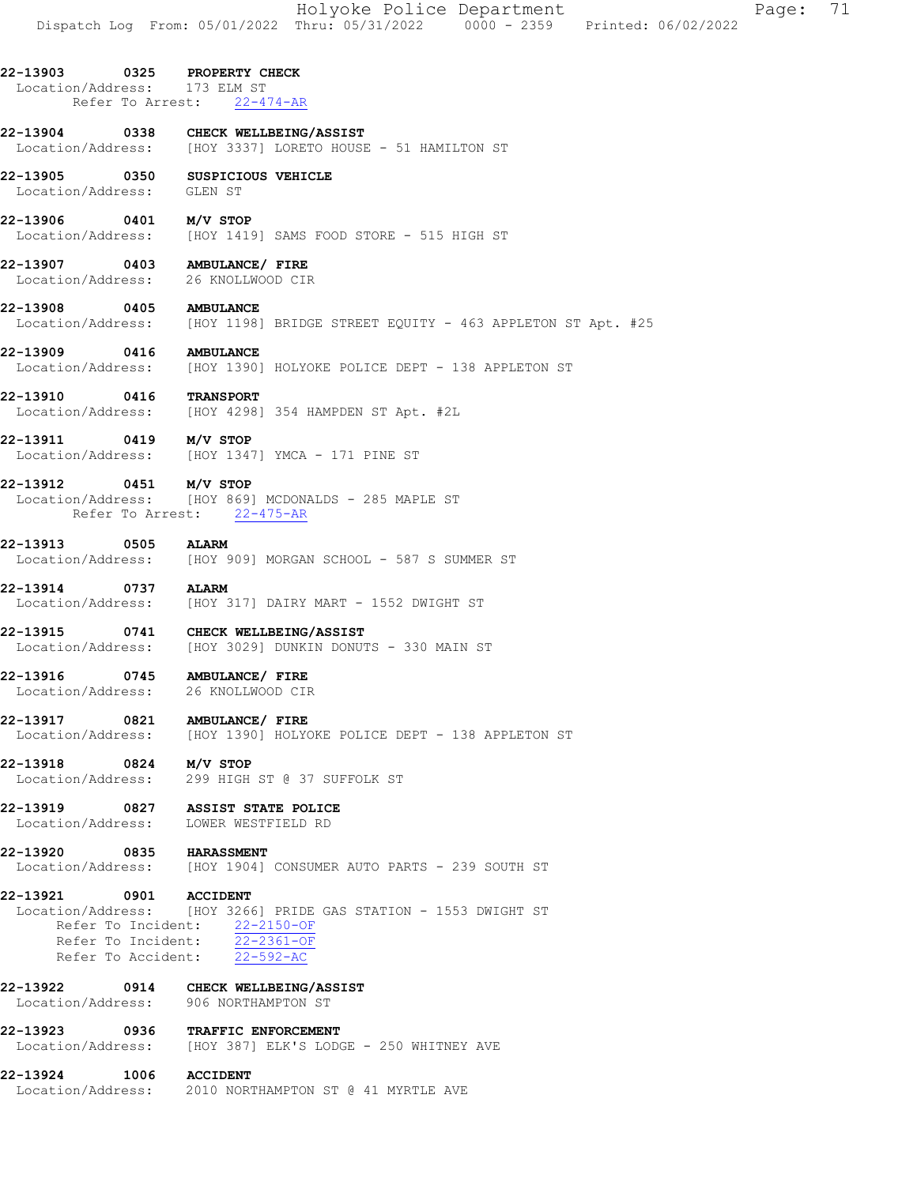22-13903 0325 PROPERTY CHECK Location/Address: 173 ELM ST

Refer To Arrest: 22-474-AR

22-13904 0338 CHECK WELLBEING/ASSIST<br>Location/Address: [HOY 3337] LORETO HOUSE [HOY 3337] LORETO HOUSE - 51 HAMILTON ST

22-13905 0350 SUSPICIOUS VEHICLE Location/Address: GLEN ST

22-13906 0401 M/V STOP Location/Address: [HOY 1419] SAMS FOOD STORE - 515 HIGH ST

22-13907 0403 AMBULANCE/ FIRE Location/Address: 26 KNOLLWOOD CIR

22-13908 0405 AMBULANCE Location/Address: [HOY 1198] BRIDGE STREET EQUITY - 463 APPLETON ST Apt. #25

22-13909 0416 AMBULANCE<br>Location/Address: [HOY 1390] [HOY 1390] HOLYOKE POLICE DEPT - 138 APPLETON ST

22-13910 0416 TRANSPORT<br>Location/Address: [HOY 4298] [HOY 4298] 354 HAMPDEN ST Apt. #2L

22-13911 0419 M/V STOP Location/Address: [HOY 1347] YMCA - 171 PINE ST

22-13912 0451 M/V STOP Location/Address: [HOY 869] MCDONALDS - 285 MAPLE ST Refer To Arrest: 22-475-AR

22-13913 0505 ALARM Location/Address: [HOY 909] MORGAN SCHOOL - 587 S SUMMER ST

22-13914 0737 ALARM Location/Address: [HOY 317] DAIRY MART - 1552 DWIGHT ST

22-13915 0741 CHECK WELLBEING/ASSIST Location/Address: [HOY 3029] DUNKIN DONUTS - 330 MAIN ST

22-13916 0745 AMBULANCE/ FIRE Location/Address: 26 KNOLLWOOD CIR

22-13917 0821 AMBULANCE/ FIRE Location/Address: [HOY 1390] HOLYOKE POLICE DEPT - 138 APPLETON ST

22-13918 0824 M/V STOP Location/Address: 299 HIGH ST @ 37 SUFFOLK ST

22-13919 0827 ASSIST STATE POLICE Location/Address: LOWER WESTFIELD RD

**22-13920 0835 HARASSMENT**<br>Location/Address: [HOY 1904] [HOY 1904] CONSUMER AUTO PARTS - 239 SOUTH ST

22-13921 0901 ACCIDENT Location/Address: [HOY 3266] PRIDE GAS STATION - 1553 DWIGHT ST Refer To Incident: 22-2150-OF Refer To Incident:  $\overline{22-2361-OF}$ Refer To Accident:  $\overline{22-592-AC}$ 

22-13922 0914 CHECK WELLBEING/ASSIST Location/Address: 906 NORTHAMPTON ST

22-13923 0936 TRAFFIC ENFORCEMENT Location/Address: [HOY 387] ELK'S LODGE - 250 WHITNEY AVE

22-13924 1006 ACCIDENT<br>Location/Address: 2010 NORT 2010 NORTHAMPTON ST @ 41 MYRTLE AVE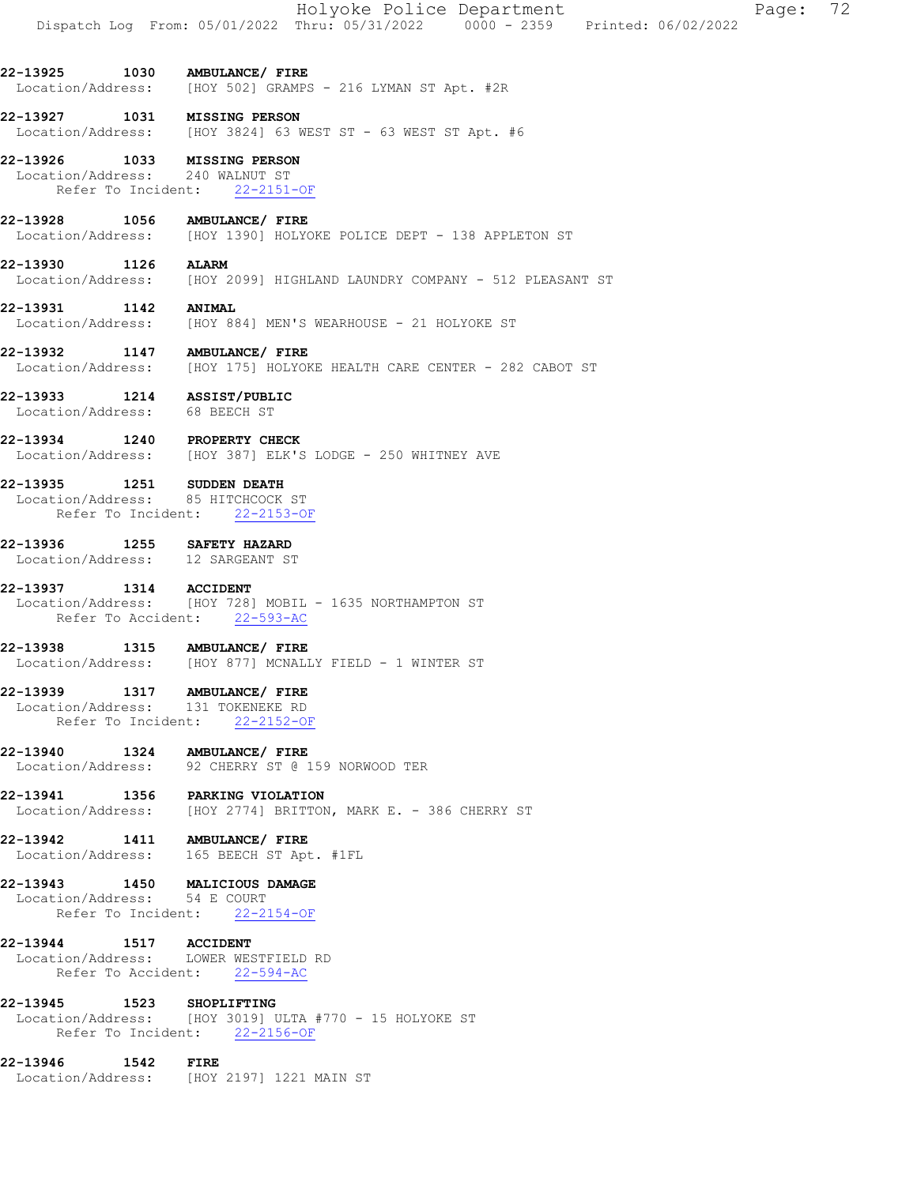22-13925 1030 AMBULANCE/ FIRE Location/Address: [HOY 502] GRAMPS - 216 LYMAN ST Apt. #2R

22-13927 1031 MISSING PERSON Location/Address: [HOY 3824] 63 WEST ST - 63 WEST ST Apt. #6

#### 22-13926 1033 MISSING PERSON Location/Address: 240 WALNUT ST

Refer To Incident: 22-2151-OF

- 22-13928 1056 AMBULANCE/ FIRE Location/Address: [HOY 1390] HOLYOKE POLICE DEPT - 138 APPLETON ST
- 22-13930 1126 ALARM Location/Address: [HOY 2099] HIGHLAND LAUNDRY COMPANY - 512 PLEASANT ST
- 22-13931 1142 ANIMAL Location/Address: [HOY 884] MEN'S WEARHOUSE - 21 HOLYOKE ST
- 22-13932 1147 AMBULANCE/FIRE<br>Location/Address: [HOY 175] HOLYOR [HOY 175] HOLYOKE HEALTH CARE CENTER - 282 CABOT ST
- 22-13933 1214 ASSIST/PUBLIC<br>Location/Address: 68 BEECH ST Location/Address:
- 22-13934 1240 PROPERTY CHECK<br>Location/Address: [HOY 387] ELK'S [HOY 387] ELK'S LODGE - 250 WHITNEY AVE

# 22-13935 1251 SUDDEN DEATH

- Location/Address: 85 HITCHCOCK ST Refer To Incident: 22-2153-OF
- 22-13936 1255 SAFETY HAZARD<br>Location/Address: 12 SARGEANT ST Location/Address:
- 22-13937 1314 ACCIDENT Location/Address: [HOY 728] MOBIL - 1635 NORTHAMPTON ST Refer To Accident: 22-593-AC
- 22-13938 1315 AMBULANCE/ FIRE Location/Address: [HOY 877] MCNALLY FIELD - 1 WINTER ST
- 22-13939 1317 AMBULANCE/ FIRE Location/Address: 131 TOKENEKE RD Refer To Incident: 22-2152-OF
- 22-13940 1324 AMBULANCE/ FIRE Location/Address: 92 CHERRY ST @ 159 NORWOOD TER
- 22-13941 1356 PARKING VIOLATION<br>Location/Address: [HOY 2774] BRITTON [HOY 2774] BRITTON, MARK E. - 386 CHERRY ST
- 22-13942 1411 AMBULANCE/ FIRE Location/Address: 165 BEECH ST Apt. #1FL
- 22-13943 1450 MALICIOUS DAMAGE<br>Location/Address: 54 E COURT
- Location/Address: Refer To Incident: 22-2154-OF
- 22-13944 1517 ACCIDENT Location/Address: LOWER WESTFIELD RD Refer To Accident: 22-594-AC
- 22-13945 1523 SHOPLIFTING Location/Address: [HOY 3019] ULTA #770 - 15 HOLYOKE ST Refer To Incident: 22-2156-OF
- 22-13946 1542 FIRE Location/Address: [HOY 2197] 1221 MAIN ST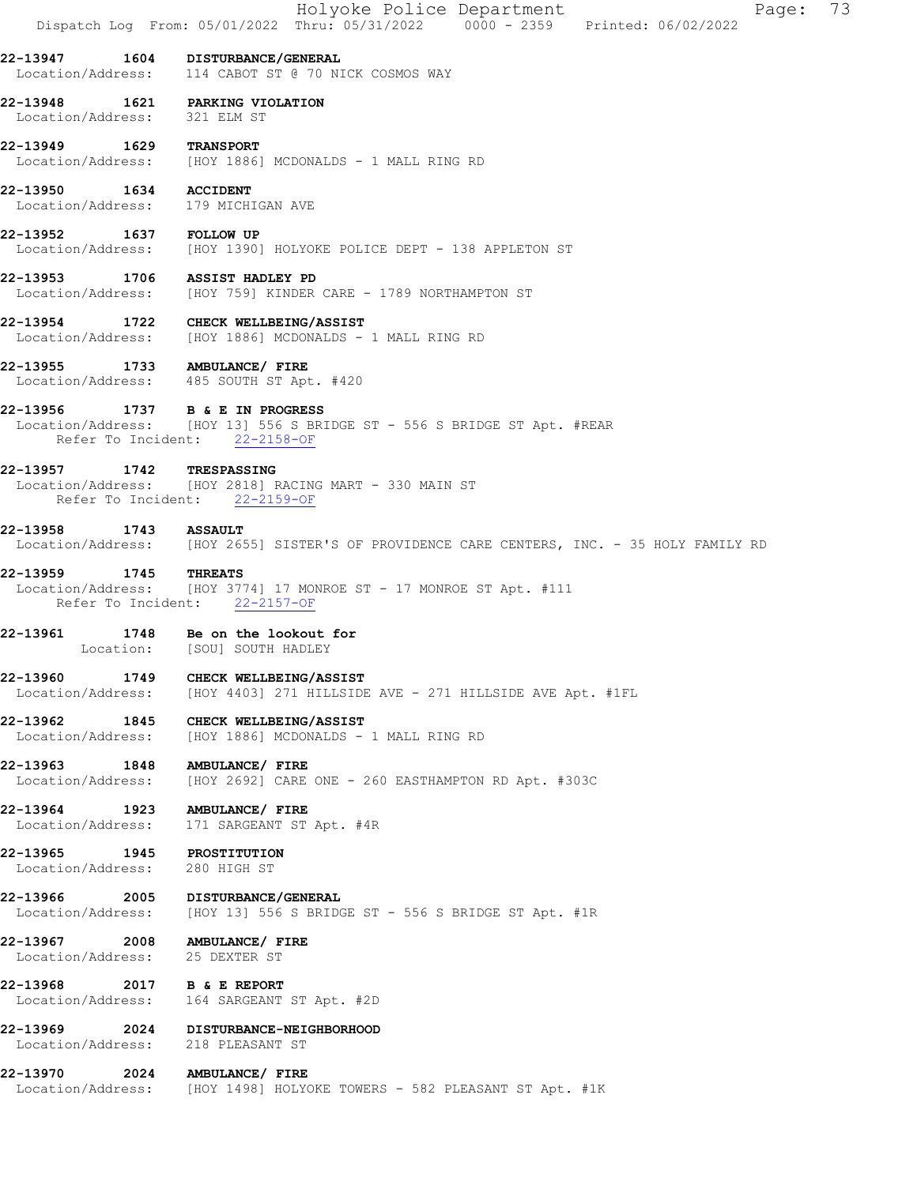|                                                             |                     | Holyoke Police Department<br>73<br>Page:<br>Dispatch Log From: 05/01/2022 Thru: 05/31/2022 0000 - 2359 Printed: 06/02/2022                    |
|-------------------------------------------------------------|---------------------|-----------------------------------------------------------------------------------------------------------------------------------------------|
| 22-13947 1604                                               |                     | <b>DISTURBANCE/GENERAL</b><br>Location/Address: 114 CABOT ST @ 70 NICK COSMOS WAY                                                             |
| Location/Address: 321 ELM ST                                |                     | 22-13948 1621 PARKING VIOLATION                                                                                                               |
| 22-13949 1629 TRANSPORT                                     |                     | Location/Address: [HOY 1886] MCDONALDS - 1 MALL RING RD                                                                                       |
| 22-13950 1634 ACCIDENT                                      |                     | Location/Address: 179 MICHIGAN AVE                                                                                                            |
| 22-13952 1637 FOLLOW UP                                     |                     | Location/Address: [HOY 1390] HOLYOKE POLICE DEPT - 138 APPLETON ST                                                                            |
|                                                             |                     | 22-13953 1706 ASSIST HADLEY PD<br>Location/Address: [HOY 759] KINDER CARE - 1789 NORTHAMPTON ST                                               |
|                                                             |                     | 22-13954 1722 CHECK WELLBEING/ASSIST<br>Location/Address: [HOY 1886] MCDONALDS - 1 MALL RING RD                                               |
| 22-13955 1733 AMBULANCE/ FIRE                               |                     | Location/Address: 485 SOUTH ST Apt. #420                                                                                                      |
|                                                             |                     | 22-13956 1737 B & E IN PROGRESS<br>  Location/Address: [HOY 13] 556 S BRIDGE ST - 556 S BRIDGE ST Apt. #REAR<br>Refer To Incident: 22-2158-OF |
| 22-13957 1742 TRESPASSING                                   |                     | Location/Address: [HOY 2818] RACING MART - 330 MAIN ST<br>Refer To Incident: 22-2159-OF                                                       |
| 22-13958                                                    | <b>1743 ASSAULT</b> | Location/Address: [HOY 2655] SISTER'S OF PROVIDENCE CARE CENTERS, INC. - 35 HOLY FAMILY RD                                                    |
| 22-13959                                                    | 1745                | <b>THREATS</b><br>Location/Address: [HOY 3774] 17 MONROE ST - 17 MONROE ST Apt. #111<br>Refer To Incident: 22-2157-OF                         |
| 22-13961                                                    |                     | 1748 Be on the lookout for<br>Location: [SOU] SOUTH HADLEY                                                                                    |
| 22-13960<br>Location/Address:                               | 1749                | CHECK WELLBEING/ASSIST<br>[HOY 4403] 271 HILLSIDE AVE - 271 HILLSIDE AVE Apt. #1FL                                                            |
| 22-13962 1845<br>Location/Address:                          |                     | CHECK WELLBEING/ASSIST<br>[HOY 1886] MCDONALDS - 1 MALL RING RD                                                                               |
| 22-13963 1848<br>Location/Address:                          |                     | AMBULANCE/ FIRE<br>$[HOY 2692]$ CARE ONE - 260 EASTHAMPTON RD Apt. #303C                                                                      |
| 22-13964 1923<br>Location/Address:                          |                     | <b>AMBULANCE/ FIRE</b><br>171 SARGEANT ST Apt. #4R                                                                                            |
| 22-13965 1945 PROSTITUTION<br>Location/Address: 280 HIGH ST |                     |                                                                                                                                               |
| 22-13966 2005<br>Location/Address:                          |                     | DISTURBANCE/GENERAL<br>[HOY 13] 556 S BRIDGE ST - 556 S BRIDGE ST Apt. #1R                                                                    |
| Location/Address: 25 DEXTER ST                              |                     | 22-13967 2008 AMBULANCE/ FIRE                                                                                                                 |
| 22-13968<br>Location/Address:                               |                     | 2017 B & E REPORT<br>164 SARGEANT ST Apt. #2D                                                                                                 |
| 22-13969                                                    |                     | 2024 DISTURBANCE-NEIGHBORHOOD<br>Location/Address: 218 PLEASANT ST                                                                            |
| 22-13970                                                    |                     | 2024 AMBULANCE/ FIRE<br>Location/Address: [HOY 1498] HOLYOKE TOWERS - 582 PLEASANT ST Apt. #1K                                                |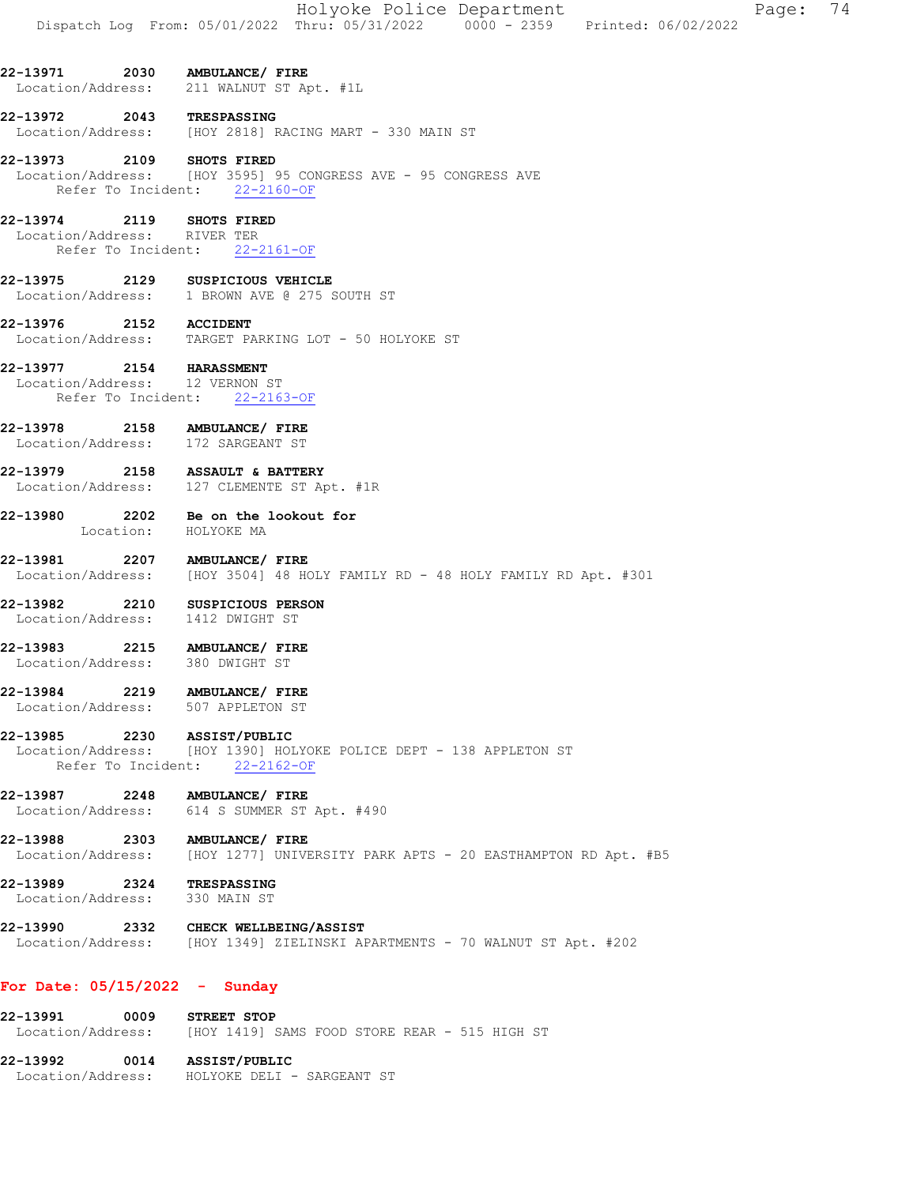- 22-13971 2030 AMBULANCE/ FIRE Location/Address: 211 WALNUT ST Apt. #1L
- 22-13972 2043 TRESPASSING Location/Address: [HOY 2818] RACING MART - 330 MAIN ST

#### 22-13973 2109 SHOTS FIRED Location/Address: [HOY 3595] 95 CONGRESS AVE - 95 CONGRESS AVE Refer To Incident: 22-2160-OF

### 22-13974 2119 SHOTS FIRED

 Location/Address: RIVER TER Refer To Incident: 22-2161-OF

## 22-13975 2129 SUSPICIOUS VEHICLE

Location/Address: 1 BROWN AVE @ 275 SOUTH ST

### 22-13976 2152 ACCIDENT Location/Address: TARGET PARKING LOT - 50 HOLYOKE ST

### 22-13977 2154 HARASSMENT Location/Address: 12 VERNON ST

- Refer To Incident: 22-2163-OF
- 22-13978 2158 AMBULANCE/ FIRE Location/Address: 172 SARGEANT ST
- 22-13979 2158 ASSAULT & BATTERY Location/Address: 127 CLEMENTE ST Apt. #1R
- 22-13980 2202 Be on the lookout for Location: HOLYOKE MA
- 22-13981 2207 AMBULANCE/ FIRE Location/Address: [HOY 3504] 48 HOLY FAMILY RD - 48 HOLY FAMILY RD Apt. #301
- 22-13982 2210 SUSPICIOUS PERSON Location/Address: 1412 DWIGHT ST

### 22-13983 2215 AMBULANCE/ FIRE Location/Address: 380 DWIGHT ST

22-13984 2219 AMBULANCE/ FIRE Location/Address: 507 APPLETON ST

### 22-13985 2230 ASSIST/PUBLIC

 Location/Address: [HOY 1390] HOLYOKE POLICE DEPT - 138 APPLETON ST Refer To Incident: 22-2162-OF

22-13987 2248 AMBULANCE/ FIRE Location/Address: 614 S SUMMER ST Apt. #490

### 22-13988 2303 AMBULANCE/ FIRE Location/Address: [HOY 1277] UNIVERSITY PARK APTS - 20 EASTHAMPTON RD Apt. #B5

# 22-13989 2324 TRESPASSING<br>Location/Address: 330 MAIN ST

Location/Address:

### 22-13990 2332 CHECK WELLBEING/ASSIST Location/Address: [HOY 1349] ZIELINSKI APARTMENTS - 70 WALNUT ST Apt. #202

### For Date: 05/15/2022 - Sunday

22-13991 0009 STREET STOP Location/Address: [HOY 1419] SAMS FOOD STORE REAR - 515 HIGH ST 22-13992 0014 ASSIST/PUBLIC Location/Address: HOLYOKE DELI - SARGEANT ST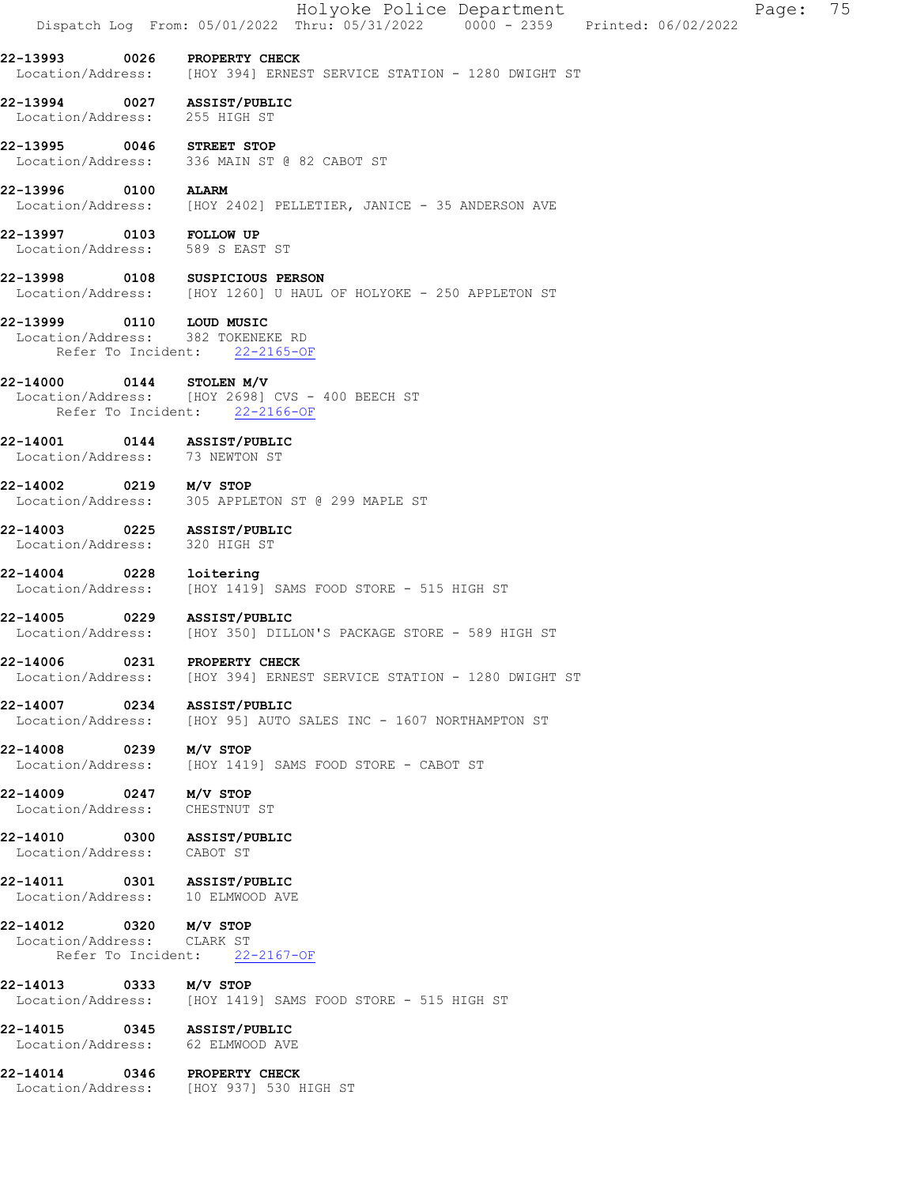| Holyoke Police Department<br>75<br>Page:<br>Dispatch Log From: 05/01/2022 Thru: 05/31/2022 0000 - 2359 Printed: 06/02/2022 |
|----------------------------------------------------------------------------------------------------------------------------|
| PROPERTY CHECK<br>Location/Address: [HOY 394] ERNEST SERVICE STATION - 1280 DWIGHT ST                                      |
| <b>ASSIST/PUBLIC</b><br>255 HIGH ST                                                                                        |
| 22-13995 0046 STREET STOP<br>Location/Address: 336 MAIN ST @ 82 CABOT ST                                                   |
| <b>ALARM</b><br>Location/Address: [HOY 2402] PELLETIER, JANICE - 35 ANDERSON AVE                                           |
| <b>FOLLOW UP</b><br>Location/Address: 589 S EAST ST                                                                        |
| 22-13998 0108 SUSPICIOUS PERSON<br>Location/Address: [HOY 1260] U HAUL OF HOLYOKE - 250 APPLETON ST                        |
| 0110 LOUD MUSIC<br>Location/Address: 382 TOKENEKE RD<br>Refer To Incident:<br>$22 - 2165 - OF$                             |
| 22-14000 0144 STOLEN M/V<br>Location/Address: [HOY 2698] CVS - 400 BEECH ST<br>Refer To Incident: 22-2166-OF               |
| 0144 ASSIST/PUBLIC<br>Location/Address: 73 NEWTON ST                                                                       |
| 22-14002 0219 M/V STOP<br>Location/Address: 305 APPLETON ST @ 299 MAPLE ST                                                 |
| 0225 ASSIST/PUBLIC<br>320 HIGH ST                                                                                          |
| loitering<br>[HOY 1419] SAMS FOOD STORE - 515 HIGH ST                                                                      |
| 0229 ASSIST/PUBLIC<br>[HOY 350] DILLON'S PACKAGE STORE - 589 HIGH ST                                                       |
| PROPERTY CHECK<br>[HOY 394] ERNEST SERVICE STATION - 1280 DWIGHT ST                                                        |
| 22-14007 0234<br>ASSIST/PUBLIC<br>Location/Address:<br>[HOY 95] AUTO SALES INC - 1607 NORTHAMPTON ST                       |
| 22-14008 0239 M/V STOP<br>Location/Address:<br>[HOY 1419] SAMS FOOD STORE - CABOT ST                                       |
| 22-14009 0247 M/V STOP<br>CHESTNUT ST                                                                                      |
| 22-14010 0300 ASSIST/PUBLIC<br>Location/Address: CABOT ST                                                                  |
| 22-14011 0301 ASSIST/PUBLIC<br>Location/Address: 10 ELMWOOD AVE                                                            |
| 22-14012 0320 M/V STOP<br>Location/Address: CLARK ST<br>Refer To Incident: 22-2167-OF                                      |
| 22-14013 0333 M/V STOP<br>Location/Address: [HOY 1419] SAMS FOOD STORE - 515 HIGH ST                                       |
| 22-14015 0345 ASSIST/PUBLIC<br>Location/Address: 62 ELMWOOD AVE                                                            |
| 22-14014 0346 PROPERTY CHECK<br>Location/Address: [HOY 937] 530 HIGH ST                                                    |
|                                                                                                                            |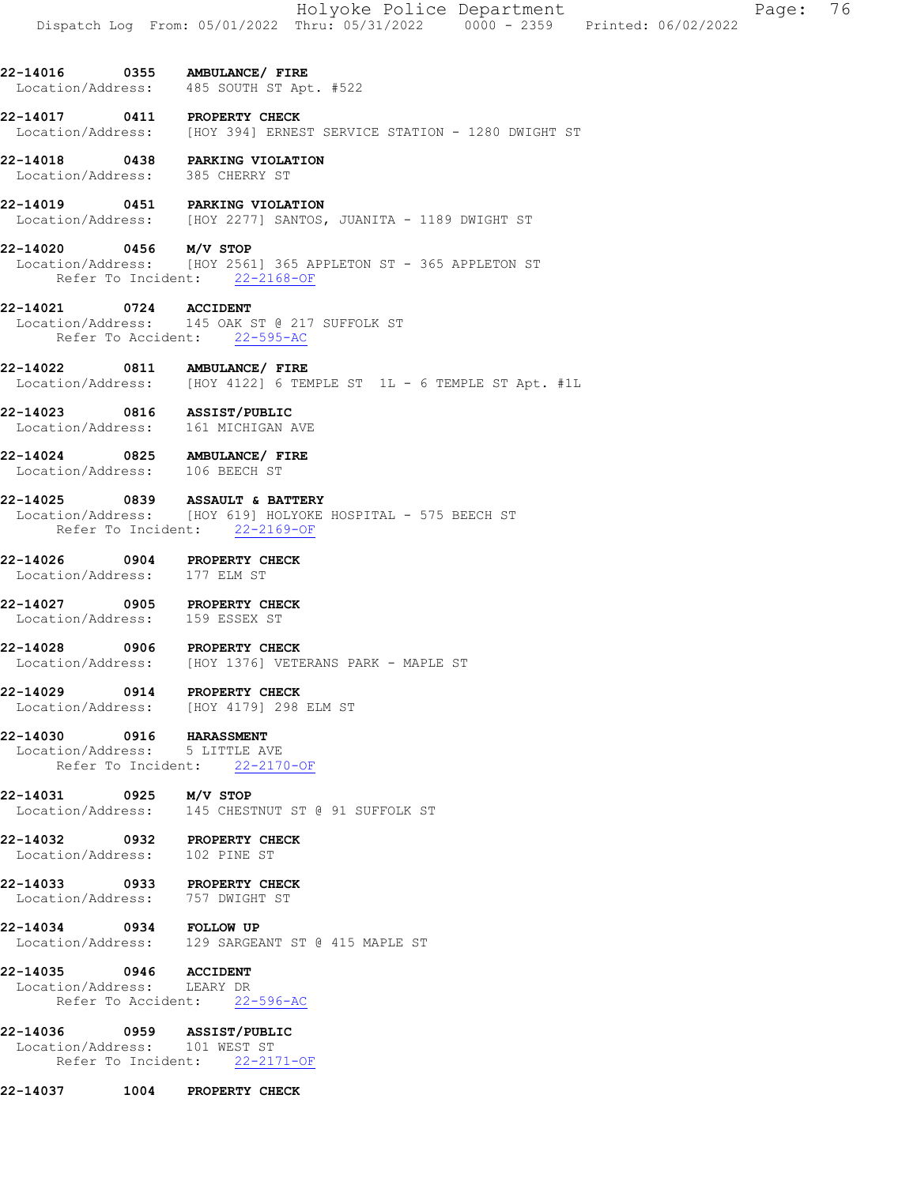- 22-14016 0355 AMBULANCE/ FIRE Location/Address: 485 SOUTH ST Apt. #522
- 22-14017 0411 PROPERTY CHECK<br>Location/Address: [HOY 394] ERNES [HOY 394] ERNEST SERVICE STATION - 1280 DWIGHT ST
- 22-14018 0438 PARKING VIOLATION<br>Location/Address: 385 CHERRY ST Location/Address:
- 22-14019 0451 PARKING VIOLATION Location/Address: [HOY 2277] SANTOS, JUANITA - 1189 DWIGHT ST
- 22-14020 0456 M/V STOP
- Location/Address: [HOY 2561] 365 APPLETON ST 365 APPLETON ST Refer To Incident: 22-2168-OF
- 22-14021 0724 ACCIDENT Location/Address: 145 OAK ST @ 217 SUFFOLK ST Refer To Accident: 22-595-AC
- 22-14022 0811 AMBULANCE/FIRE<br>Location/Address: [HOY 4122] 6 TEM  $HOY$  4122] 6 TEMPLE ST 1L - 6 TEMPLE ST Apt. #1L
- 22-14023 0816 ASSIST/PUBLIC<br>Location/Address: 161 MICHIGAN AVE Location/Address:
- 22-14024 0825 AMBULANCE/ FIRE Location/Address: 106 BEECH ST
- 22-14025 0839 ASSAULT & BATTERY Location/Address: [HOY 619] HOLYOKE HOSPITAL - 575 BEECH ST Refer To Incident: 22-2169-OF
- 22-14026 0904 PROPERTY CHECK<br>Location/Address: 177 ELM ST Location/Address:
- 22-14027 0905 PROPERTY CHECK Location/Address: 159 ESSEX ST
- 22-14028 0906 PROPERTY CHECK Location/Address: [HOY 1376] VETERANS PARK - MAPLE ST
- 22-14029 0914 PROPERTY CHECK Location/Address: [HOY 4179] 298 ELM ST
- 22-14030 0916 HARASSMENT Location/Address: 5 LITTLE AVE Refer To Incident: 22-2170-OF
- 22-14031 0925 M/V STOP Location/Address: 145 CHESTNUT ST @ 91 SUFFOLK ST
- 22-14032 0932 PROPERTY CHECK Location/Address: 102 PINE ST
- 22-14033 0933 PROPERTY CHECK Location/Address: 757 DWIGHT ST
- 22-14034 0934 FOLLOW UP Location/Address: 129 SARGEANT ST @ 415 MAPLE ST
- 22-14035 0946 ACCIDENT<br>Location/Address: LEARY DR Location/Address: Refer To Accident: 22-596-AC
- 22-14036 0959 ASSIST/PUBLIC Location/Address: 101 WEST ST Refer To Incident: 22-2171-OF
- 22-14037 1004 PROPERTY CHECK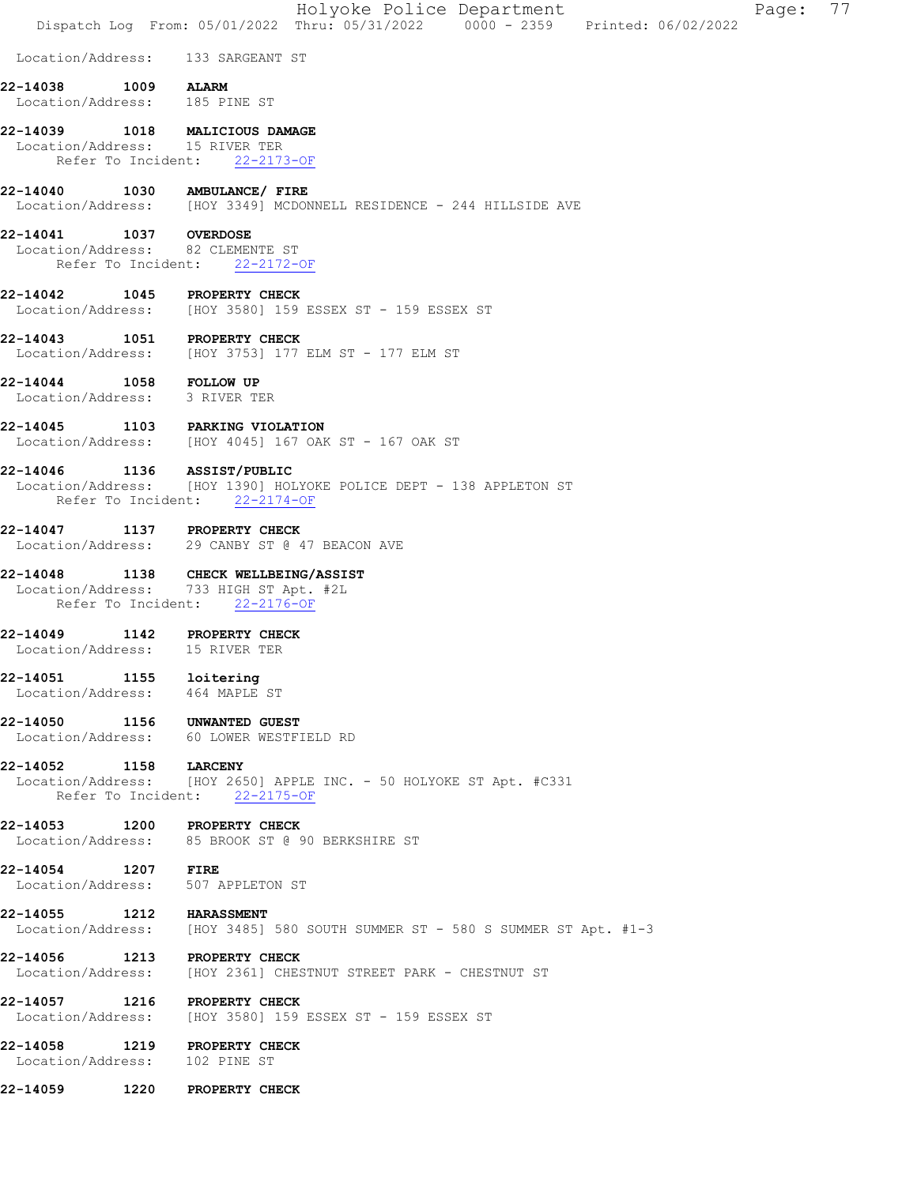|                                                                  |            | Holyoke Police Department<br>77<br>Page:<br>Dispatch Log From: 05/01/2022 Thru: 05/31/2022 0000 - 2359 Printed: 06/02/2022 |
|------------------------------------------------------------------|------------|----------------------------------------------------------------------------------------------------------------------------|
|                                                                  |            | Location/Address: 133 SARGEANT ST                                                                                          |
| 22-14038<br>Location/Address: 185 PINE ST                        | 1009 ALARM |                                                                                                                            |
| 22-14039<br>Location/Address: 15 RIVER TER<br>Refer To Incident: |            | 1018 MALICIOUS DAMAGE<br>$22 - 2173 - OF$                                                                                  |
| 22-14040                                                         |            | 1030 AMBULANCE/ FIRE<br>Location/Address: [HOY 3349] MCDONNELL RESIDENCE - 244 HILLSIDE AVE                                |
| 22-14041<br>Refer To Incident:                                   | 1037       | <b>OVERDOSE</b><br>Location/Address: 82 CLEMENTE ST<br>$22 - 2172 - OF$                                                    |
| 22-14042                                                         |            | 1045 PROPERTY CHECK<br>Location/Address: [HOY 3580] 159 ESSEX ST - 159 ESSEX ST                                            |
| 22-14043                                                         |            | 1051 PROPERTY CHECK<br>Location/Address: [HOY 3753] 177 ELM ST - 177 ELM ST                                                |
| $22 - 14044$<br>Location/Address: 3 RIVER TER                    |            | 1058 FOLLOW UP                                                                                                             |
| 22-14045                                                         |            | 1103 PARKING VIOLATION<br>Location/Address: [HOY 4045] 167 OAK ST - 167 OAK ST                                             |
| 22-14046 1136 ASSIST/PUBLIC                                      |            | Location/Address: [HOY 1390] HOLYOKE POLICE DEPT - 138 APPLETON ST<br>Refer To Incident: 22-2174-OF                        |
| 22-14047                                                         |            | 1137 PROPERTY CHECK<br>Location/Address: 29 CANBY ST @ 47 BEACON AVE                                                       |
| 22-14048<br>Refer To Incident:                                   | 1138       | CHECK WELLBEING/ASSIST<br>Location/Address: 733 HIGH ST Apt. #2L<br>$22 - 2176 - OF$                                       |
| 22-14049<br>Location/Address: 15 RIVER TER                       |            | 1142 PROPERTY CHECK                                                                                                        |
| 22-14051<br>Location/Address: 464 MAPLE ST                       |            | 1155 loitering                                                                                                             |
| 22-14050                                                         |            | 1156 UNWANTED GUEST<br>Location/Address: 60 LOWER WESTFIELD RD                                                             |
| 22-14052 1158 LARCENY                                            |            | Location/Address: [HOY 2650] APPLE INC. - 50 HOLYOKE ST Apt. #C331<br>Refer To Incident: 22-2175-OF                        |
| 22-14053 1200                                                    |            | <b>PROPERTY CHECK</b><br>Location/Address: 85 BROOK ST @ 90 BERKSHIRE ST                                                   |
| 22-14054<br>1207                                                 |            | <b>FIRE</b><br>Location/Address: 507 APPLETON ST                                                                           |
| 22-14055 1212                                                    |            | <b>HARASSMENT</b><br>Location/Address: [HOY 3485] 580 SOUTH SUMMER ST - 580 S SUMMER ST Apt. #1-3                          |
| 22-14056<br>Location/Address:                                    | 1213       | PROPERTY CHECK<br>[HOY 2361] CHESTNUT STREET PARK - CHESTNUT ST                                                            |
| 22-14057                                                         |            | 1216 PROPERTY CHECK<br>Location/Address: [HOY 3580] 159 ESSEX ST - 159 ESSEX ST                                            |
| 22-14058<br>Location/Address:                                    |            | 1219 PROPERTY CHECK<br>102 PINE ST                                                                                         |
| 22-14059                                                         | 1220       | PROPERTY CHECK                                                                                                             |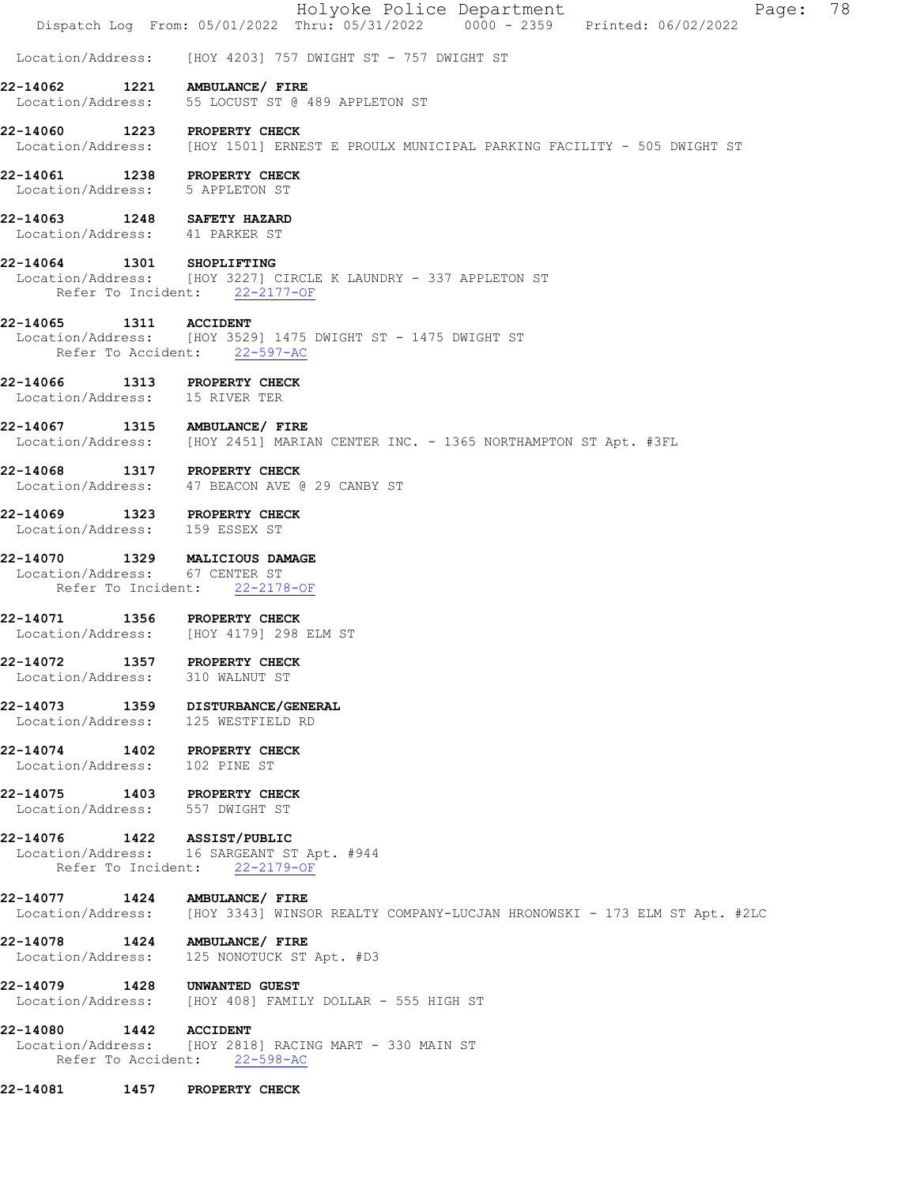|                                                                 | Holyoke Police Department<br>78<br>Page:<br>Dispatch Log From: 05/01/2022 Thru: 05/31/2022   0000 - 2359   Printed: 06/02/2022 |
|-----------------------------------------------------------------|--------------------------------------------------------------------------------------------------------------------------------|
|                                                                 | Location/Address: [HOY 4203] 757 DWIGHT ST - 757 DWIGHT ST                                                                     |
| 22-14062                                                        | 1221 AMBULANCE/ FIRE<br>Location/Address: 55 LOCUST ST @ 489 APPLETON ST                                                       |
| 22-14060 1223 PROPERTY CHECK                                    | Location/Address: [HOY 1501] ERNEST E PROULX MUNICIPAL PARKING FACILITY - 505 DWIGHT ST                                        |
| 22-14061<br>Location/Address: 5 APPLETON ST                     | 1238 PROPERTY CHECK                                                                                                            |
| 22-14063 1248 SAFETY HAZARD<br>Location/Address: 41 PARKER ST   |                                                                                                                                |
| 22-14064 1301 SHOPLIFTING                                       | Location/Address: [HOY 3227] CIRCLE K LAUNDRY - 337 APPLETON ST<br>Refer To Incident: 22-2177-OF                               |
| 22-14065                                                        | 1311 ACCIDENT<br>Location/Address: [HOY 3529] 1475 DWIGHT ST - 1475 DWIGHT ST<br>Refer To Accident: 22-597-AC                  |
| 22-14066 1313 PROPERTY CHECK<br>Location/Address: 15 RIVER TER  |                                                                                                                                |
|                                                                 | 22-14067 1315 AMBULANCE/ FIRE<br>Location/Address: [HOY 2451] MARIAN CENTER INC. - 1365 NORTHAMPTON ST Apt. #3FL               |
| 22-14068 1317 PROPERTY CHECK                                    | Location/Address: 47 BEACON AVE @ 29 CANBY ST                                                                                  |
| 22-14069<br>Location/Address: 159 ESSEX ST                      | 1323 PROPERTY CHECK                                                                                                            |
| Location/Address: 67 CENTER ST<br>Refer To Incident:            | 22-14070 1329 MALICIOUS DAMAGE<br>$22 - 2178 - OF$                                                                             |
| 22-14071                                                        | 1356 PROPERTY CHECK<br>Location/Address: [HOY 4179] 298 ELM ST                                                                 |
| 22-14072<br>Location/Address:                                   | 1357 PROPERTY CHECK<br>310 WALNUT ST                                                                                           |
|                                                                 | 22-14073 1359 DISTURBANCE/GENERAL<br>Location/Address: 125 WESTFIELD RD                                                        |
| 22-14074 1402 PROPERTY CHECK<br>Location/Address: 102 PINE ST   |                                                                                                                                |
| 22-14075 1403 PROPERTY CHECK<br>Location/Address: 557 DWIGHT ST |                                                                                                                                |
| 22-14076  1422  ASSIST/PUBLIC                                   | Location/Address: 16 SARGEANT ST Apt. #944<br>Refer To Incident: 22-2179-OF                                                    |
|                                                                 | 22-14077 1424 AMBULANCE/ FIRE<br>Location/Address: [HOY 3343] WINSOR REALTY COMPANY-LUCJAN HRONOWSKI - 173 ELM ST Apt. #2LC    |
|                                                                 | 22-14078   1424   AMBULANCE/ FIRE<br>Location/Address: 125 NONOTUCK ST Apt. #D3                                                |
| 22-14079 1428 UNWANTED GUEST                                    | Location/Address: [HOY 408] FAMILY DOLLAR - 555 HIGH ST                                                                        |
| 22-14080 1442 ACCIDENT                                          | Location/Address: [HOY 2818] RACING MART - 330 MAIN ST<br>Refer To Accident: 22-598-AC                                         |
| 22-14081                                                        | 1457 PROPERTY CHECK                                                                                                            |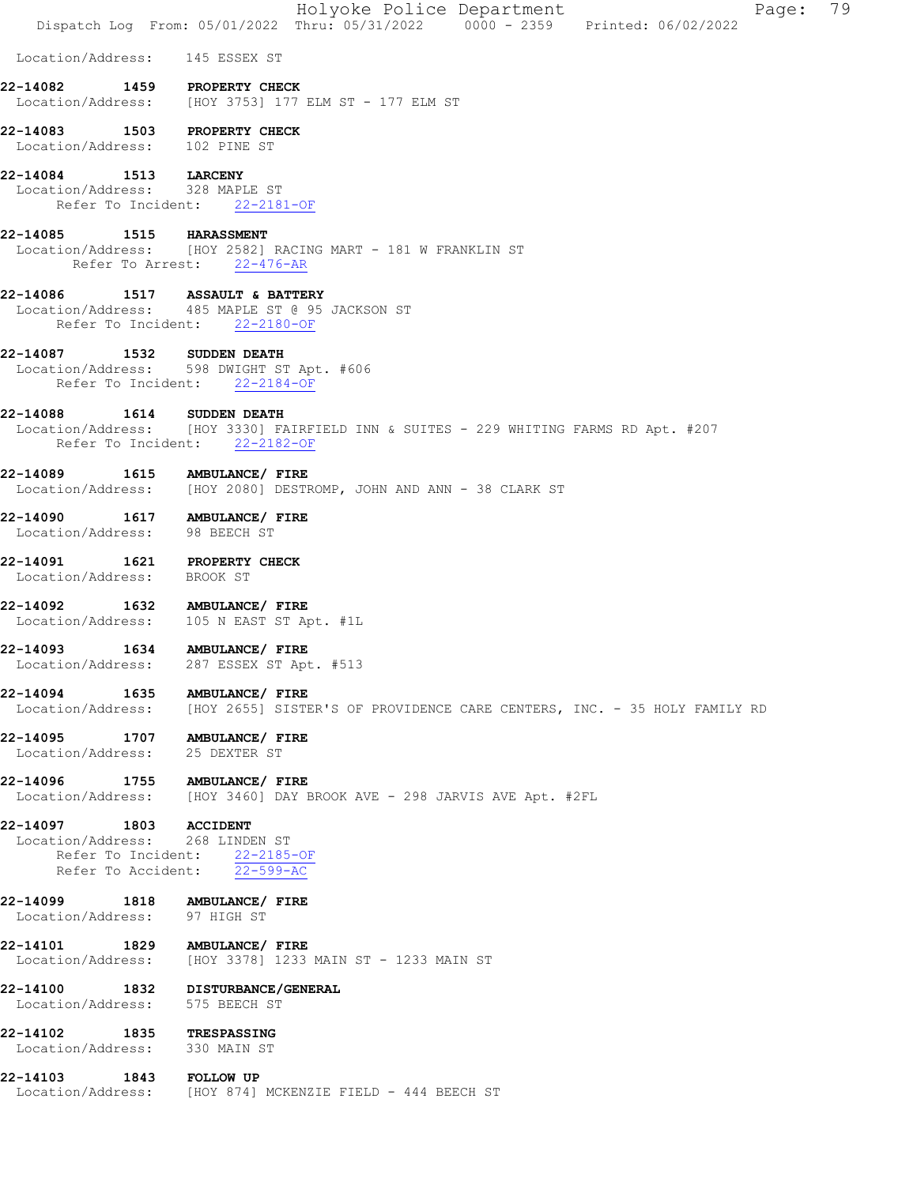|                                                            |              | Holyoke Police Department<br>79<br>Page:<br>Dispatch Log From: 05/01/2022 Thru: 05/31/2022   0000 - 2359   Printed: 06/02/2022                    |
|------------------------------------------------------------|--------------|---------------------------------------------------------------------------------------------------------------------------------------------------|
| Location/Address: 145 ESSEX ST                             |              |                                                                                                                                                   |
| 22-14082                                                   |              | 1459 PROPERTY CHECK<br>Location/Address: [HOY 3753] 177 ELM ST - 177 ELM ST                                                                       |
| Location/Address: 102 PINE ST                              |              | 22-14083 1503 PROPERTY CHECK                                                                                                                      |
| 22-14084<br>Location/Address: 328 MAPLE ST                 | 1513 LARCENY | Refer To Incident: 22-2181-OF                                                                                                                     |
| 22-14085                                                   |              | <b>1515 HARASSMENT</b><br>Location/Address: [HOY 2582] RACING MART - 181 W FRANKLIN ST<br>Refer To Arrest: 22-476-AR                              |
|                                                            |              | 22-14086 1517 ASSAULT & BATTERY<br>Location/Address: 485 MAPLE ST @ 95 JACKSON ST<br>Refer To Incident: 22-2180-OF                                |
| 22-14087                                                   |              | 1532 SUDDEN DEATH<br>Location/Address: 598 DWIGHT ST Apt. #606<br>Refer To Incident: 22-2184-OF                                                   |
| 22-14088                                                   |              | <b>1614 SUDDEN DEATH</b><br>Location/Address: [HOY 3330] FAIRFIELD INN & SUITES - 229 WHITING FARMS RD Apt. #207<br>Refer To Incident: 22-2182-OF |
|                                                            |              | 22-14089   1615   AMBULANCE/ FIRE<br>Location/Address: [HOY 2080] DESTROMP, JOHN AND ANN - 38 CLARK ST                                            |
| 22-14090<br>Location/Address: 98 BEECH ST                  |              | 1617 AMBULANCE/ FIRE                                                                                                                              |
| Location/Address: BROOK ST                                 |              | 22-14091 1621 PROPERTY CHECK                                                                                                                      |
| 22-14092                                                   |              | 1632 AMBULANCE/ FIRE<br>Location/Address: 105 N EAST ST Apt. #1L                                                                                  |
|                                                            |              | 22-14093 1634 AMBULANCE/ FIRE<br>Location/Address: 287 ESSEX ST Apt. #513                                                                         |
|                                                            |              | 22-14094 1635 AMBULANCE/ FIRE<br>Location/Address: [HOY 2655] SISTER'S OF PROVIDENCE CARE CENTERS, INC. - 35 HOLY FAMILY RD                       |
| Location/Address:                                          |              | 22-14095 1707 AMBULANCE/ FIRE<br>25 DEXTER ST                                                                                                     |
|                                                            |              | 22-14096 1755 AMBULANCE/ FIRE<br>Location/Address: [HOY 3460] DAY BROOK AVE - 298 JARVIS AVE Apt. #2FL                                            |
| 22-14097 1803 ACCIDENT<br>Location/Address: 268 LINDEN ST  |              | Refer To Incident: 22-2185-OF<br>Refer To Accident: 22-599-AC                                                                                     |
| Location/Address: 97 HIGH ST                               |              | 22-14099 1818 AMBULANCE/ FIRE                                                                                                                     |
|                                                            |              | 22-14101   1829   AMBULANCE/ FIRE<br>Location/Address: [HOY 3378] 1233 MAIN ST - 1233 MAIN ST                                                     |
| Location/Address:                                          |              | 22-14100 1832 DISTURBANCE/GENERAL<br>575 BEECH ST                                                                                                 |
| 22-14102 1835 TRESPASSING<br>Location/Address: 330 MAIN ST |              |                                                                                                                                                   |
| 22-14103 1843 FOLLOW UP                                    |              | Location/Address: [HOY 874] MCKENZIE FIELD - 444 BEECH ST                                                                                         |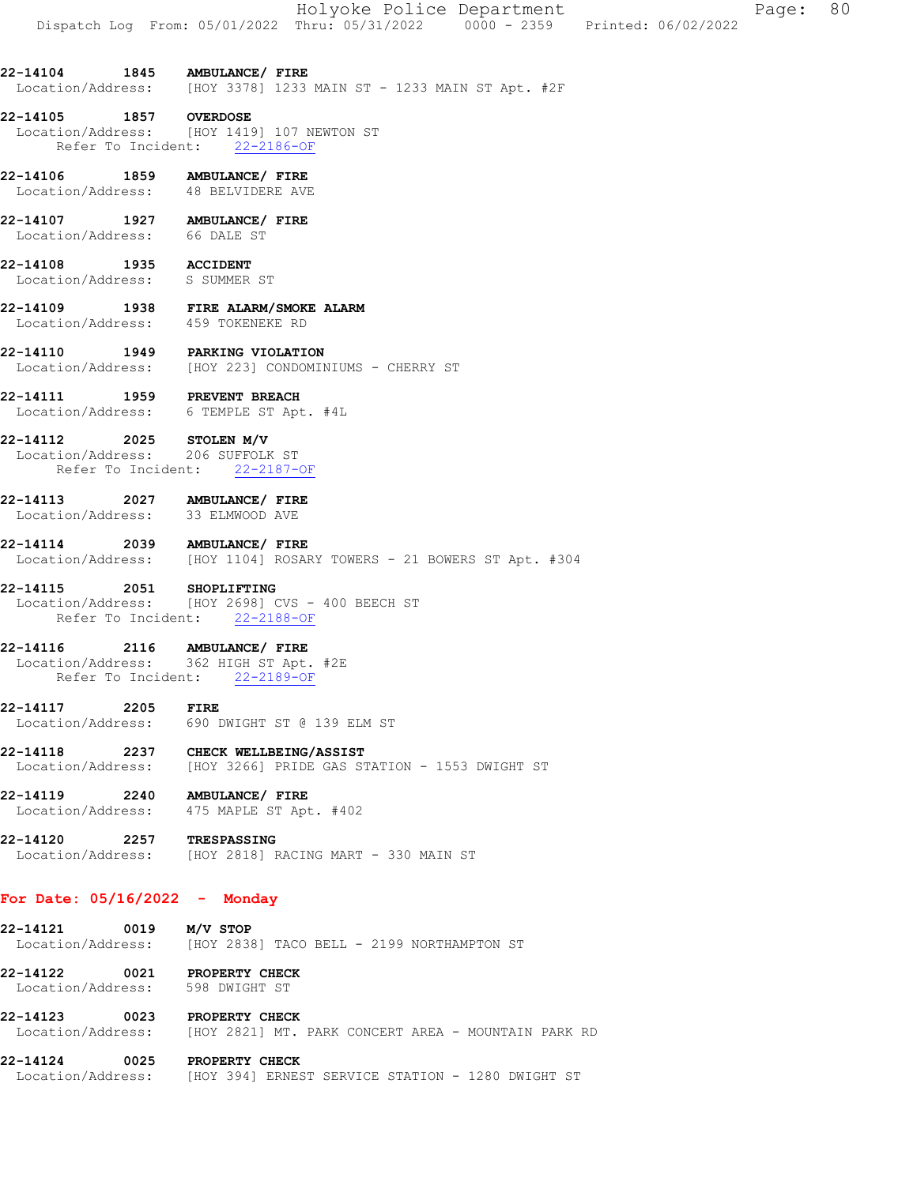22-14104 1845 AMBULANCE/ FIRE  $Location/Address:$  [HOY 3378] 1233 MAIN ST - 1233 MAIN ST Apt. #2F

#### 22-14105 1857 OVERDOSE Location/Address: [HOY 1419] 107 NEWTON ST Refer To Incident: 22-2186-OF

- 22-14106 1859 AMBULANCE/ FIRE Location/Address: 48 BELVIDERE AVE
- 22-14107 1927 AMBULANCE/ FIRE Location/Address: 66 DALE ST
- 22-14108 1935 ACCIDENT Location/Address: S SUMMER ST
- 22-14109 1938 FIRE ALARM/SMOKE ALARM Location/Address: 459 TOKENEKE RD
- 22-14110 1949 PARKING VIOLATION<br>Location/Address: [HOY 223] CONDOMIN [HOY 223] CONDOMINIUMS - CHERRY ST
- 22-14111 1959 PREVENT BREACH Location/Address: 6 TEMPLE ST Apt. #4L
- 22-14112 2025 STOLEN M/V
- Location/Address: 206 SUFFOLK ST Refer To Incident: 22-2187-OF
- 22-14113 2027 AMBULANCE/ FIRE Location/Address: 33 ELMWOOD AVE
- 22-14114 2039 AMBULANCE/ FIRE Location/Address: [HOY 1104] ROSARY TOWERS - 21 BOWERS ST Apt. #304
- 22-14115 2051 SHOPLIFTING Location/Address: [HOY 2698] CVS - 400 BEECH ST Refer To Incident: 22-2188-OF
- 
- 22-14116 2116 AMBULANCE/ FIRE Location/Address: 362 HIGH ST Apt. #2E Refer To Incident: 22-2189-OF
- 22-14117 2205 FIRE Location/Address: 690 DWIGHT ST @ 139 ELM ST
- 22-14118 2237 CHECK WELLBEING/ASSIST Location/Address: [HOY 3266] PRIDE GAS STATION - 1553 DWIGHT ST
- 22-14119 2240 AMBULANCE/FIRE<br>Location/Address: 475 MAPLE ST Apt 475 MAPLE ST Apt. #402
- 22-14120 2257 TRESPASSING Location/Address: [HOY 2818] RACING MART - 330 MAIN ST

#### For Date: 05/16/2022 - Monday

- 22-14121 0019 M/V STOP Location/Address: [HOY 2838] TACO BELL - 2199 NORTHAMPTON ST
- 22-14122 0021 PROPERTY CHECK Location/Address: 598 DWIGHT ST
- 22-14123 0023 PROPERTY CHECK<br>Location/Address: [HOY 2821] MT. [HOY 2821] MT. PARK CONCERT AREA - MOUNTAIN PARK RD
- 22-14124 0025 PROPERTY CHECK Location/Address: [HOY 394] ERNEST SERVICE STATION - 1280 DWIGHT ST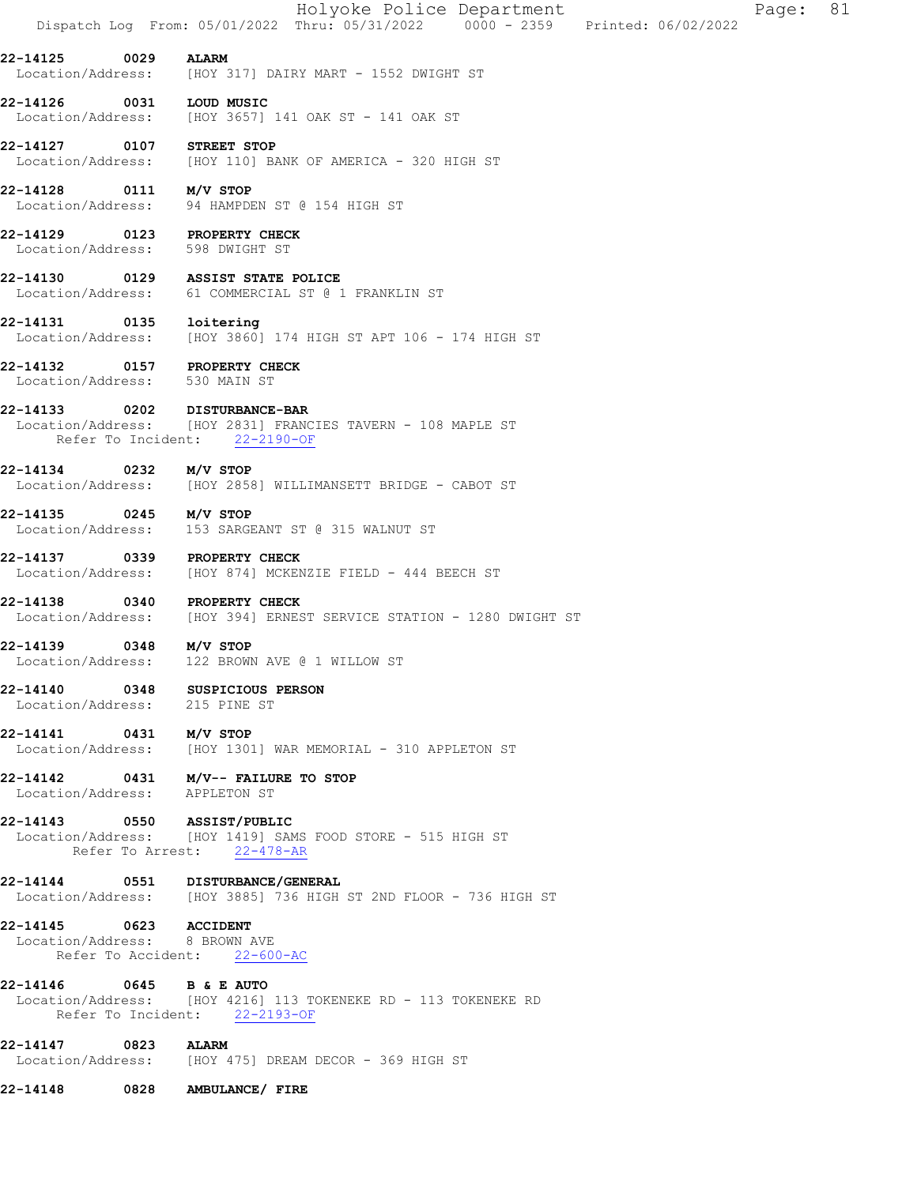|                                                         |      | Holyoke Police Department<br>81<br>Page:<br>Dispatch Log From: 05/01/2022 Thru: 05/31/2022 0000 - 2359 Printed: 06/02/2022 |
|---------------------------------------------------------|------|----------------------------------------------------------------------------------------------------------------------------|
| 22-14125                                                | 0029 | <b>ALARM</b><br>Location/Address: [HOY 317] DAIRY MART - 1552 DWIGHT ST                                                    |
| 22-14126<br>Location/Address:                           | 0031 | LOUD MUSIC<br>[HOY 3657] 141 OAK ST - 141 OAK ST                                                                           |
| 22-14127 0107 STREET STOP                               |      | Location/Address: [HOY 110] BANK OF AMERICA - 320 HIGH ST                                                                  |
| 22-14128                                                |      | $0111$ $M/V$ STOP<br>Location/Address: 94 HAMPDEN ST @ 154 HIGH ST                                                         |
|                                                         |      | 22-14129 0123 PROPERTY CHECK<br>Location/Address: 598 DWIGHT ST                                                            |
|                                                         |      | 22-14130 0129 ASSIST STATE POLICE<br>Location/Address: 61 COMMERCIAL ST @ 1 FRANKLIN ST                                    |
| 22-14131                                                |      | 0135 loitering<br>Location/Address: [HOY 3860] 174 HIGH ST APT 106 - 174 HIGH ST                                           |
| Location/Address: 530 MAIN ST                           |      | 22-14132 0157 PROPERTY CHECK                                                                                               |
| 22-14133                                                |      | 0202 DISTURBANCE-BAR<br>Location/Address: [HOY 2831] FRANCIES TAVERN - 108 MAPLE ST<br>Refer To Incident: 22-2190-OF       |
| 22-14134 0232 M/V STOP                                  |      | Location/Address: [HOY 2858] WILLIMANSETT BRIDGE - CABOT ST                                                                |
| 22-14135                                                |      | $0245$ $M/V$ STOP<br>Location/Address: 153 SARGEANT ST @ 315 WALNUT ST                                                     |
|                                                         |      | 22-14137 0339 PROPERTY CHECK<br>Location/Address: [HOY 874] MCKENZIE FIELD - 444 BEECH ST                                  |
| 22-14138                                                |      | 0340 PROPERTY CHECK<br>Location/Address: [HOY 394] ERNEST SERVICE STATION - 1280 DWIGHT ST                                 |
| 22-14139                                                |      | 0348 M/V STOP<br>Location/Address: 122 BROWN AVE @ 1 WILLOW ST                                                             |
| Location/Address: 215 PINE ST                           |      | 22-14140 0348 SUSPICIOUS PERSON                                                                                            |
| 22-14141 0431 M/V STOP                                  |      | Location/Address: [HOY 1301] WAR MEMORIAL - 310 APPLETON ST                                                                |
| Location/Address: APPLETON ST                           |      | 22-14142 0431 M/V-- FAILURE TO STOP                                                                                        |
|                                                         |      | 22-14143 0550 ASSIST/PUBLIC<br>Location/Address: [HOY 1419] SAMS FOOD STORE - 515 HIGH ST<br>Refer To Arrest: 22-478-AR    |
|                                                         |      | 22-14144 0551 DISTURBANCE/GENERAL<br>Location/Address: [HOY 3885] 736 HIGH ST 2ND FLOOR - 736 HIGH ST                      |
| 22-14145 0623 ACCIDENT<br>Location/Address: 8 BROWN AVE |      | Refer To Accident: 22-600-AC                                                                                               |
| 22-14146 0645 B & E AUTO                                |      | Location/Address: [HOY 4216] 113 TOKENEKE RD - 113 TOKENEKE RD<br>Refer To Incident: 22-2193-OF                            |
| 22-14147 0823 ALARM                                     |      | Location/Address: [HOY 475] DREAM DECOR - 369 HIGH ST                                                                      |
| 22-14148                                                | 0828 | AMBULANCE/ FIRE                                                                                                            |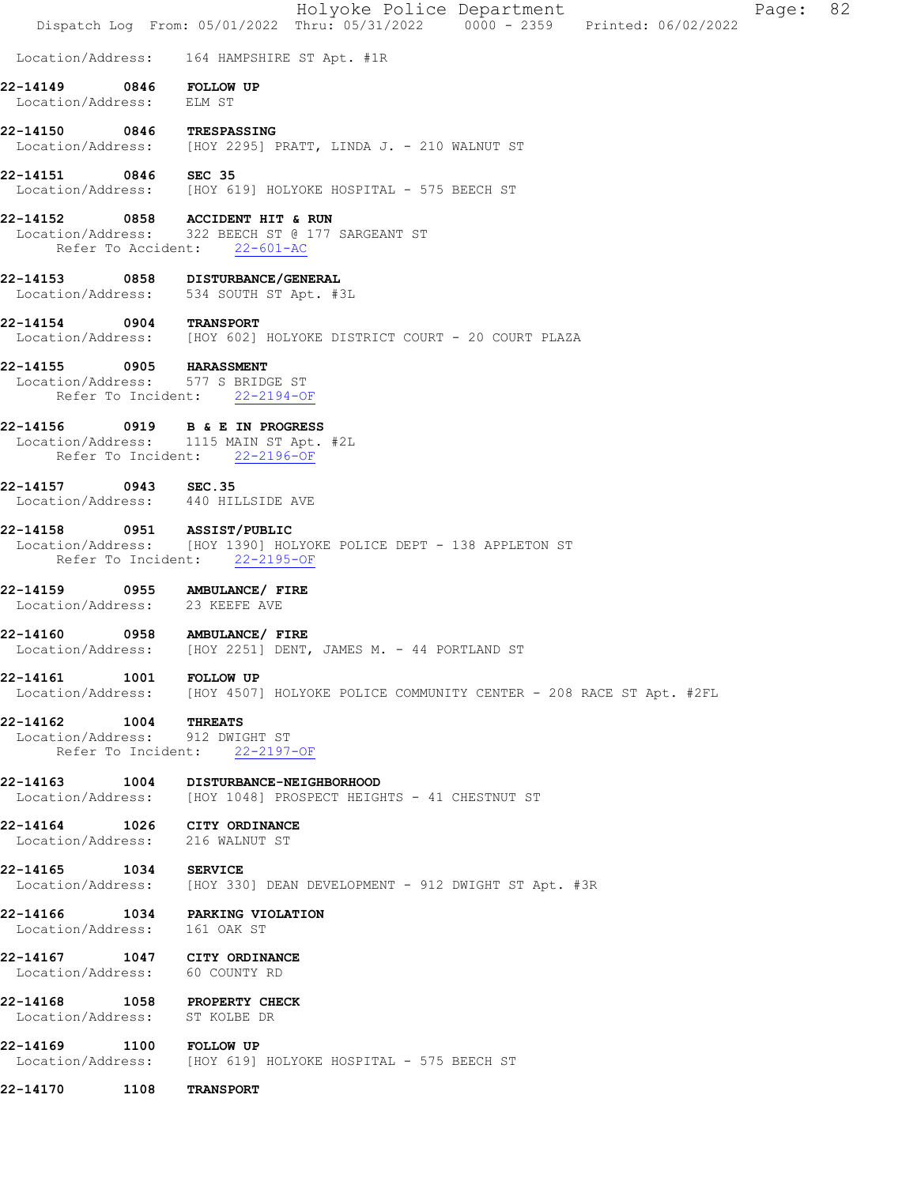|                                      |             | Holyoke Police Department<br>82<br>Page:<br>Dispatch Log From: 05/01/2022 Thru: 05/31/2022 0000 - 2359 Printed: 06/02/2022 |
|--------------------------------------|-------------|----------------------------------------------------------------------------------------------------------------------------|
| Location/Address:                    |             | 164 HAMPSHIRE ST Apt. #1R                                                                                                  |
| 22-14149<br>Location/Address: ELM ST |             | 0846 FOLLOW UP                                                                                                             |
| 22-14150 0846 TRESPASSING            |             | Location/Address: [HOY 2295] PRATT, LINDA J. - 210 WALNUT ST                                                               |
| 22-14151                             | 0846 SEC 35 | Location/Address: [HOY 619] HOLYOKE HOSPITAL - 575 BEECH ST                                                                |
|                                      |             | 22-14152 0858 ACCIDENT HIT & RUN<br>Location/Address: 322 BEECH ST @ 177 SARGEANT ST<br>Refer To Accident: 22-601-AC       |
|                                      |             | 22-14153 0858 DISTURBANCE/GENERAL<br>Location/Address: 534 SOUTH ST Apt. #3L                                               |
| 22-14154 0904 TRANSPORT              |             | Location/Address: [HOY 602] HOLYOKE DISTRICT COURT - 20 COURT PLAZA                                                        |
| 22-14155 0905 HARASSMENT             |             |                                                                                                                            |
|                                      |             | Location/Address: 577 S BRIDGE ST<br>Refer To Incident: 22-2194-OF                                                         |
| 22-14156                             |             | 0919 B & E IN PROGRESS<br>Location/Address: 1115 MAIN ST Apt. #2L<br>Refer To Incident: 22-2196-OF                         |
| 22-14157 0943 SEC.35                 |             | Location/Address: 440 HILLSIDE AVE                                                                                         |
| 22-14158                             |             | 0951 ASSIST/PUBLIC<br>Location/Address: [HOY 1390] HOLYOKE POLICE DEPT - 138 APPLETON ST<br>Refer To Incident: 22-2195-OF  |
| Location/Address: 23 KEEFE AVE       |             | 22-14159 0955 AMBULANCE/ FIRE                                                                                              |
| 22-14160                             |             | 0958 AMBULANCE/ FIRE<br>Location/Address: [HOY 2251] DENT, JAMES M. - 44 PORTLAND ST                                       |
| 22-14161                             |             | 1001 FOLLOW UP<br>Location/Address: [HOY 4507] HOLYOKE POLICE COMMUNITY CENTER - 208 RACE ST Apt. #2FL                     |
| 22-14162 1004                        |             | <b>THREATS</b><br>Location/Address: 912 DWIGHT ST<br>Refer To Incident: 22-2197-OF                                         |
| 22-14163                             |             | 1004 DISTURBANCE-NEIGHBORHOOD<br>Location/Address: [HOY 1048] PROSPECT HEIGHTS - 41 CHESTNUT ST                            |
|                                      |             | 22-14164 1026 CITY ORDINANCE<br>Location/Address: 216 WALNUT ST                                                            |
| 22-14165                             |             | 1034 SERVICE<br>Location/Address: [HOY 330] DEAN DEVELOPMENT - 912 DWIGHT ST Apt. #3R                                      |
| Location/Address: 161 OAK ST         |             | 22-14166 1034 PARKING VIOLATION                                                                                            |
|                                      |             | 22-14167   1047   CITY ORDINANCE<br>Location/Address: 60 COUNTY RD                                                         |
| Location/Address: ST KOLBE DR        |             | 22-14168 1058 PROPERTY CHECK                                                                                               |
| 22-14169                             |             | 1100 FOLLOW UP<br>Location/Address: [HOY 619] HOLYOKE HOSPITAL - 575 BEECH ST                                              |
| 22-14170                             | 1108        | <b>TRANSPORT</b>                                                                                                           |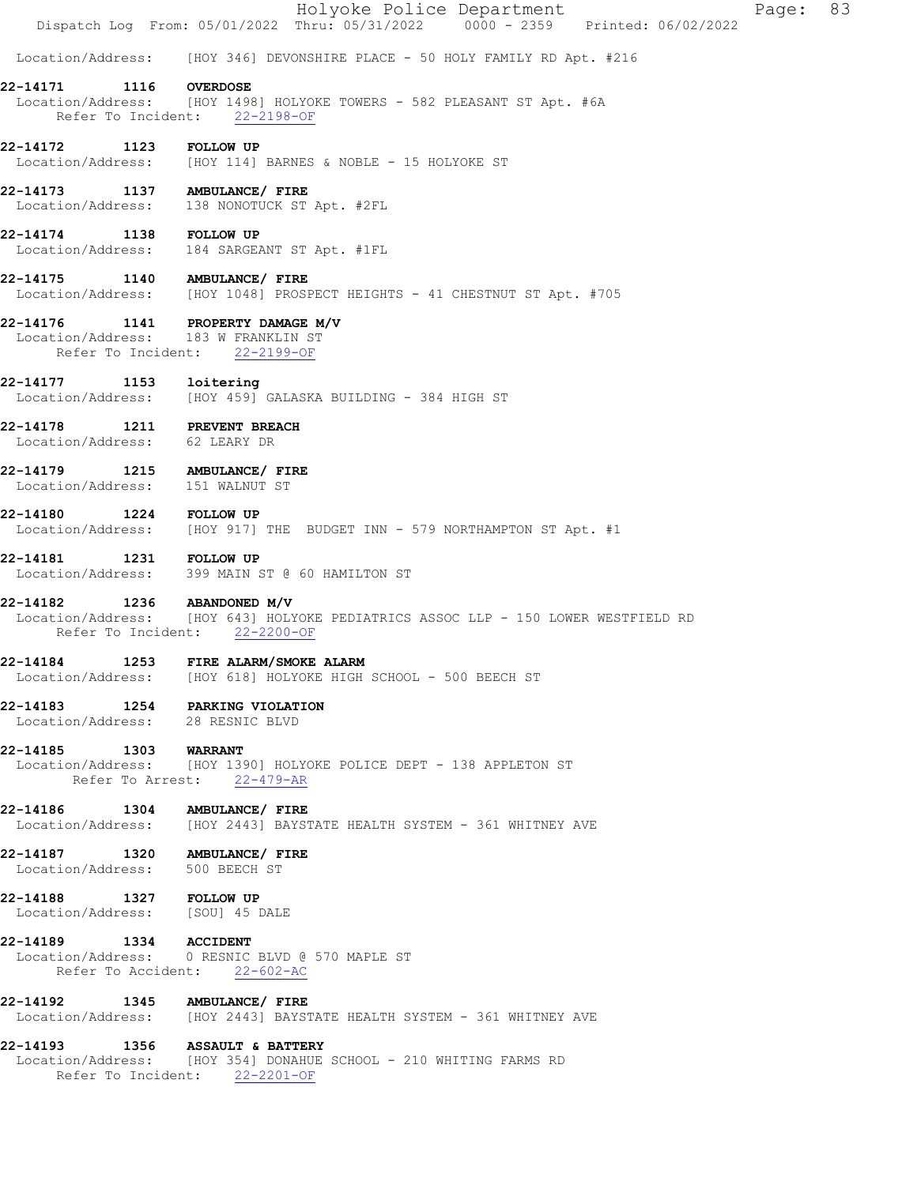|                                                            |      | Holyoke Police Department<br>83<br>Page:<br>Dispatch Log From: 05/01/2022 Thru: 05/31/2022 0000 - 2359 Printed: 06/02/2022               |
|------------------------------------------------------------|------|------------------------------------------------------------------------------------------------------------------------------------------|
|                                                            |      | Location/Address: [HOY 346] DEVONSHIRE PLACE - 50 HOLY FAMILY RD Apt. #216                                                               |
| 22-14171                                                   | 1116 | <b>OVERDOSE</b><br>Location/Address: [HOY 1498] HOLYOKE TOWERS - 582 PLEASANT ST Apt. #6A<br>Refer To Incident: 22-2198-OF               |
| 22-14172                                                   |      | 1123 FOLLOW UP<br>Location/Address: [HOY 114] BARNES & NOBLE - 15 HOLYOKE ST                                                             |
|                                                            |      | 22-14173 1137 AMBULANCE/ FIRE<br>Location/Address: 138 NONOTUCK ST Apt. #2FL                                                             |
| 22-14174 1138 FOLLOW UP                                    |      | Location/Address: 184 SARGEANT ST Apt. #1FL                                                                                              |
|                                                            |      | 22-14175 1140 AMBULANCE/ FIRE<br>Location/Address: [HOY 1048] PROSPECT HEIGHTS - 41 CHESTNUT ST Apt. #705                                |
| 22-14176                                                   |      | 1141 PROPERTY DAMAGE M/V<br>Location/Address: 183 W FRANKLIN ST<br>Refer To Incident: 22-2199-OF                                         |
| 22-14177 1153 loitering                                    |      | Location/Address: [HOY 459] GALASKA BUILDING - 384 HIGH ST                                                                               |
| 22-14178<br>Location/Address: 62 LEARY DR                  |      | 1211 PREVENT BREACH                                                                                                                      |
| Location/Address: 151 WALNUT ST                            |      | 22-14179 1215 AMBULANCE/ FIRE                                                                                                            |
| 22-14180                                                   |      | 1224 FOLLOW UP<br>Location/Address: [HOY 917] THE BUDGET INN - 579 NORTHAMPTON ST Apt. #1                                                |
| 22-14181 1231 FOLLOW UP                                    |      | Location/Address: 399 MAIN ST @ 60 HAMILTON ST                                                                                           |
| 22-14182                                                   |      | 1236 ABANDONED M/V<br>Location/Address: [HOY 643] HOLYOKE PEDIATRICS ASSOC LLP - 150 LOWER WESTFIELD RD<br>Refer To Incident: 22-2200-OF |
|                                                            |      | 22-14184 1253 FIRE ALARM/SMOKE ALARM<br>Location/Address: [HOY 618] HOLYOKE HIGH SCHOOL - 500 BEECH ST                                   |
|                                                            |      | 22-14183 1254 PARKING VIOLATION<br>Location/Address: 28 RESNIC BLVD                                                                      |
| 22-14185 1303 WARRANT                                      |      | Location/Address: [HOY 1390] HOLYOKE POLICE DEPT - 138 APPLETON ST<br>Refer To Arrest: 22-479-AR                                         |
| 22-14186 1304                                              |      | AMBULANCE/ FIRE<br>Location/Address: [HOY 2443] BAYSTATE HEALTH SYSTEM - 361 WHITNEY AVE                                                 |
| Location/Address: 500 BEECH ST                             |      | 22-14187   1320   AMBULANCE/ FIRE                                                                                                        |
| 22-14188 1327 FOLLOW UP<br>Location/Address: [SOU] 45 DALE |      |                                                                                                                                          |
| 22-14189 1334 ACCIDENT                                     |      | Location/Address: 0 RESNIC BLVD @ 570 MAPLE ST<br>Refer To Accident: 22-602-AC                                                           |
|                                                            |      | 22-14192 1345 AMBULANCE/ FIRE<br>Location/Address: [HOY 2443] BAYSTATE HEALTH SYSTEM - 361 WHITNEY AVE                                   |
|                                                            |      | 22-14193 1356 ASSAULT & BATTERY<br>Location/Address: [HOY 354] DONAHUE SCHOOL - 210 WHITING FARMS RD<br>Refer To Incident: 22-2201-OF    |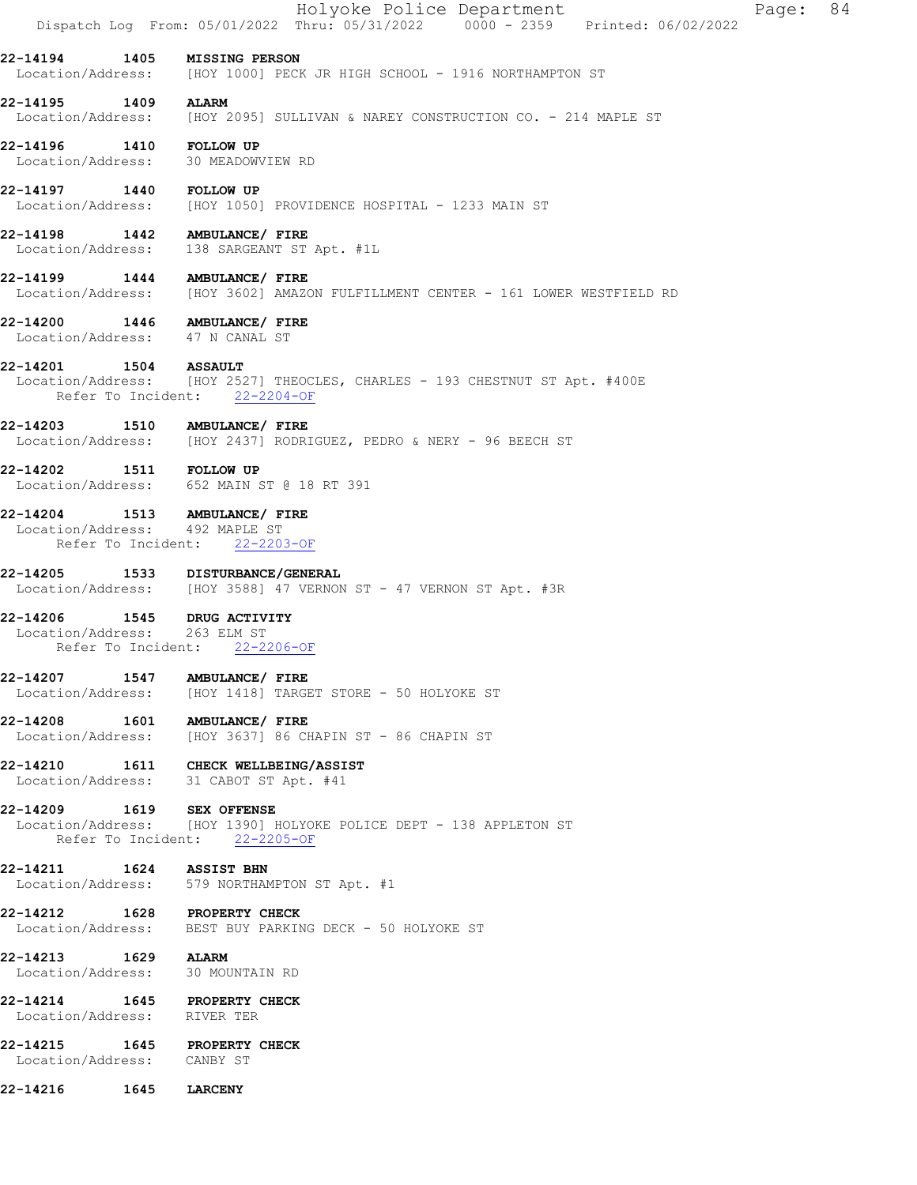|                                                                  | Holyoke Police Department<br>84<br>Page:<br>Dispatch Log From: 05/01/2022 Thru: 05/31/2022 0000 - 2359 Printed: 06/02/2022 |  |
|------------------------------------------------------------------|----------------------------------------------------------------------------------------------------------------------------|--|
| 22-14194 1405 MISSING PERSON                                     |                                                                                                                            |  |
|                                                                  | Location/Address: [HOY 1000] PECK JR HIGH SCHOOL - 1916 NORTHAMPTON ST                                                     |  |
| 22-14195 1409                                                    | <b>ALARM</b><br>Location/Address: [HOY 2095] SULLIVAN & NAREY CONSTRUCTION CO. - 214 MAPLE ST                              |  |
| 22-14196  1410  FOLLOW UP<br>Location/Address: 30 MEADOWVIEW RD  |                                                                                                                            |  |
| 22-14197 1440 FOLLOW UP                                          | Location/Address: [HOY 1050] PROVIDENCE HOSPITAL - 1233 MAIN ST                                                            |  |
| 22-14198   1442   AMBULANCE/ FIRE                                | Location/Address: 138 SARGEANT ST Apt. #1L                                                                                 |  |
| 22-14199 1444 AMBULANCE/ FIRE                                    | Location/Address: [HOY 3602] AMAZON FULFILLMENT CENTER - 161 LOWER WESTFIELD RD                                            |  |
| 22-14200 1446 AMBULANCE/ FIRE<br>Location/Address: 47 N CANAL ST |                                                                                                                            |  |
| 22-14201 1504 ASSAULT                                            |                                                                                                                            |  |
|                                                                  | Location/Address: [HOY 2527] THEOCLES, CHARLES - 193 CHESTNUT ST Apt. #400E<br>Refer To Incident: 22-2204-OF               |  |
| 22-14203                                                         | 1510 AMBULANCE/ FIRE<br>Location/Address: [HOY 2437] RODRIGUEZ, PEDRO & NERY - 96 BEECH ST                                 |  |
| 22-14202 1511 FOLLOW UP                                          | Location/Address: 652 MAIN ST @ 18 RT 391                                                                                  |  |
| 22-14204 1513 AMBULANCE/ FIRE<br>Location/Address: 492 MAPLE ST  | Refer To Incident: 22-2203-OF                                                                                              |  |
| 22-14205                                                         | 1533 DISTURBANCE/GENERAL<br>Location/Address: [HOY 3588] 47 VERNON ST - 47 VERNON ST Apt. #3R                              |  |
| 22-14206 1545 DRUG ACTIVITY<br>Location/Address: 263 ELM ST      | Refer To Incident: 22-2206-OF                                                                                              |  |
| 22-14207 1547 AMBULANCE/ FIRE                                    | Location/Address: [HOY 1418] TARGET STORE - 50 HOLYOKE ST                                                                  |  |
| 22-14208   1601   AMBULANCE/ FIRE                                | Location/Address: [HOY 3637] 86 CHAPIN ST - 86 CHAPIN ST                                                                   |  |
|                                                                  | 22-14210 1611 CHECK WELLBEING/ASSIST<br>Location/Address: 31 CABOT ST Apt. #41                                             |  |
| 22-14209 1619 SEX OFFENSE                                        | Location/Address: [HOY 1390] HOLYOKE POLICE DEPT - 138 APPLETON ST<br>Refer To Incident: 22-2205-OF                        |  |
| 22-14211 1624 ASSIST BHN                                         | Location/Address: 579 NORTHAMPTON ST Apt. #1                                                                               |  |
| 22-14212 1628 PROPERTY CHECK<br>Location/Address:                | BEST BUY PARKING DECK - 50 HOLYOKE ST                                                                                      |  |
| 22-14213 1629 ALARM<br>Location/Address: 30 MOUNTAIN RD          |                                                                                                                            |  |
| 22-14214 1645 PROPERTY CHECK<br>Location/Address: RIVER TER      |                                                                                                                            |  |
| 22-14215<br>Location/Address: CANBY ST                           | 1645 PROPERTY CHECK                                                                                                        |  |
| 22-14216<br>1645                                                 | <b>LARCENY</b>                                                                                                             |  |
|                                                                  |                                                                                                                            |  |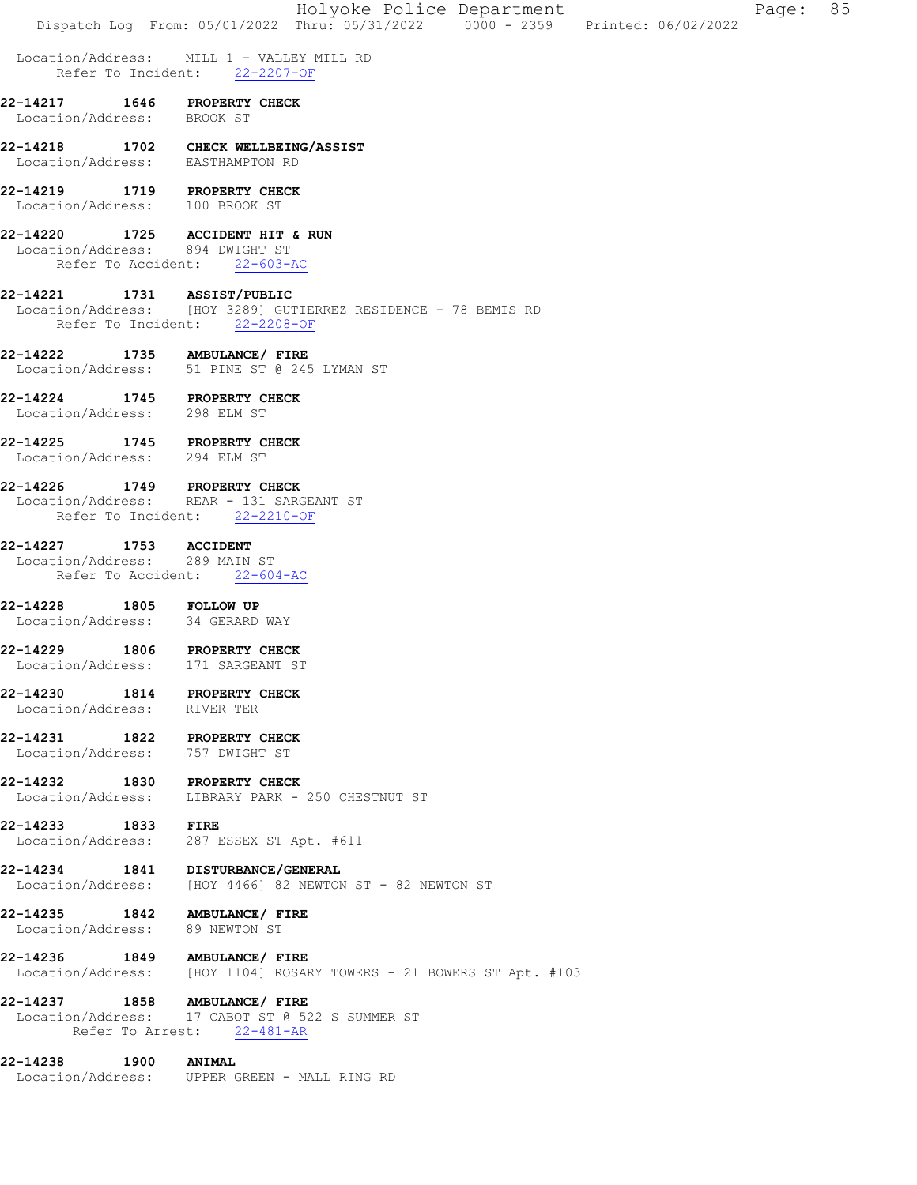|                                                            | Holyoke Police Department<br>Dispatch Log From: 05/01/2022 Thru: 05/31/2022 0000 - 2359 Printed: 06/02/2022    | Page: 85 |  |
|------------------------------------------------------------|----------------------------------------------------------------------------------------------------------------|----------|--|
|                                                            | Location/Address: MILL 1 - VALLEY MILL RD<br>Refer To Incident: 22-2207-OF                                     |          |  |
| Location/Address: BROOK ST                                 | 22-14217 1646 PROPERTY CHECK                                                                                   |          |  |
|                                                            | 22-14218 1702 CHECK WELLBEING/ASSIST<br>Location/Address: EASTHAMPTON RD                                       |          |  |
| Location/Address: 100 BROOK ST                             | 22-14219 1719 PROPERTY CHECK                                                                                   |          |  |
| Location/Address: 894 DWIGHT ST                            | 22-14220 1725 ACCIDENT HIT & RUN<br>Refer To Accident: 22-603-AC                                               |          |  |
| 22-14221 1731 ASSIST/PUBLIC                                | Location/Address: [HOY 3289] GUTIERREZ RESIDENCE - 78 BEMIS RD<br>Refer To Incident: 22-2208-OF                |          |  |
|                                                            | 22-14222 1735 AMBULANCE/ FIRE<br>Location/Address: 51 PINE ST @ 245 LYMAN ST                                   |          |  |
| Location/Address: 298 ELM ST                               | 22-14224 1745 PROPERTY CHECK                                                                                   |          |  |
| Location/Address: 294 ELM ST                               | 22-14225 1745 PROPERTY CHECK                                                                                   |          |  |
|                                                            | 22-14226 1749 PROPERTY CHECK<br>Location/Address: REAR - 131 SARGEANT ST<br>Refer To Incident: 22-2210-OF      |          |  |
| 22-14227 1753 ACCIDENT<br>Location/Address: 289 MAIN ST    | Refer To Accident: 22-604-AC                                                                                   |          |  |
| 22-14228 1805 FOLLOW UP<br>Location/Address: 34 GERARD WAY |                                                                                                                |          |  |
| 22-14229                                                   | <b>1806 PROPERTY CHECK</b><br>Location/Address: 171 SARGEANT ST                                                |          |  |
| Location/Address: RIVER TER                                | 22-14230 1814 PROPERTY CHECK                                                                                   |          |  |
| Location/Address: 757 DWIGHT ST                            | 22-14231 1822 PROPERTY CHECK                                                                                   |          |  |
|                                                            | 22-14232 1830 PROPERTY CHECK<br>Location/Address: LIBRARY PARK - 250 CHESTNUT ST                               |          |  |
| 22-14233 1833 FIRE                                         | Location/Address: 287 ESSEX ST Apt. #611                                                                       |          |  |
|                                                            | 22-14234 1841 DISTURBANCE/GENERAL<br>Location/Address: [HOY 4466] 82 NEWTON ST - 82 NEWTON ST                  |          |  |
| Location/Address: 89 NEWTON ST                             | 22-14235 1842 AMBULANCE/ FIRE                                                                                  |          |  |
|                                                            | 22-14236 1849 AMBULANCE/ FIRE<br>Location/Address: [HOY 1104] ROSARY TOWERS - 21 BOWERS ST Apt. #103           |          |  |
|                                                            | 22-14237 1858 AMBULANCE/ FIRE<br>Location/Address: 17 CABOT ST @ 522 S SUMMER ST<br>Refer To Arrest: 22-481-AR |          |  |
| 22-14238 1900                                              | <b>ANIMAL</b><br>Location/Address: UPPER GREEN - MALL RING RD                                                  |          |  |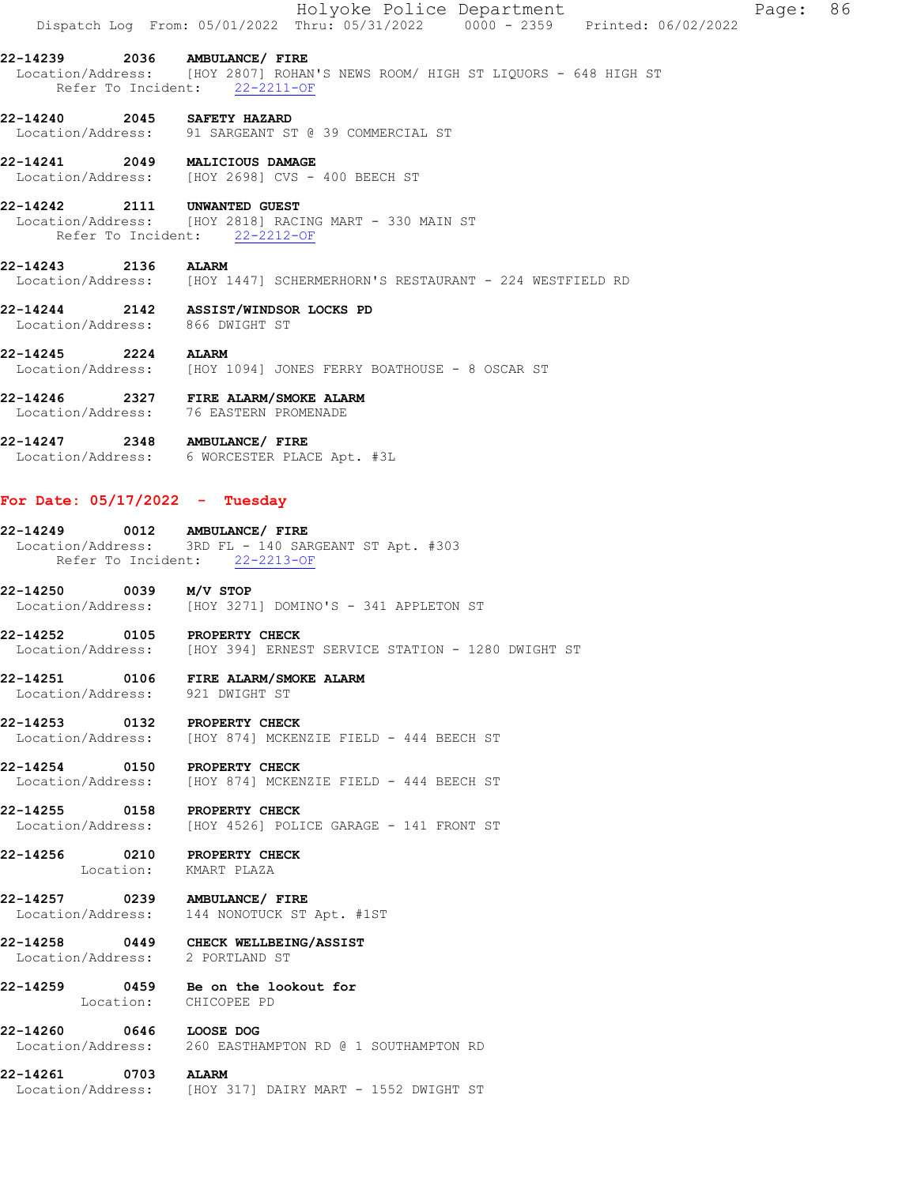|                                 | Holyoke Police Department<br>Dispatch Log From: 05/01/2022 Thru: 05/31/2022 0000 - 2359 Printed: 06/02/2022    | Page: 86 |  |
|---------------------------------|----------------------------------------------------------------------------------------------------------------|----------|--|
| 22-14239  2036 AMBULANCE/ FIRE  | Location/Address: [HOY 2807] ROHAN'S NEWS ROOM/ HIGH ST LIOUORS - 648 HIGH ST<br>Refer To Incident: 22-2211-OF |          |  |
| 22-14240 2045 SAFETY HAZARD     | Location/Address: 91 SARGEANT ST @ 39 COMMERCIAL ST                                                            |          |  |
| 22-14241 2049 MALICIOUS DAMAGE  | Location/Address: [HOY 2698] CVS - 400 BEECH ST                                                                |          |  |
| 22-14242 2111 UNWANTED GUEST    | Location/Address: [HOY 2818] RACING MART - 330 MAIN ST<br>Refer To Incident: 22-2212-OF                        |          |  |
| 22-14243 2136 ALARM             | Location/Address: [HOY 1447] SCHERMERHORN'S RESTAURANT - 224 WESTFIELD RD                                      |          |  |
| Location/Address: 866 DWIGHT ST | 22-14244 2142 ASSIST/WINDSOR LOCKS PD                                                                          |          |  |
| 22-14245 2224 ALARM             | Location/Address: [HOY 1094] JONES FERRY BOATHOUSE - 8 OSCAR ST                                                |          |  |
| 22-14246<br>Location/Address:   | 2327 FIRE ALARM/SMOKE ALARM<br>76 EASTERN PROMENADE                                                            |          |  |
| 22-14247  2348  AMBULANCE/ FIRE | Location/Address: 6 WORCESTER PLACE Apt. #3L                                                                   |          |  |
|                                 |                                                                                                                |          |  |

#### For Date: 05/17/2022 - Tuesday

| 22-14249          | 0012               | AMBULANCE/ FIRE |                  |                                    |  |  |
|-------------------|--------------------|-----------------|------------------|------------------------------------|--|--|
| Location/Address: |                    |                 |                  | 3RD FL - 140 SARGEANT ST Apt. #303 |  |  |
|                   | Refer To Incident: |                 | $22 - 2213 - OF$ |                                    |  |  |

22-14250 0039 M/V STOP Location/Address: [HOY 3271] DOMINO'S - 341 APPLETON ST

22-14252 0105 PROPERTY CHECK Location/Address: [HOY 394] ERNEST SERVICE STATION - 1280 DWIGHT ST

22-14251 0106 FIRE ALARM/SMOKE ALARM Location/Address: 921 DWIGHT ST

22-14253 0132 PROPERTY CHECK Location/Address: [HOY 874] MCKENZIE FIELD - 444 BEECH ST

22-14254 0150 PROPERTY CHECK Location/Address: [HOY 874] MCKENZIE FIELD - 444 BEECH ST

22-14255 0158 PROPERTY CHECK Location/Address: [HOY 4526] POLICE GARAGE - 141 FRONT ST

22-14256 0210 PROPERTY CHECK Location: KMART PLAZA

22-14257 0239 AMBULANCE/ FIRE Location/Address: 144 NONOTUCK ST Apt. #1ST

22-14258 0449 CHECK WELLBEING/ASSIST Location/Address: 2 PORTLAND ST

22-14259 0459 Be on the lookout for Location: CHICOPEE PD

22-14260 0646 LOOSE DOG Location/Address: 260 EASTHAMPTON RD @ 1 SOUTHAMPTON RD

22-14261 0703 ALARM Location/Address: [HOY 317] DAIRY MART - 1552 DWIGHT ST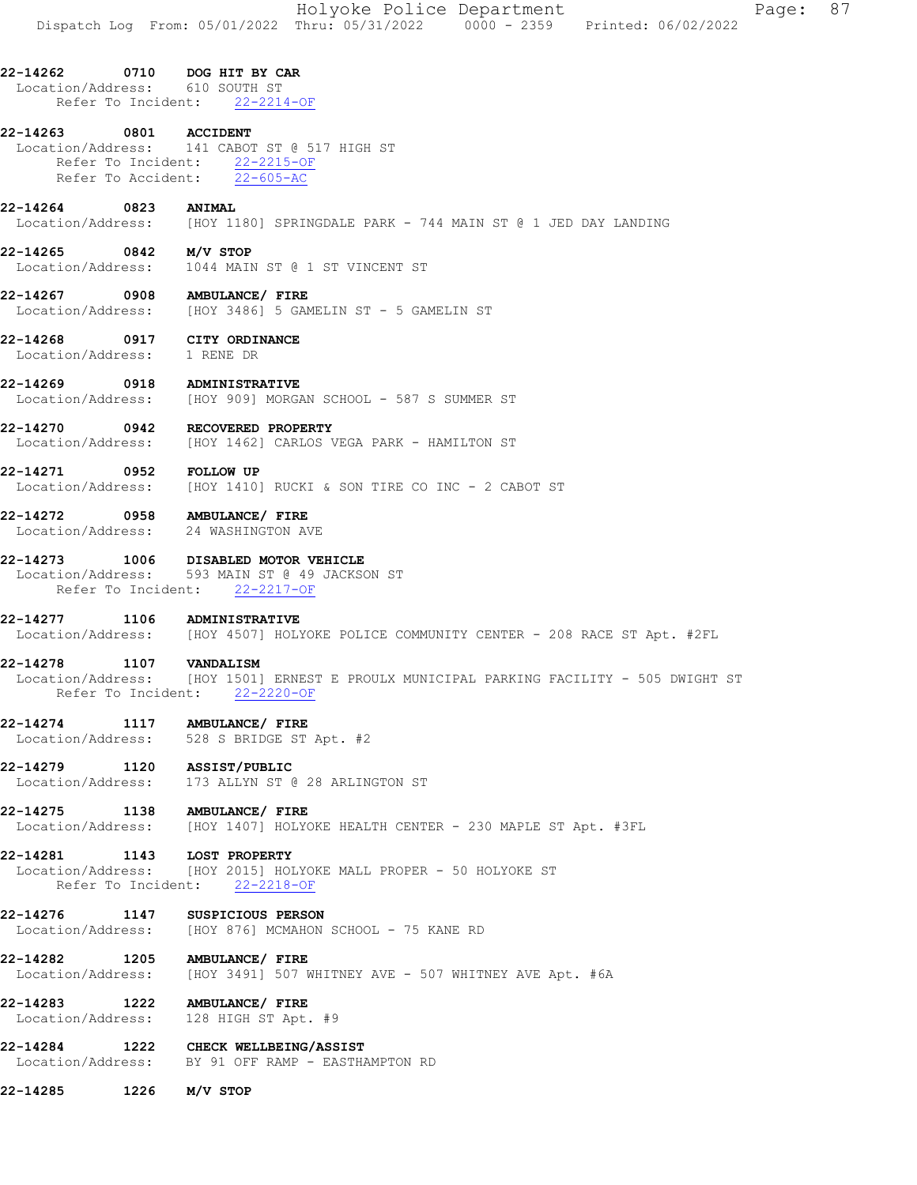| 22-14262 0710 DOG HIT BY CAR<br>Location/Address: 610 SOUTH ST       | Refer To Incident: 22-2214-OF                                                                                            |
|----------------------------------------------------------------------|--------------------------------------------------------------------------------------------------------------------------|
| 22-14263 0801 ACCIDENT                                               | Location/Address: 141 CABOT ST @ 517 HIGH ST<br>Refer To Incident: 22-2215-OF<br>Refer To Accident: 22-605-AC            |
| 22-14264 0823 ANIMAL                                                 | Location/Address: [HOY 1180] SPRINGDALE PARK - 744 MAIN ST @ 1 JED DAY LANDING                                           |
| 22-14265 0842 M/V STOP                                               | Location/Address: 1044 MAIN ST @ 1 ST VINCENT ST                                                                         |
| 22-14267                                                             | 0908 AMBULANCE/ FIRE<br>Location/Address: [HOY 3486] 5 GAMELIN ST - 5 GAMELIN ST                                         |
| 22-14268 0917 CITY ORDINANCE<br>Location/Address: 1 RENE DR          |                                                                                                                          |
| 22-14269                                                             | 0918 ADMINISTRATIVE<br>Location/Address: [HOY 909] MORGAN SCHOOL - 587 S SUMMER ST                                       |
| 22-14270 0942 RECOVERED PROPERTY                                     | Location/Address: [HOY 1462] CARLOS VEGA PARK - HAMILTON ST                                                              |
| 22-14271<br>$\overline{0}$ 0952                                      | FOLLOW UP<br>Location/Address: [HOY 1410] RUCKI & SON TIRE CO INC - 2 CABOT ST                                           |
| 22-14272 0958 AMBULANCE/ FIRE<br>Location/Address: 24 WASHINGTON AVE |                                                                                                                          |
|                                                                      | 22-14273 1006 DISABLED MOTOR VEHICLE<br>Location/Address: 593 MAIN ST @ 49 JACKSON ST<br>Refer To Incident: 22-2217-OF   |
| 22-14277 1106 ADMINISTRATIVE                                         | Location/Address: [HOY 4507] HOLYOKE POLICE COMMUNITY CENTER - 208 RACE ST Apt. #2FL                                     |
| 22-14278 1107 VANDALISM                                              | Location/Address: [HOY 1501] ERNEST E PROULX MUNICIPAL PARKING FACILITY - 505 DWIGHT ST<br>Refer To Incident: 22-2220-OF |
| 22-14274                                                             | 1117 AMBULANCE/ FIRE<br>Location/Address: 528 S BRIDGE ST Apt. #2                                                        |
| 22-14279 1120                                                        | <b>ASSIST/PUBLIC</b><br>Location/Address: 173 ALLYN ST @ 28 ARLINGTON ST                                                 |
| 22-14275 1138 AMBULANCE/ FIRE                                        | Location/Address: [HOY 1407] HOLYOKE HEALTH CENTER - 230 MAPLE ST Apt. #3FL                                              |
| 22-14281 1143 LOST PROPERTY                                          | Location/Address: [HOY 2015] HOLYOKE MALL PROPER - 50 HOLYOKE ST<br>Refer To Incident: 22-2218-OF                        |
| 22-14276 1147 SUSPICIOUS PERSON                                      | Location/Address: [HOY 876] MCMAHON SCHOOL - 75 KANE RD                                                                  |
| 22-14282 1205 AMBULANCE/ FIRE                                        | Location/Address: [HOY 3491] 507 WHITNEY AVE - 507 WHITNEY AVE Apt. #6A                                                  |
| 22-14283 1222 AMBULANCE/ FIRE                                        | Location/Address: 128 HIGH ST Apt. #9                                                                                    |
|                                                                      | 22-14284 1222 CHECK WELLBEING/ASSIST<br>Location/Address: BY 91 OFF RAMP - EASTHAMPTON RD                                |
| 22-14285<br>1226 M/V STOP                                            |                                                                                                                          |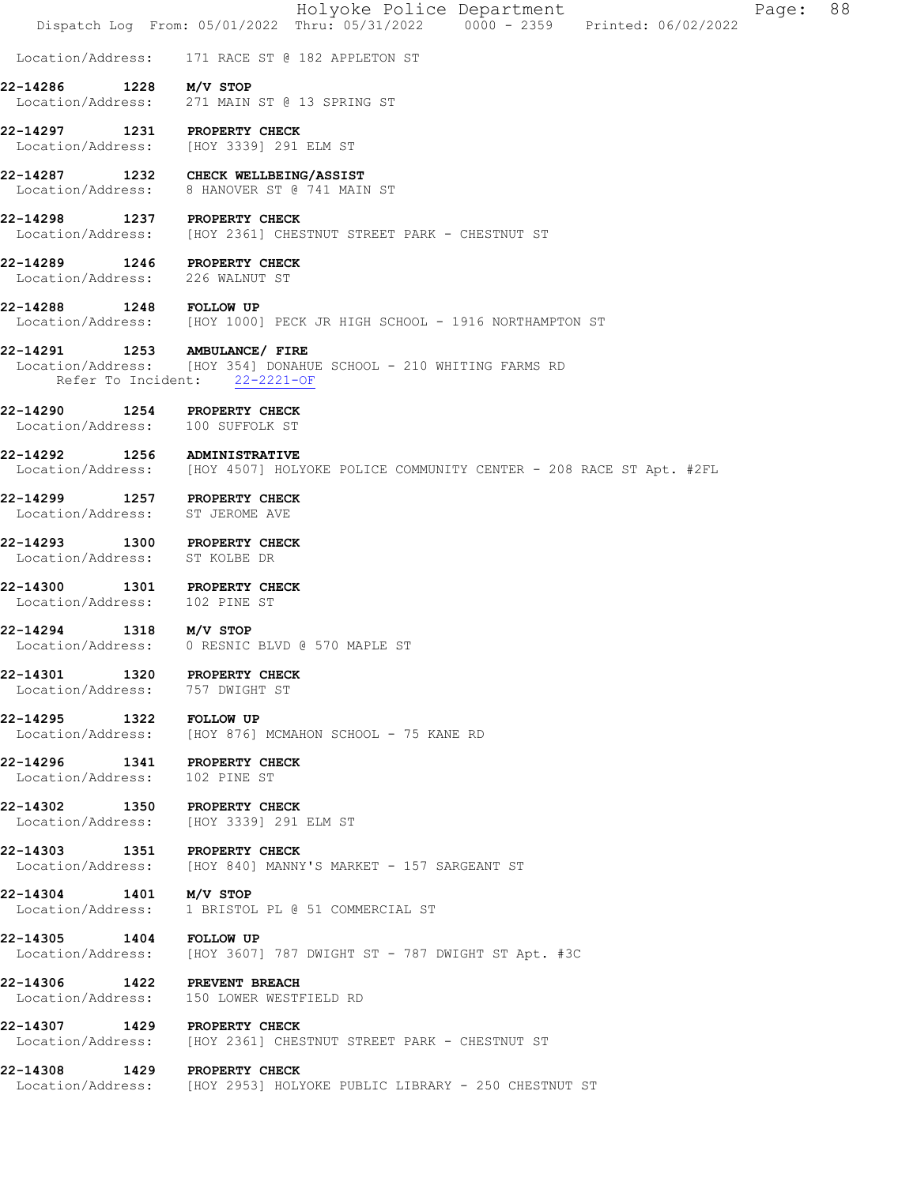|                         | Holyoke Police Department<br>88<br>Page:<br>Dispatch Log From: 05/01/2022 Thru: 05/31/2022 0000 - 2359 Printed: 06/02/2022          |
|-------------------------|-------------------------------------------------------------------------------------------------------------------------------------|
|                         | Location/Address: 171 RACE ST @ 182 APPLETON ST                                                                                     |
| 22-14286                | 1228 M/V STOP<br>Location/Address: 271 MAIN ST @ 13 SPRING ST                                                                       |
|                         | 22-14297 1231 PROPERTY CHECK<br>Location/Address: [HOY 3339] 291 ELM ST                                                             |
|                         | 22-14287 1232 CHECK WELLBEING/ASSIST<br>Location/Address: 8 HANOVER ST @ 741 MAIN ST                                                |
|                         | 22-14298 1237 PROPERTY CHECK<br>Location/Address: [HOY 2361] CHESTNUT STREET PARK - CHESTNUT ST                                     |
|                         | 22-14289 1246 PROPERTY CHECK<br>Location/Address: 226 WALNUT ST                                                                     |
| 22-14288 1248 FOLLOW UP | Location/Address: [HOY 1000] PECK JR HIGH SCHOOL - 1916 NORTHAMPTON ST                                                              |
|                         | 22-14291 1253 AMBULANCE/ FIRE<br>Location/Address: [HOY 354] DONAHUE SCHOOL - 210 WHITING FARMS RD<br>Refer To Incident: 22-2221-OF |
| 22-14290                | 1254 PROPERTY CHECK<br>Location/Address: 100 SUFFOLK ST                                                                             |
|                         | 22-14292 1256 ADMINISTRATIVE<br>Location/Address: [HOY 4507] HOLYOKE POLICE COMMUNITY CENTER - 208 RACE ST Apt. #2FL                |
| 22-14299                | 1257 PROPERTY CHECK<br>Location/Address: ST JEROME AVE                                                                              |
|                         | 22-14293 1300 PROPERTY CHECK<br>Location/Address: ST KOLBE DR                                                                       |
| 22-14300                | 1301 PROPERTY CHECK<br>Location/Address: 102 PINE ST                                                                                |
| 22-14294 1318 M/V STOP  | Location/Address: 0 RESNIC BLVD @ 570 MAPLE ST                                                                                      |
|                         | 22-14301 1320 PROPERTY CHECK<br>Location/Address: 757 DWIGHT ST                                                                     |
| 22-14295 1322           | <b>FOLLOW UP</b><br>Location/Address: [HOY 876] MCMAHON SCHOOL - 75 KANE RD                                                         |
|                         | 22-14296 1341 PROPERTY CHECK<br>Location/Address: 102 PINE ST                                                                       |
|                         | 22-14302 1350 PROPERTY CHECK<br>Location/Address: [HOY 3339] 291 ELM ST                                                             |
|                         | 22-14303 1351 PROPERTY CHECK<br>Location/Address: [HOY 840] MANNY'S MARKET - 157 SARGEANT ST                                        |
| 22-14304 1401 M/V STOP  | Location/Address: 1 BRISTOL PL @ 51 COMMERCIAL ST                                                                                   |
| 22-14305 1404 FOLLOW UP | Location/Address: [HOY 3607] 787 DWIGHT ST - 787 DWIGHT ST Apt. #3C                                                                 |
|                         | 22-14306 1422 PREVENT BREACH<br>Location/Address: 150 LOWER WESTFIELD RD                                                            |
| 22-14307 1429           | <b>PROPERTY CHECK</b><br>Location/Address: [HOY 2361] CHESTNUT STREET PARK - CHESTNUT ST                                            |
|                         | 22-14308 1429 PROPERTY CHECK<br>Location/Address: [HOY 2953] HOLYOKE PUBLIC LIBRARY - 250 CHESTNUT ST                               |
|                         |                                                                                                                                     |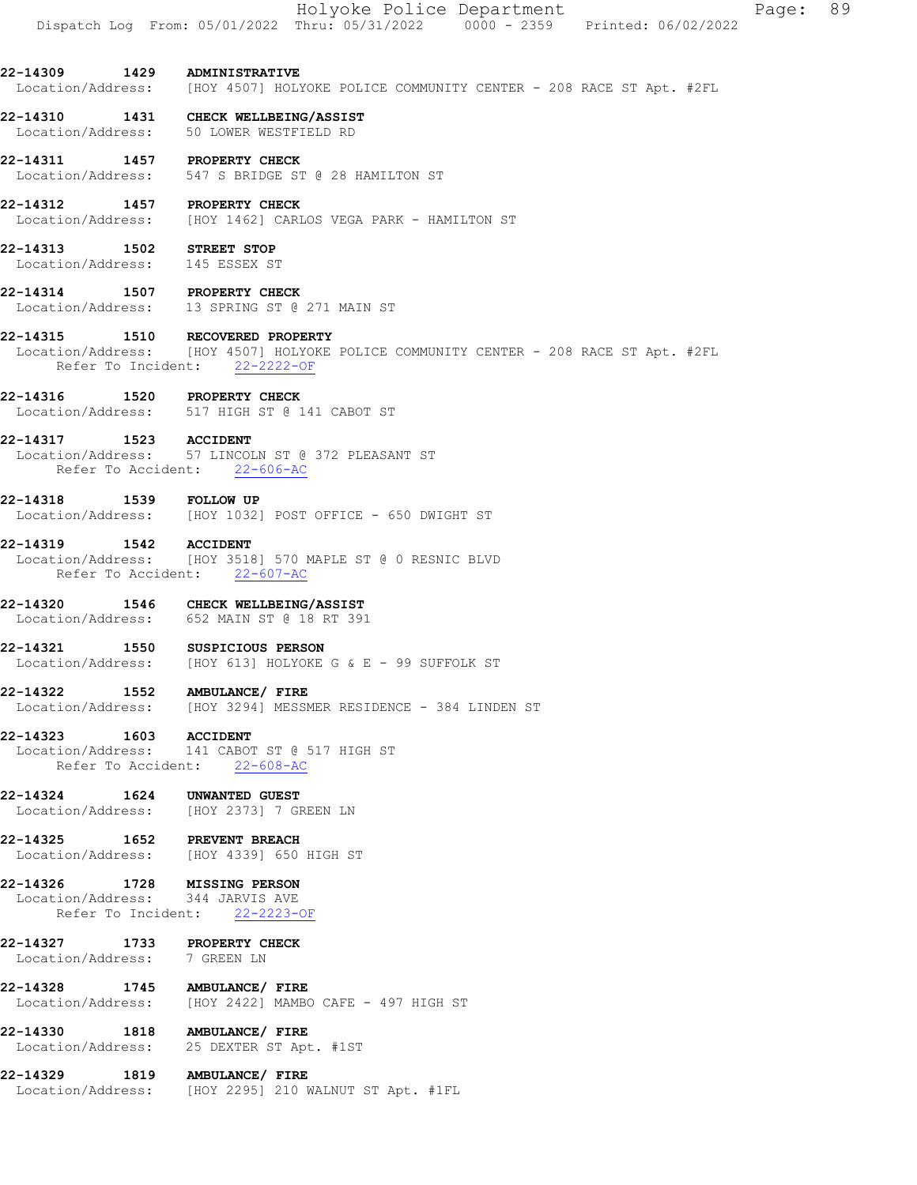22-14309 1429 ADMINISTRATIVE Location/Address: [HOY 4507] HOLYOKE POLICE COMMUNITY CENTER - 208 RACE ST Apt. #2FL

22-14310 1431 CHECK WELLBEING/ASSIST Location/Address: 50 LOWER WESTFIELD RD

22-14311 1457 PROPERTY CHECK Location/Address: 547 S BRIDGE ST @ 28 HAMILTON ST

22-14312 1457 PROPERTY CHECK Location/Address: [HOY 1462] CARLOS VEGA PARK - HAMILTON ST

22-14313 1502 STREET STOP Location/Address: 145 ESSEX ST

22-14314 1507 PROPERTY CHECK Location/Address: 13 SPRING ST @ 271 MAIN ST

22-14315 1510 RECOVERED PROPERTY Location/Address: [HOY 4507] HOLYOKE POLICE COMMUNITY CENTER - 208 RACE ST Apt. #2FL Refer To Incident: 22-2222-OF

22-14316 1520 PROPERTY CHECK<br>Location/Address: 517 HIGH ST @ 1 517 HIGH ST @ 141 CABOT ST

22-14317 1523 ACCIDENT Location/Address: 57 LINCOLN ST @ 372 PLEASANT ST

Refer To Accident: 22-606-AC

22-14318 1539 FOLLOW UP Location/Address: [HOY 1032] POST OFFICE - 650 DWIGHT ST

22-14319 1542 ACCIDENT Location/Address: [HOY 3518] 570 MAPLE ST @ 0 RESNIC BLVD Refer To Accident: 22-607-AC

22-14320 1546 CHECK WELLBEING/ASSIST Location/Address: 652 MAIN ST @ 18 RT 391

22-14321 1550 SUSPICIOUS PERSON Location/Address: [HOY 613] HOLYOKE G & E - 99 SUFFOLK ST

22-14322 1552 AMBULANCE/ FIRE Location/Address: [HOY 3294] MESSMER RESIDENCE - 384 LINDEN ST

22-14323 1603 ACCIDENT Location/Address: 141 CABOT ST @ 517 HIGH ST Refer To Accident: 22-608-AC

22-14324 1624 UNWANTED GUEST<br>Location/Address: [HOY 2373] 7 GE Location/Address: [HOY 2373] 7 GREEN LN

22-14325 1652 PREVENT BREACH Location/Address: [HOY 4339] 650 HIGH ST

22-14326 1728 MISSING PERSON<br>Location/Address: 344 JARVIS AVE Location/Address:

- Refer To Incident: 22-2223-OF
- 22-14327 1733 PROPERTY CHECK Location/Address: 7 GREEN LN

22-14328 1745 AMBULANCE/ FIRE Location/Address: [HOY 2422] MAMBO CAFE - 497 HIGH ST

22-14330 1818 AMBULANCE/FIRE<br>Location/Address: 25 DEXTER ST Apt 25 DEXTER ST Apt. #1ST

22-14329 1819 AMBULANCE/ FIRE Location/Address: [HOY 2295] 210 WALNUT ST Apt. #1FL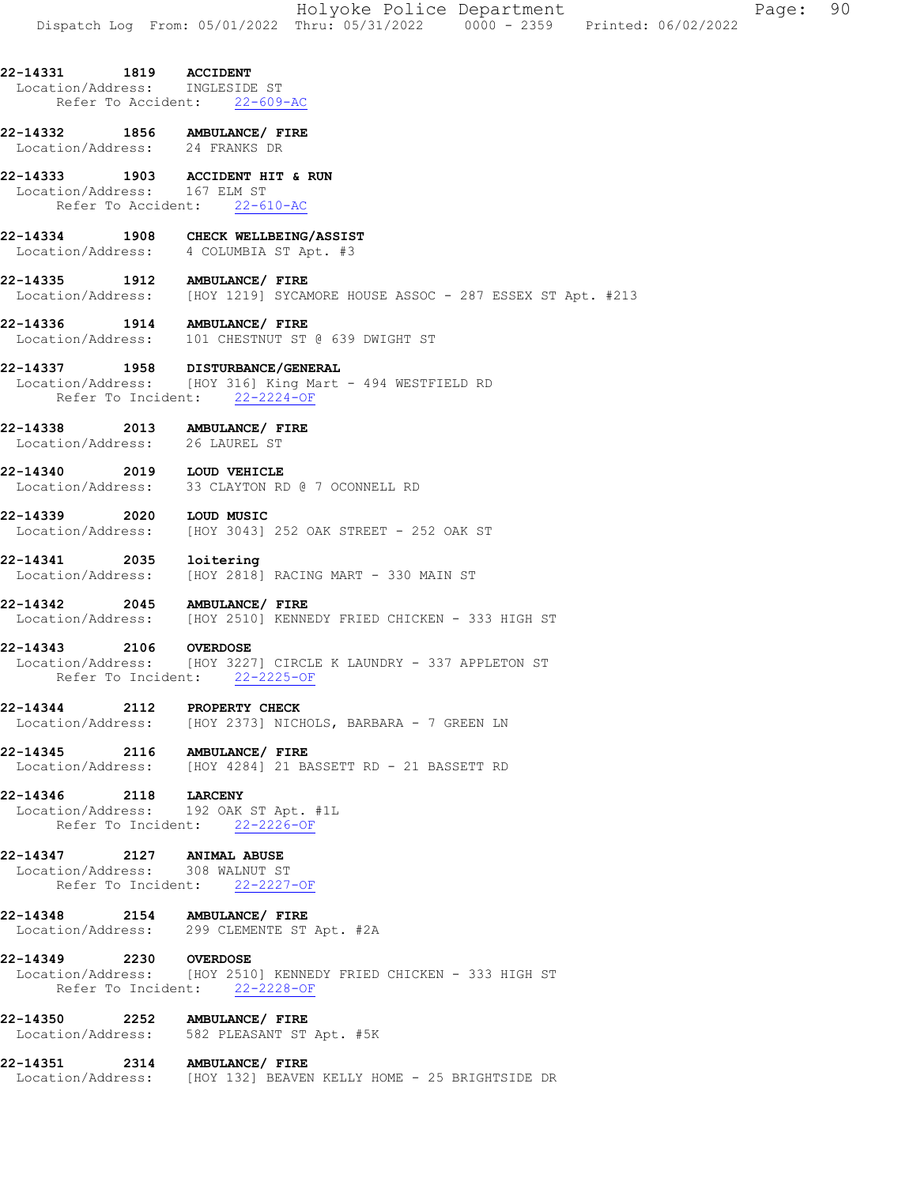|                                                                                                     |      |                                                                                                   |  | Holyoke Police Department<br>Dispatch Log From: 05/01/2022 Thru: 05/31/2022 0000 - 2359 Printed: 06/02/2022 |  | Page: | 90 |
|-----------------------------------------------------------------------------------------------------|------|---------------------------------------------------------------------------------------------------|--|-------------------------------------------------------------------------------------------------------------|--|-------|----|
| 22-14331<br>Location/Address: INGLESIDE ST<br>Refer To Accident:                                    | 1819 | <b>ACCIDENT</b><br>$22 - 609 - AC$                                                                |  |                                                                                                             |  |       |    |
| 22-14332 1856 AMBULANCE/ FIRE<br>Location/Address: 24 FRANKS DR                                     |      |                                                                                                   |  |                                                                                                             |  |       |    |
| 22-14333<br>Location/Address:                                                                       | 1903 | ACCIDENT HIT & RUN<br>167 ELM ST<br>Refer To Accident: 22-610-AC                                  |  |                                                                                                             |  |       |    |
| 22-14334<br>Location/Address:                                                                       | 1908 | <b>CHECK WELLBEING/ASSIST</b><br>4 COLUMBIA ST Apt. #3                                            |  |                                                                                                             |  |       |    |
| 22-14335<br>1912                                                                                    |      | <b>AMBULANCE/ FIRE</b>                                                                            |  | Location/Address: [HOY 1219] SYCAMORE HOUSE ASSOC - 287 ESSEX ST Apt. #213                                  |  |       |    |
| 22-14336  1914  AMBULANCE/ FIRE<br>Location/Address: 101 CHESTNUT ST @ 639 DWIGHT ST                |      |                                                                                                   |  |                                                                                                             |  |       |    |
| 22-14337 1958 DISTURBANCE/GENERAL<br>Location/Address: [HOY 316] King Mart - 494 WESTFIELD RD       |      | Refer To Incident: 22-2224-OF                                                                     |  |                                                                                                             |  |       |    |
| 22-14338<br>Location/Address:                                                                       |      | 2013 AMBULANCE/ FIRE<br>26 LAUREL ST                                                              |  |                                                                                                             |  |       |    |
| 22-14340<br>Location/Address:                                                                       |      | 2019 LOUD VEHICLE<br>33 CLAYTON RD @ 7 OCONNELL RD                                                |  |                                                                                                             |  |       |    |
| 22-14339<br>Location/Address:                                                                       | 2020 | LOUD MUSIC<br>[HOY 3043] 252 OAK STREET - 252 OAK ST                                              |  |                                                                                                             |  |       |    |
| 22-14341<br>Location/Address:                                                                       | 2035 | loitering<br>[HOY 2818] RACING MART - 330 MAIN ST                                                 |  |                                                                                                             |  |       |    |
| 22-14342<br>Location/Address:                                                                       | 2045 | AMBULANCE/ FIRE<br>[HOY 2510] KENNEDY FRIED CHICKEN - 333 HIGH ST                                 |  |                                                                                                             |  |       |    |
| 22-14343<br>Location/Address:                                                                       | 2106 | <b>OVERDOSE</b><br>[HOY 3227] CIRCLE K LAUNDRY - 337 APPLETON ST<br>Refer To Incident: 22-2225-OF |  |                                                                                                             |  |       |    |
| 22-14344 2112 PROPERTY CHECK<br>Location/Address: [HOY 2373] NICHOLS, BARBARA - 7 GREEN LN          |      |                                                                                                   |  |                                                                                                             |  |       |    |
| 22-14345 2116 AMBULANCE/ FIRE<br>Location/Address: [HOY 4284] 21 BASSETT RD - 21 BASSETT RD         |      |                                                                                                   |  |                                                                                                             |  |       |    |
| 22-14346 2118 LARCENY<br>Location/Address: 192 OAK ST Apt. #1L                                      |      | Refer To Incident: 22-2226-OF                                                                     |  |                                                                                                             |  |       |    |
| 22-14347 2127 ANIMAL ABUSE<br>Location/Address: 308 WALNUT ST                                       |      | Refer To Incident: 22-2227-OF                                                                     |  |                                                                                                             |  |       |    |
| 22-14348 2154 AMBULANCE/ FIRE<br>Location/Address: 299 CLEMENTE ST Apt. #2A                         |      |                                                                                                   |  |                                                                                                             |  |       |    |
| 22-14349 2230 OVERDOSE<br>Location/Address: [HOY 2510] KENNEDY FRIED CHICKEN - 333 HIGH ST          |      | Refer To Incident: 22-2228-OF                                                                     |  |                                                                                                             |  |       |    |
| 22-14350 2252 AMBULANCE/ FIRE<br>Location/Address: 582 PLEASANT ST Apt. #5K                         |      |                                                                                                   |  |                                                                                                             |  |       |    |
| 22-14351  2314  AMBULANCE/ FIRE<br>Location/Address: [HOY 132] BEAVEN KELLY HOME - 25 BRIGHTSIDE DR |      |                                                                                                   |  |                                                                                                             |  |       |    |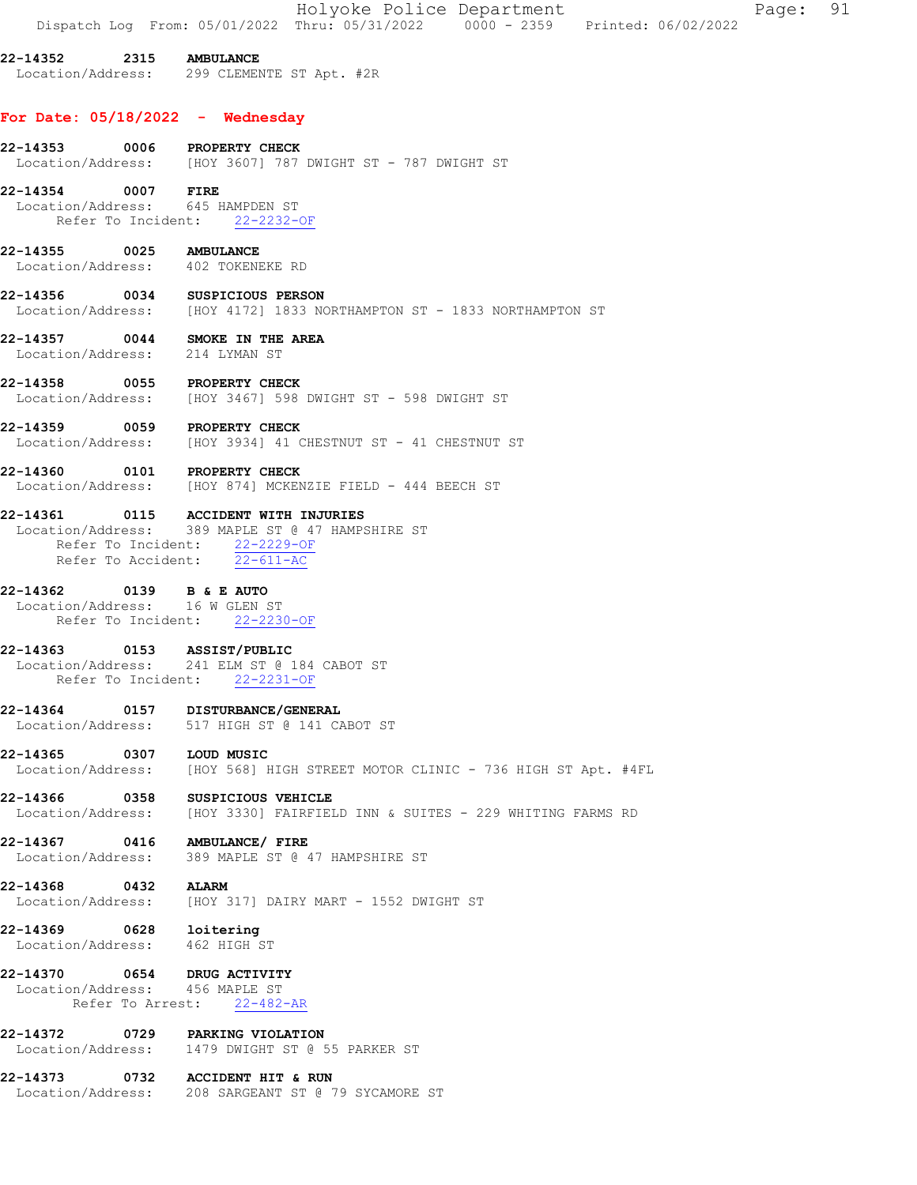|                                                                   | Holyoke Police Department<br>Page: 91<br>Dispatch Log From: 05/01/2022 Thru: 05/31/2022   0000 - 2359   Printed: 06/02/2022                                 |
|-------------------------------------------------------------------|-------------------------------------------------------------------------------------------------------------------------------------------------------------|
| 22-14352 2315 AMBULANCE                                           | Location/Address: 299 CLEMENTE ST Apt. #2R                                                                                                                  |
| For Date: $05/18/2022 -$ Wednesday                                |                                                                                                                                                             |
| 22-14353 0006 PROPERTY CHECK                                      | Location/Address: [HOY 3607] 787 DWIGHT ST - 787 DWIGHT ST                                                                                                  |
| 22-14354 0007 FIRE<br>Location/Address: 645 HAMPDEN ST            | Refer To Incident: 22-2232-OF                                                                                                                               |
| 22-14355 0025 AMBULANCE<br>Location/Address: 402 TOKENEKE RD      |                                                                                                                                                             |
| 22-14356 0034 SUSPICIOUS PERSON                                   | Location/Address: [HOY 4172] 1833 NORTHAMPTON ST - 1833 NORTHAMPTON ST                                                                                      |
| 22-14357 0044 SMOKE IN THE AREA<br>Location/Address: 214 LYMAN ST |                                                                                                                                                             |
| 22-14358 0055 PROPERTY CHECK                                      | Location/Address: [HOY 3467] 598 DWIGHT ST - 598 DWIGHT ST                                                                                                  |
| 22-14359 0059 PROPERTY CHECK                                      | Location/Address: [HOY 3934] 41 CHESTNUT ST - 41 CHESTNUT ST                                                                                                |
| 22-14360 0101 PROPERTY CHECK                                      | Location/Address: [HOY 874] MCKENZIE FIELD - 444 BEECH ST                                                                                                   |
|                                                                   | 22-14361 0115 ACCIDENT WITH INJURIES<br>Location/Address: 389 MAPLE ST @ 47 HAMPSHIRE ST<br>Refer To Incident: 22-2229-OF<br>Refer To Accident: $22-611-AC$ |
| 22-14362 0139 B & E AUTO<br>Location/Address: 16 W GLEN ST        | Refer To Incident: 22-2230-OF                                                                                                                               |
| 22-14363 0153 ASSIST/PUBLIC                                       | Location/Address: 241 ELM ST @ 184 CABOT ST<br>Refer To Incident: 22-2231-OF                                                                                |
| 22-14364 0157 DISTURBANCE/GENERAL                                 | Location/Address: 517 HIGH ST @ 141 CABOT ST                                                                                                                |
| 22-14365 0307 LOUD MUSIC                                          | Location/Address: [HOY 568] HIGH STREET MOTOR CLINIC - 736 HIGH ST Apt. #4FL                                                                                |
| 22-14366 0358 SUSPICIOUS VEHICLE                                  | Location/Address: [HOY 3330] FAIRFIELD INN & SUITES - 229 WHITING FARMS RD                                                                                  |
| 22-14367 0416 AMBULANCE/ FIRE                                     | Location/Address: 389 MAPLE ST @ 47 HAMPSHIRE ST                                                                                                            |
| 22-14368 0432 ALARM                                               | Location/Address: [HOY 317] DAIRY MART - 1552 DWIGHT ST                                                                                                     |
| 22-14369 0628 loitering<br>Location/Address: 462 HIGH ST          |                                                                                                                                                             |
| 22-14370 0654 DRUG ACTIVITY<br>Location/Address: 456 MAPLE ST     | Refer To Arrest: 22-482-AR                                                                                                                                  |
| 22-14372 0729 PARKING VIOLATION                                   | Location/Address: 1479 DWIGHT ST @ 55 PARKER ST                                                                                                             |
| 22-14373 0732 ACCIDENT HIT & RUN                                  | Location/Address: 208 SARGEANT ST @ 79 SYCAMORE ST                                                                                                          |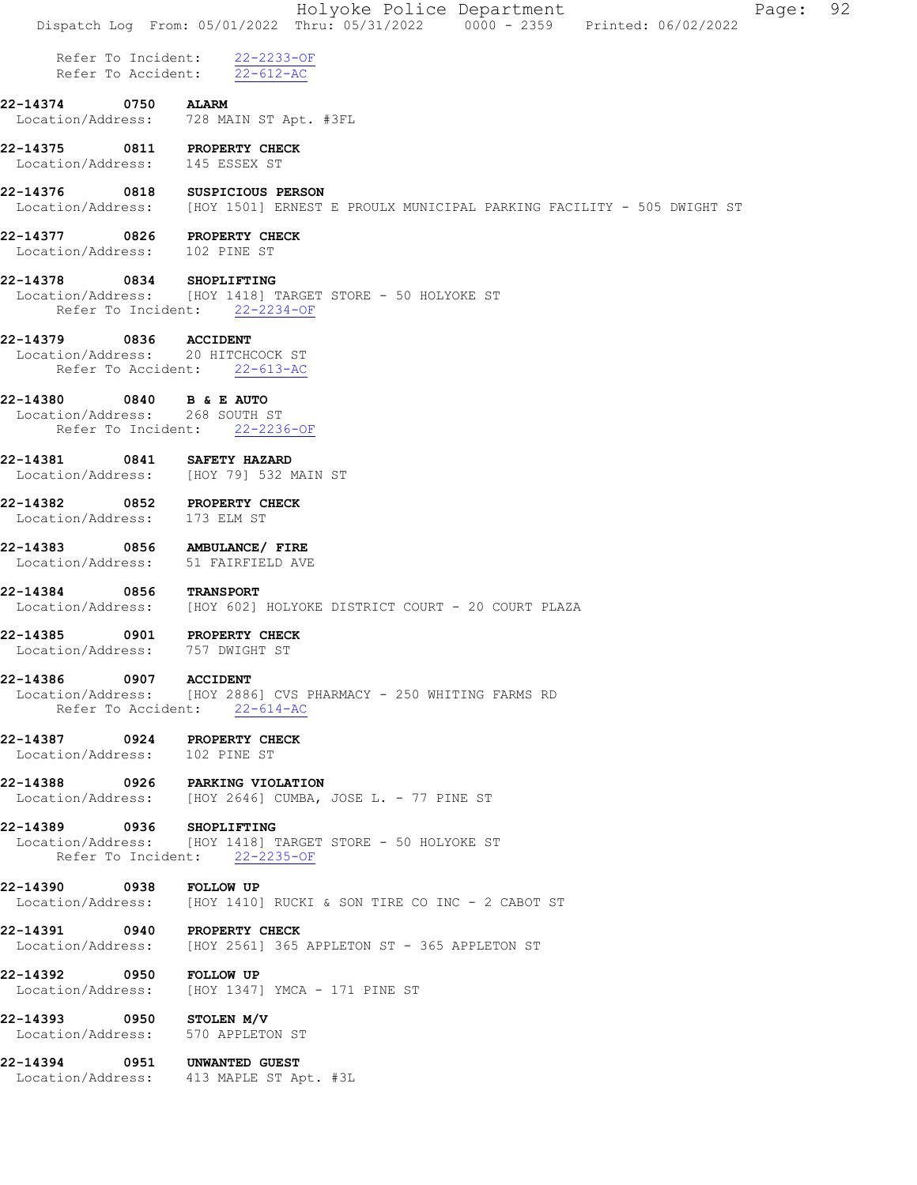|                                                                                                     |      |                                                                                |  |  | Holyoke Police Department |  | Page: | 92 |
|-----------------------------------------------------------------------------------------------------|------|--------------------------------------------------------------------------------|--|--|---------------------------|--|-------|----|
|                                                                                                     |      | Dispatch Log From: 05/01/2022 Thru: 05/31/2022 0000 - 2359 Printed: 06/02/2022 |  |  |                           |  |       |    |
|                                                                                                     |      | Refer To Incident: 22-2233-OF<br>Refer To Accident: 22-612-AC                  |  |  |                           |  |       |    |
| 22-14374<br>0750<br>Location/Address: 728 MAIN ST Apt. #3FL                                         |      | <b>ALARM</b>                                                                   |  |  |                           |  |       |    |
| 22-14375 0811 PROPERTY CHECK<br>Location/Address: 145 ESSEX ST                                      |      |                                                                                |  |  |                           |  |       |    |
| 22-14376<br>Location/Address: [HOY 1501] ERNEST E PROULX MUNICIPAL PARKING FACILITY - 505 DWIGHT ST |      | 0818 SUSPICIOUS PERSON                                                         |  |  |                           |  |       |    |
| 22-14377 0826 PROPERTY CHECK<br>Location/Address: 102 PINE ST                                       |      |                                                                                |  |  |                           |  |       |    |
| 22-14378<br>Location/Address: [HOY 1418] TARGET STORE - 50 HOLYOKE ST                               |      | 0834 SHOPLIFTING<br>Refer To Incident: 22-2234-OF                              |  |  |                           |  |       |    |
| 22-14379<br>Location/Address: 20 HITCHCOCK ST                                                       |      | 0836 ACCIDENT<br>Refer To Accident: 22-613-AC                                  |  |  |                           |  |       |    |
| 22-14380<br>Location/Address: 268 SOUTH ST                                                          |      | 0840 B & E AUTO<br>Refer To Incident: 22-2236-OF                               |  |  |                           |  |       |    |
| 22-14381<br>Location/Address: [HOY 79] 532 MAIN ST                                                  |      | 0841 SAFETY HAZARD                                                             |  |  |                           |  |       |    |
| 22-14382 0852 PROPERTY CHECK<br>Location/Address: 173 ELM ST                                        |      |                                                                                |  |  |                           |  |       |    |
| 22-14383 0856 AMBULANCE/ FIRE<br>Location/Address: 51 FAIRFIELD AVE                                 |      |                                                                                |  |  |                           |  |       |    |
| 22-14384<br>0856<br>Location/Address: [HOY 602] HOLYOKE DISTRICT COURT - 20 COURT PLAZA             |      | <b>TRANSPORT</b>                                                               |  |  |                           |  |       |    |
| 22-14385<br>Location/Address: 757 DWIGHT ST                                                         |      | 0901 PROPERTY CHECK                                                            |  |  |                           |  |       |    |
| 22-14386<br>Location/Address: [HOY 2886] CVS PHARMACY - 250 WHITING FARMS RD                        | 0907 | <b>ACCIDENT</b><br>Refer To Accident: 22-614-AC                                |  |  |                           |  |       |    |
| 22-14387 0924<br>Location/Address: 102 PINE ST                                                      |      | <b>PROPERTY CHECK</b>                                                          |  |  |                           |  |       |    |
| 22-14388<br>Location/Address: [HOY 2646] CUMBA, JOSE L. - 77 PINE ST                                |      | 0926 PARKING VIOLATION                                                         |  |  |                           |  |       |    |
| 22-14389 0936<br>Location/Address: [HOY 1418] TARGET STORE - 50 HOLYOKE ST                          |      | <b>SHOPLIFTING</b><br>Refer To Incident: 22-2235-OF                            |  |  |                           |  |       |    |
| 22-14390<br>Location/Address: [HOY 1410] RUCKI & SON TIRE CO INC - 2 CABOT ST                       | 0938 | <b>FOLLOW UP</b>                                                               |  |  |                           |  |       |    |
| 22-14391 0940 PROPERTY CHECK<br>Location/Address: [HOY 2561] 365 APPLETON ST - 365 APPLETON ST      |      |                                                                                |  |  |                           |  |       |    |
| 22-14392<br>0950<br>Location/Address:                                                               |      | <b>FOLLOW UP</b><br>[HOY 1347] YMCA - 171 PINE ST                              |  |  |                           |  |       |    |
| 22-14393 0950 STOLEN M/V<br>Location/Address: 570 APPLETON ST                                       |      |                                                                                |  |  |                           |  |       |    |
| 22-14394<br>Location/Address: 413 MAPLE ST Apt. #3L                                                 |      | 0951 UNWANTED GUEST                                                            |  |  |                           |  |       |    |
|                                                                                                     |      |                                                                                |  |  |                           |  |       |    |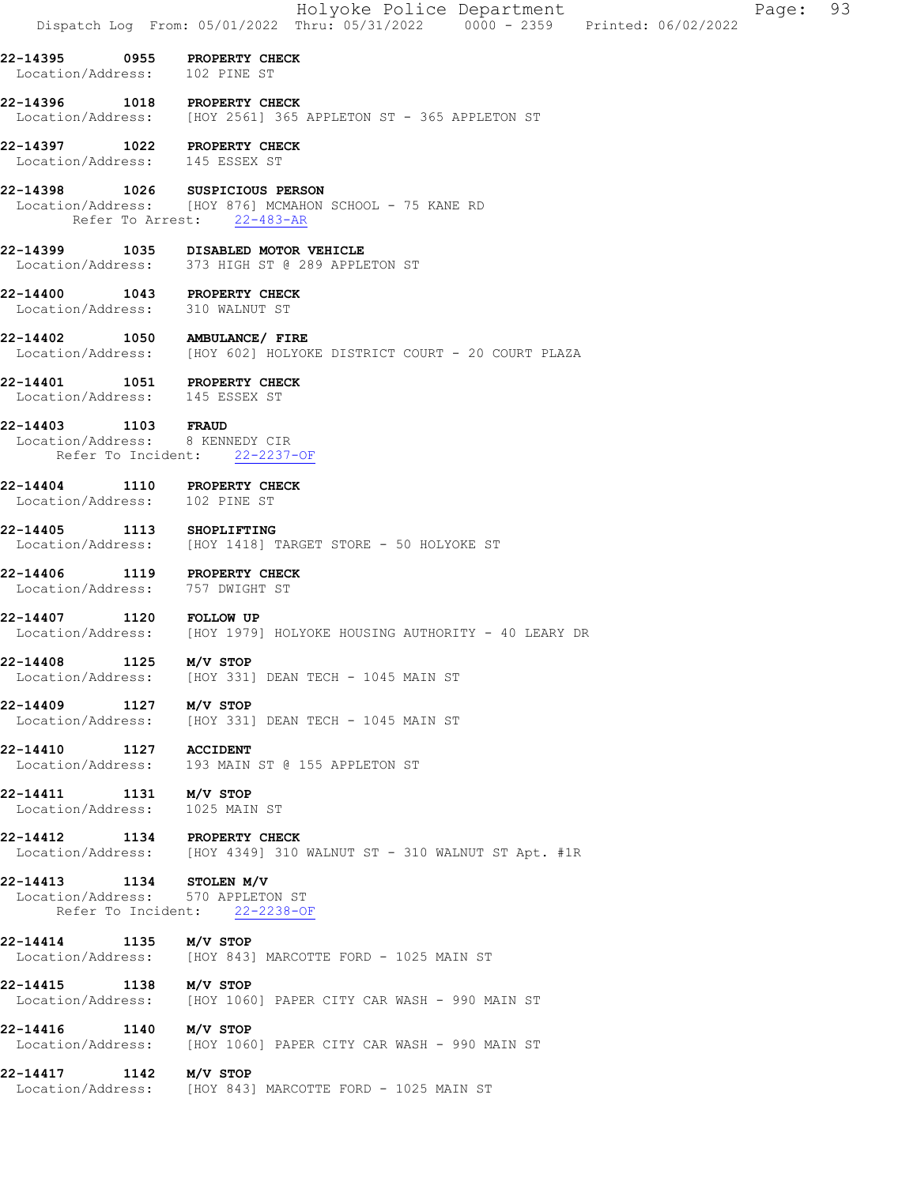| 22-14395<br>0955 PROPERTY CHECK<br>Location/Address: 102 PINE ST<br>1018 PROPERTY CHECK<br>22-14396<br>Location/Address: [HOY 2561] 365 APPLETON ST - 365 APPLETON ST<br>22-14397 1022 PROPERTY CHECK<br>Location/Address: 145 ESSEX ST<br>22-14398 1026 SUSPICIOUS PERSON<br>Location/Address: [HOY 876] MCMAHON SCHOOL - 75 KANE RD<br>Refer To Arrest: 22-483-AR<br>22-14399 1035 DISABLED MOTOR VEHICLE<br>Location/Address: 373 HIGH ST @ 289 APPLETON ST<br>22-14400 1043 PROPERTY CHECK<br>Location/Address: 310 WALNUT ST<br>1050 AMBULANCE/ FIRE<br>22-14402<br>Location/Address: [HOY 602] HOLYOKE DISTRICT COURT - 20 COURT PLAZA<br>22-14401 1051 PROPERTY CHECK<br>Location/Address: 145 ESSEX ST<br><b>1103 FRAUD</b><br>22-14403<br>Location/Address: 8 KENNEDY CIR<br>Refer To Incident:<br>$22 - 2237 - OF$<br>22-14404<br>1110 PROPERTY CHECK<br>Location/Address: 102 PINE ST<br>22-14405<br>1113 SHOPLIFTING<br>Location/Address: [HOY 1418] TARGET STORE - 50 HOLYOKE ST<br>22-14406 1119 PROPERTY CHECK<br>Location/Address: 757 DWIGHT ST<br>22-14407<br>1120 FOLLOW UP<br>Location/Address: [HOY 1979] HOLYOKE HOUSING AUTHORITY - 40 LEARY DR<br>22-14408<br>1125<br>M/V STOP<br>Location/Address:<br>[HOY 331] DEAN TECH - 1045 MAIN ST<br>22-14409 1127<br>M/V STOP<br>Location/Address: [HOY 331] DEAN TECH - 1045 MAIN ST<br>22-14410 1127 ACCIDENT<br>Location/Address: 193 MAIN ST @ 155 APPLETON ST<br>22-14411 1131<br>M/V STOP<br>Location/Address: 1025 MAIN ST<br>22-14412 1134<br>PROPERTY CHECK<br>Location/Address: [HOY 4349] 310 WALNUT ST - 310 WALNUT ST Apt. $#1R$<br>22-14413 1134 STOLEN M/V<br>Location/Address: 570 APPLETON ST<br>Refer To Incident: 22-2238-OF<br>22-14414 1135 M/V STOP<br>Location/Address: [HOY 843] MARCOTTE FORD - 1025 MAIN ST<br>22-14415 1138 M/V STOP<br>Location/Address: [HOY 1060] PAPER CITY CAR WASH - 990 MAIN ST<br>22-14416 1140 M/V STOP<br>Location/Address: [HOY 1060] PAPER CITY CAR WASH - 990 MAIN ST<br>22-14417 1142 M/V STOP<br>Location/Address: [HOY 843] MARCOTTE FORD - 1025 MAIN ST |  | Holyoke Police Department<br>93<br>Page:<br>Dispatch Log From: 05/01/2022 Thru: 05/31/2022 0000 - 2359 Printed: 06/02/2022 |
|--------------------------------------------------------------------------------------------------------------------------------------------------------------------------------------------------------------------------------------------------------------------------------------------------------------------------------------------------------------------------------------------------------------------------------------------------------------------------------------------------------------------------------------------------------------------------------------------------------------------------------------------------------------------------------------------------------------------------------------------------------------------------------------------------------------------------------------------------------------------------------------------------------------------------------------------------------------------------------------------------------------------------------------------------------------------------------------------------------------------------------------------------------------------------------------------------------------------------------------------------------------------------------------------------------------------------------------------------------------------------------------------------------------------------------------------------------------------------------------------------------------------------------------------------------------------------------------------------------------------------------------------------------------------------------------------------------------------------------------------------------------------------------------------------------------------------------------------------------------------------------------------------------------------------------------------------------------------------------------------------------------------------------------------------------------------------------------|--|----------------------------------------------------------------------------------------------------------------------------|
|                                                                                                                                                                                                                                                                                                                                                                                                                                                                                                                                                                                                                                                                                                                                                                                                                                                                                                                                                                                                                                                                                                                                                                                                                                                                                                                                                                                                                                                                                                                                                                                                                                                                                                                                                                                                                                                                                                                                                                                                                                                                                      |  |                                                                                                                            |
|                                                                                                                                                                                                                                                                                                                                                                                                                                                                                                                                                                                                                                                                                                                                                                                                                                                                                                                                                                                                                                                                                                                                                                                                                                                                                                                                                                                                                                                                                                                                                                                                                                                                                                                                                                                                                                                                                                                                                                                                                                                                                      |  |                                                                                                                            |
|                                                                                                                                                                                                                                                                                                                                                                                                                                                                                                                                                                                                                                                                                                                                                                                                                                                                                                                                                                                                                                                                                                                                                                                                                                                                                                                                                                                                                                                                                                                                                                                                                                                                                                                                                                                                                                                                                                                                                                                                                                                                                      |  |                                                                                                                            |
|                                                                                                                                                                                                                                                                                                                                                                                                                                                                                                                                                                                                                                                                                                                                                                                                                                                                                                                                                                                                                                                                                                                                                                                                                                                                                                                                                                                                                                                                                                                                                                                                                                                                                                                                                                                                                                                                                                                                                                                                                                                                                      |  |                                                                                                                            |
|                                                                                                                                                                                                                                                                                                                                                                                                                                                                                                                                                                                                                                                                                                                                                                                                                                                                                                                                                                                                                                                                                                                                                                                                                                                                                                                                                                                                                                                                                                                                                                                                                                                                                                                                                                                                                                                                                                                                                                                                                                                                                      |  |                                                                                                                            |
|                                                                                                                                                                                                                                                                                                                                                                                                                                                                                                                                                                                                                                                                                                                                                                                                                                                                                                                                                                                                                                                                                                                                                                                                                                                                                                                                                                                                                                                                                                                                                                                                                                                                                                                                                                                                                                                                                                                                                                                                                                                                                      |  |                                                                                                                            |
|                                                                                                                                                                                                                                                                                                                                                                                                                                                                                                                                                                                                                                                                                                                                                                                                                                                                                                                                                                                                                                                                                                                                                                                                                                                                                                                                                                                                                                                                                                                                                                                                                                                                                                                                                                                                                                                                                                                                                                                                                                                                                      |  |                                                                                                                            |
|                                                                                                                                                                                                                                                                                                                                                                                                                                                                                                                                                                                                                                                                                                                                                                                                                                                                                                                                                                                                                                                                                                                                                                                                                                                                                                                                                                                                                                                                                                                                                                                                                                                                                                                                                                                                                                                                                                                                                                                                                                                                                      |  |                                                                                                                            |
|                                                                                                                                                                                                                                                                                                                                                                                                                                                                                                                                                                                                                                                                                                                                                                                                                                                                                                                                                                                                                                                                                                                                                                                                                                                                                                                                                                                                                                                                                                                                                                                                                                                                                                                                                                                                                                                                                                                                                                                                                                                                                      |  |                                                                                                                            |
|                                                                                                                                                                                                                                                                                                                                                                                                                                                                                                                                                                                                                                                                                                                                                                                                                                                                                                                                                                                                                                                                                                                                                                                                                                                                                                                                                                                                                                                                                                                                                                                                                                                                                                                                                                                                                                                                                                                                                                                                                                                                                      |  |                                                                                                                            |
|                                                                                                                                                                                                                                                                                                                                                                                                                                                                                                                                                                                                                                                                                                                                                                                                                                                                                                                                                                                                                                                                                                                                                                                                                                                                                                                                                                                                                                                                                                                                                                                                                                                                                                                                                                                                                                                                                                                                                                                                                                                                                      |  |                                                                                                                            |
|                                                                                                                                                                                                                                                                                                                                                                                                                                                                                                                                                                                                                                                                                                                                                                                                                                                                                                                                                                                                                                                                                                                                                                                                                                                                                                                                                                                                                                                                                                                                                                                                                                                                                                                                                                                                                                                                                                                                                                                                                                                                                      |  |                                                                                                                            |
|                                                                                                                                                                                                                                                                                                                                                                                                                                                                                                                                                                                                                                                                                                                                                                                                                                                                                                                                                                                                                                                                                                                                                                                                                                                                                                                                                                                                                                                                                                                                                                                                                                                                                                                                                                                                                                                                                                                                                                                                                                                                                      |  |                                                                                                                            |
|                                                                                                                                                                                                                                                                                                                                                                                                                                                                                                                                                                                                                                                                                                                                                                                                                                                                                                                                                                                                                                                                                                                                                                                                                                                                                                                                                                                                                                                                                                                                                                                                                                                                                                                                                                                                                                                                                                                                                                                                                                                                                      |  |                                                                                                                            |
|                                                                                                                                                                                                                                                                                                                                                                                                                                                                                                                                                                                                                                                                                                                                                                                                                                                                                                                                                                                                                                                                                                                                                                                                                                                                                                                                                                                                                                                                                                                                                                                                                                                                                                                                                                                                                                                                                                                                                                                                                                                                                      |  |                                                                                                                            |
|                                                                                                                                                                                                                                                                                                                                                                                                                                                                                                                                                                                                                                                                                                                                                                                                                                                                                                                                                                                                                                                                                                                                                                                                                                                                                                                                                                                                                                                                                                                                                                                                                                                                                                                                                                                                                                                                                                                                                                                                                                                                                      |  |                                                                                                                            |
|                                                                                                                                                                                                                                                                                                                                                                                                                                                                                                                                                                                                                                                                                                                                                                                                                                                                                                                                                                                                                                                                                                                                                                                                                                                                                                                                                                                                                                                                                                                                                                                                                                                                                                                                                                                                                                                                                                                                                                                                                                                                                      |  |                                                                                                                            |
|                                                                                                                                                                                                                                                                                                                                                                                                                                                                                                                                                                                                                                                                                                                                                                                                                                                                                                                                                                                                                                                                                                                                                                                                                                                                                                                                                                                                                                                                                                                                                                                                                                                                                                                                                                                                                                                                                                                                                                                                                                                                                      |  |                                                                                                                            |
|                                                                                                                                                                                                                                                                                                                                                                                                                                                                                                                                                                                                                                                                                                                                                                                                                                                                                                                                                                                                                                                                                                                                                                                                                                                                                                                                                                                                                                                                                                                                                                                                                                                                                                                                                                                                                                                                                                                                                                                                                                                                                      |  |                                                                                                                            |
|                                                                                                                                                                                                                                                                                                                                                                                                                                                                                                                                                                                                                                                                                                                                                                                                                                                                                                                                                                                                                                                                                                                                                                                                                                                                                                                                                                                                                                                                                                                                                                                                                                                                                                                                                                                                                                                                                                                                                                                                                                                                                      |  |                                                                                                                            |
|                                                                                                                                                                                                                                                                                                                                                                                                                                                                                                                                                                                                                                                                                                                                                                                                                                                                                                                                                                                                                                                                                                                                                                                                                                                                                                                                                                                                                                                                                                                                                                                                                                                                                                                                                                                                                                                                                                                                                                                                                                                                                      |  |                                                                                                                            |
|                                                                                                                                                                                                                                                                                                                                                                                                                                                                                                                                                                                                                                                                                                                                                                                                                                                                                                                                                                                                                                                                                                                                                                                                                                                                                                                                                                                                                                                                                                                                                                                                                                                                                                                                                                                                                                                                                                                                                                                                                                                                                      |  |                                                                                                                            |
|                                                                                                                                                                                                                                                                                                                                                                                                                                                                                                                                                                                                                                                                                                                                                                                                                                                                                                                                                                                                                                                                                                                                                                                                                                                                                                                                                                                                                                                                                                                                                                                                                                                                                                                                                                                                                                                                                                                                                                                                                                                                                      |  |                                                                                                                            |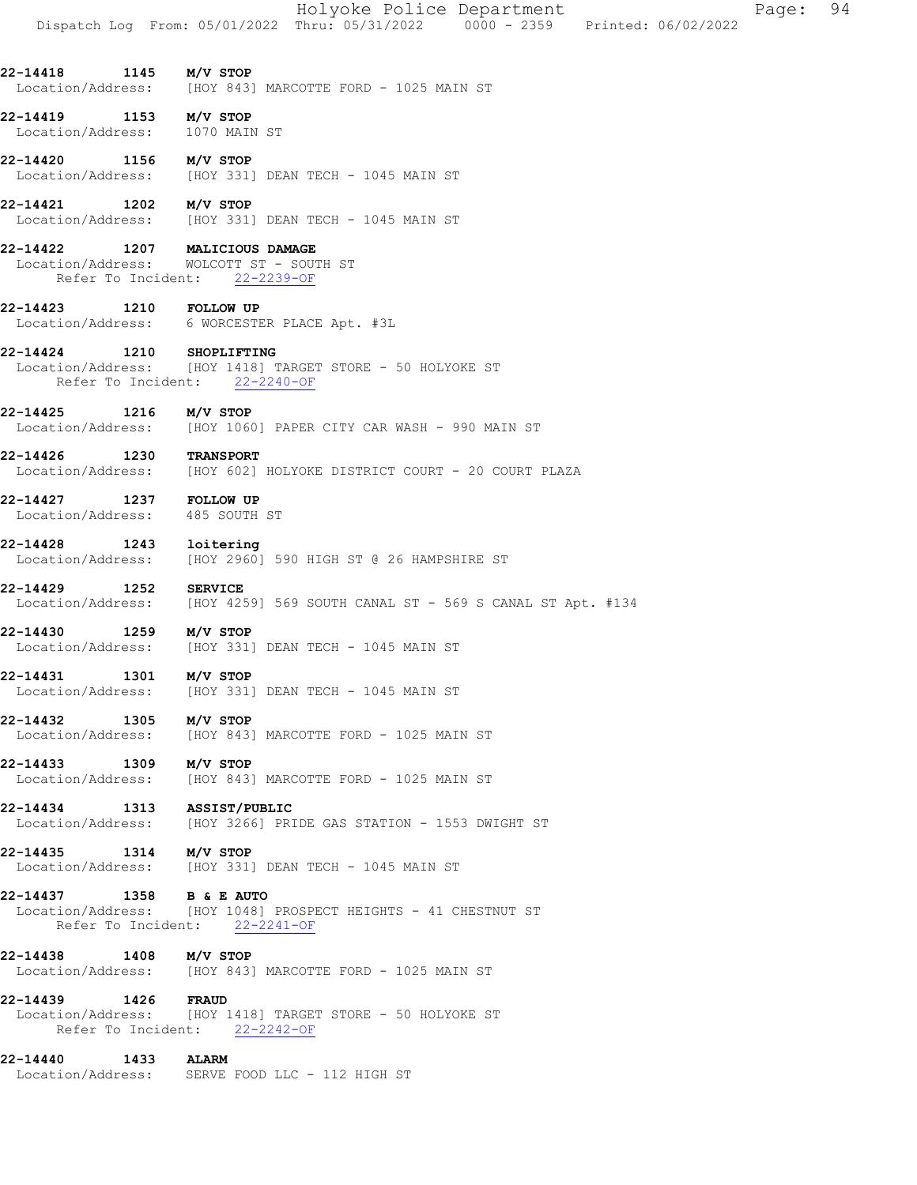|                                                           | Holyoke Police Department<br>94<br>Page:<br>Dispatch Log From: 05/01/2022 Thru: 05/31/2022 0000 - 2359 Printed: 06/02/2022 |
|-----------------------------------------------------------|----------------------------------------------------------------------------------------------------------------------------|
| 22-14418 1145 M/V STOP                                    | Location/Address: [HOY 843] MARCOTTE FORD - 1025 MAIN ST                                                                   |
| 22-14419 1153 M/V STOP<br>Location/Address: 1070 MAIN ST  |                                                                                                                            |
| 22-14420 1156 M/V STOP                                    | Location/Address: [HOY 331] DEAN TECH - 1045 MAIN ST                                                                       |
| 22-14421 1202 M/V STOP                                    | Location/Address: [HOY 331] DEAN TECH - 1045 MAIN ST                                                                       |
| 22-14422 1207 MALICIOUS DAMAGE                            | Location/Address: WOLCOTT ST - SOUTH ST<br>Refer To Incident: 22-2239-OF                                                   |
| 22-14423 1210 FOLLOW UP                                   | Location/Address: 6 WORCESTER PLACE Apt. #3L                                                                               |
| 22-14424<br>1210 SHOPLIFTING                              | Location/Address: [HOY 1418] TARGET STORE - 50 HOLYOKE ST<br>Refer To Incident: 22-2240-OF                                 |
| 22-14425<br>1216 M/V STOP                                 | Location/Address: [HOY 1060] PAPER CITY CAR WASH - 990 MAIN ST                                                             |
| 22-14426 1230 TRANSPORT                                   | Location/Address: [HOY 602] HOLYOKE DISTRICT COURT - 20 COURT PLAZA                                                        |
| 22-14427 1237 FOLLOW UP<br>Location/Address: 485 SOUTH ST |                                                                                                                            |
| 22-14428 1243 loitering<br>Location/Address:              | [HOY 2960] 590 HIGH ST @ 26 HAMPSHIRE ST                                                                                   |
| 22-14429<br>1252                                          | <b>SERVICE</b><br>Location/Address: [HOY 4259] 569 SOUTH CANAL ST - 569 S CANAL ST Apt. #134                               |
| 22-14430 1259 M/V STOP                                    | Location/Address: [HOY 331] DEAN TECH - 1045 MAIN ST                                                                       |
| 1301 M/V STOP<br>22-14431                                 | Location/Address: [HOY 331] DEAN TECH - 1045 MAIN ST                                                                       |
| 22-14432 1305                                             | M/V STOP<br>Location/Address: [HOY 843] MARCOTTE FORD - 1025 MAIN ST                                                       |
| 22-14433 1309 M/V STOP                                    | Location/Address: [HOY 843] MARCOTTE FORD - 1025 MAIN ST                                                                   |
| 22-14434 1313                                             | <b>ASSIST/PUBLIC</b><br>Location/Address: [HOY 3266] PRIDE GAS STATION - 1553 DWIGHT ST                                    |
| 22-14435 1314 M/V STOP                                    | Location/Address: [HOY 331] DEAN TECH - 1045 MAIN ST                                                                       |
| 22-14437 1358 B & E AUTO                                  | Location/Address: [HOY 1048] PROSPECT HEIGHTS - 41 CHESTNUT ST<br>Refer To Incident: 22-2241-OF                            |
| 22-14438                                                  | $1408$ $M/V$ STOP<br>Location/Address: [HOY 843] MARCOTTE FORD - 1025 MAIN ST                                              |
| 22-14439 1426 FRAUD                                       | Location/Address: [HOY 1418] TARGET STORE - 50 HOLYOKE ST<br>Refer To Incident: 22-2242-OF                                 |
| 22-14440 1433                                             | <b>ALARM</b><br>Location/Address: SERVE FOOD LLC - 112 HIGH ST                                                             |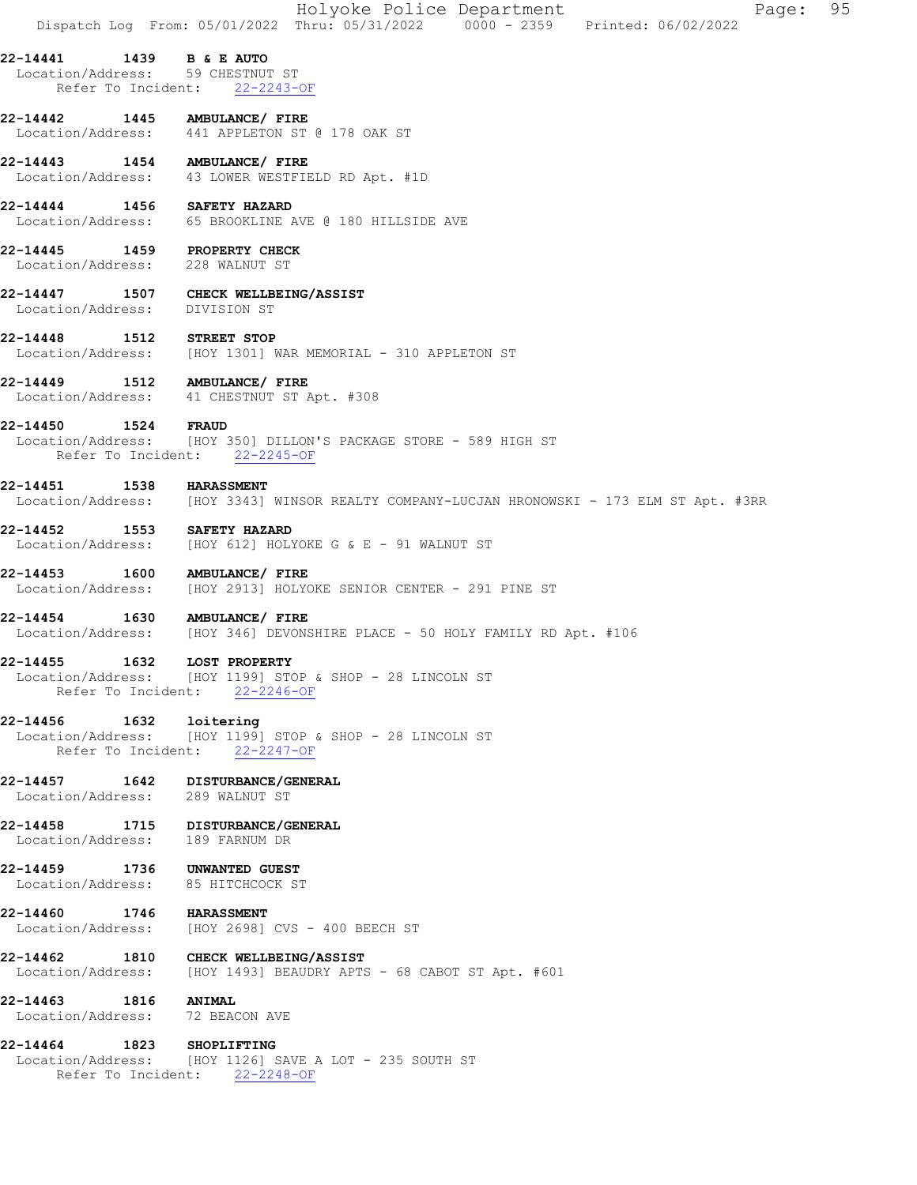|                                                                   |      | Holyoke Police Department<br>95<br>Page:<br>Dispatch Log From: 05/01/2022 Thru: 05/31/2022 0000 - 2359 Printed: 06/02/2022 |
|-------------------------------------------------------------------|------|----------------------------------------------------------------------------------------------------------------------------|
| 22-14441<br>Location/Address: 59 CHESTNUT ST                      |      | 1439 B & E AUTO<br>Refer To Incident: 22-2243-OF                                                                           |
| 22-14442 1445 AMBULANCE/ FIRE                                     |      | Location/Address: 441 APPLETON ST @ 178 OAK ST                                                                             |
| 22-14443 1454 AMBULANCE/ FIRE                                     |      | Location/Address: 43 LOWER WESTFIELD RD Apt. #1D                                                                           |
| 22-14444 1456 SAFETY HAZARD                                       |      | Location/Address: 65 BROOKLINE AVE @ 180 HILLSIDE AVE                                                                      |
| 22-14445<br>Location/Address: 228 WALNUT ST                       |      | 1459 PROPERTY CHECK                                                                                                        |
| Location/Address:                                                 |      | 22-14447 1507 CHECK WELLBEING/ASSIST<br>DIVISION ST                                                                        |
| 22-14448                                                          |      | 1512 STREET STOP<br>Location/Address: [HOY 1301] WAR MEMORIAL - 310 APPLETON ST                                            |
| 22-14449   1512   AMBULANCE/ FIRE                                 |      | Location/Address: 41 CHESTNUT ST Apt. #308                                                                                 |
| 22-14450                                                          | 1524 | <b>FRAUD</b><br>Location/Address: [HOY 350] DILLON'S PACKAGE STORE - 589 HIGH ST<br>Refer To Incident: 22-2245-OF          |
| 22-14451                                                          |      | 1538 HARASSMENT<br>Location/Address: [HOY 3343] WINSOR REALTY COMPANY-LUCJAN HRONOWSKI - 173 ELM ST Apt. #3RR              |
| 22-14452                                                          |      | 1553 SAFETY HAZARD<br>Location/Address: [HOY 612] HOLYOKE G & E - 91 WALNUT ST                                             |
| 22-14453                                                          |      | 1600 AMBULANCE/ FIRE<br>Location/Address: [HOY 2913] HOLYOKE SENIOR CENTER - 291 PINE ST                                   |
| 22-14454                                                          |      | 1630 AMBULANCE/ FIRE<br>Location/Address: [HOY 346] DEVONSHIRE PLACE - 50 HOLY FAMILY RD Apt. #106                         |
| 22-14455<br>Refer To Incident:                                    | 1632 | <b>LOST PROPERTY</b><br>Location/Address: [HOY 1199] STOP & SHOP - 28 LINCOLN ST<br>$22 - 2246 - OF$                       |
| 22-14456 1632                                                     |      | loitering<br>Location/Address: [HOY 1199] STOP & SHOP - 28 LINCOLN ST<br>Refer To Incident: 22-2247-OF                     |
| Location/Address: 289 WALNUT ST                                   |      | 22-14457   1642   DISTURBANCE/GENERAL                                                                                      |
| Location/Address:                                                 |      | 22-14458 1715 DISTURBANCE/GENERAL<br>189 FARNUM DR                                                                         |
| 22-14459 1736 UNWANTED GUEST<br>Location/Address: 85 HITCHCOCK ST |      |                                                                                                                            |
| 22-14460 1746 HARASSMENT<br>Location/Address:                     |      | [HOY 2698] CVS - 400 BEECH ST                                                                                              |
| Location/Address:                                                 |      | 22-14462 1810 CHECK WELLBEING/ASSIST<br>[HOY 1493] BEAUDRY APTS - 68 CABOT ST Apt. #601                                    |
| 22-14463 1816 ANIMAL<br>Location/Address: 72 BEACON AVE           |      |                                                                                                                            |
| 22-14464 1823 SHOPLIFTING                                         |      | Location/Address: [HOY 1126] SAVE A LOT - 235 SOUTH ST<br>Refer To Incident: 22-2248-OF                                    |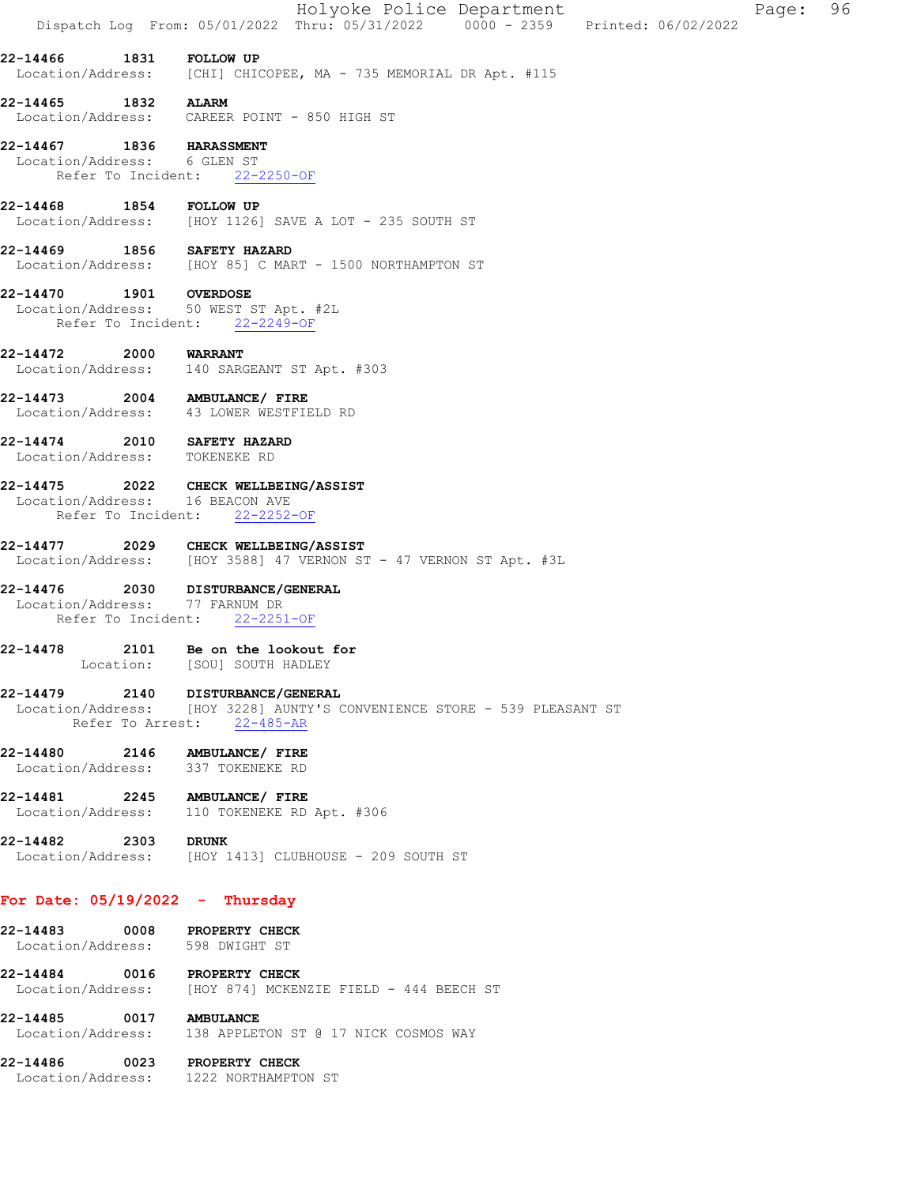|                                                                                           |                    |                                                                                    |  | Holyoke Police Department<br>Dispatch Log From: 05/01/2022 Thru: 05/31/2022 0000 - 2359 Printed: 06/02/2022 |  | Page: | 96 |
|-------------------------------------------------------------------------------------------|--------------------|------------------------------------------------------------------------------------|--|-------------------------------------------------------------------------------------------------------------|--|-------|----|
| 22-14466                                                                                  |                    | 1831 FOLLOW UP<br>Location/Address: [CHI] CHICOPEE, MA - 735 MEMORIAL DR Apt. #115 |  |                                                                                                             |  |       |    |
| 22-14465 1832 ALARM<br>Location/Address: CAREER POINT - 850 HIGH ST                       |                    |                                                                                    |  |                                                                                                             |  |       |    |
| 22-14467 1836 HARASSMENT<br>Location/Address: 6 GLEN ST                                   |                    | Refer To Incident: 22-2250-OF                                                      |  |                                                                                                             |  |       |    |
| 22-14468 1854 FOLLOW UP<br>Location/Address: [HOY 1126] SAVE A LOT - 235 SOUTH ST         |                    |                                                                                    |  |                                                                                                             |  |       |    |
| 22-14469 1856 SAFETY HAZARD                                                               |                    | Location/Address: [HOY 85] C MART - 1500 NORTHAMPTON ST                            |  |                                                                                                             |  |       |    |
| 22-14470  1901  OVERDOSE                                                                  |                    | Location/Address: 50 WEST ST Apt. #2L<br>Refer To Incident: 22-2249-OF             |  |                                                                                                             |  |       |    |
| 22-14472<br>Location/Address: 140 SARGEANT ST Apt. #303                                   | 2000               | <b>WARRANT</b>                                                                     |  |                                                                                                             |  |       |    |
| 22-14473 2004 AMBULANCE/ FIRE<br>Location/Address: 43 LOWER WESTFIELD RD                  |                    |                                                                                    |  |                                                                                                             |  |       |    |
| 22-14474 2010 SAFETY HAZARD<br>Location/Address: TOKENEKE RD                              |                    |                                                                                    |  |                                                                                                             |  |       |    |
| 22-14475 2022 CHECK WELLBEING/ASSIST<br>Location/Address: 16 BEACON AVE                   | Refer To Incident: | $22 - 2252 - OF$                                                                   |  |                                                                                                             |  |       |    |
| 22-14477                                                                                  |                    | 2029 CHECK WELLBEING/ASSIST                                                        |  | Location/Address: [HOY 3588] 47 VERNON ST - 47 VERNON ST Apt. #3L                                           |  |       |    |
| 22-14476<br>Location/Address: 77 FARNUM DR                                                |                    | 2030 DISTURBANCE/GENERAL<br>Refer To Incident: 22-2251-OF                          |  |                                                                                                             |  |       |    |
| 22-14478                                                                                  | 2101<br>Location:  | Be on the lookout for<br>[SOU] SOUTH HADLEY                                        |  |                                                                                                             |  |       |    |
| 22-14479 2140 DISTURBANCE/GENERAL                                                         |                    | Refer To Arrest: 22-485-AR                                                         |  | Location/Address: [HOY 3228] AUNTY'S CONVENIENCE STORE - 539 PLEASANT ST                                    |  |       |    |
| 22-14480 2146 AMBULANCE/ FIRE<br>Location/Address: 337 TOKENEKE RD                        |                    |                                                                                    |  |                                                                                                             |  |       |    |
| 22-14481 2245 AMBULANCE/ FIRE                                                             |                    | Location/Address: 110 TOKENEKE RD Apt. #306                                        |  |                                                                                                             |  |       |    |
| 22-14482 2303                                                                             |                    | <b>DRUNK</b><br>Location/Address: [HOY 1413] CLUBHOUSE - 209 SOUTH ST              |  |                                                                                                             |  |       |    |
| For Date: $05/19/2022 - Thursday$                                                         |                    |                                                                                    |  |                                                                                                             |  |       |    |
| 22-14483 0008 PROPERTY CHECK<br>Location/Address: 598 DWIGHT ST                           |                    |                                                                                    |  |                                                                                                             |  |       |    |
| 22-14484 0016 PROPERTY CHECK<br>Location/Address: [HOY 874] MCKENZIE FIELD - 444 BEECH ST |                    |                                                                                    |  |                                                                                                             |  |       |    |
| 22-14485 0017 AMBULANCE<br>Location/Address: 138 APPLETON ST @ 17 NICK COSMOS WAY         |                    |                                                                                    |  |                                                                                                             |  |       |    |
| 22-14486 0023 PROPERTY CHECK<br>Location/Address: 1222 NORTHAMPTON ST                     |                    |                                                                                    |  |                                                                                                             |  |       |    |
|                                                                                           |                    |                                                                                    |  |                                                                                                             |  |       |    |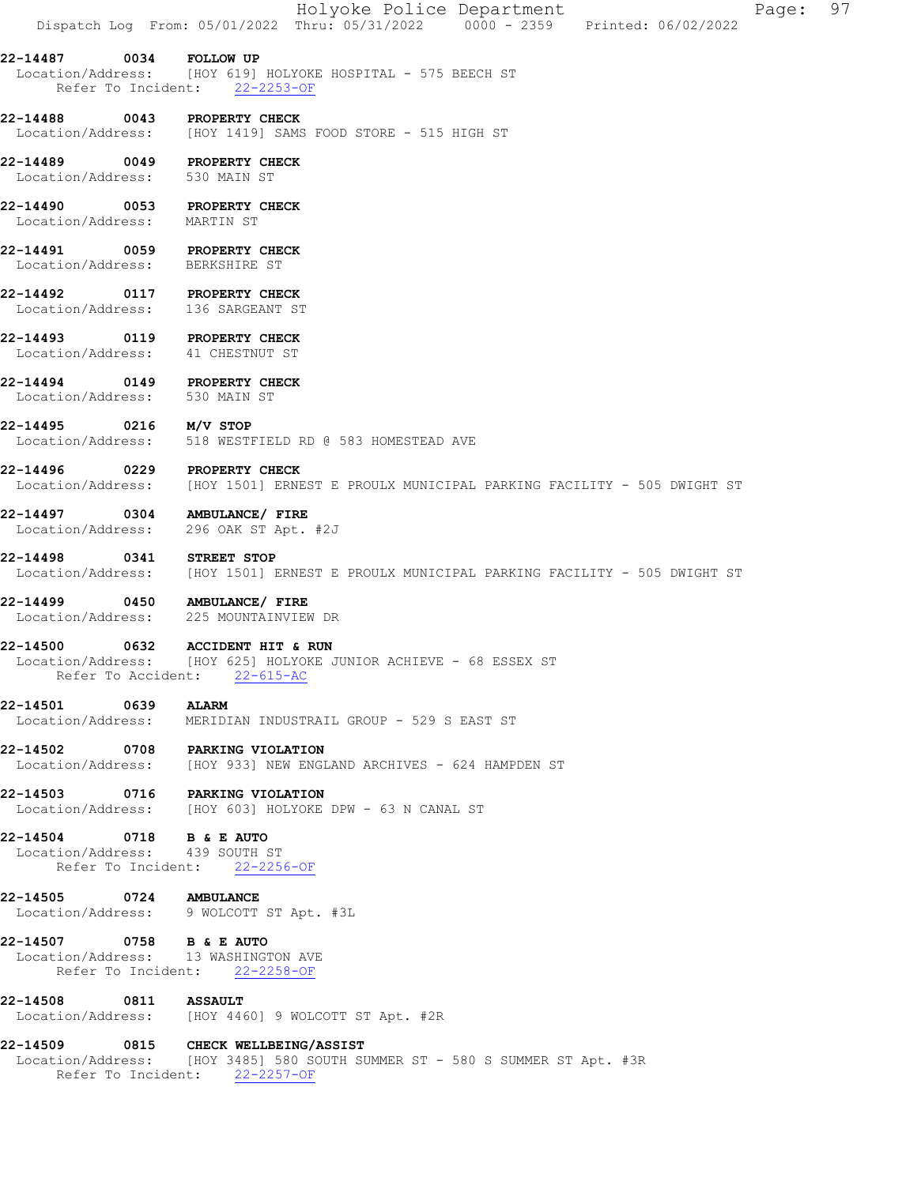|                               | Holyoke Police Department<br>Page: 97<br>Dispatch Log From: 05/01/2022 Thru: 05/31/2022 0000 - 2359 Printed: 06/02/2022                              |
|-------------------------------|------------------------------------------------------------------------------------------------------------------------------------------------------|
| 22-14487 0034 FOLLOW UP       | Location/Address: [HOY 619] HOLYOKE HOSPITAL - 575 BEECH ST<br>Refer To Incident: 22-2253-OF                                                         |
|                               | 22-14488 0043 PROPERTY CHECK<br>Location/Address: [HOY 1419] SAMS FOOD STORE - 515 HIGH ST                                                           |
| Location/Address: 530 MAIN ST | 22-14489 0049 PROPERTY CHECK                                                                                                                         |
| Location/Address:             | 22-14490 0053 PROPERTY CHECK<br>MARTIN ST                                                                                                            |
|                               | 22-14491 0059 PROPERTY CHECK<br>Location/Address: BERKSHIRE ST                                                                                       |
|                               | 22-14492 0117 PROPERTY CHECK<br>Location/Address: 136 SARGEANT ST                                                                                    |
|                               | 22-14493 0119 PROPERTY CHECK<br>Location/Address: 41 CHESTNUT ST                                                                                     |
| Location/Address: 530 MAIN ST | 22-14494 0149 PROPERTY CHECK                                                                                                                         |
| 22-14495                      | $0216$ M/V STOP<br>Location/Address: 518 WESTFIELD RD @ 583 HOMESTEAD AVE                                                                            |
|                               | 22-14496 0229 PROPERTY CHECK<br>Location/Address: [HOY 1501] ERNEST E PROULX MUNICIPAL PARKING FACILITY - 505 DWIGHT ST                              |
|                               | 22-14497 0304 AMBULANCE/ FIRE<br>Location/Address: 296 OAK ST Apt. #2J                                                                               |
| 22-14498 0341 STREET STOP     | Location/Address: [HOY 1501] ERNEST E PROULX MUNICIPAL PARKING FACILITY - 505 DWIGHT ST                                                              |
|                               | 22-14499 0450 AMBULANCE/ FIRE<br>Location/Address: 225 MOUNTAINVIEW DR                                                                               |
| 22-14500                      | 0632 ACCIDENT HIT & RUN<br>Location/Address: [HOY 625] HOLYOKE JUNIOR ACHIEVE - 68 ESSEX ST<br>Refer To Accident: 22-615-AC                          |
| 22-14501 0639                 | <b>ALARM</b><br>Location/Address: MERIDIAN INDUSTRAIL GROUP - 529 S EAST ST                                                                          |
|                               | 22-14502 0708 PARKING VIOLATION<br>Location/Address: [HOY 933] NEW ENGLAND ARCHIVES - 624 HAMPDEN ST                                                 |
|                               | 22-14503 0716 PARKING VIOLATION<br>Location/Address: [HOY 603] HOLYOKE DPW - 63 N CANAL ST                                                           |
| 22-14504 0718 B & E AUTO      | Location/Address: 439 SOUTH ST<br>Refer To Incident: 22-2256-OF                                                                                      |
| 22-14505 0724 AMBULANCE       | Location/Address: 9 WOLCOTT ST Apt. #3L                                                                                                              |
| 22-14507 0758 B & E AUTO      | Location/Address: 13 WASHINGTON AVE<br>Refer To Incident: 22-2258-OF                                                                                 |
| 22-14508 0811 ASSAULT         | Location/Address: [HOY 4460] 9 WOLCOTT ST Apt. #2R                                                                                                   |
|                               | 22-14509 0815 CHECK WELLBEING/ASSIST<br>Location/Address: [HOY 3485] 580 SOUTH SUMMER ST - 580 S SUMMER ST Apt. #3R<br>Refer To Incident: 22-2257-OF |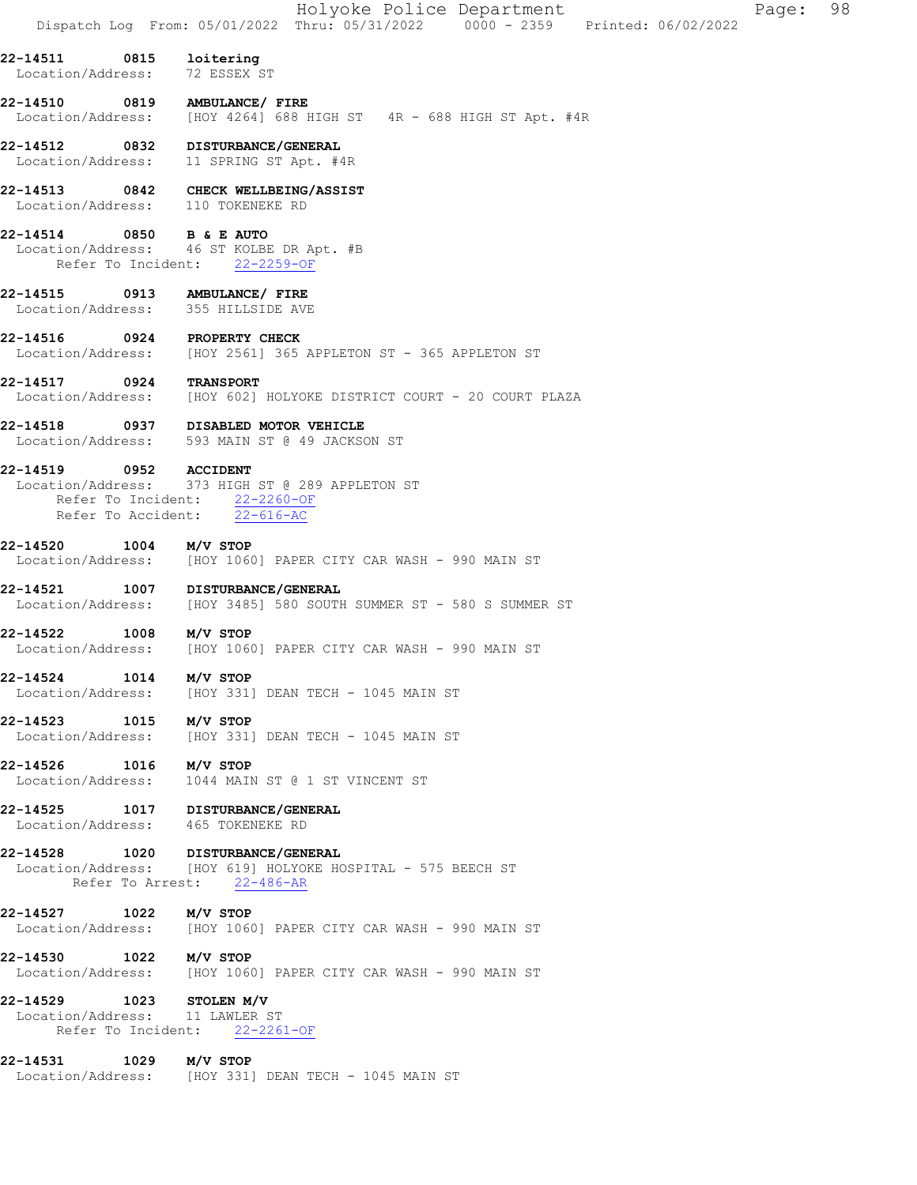|                                             |                    | Holyoke Police Department<br>Page:<br>Dispatch Log From: 05/01/2022 Thru: 05/31/2022 0000 - 2359 Printed: 06/02/2022           | 98 |
|---------------------------------------------|--------------------|--------------------------------------------------------------------------------------------------------------------------------|----|
| 22-14511<br>Location/Address:               | 0815               | loitering<br>72 ESSEX ST                                                                                                       |    |
|                                             |                    | 22-14510 0819 AMBULANCE/ FIRE<br>Location/Address: [HOY 4264] 688 HIGH ST 4R - 688 HIGH ST Apt. #4R                            |    |
|                                             |                    | 22-14512 0832 DISTURBANCE/GENERAL<br>Location/Address: 11 SPRING ST Apt. #4R                                                   |    |
|                                             |                    | 22-14513 0842 CHECK WELLBEING/ASSIST<br>Location/Address: 110 TOKENEKE RD                                                      |    |
| 22-14514                                    | Refer To Incident: | 0850 B & E AUTO<br>Location/Address: 46 ST KOLBE DR Apt. #B<br>$22 - 2259 - OF$                                                |    |
|                                             |                    | 22-14515 0913 AMBULANCE/ FIRE<br>Location/Address: 355 HILLSIDE AVE                                                            |    |
|                                             |                    | 22-14516 0924 PROPERTY CHECK<br>Location/Address: [HOY 2561] 365 APPLETON ST - 365 APPLETON ST                                 |    |
| 22-14517 0924 TRANSPORT                     |                    | Location/Address: [HOY 602] HOLYOKE DISTRICT COURT - 20 COURT PLAZA                                                            |    |
| 22-14518                                    |                    | 0937 DISABLED MOTOR VEHICLE<br>Location/Address: 593 MAIN ST @ 49 JACKSON ST                                                   |    |
| 22-14519 0952 ACCIDENT                      |                    | Location/Address: 373 HIGH ST @ 289 APPLETON ST<br>Refer To Incident: 22-2260-OF<br>Refer To Accident: 22-616-AC               |    |
| 22-14520                                    | 1004               | M/V STOP<br>Location/Address: [HOY 1060] PAPER CITY CAR WASH - 990 MAIN ST                                                     |    |
| 22-14521<br>Location/Address:               |                    | 1007 DISTURBANCE/GENERAL<br>[HOY 3485] 580 SOUTH SUMMER ST - 580 S SUMMER ST                                                   |    |
| 22-14522<br>Location/Address:               |                    | $1008$ $M/V$ STOP<br>[HOY 1060] PAPER CITY CAR WASH - 990 MAIN ST                                                              |    |
| 22-14524 1014 M/V STOP                      |                    | Location/Address: [HOY 331] DEAN TECH - 1045 MAIN ST                                                                           |    |
| 22-14523 1015<br>Location/Address:          |                    | M/V STOP<br>[HOY 331] DEAN TECH - 1045 MAIN ST                                                                                 |    |
| 22-14526 1016 M/V STOP<br>Location/Address: |                    | 1044 MAIN ST @ 1 ST VINCENT ST                                                                                                 |    |
|                                             |                    | 22-14525 1017 DISTURBANCE/GENERAL<br>Location/Address: 465 TOKENEKE RD                                                         |    |
|                                             |                    | 22-14528 1020 DISTURBANCE/GENERAL<br>Location/Address: [HOY 619] HOLYOKE HOSPITAL - 575 BEECH ST<br>Refer To Arrest: 22-486-AR |    |
| 22-14527 1022 M/V STOP                      |                    | Location/Address: [HOY 1060] PAPER CITY CAR WASH - 990 MAIN ST                                                                 |    |
| 22-14530                                    |                    | $1022$ $M/V$ STOP<br>Location/Address: [HOY 1060] PAPER CITY CAR WASH - 990 MAIN ST                                            |    |
| 22-14529 1023 STOLEN M/V                    |                    | Location/Address: 11 LAWLER ST<br>Refer To Incident: 22-2261-OF                                                                |    |
| 22-14531 1029 M/V STOP                      |                    | Location/Address: [HOY 331] DEAN TECH - 1045 MAIN ST                                                                           |    |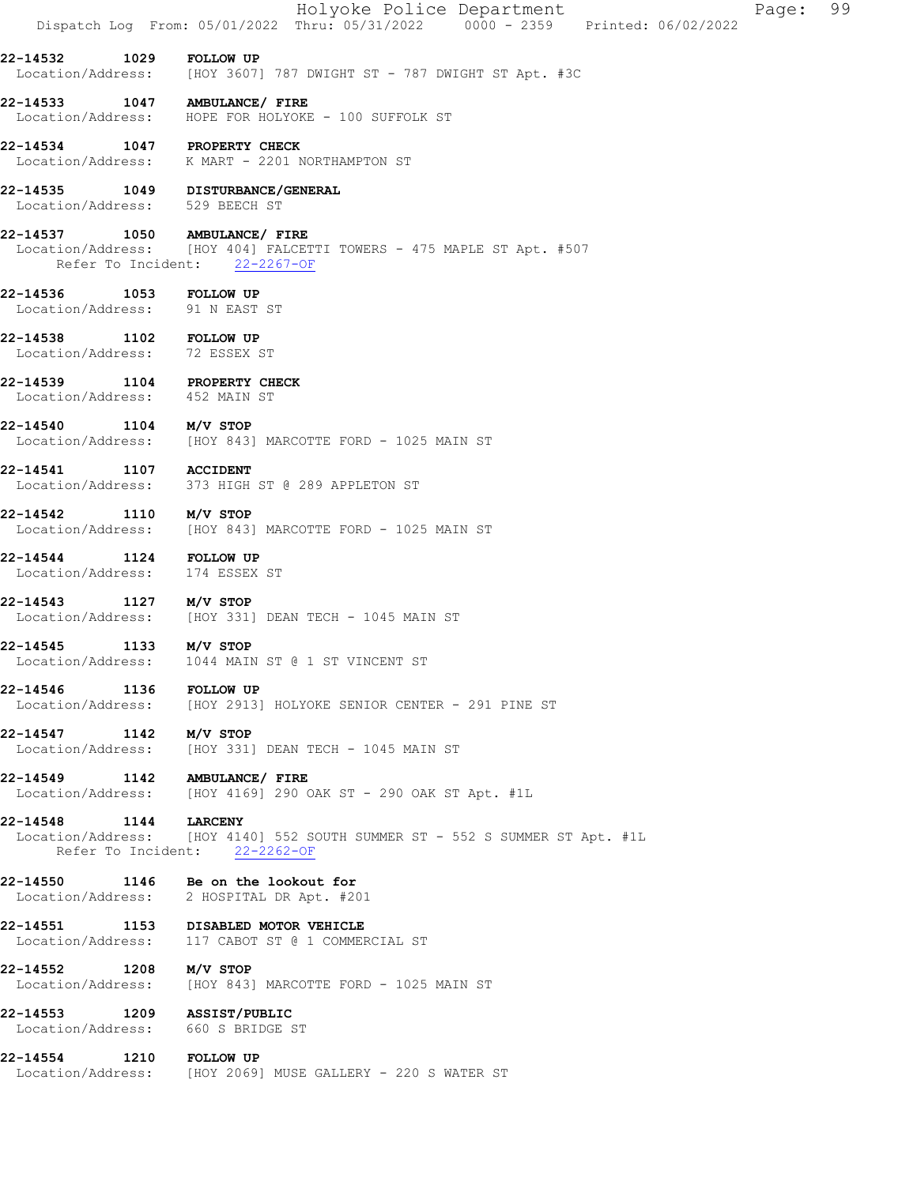|                                                                     | Holyoke Police Department<br>99<br>Page:<br>Dispatch Log From: 05/01/2022 Thru: 05/31/2022 0000 - 2359 Printed: 06/02/2022            |
|---------------------------------------------------------------------|---------------------------------------------------------------------------------------------------------------------------------------|
| 22-14532                                                            | 1029 FOLLOW UP<br>Location/Address: [HOY 3607] 787 DWIGHT ST - 787 DWIGHT ST Apt. #3C                                                 |
| 22-14533 1047 AMBULANCE/ FIRE                                       | Location/Address: HOPE FOR HOLYOKE - 100 SUFFOLK ST                                                                                   |
| 22-14534 1047 PROPERTY CHECK                                        | Location/Address: K MART - 2201 NORTHAMPTON ST                                                                                        |
| 22-14535 1049 DISTURBANCE/GENERAL<br>Location/Address: 529 BEECH ST |                                                                                                                                       |
|                                                                     | 22-14537 1050 AMBULANCE/FIRE<br>Location/Address: [HOY 404] FALCETTI TOWERS - 475 MAPLE ST Apt. #507<br>Refer To Incident: 22-2267-OF |
| 22-14536 1053 FOLLOW UP<br>Location/Address: 91 N EAST ST           |                                                                                                                                       |
| 22-14538 1102 FOLLOW UP<br>Location/Address: 72 ESSEX ST            |                                                                                                                                       |
| 22-14539 1104 PROPERTY CHECK<br>Location/Address: 452 MAIN ST       |                                                                                                                                       |
| 1104 M/V STOP<br>22-14540                                           | Location/Address: [HOY 843] MARCOTTE FORD - 1025 MAIN ST                                                                              |
| 22-14541 1107 ACCIDENT                                              | Location/Address: 373 HIGH ST @ 289 APPLETON ST                                                                                       |
| 22-14542<br>1110 M/V STOP                                           | Location/Address: [HOY 843] MARCOTTE FORD - 1025 MAIN ST                                                                              |
| 22-14544 1124 FOLLOW UP<br>Location/Address: 174 ESSEX ST           |                                                                                                                                       |
| $1127$ $M/V$ STOP<br>22-14543                                       | Location/Address: [HOY 331] DEAN TECH - 1045 MAIN ST                                                                                  |
| 22-14545 1133 M/V STOP                                              | Location/Address: 1044 MAIN ST @ 1 ST VINCENT ST                                                                                      |
| 22-14546 1136 FOLLOW UP                                             | Location/Address: [HOY 2913] HOLYOKE SENIOR CENTER - 291 PINE ST                                                                      |
| 22-14547 1142 M/V STOP<br>Location/Address:                         | [HOY 331] DEAN TECH - 1045 MAIN ST                                                                                                    |
| 22-14549 1142 AMBULANCE/ FIRE                                       | Location/Address: [HOY 4169] 290 OAK ST - 290 OAK ST Apt. $#1L$                                                                       |
| 22-14548 1144 LARCENY                                               | Location/Address: [HOY 4140] 552 SOUTH SUMMER ST - 552 S SUMMER ST Apt. #1L<br>Refer To Incident: 22-2262-OF                          |
| 22-14550 1146                                                       | Be on the lookout for<br>Location/Address: 2 HOSPITAL DR Apt. #201                                                                    |
| Location/Address:                                                   | 22-14551 1153 DISABLED MOTOR VEHICLE<br>117 CABOT ST @ 1 COMMERCIAL ST                                                                |
| 22-14552 1208 M/V STOP                                              | Location/Address: [HOY 843] MARCOTTE FORD - 1025 MAIN ST                                                                              |
| 22-14553 1209 ASSIST/PUBLIC<br>Location/Address: 660 S BRIDGE ST    |                                                                                                                                       |
| 22-14554 1210 FOLLOW UP                                             | Location/Address: [HOY 2069] MUSE GALLERY - 220 S WATER ST                                                                            |
|                                                                     |                                                                                                                                       |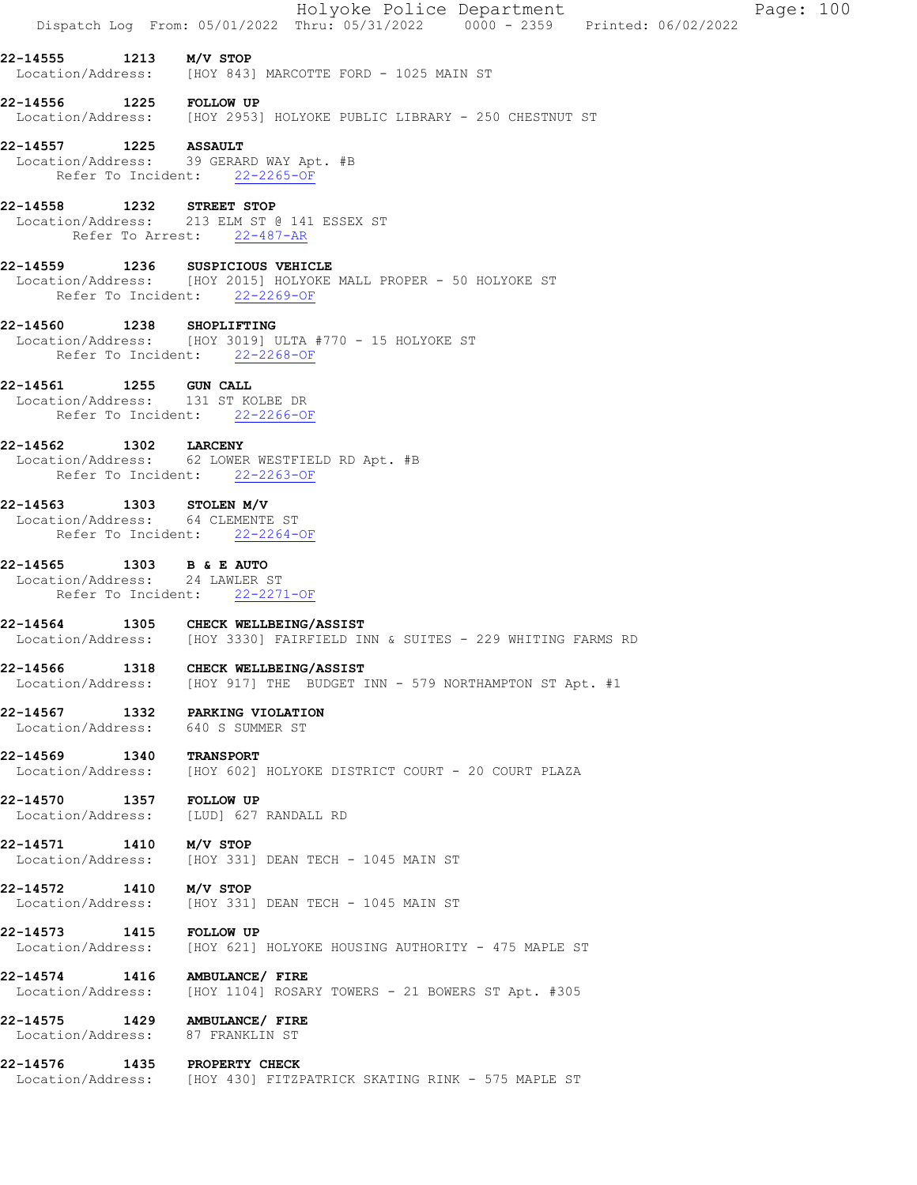|                                                                                                                      |                               |  | Holyoke Police Department<br>Dispatch Log From: 05/01/2022 Thru: 05/31/2022 0000 - 2359 Printed: 06/02/2022 |  | Page: 100 |  |
|----------------------------------------------------------------------------------------------------------------------|-------------------------------|--|-------------------------------------------------------------------------------------------------------------|--|-----------|--|
| 22-14555 1213 M/V STOP<br>Location/Address: [HOY 843] MARCOTTE FORD - 1025 MAIN ST                                   |                               |  |                                                                                                             |  |           |  |
| 22-14556 1225 FOLLOW UP<br>Location/Address: [HOY 2953] HOLYOKE PUBLIC LIBRARY - 250 CHESTNUT ST                     |                               |  |                                                                                                             |  |           |  |
| 22-14557 1225 ASSAULT<br>Location/Address: 39 GERARD WAY Apt. #B                                                     | Refer To Incident: 22-2265-OF |  |                                                                                                             |  |           |  |
| 22-14558 1232 STREET STOP<br>Location/Address: 213 ELM ST @ 141 ESSEX ST                                             | Refer To Arrest: 22-487-AR    |  |                                                                                                             |  |           |  |
| 22-14559 1236 SUSPICIOUS VEHICLE<br>Location/Address: [HOY 2015] HOLYOKE MALL PROPER - 50 HOLYOKE ST                 | Refer To Incident: 22-2269-OF |  |                                                                                                             |  |           |  |
| 22-14560 1238 SHOPLIFTING<br>Location/Address: [HOY 3019] ULTA #770 - 15 HOLYOKE ST                                  | Refer To Incident: 22-2268-OF |  |                                                                                                             |  |           |  |
| 22-14561 1255 GUN CALL<br>Location/Address: 131 ST KOLBE DR                                                          | Refer To Incident: 22-2266-OF |  |                                                                                                             |  |           |  |
| 22-14562 1302 LARCENY<br>Location/Address: 62 LOWER WESTFIELD RD Apt. #B                                             | Refer To Incident: 22-2263-OF |  |                                                                                                             |  |           |  |
| 22-14563 1303 STOLEN M/V<br>Location/Address: 64 CLEMENTE ST                                                         | Refer To Incident: 22-2264-OF |  |                                                                                                             |  |           |  |
| 22-14565 1303 B & E AUTO<br>Location/Address: 24 LAWLER ST                                                           | Refer To Incident: 22-2271-OF |  |                                                                                                             |  |           |  |
| 22-14564 1305 CHECK WELLBEING/ASSIST<br>  Location/Address: [HOY 3330] FAIRFIELD INN & SUITES - 229 WHITING FARMS RD |                               |  |                                                                                                             |  |           |  |
| 22-14566                                                                                                             | 1318 CHECK WELLBEING/ASSIST   |  | Location/Address: [HOY 917] THE BUDGET INN - 579 NORTHAMPTON ST Apt. #1                                     |  |           |  |
| 22-14567 1332 PARKING VIOLATION<br>Location/Address: 640 S SUMMER ST                                                 |                               |  |                                                                                                             |  |           |  |
| 22-14569 1340<br>Location/Address: [HOY 602] HOLYOKE DISTRICT COURT - 20 COURT PLAZA                                 | <b>TRANSPORT</b>              |  |                                                                                                             |  |           |  |
| 22-14570 1357 FOLLOW UP<br>Location/Address: [LUD] 627 RANDALL RD                                                    |                               |  |                                                                                                             |  |           |  |
| 22-14571 1410 M/V STOP<br>Location/Address: [HOY 331] DEAN TECH - 1045 MAIN ST                                       |                               |  |                                                                                                             |  |           |  |
| 22-14572 1410 M/V STOP<br>Location/Address: [HOY 331] DEAN TECH - 1045 MAIN ST                                       |                               |  |                                                                                                             |  |           |  |
| 22-14573 1415 FOLLOW UP<br>Location/Address:                                                                         |                               |  | [HOY 621] HOLYOKE HOUSING AUTHORITY - 475 MAPLE ST                                                          |  |           |  |
| 22-14574 1416 AMBULANCE/ FIRE<br>Location/Address: [HOY 1104] ROSARY TOWERS - 21 BOWERS ST Apt. #305                 |                               |  |                                                                                                             |  |           |  |
| 22-14575 1429 AMBULANCE/ FIRE<br>Location/Address: 87 FRANKLIN ST                                                    |                               |  |                                                                                                             |  |           |  |
| 22-14576 1435 PROPERTY CHECK<br>Location/Address: [HOY 430] FITZPATRICK SKATING RINK - 575 MAPLE ST                  |                               |  |                                                                                                             |  |           |  |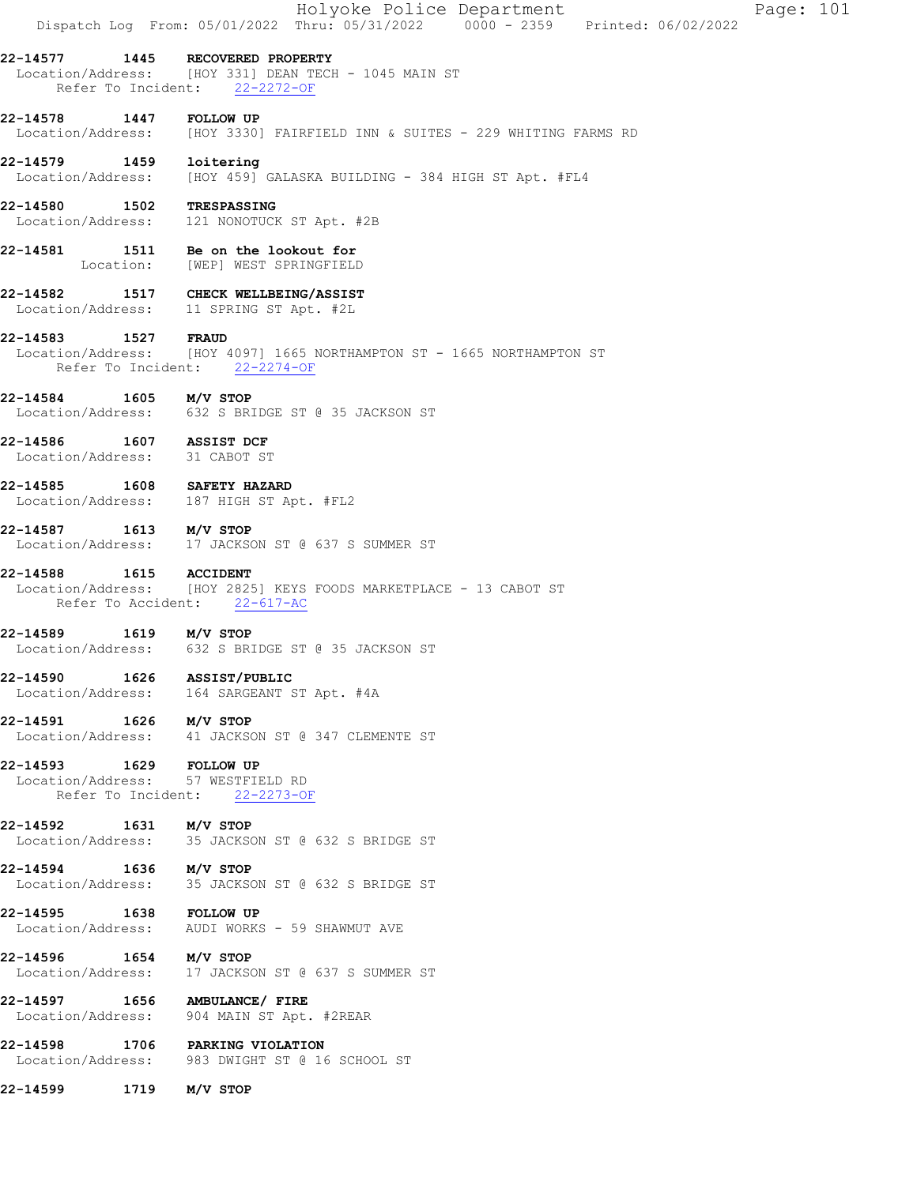|                                                           |            | Holyoke Police Department<br>Page: 101<br>Dispatch Log From: 05/01/2022 Thru: 05/31/2022 0000 - 2359 Printed: 06/02/2022 |
|-----------------------------------------------------------|------------|--------------------------------------------------------------------------------------------------------------------------|
| 22-14577                                                  |            | 1445 RECOVERED PROPERTY<br>Location/Address: [HOY 331] DEAN TECH - 1045 MAIN ST<br>Refer To Incident: 22-2272-OF         |
| 22-14578                                                  | 1447       | <b>FOLLOW UP</b><br>Location/Address: [HOY 3330] FAIRFIELD INN & SUITES - 229 WHITING FARMS RD                           |
| 22-14579 1459 loitering                                   |            | Location/Address: [HOY 459] GALASKA BUILDING - 384 HIGH ST Apt. #FL4                                                     |
| 22-14580 1502 TRESPASSING                                 |            | Location/Address: 121 NONOTUCK ST Apt. #2B                                                                               |
|                                                           |            | 22-14581 1511 Be on the lookout for<br>Location: [WEP] WEST SPRINGFIELD                                                  |
|                                                           |            | 22-14582 1517 CHECK WELLBEING/ASSIST<br>Location/Address: 11 SPRING ST Apt. #2L                                          |
| 22-14583                                                  | 1527 FRAUD | Location/Address: [HOY 4097] 1665 NORTHAMPTON ST - 1665 NORTHAMPTON ST<br>Refer To Incident: 22-2274-OF                  |
| 22-14584 1605 M/V STOP                                    |            | Location/Address: 632 S BRIDGE ST @ 35 JACKSON ST                                                                        |
| 22-14586 1607 ASSIST DCF<br>Location/Address: 31 CABOT ST |            |                                                                                                                          |
| 22-14585 1608 SAFETY HAZARD                               |            | Location/Address: 187 HIGH ST Apt. #FL2                                                                                  |
| 22-14587 1613 M/V STOP                                    |            | Location/Address: 17 JACKSON ST @ 637 S SUMMER ST                                                                        |
| 22-14588 1615 ACCIDENT                                    |            | Location/Address: [HOY 2825] KEYS FOODS MARKETPLACE - 13 CABOT ST<br>Refer To Accident: 22-617-AC                        |
| 22-14589                                                  |            | $1619$ $M/V$ STOP<br>Location/Address: 632 S BRIDGE ST @ 35 JACKSON ST                                                   |
| 22-14590<br>Location/Address:                             | 1626       | ASSIST/PUBLIC<br>164 SARGEANT ST Apt. #4A                                                                                |
| 22-14591                                                  |            | $1626$ $M/V$ STOP<br>Location/Address: 41 JACKSON ST @ 347 CLEMENTE ST                                                   |
| 22-14593 1629 FOLLOW UP                                   |            | Location/Address: 57 WESTFIELD RD<br>Refer To Incident: 22-2273-OF                                                       |
| 22-14592 1631 M/V STOP                                    |            | Location/Address: 35 JACKSON ST @ 632 S BRIDGE ST                                                                        |
| 22-14594 1636 M/V STOP                                    |            | Location/Address: 35 JACKSON ST @ 632 S BRIDGE ST                                                                        |
| 22-14595 1638                                             |            | <b>FOLLOW UP</b><br>Location/Address: AUDI WORKS - 59 SHAWMUT AVE                                                        |
| 22-14596<br>Location/Address:                             |            | $1654$ M/V STOP<br>17 JACKSON ST @ 637 S SUMMER ST                                                                       |
| 22-14597 1656<br>Location/Address:                        |            | AMBULANCE/ FIRE<br>904 MAIN ST Apt. #2REAR                                                                               |
| 22-14598                                                  |            | 1706 PARKING VIOLATION<br>Location/Address: 983 DWIGHT ST @ 16 SCHOOL ST                                                 |
| 22-14599                                                  | 1719       | M/V STOP                                                                                                                 |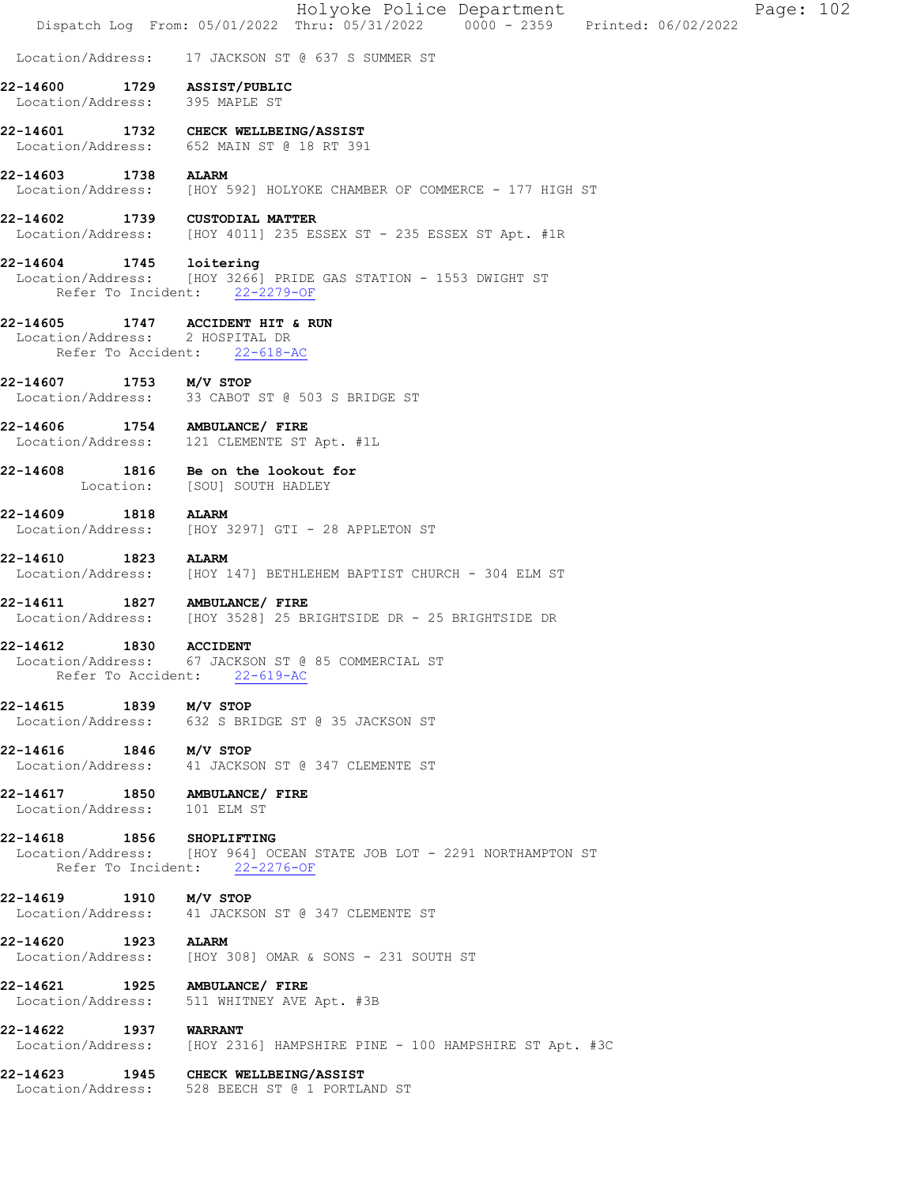|                                             |      | Dispatch Log From: 05/01/2022 Thru: 05/31/2022 0000 - 2359 Printed: 06/02/2022                                              |  | Holyoke Police Department |  | Page: 102 |  |
|---------------------------------------------|------|-----------------------------------------------------------------------------------------------------------------------------|--|---------------------------|--|-----------|--|
| Location/Address:                           |      | 17 JACKSON ST @ 637 S SUMMER ST                                                                                             |  |                           |  |           |  |
| 22-14600<br>Location/Address: 395 MAPLE ST  |      | 1729 ASSIST/PUBLIC                                                                                                          |  |                           |  |           |  |
|                                             |      | 22-14601 1732 CHECK WELLBEING/ASSIST<br>Location/Address: 652 MAIN ST @ 18 RT 391                                           |  |                           |  |           |  |
| 22-14603                                    | 1738 | <b>ALARM</b><br>Location/Address: [HOY 592] HOLYOKE CHAMBER OF COMMERCE - 177 HIGH ST                                       |  |                           |  |           |  |
| 22-14602                                    |      | 1739 CUSTODIAL MATTER<br>Location/Address: [HOY 4011] 235 ESSEX ST - 235 ESSEX ST Apt. #1R                                  |  |                           |  |           |  |
|                                             |      | 22-14604 1745 loitering<br>Location/Address: [HOY 3266] PRIDE GAS STATION - 1553 DWIGHT ST<br>Refer To Incident: 22-2279-OF |  |                           |  |           |  |
| 22-14605<br>Location/Address: 2 HOSPITAL DR |      | 1747 ACCIDENT HIT & RUN<br>Refer To Accident: 22-618-AC                                                                     |  |                           |  |           |  |
| 22-14607 1753 M/V STOP                      |      | Location/Address: 33 CABOT ST @ 503 S BRIDGE ST                                                                             |  |                           |  |           |  |
| 22-14606                                    |      | 1754 AMBULANCE/ FIRE<br>Location/Address: 121 CLEMENTE ST Apt. #1L                                                          |  |                           |  |           |  |
|                                             |      | 22-14608 1816 Be on the lookout for<br>Location: [SOU] SOUTH HADLEY                                                         |  |                           |  |           |  |
| 22-14609                                    | 1818 | <b>ALARM</b><br>Location/Address: [HOY 3297] GTI - 28 APPLETON ST                                                           |  |                           |  |           |  |
| 22-14610<br>1823                            |      | <b>ALARM</b><br>Location/Address: [HOY 147] BETHLEHEM BAPTIST CHURCH - 304 ELM ST                                           |  |                           |  |           |  |
| 22-14611                                    |      | 1827 AMBULANCE/ FIRE<br>Location/Address: [HOY 3528] 25 BRIGHTSIDE DR - 25 BRIGHTSIDE DR                                    |  |                           |  |           |  |
| 22-14612                                    | 1830 | <b>ACCIDENT</b><br>Location/Address: 67 JACKSON ST @ 85 COMMERCIAL ST<br>Refer To Accident: 22-619-AC                       |  |                           |  |           |  |
| 22-14615 1839 M/V STOP                      |      | Location/Address: 632 S BRIDGE ST @ 35 JACKSON ST                                                                           |  |                           |  |           |  |
| 22-14616 1846 M/V STOP                      |      | Location/Address: 41 JACKSON ST @ 347 CLEMENTE ST                                                                           |  |                           |  |           |  |
| Location/Address: 101 ELM ST                |      | 22-14617 1850 AMBULANCE/ FIRE                                                                                               |  |                           |  |           |  |
| 22-14618 1856 SHOPLIFTING                   |      | Location/Address: [HOY 964] OCEAN STATE JOB LOT - 2291 NORTHAMPTON ST<br>Refer To Incident: 22-2276-OF                      |  |                           |  |           |  |
| 22-14619 1910 M/V STOP                      |      | Location/Address: 41 JACKSON ST @ 347 CLEMENTE ST                                                                           |  |                           |  |           |  |
| 22-14620 1923 ALARM                         |      | Location/Address: [HOY 308] OMAR & SONS - 231 SOUTH ST                                                                      |  |                           |  |           |  |
|                                             |      | 22-14621 1925 AMBULANCE/ FIRE<br>Location/Address: 511 WHITNEY AVE Apt. #3B                                                 |  |                           |  |           |  |
| 22-14622 1937 WARRANT                       |      | Location/Address: [HOY 2316] HAMPSHIRE PINE - 100 HAMPSHIRE ST Apt. #3C                                                     |  |                           |  |           |  |
|                                             |      | 22-14623 1945 CHECK WELLBEING/ASSIST<br>Location/Address: 528 BEECH ST @ 1 PORTLAND ST                                      |  |                           |  |           |  |
|                                             |      |                                                                                                                             |  |                           |  |           |  |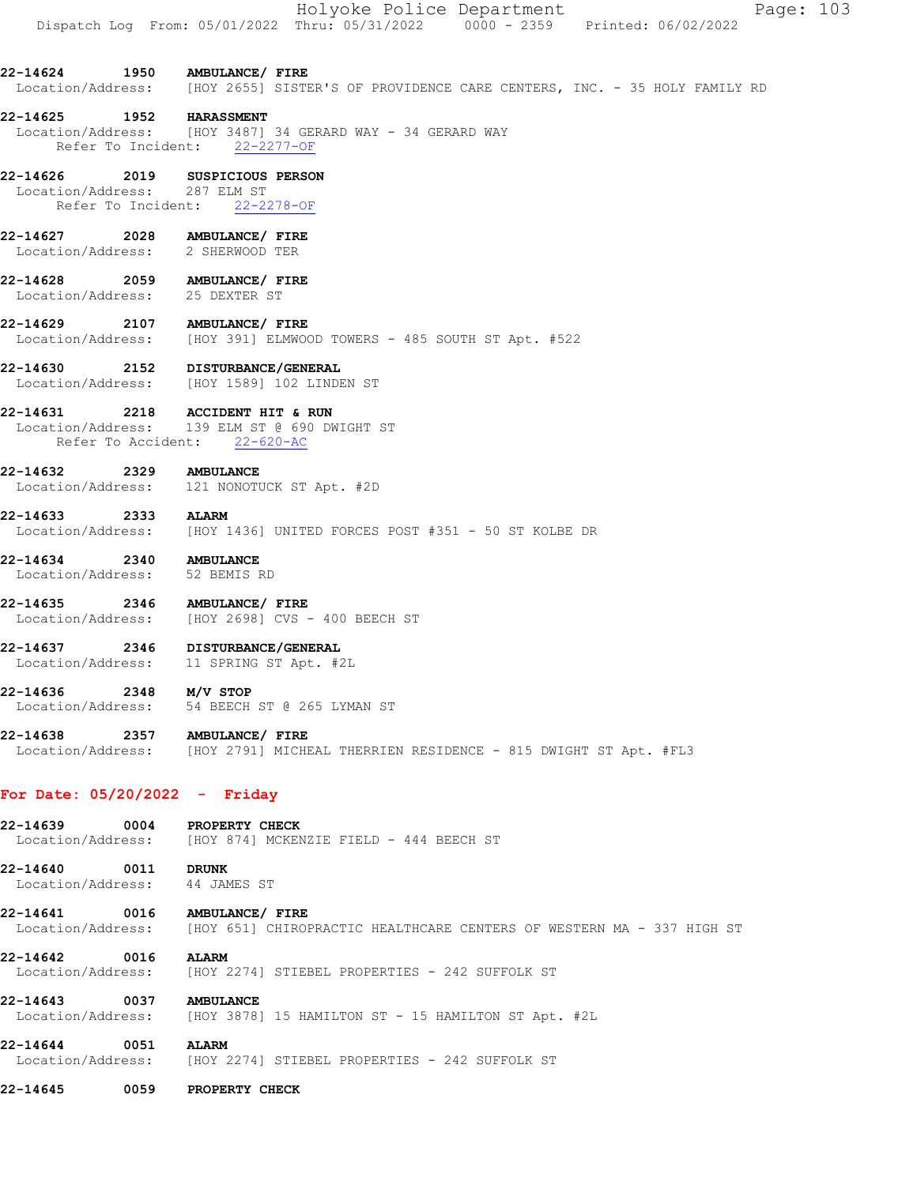|                                                                   |            | Dispatch Log From: 05/01/2022 Thru: 05/31/2022 0000 - 2359 Printed: 06/02/2022                                   |
|-------------------------------------------------------------------|------------|------------------------------------------------------------------------------------------------------------------|
| 22-14624 1950 AMBULANCE/ FIRE                                     |            | Location/Address: [HOY 2655] SISTER'S OF PROVIDENCE CARE CENTERS, INC. - 35 HOLY FAMILY RD                       |
| 22-14625 1952 HARASSMENT                                          |            | Location/Address: [HOY 3487] 34 GERARD WAY - 34 GERARD WAY<br>Refer To Incident: 22-2277-OF                      |
| Location/Address: 287 ELM ST                                      |            | 22-14626 2019 SUSPICIOUS PERSON<br>Refer To Incident: 22-2278-OF                                                 |
| 22-14627 2028 AMBULANCE/ FIRE<br>Location/Address: 2 SHERWOOD TER |            |                                                                                                                  |
| 22-14628 2059 AMBULANCE/ FIRE<br>Location/Address: 25 DEXTER ST   |            |                                                                                                                  |
| 22-14629 2107 AMBULANCE/ FIRE                                     |            | Location/Address: [HOY 391] ELMWOOD TOWERS - 485 SOUTH ST Apt. #522                                              |
|                                                                   |            | 22-14630 2152 DISTURBANCE/GENERAL<br>Location/Address: [HOY 1589] 102 LINDEN ST                                  |
|                                                                   |            | 22-14631 2218 ACCIDENT HIT & RUN<br>Location/Address: 139 ELM ST @ 690 DWIGHT ST<br>Refer To Accident: 22-620-AC |
| 22-14632 2329 AMBULANCE                                           |            | Location/Address: 121 NONOTUCK ST Apt. #2D                                                                       |
|                                                                   |            | 22-14633 2333 ALARM<br>Location/Address: [HOY 1436] UNITED FORCES POST #351 - 50 ST KOLBE DR                     |
| 22-14634 2340 AMBULANCE<br>Location/Address: 52 BEMIS RD          |            |                                                                                                                  |
| 22-14635 2346 AMBULANCE/ FIRE                                     |            | Location/Address: [HOY 2698] CVS - 400 BEECH ST                                                                  |
|                                                                   |            | 22-14637 2346 DISTURBANCE/GENERAL<br>Location/Address: 11 SPRING ST Apt. #2L                                     |
| 22-14636 2348 M/V STOP                                            |            | Location/Address: 54 BEECH ST @ 265 LYMAN ST                                                                     |
| 22-14638 2357 AMBULANCE/ FIRE                                     |            | Location/Address: [HOY 2791] MICHEAL THERRIEN RESIDENCE - 815 DWIGHT ST Apt. #FL3                                |
| For Date: $05/20/2022 -$ Friday                                   |            |                                                                                                                  |
| 22-14639 0004 PROPERTY CHECK                                      |            | Location/Address: [HOY 874] MCKENZIE FIELD - 444 BEECH ST                                                        |
| 22-14640<br>Location/Address: 44 JAMES ST                         | 0011 DRUNK |                                                                                                                  |
| 22-14641 0016 AMBULANCE/ FIRE                                     |            | Location/Address: [HOY 651] CHIROPRACTIC HEALTHCARE CENTERS OF WESTERN MA - 337 HIGH ST                          |
| 22-14642<br>Location/Address:                                     | 0016       | <b>ALARM</b><br>[HOY 2274] STIEBEL PROPERTIES - 242 SUFFOLK ST                                                   |
| 22-14643 0037                                                     |            | <b>AMBULANCE</b><br>Location/Address: [HOY 3878] 15 HAMILTON ST - 15 HAMILTON ST Apt. #2L                        |
| 22-14644                                                          | 0051       | <b>ALARM</b>                                                                                                     |

Holyoke Police Department Fage: 103

Location/Address: [HOY 2274] STIEBEL PROPERTIES - 242 SUFFOLK ST

22-14645 0059 PROPERTY CHECK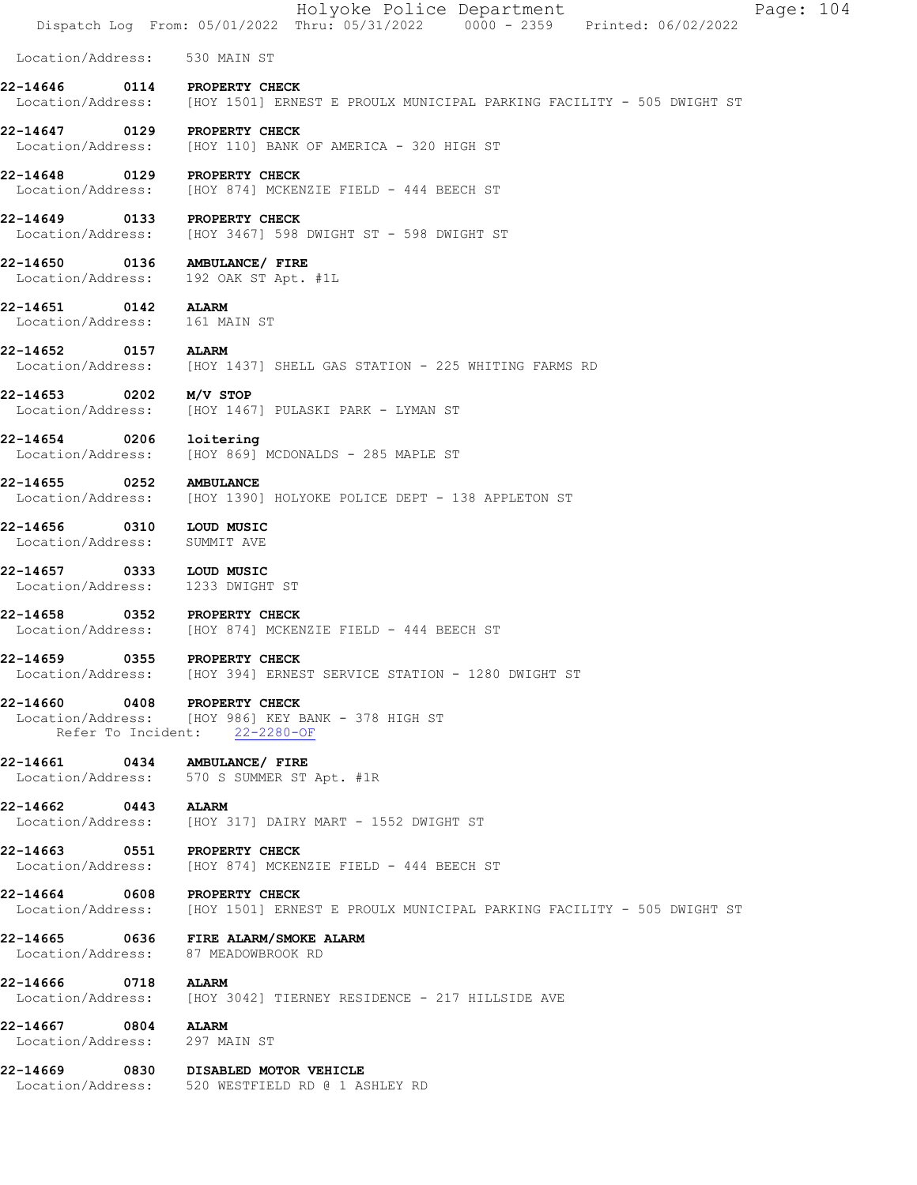|                                                      |            | Holyoke Police Department<br>Page: $104$<br>Dispatch Log From: 05/01/2022 Thru: 05/31/2022 0000 - 2359 Printed: 06/02/2022   |
|------------------------------------------------------|------------|------------------------------------------------------------------------------------------------------------------------------|
| Location/Address: 530 MAIN ST                        |            |                                                                                                                              |
| 22-14646                                             |            | 0114 PROPERTY CHECK<br>Location/Address: [HOY 1501] ERNEST E PROULX MUNICIPAL PARKING FACILITY - 505 DWIGHT ST               |
|                                                      |            | 22-14647 0129 PROPERTY CHECK<br>  Location/Address: [HOY 110] BANK OF AMERICA - 320 HIGH ST                                  |
| 22-14648                                             |            | 0129 PROPERTY CHECK<br>Location/Address: [HOY 874] MCKENZIE FIELD - 444 BEECH ST                                             |
|                                                      |            | 22-14649 0133 PROPERTY CHECK<br>Location/Address: [HOY 3467] 598 DWIGHT ST - 598 DWIGHT ST                                   |
| 22-14650                                             |            | 0136 AMBULANCE/ FIRE<br>Location/Address: 192 OAK ST Apt. #1L                                                                |
| 22-14651 0142<br>Location/Address: 161 MAIN ST       |            | <b>ALARM</b>                                                                                                                 |
| 22-14652                                             | 0157 ALARM | Location/Address: [HOY 1437] SHELL GAS STATION - 225 WHITING FARMS RD                                                        |
| 22-14653 0202<br>Location/Address:                   |            | M/V STOP<br>[HOY 1467] PULASKI PARK - LYMAN ST                                                                               |
| 22-14654 0206<br>Location/Address:                   |            | loitering<br>[HOY 869] MCDONALDS - 285 MAPLE ST                                                                              |
| 22-14655                                             | 0252       | <b>AMBULANCE</b><br>Location/Address: [HOY 1390] HOLYOKE POLICE DEPT - 138 APPLETON ST                                       |
| 22-14656 0310 LOUD MUSIC<br>Location/Address:        |            | SUMMIT AVE                                                                                                                   |
| 22-14657                                             |            | 0333 LOUD MUSIC<br>Location/Address: 1233 DWIGHT ST                                                                          |
|                                                      |            | 22-14658 0352 PROPERTY CHECK<br>Location/Address: [HOY 874] MCKENZIE FIELD - 444 BEECH ST                                    |
| 22-14659                                             | 0355       | PROPERTY CHECK<br>Location/Address: [HOY 394] ERNEST SERVICE STATION - 1280 DWIGHT ST                                        |
| 22-14660 0408                                        |            | <b>PROPERTY CHECK</b><br>Location/Address: [HOY 986] KEY BANK - 378 HIGH ST<br>Refer To Incident: 22-2280-OF                 |
|                                                      |            | 22-14661 0434 AMBULANCE/ FIRE<br>Location/Address: 570 S SUMMER ST Apt. #1R                                                  |
| 22-14662 0443                                        |            | <b>ALARM</b><br>Location/Address: [HOY 317] DAIRY MART - 1552 DWIGHT ST                                                      |
|                                                      |            | 22-14663 0551 PROPERTY CHECK<br>Location/Address: [HOY 874] MCKENZIE FIELD - 444 BEECH ST                                    |
|                                                      |            | 22-14664 0608 PROPERTY CHECK<br>  Location/Address:    [HOY 1501] ERNEST E PROULX MUNICIPAL PARKING FACILITY - 505 DWIGHT ST |
|                                                      |            | 22-14665 0636 FIRE ALARM/SMOKE ALARM<br>Location/Address: 87 MEADOWBROOK RD                                                  |
| 22-14666 0718<br>Location/Address:                   |            | <b>ALARM</b><br>[HOY 3042] TIERNEY RESIDENCE - 217 HILLSIDE AVE                                                              |
| 22-14667 0804 ALARM<br>Location/Address: 297 MAIN ST |            |                                                                                                                              |
|                                                      |            | 22-14669 0830 DISABLED MOTOR VEHICLE<br>Location/Address: 520 WESTFIELD RD @ 1 ASHLEY RD                                     |
|                                                      |            |                                                                                                                              |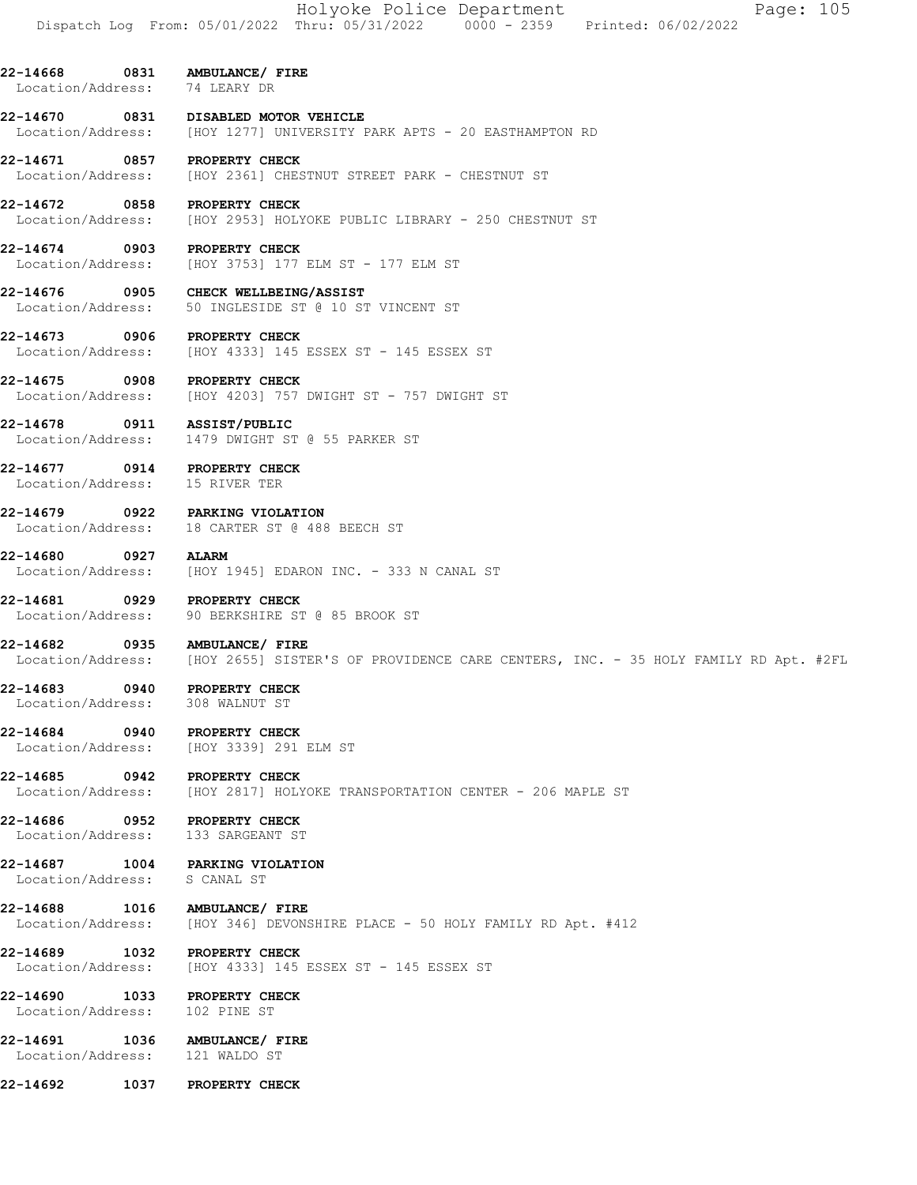22-14668 0831 AMBULANCE/ FIRE Location/Address: 74 LEARY DR

22-14670 0831 DISABLED MOTOR VEHICLE<br>Location/Address: [HOY 1277] UNIVERSITY H [HOY 1277] UNIVERSITY PARK APTS - 20 EASTHAMPTON RD

22-14671 0857 PROPERTY CHECK Location/Address: [HOY 2361] CHESTNUT STREET PARK - CHESTNUT ST

22-14672 0858 PROPERTY CHECK Location/Address: [HOY 2953] HOLYOKE PUBLIC LIBRARY - 250 CHESTNUT ST

22-14674 0903 PROPERTY CHECK Location/Address: [HOY 3753] 177 ELM ST - 177 ELM ST

22-14676 0905 CHECK WELLBEING/ASSIST Location/Address: 50 INGLESIDE ST @ 10 ST VINCENT ST

22-14673 0906 PROPERTY CHECK<br>Location/Address: [HOY 4333] 145 [HOY 4333] 145 ESSEX ST - 145 ESSEX ST

22-14675 0908 PROPERTY CHECK<br>Location/Address: [HOY 4203] 757 Location/Address: [HOY 4203] 757 DWIGHT ST - 757 DWIGHT ST

22-14678 0911 ASSIST/PUBLIC Location/Address: 1479 DWIGHT ST @ 55 PARKER ST

22-14677 0914 PROPERTY CHECK Location/Address: 15 RIVER TER

22-14679 0922 PARKING VIOLATION Location/Address: 18 CARTER ST @ 488 BEECH ST

22-14680 0927 ALARM Location/Address: [HOY 1945] EDARON INC. - 333 N CANAL ST

22-14681 0929 PROPERTY CHECK<br>Location/Address: 90 BERKSHIRE ST Location/Address: 90 BERKSHIRE ST @ 85 BROOK ST

22-14682 0935 AMBULANCE/ FIRE Location/Address: [HOY 2655] SISTER'S OF PROVIDENCE CARE CENTERS, INC. - 35 HOLY FAMILY RD Apt. #2FL

22-14683 0940 PROPERTY CHECK Location/Address: 308 WALNUT ST

22-14684 0940 PROPERTY CHECK Location/Address: [HOY 3339] 291 ELM ST

22-14685 0942 PROPERTY CHECK Location/Address: [HOY 2817] HOLYOKE TRANSPORTATION CENTER - 206 MAPLE ST

22-14686 0952 PROPERTY CHECK<br>Location/Address: 133 SARGEANT ST

22-14687 1004 PARKING VIOLATION Location/Address: S CANAL ST

22-14688 1016 AMBULANCE/ FIRE Location/Address: [HOY 346] DEVONSHIRE PLACE - 50 HOLY FAMILY RD Apt. #412

22-14689 1032 PROPERTY CHECK Location/Address: [HOY 4333] 145 ESSEX ST - 145 ESSEX ST

22-14690 1033 PROPERTY CHECK<br>Location/Address: 102 PINE ST Location/Address:

22-14691 1036 AMBULANCE/ FIRE Location/Address: 121 WALDO ST

Location/Address:

22-14692 1037 PROPERTY CHECK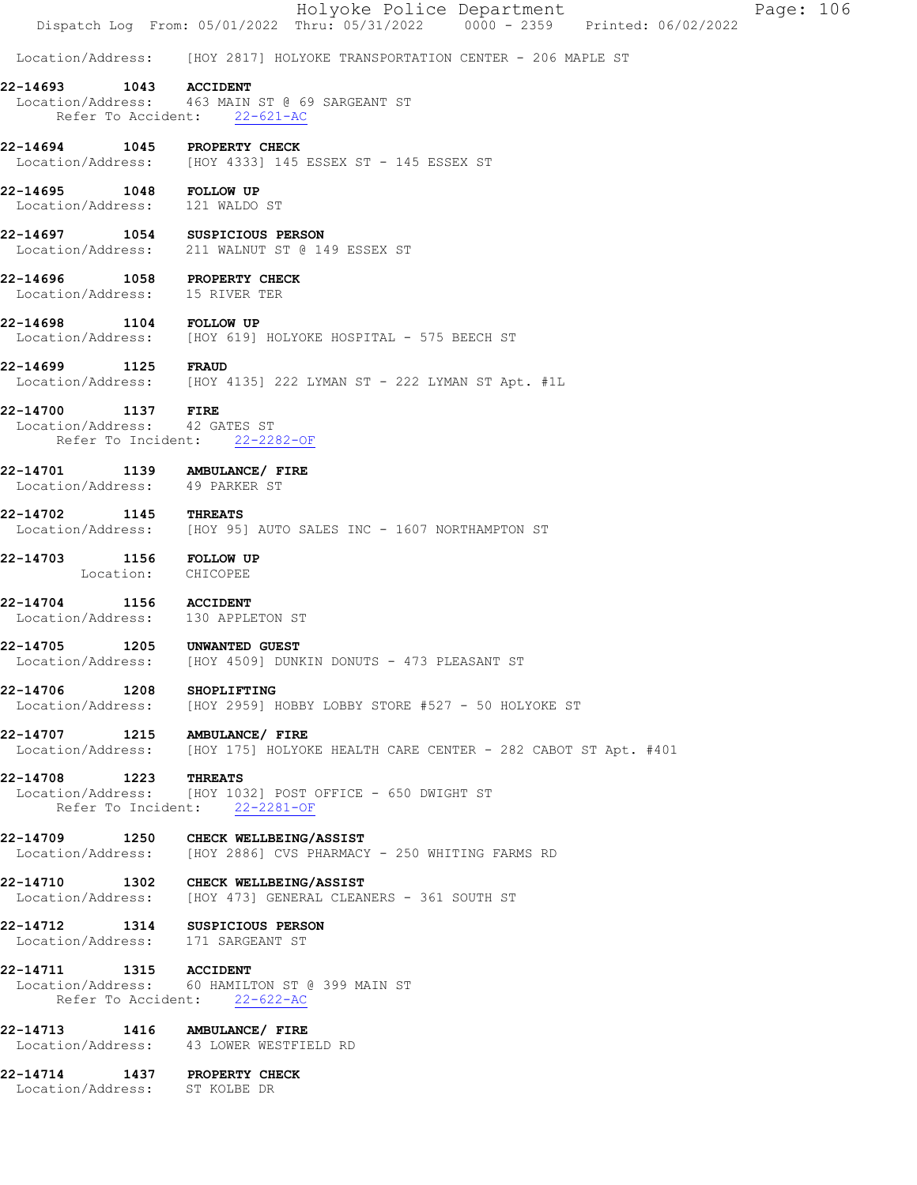|                                                                | Holyoke Police Department<br>Page: 106                                              |
|----------------------------------------------------------------|-------------------------------------------------------------------------------------|
|                                                                | Dispatch Log From: 05/01/2022 Thru: 05/31/2022 0000 - 2359 Printed: 06/02/2022      |
|                                                                | Location/Address: [HOY 2817] HOLYOKE TRANSPORTATION CENTER - 206 MAPLE ST           |
| 22-14693 1043 ACCIDENT                                         | Location/Address: 463 MAIN ST @ 69 SARGEANT ST<br>Refer To Accident: 22-621-AC      |
| 22-14694 1045 PROPERTY CHECK                                   | Location/Address: [HOY 4333] 145 ESSEX ST - 145 ESSEX ST                            |
| <b>22-14695 1048 FOLLOW UP</b><br>Location/Address:            | 121 WALDO ST                                                                        |
| 22-14697                                                       | 1054 SUSPICIOUS PERSON<br>Location/Address: 211 WALNUT ST @ 149 ESSEX ST            |
| 22-14696 1058 PROPERTY CHECK<br>Location/Address: 15 RIVER TER |                                                                                     |
| 22-14698 1104 FOLLOW UP                                        | Location/Address: [HOY 619] HOLYOKE HOSPITAL - 575 BEECH ST                         |
| 22-14699 1125 FRAUD                                            | Location/Address: [HOY 4135] 222 LYMAN ST - 222 LYMAN ST Apt. #1L                   |
| 1137 FIRE<br>22-14700<br>Location/Address: 42 GATES ST         | Refer To Incident: 22-2282-OF                                                       |
| 22-14701<br>Location/Address: 49 PARKER ST                     | 1139 AMBULANCE/ FIRE                                                                |
| 22-14702 1145 THREATS                                          | Location/Address: [HOY 95] AUTO SALES INC - 1607 NORTHAMPTON ST                     |
| 22-14703 1156 FOLLOW UP<br>Location: CHICOPEE                  |                                                                                     |
| 22-14704 1156 ACCIDENT<br>Location/Address:                    | 130 APPLETON ST                                                                     |
| 22-14705                                                       | 1205 UNWANTED GUEST<br>Location/Address: [HOY 4509] DUNKIN DONUTS - 473 PLEASANT ST |
| 22-14706<br>1208                                               | <b>SHOPLIFTING</b>                                                                  |

Location/Address: [HOY 2959] HOBBY LOBBY STORE #527 - 50 HOLYOKE ST

22-14707 1215 AMBULANCE/ FIRE Location/Address: [HOY 175] HOLYOKE HEALTH CARE CENTER - 282 CABOT ST Apt. #401

22-14708 1223 THREATS Location/Address: [HOY 1032] POST OFFICE - 650 DWIGHT ST Refer To Incident: 22-2281-OF

22-14709 1250 CHECK WELLBEING/ASSIST Location/Address: [HOY 2886] CVS PHARMACY - 250 WHITING FARMS RD

22-14710 1302 CHECK WELLBEING/ASSIST Location/Address: [HOY 473] GENERAL CLEANERS - 361 SOUTH ST

22-14712 1314 SUSPICIOUS PERSON

Location/Address: 171 SARGEANT ST

22-14711 1315 ACCIDENT Location/Address: 60 HAMILTON ST @ 399 MAIN ST Refer To Accident: 22-622-AC

22-14713 1416 AMBULANCE/ FIRE Location/Address: 43 LOWER WESTFIELD RD

22-14714 1437 PROPERTY CHECK Location/Address: ST KOLBE DR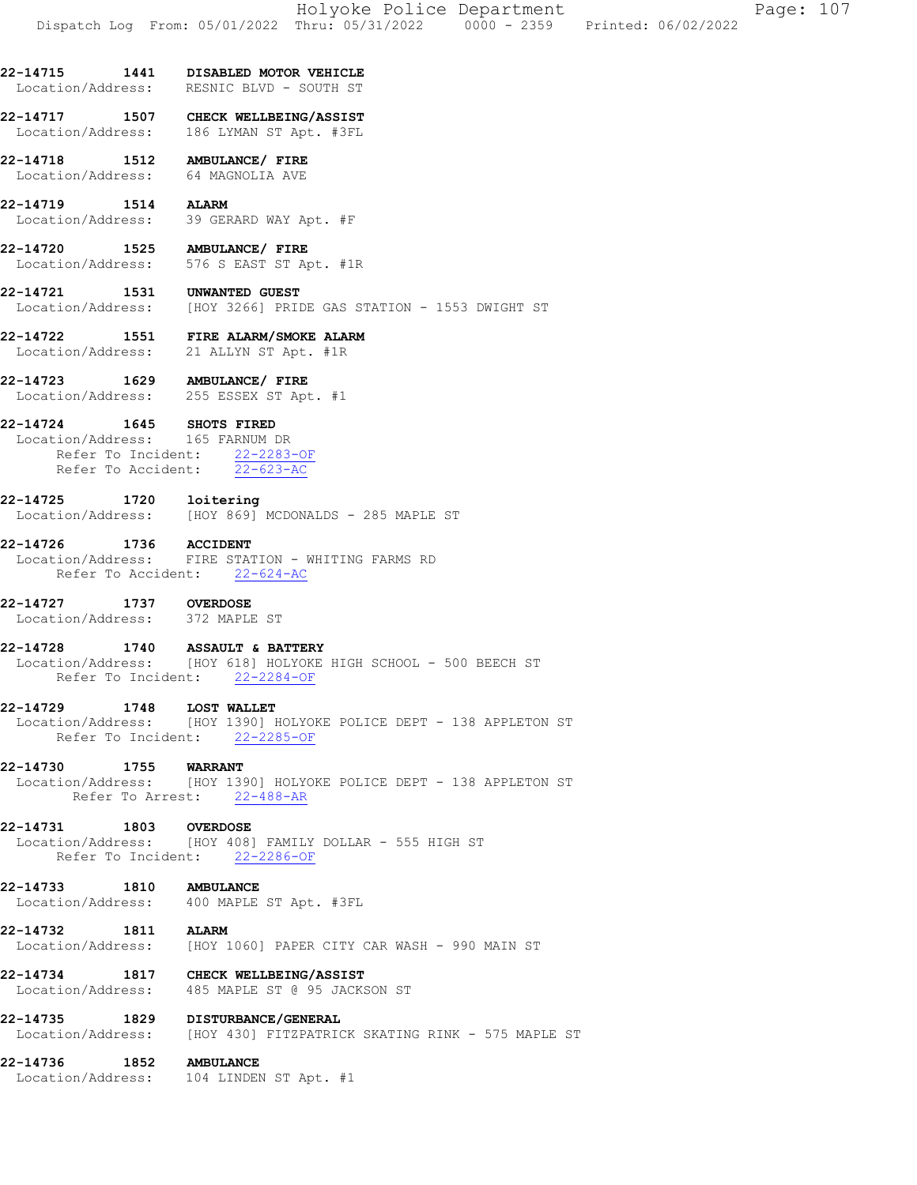22-14717 1507 CHECK WELLBEING/ASSIST Location/Address: 186 LYMAN ST Apt. #3FL

22-14718 1512 AMBULANCE/ FIRE Location/Address: 64 MAGNOLIA AVE

22-14719 1514 ALARM Location/Address: 39 GERARD WAY Apt. #F

22-14720 1525 AMBULANCE/ FIRE Location/Address: 576 S EAST ST Apt. #1R

22-14721 1531 UNWANTED GUEST Location/Address: [HOY 3266] PRIDE GAS STATION - 1553 DWIGHT ST

22-14722 1551 FIRE ALARM/SMOKE ALARM<br>Location/Address: 21 ALLYN ST Apt. #1R 21 ALLYN ST Apt. #1R

22-14723 1629 AMBULANCE/ FIRE Location/Address: 255 ESSEX ST Apt. #1

#### 22-14724 1645 SHOTS FIRED

 Location/Address: 165 FARNUM DR Refer To Incident: 22-2283-OF Refer To Accident: 22-623-AC

22-14725 1720 loitering Location/Address: [HOY 869] MCDONALDS - 285 MAPLE ST

22-14726 1736 ACCIDENT Location/Address: FIRE STATION - WHITING FARMS RD Refer To Accident: 22-624-AC

22-14727 1737 OVERDOSE

Location/Address: 372 MAPLE ST

22-14728 1740 ASSAULT & BATTERY

 Location/Address: [HOY 618] HOLYOKE HIGH SCHOOL - 500 BEECH ST Refer To Incident: 22-2284-OF

### 22-14729 1748 LOST WALLET

 Location/Address: [HOY 1390] HOLYOKE POLICE DEPT - 138 APPLETON ST Refer To Incident: 22-2285-OF

22-14730 1755 WARRANT

 Location/Address: [HOY 1390] HOLYOKE POLICE DEPT - 138 APPLETON ST Refer To Arrest: 22-488-AR

#### 22-14731 1803 OVERDOSE

 Location/Address: [HOY 408] FAMILY DOLLAR - 555 HIGH ST Refer To Incident: 22-2286-OF

#### 22-14733 1810 AMBULANCE Location/Address: 400 MAPLE ST Apt. #3FL

**22-14732 1811 ALARM**<br>
Location/Address: [HOY 1 [HOY 1060] PAPER CITY CAR WASH - 990 MAIN ST

22-14734 1817 CHECK WELLBEING/ASSIST Location/Address: 485 MAPLE ST @ 95 JACKSON ST

22-14735 1829 DISTURBANCE/GENERAL Location/Address: [HOY 430] FITZPATRICK SKATING RINK - 575 MAPLE ST

22-14736 1852 AMBULANCE Location/Address: 104 LINDEN ST Apt. #1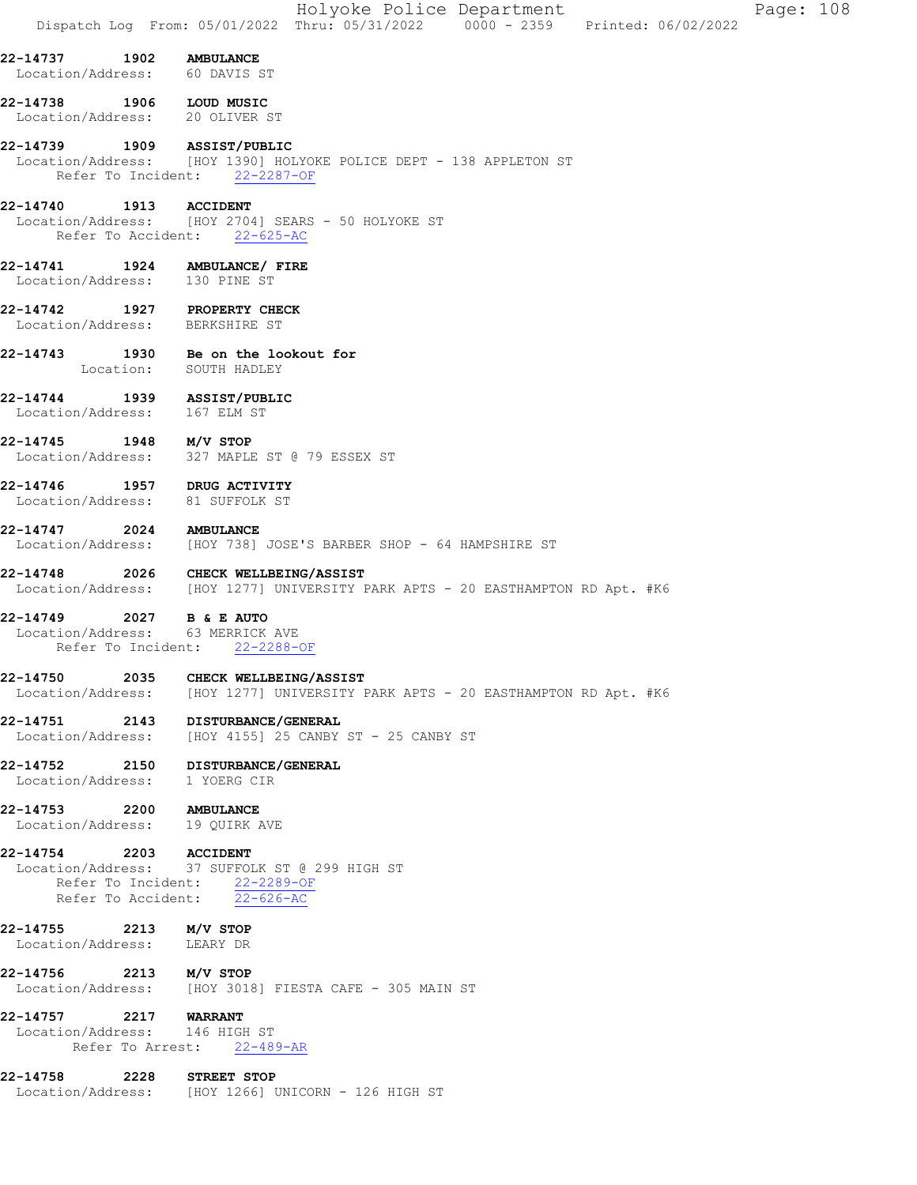|                                                                                    | Holyoke Police Department<br>Page: 108<br>Dispatch Log From: 05/01/2022 Thru: 05/31/2022 0000 - 2359 Printed: 06/02/2022           |
|------------------------------------------------------------------------------------|------------------------------------------------------------------------------------------------------------------------------------|
| 22-14737 1902 AMBULANCE<br>Location/Address: 60 DAVIS ST                           |                                                                                                                                    |
| 22-14738 1906 LOUD MUSIC<br>Location/Address: 20 OLIVER ST                         |                                                                                                                                    |
|                                                                                    | 22-14739 1909 ASSIST/PUBLIC<br>Location/Address: [HOY 1390] HOLYOKE POLICE DEPT - 138 APPLETON ST<br>Refer To Incident: 22-2287-OF |
| 22-14740 1913 ACCIDENT                                                             | Location/Address: [HOY 2704] SEARS - 50 HOLYOKE ST<br>Refer To Accident: 22-625-AC                                                 |
| Location/Address: 130 PINE ST                                                      | 22-14741   1924   AMBULANCE/ FIRE                                                                                                  |
| 22-14742 1927 PROPERTY CHECK<br>Location/Address: BERKSHIRE ST                     |                                                                                                                                    |
|                                                                                    | 22-14743 1930 Be on the lookout for<br>Location: SOUTH HADLEY                                                                      |
| 22-14744 1939 ASSIST/PUBLIC<br>Location/Address: 167 ELM ST                        |                                                                                                                                    |
| 22-14745 1948 M/V STOP                                                             | Location/Address: 327 MAPLE ST @ 79 ESSEX ST                                                                                       |
| 22-14746 1957 DRUG ACTIVITY<br>Location/Address: 81 SUFFOLK ST                     |                                                                                                                                    |
| 22-14747 2024 AMBULANCE                                                            | Location/Address: [HOY 738] JOSE'S BARBER SHOP - 64 HAMPSHIRE ST                                                                   |
|                                                                                    | 22-14748 2026 CHECK WELLBEING/ASSIST<br>Location/Address: [HOY 1277] UNIVERSITY PARK APTS - 20 EASTHAMPTON RD Apt. #K6             |
| 22-14749 2027 B & E AUTO<br>Location/Address: 63 MERRICK AVE<br>Refer To Incident: | $22 - 2288 - OF$                                                                                                                   |
| 22-14750<br>Location/Address:                                                      | 2035 CHECK WELLBEING/ASSIST<br>[HOY 1277] UNIVERSITY PARK APTS - 20 EASTHAMPTON RD Apt. #K6                                        |
| 22-14751 2143<br>Location/Address:                                                 | <b>DISTURBANCE/GENERAL</b><br>[HOY 4155] 25 CANBY ST - 25 CANBY ST                                                                 |
| Location/Address: 1 YOERG CIR                                                      | 22-14752 2150 DISTURBANCE/GENERAL                                                                                                  |
| 22-14753 2200 AMBULANCE<br>Location/Address: 19 QUIRK AVE                          |                                                                                                                                    |
| 22-14754 2203 ACCIDENT                                                             | Location/Address: 37 SUFFOLK ST @ 299 HIGH ST<br>Refer To Incident: 22-2289-OF<br>Refer To Accident: 22-626-AC                     |
| 22-14755 2213 M/V STOP<br>Location/Address: LEARY DR                               |                                                                                                                                    |
| 22-14756 2213 M/V STOP                                                             | Location/Address: [HOY 3018] FIESTA CAFE - 305 MAIN ST                                                                             |
| 22-14757 2217 WARRANT<br>Location/Address: 146 HIGH ST                             | Refer To Arrest: 22-489-AR                                                                                                         |
| 22-14758 2228 STREET STOP                                                          | Location/Address: [HOY 1266] UNICORN - 126 HIGH ST                                                                                 |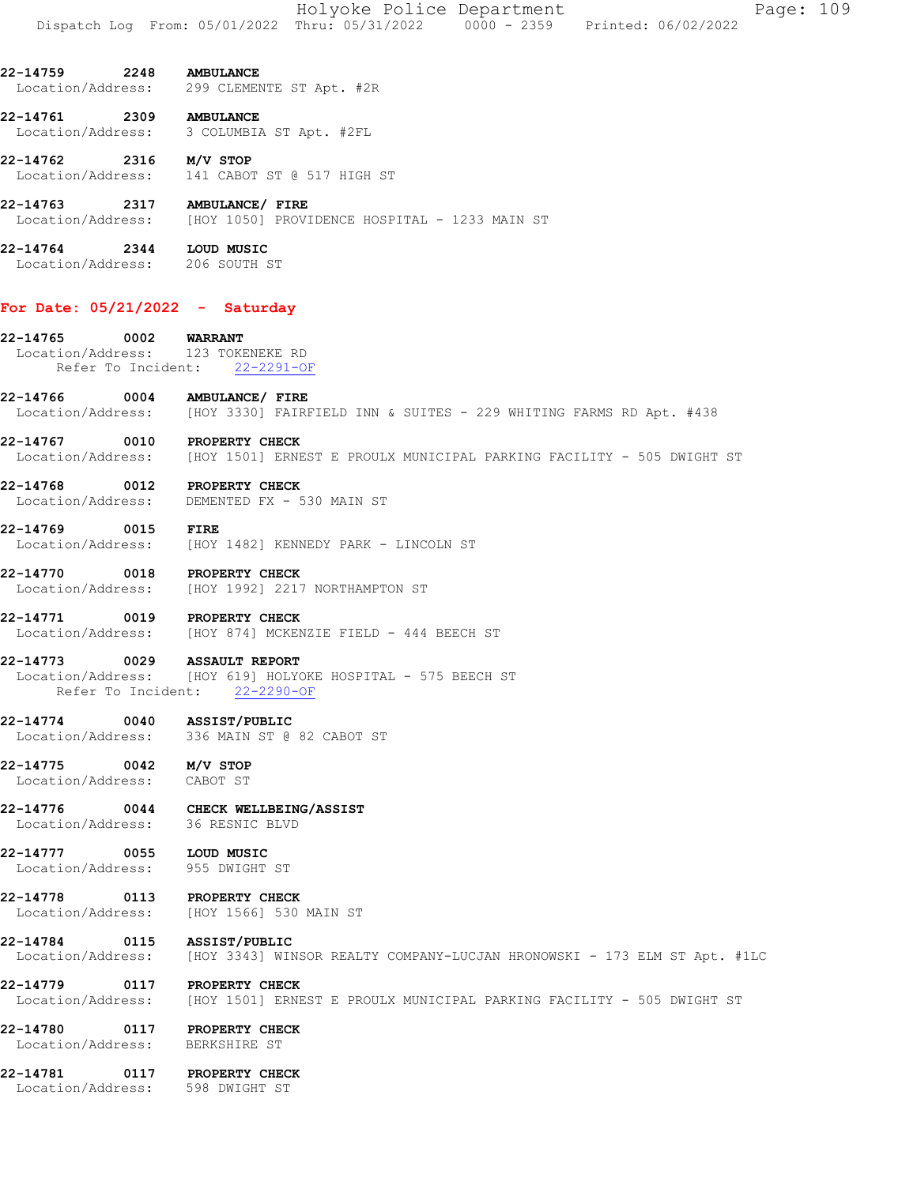Holyoke Police Department Page: 109 Dispatch Log From: 05/01/2022 Thru: 05/31/2022 0000 - 2359 Printed: 06/02/2022

22-14759 2248 AMBULANCE Location/Address: 299 CLEMENTE ST Apt. #2R

22-14761 2309 AMBULANCE<br>Location/Address: 3 COLUMBIA 3 COLUMBIA ST Apt. #2FL

22-14762 2316 M/V STOP Location/Address: 141 CABOT ST @ 517 HIGH ST

22-14763 2317 AMBULANCE/ FIRE Location/Address: [HOY 1050] PROVIDENCE HOSPITAL - 1233 MAIN ST

22-14764 2344 LOUD MUSIC Location/Address: 206 SOUTH ST

#### For Date: 05/21/2022 - Saturday

22-14765 0002 WARRANT

Location/Address: 123 TOKENEKE RD<br>Refer To Incident: 22-2291-OF Refer To Incident: 22-14766 0004 AMBULANCE/ FIRE Location/Address: [HOY 3330] FAIRFIELD INN & SUITES - 229 WHITING FARMS RD Apt. #438 22-14767 0010 PROPERTY CHECK Location/Address: [HOY 1501] ERNEST E PROULX MUNICIPAL PARKING FACILITY - 505 DWIGHT ST 22-14768 0012 PROPERTY CHECK Location/Address: DEMENTED FX - 530 MAIN ST 22-14769 0015 FIRE Location/Address: [HOY 1482] KENNEDY PARK - LINCOLN ST 22-14770 0018 PROPERTY CHECK<br>Location/Address: [HOY 1992] 2217 Location/Address: [HOY 1992] 2217 NORTHAMPTON ST 22-14771 0019 PROPERTY CHECK Location/Address: [HOY 874] MCKENZIE FIELD - 444 BEECH ST 22-14773 0029 ASSAULT REPORT Location/Address: [HOY 619] HOLYOKE HOSPITAL - 575 BEECH ST Refer To Incident: 22-2290-OF 22-14774 0040 ASSIST/PUBLIC Location/Address: 336 MAIN ST @ 82 CABOT ST 22-14775 0042 M/V STOP Location/Address: CABOT ST 22-14776 0044 CHECK WELLBEING/ASSIST Location/Address: 36 RESNIC BLVD 22-14777 0055 LOUD MUSIC Location/Address: 955 DWIGHT ST 22-14778 0113 PROPERTY CHECK<br>Location/Address: [HOY 1566] 530 Location/Address: [HOY 1566] 530 MAIN ST 22-14784 0115 ASSIST/PUBLIC Location/Address: [HOY 3343] WINSOR REALTY COMPANY-LUCJAN HRONOWSKI - 173 ELM ST Apt. #1LC 22-14779 0117 PROPERTY CHECK Location/Address: [HOY 1501] ERNEST E PROULX MUNICIPAL PARKING FACILITY - 505 DWIGHT ST 22-14780 0117 PROPERTY CHECK Location/Address: BERKSHIRE ST 22-14781 0117 PROPERTY CHECK Location/Address: 598 DWIGHT ST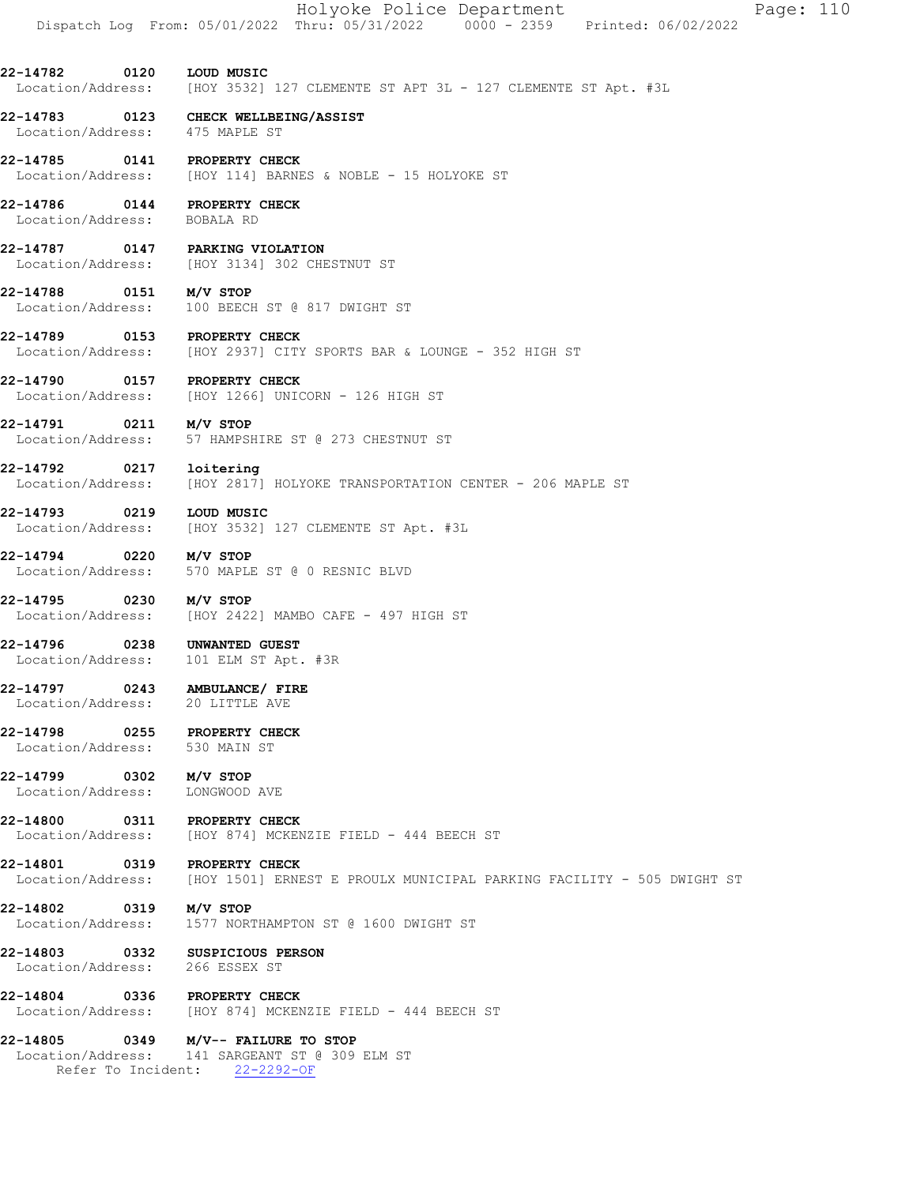|                                                                                | Holyoke Police Department |  | Page: 110 |  |
|--------------------------------------------------------------------------------|---------------------------|--|-----------|--|
| Dispatch Log From: 05/01/2022 Thru: 05/31/2022 0000 - 2359 Printed: 06/02/2022 |                           |  |           |  |

22-14782 0120 LOUD MUSIC Location/Address: [HOY 3532] 127 CLEMENTE ST APT 3L - 127 CLEMENTE ST Apt. #3L

22-14783 0123 CHECK WELLBEING/ASSIST<br>Location/Address: 475 MAPLE ST Location/Address:

22-14785 0141 PROPERTY CHECK Location/Address: [HOY 114] BARNES & NOBLE - 15 HOLYOKE ST

22-14786 0144 PROPERTY CHECK Location/Address: BOBALA RD

22-14787 0147 PARKING VIOLATION Location/Address: [HOY 3134] 302 CHESTNUT ST

22-14788 0151 M/V STOP Location/Address: 100 BEECH ST @ 817 DWIGHT ST

22-14789 0153 PROPERTY CHECK<br>Location/Address: [HOY 2937] CITY [HOY 2937] CITY SPORTS BAR & LOUNGE - 352 HIGH ST

22-14790 0157 PROPERTY CHECK<br>Location/Address: [HOY 1266] UNIC [HOY 1266] UNICORN - 126 HIGH ST

22-14791 0211 M/V STOP Location/Address: 57 HAMPSHIRE ST @ 273 CHESTNUT ST

22-14792 0217 loitering Location/Address: [HOY 2817] HOLYOKE TRANSPORTATION CENTER - 206 MAPLE ST

22-14793 0219 LOUD MUSIC Location/Address: [HOY 3532] 127 CLEMENTE ST Apt. #3L

22-14794 0220 M/V STOP Location/Address: 570 MAPLE ST @ 0 RESNIC BLVD

**22-14795 0230 M/V STOP**<br>Location/Address: [HOY 2422 [HOY 2422] MAMBO CAFE - 497 HIGH ST

22-14796 0238 UNWANTED GUEST Location/Address: 101 ELM ST Apt. #3R

22-14797 0243 AMBULANCE/ FIRE Location/Address: 20 LITTLE AVE

22-14798 0255 PROPERTY CHECK Location/Address: 530 MAIN ST

22-14799 0302 M/V STOP Location/Address: LONGWOOD AVE

22-14800 0311 PROPERTY CHECK<br>Location/Address: [HOY 874] MCKEN

[HOY 874] MCKENZIE FIELD - 444 BEECH ST 22-14801 0319 PROPERTY CHECK

Location/Address: [HOY 1501] ERNEST E PROULX MUNICIPAL PARKING FACILITY - 505 DWIGHT ST

22-14802 0319 M/V STOP Location/Address: 1577 NORTHAMPTON ST @ 1600 DWIGHT ST

22-14803 0332 SUSPICIOUS PERSON Location/Address: 266 ESSEX ST

22-14804 0336 PROPERTY CHECK<br>Location/Address: [HOY 874] MCKEN [HOY 874] MCKENZIE FIELD - 444 BEECH ST

22-14805 0349 M/V-- FAILURE TO STOP Location/Address: 141 SARGEANT ST @ 309 ELM ST Refer To Incident: 22-2292-OF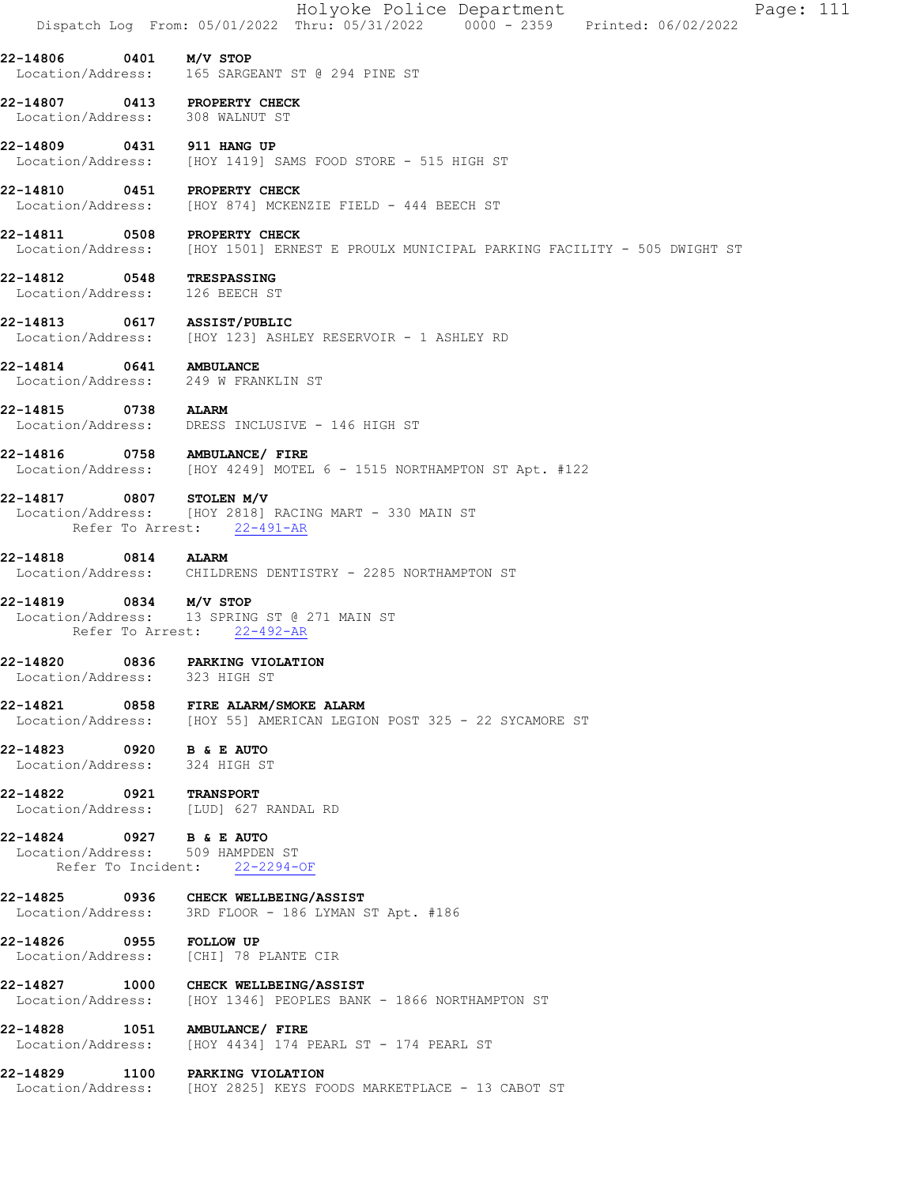|                                                             |            | Holyoke Police Department<br>Page: 111<br>Dispatch Log From: 05/01/2022 Thru: 05/31/2022 0000 - 2359 Printed: 06/02/2022 |
|-------------------------------------------------------------|------------|--------------------------------------------------------------------------------------------------------------------------|
| 22-14806 0401 M/V STOP                                      |            | Location/Address: 165 SARGEANT ST @ 294 PINE ST                                                                          |
| 22-14807<br>Location/Address: 308 WALNUT ST                 |            | 0413 PROPERTY CHECK                                                                                                      |
| 22-14809 0431 911 HANG UP                                   |            | Location/Address: [HOY 1419] SAMS FOOD STORE - 515 HIGH ST                                                               |
| 22-14810                                                    |            | 0451 PROPERTY CHECK<br>Location/Address: [HOY 874] MCKENZIE FIELD - 444 BEECH ST                                         |
| 22-14811 0508 PROPERTY CHECK                                |            | Location/Address: [HOY 1501] ERNEST E PROULX MUNICIPAL PARKING FACILITY - 505 DWIGHT ST                                  |
| 22-14812 0548 TRESPASSING<br>Location/Address: 126 BEECH ST |            |                                                                                                                          |
| 22-14813 0617 ASSIST/PUBLIC                                 |            | Location/Address: [HOY 123] ASHLEY RESERVOIR - 1 ASHLEY RD                                                               |
| 22-14814 0641 AMBULANCE                                     |            | Location/Address: 249 W FRANKLIN ST                                                                                      |
| 22-14815                                                    | 0738 ALARM | Location/Address: DRESS INCLUSIVE - 146 HIGH ST                                                                          |
|                                                             |            | 22-14816 0758 AMBULANCE/ FIRE<br>Location/Address: [HOY 4249] MOTEL 6 - 1515 NORTHAMPTON ST Apt. #122                    |
| 22-14817 0807 STOLEN M/V                                    |            | Location/Address: [HOY 2818] RACING MART - 330 MAIN ST<br>Refer To Arrest: 22-491-AR                                     |
| 22-14818 0814 ALARM                                         |            | Location/Address: CHILDRENS DENTISTRY - 2285 NORTHAMPTON ST                                                              |
| 22-14819                                                    |            | $0834$ M/V STOP<br>Location/Address: 13 SPRING ST @ 271 MAIN ST<br>Refer To Arrest: 22-492-AR                            |
| 22-14820<br>Location/Address:                               |            | 0836 PARKING VIOLATION<br>323 HIGH ST                                                                                    |
|                                                             |            | 22-14821 0858 FIRE ALARM/SMOKE ALARM<br>Location/Address: [HOY 55] AMERICAN LEGION POST 325 - 22 SYCAMORE ST             |
| 22-14823 0920 B & E AUTO<br>Location/Address: 324 HIGH ST   |            |                                                                                                                          |
| 22-14822 0921 TRANSPORT                                     |            | Location/Address: [LUD] 627 RANDAL RD                                                                                    |
| 22-14824 0927 B & E AUTO                                    |            | Location/Address: 509 HAMPDEN ST<br>Refer To Incident: 22-2294-OF                                                        |
|                                                             |            | 22-14825 0936 CHECK WELLBEING/ASSIST<br>Location/Address: 3RD FLOOR - 186 LYMAN ST Apt. #186                             |
| 22-14826 0955 FOLLOW UP                                     |            | Location/Address: [CHI] 78 PLANTE CIR                                                                                    |
| Location/Address:                                           |            | 22-14827 1000 CHECK WELLBEING/ASSIST<br>[HOY 1346] PEOPLES BANK - 1866 NORTHAMPTON ST                                    |
|                                                             |            | 22-14828   1051   AMBULANCE/ FIRE<br>Location/Address: [HOY 4434] 174 PEARL ST - 174 PEARL ST                            |
|                                                             |            | 22-14829 1100 PARKING VIOLATION<br>Location/Address: [HOY 2825] KEYS FOODS MARKETPLACE - 13 CABOT ST                     |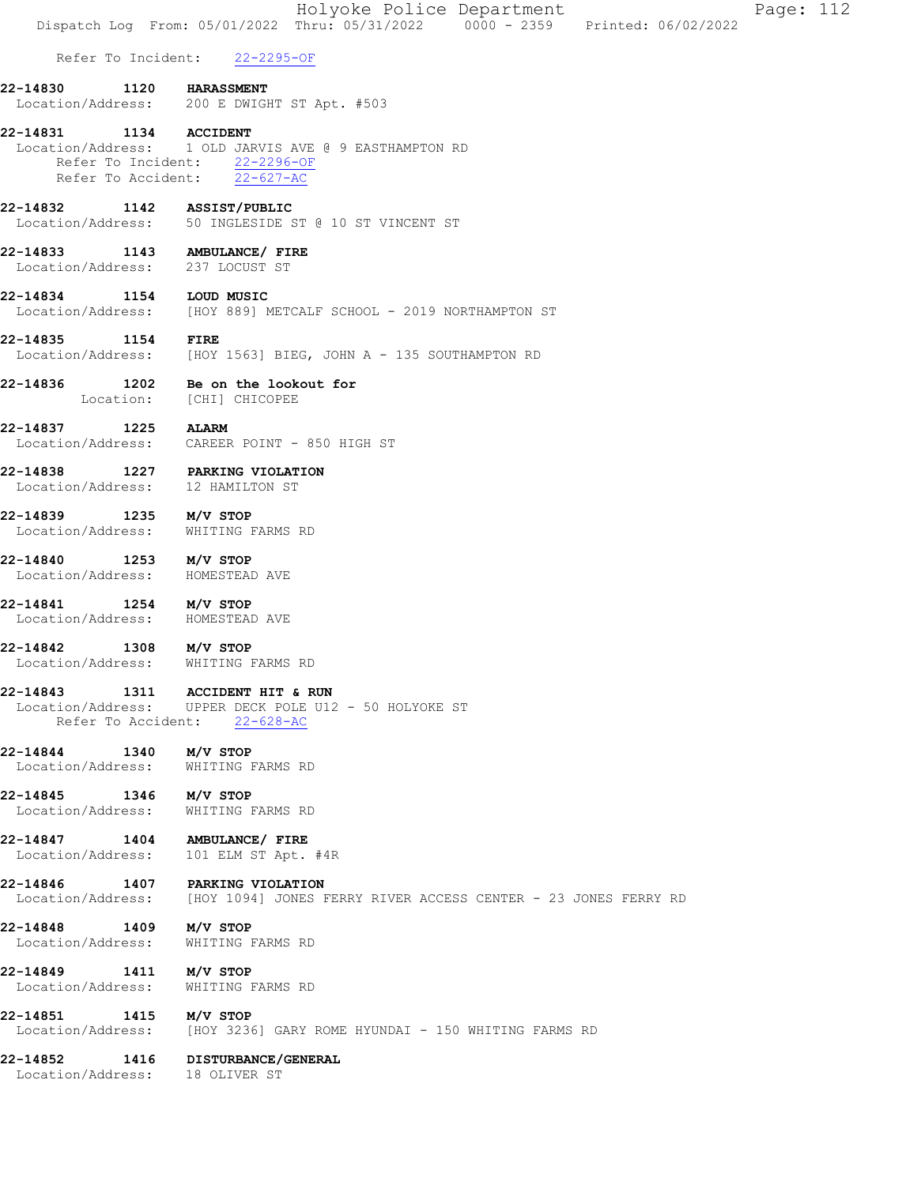Refer To Incident: 22-2295-OF

22-14830 1120 HARASSMENT Location/Address: 200 E DWIGHT ST Apt. #503

22-14831 1134 ACCIDENT Location/Address: 1 OLD JARVIS AVE @ 9 EASTHAMPTON RD Refer To Incident: 22-2296-OF Refer To Accident: 22-627-AC

22-14832 1142 ASSIST/PUBLIC Location/Address: 50 INGLESIDE ST @ 10 ST VINCENT ST

22-14833 1143 AMBULANCE/FIRE<br>Location/Address: 237 LOCUST ST Location/Address:

22-14834 1154 LOUD MUSIC Location/Address: [HOY 889] METCALF SCHOOL - 2019 NORTHAMPTON ST

22-14835 1154 FIRE Location/Address: [HOY 1563] BIEG, JOHN A - 135 SOUTHAMPTON RD

22-14836 1202 Be on the lookout for Location: [CHI] CHICOPEE

22-14837 1225 ALARM Location/Address: CAREER POINT - 850 HIGH ST

22-14838 1227 PARKING VIOLATION Location/Address: 12 HAMILTON ST

22-14839 1235 M/V STOP Location/Address: WHITING FARMS RD

22-14840 1253 M/V STOP<br>Location/Address: HOMESTEAD AVE Location/Address:

22-14841 1254 M/V STOP Location/Address: HOMESTEAD AVE

22-14842 1308 M/V STOP Location/Address: WHITING FARMS RD

22-14843 1311 ACCIDENT HIT & RUN

 Location/Address: UPPER DECK POLE U12 - 50 HOLYOKE ST Refer To Accident: 22-628-AC

22-14844 1340 M/V STOP Location/Address: WHITING FARMS RD

22-14845 1346 M/V STOP

Location/Address: WHITING FARMS RD

22-14847 1404 AMBULANCE/ FIRE Location/Address: 101 ELM ST Apt. #4R

# 22-14846 1407 PARKING VIOLATION<br>Location/Address: [HOY 1094] JONES P

[HOY 1094] JONES FERRY RIVER ACCESS CENTER - 23 JONES FERRY RD

22-14848 1409 M/V STOP Location/Address: WHITING FARMS RD

22-14849 1411 M/V STOP Location/Address: WHITING FARMS RD

**22-14851 1415 M/V STOP**<br>Location/Address: [HOY 3236

[HOY 3236] GARY ROME HYUNDAI - 150 WHITING FARMS RD

22-14852 1416 DISTURBANCE/GENERAL<br>Location/Address: 18 OLIVER ST Location/Address: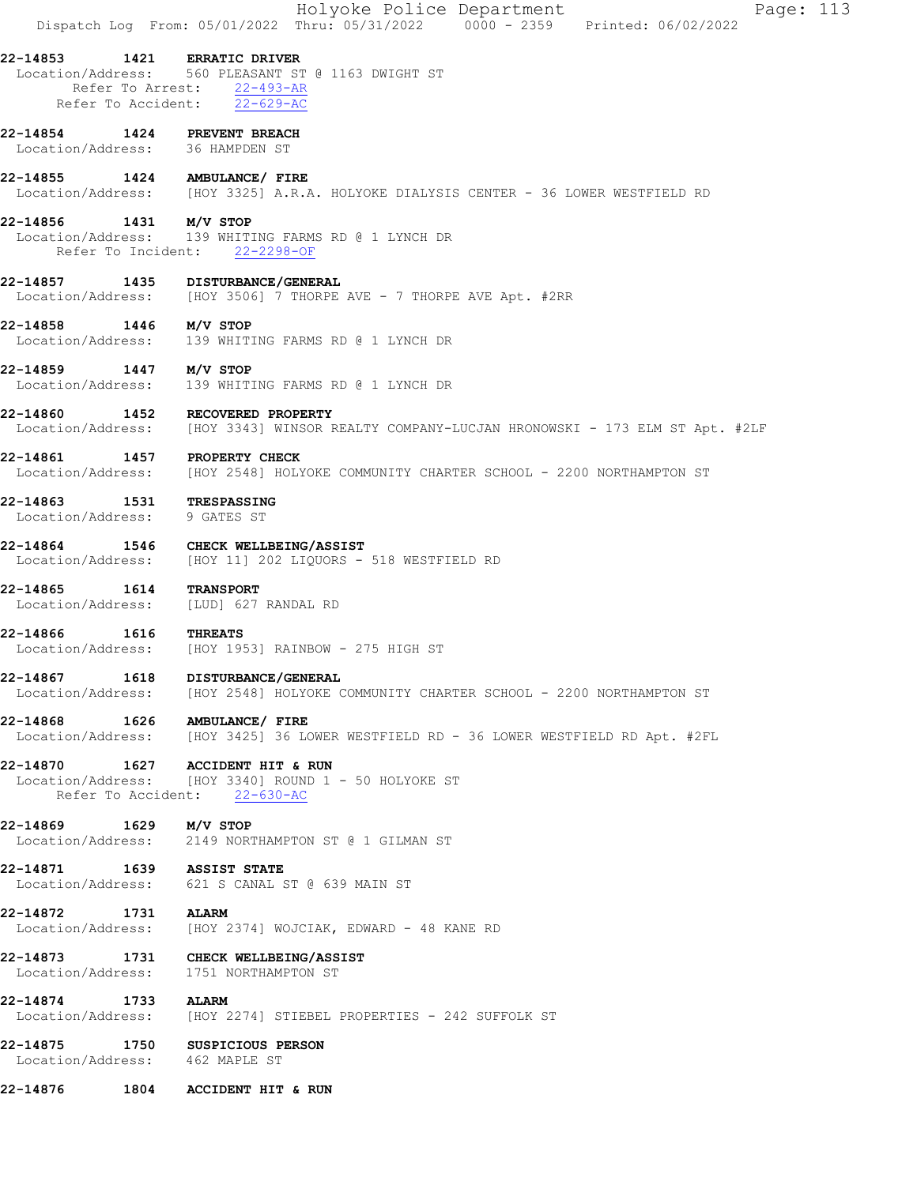|                                                                 |      | Holyoke Police Department<br>Page: 113<br>Dispatch Log From: 05/01/2022 Thru: 05/31/2022 0000 - 2359 Printed: 06/02/2022       |
|-----------------------------------------------------------------|------|--------------------------------------------------------------------------------------------------------------------------------|
| 22-14853 1421 ERRATIC DRIVER                                    |      | Location/Address: 560 PLEASANT ST @ 1163 DWIGHT ST<br>Refer To Arrest: 22-493-AR<br>Refer To Accident: 22-629-AC               |
| 22-14854 1424 PREVENT BREACH<br>Location/Address: 36 HAMPDEN ST |      |                                                                                                                                |
|                                                                 |      | 22-14855 1424 AMBULANCE/ FIRE<br>Location/Address: [HOY 3325] A.R.A. HOLYOKE DIALYSIS CENTER - 36 LOWER WESTFIELD RD           |
| 22-14856 1431 M/V STOP                                          |      | Location/Address: 139 WHITING FARMS RD @ 1 LYNCH DR<br>Refer To Incident: 22-2298-OF                                           |
|                                                                 |      | 22-14857 1435 DISTURBANCE/GENERAL<br>Location/Address: [HOY 3506] 7 THORPE AVE - 7 THORPE AVE Apt. #2RR                        |
| 22-14858 1446 M/V STOP                                          |      | Location/Address: 139 WHITING FARMS RD @ 1 LYNCH DR                                                                            |
| 22-14859 1447 M/V STOP                                          |      | Location/Address: 139 WHITING FARMS RD @ 1 LYNCH DR                                                                            |
|                                                                 |      | 22-14860 1452 RECOVERED PROPERTY<br>Location/Address: [HOY 3343] WINSOR REALTY COMPANY-LUCJAN HRONOWSKI - 173 ELM ST Apt. #2LF |
| 22-14861 1457 PROPERTY CHECK                                    |      | Location/Address: [HOY 2548] HOLYOKE COMMUNITY CHARTER SCHOOL - 2200 NORTHAMPTON ST                                            |
| 22-14863 1531 TRESPASSING<br>Location/Address: 9 GATES ST       |      |                                                                                                                                |
|                                                                 |      | 22-14864 1546 CHECK WELLBEING/ASSIST<br>Location/Address: [HOY 11] 202 LIQUORS - 518 WESTFIELD RD                              |
| 22-14865 1614                                                   |      | <b>TRANSPORT</b><br>Location/Address: [LUD] 627 RANDAL RD                                                                      |
| 22-14866 1616 THREATS                                           |      | Location/Address: [HOY 1953] RAINBOW - 275 HIGH ST                                                                             |
| 22-14867<br>Location/Address:                                   | 1618 | DISTURBANCE/GENERAL<br>[HOY 2548] HOLYOKE COMMUNITY CHARTER SCHOOL - 2200 NORTHAMPTON ST                                       |
| 22-14868 1626<br>Location/Address:                              |      | AMBULANCE/ FIRE<br>[HOY 3425] 36 LOWER WESTFIELD RD - 36 LOWER WESTFIELD RD Apt. #2FL                                          |
|                                                                 |      | 22-14870 1627 ACCIDENT HIT & RUN<br>Location/Address: [HOY 3340] ROUND 1 - 50 HOLYOKE ST<br>Refer To Accident: 22-630-AC       |
| 22-14869 1629 M/V STOP                                          |      | Location/Address: 2149 NORTHAMPTON ST @ 1 GILMAN ST                                                                            |
| 22-14871 1639 ASSIST STATE                                      |      | Location/Address: 621 S CANAL ST @ 639 MAIN ST                                                                                 |
| 22-14872 1731 ALARM<br>Location/Address:                        |      | [HOY 2374] WOJCIAK, EDWARD - 48 KANE RD                                                                                        |
| 22-14873<br>Location/Address:                                   |      | 1731 CHECK WELLBEING/ASSIST<br>1751 NORTHAMPTON ST                                                                             |
| 22-14874 1733<br>Location/Address:                              |      | <b>ALARM</b><br>[HOY 2274] STIEBEL PROPERTIES - 242 SUFFOLK ST                                                                 |
| 22-14875<br>Location/Address: 462 MAPLE ST                      |      | 1750 SUSPICIOUS PERSON                                                                                                         |
| 22-14876                                                        | 1804 | ACCIDENT HIT & RUN                                                                                                             |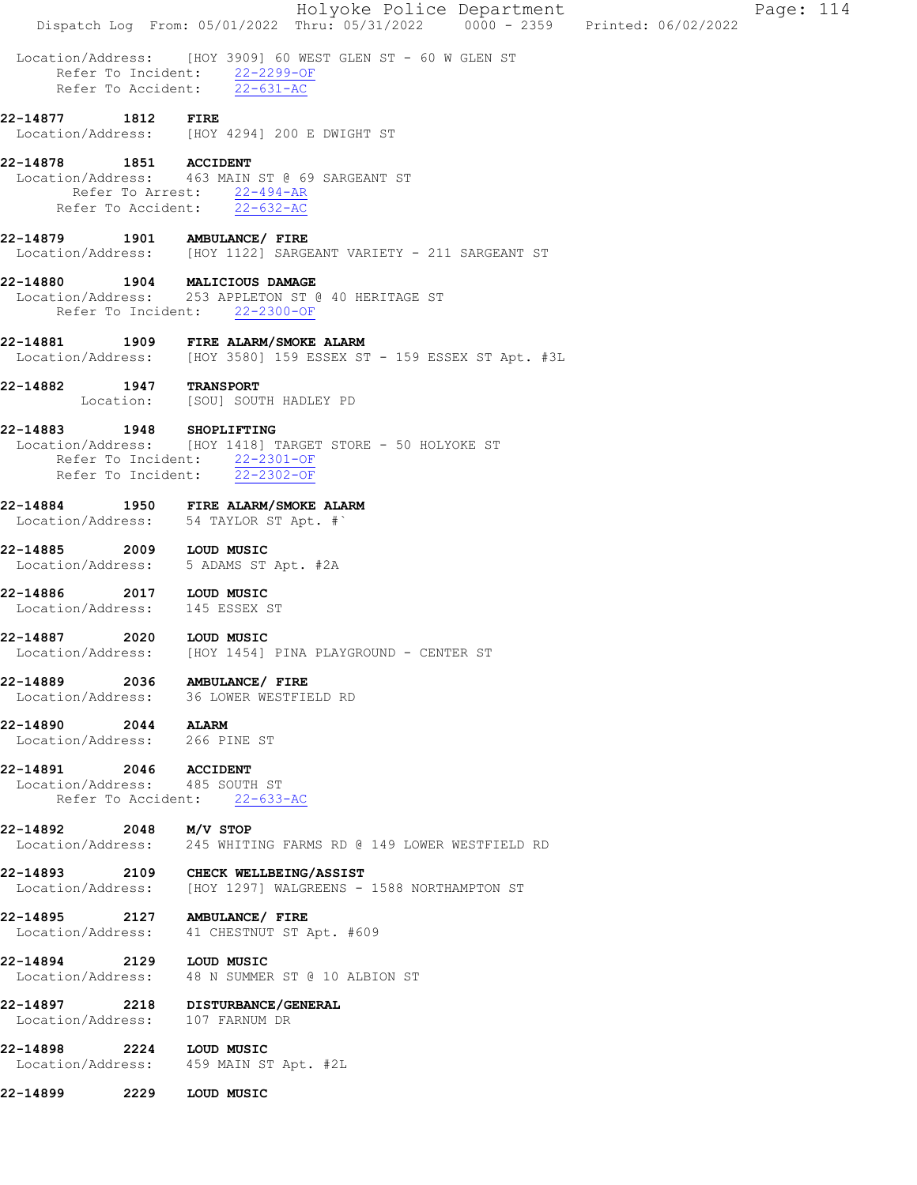|                                                                                                      |      |                                                                                                                                |  | Holyoke Police Department<br>Dispatch Log From: 05/01/2022 Thru: 05/31/2022 0000 - 2359 Printed: 06/02/2022 |  | Page: 114 |  |
|------------------------------------------------------------------------------------------------------|------|--------------------------------------------------------------------------------------------------------------------------------|--|-------------------------------------------------------------------------------------------------------------|--|-----------|--|
|                                                                                                      |      | Location/Address: [HOY 3909] 60 WEST GLEN ST - 60 W GLEN ST<br>Refer To Incident: 22-2299-OF<br>Refer To Accident: $22-631-AC$ |  |                                                                                                             |  |           |  |
| 22-14877 1812 FIRE<br>Location/Address: [HOY 4294] 200 E DWIGHT ST                                   |      |                                                                                                                                |  |                                                                                                             |  |           |  |
| 22-14878<br>Location/Address: 463 MAIN ST @ 69 SARGEANT ST                                           |      | 1851 ACCIDENT<br>Refer To Arrest: $22-494-AR$<br>Refer To Accident: 22-632-AC                                                  |  |                                                                                                             |  |           |  |
| 22-14879   1901   AMBULANCE/ FIRE<br>Location/Address: [HOY 1122] SARGEANT VARIETY - 211 SARGEANT ST |      |                                                                                                                                |  |                                                                                                             |  |           |  |
| 22-14880 1904 MALICIOUS DAMAGE<br>Location/Address: 253 APPLETON ST @ 40 HERITAGE ST                 |      | Refer To Incident: 22-2300-OF                                                                                                  |  |                                                                                                             |  |           |  |
| 22-14881<br>Location/Address: [HOY 3580] 159 ESSEX ST - 159 ESSEX ST Apt. #3L                        |      | 1909 FIRE ALARM/SMOKE ALARM                                                                                                    |  |                                                                                                             |  |           |  |
| 22-14882 1947 TRANSPORT                                                                              |      | Location: [SOU] SOUTH HADLEY PD                                                                                                |  |                                                                                                             |  |           |  |
| 22-14883 1948 SHOPLIFTING<br>Location/Address: [HOY 1418] TARGET STORE - 50 HOLYOKE ST               |      | Refer To Incident: 22-2301-OF<br>Refer To Incident: $\overline{22-2302-OF}$                                                    |  |                                                                                                             |  |           |  |
| 22-14884 1950 FIRE ALARM/SMOKE ALARM<br>Location/Address: 54 TAYLOR ST Apt. #`                       |      |                                                                                                                                |  |                                                                                                             |  |           |  |
| 22-14885 2009 LOUD MUSIC<br>Location/Address: 5 ADAMS ST Apt. #2A                                    |      |                                                                                                                                |  |                                                                                                             |  |           |  |
| 22-14886 2017 LOUD MUSIC<br>Location/Address: 145 ESSEX ST                                           |      |                                                                                                                                |  |                                                                                                             |  |           |  |
| 22-14887<br>Location/Address: [HOY 1454] PINA PLAYGROUND - CENTER ST                                 |      | 2020 LOUD MUSIC                                                                                                                |  |                                                                                                             |  |           |  |
| 22-14889                                                                                             |      | 2036 AMBULANCE/ FIRE<br>Location/Address: 36 LOWER WESTFIELD RD                                                                |  |                                                                                                             |  |           |  |
| 22-14890 2044 ALARM<br>Location/Address: 266 PINE ST                                                 |      |                                                                                                                                |  |                                                                                                             |  |           |  |
| 22-14891 2046 ACCIDENT<br>Location/Address: 485 SOUTH ST                                             |      | Refer To Accident: 22-633-AC                                                                                                   |  |                                                                                                             |  |           |  |
| 22-14892 2048<br>Location/Address:                                                                   |      | M/V STOP<br>245 WHITING FARMS RD @ 149 LOWER WESTFIELD RD                                                                      |  |                                                                                                             |  |           |  |
| 22-14893 2109 CHECK WELLBEING/ASSIST<br>Location/Address: [HOY 1297] WALGREENS - 1588 NORTHAMPTON ST |      |                                                                                                                                |  |                                                                                                             |  |           |  |
| 22-14895 2127<br>Location/Address:                                                                   |      | AMBULANCE/ FIRE<br>41 CHESTNUT ST Apt. #609                                                                                    |  |                                                                                                             |  |           |  |
| 22-14894 2129<br>Location/Address: 48 N SUMMER ST @ 10 ALBION ST                                     |      | LOUD MUSIC                                                                                                                     |  |                                                                                                             |  |           |  |
| 22-14897 2218 DISTURBANCE/GENERAL<br>Location/Address:                                               |      | 107 FARNUM DR                                                                                                                  |  |                                                                                                             |  |           |  |
| 22-14898<br>Location/Address:                                                                        | 2224 | LOUD MUSIC<br>459 MAIN ST Apt. #2L                                                                                             |  |                                                                                                             |  |           |  |
| 22-14899                                                                                             | 2229 | LOUD MUSIC                                                                                                                     |  |                                                                                                             |  |           |  |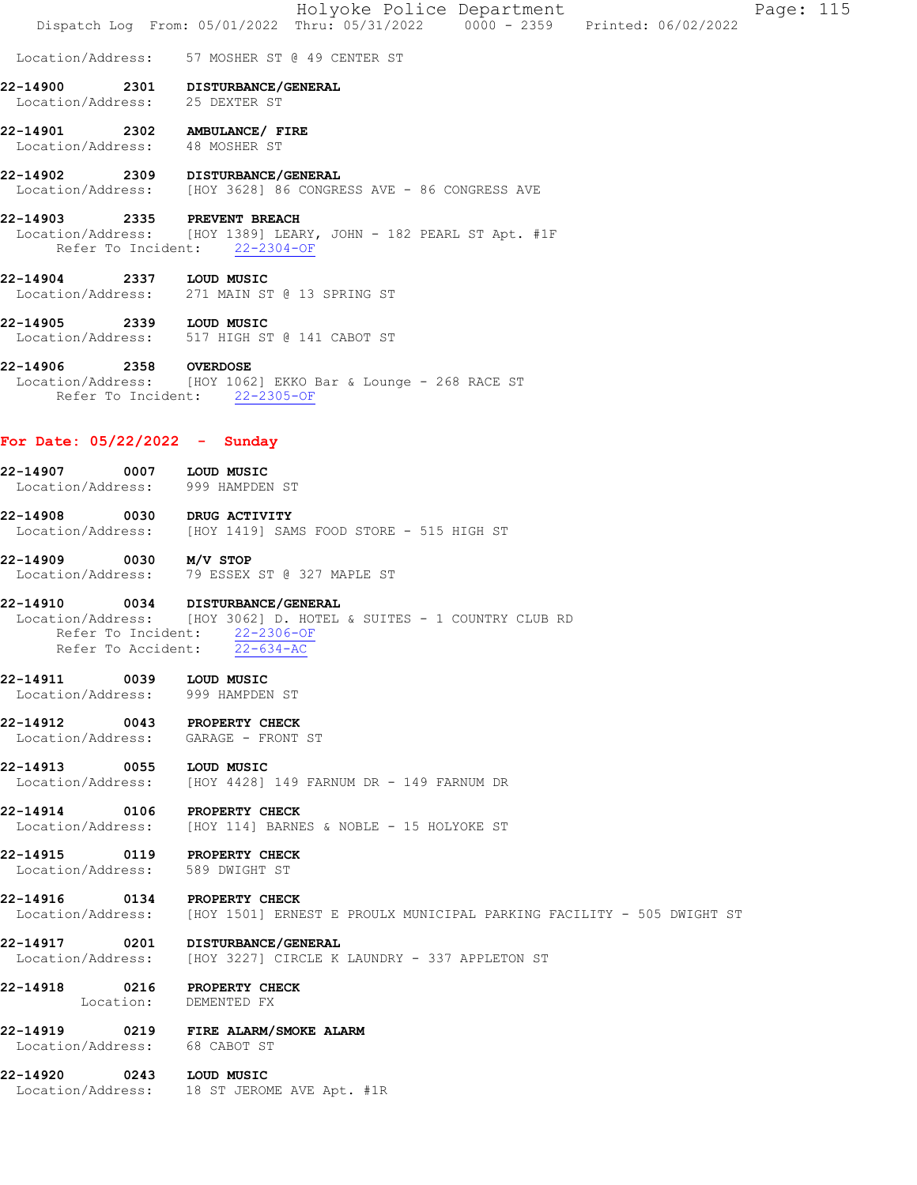|                                                                 |      | Dispatch Log From: 05/01/2022 Thru: 05/31/2022 0000 - 2359 Printed: 06/02/2022                                                                                           |
|-----------------------------------------------------------------|------|--------------------------------------------------------------------------------------------------------------------------------------------------------------------------|
|                                                                 |      | Location/Address: 57 MOSHER ST @ 49 CENTER ST                                                                                                                            |
| 22-14900<br>Location/Address: 25 DEXTER ST                      |      | 2301 DISTURBANCE/GENERAL                                                                                                                                                 |
| Location/Address: 48 MOSHER ST                                  |      | 22-14901 2302 AMBULANCE/ FIRE                                                                                                                                            |
|                                                                 |      | 22-14902 2309 DISTURBANCE/GENERAL<br>Location/Address: [HOY 3628] 86 CONGRESS AVE - 86 CONGRESS AVE                                                                      |
|                                                                 |      | 22-14903 2335 PREVENT BREACH<br>Location/Address: [HOY 1389] LEARY, JOHN - 182 PEARL ST Apt. #1F<br>Refer To Incident: 22-2304-OF                                        |
| 22-14904 2337 LOUD MUSIC                                        |      | Location/Address: 271 MAIN ST @ 13 SPRING ST                                                                                                                             |
| 22-14905 2339 LOUD MUSIC                                        |      | Location/Address: 517 HIGH ST @ 141 CABOT ST                                                                                                                             |
| 22-14906 2358 OVERDOSE                                          |      | Location/Address: [HOY 1062] EKKO Bar & Lounge - 268 RACE ST<br>Refer To Incident: 22-2305-OF                                                                            |
| For Date: $05/22/2022 -$ Sunday                                 |      |                                                                                                                                                                          |
| 22-14907 0007 LOUD MUSIC                                        |      | Location/Address: 999 HAMPDEN ST                                                                                                                                         |
| 22-14908                                                        |      | 0030 DRUG ACTIVITY<br>Location/Address: [HOY 1419] SAMS FOOD STORE - 515 HIGH ST                                                                                         |
| 22-14909 0030 M/V STOP                                          |      | Location/Address: 79 ESSEX ST @ 327 MAPLE ST                                                                                                                             |
|                                                                 |      | 22-14910 0034 DISTURBANCE/GENERAL<br>Location/Address: [HOY 3062] D. HOTEL & SUITES - 1 COUNTRY CLUB RD<br>Refer To Incident: 22-2306-OF<br>Refer To Accident: 22-634-AC |
| 22-14911<br>Location/Address:                                   | 0039 | LOUD MUSIC<br>999 HAMPDEN ST                                                                                                                                             |
| 22-14912 0043 PROPERTY CHECK                                    |      | Location/Address: GARAGE - FRONT ST                                                                                                                                      |
| 22-14913 0055 LOUD MUSIC                                        |      | Location/Address: [HOY 4428] 149 FARNUM DR - 149 FARNUM DR                                                                                                               |
|                                                                 |      | 22-14914 0106 PROPERTY CHECK<br>Location/Address: [HOY 114] BARNES & NOBLE - 15 HOLYOKE ST                                                                               |
| 22-14915 0119 PROPERTY CHECK<br>Location/Address: 589 DWIGHT ST |      |                                                                                                                                                                          |
| 22-14916 0134 PROPERTY CHECK                                    |      | Location/Address: [HOY 1501] ERNEST E PROULX MUNICIPAL PARKING FACILITY - 505 DWIGHT ST                                                                                  |
|                                                                 |      | 22-14917 0201 DISTURBANCE/GENERAL<br>Location/Address: [HOY 3227] CIRCLE K LAUNDRY - 337 APPLETON ST                                                                     |
| 22-14918 0216 PROPERTY CHECK                                    |      | Location: DEMENTED FX                                                                                                                                                    |
| Location/Address: 68 CABOT ST                                   |      | 22-14919 0219 FIRE ALARM/SMOKE ALARM                                                                                                                                     |
| 22-14920 0243 LOUD MUSIC                                        |      | Location/Address: 18 ST JEROME AVE Apt. #1R                                                                                                                              |
|                                                                 |      |                                                                                                                                                                          |

Holyoke Police Department Fage: 115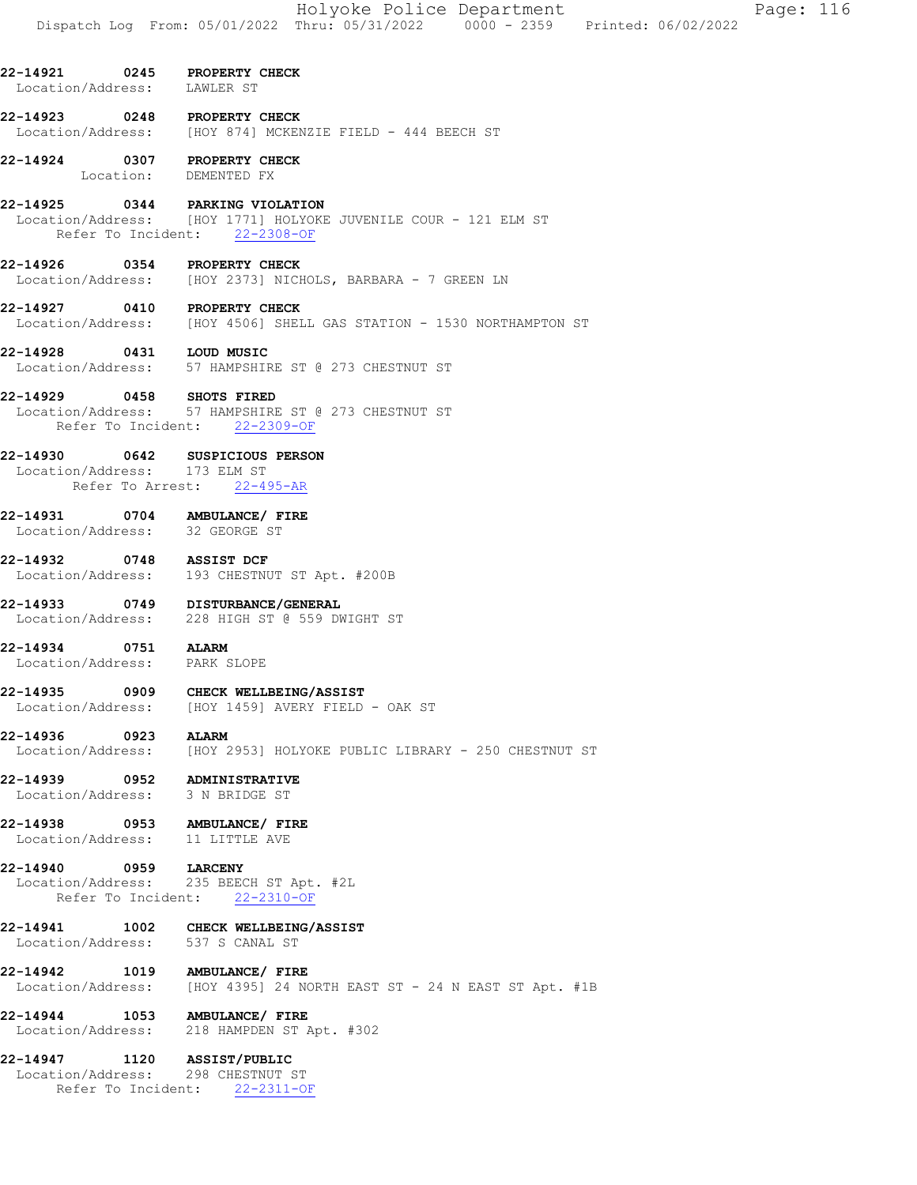| PROPERTY CHECK<br>LAWLER ST         |                                               |
|-------------------------------------|-----------------------------------------------|
| PROPERTY CHECK                      | [HOY 874] MCKENZIE FIELD - 444 BEECH ST       |
| PROPERTY CHECK<br>DEMENTED FX       |                                               |
| PARKING VIOLATION<br>nt: 22-2308-OF | [HOY 1771] HOLYOKE JUVENILE COUR - 121 ELM ST |

22-14926 0354 PROPERTY CHECK Location/Address: [HOY 2373] NICHOLS, BARBARA - 7 GREEN LN

#### 22-14927 0410 PROPERTY CHECK Location/Address: [HOY 4506] SHELL GAS STATION - 1530 NORTHAMPTON ST

22-14928 0431 LOUD MUSIC<br>Location/Address: 57 HAMPSHIP 57 HAMPSHIRE ST @ 273 CHESTNUT ST

# 22-14929 0458 SHOTS FIRED<br>Location/Address: 57 HAMPSHIRE

22-14921 0245 PROPERTY CHECK Location/Address: LAWLER ST

22-14923 0248 PROPERTY CHECK<br>Location/Address: [HOY 874] MCKER

22-14924 0307 PROPERTY CHECK Location: DEMENTED FX

22-14925 0344 PARKING VIOLATION<br>Location/Address: [HOY 1771] HOLYOKI

Refer To Incident: 22-2308-OF

57 HAMPSHIRE ST @ 273 CHESTNUT ST Refer To Incident: 22-2309-OF

### 22-14930 0642 SUSPICIOUS PERSON

 Location/Address: 173 ELM ST Refer To Arrest: 22-495-AR

22-14931 0704 AMBULANCE/ FIRE Location/Address: 32 GEORGE ST

#### 22-14932 0748 ASSIST DCF Location/Address: 193 CHESTNUT ST Apt. #200B

22-14933 0749 DISTURBANCE/GENERAL Location/Address: 228 HIGH ST @ 559 DWIGHT ST

22-14934 0751 ALARM Location/Address: PARK SLOPE

## 22-14935 0909 CHECK WELLBEING/ASSIST Location/Address: [HOY 1459] AVERY FIELD - OAK ST

22-14936 0923 ALARM Location/Address: [HOY 2953] HOLYOKE PUBLIC LIBRARY - 250 CHESTNUT ST

### 22-14939 0952 ADMINISTRATIVE<br>Location/Address: 3 N BRIDGE ST Location/Address:

22-14938 0953 AMBULANCE/ FIRE Location/Address: 11 LITTLE AVE

### **22-14940 0959 LARCENY**<br>Location/Address: 235 BEEC 235 BEECH ST Apt. #2L Refer To Incident: 22-2310-OF

## 22-14941 1002 CHECK WELLBEING/ASSIST Location/Address: 537 S CANAL ST

22-14942 1019 AMBULANCE/ FIRE Location/Address: [HOY 4395] 24 NORTH EAST ST - 24 N EAST ST Apt. #1B

22-14944 1053 AMBULANCE/ FIRE Location/Address: 218 HAMPDEN ST Apt. #302

## 22-14947 1120 ASSIST/PUBLIC Location/Address: 298 CHESTNUT ST Refer To Incident: 22-2311-OF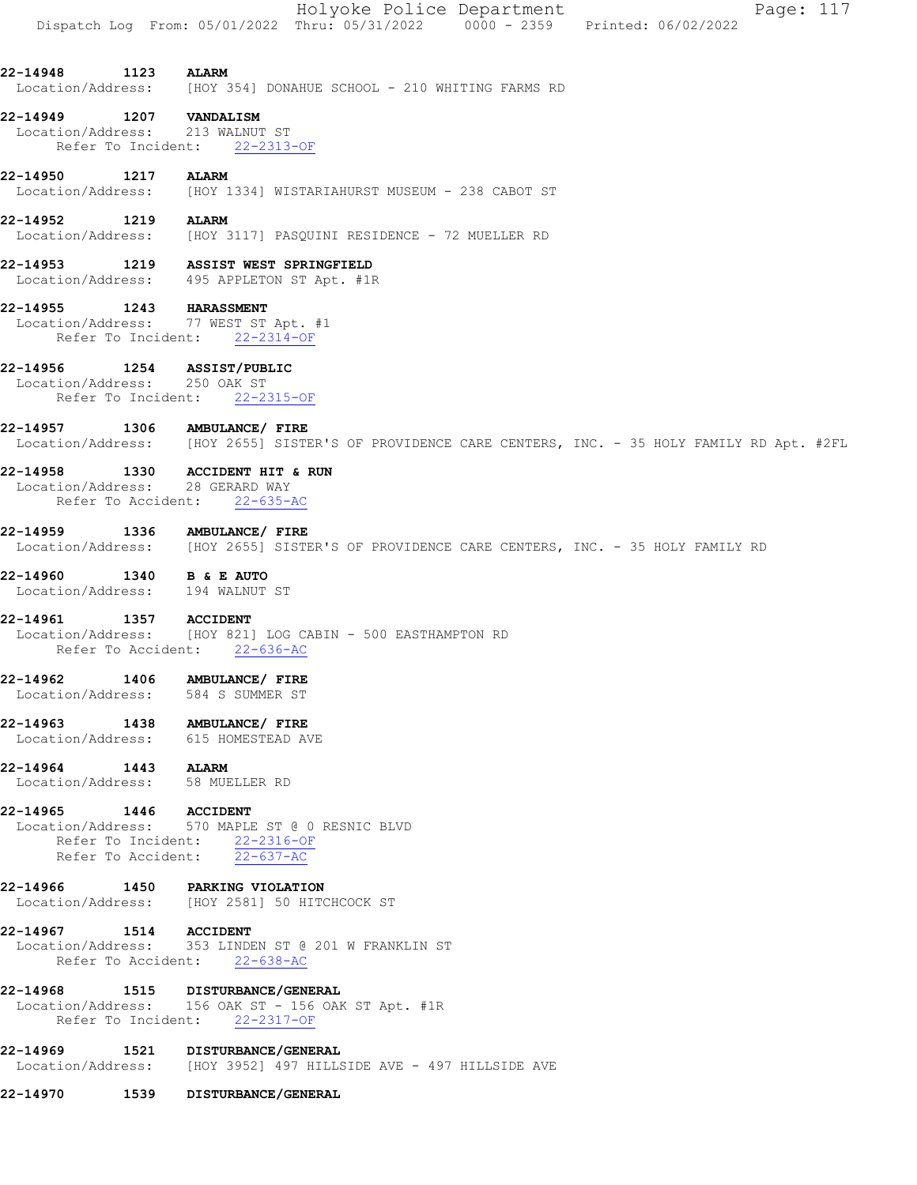#### 22-14949 1207 VANDALISM Location/Address: 213 WALNUT ST Refer To Incident: 22-2313-OF

## 22-14950 1217 ALARM Location/Address: [HOY 1334] WISTARIAHURST MUSEUM - 238 CABOT ST

**22-14952 1219 ALARM**<br>Location/Address: [HOY 3 [HOY 3117] PASQUINI RESIDENCE - 72 MUELLER RD

## 22-14953 1219 ASSIST WEST SPRINGFIELD Location/Address: 495 APPLETON ST Apt. #1R

## 22-14955 1243 HARASSMENT

 Location/Address: 77 WEST ST Apt. #1 Refer To Incident: 22-2314-OF

# 22-14956 1254 ASSIST/PUBLIC

 Location/Address: 250 OAK ST Refer To Incident: 22-2315-OF

22-14957 1306 AMBULANCE/ FIRE

Location/Address: [HOY 2655] SISTER'S OF PROVIDENCE CARE CENTERS, INC. - 35 HOLY FAMILY RD Apt. #2FL

## 22-14958 1330 ACCIDENT HIT & RUN Location/Address: 28 GERARD WAY

Refer To Accident: 22-635-AC

## 22-14959 1336 AMBULANCE/ FIRE

Location/Address: [HOY 2655] SISTER'S OF PROVIDENCE CARE CENTERS, INC. - 35 HOLY FAMILY RD

## 22-14960 1340 B & E AUTO Location/Address: 194 WALNUT ST

## 22-14961 1357 ACCIDENT Location/Address: [HOY 821] LOG CABIN - 500 EASTHAMPTON RD

Refer To Accident: 22-636-AC

# 22-14962 1406 AMBULANCE/ FIRE

Location/Address: 584 S SUMMER ST

## 22-14963 1438 AMBULANCE/ FIRE

- Location/Address: 615 HOMESTEAD AVE
- 22-14964 1443 ALARM Location/Address: 58 MUELLER RD

## 22-14965 1446 ACCIDENT

 Location/Address: 570 MAPLE ST @ 0 RESNIC BLVD Refer To Incident: 22-2316-OF Refer To Accident: 22-637-AC

## 22-14966 1450 PARKING VIOLATION Location/Address: [HOY 2581] 50 HITCHCOCK ST

# 22-14967 1514 ACCIDENT

 Location/Address: 353 LINDEN ST @ 201 W FRANKLIN ST Refer To Accident: 22-638-AC

# 22-14968 1515 DISTURBANCE/GENERAL

 Location/Address: 156 OAK ST - 156 OAK ST Apt. #1R Refer To Incident: 22-2317-OF

# 22-14969 1521 DISTURBANCE/GENERAL

Location/Address: [HOY 3952] 497 HILLSIDE AVE - 497 HILLSIDE AVE

# 22-14970 1539 DISTURBANCE/GENERAL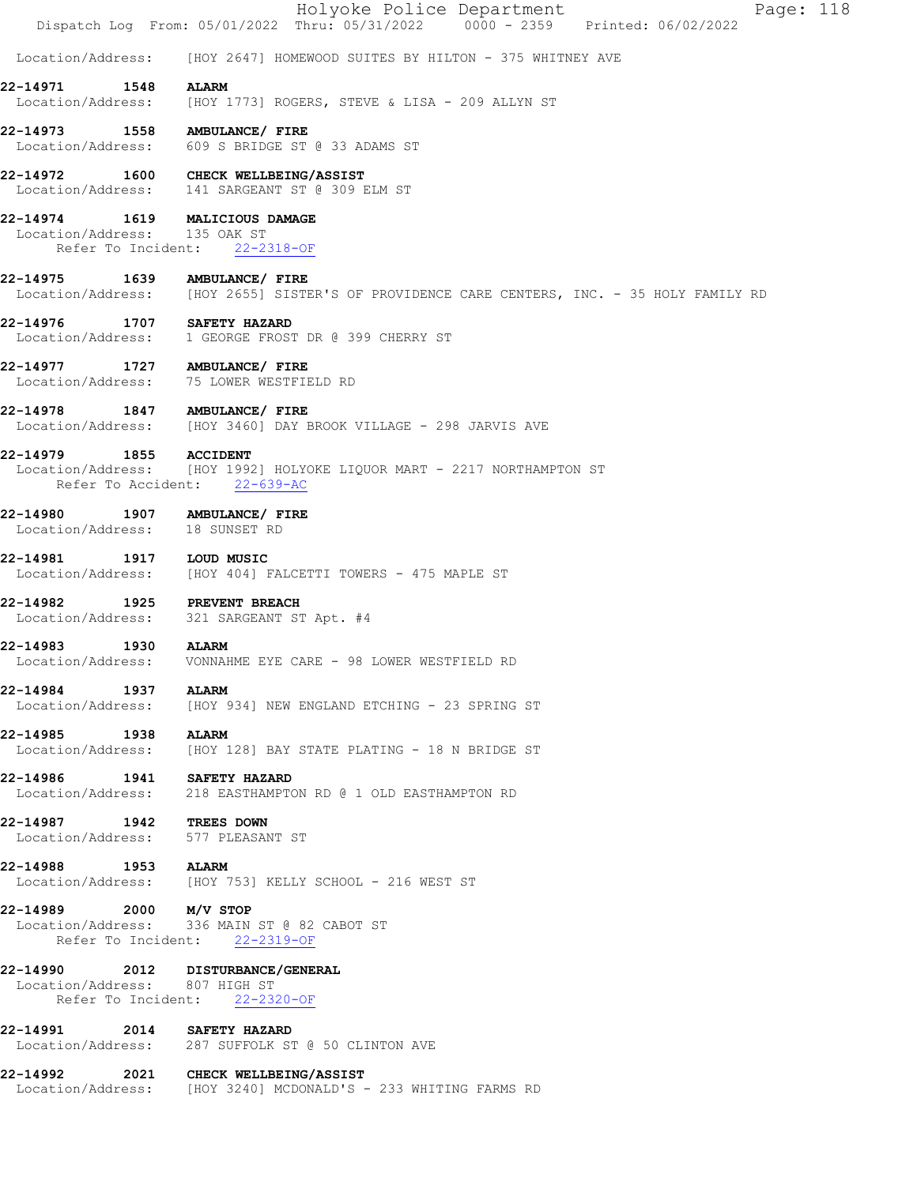|                                            |      | Holyoke Police Department<br>Page: 118<br>Dispatch Log From: 05/01/2022 Thru: 05/31/2022   0000 - 2359   Printed: 06/02/2022    |
|--------------------------------------------|------|---------------------------------------------------------------------------------------------------------------------------------|
|                                            |      | Location/Address: [HOY 2647] HOMEWOOD SUITES BY HILTON - 375 WHITNEY AVE                                                        |
| 22-14971<br>Location/Address:              | 1548 | <b>ALARM</b><br>[HOY 1773] ROGERS, STEVE & LISA - 209 ALLYN ST                                                                  |
|                                            |      | 22-14973 1558 AMBULANCE/ FIRE<br>Location/Address: 609 S BRIDGE ST @ 33 ADAMS ST                                                |
| 22-14972                                   |      | 1600 CHECK WELLBEING/ASSIST<br>Location/Address: 141 SARGEANT ST @ 309 ELM ST                                                   |
| Location/Address: 135 OAK ST               |      | 22-14974 1619 MALICIOUS DAMAGE<br>Refer To Incident: 22-2318-OF                                                                 |
|                                            |      | 22-14975   1639   AMBULANCE/ FIRE<br>Location/Address: [HOY 2655] SISTER'S OF PROVIDENCE CARE CENTERS, INC. - 35 HOLY FAMILY RD |
| 22-14976 1707 SAFETY HAZARD                |      | Location/Address: 1 GEORGE FROST DR @ 399 CHERRY ST                                                                             |
| Location/Address:                          |      | 22-14977 1727 AMBULANCE/ FIRE<br>75 LOWER WESTFIELD RD                                                                          |
|                                            |      | 22-14978   1847   AMBULANCE/ FIRE<br>Location/Address: [HOY 3460] DAY BROOK VILLAGE - 298 JARVIS AVE                            |
| 22-14979 1855 ACCIDENT                     |      | Location/Address: [HOY 1992] HOLYOKE LIQUOR MART - 2217 NORTHAMPTON ST<br>Refer To Accident: 22-639-AC                          |
| 22-14980<br>Location/Address: 18 SUNSET RD |      | 1907 AMBULANCE/ FIRE                                                                                                            |
| 22-14981 1917 LOUD MUSIC                   |      | Location/Address: [HOY 404] FALCETTI TOWERS - 475 MAPLE ST                                                                      |
| 22-14982                                   |      | <b>1925 PREVENT BREACH</b><br>Location/Address: 321 SARGEANT ST Apt. #4                                                         |
| 22-14983                                   | 1930 | <b>ALARM</b><br>Location/Address: VONNAHME EYE CARE - 98 LOWER WESTFIELD RD                                                     |
| 22-14984 1937 ALARM                        |      | Location/Address: [HOY 934] NEW ENGLAND ETCHING - 23 SPRING ST                                                                  |
| 22-14985 1938 ALARM<br>Location/Address:   |      | [HOY 128] BAY STATE PLATING - 18 N BRIDGE ST                                                                                    |
| 22-14986 1941 SAFETY HAZARD                |      | Location/Address: 218 EASTHAMPTON RD @ 1 OLD EASTHAMPTON RD                                                                     |
| 22-14987 1942 TREES DOWN                   |      | Location/Address: 577 PLEASANT ST                                                                                               |
| 22-14988 1953 ALARM                        |      | Location/Address: [HOY 753] KELLY SCHOOL - 216 WEST ST                                                                          |
| 22-14989 2000 M/V STOP                     |      | Location/Address: 336 MAIN ST @ 82 CABOT ST<br>Refer To Incident: 22-2319-OF                                                    |
| Location/Address: 807 HIGH ST              |      | 22-14990 2012 DISTURBANCE/GENERAL<br>Refer To Incident: 22-2320-OF                                                              |
| 22-14991 2014 SAFETY HAZARD                |      | Location/Address: 287 SUFFOLK ST @ 50 CLINTON AVE                                                                               |
|                                            |      | 22-14992 2021 CHECK WELLBEING/ASSIST                                                                                            |

Location/Address: [HOY 3240] MCDONALD'S - 233 WHITING FARMS RD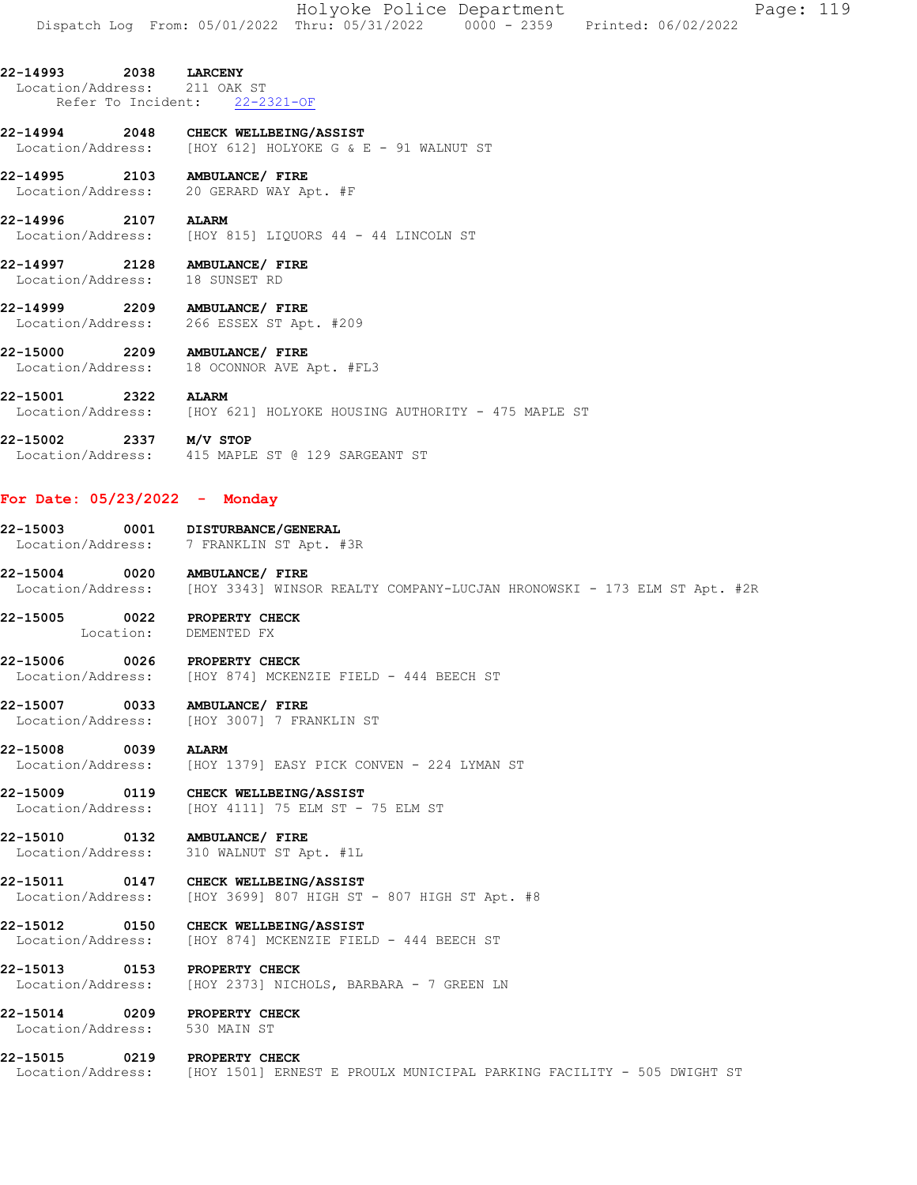Holyoke Police Department Page: 119 Dispatch Log From: 05/01/2022 Thru: 05/31/2022 0000 - 2359 Printed: 06/02/2022

22-14993 2038 LARCENY Location/Address: 211 OAK ST Refer To Incident: 22-2321-OF

22-14994 2048 CHECK WELLBEING/ASSIST Location/Address: [HOY 612] HOLYOKE G & E - 91 WALNUT ST

22-14995 2103 AMBULANCE/ FIRE Location/Address: 20 GERARD WAY Apt. #F

22-14996 2107 ALARM

Location/Address: [HOY 815] LIQUORS 44 - 44 LINCOLN ST

22-14997 2128 AMBULANCE/ FIRE Location/Address: 18 SUNSET RD

22-14999 2209 AMBULANCE/ FIRE Location/Address: 266 ESSEX ST Apt. #209

22-15000 2209 AMBULANCE/ FIRE Location/Address: 18 OCONNOR AVE Apt. #FL3

**22-15001 2322 ALARM**<br>Location/Address: [HOY 6 [HOY 621] HOLYOKE HOUSING AUTHORITY - 475 MAPLE ST

22-15002 2337 M/V STOP Location/Address: 415 MAPLE ST @ 129 SARGEANT ST

#### For Date: 05/23/2022 - Monday

22-15003 0001 DISTURBANCE/GENERAL<br>Location/Address: 7 FRANKLIN ST Apt. #3R Location/Address:

22-15004 0020 AMBULANCE/FIRE<br>Location/Address: [HOY 3343] WINS HOY 3343] WINSOR REALTY COMPANY-LUCJAN HRONOWSKI - 173 ELM ST Apt. #2R

22-15005 0022 PROPERTY CHECK Location: DEMENTED FX

22-15006 0026 PROPERTY CHECK<br>Location/Address: [HOY 874] MCKEN [HOY 874] MCKENZIE FIELD - 444 BEECH ST

22-15007 0033 AMBULANCE/ FIRE Location/Address: [HOY 3007] 7 FRANKLIN ST

22-15008 0039 ALARM Location/Address: [HOY 1379] EASY PICK CONVEN - 224 LYMAN ST

22-15009 0119 CHECK WELLBEING/ASSIST Location/Address: [HOY 4111] 75 ELM ST - 75 ELM ST

22-15010 0132 AMBULANCE/FIRE<br>Location/Address: 310 WALNUT ST Ap 310 WALNUT ST Apt. #1L

22-15011 0147 CHECK WELLBEING/ASSIST Location/Address: [HOY 3699] 807 HIGH ST - 807 HIGH ST Apt. #8

22-15012 0150 CHECK WELLBEING/ASSIST Location/Address: [HOY 874] MCKENZIE FIELD - 444 BEECH ST

22-15013 0153 PROPERTY CHECK<br>Location/Address: [HOY 2373] NICH

[HOY 2373] NICHOLS, BARBARA - 7 GREEN LN

22-15014 0209 PROPERTY CHECK Location/Address: 530 MAIN ST

22-15015 0219 PROPERTY CHECK Location/Address: [HOY 1501] ERNEST E PROULX MUNICIPAL PARKING FACILITY - 505 DWIGHT ST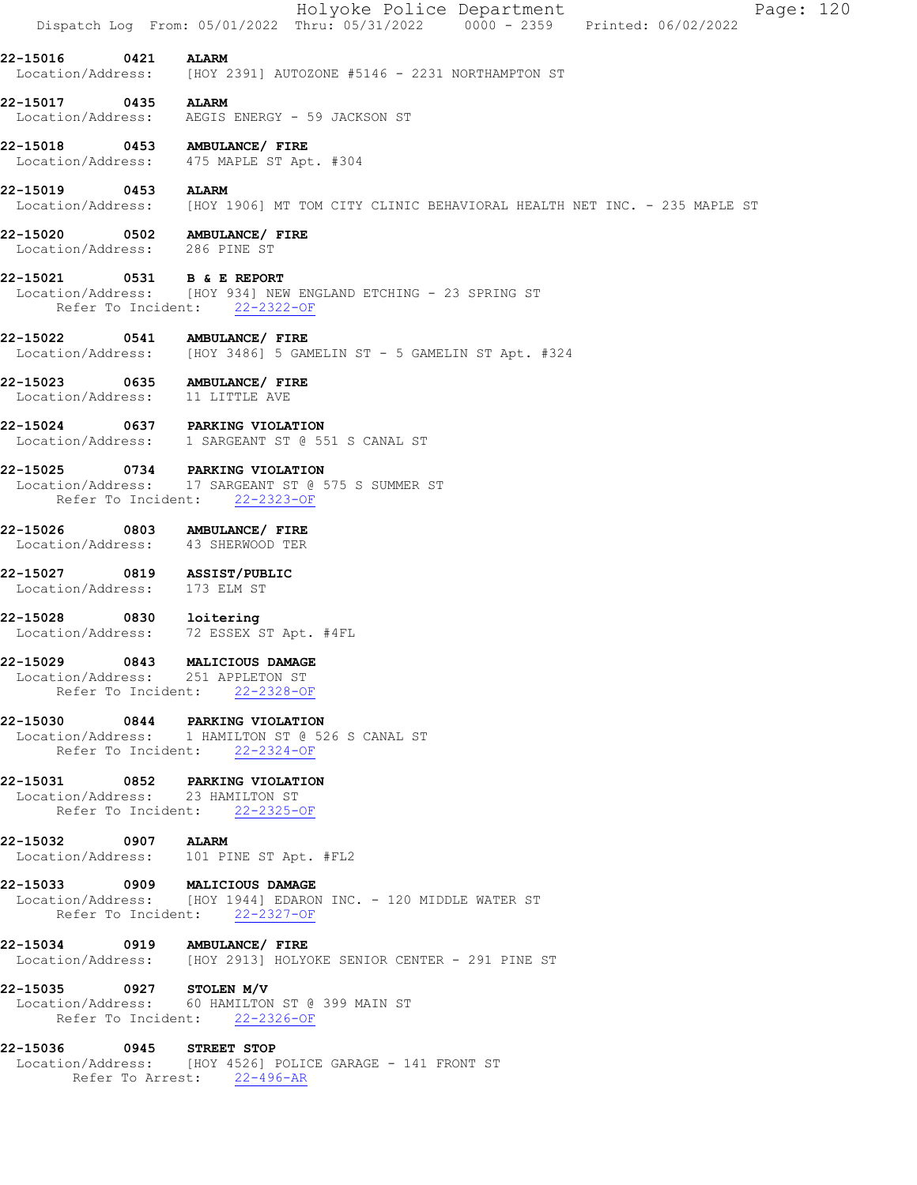|                                              |      | Holyoke Police Department<br>Page: 120<br>Dispatch Log From: 05/01/2022 Thru: 05/31/2022 0000 - 2359 Printed: 06/02/2022          |
|----------------------------------------------|------|-----------------------------------------------------------------------------------------------------------------------------------|
| 22-15016                                     | 0421 | <b>ALARM</b><br>Location/Address: [HOY 2391] AUTOZONE #5146 - 2231 NORTHAMPTON ST                                                 |
| 22-15017                                     | 0435 | <b>ALARM</b><br>Location/Address: AEGIS ENERGY - 59 JACKSON ST                                                                    |
|                                              |      | 22-15018 0453 AMBULANCE/ FIRE<br>Location/Address: 475 MAPLE ST Apt. #304                                                         |
| 22-15019 0453                                |      | <b>ALARM</b><br>Location/Address: [HOY 1906] MT TOM CITY CLINIC BEHAVIORAL HEALTH NET INC. - 235 MAPLE ST                         |
| Location/Address: 286 PINE ST                |      | 22-15020 0502 AMBULANCE/ FIRE                                                                                                     |
| 22-15021 0531 B & E REPORT                   |      | Location/Address: [HOY 934] NEW ENGLAND ETCHING - 23 SPRING ST<br>Refer To Incident: 22-2322-OF                                   |
| 22-15022                                     |      | 0541 AMBULANCE/ FIRE<br>Location/Address: [HOY 3486] 5 GAMELIN ST - 5 GAMELIN ST Apt. #324                                        |
|                                              |      | 22-15023 0635 AMBULANCE/ FIRE<br>Location/Address: 11 LITTLE AVE                                                                  |
| 22-15024                                     |      | 0637 PARKING VIOLATION<br>Location/Address: 1 SARGEANT ST @ 551 S CANAL ST                                                        |
|                                              |      | 22-15025 0734 PARKING VIOLATION<br>Location/Address: 17 SARGEANT ST @ 575 S SUMMER ST<br>Refer To Incident: 22-2323-OF            |
| 22-15026                                     |      | 0803 AMBULANCE/ FIRE<br>Location/Address: 43 SHERWOOD TER                                                                         |
| Location/Address: 173 ELM ST                 |      | 22-15027 0819 ASSIST/PUBLIC                                                                                                       |
| 22-15028 0830 loitering<br>Location/Address: |      | 72 ESSEX ST Apt. #4FL                                                                                                             |
| 22-15029 0843                                |      | MALICIOUS DAMAGE<br>Location/Address: 251 APPLETON ST<br>Refer To Incident: 22-2328-OF                                            |
|                                              |      | 22-15030 0844 PARKING VIOLATION<br>Location/Address: 1 HAMILTON ST @ 526 S CANAL ST<br>Refer To Incident: 22-2324-OF              |
|                                              |      | 22-15031 0852 PARKING VIOLATION<br>Location/Address: 23 HAMILTON ST<br>Refer To Incident: 22-2325-OF                              |
| 22-15032 0907 ALARM                          |      | Location/Address: 101 PINE ST Apt. #FL2                                                                                           |
|                                              |      | 22-15033 0909 MALICIOUS DAMAGE<br>Location/Address: [HOY 1944] EDARON INC. - 120 MIDDLE WATER ST<br>Refer To Incident: 22-2327-OF |
|                                              |      | 22-15034 0919 AMBULANCE/ FIRE<br>Location/Address: [HOY 2913] HOLYOKE SENIOR CENTER - 291 PINE ST                                 |
| 22-15035 0927 STOLEN M/V                     |      | Location/Address: 60 HAMILTON ST @ 399 MAIN ST<br>Refer To Incident: 22-2326-OF                                                   |
| 22-15036 0945 STREET STOP                    |      | Location/Address: [HOY 4526] POLICE GARAGE - 141 FRONT ST<br>Refer To Arrest: 22-496-AR                                           |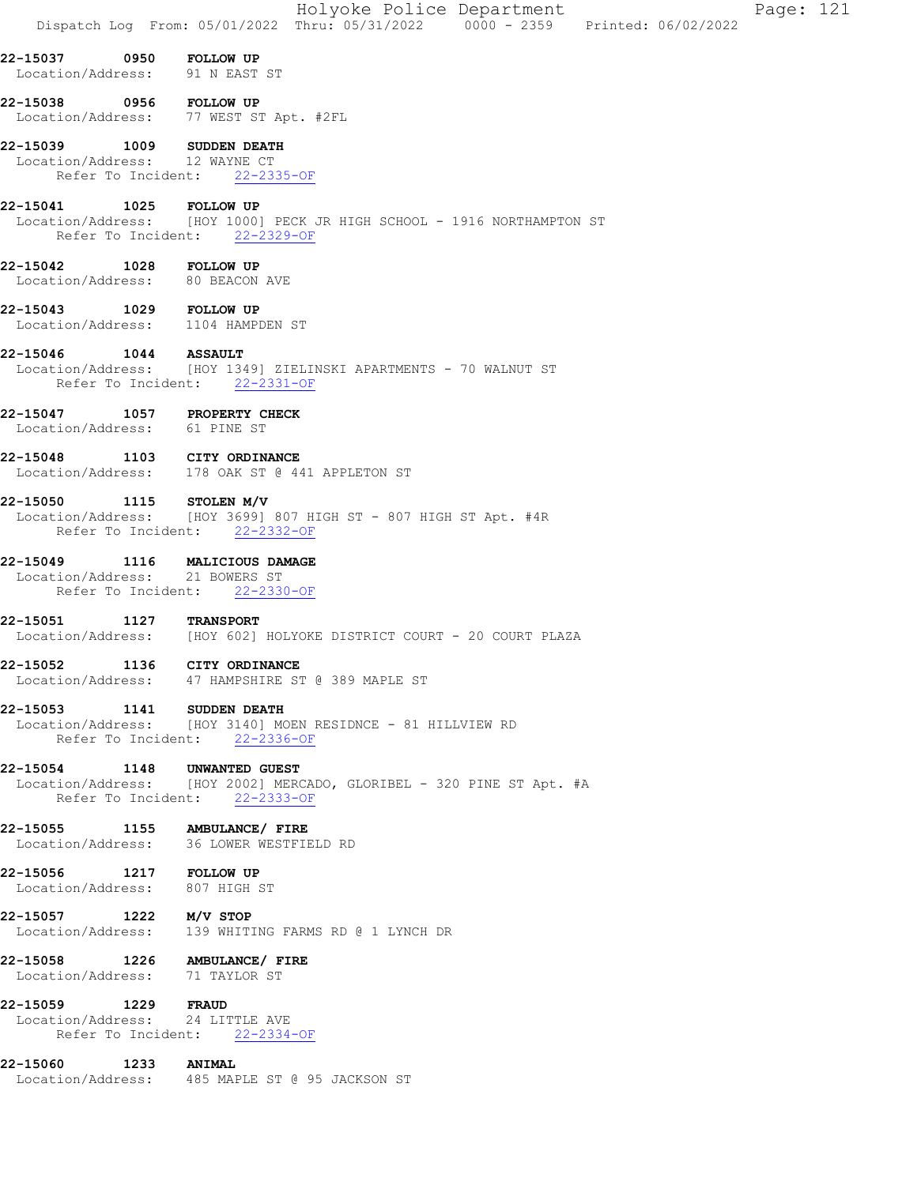|                                          |      |                                                                                          |                                                                  | Holyoke Police Department<br>Dispatch Log From: 05/01/2022 Thru: 05/31/2022   0000 - 2359   Printed: 06/02/2022 |  | Page: 121 |  |
|------------------------------------------|------|------------------------------------------------------------------------------------------|------------------------------------------------------------------|-----------------------------------------------------------------------------------------------------------------|--|-----------|--|
| 22-15037                                 | 0950 | FOLLOW UP<br>Location/Address: 91 N EAST ST                                              |                                                                  |                                                                                                                 |  |           |  |
| 22-15038                                 |      | 0956 FOLLOW UP<br>Location/Address: 77 WEST ST Apt. #2FL                                 |                                                                  |                                                                                                                 |  |           |  |
| Location/Address: 12 WAYNE CT            |      | 22-15039 1009 SUDDEN DEATH<br>Refer To Incident: 22-2335-OF                              |                                                                  |                                                                                                                 |  |           |  |
| 22-15041                                 |      | 1025 FOLLOW UP<br>Refer To Incident: 22-2329-OF                                          |                                                                  | Location/Address: [HOY 1000] PECK JR HIGH SCHOOL - 1916 NORTHAMPTON ST                                          |  |           |  |
| 22-15042                                 |      | 1028 FOLLOW UP<br>Location/Address: 80 BEACON AVE                                        |                                                                  |                                                                                                                 |  |           |  |
| 22-15043 1029 FOLLOW UP                  |      | Location/Address: 1104 HAMPDEN ST                                                        |                                                                  |                                                                                                                 |  |           |  |
| 22-15046                                 |      | 1044 ASSAULT<br>Refer To Incident: 22-2331-OF                                            | Location/Address: [HOY 1349] ZIELINSKI APARTMENTS - 70 WALNUT ST |                                                                                                                 |  |           |  |
| 22-15047<br>Location/Address: 61 PINE ST |      | 1057 PROPERTY CHECK                                                                      |                                                                  |                                                                                                                 |  |           |  |
|                                          |      | 22-15048 1103 CITY ORDINANCE<br>Location/Address: 178 OAK ST @ 441 APPLETON ST           |                                                                  |                                                                                                                 |  |           |  |
| 22-15050 1115 STOLEN M/V                 |      | Refer To Incident: 22-2332-OF                                                            | Location/Address: [HOY 3699] 807 HIGH ST - 807 HIGH ST Apt. #4R  |                                                                                                                 |  |           |  |
| 22-15049                                 |      | 1116 MALICIOUS DAMAGE<br>Location/Address: 21 BOWERS ST<br>Refer To Incident: 22-2330-OF |                                                                  |                                                                                                                 |  |           |  |
| 22-15051                                 |      | <b>1127 TRANSPORT</b>                                                                    |                                                                  | Location/Address: [HOY 602] HOLYOKE DISTRICT COURT - 20 COURT PLAZA                                             |  |           |  |
| 22-15052                                 | 1136 | CITY ORDINANCE                                                                           | Location/Address: 47 HAMPSHIRE ST @ 389 MAPLE ST                 |                                                                                                                 |  |           |  |
|                                          |      | 22-15053 1141 SUDDEN DEATH<br>Refer To Incident: 22-2336-OF                              | Location/Address: [HOY 3140] MOEN RESIDNCE - 81 HILLVIEW RD      |                                                                                                                 |  |           |  |
|                                          |      | 22-15054 1148 UNWANTED GUEST<br>Refer To Incident: 22-2333-OF                            |                                                                  | Location/Address: [HOY 2002] MERCADO, GLORIBEL - 320 PINE ST Apt. #A                                            |  |           |  |
|                                          |      | 22-15055 1155 AMBULANCE/ FIRE<br>Location/Address: 36 LOWER WESTFIELD RD                 |                                                                  |                                                                                                                 |  |           |  |
| 22-15056 1217 FOLLOW UP                  |      | Location/Address: 807 HIGH ST                                                            |                                                                  |                                                                                                                 |  |           |  |
| 22-15057 1222 M/V STOP                   |      |                                                                                          | Location/Address: 139 WHITING FARMS RD @ 1 LYNCH DR              |                                                                                                                 |  |           |  |
|                                          |      | 22-15058 1226 AMBULANCE/ FIRE<br>Location/Address: 71 TAYLOR ST                          |                                                                  |                                                                                                                 |  |           |  |
| 22-15059 1229 FRAUD                      |      | Location/Address: 24 LITTLE AVE<br>Refer To Incident: 22-2334-OF                         |                                                                  |                                                                                                                 |  |           |  |
| 22-15060 1233 ANIMAL                     |      | Location/Address: 485 MAPLE ST @ 95 JACKSON ST                                           |                                                                  |                                                                                                                 |  |           |  |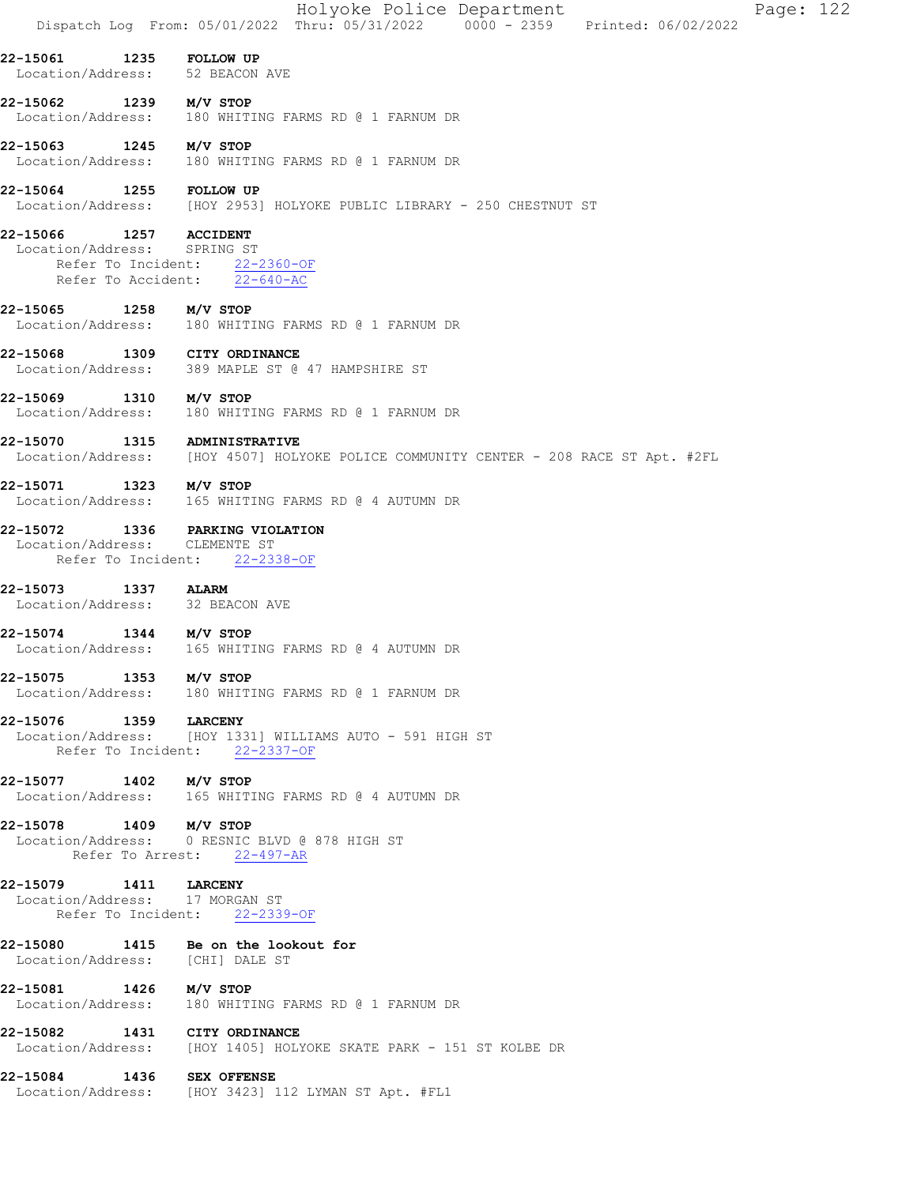|                                                         |            | Holyoke Police Department<br>Page: 122<br>Dispatch Log From: 05/01/2022 Thru: 05/31/2022   0000 - 2359   Printed: 06/02/2022 |
|---------------------------------------------------------|------------|------------------------------------------------------------------------------------------------------------------------------|
| 22-15061<br>Location/Address: 52 BEACON AVE             |            | 1235 FOLLOW UP                                                                                                               |
| 22-15062                                                |            | 1239 M/V STOP<br>Location/Address: 180 WHITING FARMS RD @ 1 FARNUM DR                                                        |
| 22-15063 1245 M/V STOP                                  |            | Location/Address: 180 WHITING FARMS RD @ 1 FARNUM DR                                                                         |
| 22-15064                                                |            | 1255 FOLLOW UP<br>Location/Address: [HOY 2953] HOLYOKE PUBLIC LIBRARY - 250 CHESTNUT ST                                      |
| 22-15066<br>Location/Address: SPRING ST                 |            | 1257 ACCIDENT<br>Refer To Incident: 22-2360-OF<br>Refer To Accident: 22-640-AC                                               |
| 22-15065 1258 M/V STOP                                  |            | Location/Address: 180 WHITING FARMS RD @ 1 FARNUM DR                                                                         |
| 22-15068                                                |            | 1309 CITY ORDINANCE<br>Location/Address: 389 MAPLE ST @ 47 HAMPSHIRE ST                                                      |
| 22-15069 1310 M/V STOP                                  |            | Location/Address: 180 WHITING FARMS RD @ 1 FARNUM DR                                                                         |
| 22-15070                                                |            | 1315 ADMINISTRATIVE<br>Location/Address: [HOY 4507] HOLYOKE POLICE COMMUNITY CENTER - 208 RACE ST Apt. #2FL                  |
| 22-15071 1323 M/V STOP                                  |            | Location/Address: 165 WHITING FARMS RD @ 4 AUTUMN DR                                                                         |
| Location/Address: CLEMENTE ST<br>Refer To Incident:     |            | 22-15072 1336 PARKING VIOLATION<br>$22 - 2338 - OF$                                                                          |
| 22-15073<br>Location/Address: 32 BEACON AVE             | 1337 ALARM |                                                                                                                              |
| 22-15074                                                |            | $1344$ $M/V$ STOP<br>Location/Address: 165 WHITING FARMS RD @ 4 AUTUMN DR                                                    |
| 22-15075                                                |            | 1353 M/V STOP<br>Location/Address: 180 WHITING FARMS RD @ 1 FARNUM DR                                                        |
| 22-15076 1359 LARCENY                                   |            | Location/Address: [HOY 1331] WILLIAMS AUTO - 591 HIGH ST<br>Refer To Incident: 22-2337-OF                                    |
| 22-15077 1402 M/V STOP                                  |            | Location/Address: 165 WHITING FARMS RD @ 4 AUTUMN DR                                                                         |
| 22-15078 1409 M/V STOP                                  |            | Location/Address: 0 RESNIC BLVD @ 878 HIGH ST<br>Refer To Arrest: 22-497-AR                                                  |
| 22-15079 1411 LARCENY<br>Location/Address: 17 MORGAN ST |            | Refer To Incident: 22-2339-OF                                                                                                |
| Location/Address: [CHI] DALE ST                         |            | 22-15080 1415 Be on the lookout for                                                                                          |
| 22-15081 1426 M/V STOP                                  |            | Location/Address: 180 WHITING FARMS RD @ 1 FARNUM DR                                                                         |
| 22-15082 1431 CITY ORDINANCE                            |            | Location/Address: [HOY 1405] HOLYOKE SKATE PARK - 151 ST KOLBE DR                                                            |
| 22-15084 1436 SEX OFFENSE                               |            | Location/Address: [HOY 3423] 112 LYMAN ST Apt. #FL1                                                                          |
|                                                         |            |                                                                                                                              |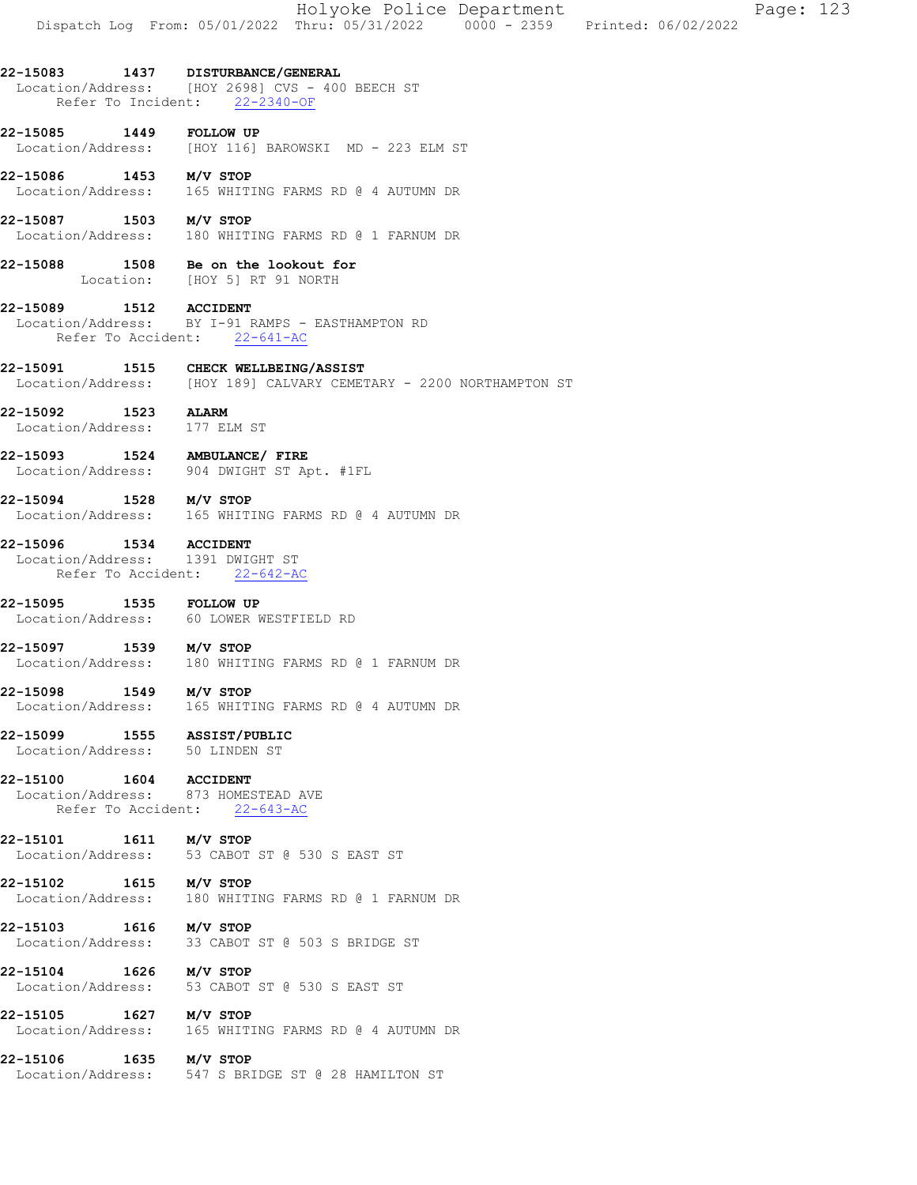|  | Holyoke Police Department |                                                                                | Page: 123 |  |
|--|---------------------------|--------------------------------------------------------------------------------|-----------|--|
|  |                           | Dispatch Log From: 05/01/2022 Thru: 05/31/2022 0000 - 2359 Printed: 06/02/2022 |           |  |

#### 22-15083 1437 DISTURBANCE/GENERAL Location/Address: [HOY 2698] CVS - 400 BEECH ST Refer To Incident: 22-2340-OF

**22-15085 1449 FOLLOW UP**<br>Location/Address: [HOY 116] [HOY 116] BAROWSKI MD - 223 ELM ST

22-15086 1453 M/V STOP Location/Address: 165 WHITING FARMS RD @ 4 AUTUMN DR

22-15087 1503 M/V STOP Location/Address: 180 WHITING FARMS RD @ 1 FARNUM DR

22-15088 1508 Be on the lookout for Location: [HOY 5] RT 91 NORTH

#### 22-15089 1512 ACCIDENT Location/Address: BY I-91 RAMPS - EASTHAMPTON RD Refer To Accident: 22-641-AC

22-15091 1515 CHECK WELLBEING/ASSIST Location/Address: [HOY 189] CALVARY CEMETARY - 2200 NORTHAMPTON ST

- **22-15092 1523 ALARM**<br>Location/Address: 177 ELM ST Location/Address:
- 22-15093 1524 AMBULANCE/ FIRE Location/Address: 904 DWIGHT ST Apt. #1FL
- 22-15094 1528 M/V STOP Location/Address: 165 WHITING FARMS RD @ 4 AUTUMN DR
- 22-15096 1534 ACCIDENT
- Location/Address: 1391 DWIGHT ST Refer To Accident: 22-642-AC
- 22-15095 1535 FOLLOW UP Location/Address: 60 LOWER WESTFIELD RD
- 22-15097 1539 M/V STOP Location/Address: 180 WHITING FARMS RD @ 1 FARNUM DR
- 22-15098 1549 M/V STOP
- Location/Address: 165 WHITING FARMS RD @ 4 AUTUMN DR
- 22-15099 1555 ASSIST/PUBLIC Location/Address: 50 LINDEN ST
- 22-15100 1604 ACCIDENT Location/Address: 873 HOMESTEAD AVE Refer To Accident: 22-643-AC
- **22-15101 1611 M/V STOP**<br>Location/Address: 53 CABOT 53 CABOT ST @ 530 S EAST ST
- 22-15102 1615 M/V STOP Location/Address: 180 WHITING FARMS RD @ 1 FARNUM DR
- 22-15103 1616 M/V STOP Location/Address: 33 CABOT ST @ 503 S BRIDGE ST
- 22-15104 1626 M/V STOP Location/Address: 53 CABOT ST @ 530 S EAST ST
- 22-15105 1627 M/V STOP Location/Address: 165 WHITING FARMS RD @ 4 AUTUMN DR
- **22-15106 1635 M/V STOP**<br>Location/Address: 547 S BRI 547 S BRIDGE ST @ 28 HAMILTON ST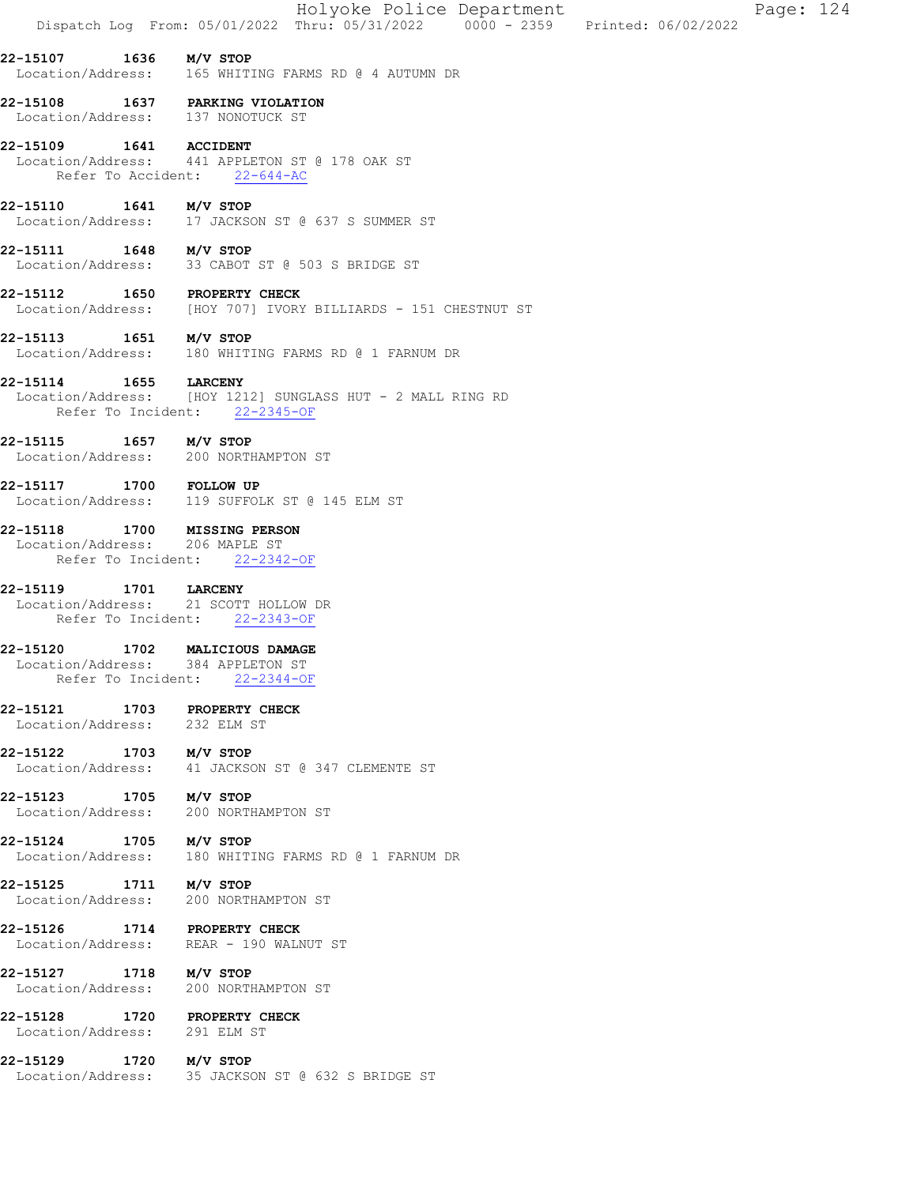|  |                                                                                                                                                                                                                                                                                                                                                                                                                                                                          |                                                                                                                                                                                                                                                                                                                                                                                                                                                                                                                                                                                                                                                                                                                 |                                                                                                                                                                                                                                                                                                                                              |                                                                                                                                                                                                                                                                                                       |                           | Page: 124                                                                      |  |
|--|--------------------------------------------------------------------------------------------------------------------------------------------------------------------------------------------------------------------------------------------------------------------------------------------------------------------------------------------------------------------------------------------------------------------------------------------------------------------------|-----------------------------------------------------------------------------------------------------------------------------------------------------------------------------------------------------------------------------------------------------------------------------------------------------------------------------------------------------------------------------------------------------------------------------------------------------------------------------------------------------------------------------------------------------------------------------------------------------------------------------------------------------------------------------------------------------------------|----------------------------------------------------------------------------------------------------------------------------------------------------------------------------------------------------------------------------------------------------------------------------------------------------------------------------------------------|-------------------------------------------------------------------------------------------------------------------------------------------------------------------------------------------------------------------------------------------------------------------------------------------------------|---------------------------|--------------------------------------------------------------------------------|--|
|  |                                                                                                                                                                                                                                                                                                                                                                                                                                                                          |                                                                                                                                                                                                                                                                                                                                                                                                                                                                                                                                                                                                                                                                                                                 |                                                                                                                                                                                                                                                                                                                                              |                                                                                                                                                                                                                                                                                                       |                           |                                                                                |  |
|  |                                                                                                                                                                                                                                                                                                                                                                                                                                                                          |                                                                                                                                                                                                                                                                                                                                                                                                                                                                                                                                                                                                                                                                                                                 |                                                                                                                                                                                                                                                                                                                                              |                                                                                                                                                                                                                                                                                                       |                           |                                                                                |  |
|  |                                                                                                                                                                                                                                                                                                                                                                                                                                                                          |                                                                                                                                                                                                                                                                                                                                                                                                                                                                                                                                                                                                                                                                                                                 |                                                                                                                                                                                                                                                                                                                                              |                                                                                                                                                                                                                                                                                                       |                           |                                                                                |  |
|  |                                                                                                                                                                                                                                                                                                                                                                                                                                                                          |                                                                                                                                                                                                                                                                                                                                                                                                                                                                                                                                                                                                                                                                                                                 |                                                                                                                                                                                                                                                                                                                                              |                                                                                                                                                                                                                                                                                                       |                           |                                                                                |  |
|  |                                                                                                                                                                                                                                                                                                                                                                                                                                                                          |                                                                                                                                                                                                                                                                                                                                                                                                                                                                                                                                                                                                                                                                                                                 |                                                                                                                                                                                                                                                                                                                                              |                                                                                                                                                                                                                                                                                                       |                           |                                                                                |  |
|  |                                                                                                                                                                                                                                                                                                                                                                                                                                                                          |                                                                                                                                                                                                                                                                                                                                                                                                                                                                                                                                                                                                                                                                                                                 |                                                                                                                                                                                                                                                                                                                                              |                                                                                                                                                                                                                                                                                                       |                           |                                                                                |  |
|  |                                                                                                                                                                                                                                                                                                                                                                                                                                                                          |                                                                                                                                                                                                                                                                                                                                                                                                                                                                                                                                                                                                                                                                                                                 |                                                                                                                                                                                                                                                                                                                                              |                                                                                                                                                                                                                                                                                                       |                           |                                                                                |  |
|  |                                                                                                                                                                                                                                                                                                                                                                                                                                                                          |                                                                                                                                                                                                                                                                                                                                                                                                                                                                                                                                                                                                                                                                                                                 |                                                                                                                                                                                                                                                                                                                                              |                                                                                                                                                                                                                                                                                                       |                           |                                                                                |  |
|  |                                                                                                                                                                                                                                                                                                                                                                                                                                                                          |                                                                                                                                                                                                                                                                                                                                                                                                                                                                                                                                                                                                                                                                                                                 |                                                                                                                                                                                                                                                                                                                                              |                                                                                                                                                                                                                                                                                                       |                           |                                                                                |  |
|  |                                                                                                                                                                                                                                                                                                                                                                                                                                                                          |                                                                                                                                                                                                                                                                                                                                                                                                                                                                                                                                                                                                                                                                                                                 |                                                                                                                                                                                                                                                                                                                                              |                                                                                                                                                                                                                                                                                                       |                           |                                                                                |  |
|  |                                                                                                                                                                                                                                                                                                                                                                                                                                                                          |                                                                                                                                                                                                                                                                                                                                                                                                                                                                                                                                                                                                                                                                                                                 |                                                                                                                                                                                                                                                                                                                                              |                                                                                                                                                                                                                                                                                                       |                           |                                                                                |  |
|  |                                                                                                                                                                                                                                                                                                                                                                                                                                                                          |                                                                                                                                                                                                                                                                                                                                                                                                                                                                                                                                                                                                                                                                                                                 |                                                                                                                                                                                                                                                                                                                                              |                                                                                                                                                                                                                                                                                                       |                           |                                                                                |  |
|  |                                                                                                                                                                                                                                                                                                                                                                                                                                                                          |                                                                                                                                                                                                                                                                                                                                                                                                                                                                                                                                                                                                                                                                                                                 |                                                                                                                                                                                                                                                                                                                                              |                                                                                                                                                                                                                                                                                                       |                           |                                                                                |  |
|  |                                                                                                                                                                                                                                                                                                                                                                                                                                                                          |                                                                                                                                                                                                                                                                                                                                                                                                                                                                                                                                                                                                                                                                                                                 |                                                                                                                                                                                                                                                                                                                                              |                                                                                                                                                                                                                                                                                                       |                           |                                                                                |  |
|  |                                                                                                                                                                                                                                                                                                                                                                                                                                                                          |                                                                                                                                                                                                                                                                                                                                                                                                                                                                                                                                                                                                                                                                                                                 |                                                                                                                                                                                                                                                                                                                                              |                                                                                                                                                                                                                                                                                                       |                           |                                                                                |  |
|  |                                                                                                                                                                                                                                                                                                                                                                                                                                                                          |                                                                                                                                                                                                                                                                                                                                                                                                                                                                                                                                                                                                                                                                                                                 |                                                                                                                                                                                                                                                                                                                                              |                                                                                                                                                                                                                                                                                                       |                           |                                                                                |  |
|  |                                                                                                                                                                                                                                                                                                                                                                                                                                                                          |                                                                                                                                                                                                                                                                                                                                                                                                                                                                                                                                                                                                                                                                                                                 |                                                                                                                                                                                                                                                                                                                                              |                                                                                                                                                                                                                                                                                                       |                           |                                                                                |  |
|  |                                                                                                                                                                                                                                                                                                                                                                                                                                                                          |                                                                                                                                                                                                                                                                                                                                                                                                                                                                                                                                                                                                                                                                                                                 |                                                                                                                                                                                                                                                                                                                                              |                                                                                                                                                                                                                                                                                                       |                           |                                                                                |  |
|  |                                                                                                                                                                                                                                                                                                                                                                                                                                                                          |                                                                                                                                                                                                                                                                                                                                                                                                                                                                                                                                                                                                                                                                                                                 |                                                                                                                                                                                                                                                                                                                                              |                                                                                                                                                                                                                                                                                                       |                           |                                                                                |  |
|  |                                                                                                                                                                                                                                                                                                                                                                                                                                                                          |                                                                                                                                                                                                                                                                                                                                                                                                                                                                                                                                                                                                                                                                                                                 |                                                                                                                                                                                                                                                                                                                                              |                                                                                                                                                                                                                                                                                                       |                           |                                                                                |  |
|  |                                                                                                                                                                                                                                                                                                                                                                                                                                                                          |                                                                                                                                                                                                                                                                                                                                                                                                                                                                                                                                                                                                                                                                                                                 |                                                                                                                                                                                                                                                                                                                                              |                                                                                                                                                                                                                                                                                                       |                           |                                                                                |  |
|  |                                                                                                                                                                                                                                                                                                                                                                                                                                                                          |                                                                                                                                                                                                                                                                                                                                                                                                                                                                                                                                                                                                                                                                                                                 |                                                                                                                                                                                                                                                                                                                                              |                                                                                                                                                                                                                                                                                                       |                           |                                                                                |  |
|  | 22-15107 1636 M/V STOP<br>22-15109 1641 ACCIDENT<br>22-15110 1641 M/V STOP<br>22-15111 1648 M/V STOP<br>22-15113 1651 M/V STOP<br>22-15114 1655 LARCENY<br>22-15115 1657 M/V STOP<br>Location/Address: 206 MAPLE ST<br>22-15119 1701 LARCENY<br>Location/Address: 232 ELM ST<br>22-15122 1703 M/V STOP<br>22-15123 1705 M/V STOP<br>22-15124 1705 M/V STOP<br>22-15125 1711 M/V STOP<br>22-15127 1718 M/V STOP<br>Location/Address: 291 ELM ST<br>22-15129 1720 M/V STOP | 1637 PARKING VIOLATION<br>Location/Address: 137 NONOTUCK ST<br>Refer To Accident: 22-644-AC<br>22-15112 1650 PROPERTY CHECK<br>Refer To Incident: 22-2345-OF<br>Location/Address: 200 NORTHAMPTON ST<br>22-15118 1700 MISSING PERSON<br>Refer To Incident: 22-2342-OF<br>Location/Address: 21 SCOTT HOLLOW DR<br>Refer To Incident: 22-2343-OF<br>1702 MALICIOUS DAMAGE<br>Location/Address: 384 APPLETON ST<br>Refer To Incident: 22-2344-OF<br>22-15121 1703 PROPERTY CHECK<br>Location/Address: 200 NORTHAMPTON ST<br>Location/Address: 200 NORTHAMPTON ST<br>22-15126 1714 PROPERTY CHECK<br>Location/Address: REAR - 190 WALNUT ST<br>Location/Address: 200 NORTHAMPTON ST<br>22-15128 1720 PROPERTY CHECK | Location/Address: 441 APPLETON ST @ 178 OAK ST<br>Location/Address: 17 JACKSON ST @ 637 S SUMMER ST<br>Location/Address: 33 CABOT ST @ 503 S BRIDGE ST<br>22-15117 1700 FOLLOW UP<br>Location/Address: 119 SUFFOLK ST @ 145 ELM ST<br>Location/Address: 41 JACKSON ST @ 347 CLEMENTE ST<br>Location/Address: 35 JACKSON ST @ 632 S BRIDGE ST | Location/Address: 165 WHITING FARMS RD @ 4 AUTUMN DR<br>Location/Address: [HOY 707] IVORY BILLIARDS - 151 CHESTNUT ST<br>Location/Address: 180 WHITING FARMS RD @ 1 FARNUM DR<br>  Location/Address: [HOY 1212] SUNGLASS HUT - 2 MALL RING RD<br>Location/Address: 180 WHITING FARMS RD @ 1 FARNUM DR | Holyoke Police Department | Dispatch Log From: 05/01/2022 Thru: 05/31/2022 0000 - 2359 Printed: 06/02/2022 |  |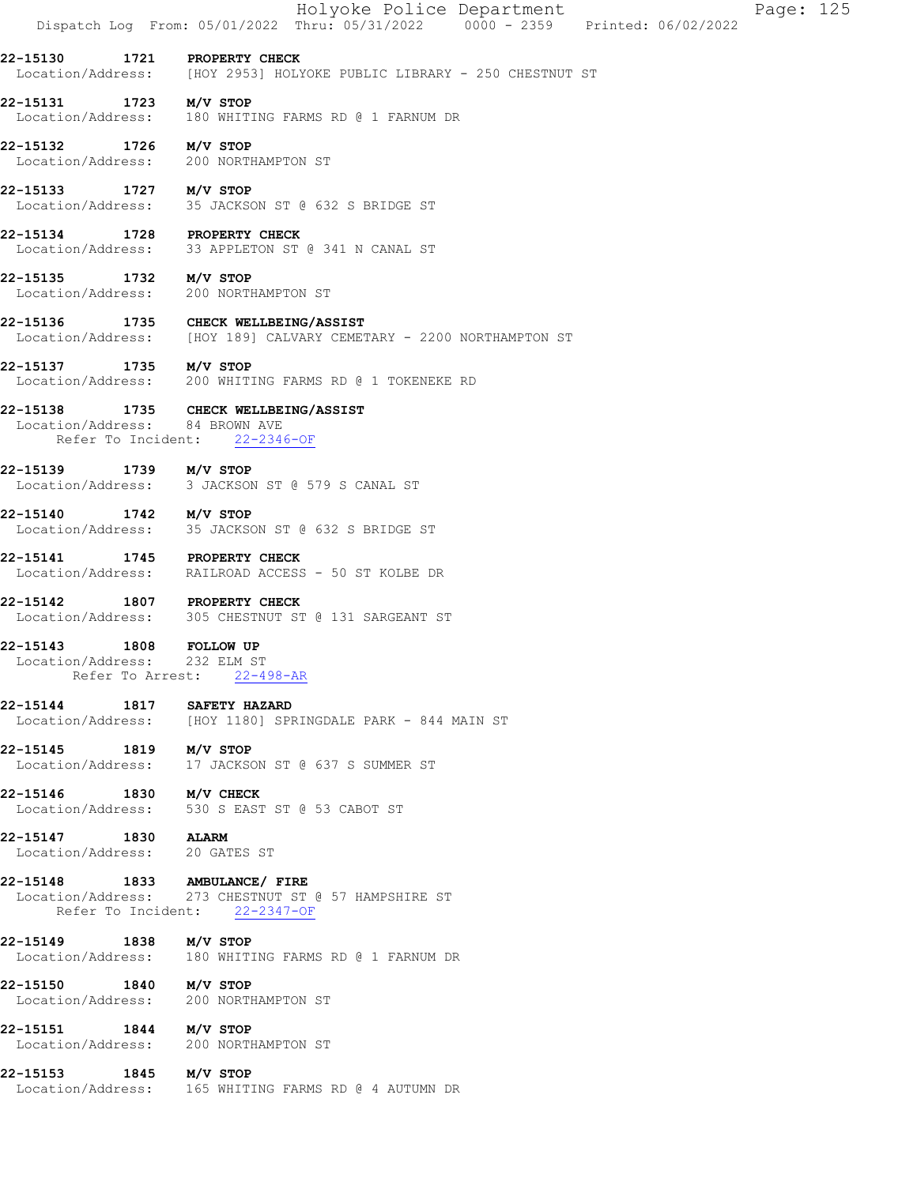|                                                         | Holyoke Police Department<br>Page: 125<br>Dispatch Log From: 05/01/2022 Thru: 05/31/2022 0000 - 2359 Printed: 06/02/2022 |
|---------------------------------------------------------|--------------------------------------------------------------------------------------------------------------------------|
| 22-15130                                                | 1721 PROPERTY CHECK<br>Location/Address: [HOY 2953] HOLYOKE PUBLIC LIBRARY - 250 CHESTNUT ST                             |
| 22-15131 1723 M/V STOP                                  | Location/Address: 180 WHITING FARMS RD @ 1 FARNUM DR                                                                     |
| 22-15132 1726 M/V STOP                                  | Location/Address: 200 NORTHAMPTON ST                                                                                     |
| 22-15133 1727 M/V STOP                                  | Location/Address: 35 JACKSON ST @ 632 S BRIDGE ST                                                                        |
|                                                         | 22-15134 1728 PROPERTY CHECK<br>Location/Address: 33 APPLETON ST @ 341 N CANAL ST                                        |
| 22-15135 1732 M/V STOP                                  | Location/Address: 200 NORTHAMPTON ST                                                                                     |
|                                                         | 22-15136 1735 CHECK WELLBEING/ASSIST<br>Location/Address: [HOY 189] CALVARY CEMETARY - 2200 NORTHAMPTON ST               |
| 22-15137 1735 M/V STOP                                  | Location/Address: 200 WHITING FARMS RD @ 1 TOKENEKE RD                                                                   |
| Location/Address: 84 BROWN AVE                          | 22-15138 1735 CHECK WELLBEING/ASSIST<br>Refer To Incident: 22-2346-OF                                                    |
| 22-15139 1739 M/V STOP                                  | Location/Address: 3 JACKSON ST @ 579 S CANAL ST                                                                          |
| 22-15140 1742 M/V STOP                                  | Location/Address: 35 JACKSON ST @ 632 S BRIDGE ST                                                                        |
|                                                         | 22-15141 1745 PROPERTY CHECK<br>Location/Address: RAILROAD ACCESS - 50 ST KOLBE DR                                       |
|                                                         | 22-15142 1807 PROPERTY CHECK<br>Location/Address: 305 CHESTNUT ST @ 131 SARGEANT ST                                      |
| 22-15143 1808 FOLLOW UP<br>Location/Address: 232 ELM ST | Refer To Arrest: 22-498-AR                                                                                               |
| 22-15144 1817 SAFETY HAZARD                             | Location/Address: [HOY 1180] SPRINGDALE PARK - 844 MAIN ST                                                               |
| 22-15145 1819 M/V STOP                                  | Location/Address: 17 JACKSON ST @ 637 S SUMMER ST                                                                        |
| 22-15146 1830 M/V CHECK                                 | Location/Address: 530 S EAST ST @ 53 CABOT ST                                                                            |
| 22-15147 1830 ALARM<br>Location/Address: 20 GATES ST    |                                                                                                                          |
|                                                         | 22-15148 1833 AMBULANCE/ FIRE<br>Location/Address: 273 CHESTNUT ST @ 57 HAMPSHIRE ST<br>Refer To Incident: 22-2347-OF    |
| 22-15149 1838 M/V STOP                                  | Location/Address: 180 WHITING FARMS RD @ 1 FARNUM DR                                                                     |
| 22-15150 1840 M/V STOP                                  | Location/Address: 200 NORTHAMPTON ST                                                                                     |
| 22-15151 1844 M/V STOP                                  | Location/Address: 200 NORTHAMPTON ST                                                                                     |
| 22-15153 1845 M/V STOP                                  | Location/Address: 165 WHITING FARMS RD @ 4 AUTUMN DR                                                                     |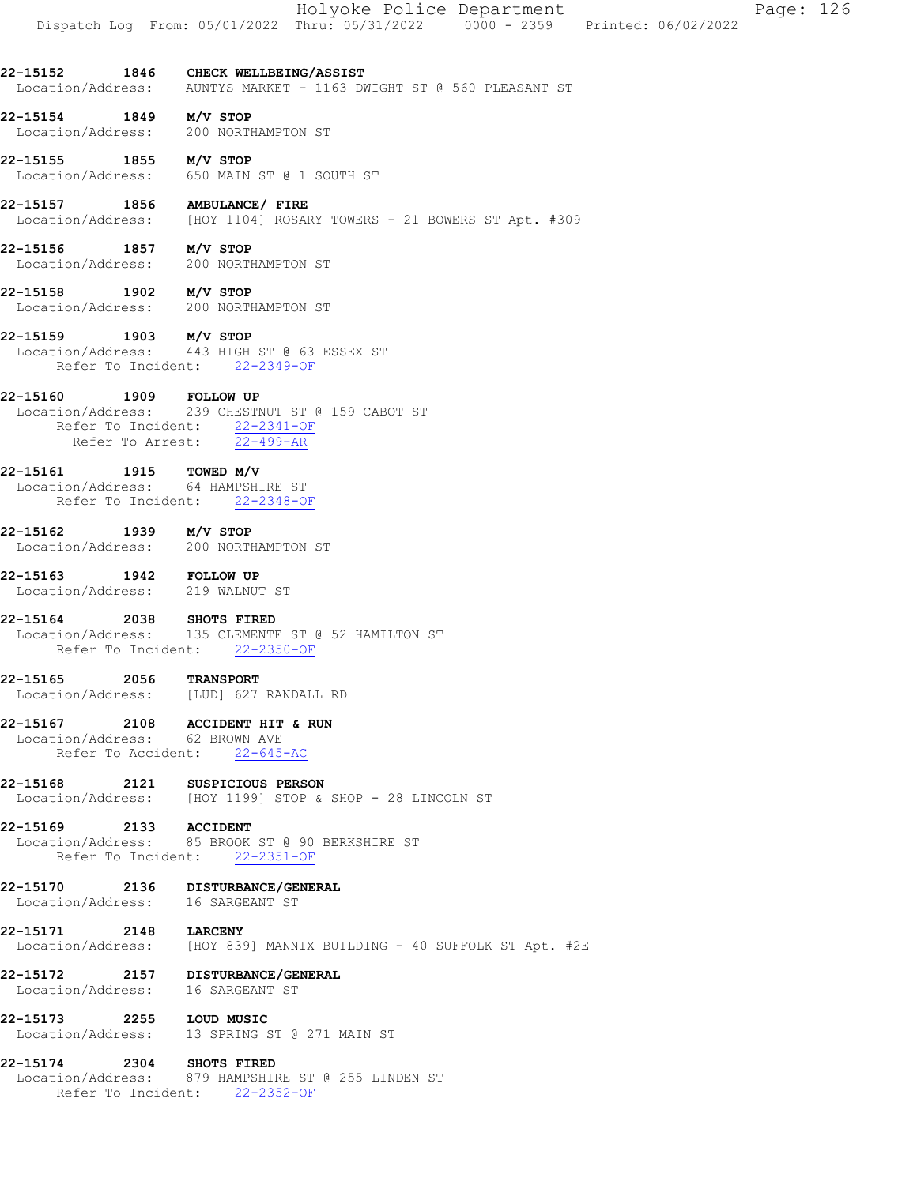|  | Holyoke Police Department |                                                                                | Page: 126 |  |
|--|---------------------------|--------------------------------------------------------------------------------|-----------|--|
|  |                           | Dispatch Log From: 05/01/2022 Thru: 05/31/2022 0000 - 2359 Printed: 06/02/2022 |           |  |

22-15152 1846 CHECK WELLBEING/ASSIST Location/Address: AUNTYS MARKET - 1163 DWIGHT ST @ 560 PLEASANT ST

22-15154 1849 M/V STOP<br>Location/Address: 200 NORTHAMPTON ST Location/Address:

22-15155 1855 M/V STOP Location/Address: 650 MAIN ST @ 1 SOUTH ST

22-15157 1856 AMBULANCE/ FIRE Location/Address: [HOY 1104] ROSARY TOWERS - 21 BOWERS ST Apt. #309

22-15156 1857 M/V STOP Location/Address: 200 NORTHAMPTON ST

22-15158 1902 M/V STOP Location/Address: 200 NORTHAMPTON ST

**22-15159 1903 M/V STOP**<br>Location/Address: 443 HIGH Location/Address: 443 HIGH ST @ 63 ESSEX ST Refer To Incident: 22-2349-OF

22-15160 1909 FOLLOW UP<br>Location/Address: 239 CHESTN 239 CHESTNUT ST @ 159 CABOT ST Refer To Incident: 22-2341-OF Refer To Arrest: 22-499-AR

22-15161 1915 TOWED M/V Location/Address: 64 HAMPSHIRE ST Refer To Incident: 22-2348-OF

22-15162 1939 M/V STOP Location/Address: 200 NORTHAMPTON ST

22-15163 1942 FOLLOW UP<br>Location/Address: 219 WALNUT ST Location/Address:

22-15164 2038 SHOTS FIRED Location/Address: 135 CLEMENTE ST @ 52 HAMILTON ST Refer To Incident: 22-2350-OF

22-15165 2056 TRANSPORT Location/Address: [LUD] 627 RANDALL RD

22-15167 2108 ACCIDENT HIT & RUN Location/Address: 62 BROWN AVE Refer To Accident: 22-645-AC

22-15168 2121 SUSPICIOUS PERSON

Location/Address: [HOY 1199] STOP & SHOP - 28 LINCOLN ST

22-15169 2133 ACCIDENT

 Location/Address: 85 BROOK ST @ 90 BERKSHIRE ST Refer To Incident: 22-2351-OF

## 22-15170 2136 DISTURBANCE/GENERAL Location/Address: 16 SARGEANT ST

**22-15171 2148 LARCENY**<br>Location/Address: [HOY 839 [HOY 839] MANNIX BUILDING - 40 SUFFOLK ST Apt. #2E

22-15172 2157 DISTURBANCE/GENERAL Location/Address: 16 SARGEANT ST

22-15173 2255 LOUD MUSIC<br>Location/Address: 13 SPRING S 13 SPRING ST @ 271 MAIN ST

22-15174 2304 SHOTS FIRED

 Location/Address: 879 HAMPSHIRE ST @ 255 LINDEN ST Refer To Incident: 22-2352-OF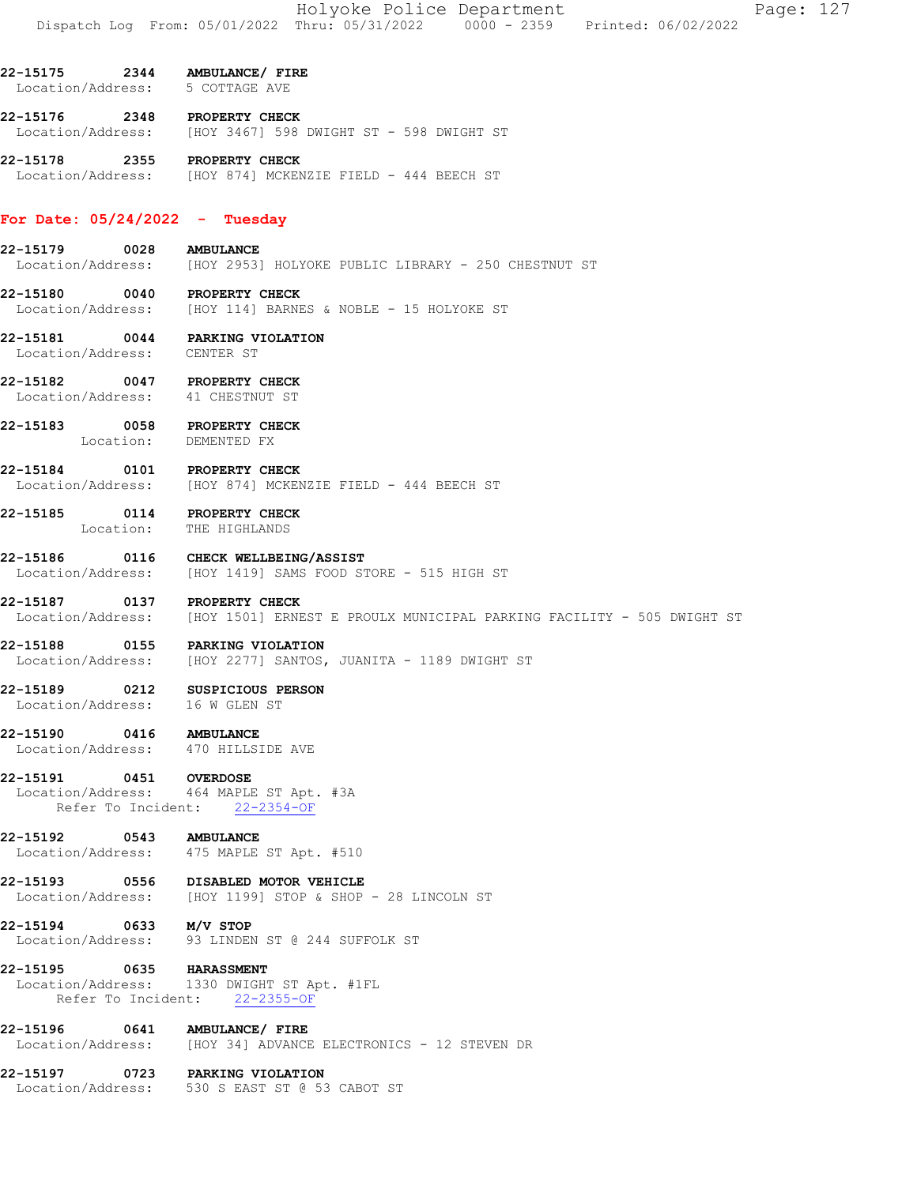Holyoke Police Department Page: 127 Dispatch Log From: 05/01/2022 Thru: 05/31/2022 0000 - 2359 Printed: 06/02/2022

- 22-15175 2344 AMBULANCE/ FIRE Location/Address: 5 COTTAGE AVE
- **22-15176 2348 PROPERTY CHECK**<br>Location/Address: [HOY 3467] 598 Location/Address: [HOY 3467] 598 DWIGHT ST - 598 DWIGHT ST
- 22-15178 2355 PROPERTY CHECK Location/Address: [HOY 874] MCKENZIE FIELD - 444 BEECH ST

#### For Date: 05/24/2022 - Tuesday

- 22-15179 0028 AMBULANCE Location/Address: [HOY 2953] HOLYOKE PUBLIC LIBRARY - 250 CHESTNUT ST
- 22-15180 0040 PROPERTY CHECK Location/Address: [HOY 114] BARNES & NOBLE - 15 HOLYOKE ST
- 22-15181 0044 PARKING VIOLATION Location/Address: CENTER ST
- 22-15182 0047 PROPERTY CHECK Location/Address: 41 CHESTNUT ST
- 22-15183 0058 PROPERTY CHECK Location: DEMENTED FX
- 22-15184 0101 PROPERTY CHECK Location/Address: [HOY 874] MCKENZIE FIELD - 444 BEECH ST
- 22-15185 0114 PROPERTY CHECK Location: THE HIGHLANDS
- 22-15186 0116 CHECK WELLBEING/ASSIST<br>Location/Address: [HOY 1419] SAMS FOOD ST [HOY 1419] SAMS FOOD STORE - 515 HIGH ST
- 22-15187 0137 PROPERTY CHECK<br>Location/Address: [HOY 1501] ERNE [HOY 1501] ERNEST E PROULX MUNICIPAL PARKING FACILITY - 505 DWIGHT ST
- 22-15188 0155 PARKING VIOLATION<br>Location/Address: [HOY 2277] SANTOS, [HOY 2277] SANTOS, JUANITA - 1189 DWIGHT ST
- 22-15189 0212 SUSPICIOUS PERSON Location/Address: 16 W GLEN ST
- 22-15190 0416 AMBULANCE Location/Address: 470 HILLSIDE AVE
- 22-15191 0451 OVERDOSE<br>Location/Address: 464 MAPLE 464 MAPLE ST Apt. #3A Refer To Incident: 22-2354-OF
- 22-15192 0543 AMBULANCE<br>Location/Address: 475 MAPLE 475 MAPLE ST Apt. #510
- 22-15193 0556 DISABLED MOTOR VEHICLE Location/Address: [HOY 1199] STOP & SHOP - 28 LINCOLN ST
- 22-15194 0633 M/V STOP Location/Address: 93 LINDEN ST @ 244 SUFFOLK ST
- 22-15195 0635 HARASSMENT Location/Address: 1330 DWIGHT ST Apt. #1FL Refer To Incident: 22-2355-OF
- 22-15196 0641 AMBULANCE/ FIRE Location/Address: [HOY 34] ADVANCE ELECTRONICS - 12 STEVEN DR
- 22-15197 0723 PARKING VIOLATION Location/Address: 530 S EAST ST @ 53 CABOT ST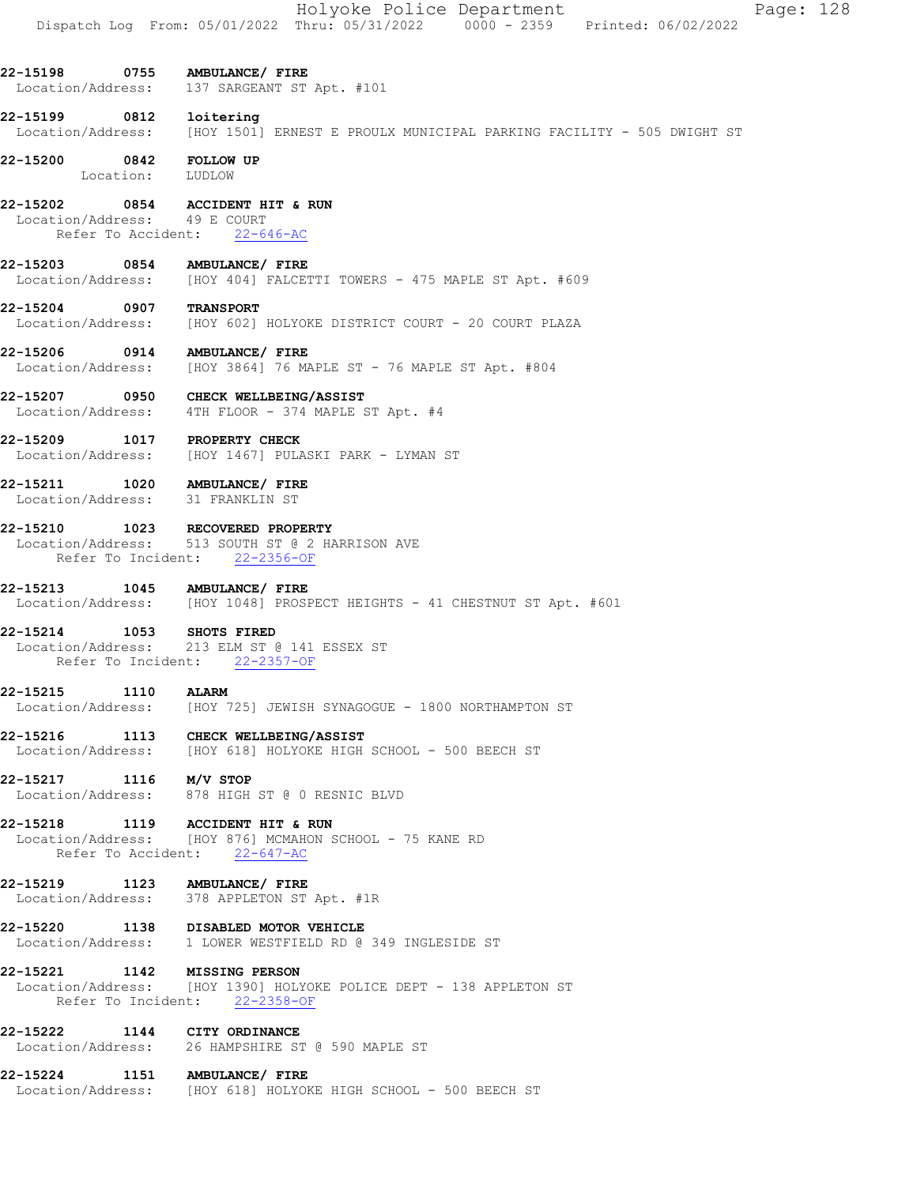|                                                                       | Holyoke Police Department<br>Page: 128<br>Dispatch Log From: 05/01/2022 Thru: 05/31/2022 0000 - 2359 Printed: 06/02/2022    |
|-----------------------------------------------------------------------|-----------------------------------------------------------------------------------------------------------------------------|
| 22-15198 0755 AMBULANCE/ FIRE                                         | Location/Address: 137 SARGEANT ST Apt. #101                                                                                 |
| 22-15199 0812 loitering                                               | Location/Address: [HOY 1501] ERNEST E PROULX MUNICIPAL PARKING FACILITY - 505 DWIGHT ST                                     |
| 22-15200 0842 FOLLOW UP<br>Location: LUDLOW                           |                                                                                                                             |
| Location/Address: 49 E COURT                                          | 22-15202 0854 ACCIDENT HIT & RUN<br>Refer To Accident: 22-646-AC                                                            |
| 22-15203 0854 AMBULANCE/ FIRE                                         | Location/Address: [HOY 404] FALCETTI TOWERS - 475 MAPLE ST Apt. #609                                                        |
| 22-15204 0907 TRANSPORT                                               | Location/Address: [HOY 602] HOLYOKE DISTRICT COURT - 20 COURT PLAZA                                                         |
| 22-15206                                                              | 0914 AMBULANCE/ FIRE<br>Location/Address: [HOY 3864] 76 MAPLE ST - 76 MAPLE ST Apt. #804                                    |
|                                                                       | 22-15207 0950 CHECK WELLBEING/ASSIST<br>Location/Address: 4TH FLOOR - 374 MAPLE ST Apt. #4                                  |
| 22-15209 1017 PROPERTY CHECK                                          | Location/Address: [HOY 1467] PULASKI PARK - LYMAN ST                                                                        |
| 22-15211   1020   AMBULANCE/ FIRE<br>Location/Address: 31 FRANKLIN ST |                                                                                                                             |
|                                                                       | 22-15210 1023 RECOVERED PROPERTY<br>Location/Address: 513 SOUTH ST @ 2 HARRISON AVE<br>Refer To Incident: 22-2356-OF        |
| 22-15213                                                              | 1045 AMBULANCE/ FIRE<br>Location/Address: [HOY 1048] PROSPECT HEIGHTS - 41 CHESTNUT ST Apt. #601                            |
| 22-15214                                                              | 1053 SHOTS FIRED<br>Location/Address: 213 ELM ST @ 141 ESSEX ST<br>Refer To Incident: 22-2357-OF                            |
| 22-15215 1110 ALARM                                                   | Location/Address: [HOY 725] JEWISH SYNAGOGUE - 1800 NORTHAMPTON ST                                                          |
|                                                                       | 22-15216 1113 CHECK WELLBEING/ASSIST<br>Location/Address: [HOY 618] HOLYOKE HIGH SCHOOL - 500 BEECH ST                      |
| 22-15217 1116 M/V STOP                                                | Location/Address: 878 HIGH ST @ 0 RESNIC BLVD                                                                               |
|                                                                       | 22-15218 1119 ACCIDENT HIT & RUN<br>Location/Address: [HOY 876] MCMAHON SCHOOL - 75 KANE RD<br>Refer To Accident: 22-647-AC |
| 22-15219 1123 AMBULANCE/ FIRE                                         | Location/Address: 378 APPLETON ST Apt. #1R                                                                                  |
|                                                                       | 22-15220 1138 DISABLED MOTOR VEHICLE<br>Location/Address: 1 LOWER WESTFIELD RD @ 349 INGLESIDE ST                           |
| 22-15221 1142 MISSING PERSON                                          | Location/Address: [HOY 1390] HOLYOKE POLICE DEPT - 138 APPLETON ST<br>Refer To Incident: 22-2358-OF                         |
| 22-15222 1144 CITY ORDINANCE                                          | Location/Address: 26 HAMPSHIRE ST @ 590 MAPLE ST                                                                            |
| 22-15224 1151 AMBULANCE/ FIRE                                         | Location/Address: [HOY 618] HOLYOKE HIGH SCHOOL - 500 BEECH ST                                                              |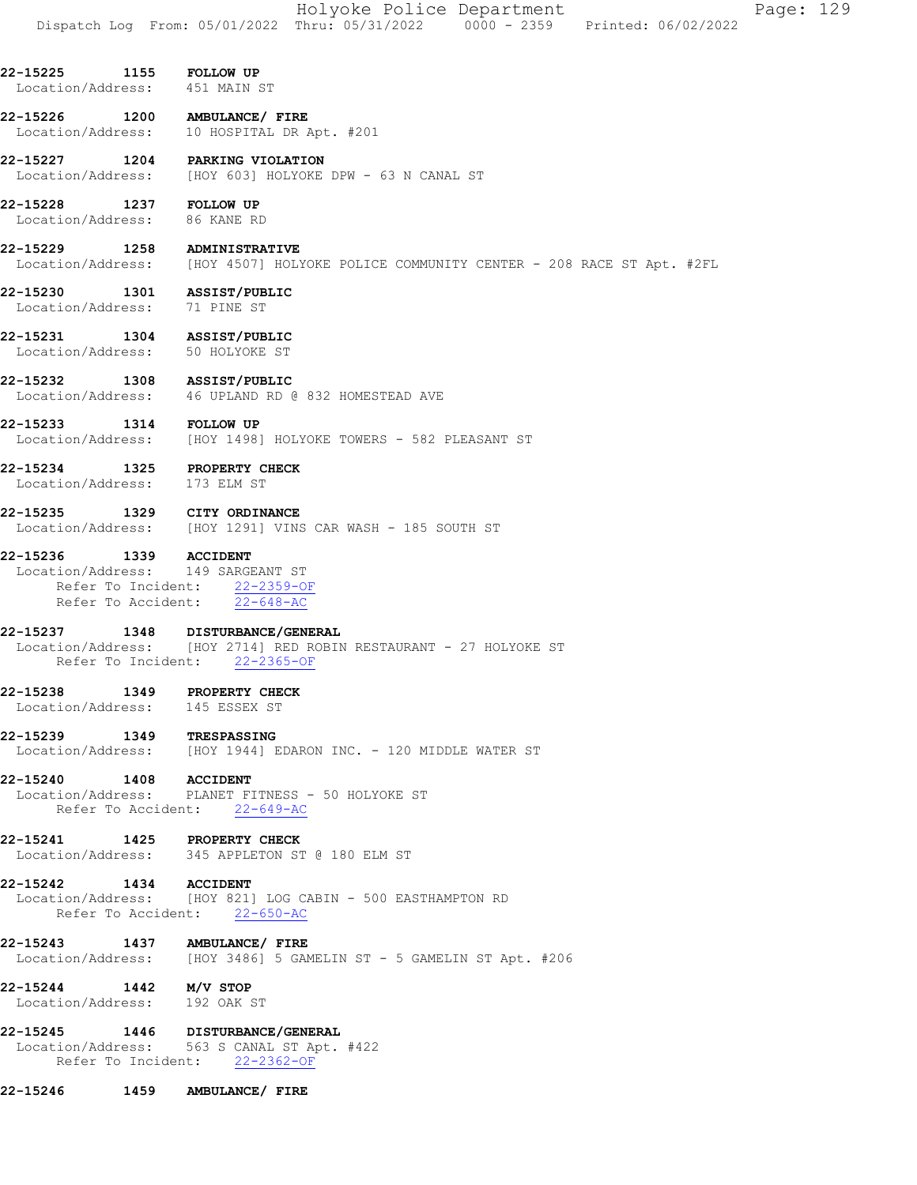|                                                                                             |      |                                                                                  |  | Holyoke Police Department<br>Dispatch Log From: 05/01/2022 Thru: 05/31/2022 0000 - 2359 Printed: 06/02/2022 |  | Page: 129 |  |
|---------------------------------------------------------------------------------------------|------|----------------------------------------------------------------------------------|--|-------------------------------------------------------------------------------------------------------------|--|-----------|--|
| 22-15225 1155 FOLLOW UP<br>Location/Address: 451 MAIN ST                                    |      |                                                                                  |  |                                                                                                             |  |           |  |
| 22-15226 1200 AMBULANCE/ FIRE<br>Location/Address:                                          |      | 10 HOSPITAL DR Apt. #201                                                         |  |                                                                                                             |  |           |  |
| 22-15227<br>Location/Address: [HOY 603] HOLYOKE DPW - 63 N CANAL ST                         |      | 1204 PARKING VIOLATION                                                           |  |                                                                                                             |  |           |  |
| 22-15228 1237 FOLLOW UP<br>Location/Address: 86 KANE RD                                     |      |                                                                                  |  |                                                                                                             |  |           |  |
| 22-15229 1258 ADMINISTRATIVE                                                                |      |                                                                                  |  | Location/Address: [HOY 4507] HOLYOKE POLICE COMMUNITY CENTER - 208 RACE ST Apt. #2FL                        |  |           |  |
| 22-15230 1301 ASSIST/PUBLIC<br>Location/Address:                                            |      | 71 PINE ST                                                                       |  |                                                                                                             |  |           |  |
| 22-15231<br>Location/Address: 50 HOLYOKE ST                                                 |      | 1304 ASSIST/PUBLIC                                                               |  |                                                                                                             |  |           |  |
| 22-15232 1308 ASSIST/PUBLIC<br>Location/Address: 46 UPLAND RD @ 832 HOMESTEAD AVE           |      |                                                                                  |  |                                                                                                             |  |           |  |
| 22-15233<br>Location/Address: [HOY 1498] HOLYOKE TOWERS - 582 PLEASANT ST                   |      | 1314 FOLLOW UP                                                                   |  |                                                                                                             |  |           |  |
| 22-15234 1325 PROPERTY CHECK<br>Location/Address: 173 ELM ST                                |      |                                                                                  |  |                                                                                                             |  |           |  |
| 22-15235<br>Location/Address: [HOY 1291] VINS CAR WASH - 185 SOUTH ST                       |      | <b>1329 CITY ORDINANCE</b>                                                       |  |                                                                                                             |  |           |  |
| 22-15236<br>Location/Address: 149 SARGEANT ST                                               | 1339 | <b>ACCIDENT</b><br>Refer To Incident: 22-2359-OF<br>Refer To Accident: 22-648-AC |  |                                                                                                             |  |           |  |
| 22-15237<br>Location/Address: [HOY 2714] RED ROBIN RESTAURANT - 27 HOLYOKE ST               |      | 1348 DISTURBANCE/GENERAL<br>Refer To Incident: 22-2365-OF                        |  |                                                                                                             |  |           |  |
| 22-15238 1349 PROPERTY CHECK<br>Location/Address: 145 ESSEX ST                              |      |                                                                                  |  |                                                                                                             |  |           |  |
| 22-15239 1349 TRESPASSING<br>Location/Address: [HOY 1944] EDARON INC. - 120 MIDDLE WATER ST |      |                                                                                  |  |                                                                                                             |  |           |  |
| 22-15240 1408 ACCIDENT<br>Location/Address: PLANET FITNESS - 50 HOLYOKE ST                  |      | Refer To Accident: 22-649-AC                                                     |  |                                                                                                             |  |           |  |
| 22-15241 1425 PROPERTY CHECK<br>Location/Address: 345 APPLETON ST @ 180 ELM ST              |      |                                                                                  |  |                                                                                                             |  |           |  |
| 22-15242 1434 ACCIDENT<br>Location/Address: [HOY 821] LOG CABIN - 500 EASTHAMPTON RD        |      | Refer To Accident: 22-650-AC                                                     |  |                                                                                                             |  |           |  |
| 22-15243 1437 AMBULANCE/ FIRE                                                               |      |                                                                                  |  | Location/Address: [HOY 3486] 5 GAMELIN ST - 5 GAMELIN ST Apt. #206                                          |  |           |  |
| 22-15244 1442 M/V STOP<br>Location/Address: 192 OAK ST                                      |      |                                                                                  |  |                                                                                                             |  |           |  |
| 22-15245 1446 DISTURBANCE/GENERAL<br>Location/Address: 563 S CANAL ST Apt. #422             |      | Refer To Incident: 22-2362-OF                                                    |  |                                                                                                             |  |           |  |

22-15246 1459 AMBULANCE/ FIRE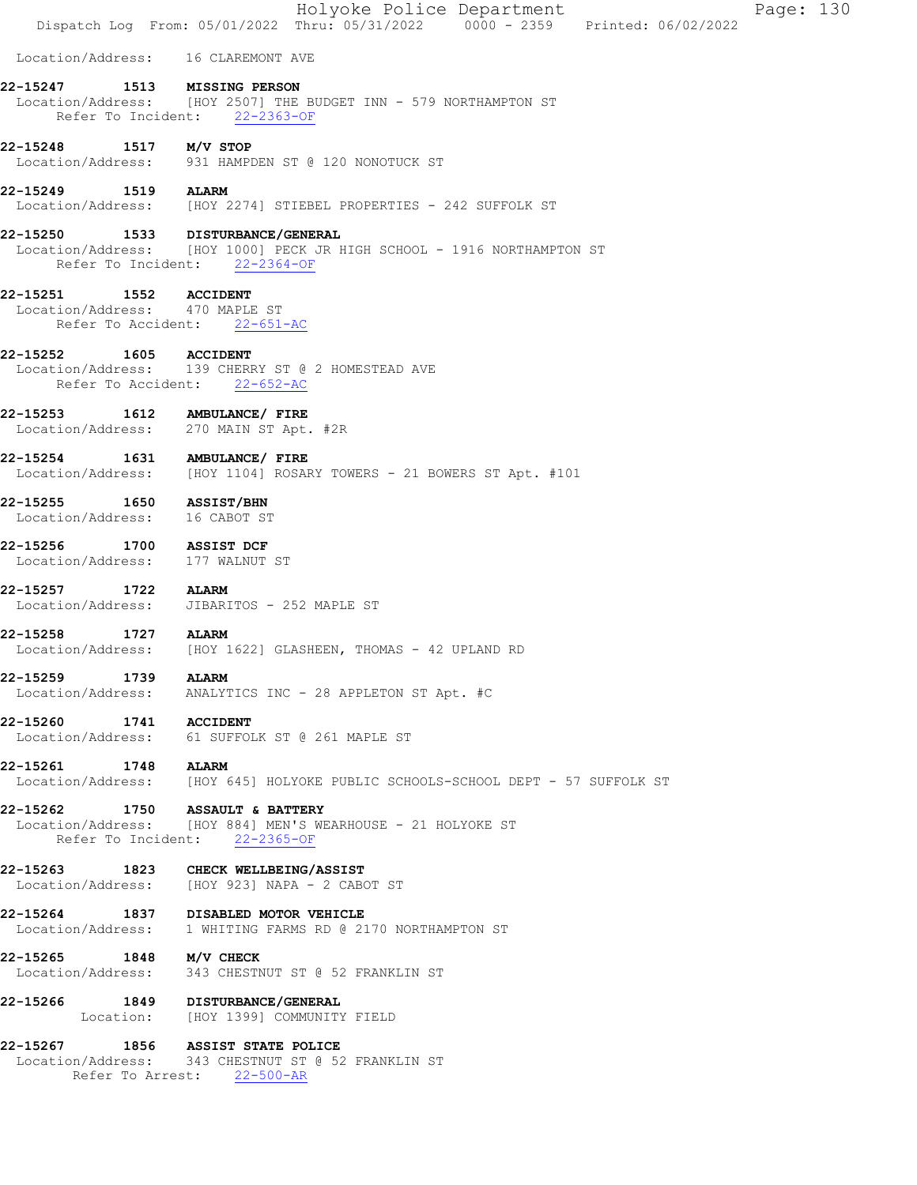|                                                                               |            |                                                      | Holyoke Police Department<br>Dispatch Log From: 05/01/2022 Thru: 05/31/2022 0000 - 2359 Printed: 06/02/2022 |  | Page: 130 |  |
|-------------------------------------------------------------------------------|------------|------------------------------------------------------|-------------------------------------------------------------------------------------------------------------|--|-----------|--|
|                                                                               |            | Location/Address: 16 CLAREMONT AVE                   |                                                                                                             |  |           |  |
| 22-15247                                                                      |            | 1513 MISSING PERSON<br>Refer To Incident: 22-2363-OF | Location/Address: [HOY 2507] THE BUDGET INN - 579 NORTHAMPTON ST                                            |  |           |  |
| 22-15248 1517 M/V STOP                                                        |            |                                                      | Location/Address: 931 HAMPDEN ST @ 120 NONOTUCK ST                                                          |  |           |  |
| 22-15249 1519 ALARM                                                           |            |                                                      | Location/Address: [HOY 2274] STIEBEL PROPERTIES - 242 SUFFOLK ST                                            |  |           |  |
|                                                                               |            | Refer To Incident: 22-2364-OF                        | 22-15250 1533 DISTURBANCE/GENERAL<br>Location/Address: [HOY 1000] PECK JR HIGH SCHOOL - 1916 NORTHAMPTON ST |  |           |  |
| 22-15251 1552 ACCIDENT<br>Location/Address: 470 MAPLE ST                      |            | Refer To Accident: 22-651-AC                         |                                                                                                             |  |           |  |
| 22-15252 1605 ACCIDENT                                                        |            | Refer To Accident: 22-652-AC                         | Location/Address: 139 CHERRY ST @ 2 HOMESTEAD AVE                                                           |  |           |  |
| 22-15253   1612   AMBULANCE/ FIRE<br>Location/Address:   270 MAIN ST Apt. #2R |            |                                                      |                                                                                                             |  |           |  |
| 22-15254   1631   AMBULANCE/ FIRE                                             |            |                                                      | Location/Address: [HOY 1104] ROSARY TOWERS - 21 BOWERS ST Apt. #101                                         |  |           |  |
| 22-15255 1650 ASSIST/BHN<br>Location/Address: 16 CABOT ST                     |            |                                                      |                                                                                                             |  |           |  |
| 22-15256 1700 ASSIST DCF<br>Location/Address: 177 WALNUT ST                   |            |                                                      |                                                                                                             |  |           |  |
| 22-15257 1722 ALARM                                                           |            | Location/Address: JIBARITOS - 252 MAPLE ST           |                                                                                                             |  |           |  |
| 22-15258                                                                      | 1727 ALARM |                                                      | Location/Address: [HOY 1622] GLASHEEN, THOMAS - 42 UPLAND RD                                                |  |           |  |
| 22-15259 1739<br>Location/Address:                                            |            | <b>ALARM</b>                                         | ANALYTICS INC - 28 APPLETON ST Apt. #C                                                                      |  |           |  |
| 22-15260 1741 ACCIDENT                                                        |            | Location/Address: 61 SUFFOLK ST @ 261 MAPLE ST       |                                                                                                             |  |           |  |
| 22-15261 1748 ALARM                                                           |            |                                                      | Location/Address: [HOY 645] HOLYOKE PUBLIC SCHOOLS-SCHOOL DEPT - 57 SUFFOLK ST                              |  |           |  |
| 22-15262 1750 ASSAULT & BATTERY                                               |            | Refer To Incident: 22-2365-OF                        | Location/Address: [HOY 884] MEN'S WEARHOUSE - 21 HOLYOKE ST                                                 |  |           |  |
| 22-15263 1823 CHECK WELLBEING/ASSIST                                          |            | Location/Address: [HOY 923] NAPA - 2 CABOT ST        |                                                                                                             |  |           |  |
| 22-15264 1837 DISABLED MOTOR VEHICLE                                          |            |                                                      | Location/Address: 1 WHITING FARMS RD @ 2170 NORTHAMPTON ST                                                  |  |           |  |
| 22-15265 1848 M/V CHECK                                                       |            |                                                      | Location/Address: 343 CHESTNUT ST @ 52 FRANKLIN ST                                                          |  |           |  |
| 22-15266 1849 DISTURBANCE/GENERAL                                             |            | Location: [HOY 1399] COMMUNITY FIELD                 |                                                                                                             |  |           |  |
| 22-15267 1856 ASSIST STATE POLICE                                             |            | Refer To Arrest: 22-500-AR                           | Location/Address: 343 CHESTNUT ST @ 52 FRANKLIN ST                                                          |  |           |  |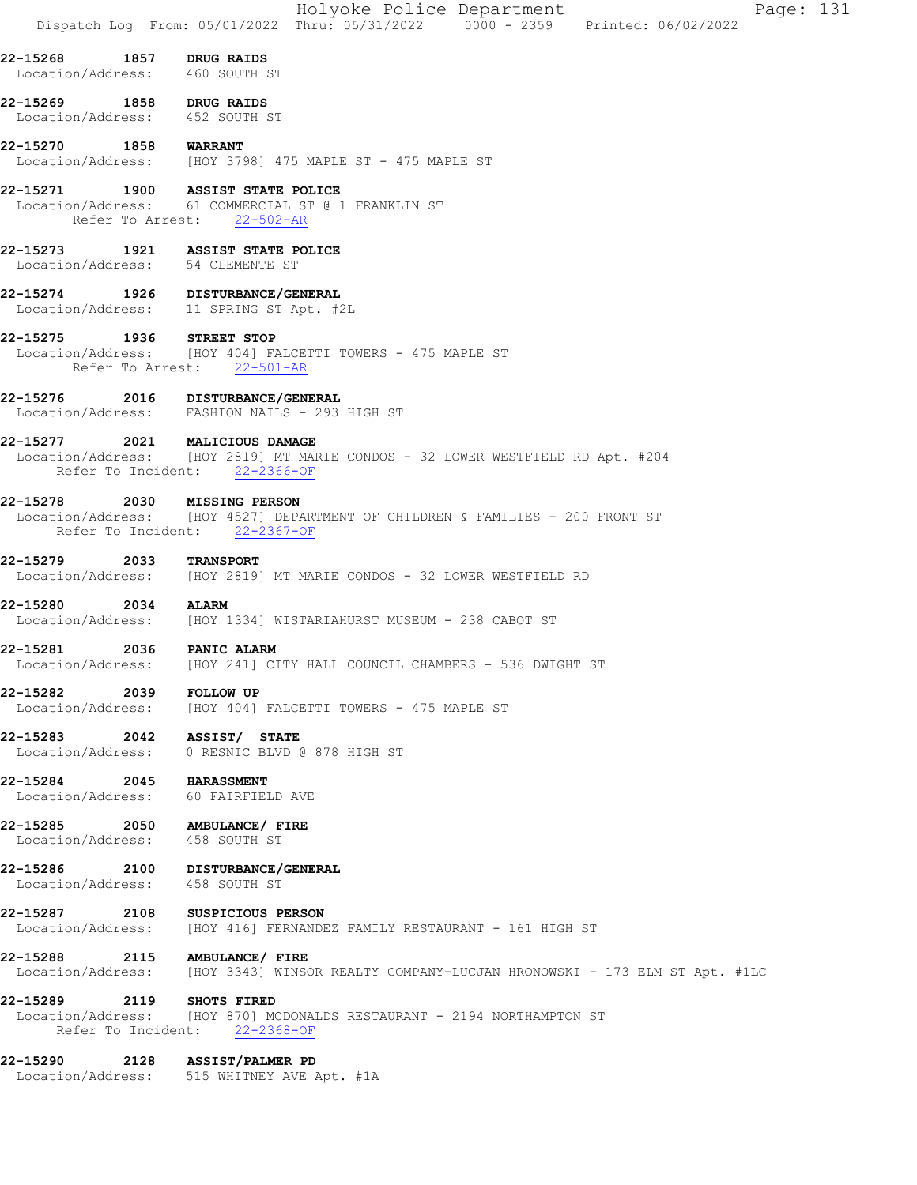|                                                            |            | Holyoke Police Department<br>Page: 131<br>Dispatch Log From: 05/01/2022 Thru: 05/31/2022 0000 - 2359 Printed: 06/02/2022                          |
|------------------------------------------------------------|------------|---------------------------------------------------------------------------------------------------------------------------------------------------|
| 22-15268 1857 DRUG RAIDS<br>Location/Address: 460 SOUTH ST |            |                                                                                                                                                   |
| 22-15269 1858 DRUG RAIDS<br>Location/Address: 452 SOUTH ST |            |                                                                                                                                                   |
| 22-15270 1858 WARRANT                                      |            | Location/Address: [HOY 3798] 475 MAPLE ST - 475 MAPLE ST                                                                                          |
|                                                            |            | 22-15271 1900 ASSIST STATE POLICE<br>Location/Address: 61 COMMERCIAL ST @ 1 FRANKLIN ST<br>Refer To Arrest: 22-502-AR                             |
| Location/Address: 54 CLEMENTE ST                           |            | 22-15273 1921 ASSIST STATE POLICE                                                                                                                 |
|                                                            |            | 22-15274 1926 DISTURBANCE/GENERAL<br>Location/Address: 11 SPRING ST Apt. #2L                                                                      |
| 22-15275 1936 STREET STOP                                  |            | Location/Address: [HOY 404] FALCETTI TOWERS - 475 MAPLE ST<br>Refer To Arrest: 22-501-AR                                                          |
|                                                            |            | 22-15276 2016 DISTURBANCE/GENERAL<br>Location/Address: FASHION NAILS - 293 HIGH ST                                                                |
|                                                            |            | 22-15277 2021 MALICIOUS DAMAGE<br>Location/Address: [HOY 2819] MT MARIE CONDOS - 32 LOWER WESTFIELD RD Apt. #204<br>Refer To Incident: 22-2366-OF |
| 22-15278 2030 MISSING PERSON                               |            | Location/Address: [HOY 4527] DEPARTMENT OF CHILDREN & FAMILIES - 200 FRONT ST<br>Refer To Incident: 22-2367-OF                                    |
| 22-15279 2033 TRANSPORT                                    |            | Location/Address: [HOY 2819] MT MARIE CONDOS - 32 LOWER WESTFIELD RD                                                                              |
| 22-15280                                                   | 2034 ALARM | Location/Address: [HOY 1334] WISTARIAHURST MUSEUM - 238 CABOT ST                                                                                  |
| 22-15281                                                   |            | 2036 PANIC ALARM<br>Location/Address: [HOY 241] CITY HALL COUNCIL CHAMBERS - 536 DWIGHT ST                                                        |
| 22-15282 2039 FOLLOW UP                                    |            | Location/Address: [HOY 404] FALCETTI TOWERS - 475 MAPLE ST                                                                                        |
| 22-15283 2042 ASSIST/ STATE                                |            | Location/Address: 0 RESNIC BLVD @ 878 HIGH ST                                                                                                     |
| 22-15284 2045 HARASSMENT                                   |            | Location/Address: 60 FAIRFIELD AVE                                                                                                                |
| Location/Address: 458 SOUTH ST                             |            | 22-15285 2050 AMBULANCE/ FIRE                                                                                                                     |
| Location/Address: 458 SOUTH ST                             |            | 22-15286 2100 DISTURBANCE/GENERAL                                                                                                                 |
|                                                            |            | 22-15287 2108 SUSPICIOUS PERSON<br>Location/Address: [HOY 416] FERNANDEZ FAMILY RESTAURANT - 161 HIGH ST                                          |
|                                                            |            | 22-15288 2115 AMBULANCE/ FIRE<br>Location/Address: [HOY 3343] WINSOR REALTY COMPANY-LUCJAN HRONOWSKI - 173 ELM ST Apt. #1LC                       |
| 22-15289 2119 SHOTS FIRED                                  |            | Location/Address: [HOY 870] MCDONALDS RESTAURANT - 2194 NORTHAMPTON ST<br>Refer To Incident: 22-2368-OF                                           |
|                                                            |            | 22-15290 2128 ASSIST/PALMER PD<br>Location/Address: 515 WHITNEY AVE Apt. #1A                                                                      |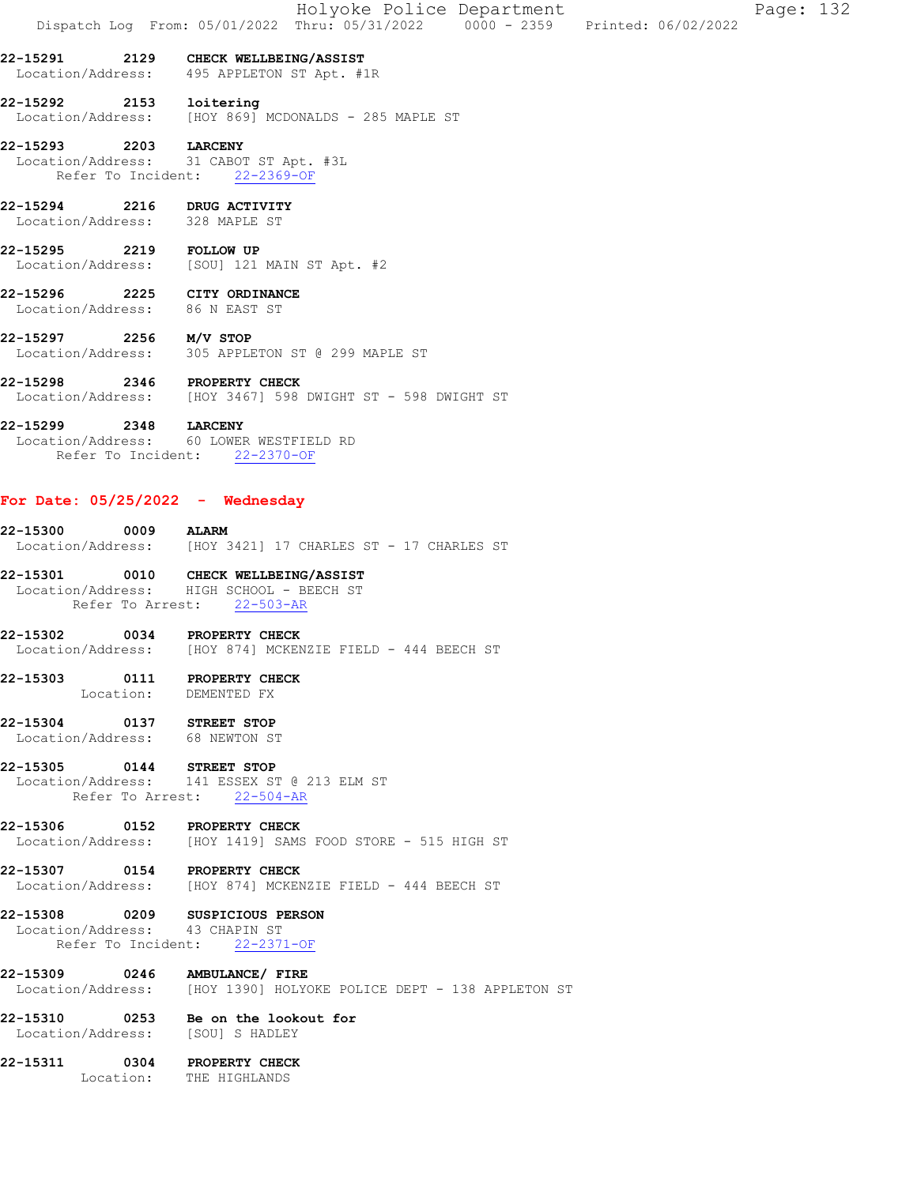| Holyoke Police Department                                                      | Page: 132 |  |
|--------------------------------------------------------------------------------|-----------|--|
| Dispatch Log From: 05/01/2022 Thru: 05/31/2022 0000 - 2359 Printed: 06/02/2022 |           |  |

## 22-15291 2129 CHECK WELLBEING/ASSIST

Location/Address: 495 APPLETON ST Apt. #1R

### 22-15292 2153 loitering Location/Address: [HOY 869] MCDONALDS - 285 MAPLE ST

22-15293 2203 LARCENY Location/Address: 31 CABOT ST Apt. #3L Refer To Incident: 22-2369-OF

- 22-15294 2216 DRUG ACTIVITY Location/Address: 328 MAPLE ST
- 22-15295 2219 FOLLOW UP Location/Address: [SOU] 121 MAIN ST Apt. #2
- 22-15296 2225 CITY ORDINANCE Location/Address: 86 N EAST ST
- **22-15297 2256 M/V STOP**<br>Location/Address: 305 APPLE 305 APPLETON ST @ 299 MAPLE ST
- 22-15298 2346 PROPERTY CHECK Location/Address: [HOY 3467] 598 DWIGHT ST - 598 DWIGHT ST

## 22-15299 2348 LARCENY

 Location/Address: 60 LOWER WESTFIELD RD Refer To Incident: 22-2370-OF

## For Date: 05/25/2022 - Wednesday

22-15300 0009 ALARM Location/Address: [HOY 3421] 17 CHARLES ST - 17 CHARLES ST

## 22-15301 0010 CHECK WELLBEING/ASSIST Location/Address: HIGH SCHOOL - BEECH ST Refer To Arrest: 22-503-AR

- 22-15302 0034 PROPERTY CHECK Location/Address: [HOY 874] MCKENZIE FIELD - 444 BEECH ST
- 22-15303 0111 PROPERTY CHECK Location: DEMENTED FX
- 22-15304 0137 STREET STOP Location/Address: 68 NEWTON ST
- 22-15305 0144 STREET STOP Location/Address: 141 ESSEX ST @ 213 ELM ST Refer To Arrest: 22-504-AR
- 22-15306 0152 PROPERTY CHECK Location/Address: [HOY 1419] SAMS FOOD STORE - 515 HIGH ST
- 22-15307 0154 PROPERTY CHECK Location/Address: [HOY 874] MCKENZIE FIELD - 444 BEECH ST

## 22-15308 0209 SUSPICIOUS PERSON Location/Address: 43 CHAPIN ST<br>Refer To Incident: 22-2371-OF Refer To Incident:

- 22-15309 0246 AMBULANCE/ FIRE Location/Address: [HOY 1390] HOLYOKE POLICE DEPT - 138 APPLETON ST
- 22-15310 0253 Be on the lookout for Location/Address: [SOU] S HADLEY
- 22-15311 0304 PROPERTY CHECK Location: THE HIGHLANDS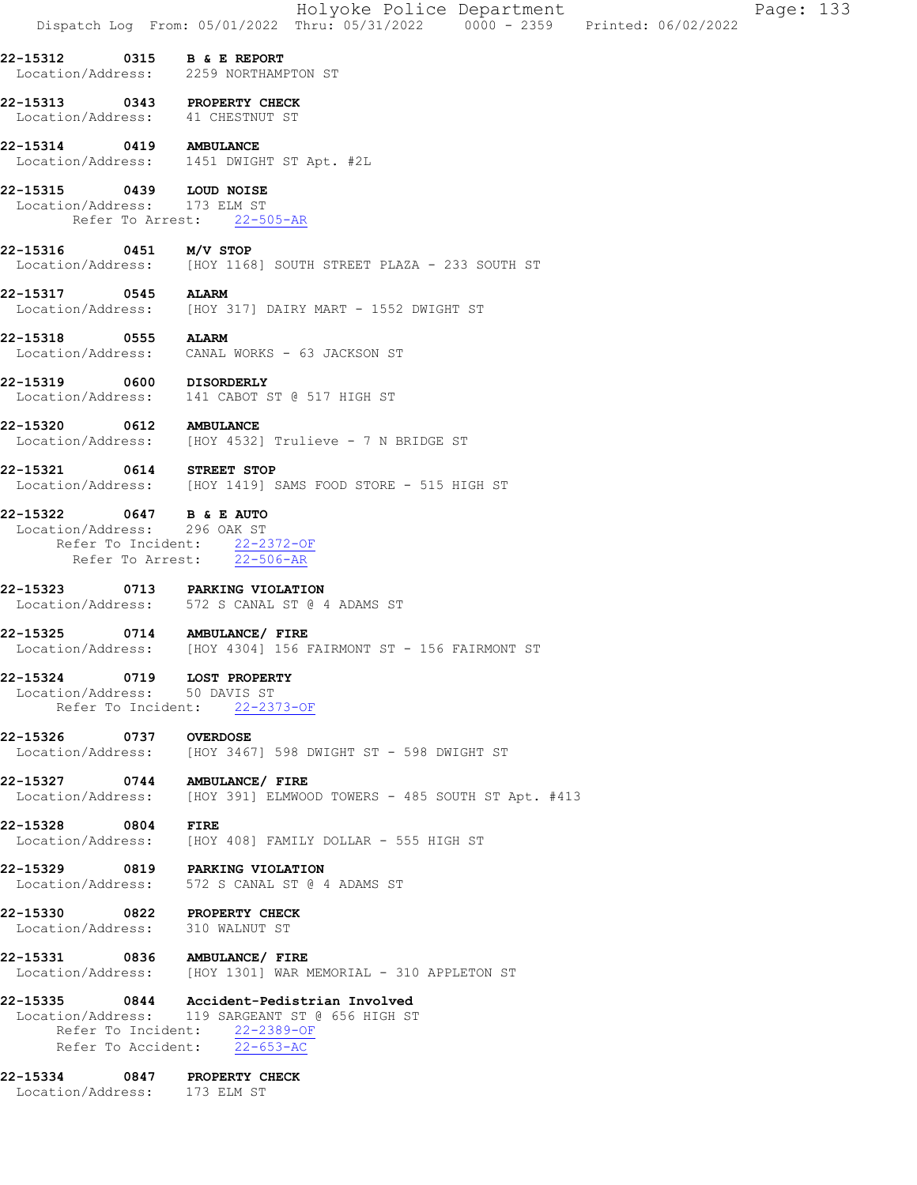|                                                              | Holyoke Police Department<br>Page: 133<br>Dispatch Log From: 05/01/2022 Thru: 05/31/2022 0000 - 2359 Printed: 06/02/2022                                       |
|--------------------------------------------------------------|----------------------------------------------------------------------------------------------------------------------------------------------------------------|
| 22-15312 0315 B & E REPORT                                   | Location/Address: 2259 NORTHAMPTON ST                                                                                                                          |
| 22-15313 0343 PROPERTY CHECK                                 | Location/Address: 41 CHESTNUT ST                                                                                                                               |
| 22-15314 0419 AMBULANCE                                      | Location/Address: 1451 DWIGHT ST Apt. #2L                                                                                                                      |
| 22-15315 0439 LOUD NOISE<br>Location/Address: 173 ELM ST     | Refer To Arrest: 22-505-AR                                                                                                                                     |
| 22-15316 0451 M/V STOP                                       | Location/Address: [HOY 1168] SOUTH STREET PLAZA - 233 SOUTH ST                                                                                                 |
| 22-15317 0545 ALARM                                          | Location/Address: [HOY 317] DAIRY MART - 1552 DWIGHT ST                                                                                                        |
| 22-15318 0555 ALARM                                          | Location/Address: CANAL WORKS - 63 JACKSON ST                                                                                                                  |
| 22-15319 0600 DISORDERLY                                     | Location/Address: 141 CABOT ST @ 517 HIGH ST                                                                                                                   |
| 22-15320 0612 AMBULANCE                                      | Location/Address: [HOY 4532] Trulieve - 7 N BRIDGE ST                                                                                                          |
| 22-15321 0614 STREET STOP                                    | Location/Address: [HOY 1419] SAMS FOOD STORE - 515 HIGH ST                                                                                                     |
| 22-15322 0647 B & E AUTO<br>Location/Address: 296 OAK ST     | Refer To Incident: 22-2372-OF<br>Refer To Arrest: 22-506-AR                                                                                                    |
|                                                              | 22-15323 0713 PARKING VIOLATION<br>Location/Address: 572 S CANAL ST @ 4 ADAMS ST                                                                               |
|                                                              | 22-15325 0714 AMBULANCE/ FIRE<br>Location/Address: [HOY 4304] 156 FAIRMONT ST - 156 FAIRMONT ST                                                                |
| 22-15324 0719 LOST PROPERTY<br>Location/Address: 50 DAVIS ST | Refer To Incident: 22-2373-OF                                                                                                                                  |
| 22-15326 0737 OVERDOSE                                       | Location/Address: [HOY 3467] 598 DWIGHT ST - 598 DWIGHT ST                                                                                                     |
|                                                              | 22-15327 0744 AMBULANCE/ FIRE<br>Location/Address: [HOY 391] ELMWOOD TOWERS - 485 SOUTH ST Apt. #413                                                           |
| 22-15328 0804                                                | FIRE<br>Location/Address: [HOY 408] FAMILY DOLLAR - 555 HIGH ST                                                                                                |
|                                                              | 22-15329 0819 PARKING VIOLATION<br>Location/Address: 572 S CANAL ST @ 4 ADAMS ST                                                                               |
| Location/Address: 310 WALNUT ST                              | 22-15330 0822 PROPERTY CHECK                                                                                                                                   |
|                                                              | 22-15331 0836 AMBULANCE/ FIRE<br>Location/Address: [HOY 1301] WAR MEMORIAL - 310 APPLETON ST                                                                   |
|                                                              | 22-15335 0844 Accident-Pedistrian Involved<br>Location/Address: 119 SARGEANT ST @ 656 HIGH ST<br>Refer To Incident: 22-2389-OF<br>Refer To Accident: 22-653-AC |
| Location/Address: 173 ELM ST                                 | 22-15334 0847 PROPERTY CHECK                                                                                                                                   |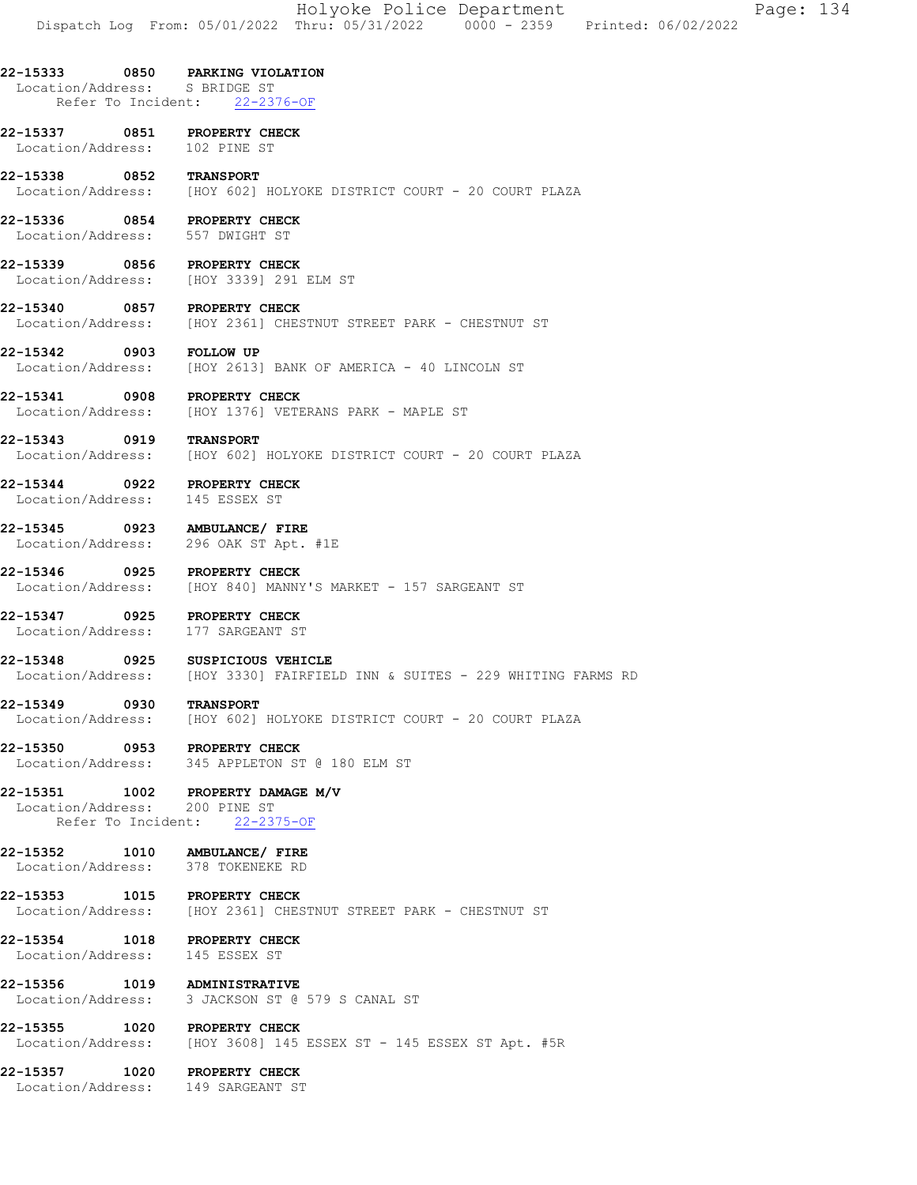Holyoke Police Department Page: 134 Dispatch Log From: 05/01/2022 Thru: 05/31/2022 0000 - 2359 Printed: 06/02/2022

#### 22-15333 0850 PARKING VIOLATION Location/Address: S BRIDGE ST Refer To Incident: 22-2376-OF

22-15337 0851 PROPERTY CHECK<br>Location/Address: 102 PINE ST Location/Address:

22-15338 0852 TRANSPORT Location/Address: [HOY 602] HOLYOKE DISTRICT COURT - 20 COURT PLAZA

22-15336 0854 PROPERTY CHECK Location/Address: 557 DWIGHT ST

22-15339 0856 PROPERTY CHECK Location/Address: [HOY 3339] 291 ELM ST

22-15340 0857 PROPERTY CHECK Location/Address: [HOY 2361] CHESTNUT STREET PARK - CHESTNUT ST

22-15342 0903 FOLLOW UP<br>
Location/Address: [HOY 2613] [HOY 2613] BANK OF AMERICA - 40 LINCOLN ST

22-15341 0908 PROPERTY CHECK<br>Location/Address: [HOY 1376] VETE [HOY 1376] VETERANS PARK - MAPLE ST

22-15343 0919 TRANSPORT Location/Address: [HOY 602] HOLYOKE DISTRICT COURT - 20 COURT PLAZA

22-15344 0922 PROPERTY CHECK Location/Address: 145 ESSEX ST

22-15345 0923 AMBULANCE/ FIRE Location/Address: 296 OAK ST Apt. #1E

22-15346 0925 PROPERTY CHECK Location/Address: [HOY 840] MANNY'S MARKET - 157 SARGEANT ST

22-15347 0925 PROPERTY CHECK<br>Location/Address: 177 SARGEANT ST Location/Address:

22-15348 0925 SUSPICIOUS VEHICLE Location/Address: [HOY 3330] FAIRFIELD INN & SUITES - 229 WHITING FARMS RD

22-15349 0930 TRANSPORT Location/Address: [HOY 602] HOLYOKE DISTRICT COURT - 20 COURT PLAZA

22-15350 0953 PROPERTY CHECK Location/Address: 345 APPLETON ST @ 180 ELM ST

22-15351 1002 PROPERTY DAMAGE M/V<br>Location/Address: 200 PINE ST Location/Address: Refer To Incident: 22-2375-OF

22-15352 1010 AMBULANCE/FIRE<br>Location/Address: 378 TOKENEKE RD Location/Address:

22-15353 1015 PROPERTY CHECK Location/Address: [HOY 2361] CHESTNUT STREET PARK - CHESTNUT ST

22-15354 1018 PROPERTY CHECK Location/Address: 145 ESSEX ST

22-15356 1019 ADMINISTRATIVE Location/Address: 3 JACKSON ST @ 579 S CANAL ST

22-15355 1020 PROPERTY CHECK<br>Location/Address: [HOY 3608] 145 [HOY 3608] 145 ESSEX ST - 145 ESSEX ST Apt. #5R

22-15357 1020 PROPERTY CHECK Location/Address: 149 SARGEANT ST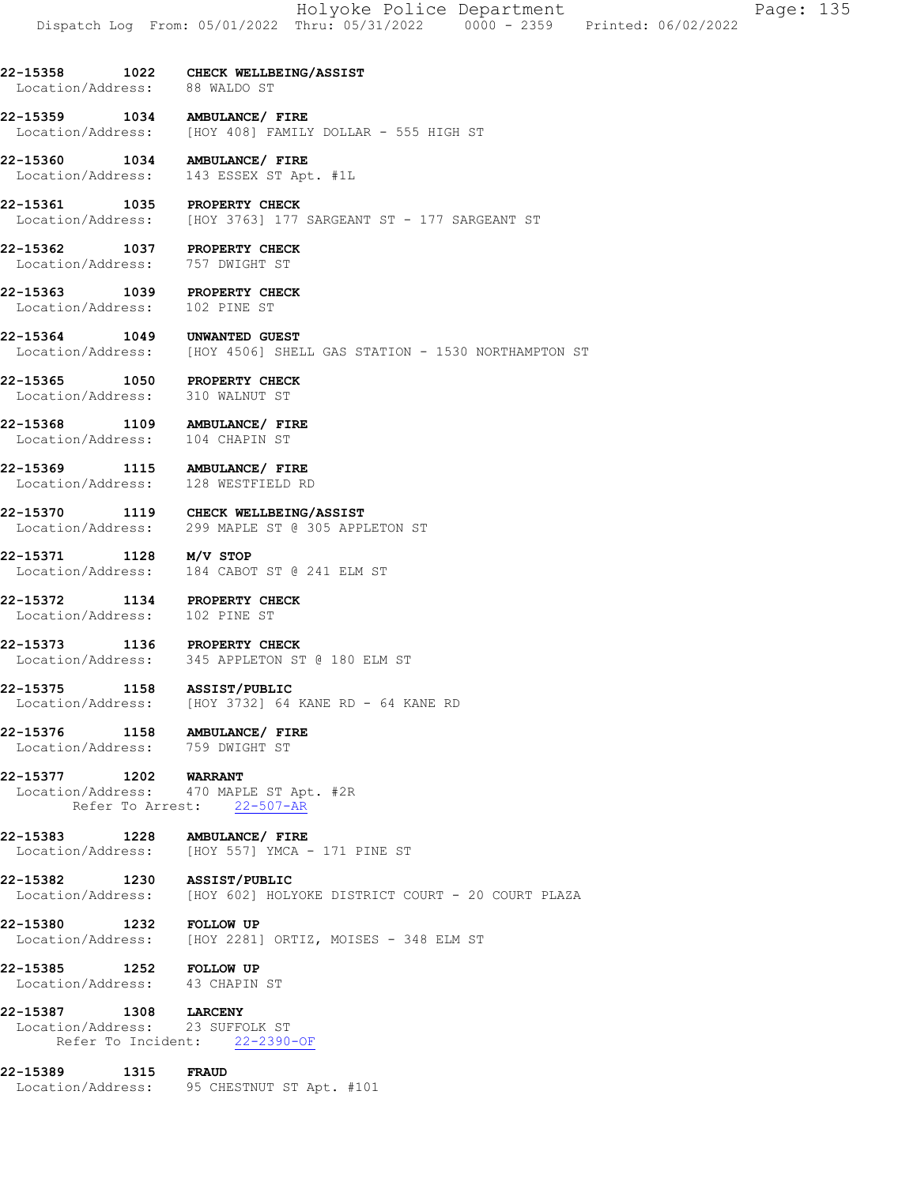22-15358 1022 CHECK WELLBEING/ASSIST Location/Address: 88 WALDO ST

22-15359 1034 AMBULANCE/FIRE<br>Location/Address: [HOY 408] FAMILY [HOY 408] FAMILY DOLLAR - 555 HIGH ST

22-15360 1034 AMBULANCE/ FIRE Location/Address: 143 ESSEX ST Apt. #1L

22-15361 1035 PROPERTY CHECK Location/Address: [HOY 3763] 177 SARGEANT ST - 177 SARGEANT ST

22-15362 1037 PROPERTY CHECK Location/Address: 757 DWIGHT ST

22-15363 1039 PROPERTY CHECK Location/Address: 102 PINE ST

22-15364 1049 UNWANTED GUEST<br>Location/Address: [HOY 4506] SHEI [HOY 4506] SHELL GAS STATION - 1530 NORTHAMPTON ST

22-15365 1050 PROPERTY CHECK<br>Location/Address: 310 WALNUT ST Location/Address:

22-15368 1109 AMBULANCE/FIRE<br>Location/Address: 104 CHAPIN ST Location/Address:

22-15369 1115 AMBULANCE/ FIRE Location/Address: 128 WESTFIELD RD

22-15370 1119 CHECK WELLBEING/ASSIST Location/Address: 299 MAPLE ST @ 305 APPLETON ST

22-15371 1128 M/V STOP Location/Address: 184 CABOT ST @ 241 ELM ST

22-15372 1134 PROPERTY CHECK<br>Location/Address: 102 PINE ST Location/Address:

22-15373 1136 PROPERTY CHECK Location/Address: 345 APPLETON ST @ 180 ELM ST

22-15375 1158 ASSIST/PUBLIC Location/Address: [HOY 3732] 64 KANE RD - 64 KANE RD

22-15376 1158 AMBULANCE/FIRE<br>Location/Address: 759 DWIGHT ST Location/Address:

22-15377 1202 WARRANT Location/Address: 470 MAPLE ST Apt. #2R Refer To Arrest: 22-507-AR

22-15383 1228 AMBULANCE/FIRE<br>Location/Address: [HOY 557] YMCA [HOY 557] YMCA - 171 PINE ST

22-15382 1230 ASSIST/PUBLIC Location/Address: [HOY 602] HOLYOKE DISTRICT COURT - 20 COURT PLAZA

22-15380 1232 FOLLOW UP Location/Address: [HOY 2281] ORTIZ, MOISES - 348 ELM ST

22-15385 1252 FOLLOW UP Location/Address: 43 CHAPIN ST

22-15387 1308 LARCENY<br>Location/Address: 23 SUFFOLK ST Location/Address: Refer To Incident: 22-2390-OF

22-15389 1315 FRAUD Location/Address: 95 CHESTNUT ST Apt. #101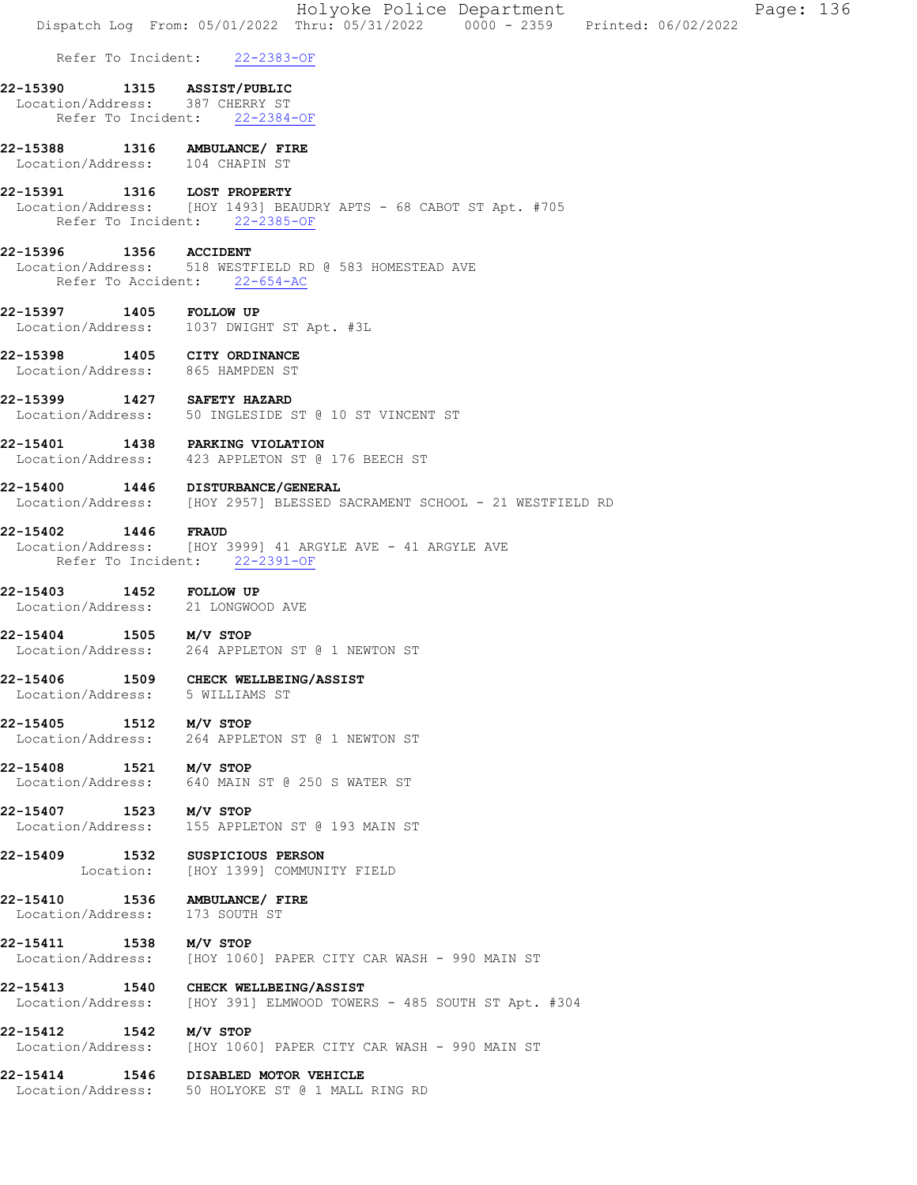Refer To Incident: 22-2383-OF

#### 22-15390 1315 ASSIST/PUBLIC Location/Address: 387 CHERRY ST Refer To Incident: 22-2384-OF

22-15388 1316 AMBULANCE/FIRE<br>Location/Address: 104 CHAPIN ST Location/Address:

### 22-15391 1316 LOST PROPERTY

 Location/Address: [HOY 1493] BEAUDRY APTS - 68 CABOT ST Apt. #705 Refer To Incident: 22-2385-OF

#### 22-15396 1356 ACCIDENT

 Location/Address: 518 WESTFIELD RD @ 583 HOMESTEAD AVE Refer To Accident: 22-654-AC

#### 22-15397 1405 FOLLOW UP Location/Address: 1037 DWIGHT ST Apt. #3L

- 
- 22-15398 1405 CITY ORDINANCE<br>Location/Address: 865 HAMPDEN ST Location/Address:
- 22-15399 1427 SAFETY HAZARD Location/Address: 50 INGLESIDE ST @ 10 ST VINCENT ST
- 22-15401 1438 PARKING VIOLATION<br>Location/Address: 423 APPLETON ST @ 423 APPLETON ST @ 176 BEECH ST
- 22-15400 1446 DISTURBANCE/GENERAL<br>Location/Address: [HOY 2957] BLESSED S [HOY 2957] BLESSED SACRAMENT SCHOOL - 21 WESTFIELD RD

## 22-15402 1446 FRAUD

- Location/Address: [HOY 3999] 41 ARGYLE AVE 41 ARGYLE AVE Refer To Incident: 22-2391-OF
- 22-15403 1452 FOLLOW UP<br>
Location/Address: 21 LONGWOOD AVE Location/Address:
- 22-15404 1505 M/V STOP Location/Address: 264 APPLETON ST @ 1 NEWTON ST
- 22-15406 1509 CHECK WELLBEING/ASSIST Location/Address: 5 WILLIAMS ST
- **22-15405 1512 M/V STOP**<br>Location/Address: 264 APPLE Location/Address: 264 APPLETON ST @ 1 NEWTON ST
- 22-15408 1521 M/V STOP Location/Address: 640 MAIN ST @ 250 S WATER ST
- **22-15407 1523 M/V STOP**<br>Location/Address: 155 APPLE 155 APPLETON ST @ 193 MAIN ST
- 22-15409 1532 SUSPICIOUS PERSON Location: [HOY 1399] COMMUNITY FIELD

#### 22-15410 1536 AMBULANCE/FIRE<br>Location/Address: 173 SOUTH ST Location/Address:

- 
- 22-15411 1538 M/V STOP
- Location/Address: [HOY 1060] PAPER CITY CAR WASH 990 MAIN ST
- 22-15413 1540 CHECK WELLBEING/ASSIST<br>Location/Address: [HOY 391] ELMWOOD TOWER [HOY 391] ELMWOOD TOWERS - 485 SOUTH ST Apt. #304
- **22-15412 1542 M/V STOP**<br>Location/Address: [HOY 1060 [HOY 1060] PAPER CITY CAR WASH - 990 MAIN ST

## 22-15414 1546 DISABLED MOTOR VEHICLE

Location/Address: 50 HOLYOKE ST @ 1 MALL RING RD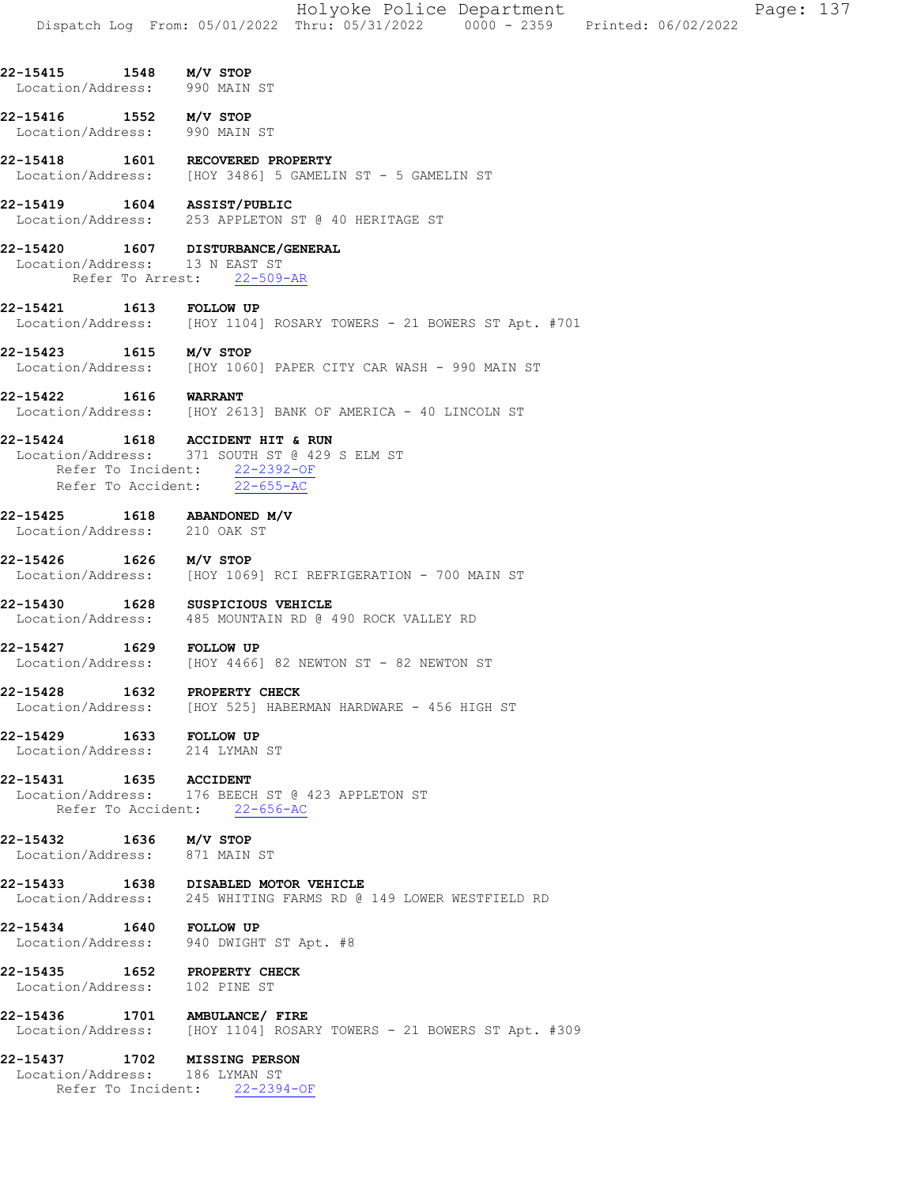|                                       |                         | Holyoke Police Department<br>Dispatch Log From: 05/01/2022 Thru: 05/31/2022 0000 - 2359 Printed: 06/02/2022 |  | Page: 137 |  |
|---------------------------------------|-------------------------|-------------------------------------------------------------------------------------------------------------|--|-----------|--|
| 22-15415<br>1548<br>Location/Address: | M/V STOP<br>990 MAIN ST |                                                                                                             |  |           |  |

22-15416 1552 M/V STOP<br>Location/Address: 990 MAIN ST Location/Address:

22-15418 1601 RECOVERED PROPERTY Location/Address: [HOY 3486] 5 GAMELIN ST - 5 GAMELIN ST

22-15419 1604 ASSIST/PUBLIC Location/Address: 253 APPLETON ST @ 40 HERITAGE ST

22-15420 1607 DISTURBANCE/GENERAL Location/Address: 13 N EAST ST Refer To Arrest: 22-509-AR

### 22-15421 1613 FOLLOW UP Location/Address: [HOY 1104] ROSARY TOWERS - 21 BOWERS ST Apt. #701

**22-15423 1615 M/V STOP**<br>Location/Address: [HOY 1060 [HOY 1060] PAPER CITY CAR WASH - 990 MAIN ST

22-15422 1616 WARRANT<br>Location/Address: [HOY 263 [HOY 2613] BANK OF AMERICA - 40 LINCOLN ST

#### 22-15424 1618 ACCIDENT HIT & RUN

 Location/Address: 371 SOUTH ST @ 429 S ELM ST Refer To Incident: 22-2392-OF Refer To Accident: 22-655-AC

22-15425 1618 ABANDONED M/V Location/Address: 210 OAK ST

22-15426 1626 M/V STOP Location/Address: [HOY 1069] RCI REFRIGERATION - 700 MAIN ST

22-15430 1628 SUSPICIOUS VEHICLE Location/Address: 485 MOUNTAIN RD @ 490 ROCK VALLEY RD

22-15427 1629 FOLLOW UP Location/Address: [HOY 4466] 82 NEWTON ST - 82 NEWTON ST

22-15428 1632 PROPERTY CHECK Location/Address: [HOY 525] HABERMAN HARDWARE - 456 HIGH ST

22-15429 1633 FOLLOW UP Location/Address: 214 LYMAN ST

22-15431 1635 ACCIDENT Location/Address: 176 BEECH ST @ 423 APPLETON ST Refer To Accident: 22-656-AC

22-15432 1636 M/V STOP Location/Address: 871 MAIN ST

22-15433 1638 DISABLED MOTOR VEHICLE Location/Address: 245 WHITING FARMS RD @ 149 LOWER WESTFIELD RD

22-15434 1640 FOLLOW UP Location/Address: 940 DWIGHT ST Apt. #8

22-15435 1652 PROPERTY CHECK Location/Address: 102 PINE ST

22-15436 1701 AMBULANCE/FIRE<br>Location/Address: [HOY 1104] ROSAR [HOY 1104] ROSARY TOWERS - 21 BOWERS ST Apt. #309

22-15437 1702 MISSING PERSON Location/Address: 186 LYMAN ST Refer To Incident: 22-2394-OF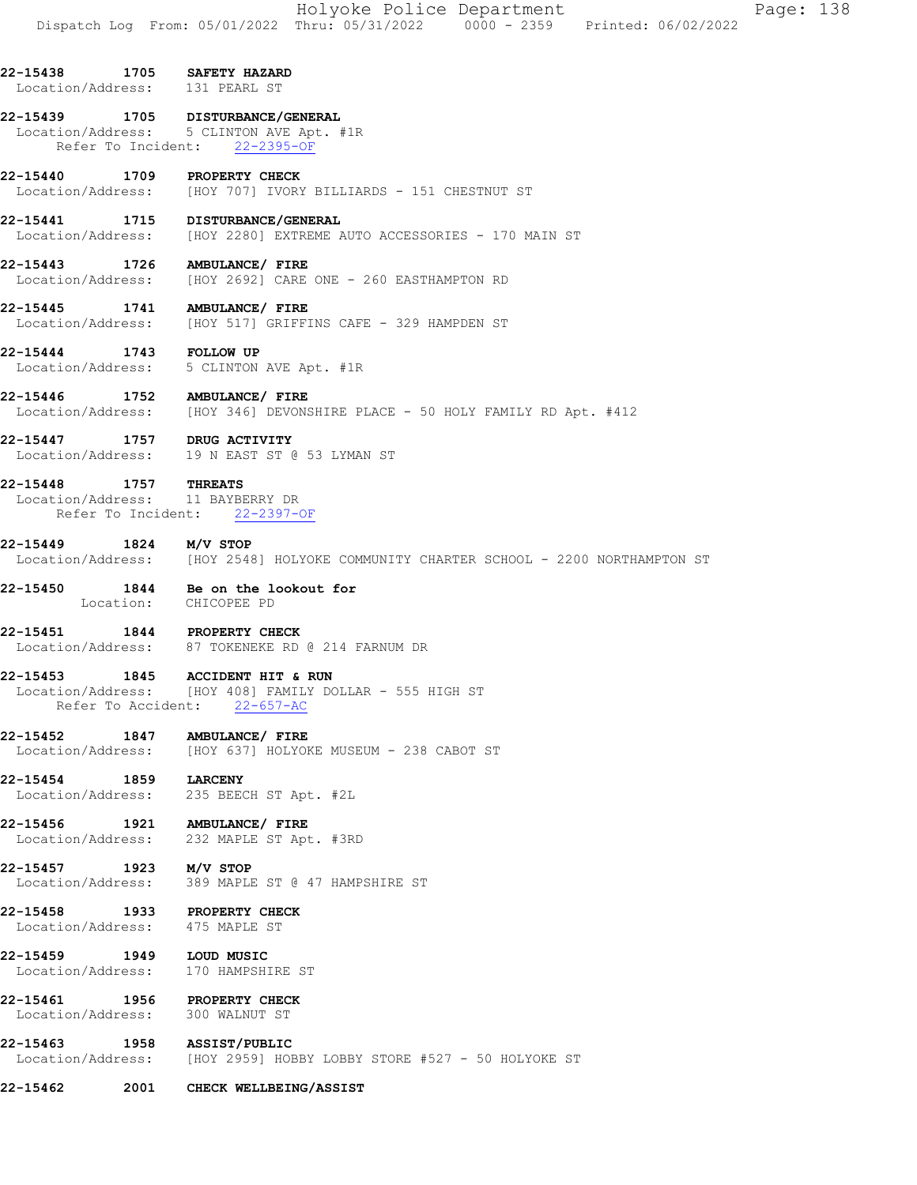#### 22-15439 1705 DISTURBANCE/GENERAL Location/Address: 5 CLINTON AVE Apt. #1R Refer To Incident: 22-2395-OF

22-15440 1709 PROPERTY CHECK Location/Address: [HOY 707] IVORY BILLIARDS - 151 CHESTNUT ST

22-15441 1715 DISTURBANCE/GENERAL<br>Location/Address: [HOY 2280] EXTREME 7 [HOY 2280] EXTREME AUTO ACCESSORIES - 170 MAIN ST

22-15443 1726 AMBULANCE/ FIRE Location/Address: [HOY 2692] CARE ONE - 260 EASTHAMPTON RD

22-15445 1741 AMBULANCE/ FIRE Location/Address: [HOY 517] GRIFFINS CAFE - 329 HAMPDEN ST

22-15444 1743 FOLLOW UP<br>Location/Address: 5 CLINTON 5 CLINTON AVE Apt. #1R

22-15446 1752 AMBULANCE/FIRE<br>Location/Address: [HOY 346] DEVONS [HOY 346] DEVONSHIRE PLACE - 50 HOLY FAMILY RD Apt. #412

22-15447 1757 DRUG ACTIVITY Location/Address: 19 N EAST ST @ 53 LYMAN ST

#### 22-15448 1757 THREATS Location/Address: 11 BAYBERRY DR Refer To Incident: 22-2397-OF

## 22-15449 1824 M/V STOP

Location/Address: [HOY 2548] HOLYOKE COMMUNITY CHARTER SCHOOL - 2200 NORTHAMPTON ST

22-15450 1844 Be on the lookout for Location: CHICOPEE PD

22-15451 1844 PROPERTY CHECK Location/Address: 87 TOKENEKE RD @ 214 FARNUM DR

#### 22-15453 1845 ACCIDENT HIT & RUN

 Location/Address: [HOY 408] FAMILY DOLLAR - 555 HIGH ST Refer To Accident: 22-657-AC

### 22-15452 1847 AMBULANCE/ FIRE Location/Address: [HOY 637] HOLYOKE MUSEUM - 238 CABOT ST

22-15454 1859 LARCENY Location/Address: 235 BEECH ST Apt. #2L

22-15456 1921 AMBULANCE/ FIRE Location/Address: 232 MAPLE ST Apt. #3RD

22-15457 1923 M/V STOP Location/Address: 389 MAPLE ST @ 47 HAMPSHIRE ST

22-15458 1933 PROPERTY CHECK Location/Address: 475 MAPLE ST

22-15459 1949 LOUD MUSIC Location/Address: 170 HAMPSHIRE ST

22-15461 1956 PROPERTY CHECK Location/Address: 300 WALNUT ST

22-15463 1958 ASSIST/PUBLIC<br>Location/Address: [HOY 2959] HOE [HOY 2959] HOBBY LOBBY STORE #527 - 50 HOLYOKE ST

22-15462 2001 CHECK WELLBEING/ASSIST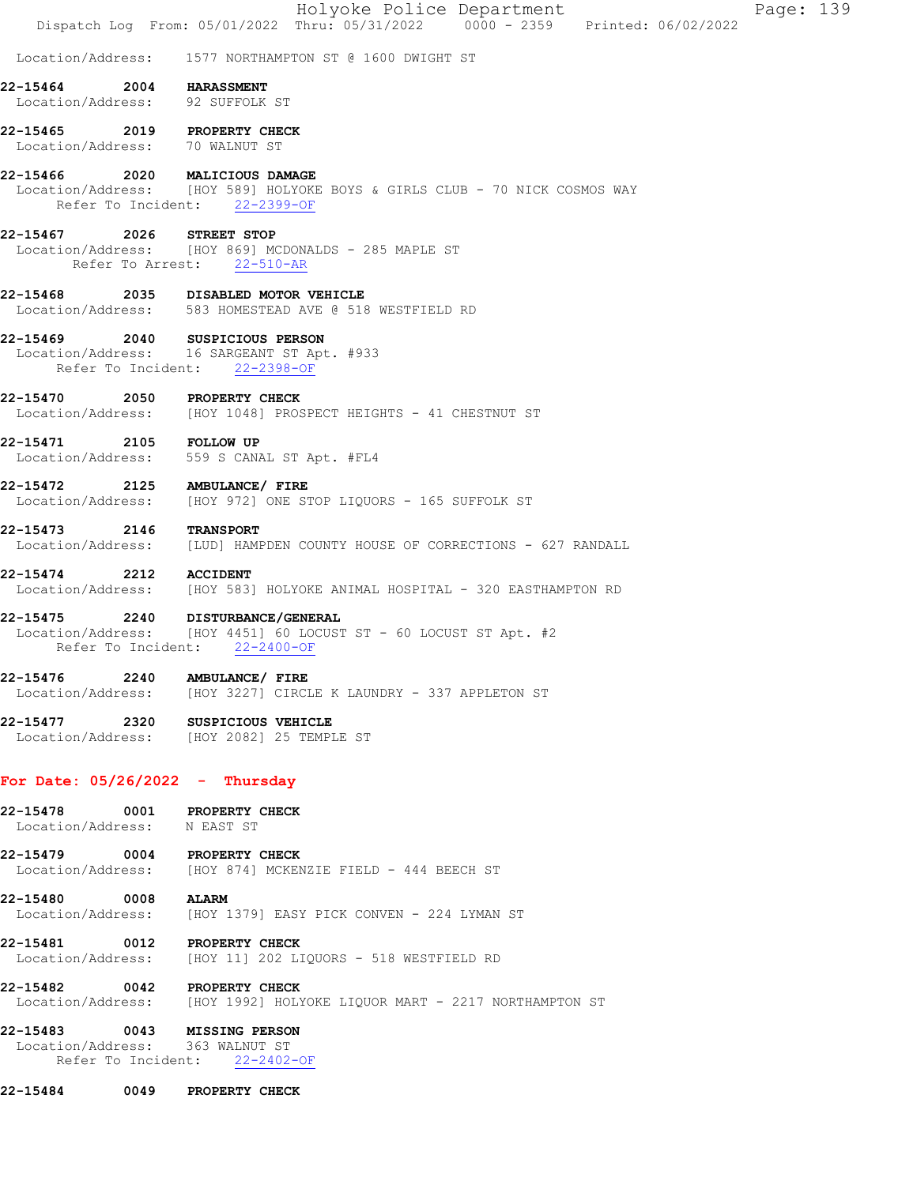|                                         |      | Holyoke Police Department<br>Page: 139<br>Dispatch Log From: 05/01/2022 Thru: 05/31/2022 0000 - 2359 Printed: 06/02/2022                      |  |
|-----------------------------------------|------|-----------------------------------------------------------------------------------------------------------------------------------------------|--|
|                                         |      | Location/Address: 1577 NORTHAMPTON ST @ 1600 DWIGHT ST                                                                                        |  |
| 22-15464 2004 HARASSMENT                |      | Location/Address: 92 SUFFOLK ST                                                                                                               |  |
|                                         |      | 22-15465 2019 PROPERTY CHECK<br>Location/Address: 70 WALNUT ST                                                                                |  |
|                                         |      | 22-15466 2020 MALICIOUS DAMAGE<br>Location/Address: [HOY 589] HOLYOKE BOYS & GIRLS CLUB - 70 NICK COSMOS WAY<br>Refer To Incident: 22-2399-OF |  |
| 22-15467                                |      | 2026 STREET STOP<br>Location/Address: [HOY 869] MCDONALDS - 285 MAPLE ST<br>Refer To Arrest: 22-510-AR                                        |  |
|                                         |      | 22-15468 2035 DISABLED MOTOR VEHICLE<br>Location/Address: 583 HOMESTEAD AVE @ 518 WESTFIELD RD                                                |  |
|                                         |      | 22-15469 2040 SUSPICIOUS PERSON<br>Location/Address: 16 SARGEANT ST Apt. #933<br>Refer To Incident: 22-2398-OF                                |  |
|                                         |      | 22-15470 2050 PROPERTY CHECK<br>Location/Address: [HOY 1048] PROSPECT HEIGHTS - 41 CHESTNUT ST                                                |  |
| 22-15471                                |      | 2105 FOLLOW UP<br>Location/Address: 559 S CANAL ST Apt. #FL4                                                                                  |  |
|                                         |      | 22-15472 2125 AMBULANCE/ FIRE<br>Location/Address: [HOY 972] ONE STOP LIQUORS - 165 SUFFOLK ST                                                |  |
| 22-15473                                | 2146 | <b>TRANSPORT</b><br>Location/Address: [LUD] HAMPDEN COUNTY HOUSE OF CORRECTIONS - 627 RANDALL                                                 |  |
| 22-15474 2212 ACCIDENT                  |      | Location/Address: [HOY 583] HOLYOKE ANIMAL HOSPITAL - 320 EASTHAMPTON RD                                                                      |  |
|                                         |      | 22-15475 2240 DISTURBANCE/GENERAL<br>Location/Address: [HOY 4451] 60 LOCUST ST - 60 LOCUST ST Apt. #2<br>Refer To Incident: 22-2400-OF        |  |
| 22-15476                                |      | 2240 AMBULANCE/ FIRE<br>Location/Address: [HOY 3227] CIRCLE K LAUNDRY - 337 APPLETON ST                                                       |  |
| 22-15477                                |      | 2320 SUSPICIOUS VEHICLE<br>Location/Address: [HOY 2082] 25 TEMPLE ST                                                                          |  |
|                                         |      | For Date: $05/26/2022 - Thursday$                                                                                                             |  |
| 22-15478<br>Location/Address: N EAST ST | 0001 | PROPERTY CHECK                                                                                                                                |  |
| 22-15479                                | 0004 | <b>PROPERTY CHECK</b><br>Location/Address: [HOY 874] MCKENZIE FIELD - 444 BEECH ST                                                            |  |
| 22-15480 0008<br>Location/Address:      |      | <b>ALARM</b><br>[HOY 1379] EASY PICK CONVEN - 224 LYMAN ST                                                                                    |  |
| 22-15481                                | 0012 | <b>PROPERTY CHECK</b><br>Location/Address: [HOY 11] 202 LIQUORS - 518 WESTFIELD RD                                                            |  |
| 22-15482 0042                           |      | PROPERTY CHECK<br>Location/Address: [HOY 1992] HOLYOKE LIQUOR MART - 2217 NORTHAMPTON ST                                                      |  |
| 22-15483                                |      | 0043 MISSING PERSON<br>Location/Address: 363 WALNUT ST<br>Refer To Incident: 22-2402-OF                                                       |  |
| 22-15484                                | 0049 | PROPERTY CHECK                                                                                                                                |  |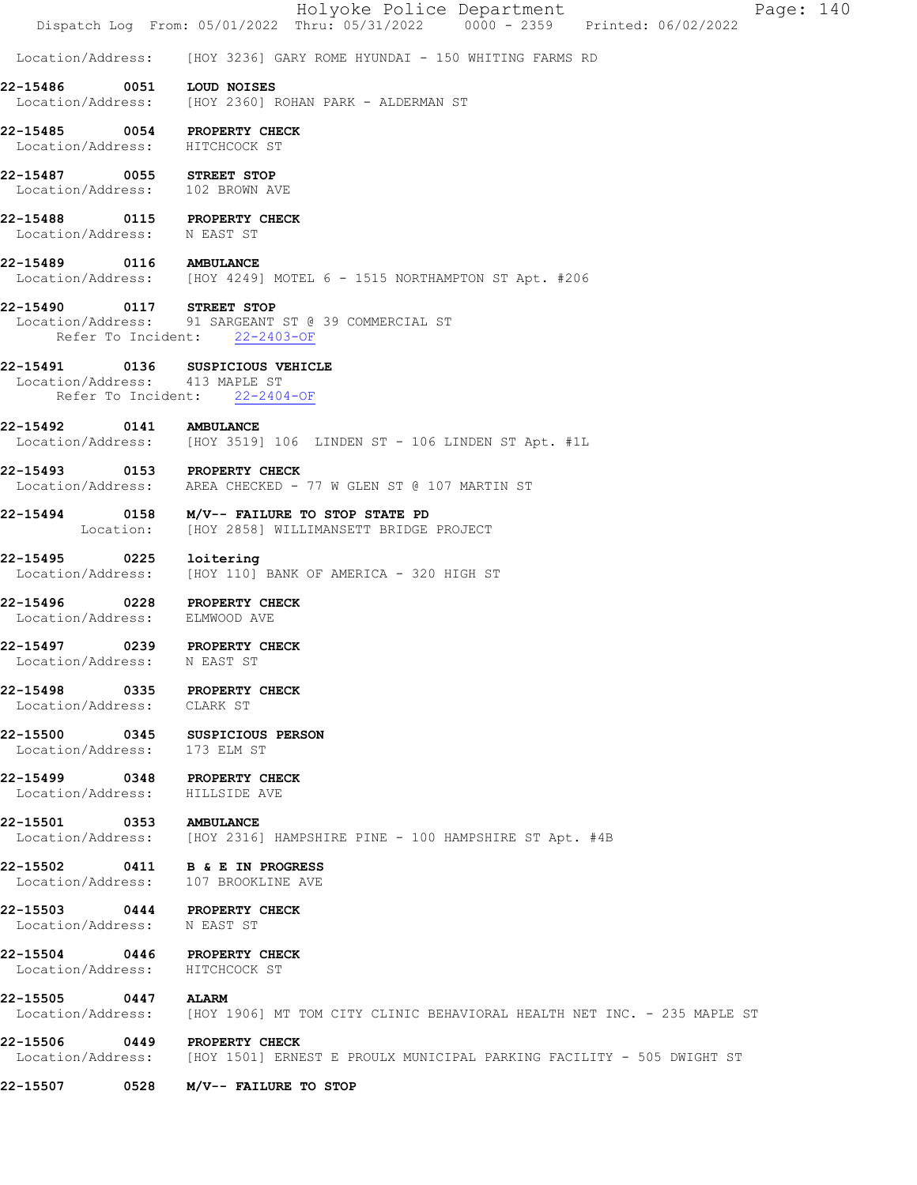|                                                              | Holyoke Police Department<br>Page: $140$<br>Dispatch Log From: 05/01/2022 Thru: 05/31/2022 0000 - 2359 Printed: 06/02/2022 |
|--------------------------------------------------------------|----------------------------------------------------------------------------------------------------------------------------|
| Location/Address:                                            | [HOY 3236] GARY ROME HYUNDAI - 150 WHITING FARMS RD                                                                        |
| 22-15486                                                     | 0051 LOUD NOISES<br>Location/Address: [HOY 2360] ROHAN PARK - ALDERMAN ST                                                  |
| Location/Address: HITCHCOCK ST                               | 22-15485 0054 PROPERTY CHECK                                                                                               |
| 22-15487 0055 STREET STOP<br>Location/Address: 102 BROWN AVE |                                                                                                                            |
| Location/Address: N EAST ST                                  | 22-15488 0115 PROPERTY CHECK                                                                                               |
| 22-15489 0116 AMBULANCE                                      | Location/Address: [HOY 4249] MOTEL 6 - 1515 NORTHAMPTON ST Apt. #206                                                       |
|                                                              | 22-15490 0117 STREET STOP<br>Location/Address: 91 SARGEANT ST @ 39 COMMERCIAL ST<br>Refer To Incident: 22-2403-OF          |
| Location/Address: 413 MAPLE ST                               | 22-15491 0136 SUSPICIOUS VEHICLE<br>Refer To Incident: 22-2404-OF                                                          |
| 22-15492 0141 AMBULANCE                                      | Location/Address: [HOY 3519] 106 LINDEN ST - 106 LINDEN ST Apt. #1L                                                        |
|                                                              | 22-15493 0153 PROPERTY CHECK<br>Location/Address: AREA CHECKED - 77 W GLEN ST @ 107 MARTIN ST                              |
|                                                              | 22-15494 0158 M/V-- FAILURE TO STOP STATE PD<br>Location: [HOY 2858] WILLIMANSETT BRIDGE PROJECT                           |
| 22-15495 0225                                                | loitering<br>Location/Address: [HOY 110] BANK OF AMERICA - 320 HIGH ST                                                     |
| 22-15496<br>Location/Address: ELMWOOD AVE                    | 0228 PROPERTY CHECK                                                                                                        |
| Location/Address: N EAST ST                                  | 22-15497 0239 PROPERTY CHECK                                                                                               |
| Location/Address: CLARK ST                                   | 22-15498 0335 PROPERTY CHECK                                                                                               |
| Location/Address: 173 ELM ST                                 | 22-15500 0345 SUSPICIOUS PERSON                                                                                            |
| Location/Address: HILLSIDE AVE                               | 22-15499 0348 PROPERTY CHECK                                                                                               |
| 22-15501 0353 AMBULANCE                                      | Location/Address: [HOY 2316] HAMPSHIRE PINE - 100 HAMPSHIRE ST Apt. #4B                                                    |
|                                                              | 22-15502 0411 B & E IN PROGRESS<br>Location/Address: 107 BROOKLINE AVE                                                     |
| Location/Address: N EAST ST                                  | 22-15503 0444 PROPERTY CHECK                                                                                               |
| Location/Address: HITCHCOCK ST                               | 22-15504 0446 PROPERTY CHECK                                                                                               |
| 22-15505 0447                                                | <b>ALARM</b><br>Location/Address: [HOY 1906] MT TOM CITY CLINIC BEHAVIORAL HEALTH NET INC. - 235 MAPLE ST                  |
| 22-15506 0449                                                | <b>PROPERTY CHECK</b><br>Location/Address: [HOY 1501] ERNEST E PROULX MUNICIPAL PARKING FACILITY - 505 DWIGHT ST           |
| 22-15507                                                     | 0528 M/V-- FAILURE TO STOP                                                                                                 |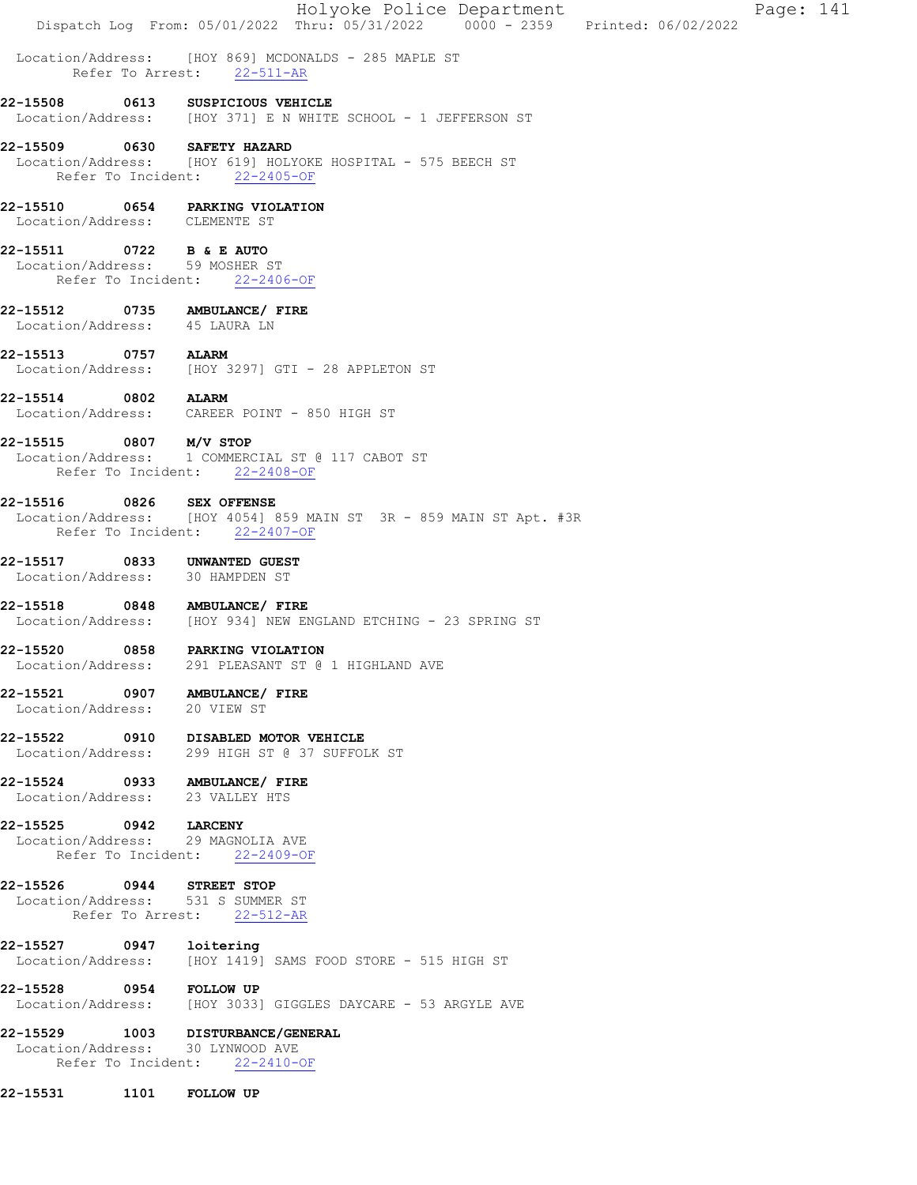|                                                                                       |      |                               | Holyoke Police Department<br>Dispatch Log From: 05/01/2022 Thru: 05/31/2022 0000 - 2359 Printed: 06/02/2022 |  | Page: 141 |  |
|---------------------------------------------------------------------------------------|------|-------------------------------|-------------------------------------------------------------------------------------------------------------|--|-----------|--|
|                                                                                       |      | Refer To Arrest: 22-511-AR    | Location/Address: [HOY 869] MCDONALDS - 285 MAPLE ST                                                        |  |           |  |
| 22-15508 0613 SUSPICIOUS VEHICLE                                                      |      |                               | Location/Address: [HOY 371] E N WHITE SCHOOL - 1 JEFFERSON ST                                               |  |           |  |
| 22-15509 0630 SAFETY HAZARD                                                           |      | Refer To Incident: 22-2405-OF | Location/Address: [HOY 619] HOLYOKE HOSPITAL - 575 BEECH ST                                                 |  |           |  |
| 22-15510 0654 PARKING VIOLATION<br>Location/Address: CLEMENTE ST                      |      |                               |                                                                                                             |  |           |  |
| 22-15511 0722 B & E AUTO<br>Location/Address: 59 MOSHER ST                            |      | Refer To Incident: 22-2406-OF |                                                                                                             |  |           |  |
| 22-15512 0735 AMBULANCE/ FIRE<br>Location/Address: 45 LAURA LN                        |      |                               |                                                                                                             |  |           |  |
| 22-15513 0757 ALARM                                                                   |      |                               | Location/Address: [HOY 3297] GTI - 28 APPLETON ST                                                           |  |           |  |
| 22-15514 0802 ALARM<br>Location/Address: CAREER POINT - 850 HIGH ST                   |      |                               |                                                                                                             |  |           |  |
| 22-15515 0807 M/V STOP                                                                |      | Refer To Incident: 22-2408-OF | Location/Address: 1 COMMERCIAL ST @ 117 CABOT ST                                                            |  |           |  |
| 22-15516 0826 SEX OFFENSE                                                             |      | Refer To Incident: 22-2407-OF | Location/Address: [HOY 4054] 859 MAIN ST 3R - 859 MAIN ST Apt. #3R                                          |  |           |  |
| 22-15517 0833 UNWANTED GUEST<br>Location/Address: 30 HAMPDEN ST                       |      |                               |                                                                                                             |  |           |  |
| 22-15518                                                                              |      | 0848 AMBULANCE/ FIRE          | Location/Address: [HOY 934] NEW ENGLAND ETCHING - 23 SPRING ST                                              |  |           |  |
| 22-15520<br>Location/Address:                                                         |      | 0858 PARKING VIOLATION        | 291 PLEASANT ST @ 1 HIGHLAND AVE                                                                            |  |           |  |
| 22-15521 0907 AMBULANCE/ FIRE<br>Location/Address: 20 VIEW ST                         |      |                               |                                                                                                             |  |           |  |
| 22-15522 0910 DISABLED MOTOR VEHICLE<br>Location/Address: 299 HIGH ST @ 37 SUFFOLK ST |      |                               |                                                                                                             |  |           |  |
| 22-15524 0933 AMBULANCE/ FIRE<br>Location/Address: 23 VALLEY HTS                      |      |                               |                                                                                                             |  |           |  |
| 22-15525 0942 LARCENY<br>Location/Address: 29 MAGNOLIA AVE                            |      | Refer To Incident: 22-2409-OF |                                                                                                             |  |           |  |
| 22-15526 0944 STREET STOP<br>Location/Address: 531 S SUMMER ST                        |      | Refer To Arrest: 22-512-AR    |                                                                                                             |  |           |  |
| 22-15527 0947 loitering                                                               |      |                               | Location/Address: [HOY 1419] SAMS FOOD STORE - 515 HIGH ST                                                  |  |           |  |
| 22-15528 0954 FOLLOW UP                                                               |      |                               | Location/Address: [HOY 3033] GIGGLES DAYCARE - 53 ARGYLE AVE                                                |  |           |  |
| 22-15529 1003 DISTURBANCE/GENERAL<br>Location/Address: 30 LYNWOOD AVE                 |      | Refer To Incident: 22-2410-OF |                                                                                                             |  |           |  |
| 22-15531                                                                              | 1101 | <b>FOLLOW UP</b>              |                                                                                                             |  |           |  |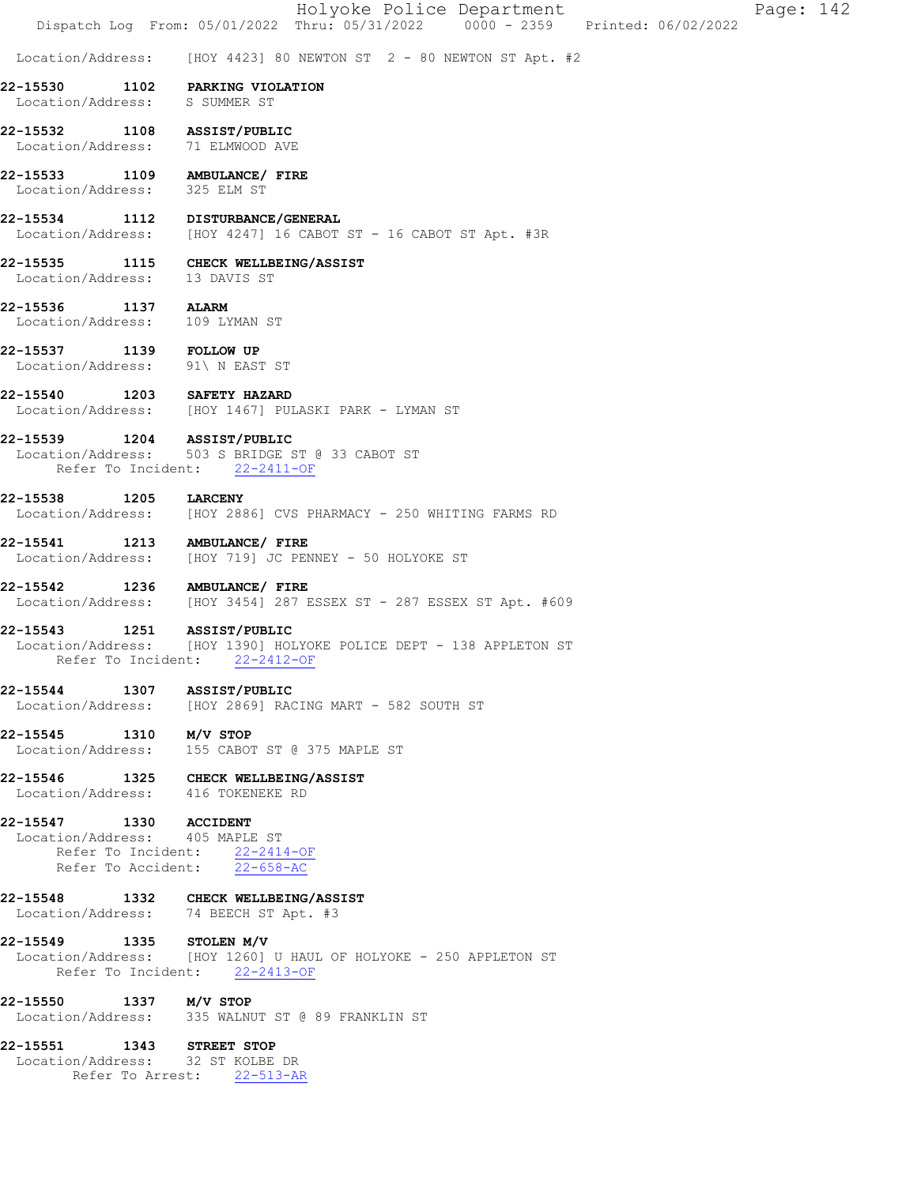|                                          | Dispatch Log From: 05/01/2022 Thru: 05/31/2022 0000 - 2359 Printed: 06/02/2022                                              | Holyoke Police Department                        |  | Page: $142$ |  |
|------------------------------------------|-----------------------------------------------------------------------------------------------------------------------------|--------------------------------------------------|--|-------------|--|
| Location/Address:                        |                                                                                                                             | [HOY 4423] 80 NEWTON ST 2 - 80 NEWTON ST Apt. #2 |  |             |  |
| 22-15530                                 | 1102 PARKING VIOLATION<br>Location/Address: S SUMMER ST                                                                     |                                                  |  |             |  |
| Location/Address:                        | 22-15532 1108 ASSIST/PUBLIC<br>71 ELMWOOD AVE                                                                               |                                                  |  |             |  |
| 22-15533<br>Location/Address: 325 ELM ST | 1109 AMBULANCE/ FIRE                                                                                                        |                                                  |  |             |  |
|                                          | 22-15534 1112 DISTURBANCE/GENERAL<br>Location/Address: [HOY 4247] 16 CABOT ST - 16 CABOT ST Apt. #3R                        |                                                  |  |             |  |
|                                          | 22-15535 1115 CHECK WELLBEING/ASSIST<br>Location/Address: 13 DAVIS ST                                                       |                                                  |  |             |  |
| 22-15536 1137 ALARM                      | Location/Address: 109 LYMAN ST                                                                                              |                                                  |  |             |  |
| 22-15537 1139 FOLLOW UP                  | Location/Address: 91\ N EAST ST                                                                                             |                                                  |  |             |  |
|                                          | 22-15540 1203 SAFETY HAZARD<br>Location/Address: [HOY 1467] PULASKI PARK - LYMAN ST                                         |                                                  |  |             |  |
|                                          | 22-15539 1204 ASSIST/PUBLIC<br>Location/Address: 503 S BRIDGE ST @ 33 CABOT ST<br>Refer To Incident: 22-2411-OF             |                                                  |  |             |  |
| 22-15538                                 | 1205 LARCENY<br>Location/Address: [HOY 2886] CVS PHARMACY - 250 WHITING FARMS RD                                            |                                                  |  |             |  |
|                                          | 22-15541 1213 AMBULANCE/ FIRE<br>Location/Address: [HOY 719] JC PENNEY - 50 HOLYOKE ST                                      |                                                  |  |             |  |
| 22-15542                                 | 1236 AMBULANCE/ FIRE<br>Location/Address: [HOY 3454] 287 ESSEX ST - 287 ESSEX ST Apt. #609                                  |                                                  |  |             |  |
| 22-15543                                 | 1251 ASSIST/PUBLIC<br>  Location/Address: [HOY 1390] HOLYOKE POLICE DEPT - 138 APPLETON ST<br>Refer To Incident: 22-2412-OF |                                                  |  |             |  |
|                                          | 22-15544 1307 ASSIST/PUBLIC<br>Location/Address: [HOY 2869] RACING MART - 582 SOUTH ST                                      |                                                  |  |             |  |
| 22-15545 1310 M/V STOP                   | Location/Address: 155 CABOT ST @ 375 MAPLE ST                                                                               |                                                  |  |             |  |
|                                          | 22-15546 1325 CHECK WELLBEING/ASSIST<br>Location/Address: 416 TOKENEKE RD                                                   |                                                  |  |             |  |
| 22-15547 1330 ACCIDENT                   | Location/Address: 405 MAPLE ST<br>Refer To Incident: 22-2414-OF<br>Refer To Accident: 22-658-AC                             |                                                  |  |             |  |
|                                          | 22-15548 1332 CHECK WELLBEING/ASSIST<br>Location/Address: 74 BEECH ST Apt. #3                                               |                                                  |  |             |  |
| 22-15549 1335 STOLEN M/V                 | Location/Address: [HOY 1260] U HAUL OF HOLYOKE - 250 APPLETON ST<br>Refer To Incident: 22-2413-OF                           |                                                  |  |             |  |
| 22-15550 1337 M/V STOP                   | Location/Address: 335 WALNUT ST @ 89 FRANKLIN ST                                                                            |                                                  |  |             |  |
|                                          | 22-15551 1343 STREET STOP<br>Location/Address: 32 ST KOLBE DR<br>Refer To Arrest: 22-513-AR                                 |                                                  |  |             |  |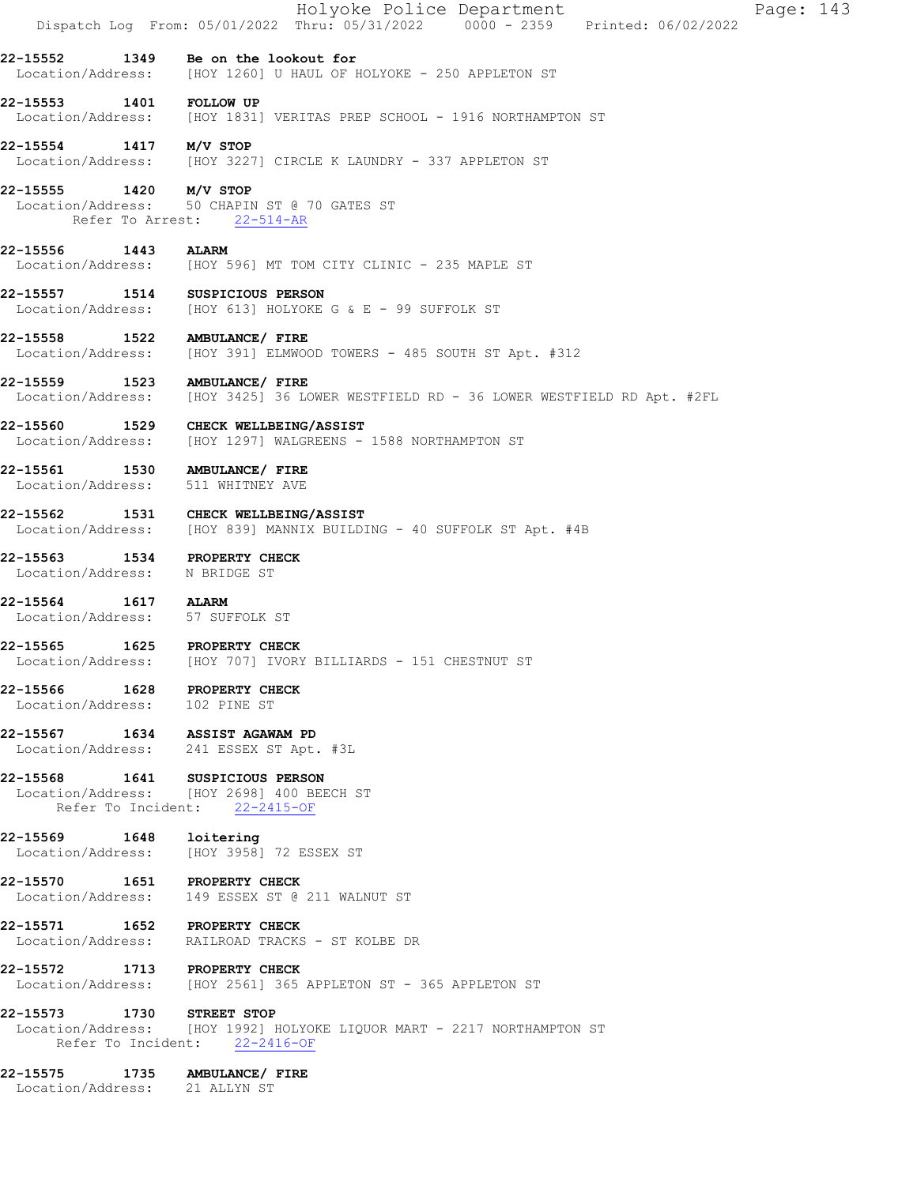|                               |                                                                                                               | Holyoke Police Department | Dispatch Log From: 05/01/2022 Thru: 05/31/2022   0000 - 2359   Printed: 06/02/2022 | Page: 143 |  |
|-------------------------------|---------------------------------------------------------------------------------------------------------------|---------------------------|------------------------------------------------------------------------------------|-----------|--|
|                               | 22-15552 1349 Be on the lookout for<br>Location/Address: [HOY 1260] U HAUL OF HOLYOKE - 250 APPLETON ST       |                           |                                                                                    |           |  |
| 22-15553 1401 FOLLOW UP       | Location/Address: [HOY 1831] VERITAS PREP SCHOOL - 1916 NORTHAMPTON ST                                        |                           |                                                                                    |           |  |
| 22-15554 1417 M/V STOP        | Location/Address: [HOY 3227] CIRCLE K LAUNDRY - 337 APPLETON ST                                               |                           |                                                                                    |           |  |
| 22-15555 1420 M/V STOP        | Location/Address: 50 CHAPIN ST @ 70 GATES ST<br>Refer To Arrest: 22-514-AR                                    |                           |                                                                                    |           |  |
| 22-15556 1443 ALARM           | Location/Address: [HOY 596] MT TOM CITY CLINIC - 235 MAPLE ST                                                 |                           |                                                                                    |           |  |
|                               | 22-15557 1514 SUSPICIOUS PERSON<br>Location/Address: [HOY 613] HOLYOKE G & E - 99 SUFFOLK ST                  |                           |                                                                                    |           |  |
|                               | 22-15558 1522 AMBULANCE/ FIRE<br>Location/Address: [HOY 391] ELMWOOD TOWERS - 485 SOUTH ST Apt. #312          |                           |                                                                                    |           |  |
| Location/Address:             | 22-15559 1523 AMBULANCE/ FIRE                                                                                 |                           | [HOY 3425] 36 LOWER WESTFIELD RD - 36 LOWER WESTFIELD RD Apt. #2FL                 |           |  |
| 22-15560                      | 1529 CHECK WELLBEING/ASSIST<br>Location/Address: [HOY 1297] WALGREENS - 1588 NORTHAMPTON ST                   |                           |                                                                                    |           |  |
|                               | 22-15561 1530 AMBULANCE/ FIRE<br>Location/Address: 511 WHITNEY AVE                                            |                           |                                                                                    |           |  |
| 22-15562                      | 1531 CHECK WELLBEING/ASSIST<br>Location/Address: [HOY 839] MANNIX BUILDING - 40 SUFFOLK ST Apt. #4B           |                           |                                                                                    |           |  |
| Location/Address: N BRIDGE ST | 22-15563 1534 PROPERTY CHECK                                                                                  |                           |                                                                                    |           |  |
| 22-15564 1617 ALARM           | Location/Address: 57 SUFFOLK ST                                                                               |                           |                                                                                    |           |  |
|                               | 22-15565 1625 PROPERTY CHECK<br>Location/Address: [HOY 707] IVORY BILLIARDS - 151 CHESTNUT ST                 |                           |                                                                                    |           |  |
| Location/Address: 102 PINE ST | 22-15566 1628 PROPERTY CHECK                                                                                  |                           |                                                                                    |           |  |
|                               | 22-15567 1634 ASSIST AGAWAM PD<br>Location/Address: 241 ESSEX ST Apt. #3L                                     |                           |                                                                                    |           |  |
|                               | 22-15568 1641 SUSPICIOUS PERSON<br>Location/Address: [HOY 2698] 400 BEECH ST<br>Refer To Incident: 22-2415-OF |                           |                                                                                    |           |  |
| 22-15569 1648 loitering       | Location/Address: [HOY 3958] 72 ESSEX ST                                                                      |                           |                                                                                    |           |  |
|                               | 22-15570 1651 PROPERTY CHECK<br>Location/Address: 149 ESSEX ST @ 211 WALNUT ST                                |                           |                                                                                    |           |  |
|                               | 22-15571   1652   PROPERTY CHECK<br>Location/Address:   RAILROAD TRACKS - ST KOLBE DR                         |                           |                                                                                    |           |  |
|                               | 22-15572 1713 PROPERTY CHECK<br>Location/Address: [HOY 2561] 365 APPLETON ST - 365 APPLETON ST                |                           |                                                                                    |           |  |
| 22-15573 1730 STREET STOP     | Location/Address: [HOY 1992] HOLYOKE LIQUOR MART - 2217 NORTHAMPTON ST<br>Refer To Incident: 22-2416-OF       |                           |                                                                                    |           |  |
| Location/Address: 21 ALLYN ST | 22-15575 1735 AMBULANCE/ FIRE                                                                                 |                           |                                                                                    |           |  |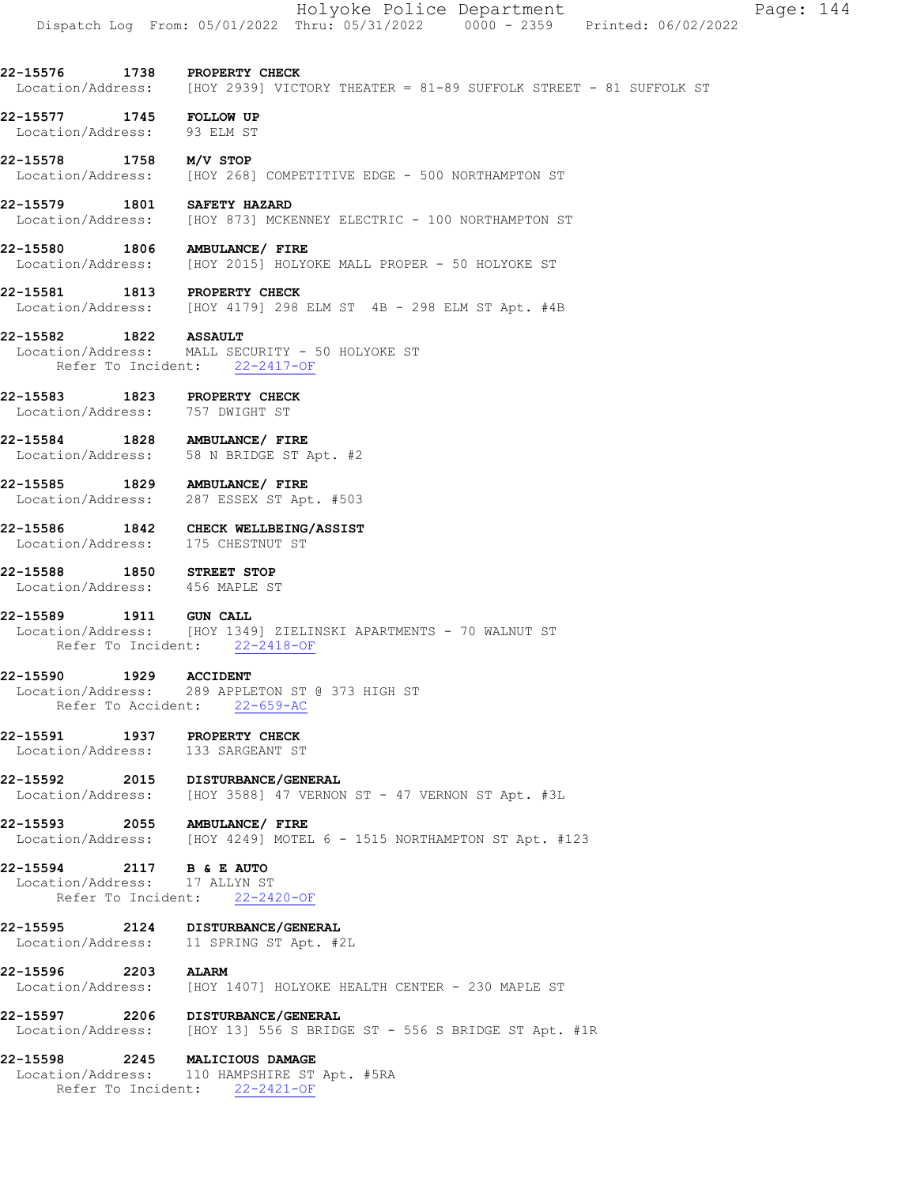|                                                                 |      | Holyoke Police Department<br>Page: $144$<br>Dispatch Log From: 05/01/2022 Thru: 05/31/2022 0000 - 2359 Printed: 06/02/2022 |
|-----------------------------------------------------------------|------|----------------------------------------------------------------------------------------------------------------------------|
| 22-15576 1738 PROPERTY CHECK                                    |      | Location/Address: [HOY 2939] VICTORY THEATER = 81-89 SUFFOLK STREET - 81 SUFFOLK ST                                        |
| 22-15577 1745 FOLLOW UP<br>Location/Address: 93 ELM ST          |      |                                                                                                                            |
| 22-15578 1758 M/V STOP                                          |      | Location/Address: [HOY 268] COMPETITIVE EDGE - 500 NORTHAMPTON ST                                                          |
| 22-15579 1801 SAFETY HAZARD                                     |      | Location/Address: [HOY 873] MCKENNEY ELECTRIC - 100 NORTHAMPTON ST                                                         |
|                                                                 |      | 22-15580 1806 AMBULANCE/ FIRE<br>Location/Address: [HOY 2015] HOLYOKE MALL PROPER - 50 HOLYOKE ST                          |
| 22-15581 1813 PROPERTY CHECK                                    |      | Location/Address: [HOY 4179] 298 ELM ST 4B - 298 ELM ST Apt. #4B                                                           |
| 22-15582 1822 ASSAULT                                           |      | Location/Address: MALL SECURITY - 50 HOLYOKE ST<br>Refer To Incident: 22-2417-OF                                           |
| 22-15583 1823 PROPERTY CHECK<br>Location/Address: 757 DWIGHT ST |      |                                                                                                                            |
|                                                                 |      | 22-15584 1828 AMBULANCE/ FIRE<br>Location/Address: 58 N BRIDGE ST Apt. #2                                                  |
|                                                                 |      | 22-15585 1829 AMBULANCE/ FIRE<br>Location/Address: 287 ESSEX ST Apt. #503                                                  |
|                                                                 |      | 22-15586 1842 CHECK WELLBEING/ASSIST<br>Location/Address: 175 CHESTNUT ST                                                  |
| 22-15588 1850 STREET STOP<br>Location/Address: 456 MAPLE ST     |      |                                                                                                                            |
| 22-15589 1911 GUN CALL                                          |      | Location/Address: [HOY 1349] ZIELINSKI APARTMENTS - 70 WALNUT ST<br>Refer To Incident: 22-2418-OF                          |
| 22-15590                                                        | 1929 | <b>ACCIDENT</b><br>Location/Address: 289 APPLETON ST @ 373 HIGH ST<br>Refer To Accident: 22-659-AC                         |
| 22-15591                                                        |      | 1937 PROPERTY CHECK<br>Location/Address: 133 SARGEANT ST                                                                   |
| 22-15592                                                        |      | 2015 DISTURBANCE/GENERAL<br>Location/Address: [HOY 3588] 47 VERNON ST - 47 VERNON ST Apt. #3L                              |
|                                                                 |      | 22-15593 2055 AMBULANCE/ FIRE<br>Location/Address: [HOY 4249] MOTEL 6 - 1515 NORTHAMPTON ST Apt. #123                      |
| 22-15594<br>Location/Address: 17 ALLYN ST                       |      | 2117 B & E AUTO<br>Refer To Incident: 22-2420-OF                                                                           |
| 22-15595                                                        |      | 2124 DISTURBANCE/GENERAL<br>Location/Address: 11 SPRING ST Apt. #2L                                                        |
| 22-15596<br>Location/Address:                                   | 2203 | <b>ALARM</b><br>[HOY 1407] HOLYOKE HEALTH CENTER - 230 MAPLE ST                                                            |
| 22-15597                                                        |      | 2206 DISTURBANCE/GENERAL<br>Location/Address: [HOY 13] 556 S BRIDGE ST - 556 S BRIDGE ST Apt. #1R                          |
| 22-15598<br>Refer To Incident:                                  |      | 2245 MALICIOUS DAMAGE<br>Location/Address: 110 HAMPSHIRE ST Apt. #5RA<br>$22 - 2421 - OF$                                  |
|                                                                 |      |                                                                                                                            |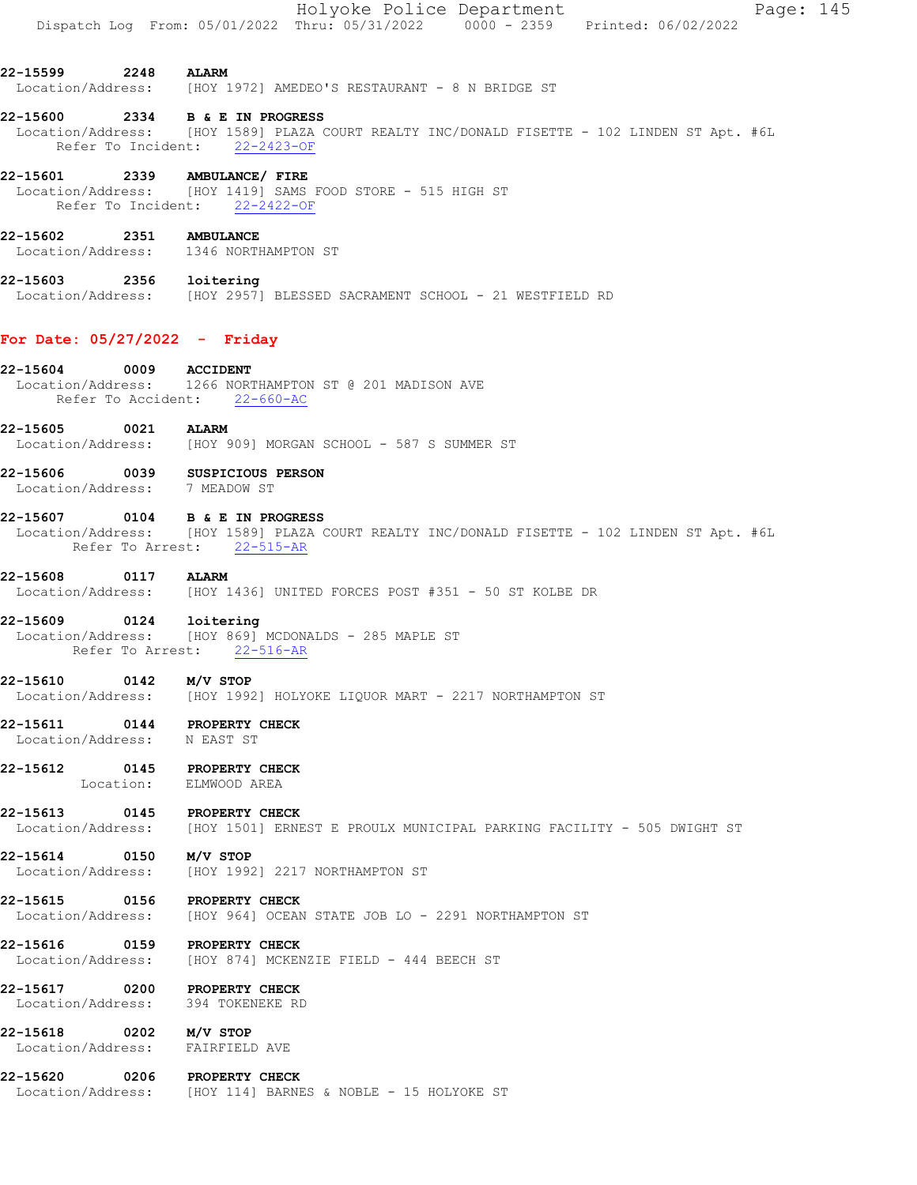|                                 | Holyoke Police Department<br>Page: 145<br>Dispatch Log From: 05/01/2022 Thru: 05/31/2022 0000 - 2359 Printed: 06/02/2022                                        |  |
|---------------------------------|-----------------------------------------------------------------------------------------------------------------------------------------------------------------|--|
| 22-15599 2248 ALARM             | Location/Address: [HOY 1972] AMEDEO'S RESTAURANT - 8 N BRIDGE ST                                                                                                |  |
|                                 |                                                                                                                                                                 |  |
|                                 | 22-15600 2334 B & E IN PROGRESS<br>Location/Address: [HOY 1589] PLAZA COURT REALTY INC/DONALD FISETTE - 102 LINDEN ST Apt. #6L<br>Refer To Incident: 22-2423-OF |  |
| 22-15601                        | 2339 AMBULANCE/ FIRE<br>Location/Address: [HOY 1419] SAMS FOOD STORE - 515 HIGH ST<br>Refer To Incident: 22-2422-OF                                             |  |
| 22-15602                        | 22-15602 2351 AMBULANCE<br>Location/Address: 1346 NORTHAMPTON ST                                                                                                |  |
|                                 | 22-15603 2356 loitering<br>Location/Address: [HOY 2957] BLESSED SACRAMENT SCHOOL - 21 WESTFIELD RD                                                              |  |
| For Date: $05/27/2022 -$ Friday |                                                                                                                                                                 |  |
| 22-15604                        | 0009 ACCIDENT<br>Location/Address: 1266 NORTHAMPTON ST @ 201 MADISON AVE<br>Refer To Accident: 22-660-AC                                                        |  |
| 22-15605                        | 0021 ALARM<br>Location/Address: [HOY 909] MORGAN SCHOOL - 587 S SUMMER ST                                                                                       |  |
| Location/Address: 7 MEADOW ST   | 22-15606 0039 SUSPICIOUS PERSON                                                                                                                                 |  |
| 22-15607                        | 0104 B & E IN PROGRESS<br>Location/Address: [HOY 1589] PLAZA COURT REALTY INC/DONALD FISETTE - 102 LINDEN ST Apt. #6L<br>Refer To Arrest: 22-515-AR             |  |
| 22-15608                        | 0117 ALARM<br>Location/Address: [HOY 1436] UNITED FORCES POST #351 - 50 ST KOLBE DR                                                                             |  |
| 22-15609                        | 0124 loitering<br>Location/Address: [HOY 869] MCDONALDS - 285 MAPLE ST<br>Refer To Arrest: 22-516-AR                                                            |  |
| 0142<br>22-15610                | M/V STOP                                                                                                                                                        |  |
|                                 | Location/Address: [HOY 1992] HOLYOKE LIQUOR MART - 2217 NORTHAMPTON ST                                                                                          |  |
| Location/Address: N EAST ST     | 22-15611 0144 PROPERTY CHECK                                                                                                                                    |  |
|                                 | 22-15612 0145 PROPERTY CHECK<br>Location: ELMWOOD AREA                                                                                                          |  |
| Location/Address:               | 22-15613 0145 PROPERTY CHECK<br>[HOY 1501] ERNEST E PROULX MUNICIPAL PARKING FACILITY - 505 DWIGHT ST                                                           |  |
| 22-15614 0150                   | M/V STOP<br>Location/Address: [HOY 1992] 2217 NORTHAMPTON ST                                                                                                    |  |
| 22-15615 0156                   | <b>PROPERTY CHECK</b><br>Location/Address: [HOY 964] OCEAN STATE JOB LO - 2291 NORTHAMPTON ST                                                                   |  |
|                                 | 22-15616 0159 PROPERTY CHECK<br>Location/Address: [HOY 874] MCKENZIE FIELD - 444 BEECH ST                                                                       |  |
| 22-15617 0200                   | <b>PROPERTY CHECK</b><br>Location/Address: 394 TOKENEKE RD                                                                                                      |  |
| 22-15618 0202 M/V STOP          | Location/Address: FAIRFIELD AVE                                                                                                                                 |  |
|                                 | 22-15620 0206 PROPERTY CHECK<br>Location/Address: [HOY 114] BARNES & NOBLE - 15 HOLYOKE ST                                                                      |  |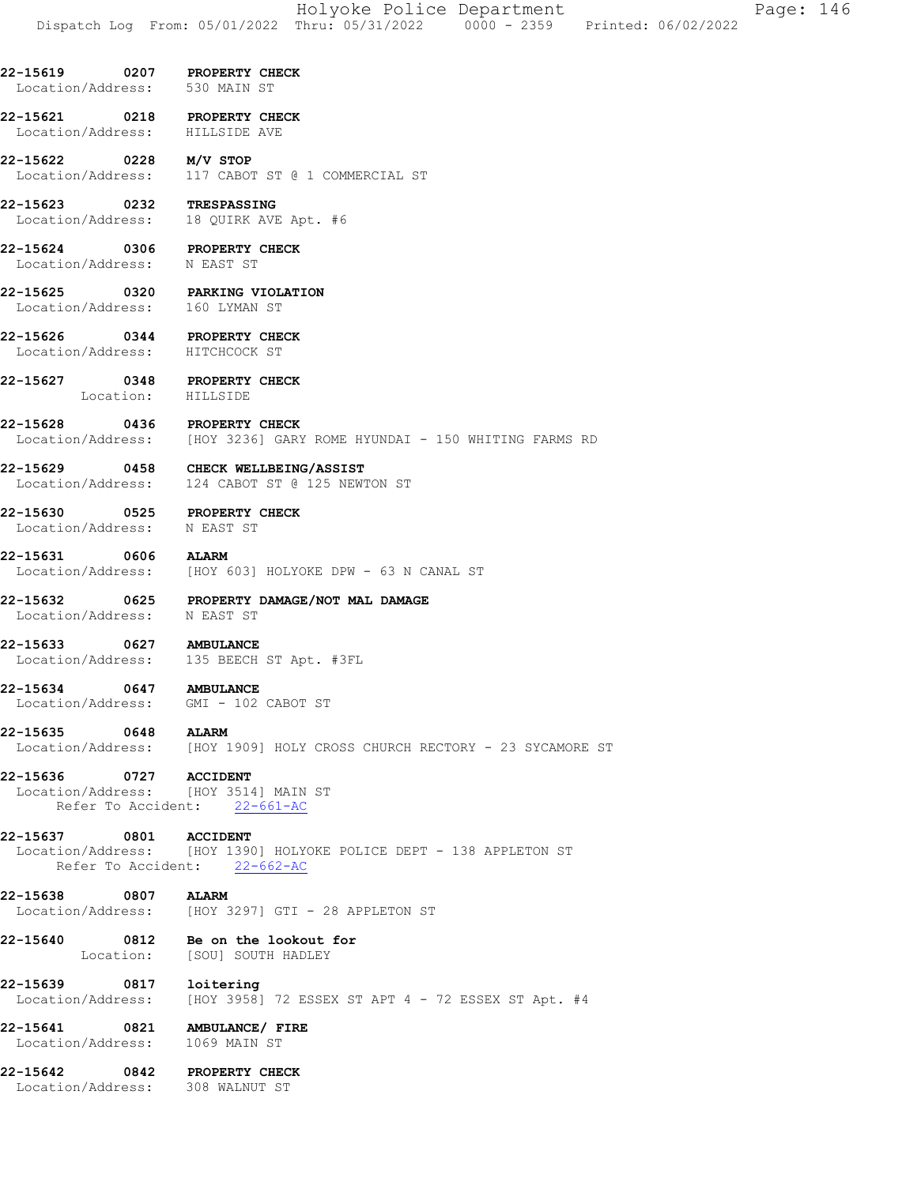- 22-15619 0207 PROPERTY CHECK Location/Address: 530 MAIN ST
- 22-15621 0218 PROPERTY CHECK<br>Location/Address: HILLSIDE AVE Location/Address:
- 22-15622 0228 M/V STOP Location/Address: 117 CABOT ST @ 1 COMMERCIAL ST
- 22-15623 0232 TRESPASSING Location/Address: 18 QUIRK AVE Apt. #6
- 22-15624 0306 PROPERTY CHECK Location/Address: N EAST ST
- 22-15625 0320 PARKING VIOLATION Location/Address: 160 LYMAN ST
- 22-15626 0344 PROPERTY CHECK<br>Location/Address: HITCHCOCK ST Location/Address:
- 22-15627 0348 PROPERTY CHECK<br>
Location: HILLSIDE Location:
- 22-15628 0436 PROPERTY CHECK<br>Location/Address: [HOY 3236] GARY [HOY 3236] GARY ROME HYUNDAI - 150 WHITING FARMS RD
- 22-15629 0458 CHECK WELLBEING/ASSIST Location/Address: 124 CABOT ST @ 125 NEWTON ST
- 22-15630 0525 PROPERTY CHECK<br>Location/Address: N EAST ST Location/Address:
- 22-15631 0606 ALARM Location/Address: [HOY 603] HOLYOKE DPW - 63 N CANAL ST
- 22-15632 0625 PROPERTY DAMAGE/NOT MAL DAMAGE<br>Location/Address: N EAST ST Location/Address:
- 22-15633 0627 AMBULANCE Location/Address: 135 BEECH ST Apt. #3FL
- 22-15634 0647 AMBULANCE Location/Address: GMI - 102 CABOT ST
- **22-15635 0648 ALARM**<br>Location/Address: [HOY 1 [HOY 1909] HOLY CROSS CHURCH RECTORY - 23 SYCAMORE ST
- 22-15636 0727 ACCIDENT Location/Address: [HOY 3514] MAIN ST Refer To Accident: 22-661-AC
- 22-15637 0801 ACCIDENT Location/Address: [HOY 1390] HOLYOKE POLICE DEPT - 138 APPLETON ST Refer To Accident: 22-662-AC
- 22-15638 0807 ALARM Location/Address: [HOY 3297] GTI - 28 APPLETON ST
- 22-15640 0812 Be on the lookout for Location: [SOU] SOUTH HADLEY
- 22-15639 0817 loitering Location/Address: [HOY 3958] 72 ESSEX ST APT 4 - 72 ESSEX ST Apt. #4
- 22-15641 0821 AMBULANCE/FIRE<br>Location/Address: 1069 MAIN ST Location/Address:
- 22-15642 0842 PROPERTY CHECK Location/Address: 308 WALNUT ST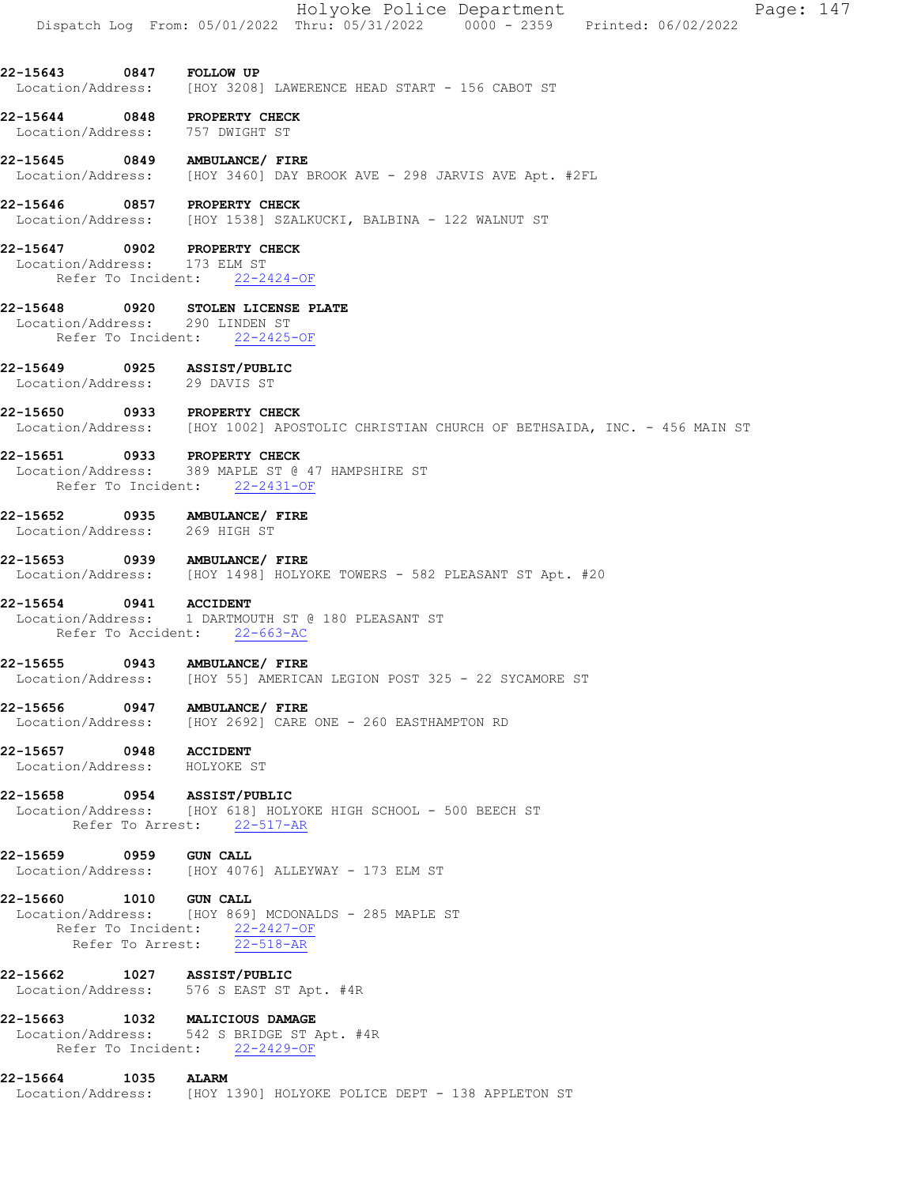|                                                                 | Holyoke Police Department<br>Page: 147<br>Dispatch Log From: 05/01/2022 Thru: 05/31/2022 0000 - 2359 Printed: 06/02/2022 |
|-----------------------------------------------------------------|--------------------------------------------------------------------------------------------------------------------------|
| 22-15643 0847 FOLLOW UP                                         |                                                                                                                          |
|                                                                 | Location/Address: [HOY 3208] LAWERENCE HEAD START - 156 CABOT ST                                                         |
| 22-15644 0848 PROPERTY CHECK<br>Location/Address: 757 DWIGHT ST |                                                                                                                          |
| 22-15645 0849 AMBULANCE/ FIRE                                   |                                                                                                                          |
|                                                                 | Location/Address: [HOY 3460] DAY BROOK AVE - 298 JARVIS AVE Apt. #2FL                                                    |
| 22-15646 0857 PROPERTY CHECK                                    | Location/Address: [HOY 1538] SZALKUCKI, BALBINA - 122 WALNUT ST                                                          |
| 22-15647 0902 PROPERTY CHECK                                    |                                                                                                                          |
| Location/Address: 173 ELM ST                                    | Refer To Incident: 22-2424-OF                                                                                            |
|                                                                 | 22-15648 0920 STOLEN LICENSE PLATE                                                                                       |
| Location/Address: 290 LINDEN ST                                 | Refer To Incident: 22-2425-OF                                                                                            |
|                                                                 |                                                                                                                          |
| 22-15649 0925 ASSIST/PUBLIC<br>Location/Address: 29 DAVIS ST    |                                                                                                                          |
| 22-15650 0933 PROPERTY CHECK                                    |                                                                                                                          |
|                                                                 | Location/Address: [HOY 1002] APOSTOLIC CHRISTIAN CHURCH OF BETHSAIDA, INC. - 456 MAIN ST                                 |
| 22-15651 0933 PROPERTY CHECK                                    |                                                                                                                          |
|                                                                 | Location/Address: 389 MAPLE ST @ 47 HAMPSHIRE ST<br>Refer To Incident: 22-2431-OF                                        |
| 22-15652 0935 AMBULANCE/ FIRE<br>Location/Address: 269 HIGH ST  |                                                                                                                          |
|                                                                 |                                                                                                                          |
| 22-15653 0939 AMBULANCE/ FIRE                                   | Location/Address: [HOY 1498] HOLYOKE TOWERS - 582 PLEASANT ST Apt. #20                                                   |
| 22-15654 0941 ACCIDENT                                          |                                                                                                                          |
|                                                                 | Location/Address: 1 DARTMOUTH ST @ 180 PLEASANT ST<br>Refer To Accident: 22-663-AC                                       |
| 22-15655 0943 AMBULANCE/ FIRE<br>Location/Address:              | [HOY 55] AMERICAN LEGION POST 325 - 22 SYCAMORE ST                                                                       |
| 22-15656 0947 AMBULANCE/FIRE                                    |                                                                                                                          |
|                                                                 | Location/Address: [HOY 2692] CARE ONE - 260 EASTHAMPTON RD                                                               |
| 22-15657 0948 ACCIDENT<br>Location/Address: HOLYOKE ST          |                                                                                                                          |
| 22-15658 0954 ASSIST/PUBLIC                                     |                                                                                                                          |
|                                                                 | Location/Address: [HOY 618] HOLYOKE HIGH SCHOOL - 500 BEECH ST<br>Refer To Arrest: 22-517-AR                             |
| 22-15659 0959 GUN CALL                                          |                                                                                                                          |
|                                                                 | Location/Address: [HOY 4076] ALLEYWAY - 173 ELM ST                                                                       |
| 22-15660 1010 GUN CALL                                          |                                                                                                                          |
|                                                                 | Location/Address: [HOY 869] MCDONALDS - 285 MAPLE ST<br>Refer To Incident: 22-2427-OF                                    |
|                                                                 | Refer To Arrest: 22-518-AR                                                                                               |
| 22-15662 1027 ASSIST/PUBLIC                                     |                                                                                                                          |
|                                                                 | Location/Address: 576 S EAST ST Apt. #4R                                                                                 |
| 22-15663 1032 MALICIOUS DAMAGE                                  |                                                                                                                          |
|                                                                 | Location/Address: 542 S BRIDGE ST Apt. #4R<br>Refer To Incident: 22-2429-OF                                              |
| 22-15664 1035 ALARM                                             |                                                                                                                          |
|                                                                 | Location/Address: [HOY 1390] HOLYOKE POLICE DEPT - 138 APPLETON ST                                                       |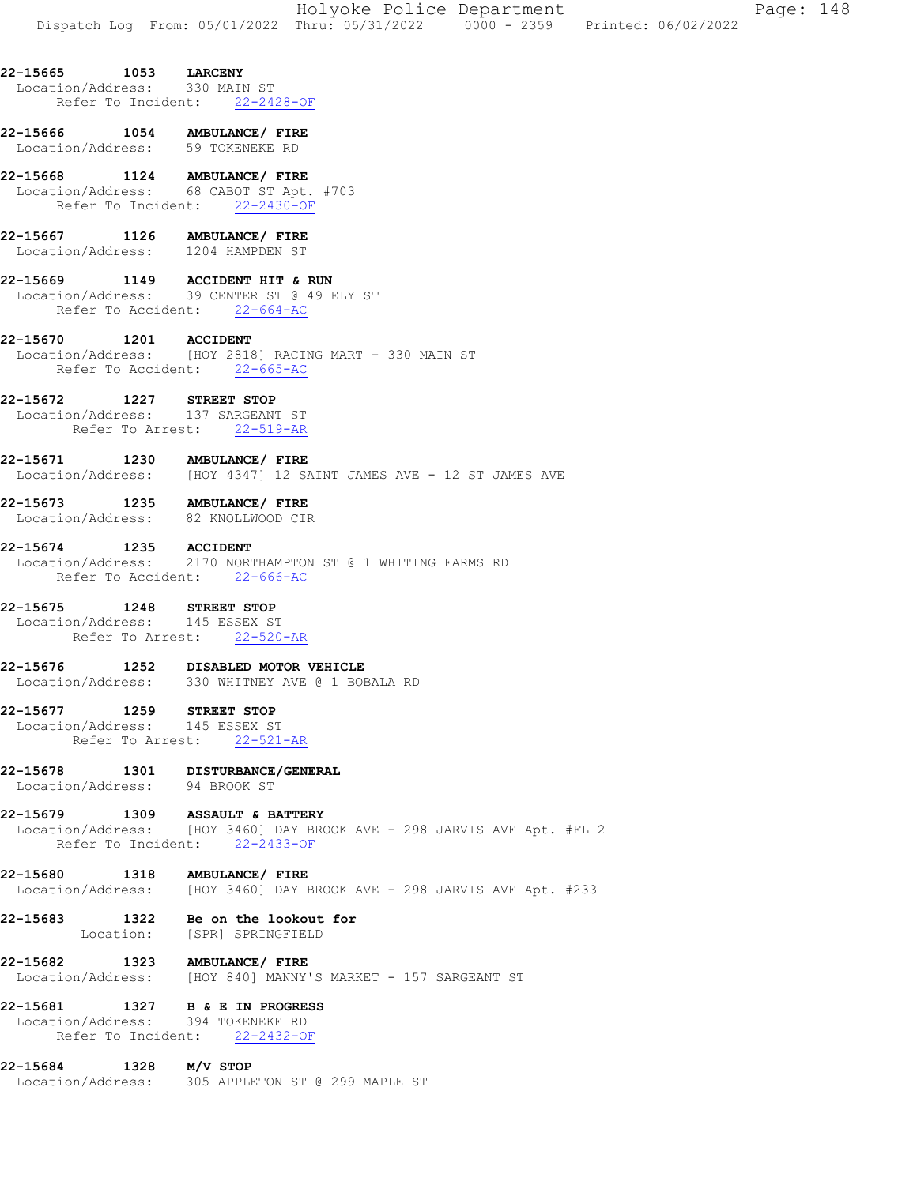|                                                | Holyoke Police Department | Page: 148                       |  |
|------------------------------------------------|---------------------------|---------------------------------|--|
| Dispatch Log From: 05/01/2022 Thru: 05/31/2022 |                           | 0000 - 2359 Printed: 06/02/2022 |  |

#### 22-15665 1053 LARCENY Location/Address: 330 MAIN ST Refer To Incident: 22-2428-OF

- 22-15666 1054 AMBULANCE/FIRE<br>Location/Address: 59 TOKENEKE RD
- Location/Address:

22-15668 1124 AMBULANCE/ FIRE Location/Address: 68 CABOT ST Apt. #703 Refer To Incident: 22-2430-OF

22-15667 1126 AMBULANCE/ FIRE Location/Address: 1204 HAMPDEN ST

#### 22-15669 1149 ACCIDENT HIT & RUN Location/Address: 39 CENTER ST @ 49 ELY ST Refer To Accident: 22-664-AC

# 22-15670 1201 ACCIDENT

- Location/Address: [HOY 2818] RACING MART 330 MAIN ST Refer To Accident: 22-665-AC
- 22-15672 1227 STREET STOP

 Location/Address: 137 SARGEANT ST Refer To Arrest: 22-519-AR

22-15671 1230 AMBULANCE/ FIRE Location/Address: [HOY 4347] 12 SAINT JAMES AVE - 12 ST JAMES AVE

#### 22-15673 1235 AMBULANCE/ FIRE

- Location/Address: 82 KNOLLWOOD CIR
- 22-15674 1235 ACCIDENT
- Location/Address: 2170 NORTHAMPTON ST @ 1 WHITING FARMS RD Refer To Accident: 22-666-AC

#### 22-15675 1248 STREET STOP

 Location/Address: 145 ESSEX ST Refer To Arrest: 22-520-AR

22-15676 1252 DISABLED MOTOR VEHICLE Location/Address: 330 WHITNEY AVE @ 1 BOBALA RD

#### 22-15677 1259 STREET STOP

 Location/Address: 145 ESSEX ST Refer To Arrest: 22-521-AR

22-15678 1301 DISTURBANCE/GENERAL Location/Address: 94 BROOK ST

#### 22-15679 1309 ASSAULT & BATTERY Location/Address: [HOY 3460] DAY BROOK AVE - 298 JARVIS AVE Apt. #FL 2

Refer To Incident: 22-2433-OF

#### 22-15680 1318 AMBULANCE/ FIRE Location/Address: [HOY 3460] DAY BROOK AVE - 298 JARVIS AVE Apt. #233

#### 22-15683 1322 Be on the lookout for Location: [SPR] SPRINGFIELD

# 22-15682 1323 AMBULANCE/FIRE<br>Location/Address: [HOY 8401 MANNUL [HOY 840] MANNY'S MARKET - 157 SARGEANT ST

#### 22-15681 1327 B & E IN PROGRESS

- Location/Address: 394 TOKENEKE RD Refer To Incident: 22-2432-OF
- 22-15684 1328 M/V STOP Location/Address: 305 APPLETON ST @ 299 MAPLE ST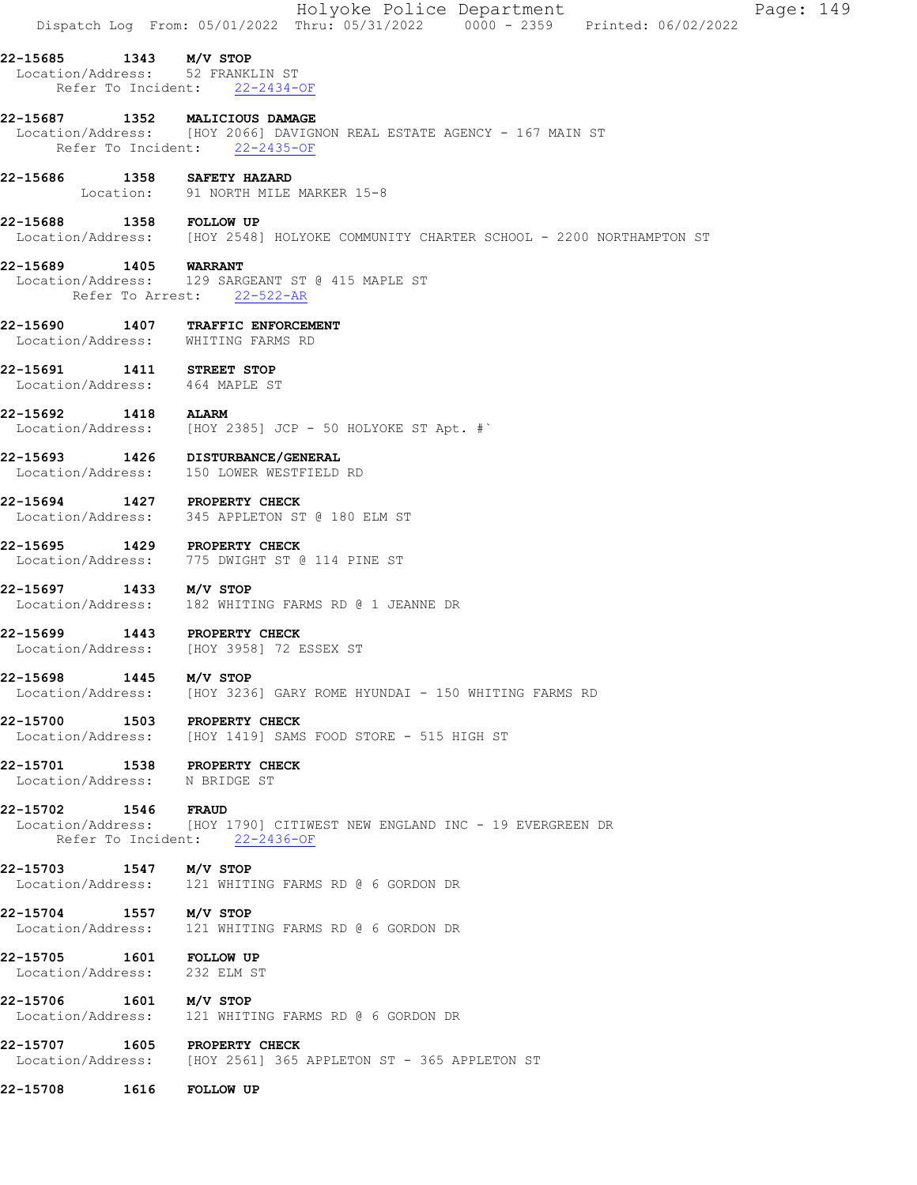|                                                             |      | Holyoke Police Department<br>Page: 149<br>Dispatch Log From: 05/01/2022 Thru: 05/31/2022   0000 - 2359   Printed: 06/02/2022 |
|-------------------------------------------------------------|------|------------------------------------------------------------------------------------------------------------------------------|
| 22-15685 1343 M/V STOP<br>Location/Address: 52 FRANKLIN ST  |      | Refer To Incident: 22-2434-OF                                                                                                |
| 22-15687 1352 MALICIOUS DAMAGE                              |      | Location/Address: [HOY 2066] DAVIGNON REAL ESTATE AGENCY - 167 MAIN ST<br>Refer To Incident: 22-2435-OF                      |
| 22-15686 1358 SAFETY HAZARD                                 |      | Location: 91 NORTH MILE MARKER 15-8                                                                                          |
| 22-15688 1358 FOLLOW UP                                     |      | Location/Address: [HOY 2548] HOLYOKE COMMUNITY CHARTER SCHOOL - 2200 NORTHAMPTON ST                                          |
| 22-15689 1405 WARRANT                                       |      | Location/Address: 129 SARGEANT ST @ 415 MAPLE ST<br>Refer To Arrest: 22-522-AR                                               |
| Location/Address: WHITING FARMS RD                          |      | 22-15690 1407 TRAFFIC ENFORCEMENT                                                                                            |
| 22-15691 1411 STREET STOP<br>Location/Address: 464 MAPLE ST |      |                                                                                                                              |
| 22-15692 1418 ALARM                                         |      | Location/Address: [HOY 2385] JCP - 50 HOLYOKE ST Apt. #`                                                                     |
|                                                             |      | 22-15693 1426 DISTURBANCE/GENERAL<br>Location/Address: 150 LOWER WESTFIELD RD                                                |
| 22-15694 1427 PROPERTY CHECK                                |      | Location/Address: 345 APPLETON ST @ 180 ELM ST                                                                               |
| 22-15695 1429 PROPERTY CHECK                                |      | Location/Address: 775 DWIGHT ST @ 114 PINE ST                                                                                |
| 22-15697 1433 M/V STOP                                      |      | Location/Address: 182 WHITING FARMS RD @ 1 JEANNE DR                                                                         |
| 22-15699 1443 PROPERTY CHECK                                |      | Location/Address: [HOY 3958] 72 ESSEX ST                                                                                     |
| 1445 M/V STOP<br>22-15698                                   |      | Location/Address: [HOY 3236] GARY ROME HYUNDAI - 150 WHITING FARMS RD                                                        |
| 22-15700 1503 PROPERTY CHECK                                |      | Location/Address: [HOY 1419] SAMS FOOD STORE - 515 HIGH ST                                                                   |
| 22-15701<br>Location/Address: N BRIDGE ST                   |      | 1538 PROPERTY CHECK                                                                                                          |
| 22-15702 1546 FRAUD                                         |      | Location/Address: [HOY 1790] CITIWEST NEW ENGLAND INC - 19 EVERGREEN DR<br>Refer To Incident: 22-2436-OF                     |
| 22-15703 1547                                               |      | M/V STOP<br>Location/Address: 121 WHITING FARMS RD @ 6 GORDON DR                                                             |
| 22-15704 1557 M/V STOP<br>Location/Address:                 |      | 121 WHITING FARMS RD @ 6 GORDON DR                                                                                           |
| 22-15705<br>Location/Address: 232 ELM ST                    |      | 1601 FOLLOW UP                                                                                                               |
| 22-15706 1601 M/V STOP<br>Location/Address:                 |      | 121 WHITING FARMS RD @ 6 GORDON DR                                                                                           |
| 22-15707 1605 PROPERTY CHECK                                |      | Location/Address: [HOY 2561] 365 APPLETON ST - 365 APPLETON ST                                                               |
| 22-15708                                                    | 1616 | <b>FOLLOW UP</b>                                                                                                             |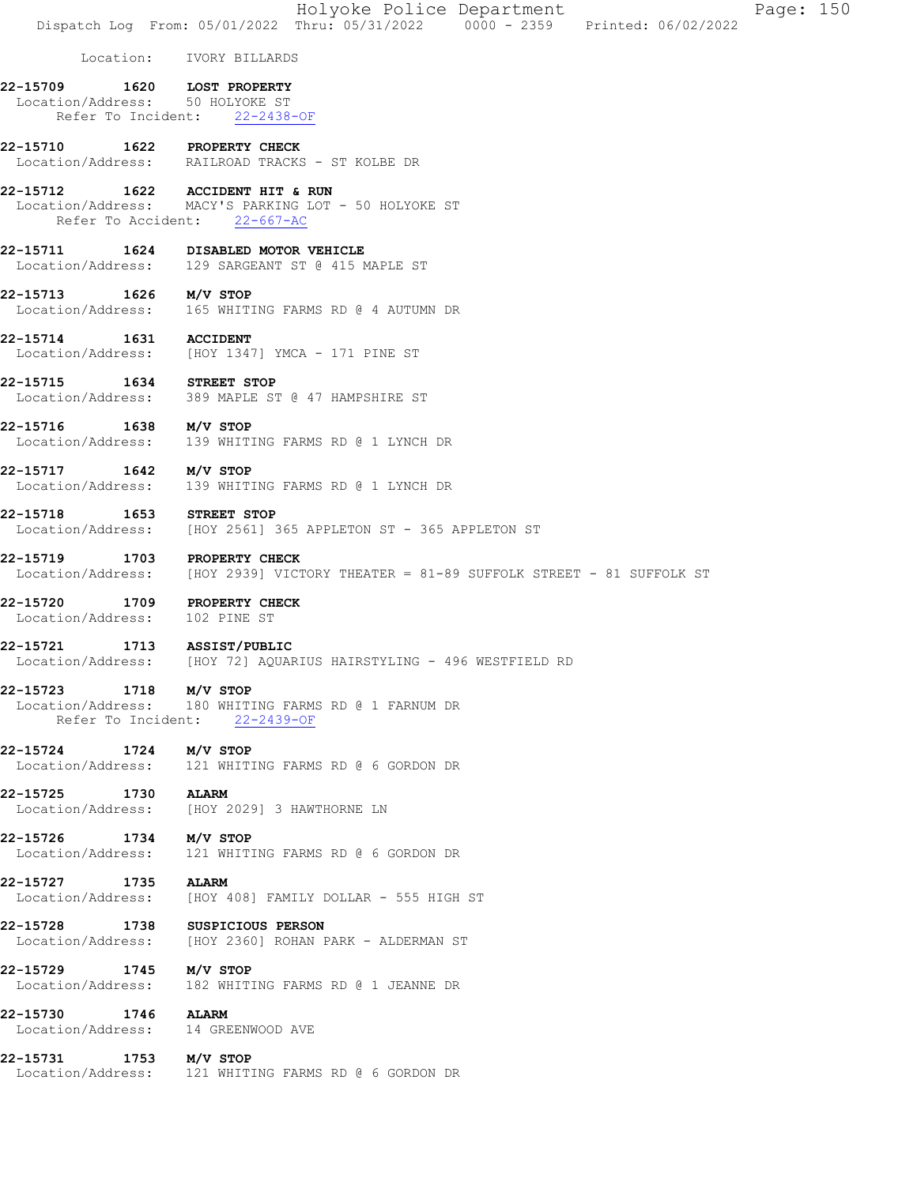Location: IVORY BILLARDS

- 22-15709 1620 LOST PROPERTY Location/Address: 50 HOLYOKE ST Refer To Incident: 22-2438-OF
- 22-15710 1622 PROPERTY CHECK Location/Address: RAILROAD TRACKS - ST KOLBE DR
- 22-15712 1622 ACCIDENT HIT & RUN Location/Address: MACY'S PARKING LOT - 50 HOLYOKE ST Refer To Accident: 22-667-AC
- 22-15711 1624 DISABLED MOTOR VEHICLE Location/Address: 129 SARGEANT ST @ 415 MAPLE ST
- 22-15713 1626 M/V STOP Location/Address: 165 WHITING FARMS RD @ 4 AUTUMN DR
- 22-15714 1631 ACCIDENT Location/Address: [HOY 1347] YMCA - 171 PINE ST
- 22-15715 1634 STREET STOP Location/Address: 389 MAPLE ST @ 47 HAMPSHIRE ST
- 22-15716 1638 M/V STOP Location/Address: 139 WHITING FARMS RD @ 1 LYNCH DR
- 22-15717 1642 M/V STOP Location/Address: 139 WHITING FARMS RD @ 1 LYNCH DR
- 22-15718 1653 STREET STOP Location/Address: [HOY 2561] 365 APPLETON ST - 365 APPLETON ST
- 22-15719 1703 PROPERTY CHECK<br>Location/Address: [HOY 2939] VICT  $[HOY 2939]$  VICTORY THEATER = 81-89 SUFFOLK STREET - 81 SUFFOLK ST
- 22-15720 1709 PROPERTY CHECK Location/Address: 102 PINE ST
- 22-15721 1713 ASSIST/PUBLIC<br>Location/Address: [HOY 72] AQUAR [HOY 72] AQUARIUS HAIRSTYLING - 496 WESTFIELD RD
- 22-15723 1718 M/V STOP
- Location/Address: 180 WHITING FARMS RD @ 1 FARNUM DR Refer To Incident: 22-2439-OF
- 22-15724 1724 M/V STOP Location/Address: 121 WHITING FARMS RD @ 6 GORDON DR
- 22-15725 1730 ALARM Location/Address: [HOY 2029] 3 HAWTHORNE LN
- **22-15726 1734 M/V STOP**<br>Location/Address: 121 WHITI 121 WHITING FARMS RD @ 6 GORDON DR
- 22-15727 1735 ALARM Location/Address: [HOY 408] FAMILY DOLLAR - 555 HIGH ST
- 22-15728 1738 SUSPICIOUS PERSON Location/Address: [HOY 2360] ROHAN PARK - ALDERMAN ST
- 22-15729 1745 M/V STOP Location/Address: 182 WHITING FARMS RD @ 1 JEANNE DR
- 22-15730 1746 ALARM Location/Address: 14 GREENWOOD AVE
- 22-15731 1753 M/V STOP Location/Address: 121 WHITING FARMS RD @ 6 GORDON DR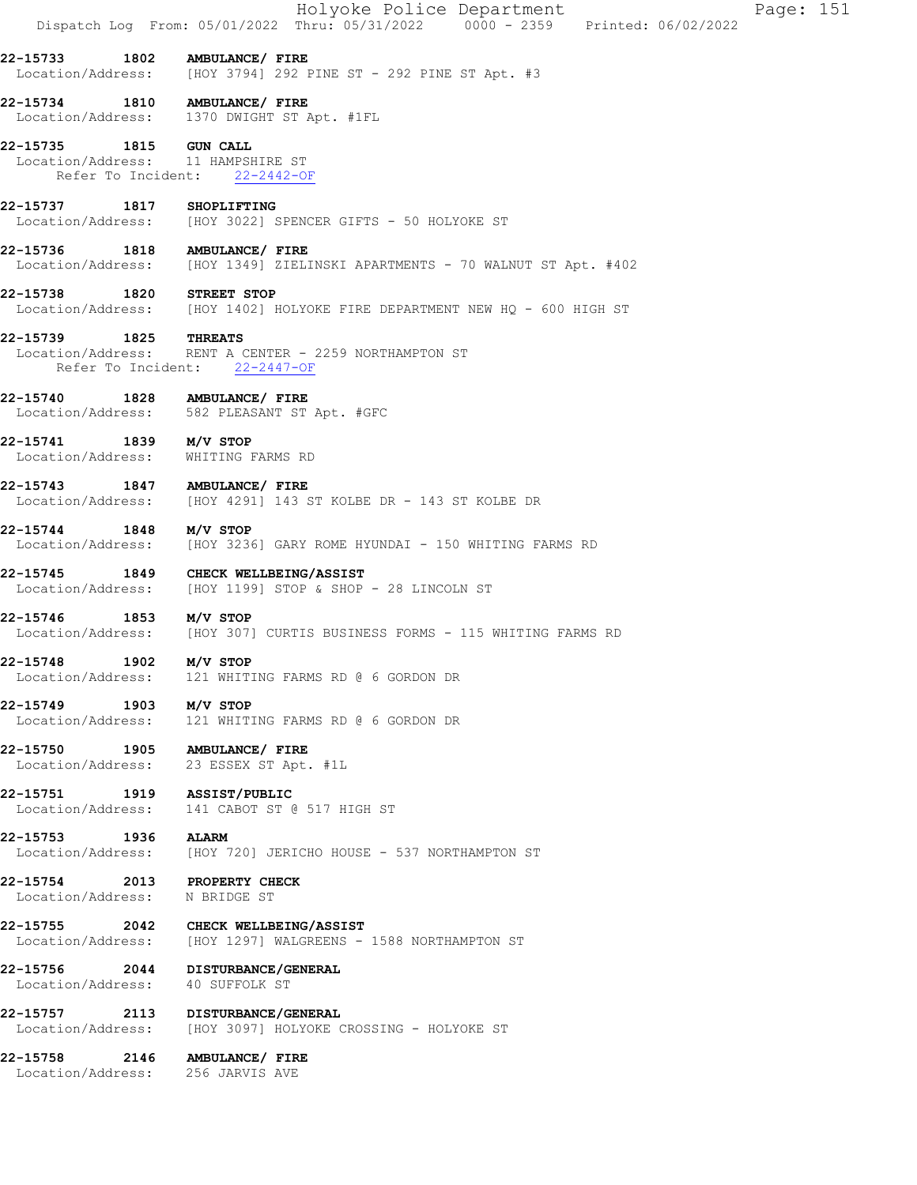|                                                               | Holyoke Police Department<br>Page: 151<br>Dispatch Log From: 05/01/2022 Thru: 05/31/2022 0000 - 2359 Printed: 06/02/2022 |
|---------------------------------------------------------------|--------------------------------------------------------------------------------------------------------------------------|
|                                                               | 22-15733 1802 AMBULANCE/ FIRE<br>Location/Address: [HOY 3794] 292 PINE ST - 292 PINE ST Apt. #3                          |
|                                                               | 22-15734 1810 AMBULANCE/ FIRE<br>Location/Address: 1370 DWIGHT ST Apt. #1FL                                              |
| 22-15735 1815 GUN CALL                                        | Location/Address: 11 HAMPSHIRE ST<br>Refer To Incident: 22-2442-OF                                                       |
| 22-15737 1817                                                 | SHOPLIFTING<br>Location/Address: [HOY 3022] SPENCER GIFTS - 50 HOLYOKE ST                                                |
|                                                               | 22-15736 1818 AMBULANCE/ FIRE<br>Location/Address: [HOY 1349] ZIELINSKI APARTMENTS - 70 WALNUT ST Apt. #402              |
| 22-15738 1820 STREET STOP                                     | Location/Address: [HOY 1402] HOLYOKE FIRE DEPARTMENT NEW HQ - 600 HIGH ST                                                |
| 22-15739 1825 THREATS                                         | Location/Address: RENT A CENTER - 2259 NORTHAMPTON ST<br>Refer To Incident: 22-2447-OF                                   |
|                                                               | 22-15740 1828 AMBULANCE/ FIRE<br>Location/Address: 582 PLEASANT ST Apt. #GFC                                             |
| 22-15741 1839 M/V STOP                                        | Location/Address: WHITING FARMS RD                                                                                       |
|                                                               | 22-15743 1847 AMBULANCE/ FIRE<br>Location/Address: [HOY 4291] 143 ST KOLBE DR - 143 ST KOLBE DR                          |
| 22-15744 1848 M/V STOP                                        | Location/Address: [HOY 3236] GARY ROME HYUNDAI - 150 WHITING FARMS RD                                                    |
|                                                               | 22-15745 1849 CHECK WELLBEING/ASSIST<br>Location/Address: [HOY 1199] STOP & SHOP - 28 LINCOLN ST                         |
| 22-15746 1853 M/V STOP                                        | Location/Address: [HOY 307] CURTIS BUSINESS FORMS - 115 WHITING FARMS RD                                                 |
| 22-15748 1902<br>Location/Address:                            | M/V STOP<br>121 WHITING FARMS RD @ 6 GORDON DR                                                                           |
| 22-15749 1903 M/V STOP                                        | Location/Address: 121 WHITING FARMS RD @ 6 GORDON DR                                                                     |
|                                                               | 22-15750 1905 AMBULANCE/ FIRE<br>Location/Address: 23 ESSEX ST Apt. #1L                                                  |
| 22-15751 1919 ASSIST/PUBLIC<br>Location/Address:              | 141 CABOT ST @ 517 HIGH ST                                                                                               |
| 22-15753 1936                                                 | <b>ALARM</b><br>Location/Address: [HOY 720] JERICHO HOUSE - 537 NORTHAMPTON ST                                           |
| 22-15754 2013 PROPERTY CHECK<br>Location/Address: N BRIDGE ST |                                                                                                                          |
|                                                               | 22-15755 2042 CHECK WELLBEING/ASSIST<br>Location/Address: [HOY 1297] WALGREENS - 1588 NORTHAMPTON ST                     |
| Location/Address: 40 SUFFOLK ST                               | 22-15756 2044 DISTURBANCE/GENERAL                                                                                        |
|                                                               | 22-15757 2113 DISTURBANCE/GENERAL<br>Location/Address: [HOY 3097] HOLYOKE CROSSING - HOLYOKE ST                          |
|                                                               | 22-15758 2146 AMBULANCE/ FIRE<br>Location/Address: 256 JARVIS AVE                                                        |
|                                                               |                                                                                                                          |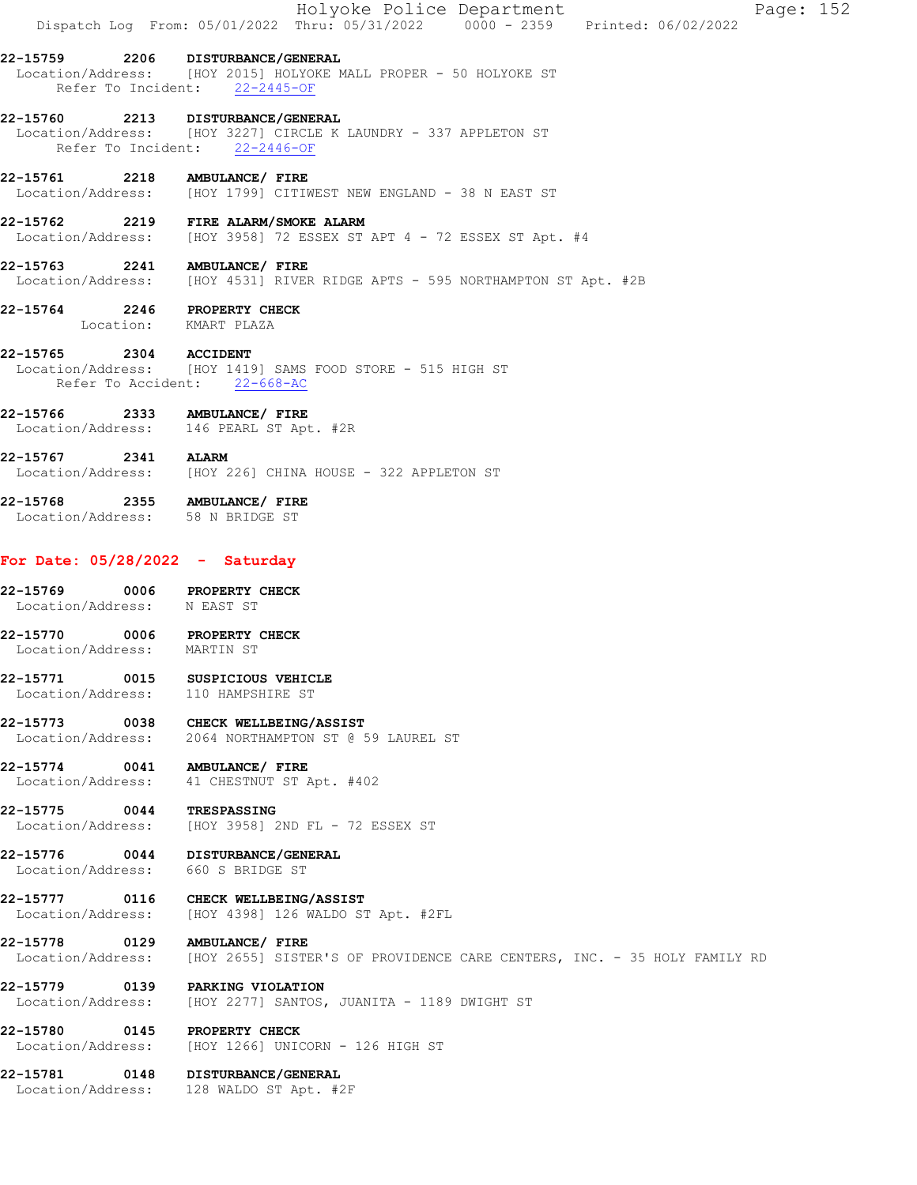|                                    |      | Holyoke Police Department<br>Page: 152<br>Dispatch Log From: 05/01/2022 Thru: 05/31/2022   0000 - 2359   Printed: 06/02/2022           |
|------------------------------------|------|----------------------------------------------------------------------------------------------------------------------------------------|
|                                    |      | 22-15759 2206 DISTURBANCE/GENERAL<br>Location/Address: [HOY 2015] HOLYOKE MALL PROPER - 50 HOLYOKE ST<br>Refer To Incident: 22-2445-OF |
|                                    |      | 22-15760 2213 DISTURBANCE/GENERAL<br>Location/Address: [HOY 3227] CIRCLE K LAUNDRY - 337 APPLETON ST<br>Refer To Incident: 22-2446-OF  |
|                                    |      | 22-15761 2218 AMBULANCE/ FIRE<br>Location/Address: [HOY 1799] CITIWEST NEW ENGLAND - 38 N EAST ST                                      |
|                                    |      | 22-15762 2219 FIRE ALARM/SMOKE ALARM<br>Location/Address: [HOY 3958] 72 ESSEX ST APT 4 - 72 ESSEX ST Apt. #4                           |
|                                    |      | 22-15763 2241 AMBULANCE/ FIRE<br>Location/Address: [HOY 4531] RIVER RIDGE APTS - 595 NORTHAMPTON ST Apt. #2B                           |
|                                    |      | 22-15764 2246 PROPERTY CHECK<br>Location: KMART PLAZA                                                                                  |
| 22-15765 2304 ACCIDENT             |      | Location/Address: [HOY 1419] SAMS FOOD STORE - 515 HIGH ST<br>Refer To Accident: 22-668-AC                                             |
| 22-15766                           |      | 2333 AMBULANCE/ FIRE<br>Location/Address: 146 PEARL ST Apt. #2R                                                                        |
| 22-15767 2341 ALARM                |      | Location/Address: [HOY 226] CHINA HOUSE - 322 APPLETON ST                                                                              |
|                                    |      | 22-15768 2355 AMBULANCE/ FIRE<br>Location/Address: 58 N BRIDGE ST                                                                      |
|                                    |      | For Date: $05/28/2022 -$ Saturday                                                                                                      |
| Location/Address: N EAST ST        |      | 22-15769 0006 PROPERTY CHECK                                                                                                           |
| Location/Address: MARTIN ST        |      | 22-15770 0006 PROPERTY CHECK                                                                                                           |
| 22-15771<br>Location/Address:      | 0015 | SUSPICIOUS VEHICLE<br>110 HAMPSHIRE ST                                                                                                 |
| 22-15773<br>Location/Address:      | 0038 | CHECK WELLBEING/ASSIST<br>2064 NORTHAMPTON ST @ 59 LAUREL ST                                                                           |
| 22-15774<br>Location/Address:      | 0041 | AMBULANCE/ FIRE<br>41 CHESTNUT ST Apt. #402                                                                                            |
| 22-15775<br>Location/Address:      | 0044 | <b>TRESPASSING</b><br>[HOY 3958] 2ND FL - 72 ESSEX ST                                                                                  |
| 22-15776<br>Location/Address:      |      | 0044 DISTURBANCE/GENERAL<br>660 S BRIDGE ST                                                                                            |
| 22-15777 0116<br>Location/Address: |      | CHECK WELLBEING/ASSIST<br>[HOY 4398] 126 WALDO ST Apt. #2FL                                                                            |
| 22-15778<br>Location/Address:      | 0129 | AMBULANCE/ FIRE<br>[HOY 2655] SISTER'S OF PROVIDENCE CARE CENTERS, INC. - 35 HOLY FAMILY RD                                            |
| 22-15779 0139<br>Location/Address: |      | PARKING VIOLATION<br>[HOY 2277] SANTOS, JUANITA - 1189 DWIGHT ST                                                                       |
| 22-15780<br>Location/Address:      | 0145 | PROPERTY CHECK<br>[HOY 1266] UNICORN - 126 HIGH ST                                                                                     |
| 22-15781<br>Location/Address:      |      | 0148 DISTURBANCE/GENERAL<br>128 WALDO ST Apt. #2F                                                                                      |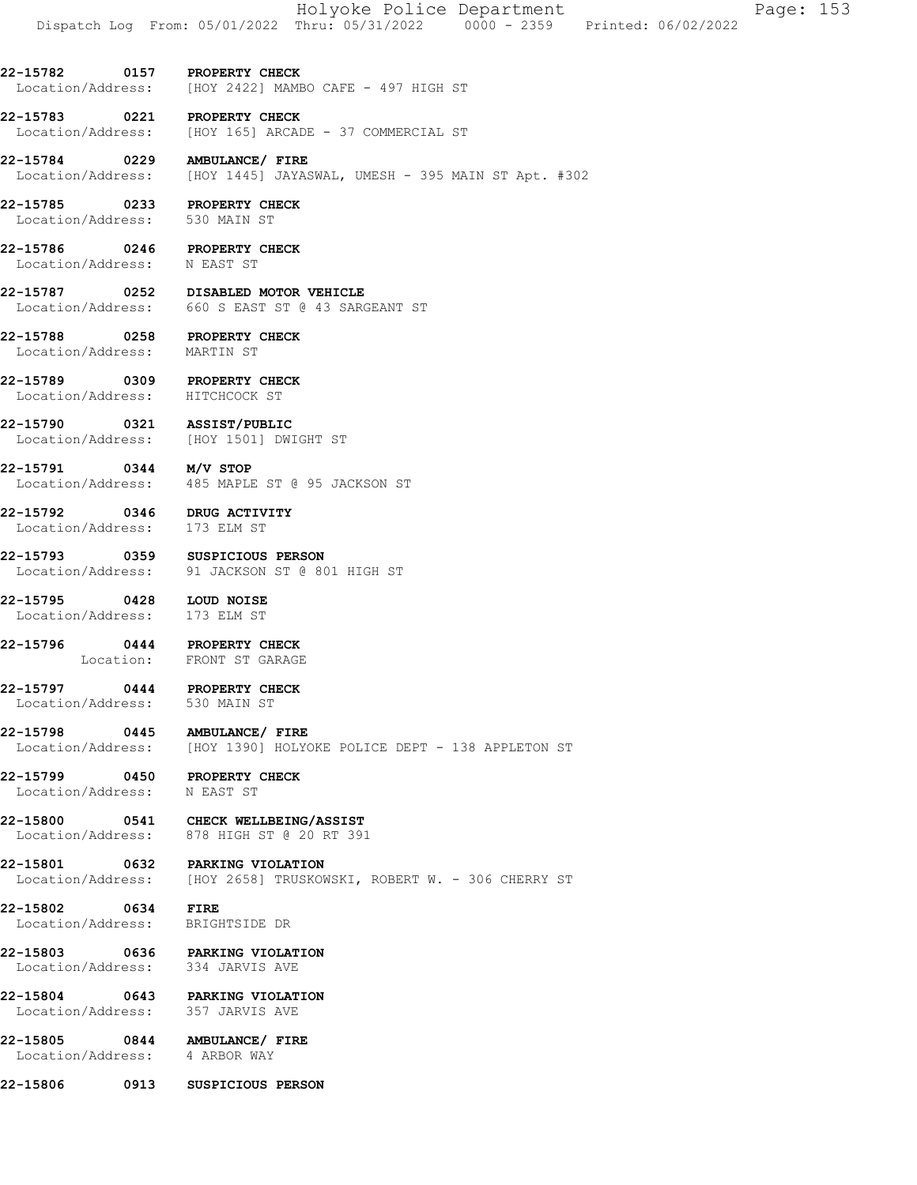Holyoke Police Department Page: 153 Dispatch Log From: 05/01/2022 Thru: 05/31/2022 0000 - 2359 Printed: 06/02/2022

22-15782 0157 PROPERTY CHECK Location/Address: [HOY 2422] MAMBO CAFE - 497 HIGH ST

22-15783 0221 PROPERTY CHECK<br>Location/Address: [HOY 165] ARCAD [HOY 165] ARCADE - 37 COMMERCIAL ST

22-15784 0229 AMBULANCE/ FIRE Location/Address: [HOY 1445] JAYASWAL, UMESH - 395 MAIN ST Apt. #302

22-15785 0233 PROPERTY CHECK Location/Address: 530 MAIN ST

22-15786 0246 PROPERTY CHECK Location/Address: N EAST ST

22-15787 0252 DISABLED MOTOR VEHICLE Location/Address: 660 S EAST ST @ 43 SARGEANT ST

22-15788 0258 PROPERTY CHECK<br>Location/Address: MARTIN ST Location/Address:

22-15789 0309 PROPERTY CHECK<br>Location/Address: HITCHCOCK ST Location/Address:

22-15790 0321 ASSIST/PUBLIC Location/Address: [HOY 1501] DWIGHT ST

22-15791 0344 M/V STOP Location/Address: 485 MAPLE ST @ 95 JACKSON ST

22-15792 0346 DRUG ACTIVITY<br>Location/Address: 173 ELM ST Location/Address:

22-15793 0359 SUSPICIOUS PERSON Location/Address: 91 JACKSON ST @ 801 HIGH ST

22-15795 0428 LOUD NOISE<br>Location/Address: 173 ELM ST Location/Address:

22-15796 0444 PROPERTY CHECK Location: FRONT ST GARAGE

22-15797 0444 PROPERTY CHECK Location/Address: 530 MAIN ST

22-15798 0445 AMBULANCE/ FIRE Location/Address: [HOY 1390] HOLYOKE POLICE DEPT - 138 APPLETON ST

22-15799 0450 PROPERTY CHECK Location/Address: N EAST ST

22-15800 0541 CHECK WELLBEING/ASSIST Location/Address: 878 HIGH ST @ 20 RT 391

22-15801 0632 PARKING VIOLATION Location/Address: [HOY 2658] TRUSKOWSKI, ROBERT W. - 306 CHERRY ST

22-15802 0634 FIRE Location/Address: BRIGHTSIDE DR

22-15803 0636 PARKING VIOLATION Location/Address: 334 JARVIS AVE

22-15804 0643 PARKING VIOLATION<br>Location/Address: 357 JARVIS AVE Location/Address:

22-15805 0844 AMBULANCE/ FIRE Location/Address: 4 ARBOR WAY

22-15806 0913 SUSPICIOUS PERSON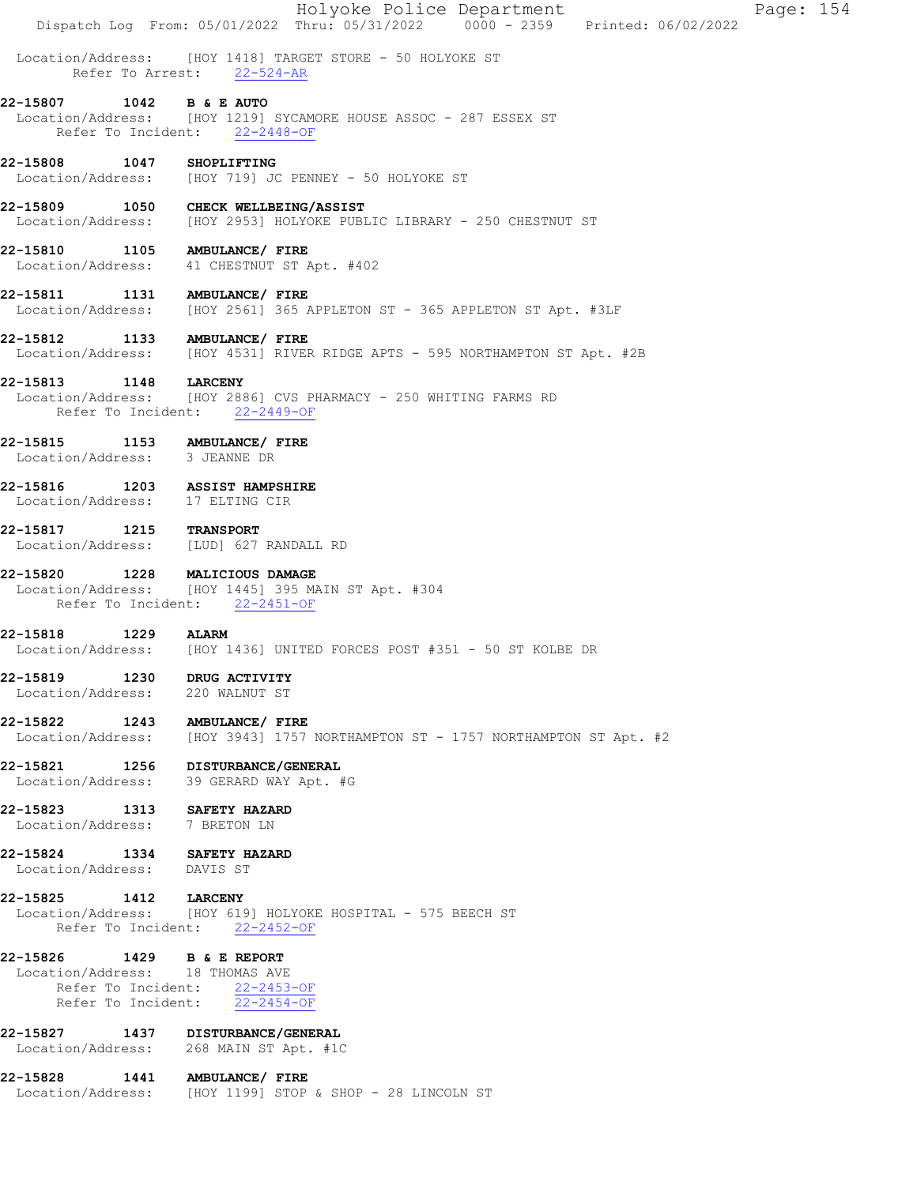|                                                                             | Holyoke Police Department<br>Page: 154<br>Dispatch Log From: 05/01/2022 Thru: 05/31/2022 0000 - 2359 Printed: 06/02/2022 |
|-----------------------------------------------------------------------------|--------------------------------------------------------------------------------------------------------------------------|
|                                                                             | Location/Address: [HOY 1418] TARGET STORE - 50 HOLYOKE ST<br>Refer To Arrest: 22-524-AR                                  |
| 22-15807 1042 B & E AUTO                                                    | Location/Address: [HOY 1219] SYCAMORE HOUSE ASSOC - 287 ESSEX ST<br>Refer To Incident: 22-2448-OF                        |
| 22-15808<br>1047 SHOPLIFTING                                                | Location/Address: [HOY 719] JC PENNEY - 50 HOLYOKE ST                                                                    |
|                                                                             | 22-15809 1050 CHECK WELLBEING/ASSIST<br>Location/Address: [HOY 2953] HOLYOKE PUBLIC LIBRARY - 250 CHESTNUT ST            |
| 22-15810 1105 AMBULANCE/ FIRE                                               | Location/Address: 41 CHESTNUT ST Apt. #402                                                                               |
| 22-15811 1131 AMBULANCE/ FIRE                                               | Location/Address: [HOY 2561] 365 APPLETON ST - 365 APPLETON ST Apt. #3LF                                                 |
| 22-15812 1133 AMBULANCE/ FIRE                                               | Location/Address: [HOY 4531] RIVER RIDGE APTS - 595 NORTHAMPTON ST Apt. #2B                                              |
| 22-15813 1148 LARCENY                                                       | Location/Address: [HOY 2886] CVS PHARMACY - 250 WHITING FARMS RD<br>Refer To Incident: 22-2449-OF                        |
| 22-15815 1153 AMBULANCE/ FIRE<br>Location/Address: 3 JEANNE DR              |                                                                                                                          |
| 22-15816 1203 ASSIST HAMPSHIRE<br>Location/Address: 17 ELTING CIR           |                                                                                                                          |
| 22-15817 1215 TRANSPORT<br>Location/Address: [LUD] 627 RANDALL RD           |                                                                                                                          |
| 22-15820 1228 MALICIOUS DAMAGE                                              | Location/Address: [HOY 1445] 395 MAIN ST Apt. #304<br>Refer To Incident: 22-2451-OF                                      |
| 22-15818<br>1229                                                            | <b>ALARM</b><br>Location/Address: [HOY 1436] UNITED FORCES POST #351 - 50 ST KOLBE DR                                    |
| 22-15819<br>Location/Address: 220 WALNUT ST                                 | 1230 DRUG ACTIVITY                                                                                                       |
| 22-15822 1243 AMBULANCE/ FIRE<br>Location/Address:                          | [HOY 3943] 1757 NORTHAMPTON ST - 1757 NORTHAMPTON ST Apt. #2                                                             |
| 22-15821 1256 DISTURBANCE/GENERAL<br>Location/Address:                      | 39 GERARD WAY Apt. #G                                                                                                    |
| 22-15823<br>Location/Address: 7 BRETON LN                                   | 1313 SAFETY HAZARD                                                                                                       |
| 22-15824 1334 SAFETY HAZARD<br>Location/Address: DAVIS ST                   |                                                                                                                          |
| 22-15825 1412 LARCENY                                                       | Location/Address: [HOY 619] HOLYOKE HOSPITAL - 575 BEECH ST<br>Refer To Incident: 22-2452-OF                             |
| 22-15826<br>Location/Address: 18 THOMAS AVE                                 | 1429 B & E REPORT<br>Refer To Incident: 22-2453-OF<br>Refer To Incident: 22-2454-OF                                      |
| 22-15827 1437 DISTURBANCE/GENERAL<br>Location/Address: 268 MAIN ST Apt. #1C |                                                                                                                          |
| 22-15828                                                                    | 1441 AMBULANCE/ FIRE<br>Location/Address: [HOY 1199] STOP & SHOP - 28 LINCOLN ST                                         |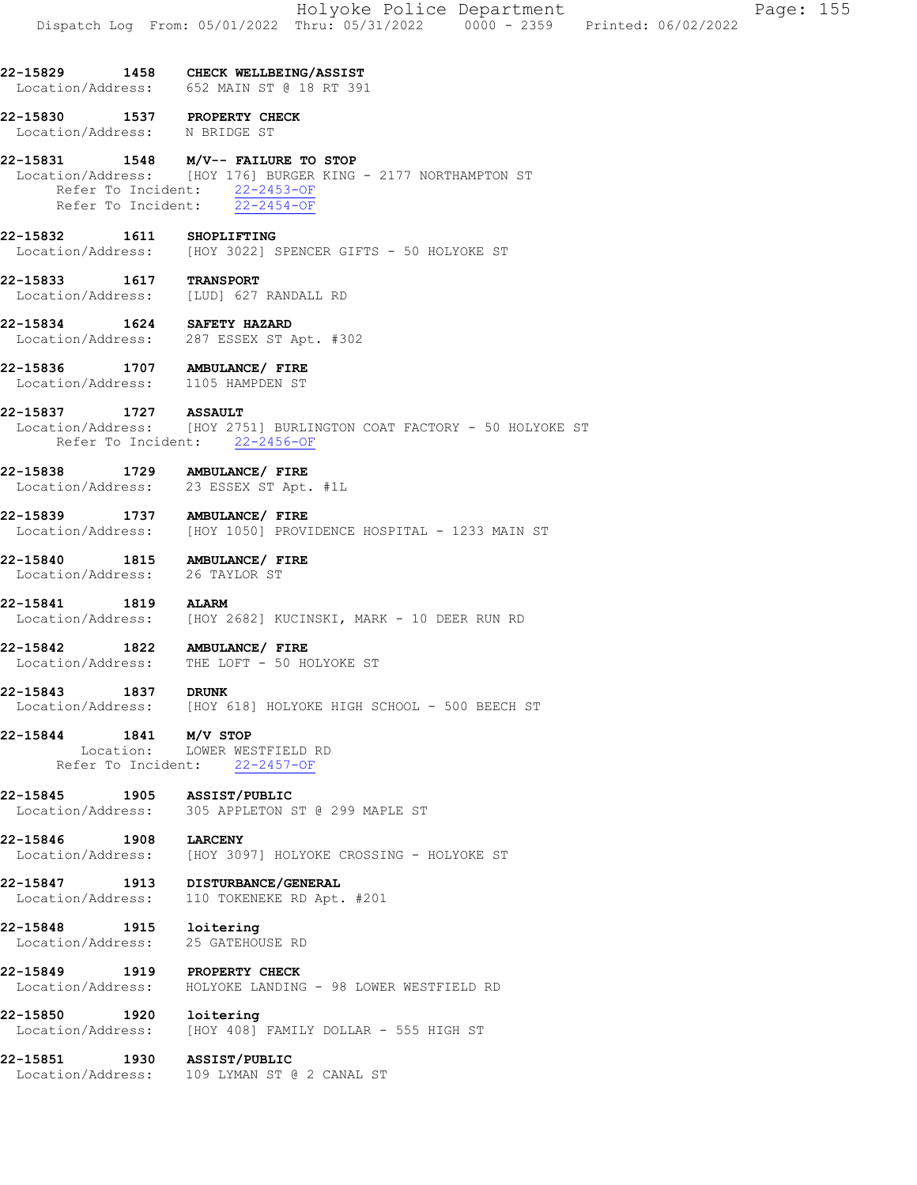#### 22-15829 1458 CHECK WELLBEING/ASSIST Location/Address: 652 MAIN ST @ 18 RT 391

- 
- 22-15830 1537 PROPERTY CHECK<br>Location/Address: N BRIDGE ST Location/Address:

#### 22-15831 1548 M/V-- FAILURE TO STOP

 Location/Address: [HOY 176] BURGER KING - 2177 NORTHAMPTON ST Refer To Incident:  $\frac{22-2453-0F}{22-2454-0F}$ Refer To Incident:

- 22-15832 1611 SHOPLIFTING<br>Location/Address: [HOY 3022] S [HOY 3022] SPENCER GIFTS - 50 HOLYOKE ST
- 22-15833 1617 TRANSPORT Location/Address: [LUD] 627 RANDALL RD

#### 22-15834 1624 SAFETY HAZARD Location/Address: 287 ESSEX ST Apt. #302

22-15836 1707 AMBULANCE/ FIRE Location/Address: 1105 HAMPDEN ST

# 22-15837 1727 ASSAULT<br>Location/Address: [HOY 275

[HOY 2751] BURLINGTON COAT FACTORY - 50 HOLYOKE ST<br>ent:  $22-2456-OF$ Refer To Incident:

- 22-15838 1729 AMBULANCE/ FIRE Location/Address: 23 ESSEX ST Apt. #1L
- 22-15839 1737 AMBULANCE/ FIRE Location/Address: [HOY 1050] PROVIDENCE HOSPITAL - 1233 MAIN ST

# 22-15840 1815 AMBULANCE/FIRE<br>Location/Address: 26 TAYLOR ST

- Location/Address:
- 22-15841 1819 ALARM Location/Address: [HOY 2682] KUCINSKI, MARK - 10 DEER RUN RD
- 22-15842 1822 AMBULANCE/ FIRE Location/Address: THE LOFT - 50 HOLYOKE ST

#### 22-15843 1837 DRUNK

Location/Address: [HOY 618] HOLYOKE HIGH SCHOOL - 500 BEECH ST

#### 22-15844 1841 M/V STOP

- Location: LOWER WESTFIELD RD Refer To Incident: 22-2457-OF
- 22-15845 1905 ASSIST/PUBLIC<br>Location/Address: 305 APPLETON S 305 APPLETON ST @ 299 MAPLE ST

### 22-15846 1908 LARCENY Location/Address: [HOY 3097] HOLYOKE CROSSING - HOLYOKE ST

#### 22-15847 1913 DISTURBANCE/GENERAL Location/Address: 110 TOKENEKE RD Apt. #201

- 22-15848 1915 loitering Location/Address: 25 GATEHOUSE RD
- 22-15849 1919 PROPERTY CHECK Location/Address: HOLYOKE LANDING - 98 LOWER WESTFIELD RD
- 22-15850 1920 loitering Location/Address: [HOY 408] FAMILY DOLLAR - 555 HIGH ST

#### 22-15851 1930 ASSIST/PUBLIC<br>Location/Address: 109 LYMAN ST ( Location/Address: 109 LYMAN ST @ 2 CANAL ST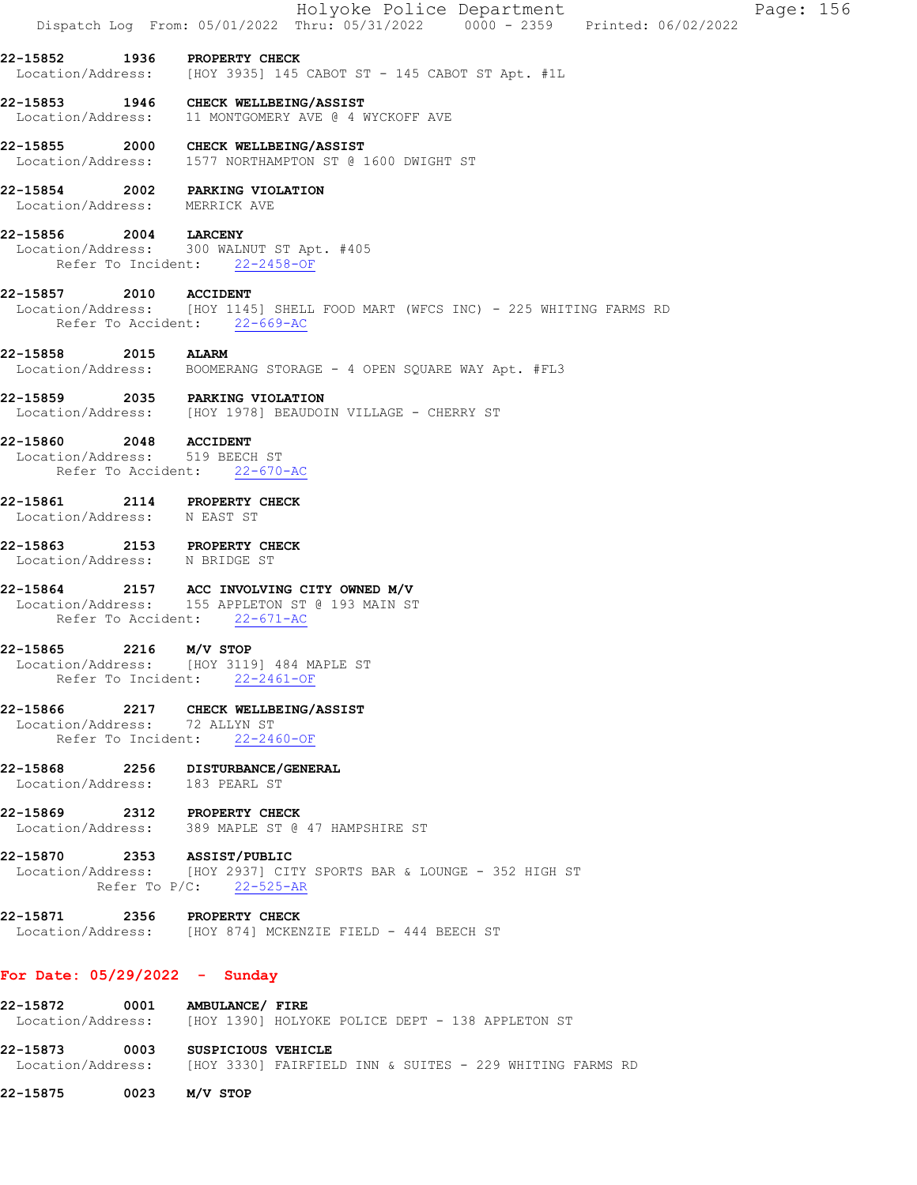|                                                                                                          |            |                                                |                                   | Holyoke Police Department<br>Dispatch Log From: 05/01/2022 Thru: 05/31/2022 0000 - 2359 Printed: 06/02/2022 |  | Page: 156 |  |
|----------------------------------------------------------------------------------------------------------|------------|------------------------------------------------|-----------------------------------|-------------------------------------------------------------------------------------------------------------|--|-----------|--|
| 22-15852<br>Location/Address: [HOY 3935] 145 CABOT ST - 145 CABOT ST Apt. #1L                            |            | 1936 PROPERTY CHECK                            |                                   |                                                                                                             |  |           |  |
| 22-15853 1946 CHECK WELLBEING/ASSIST<br>Location/Address: 11 MONTGOMERY AVE @ 4 WYCKOFF AVE              |            |                                                |                                   |                                                                                                             |  |           |  |
| 22-15855 2000 CHECK WELLBEING/ASSIST<br>Location/Address: 1577 NORTHAMPTON ST @ 1600 DWIGHT ST           |            |                                                |                                   |                                                                                                             |  |           |  |
| 22-15854 2002 PARKING VIOLATION<br>Location/Address: MERRICK AVE                                         |            |                                                |                                   |                                                                                                             |  |           |  |
| 22-15856 2004 LARCENY<br>Location/Address: 300 WALNUT ST Apt. #405                                       |            | Refer To Incident: 22-2458-OF                  |                                   |                                                                                                             |  |           |  |
| 22-15857 2010 ACCIDENT<br>Location/Address: [HOY 1145] SHELL FOOD MART (WFCS INC) - 225 WHITING FARMS RD |            | Refer To Accident: 22-669-AC                   |                                   |                                                                                                             |  |           |  |
| 22-15858<br>Location/Address: BOOMERANG STORAGE - 4 OPEN SQUARE WAY Apt. #FL3                            | 2015 ALARM |                                                |                                   |                                                                                                             |  |           |  |
| 22-15859 2035 PARKING VIOLATION<br>Location/Address: [HOY 1978] BEAUDOIN VILLAGE - CHERRY ST             |            |                                                |                                   |                                                                                                             |  |           |  |
| 22-15860 2048 ACCIDENT<br>Location/Address: 519 BEECH ST                                                 |            | Refer To Accident: 22-670-AC                   |                                   |                                                                                                             |  |           |  |
| 22-15861 2114 PROPERTY CHECK<br>Location/Address: N EAST ST                                              |            |                                                |                                   |                                                                                                             |  |           |  |
| 22-15863 2153 PROPERTY CHECK<br>Location/Address: N BRIDGE ST                                            |            |                                                |                                   |                                                                                                             |  |           |  |
| 22-15864<br>Location/Address: 155 APPLETON ST @ 193 MAIN ST                                              |            | Refer To Accident: 22-671-AC                   | 2157 ACC INVOLVING CITY OWNED M/V |                                                                                                             |  |           |  |
| 22-15865<br>Location/Address: [HOY 3119] 484 MAPLE ST                                                    |            | 2216 M/V STOP<br>Refer To Incident: 22-2461-OF |                                   |                                                                                                             |  |           |  |
| 22-15866 2217 CHECK WELLBEING/ASSIST<br>Location/Address: 72 ALLYN ST                                    |            | Refer To Incident: 22-2460-OF                  |                                   |                                                                                                             |  |           |  |
| 22-15868 2256 DISTURBANCE/GENERAL<br>Location/Address: 183 PEARL ST                                      |            |                                                |                                   |                                                                                                             |  |           |  |
| 22-15869 2312 PROPERTY CHECK<br>Location/Address: 389 MAPLE ST @ 47 HAMPSHIRE ST                         |            |                                                |                                   |                                                                                                             |  |           |  |
| 22-15870 2353 ASSIST/PUBLIC                                                                              |            | Refer To P/C: 22-525-AR                        |                                   | Location/Address: [HOY 2937] CITY SPORTS BAR & LOUNGE - 352 HIGH ST                                         |  |           |  |
| 22-15871 2356 PROPERTY CHECK<br>Location/Address: [HOY 874] MCKENZIE FIELD - 444 BEECH ST                |            |                                                |                                   |                                                                                                             |  |           |  |
| For Date: $05/29/2022 -$ Sunday                                                                          |            |                                                |                                   |                                                                                                             |  |           |  |
| 22-15872<br>Location/Address: [HOY 1390] HOLYOKE POLICE DEPT - 138 APPLETON ST                           |            | 0001 AMBULANCE/ FIRE                           |                                   |                                                                                                             |  |           |  |
| 22-15873 0003 SUSPICIOUS VEHICLE                                                                         |            |                                                |                                   | Location/Address: [HOY 3330] FAIRFIELD INN & SUITES - 229 WHITING FARMS RD                                  |  |           |  |

22-15875 0023 M/V STOP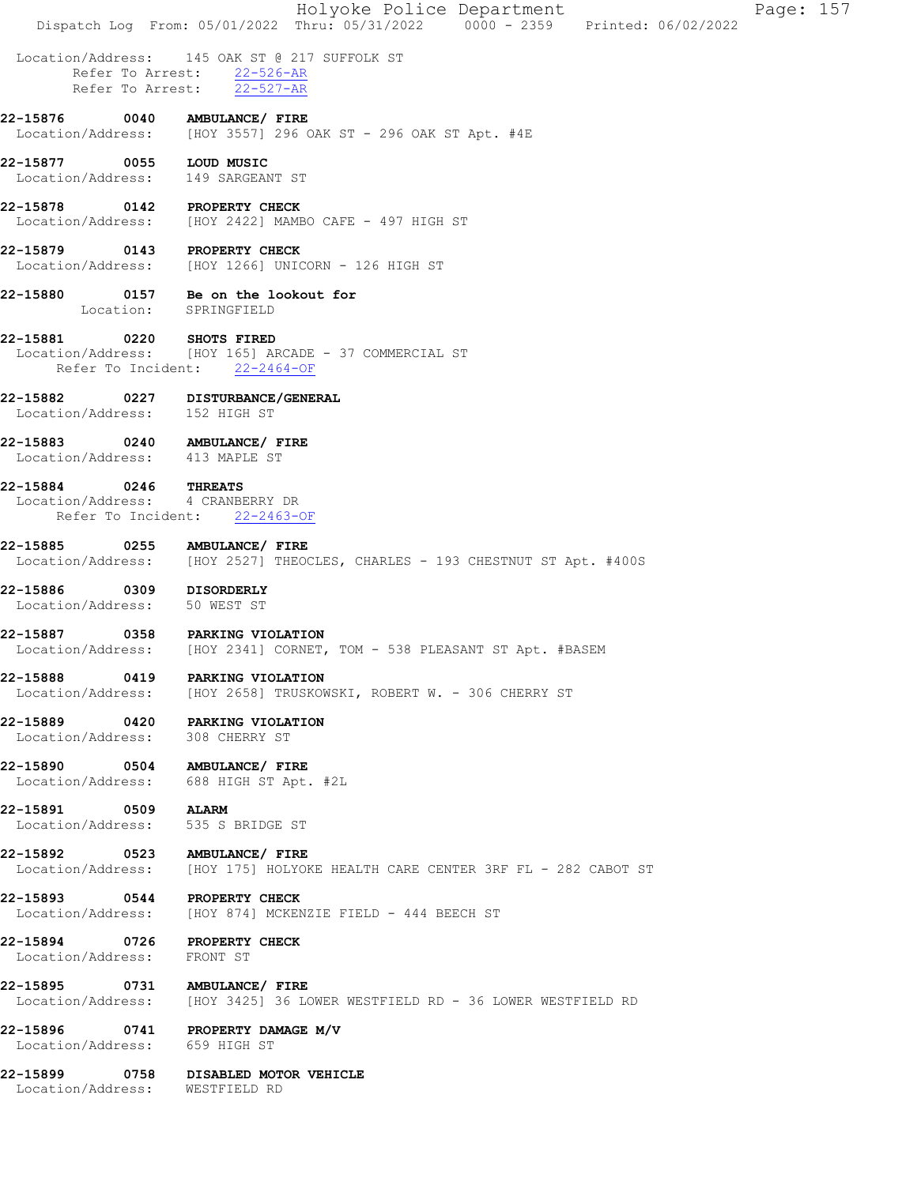|                                                            | Dispatch Log From: 05/01/2022 Thru: 05/31/2022 0000 - 2359 Printed: 06/02/2022                                |
|------------------------------------------------------------|---------------------------------------------------------------------------------------------------------------|
|                                                            | Location/Address: 145 OAK ST @ 217 SUFFOLK ST<br>Refer To Arrest: 22-526-AR<br>Refer To Arrest: $22-527-AR$   |
|                                                            | 22-15876 0040 AMBULANCE/ FIRE<br>Location/Address: [HOY 3557] 296 OAK ST - 296 OAK ST Apt. #4E                |
| 22-15877 0055 LOUD MUSIC                                   | Location/Address: 149 SARGEANT ST                                                                             |
| 22-15878 0142 PROPERTY CHECK                               | Location/Address: [HOY 2422] MAMBO CAFE - 497 HIGH ST                                                         |
| 22-15879 0143 PROPERTY CHECK                               | Location/Address: [HOY 1266] UNICORN - 126 HIGH ST                                                            |
|                                                            | 22-15880 0157 Be on the lookout for<br>Location: SPRINGFIELD                                                  |
| 22-15881 0220 SHOTS FIRED                                  | Location/Address: [HOY 165] ARCADE - 37 COMMERCIAL ST<br>Refer To Incident: 22-2464-OF                        |
|                                                            | 22-15882 0227 DISTURBANCE/GENERAL<br>Location/Address: 152 HIGH ST                                            |
| Location/Address: 413 MAPLE ST                             | 22-15883 0240 AMBULANCE/ FIRE                                                                                 |
| 22-15884 0246 THREATS<br>Location/Address: 4 CRANBERRY DR  | Refer To Incident: 22-2463-OF                                                                                 |
|                                                            | 22-15885 0255 AMBULANCE/ FIRE<br>Location/Address: [HOY 2527] THEOCLES, CHARLES - 193 CHESTNUT ST Apt. #400S  |
| 22-15886 0309 DISORDERLY<br>Location/Address: 50 WEST ST   |                                                                                                               |
|                                                            | 22-15887 0358 PARKING VIOLATION<br>Location/Address: [HOY 2341] CORNET, TOM - 538 PLEASANT ST Apt. #BASEM     |
| 22-15888                                                   | 0419 PARKING VIOLATION<br>Location/Address: [HOY 2658] TRUSKOWSKI, ROBERT W. - 306 CHERRY ST                  |
| 22-15889 0420<br>Location/Address: 308 CHERRY ST           | <b>PARKING VIOLATION</b>                                                                                      |
|                                                            | 22-15890 0504 AMBULANCE/ FIRE<br>Location/Address: 688 HIGH ST Apt. #2L                                       |
| 22-15891 0509                                              | <b>ALARM</b><br>Location/Address: 535 S BRIDGE ST                                                             |
|                                                            | 22-15892 0523 AMBULANCE/ FIRE<br>Location/Address: [HOY 175] HOLYOKE HEALTH CARE CENTER 3RF FL - 282 CABOT ST |
| 22-15893 0544 PROPERTY CHECK                               | Location/Address: [HOY 874] MCKENZIE FIELD - 444 BEECH ST                                                     |
| 22-15894 0726 PROPERTY CHECK<br>Location/Address: FRONT ST |                                                                                                               |
|                                                            | 22-15895 0731 AMBULANCE/ FIRE<br>Location/Address: [HOY 3425] 36 LOWER WESTFIELD RD - 36 LOWER WESTFIELD RD   |
| Location/Address: 659 HIGH ST                              | 22-15896 0741 PROPERTY DAMAGE M/V                                                                             |
| 0758<br>22-15899                                           | DISABLED MOTOR VEHICLE                                                                                        |

Location/Address: WESTFIELD RD

Holyoke Police Department Fage: 157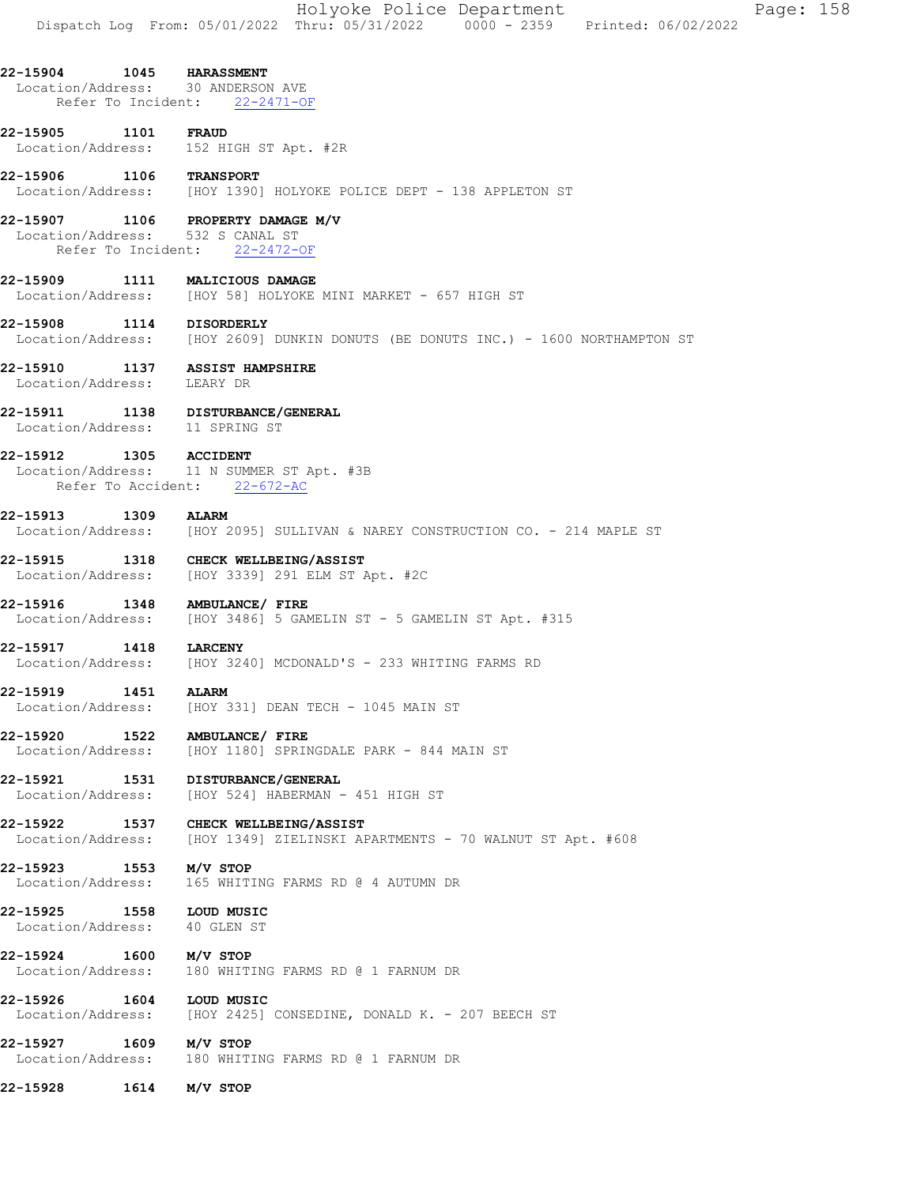|                                                          |      | Holyoke Police Department<br>Page: 158<br>Dispatch Log From: 05/01/2022 Thru: 05/31/2022 0000 - 2359 Printed: 06/02/2022 |
|----------------------------------------------------------|------|--------------------------------------------------------------------------------------------------------------------------|
| 22-15904                                                 |      | <b>1045 HARASSMENT</b><br>Location/Address: 30 ANDERSON AVE<br>Refer To Incident: 22-2471-OF                             |
| 22-15905                                                 | 1101 | <b>FRAUD</b><br>Location/Address: 152 HIGH ST Apt. #2R                                                                   |
| 22-15906 1106 TRANSPORT                                  |      | Location/Address: [HOY 1390] HOLYOKE POLICE DEPT - 138 APPLETON ST                                                       |
| Location/Address: 532 S CANAL ST                         |      | 22-15907 1106 PROPERTY DAMAGE M/V<br>Refer To Incident: 22-2472-OF                                                       |
| 22-15909                                                 |      | 1111 MALICIOUS DAMAGE<br>Location/Address: [HOY 58] HOLYOKE MINI MARKET - 657 HIGH ST                                    |
|                                                          |      | 22-15908 1114 DISORDERLY<br>Location/Address: [HOY 2609] DUNKIN DONUTS (BE DONUTS INC.) - 1600 NORTHAMPTON ST            |
| Location/Address: LEARY DR                               |      | 22-15910 1137 ASSIST HAMPSHIRE                                                                                           |
| Location/Address: 11 SPRING ST                           |      | 22-15911 1138 DISTURBANCE/GENERAL                                                                                        |
| 22-15912 1305 ACCIDENT                                   |      | Location/Address: 11 N SUMMER ST Apt. #3B<br>Refer To Accident: 22-672-AC                                                |
| 22-15913                                                 | 1309 | <b>ALARM</b><br>Location/Address: [HOY 2095] SULLIVAN & NAREY CONSTRUCTION CO. - 214 MAPLE ST                            |
|                                                          |      | 22-15915 1318 CHECK WELLBEING/ASSIST<br>Location/Address: [HOY 3339] 291 ELM ST Apt. #2C                                 |
| 22-15916                                                 |      | 1348 AMBULANCE/ FIRE<br>Location/Address: [HOY 3486] 5 GAMELIN ST - 5 GAMELIN ST Apt. #315                               |
| 22-15917                                                 | 1418 | <b>LARCENY</b><br>Location/Address: [HOY 3240] MCDONALD'S - 233 WHITING FARMS RD                                         |
| 22-15919 1451                                            |      | <b>ALARM</b><br>Location/Address: [HOY 331] DEAN TECH - 1045 MAIN ST                                                     |
| 22-15920 1522<br>Location/Address:                       |      | AMBULANCE/ FIRE<br>[HOY 1180] SPRINGDALE PARK - 844 MAIN ST                                                              |
| 22-15921 1531<br>Location/Address:                       |      | <b>DISTURBANCE/GENERAL</b><br>[HOY 524] HABERMAN - 451 HIGH ST                                                           |
| 22-15922 1537<br>Location/Address:                       |      | <b>CHECK WELLBEING/ASSIST</b><br>[HOY 1349] ZIELINSKI APARTMENTS - 70 WALNUT ST Apt. #608                                |
| 22-15923 1553 M/V STOP                                   |      | Location/Address: 165 WHITING FARMS RD @ 4 AUTUMN DR                                                                     |
| 22-15925 1558 LOUD MUSIC<br>Location/Address: 40 GLEN ST |      |                                                                                                                          |
| 22-15924 1600 M/V STOP<br>Location/Address:              |      | 180 WHITING FARMS RD @ 1 FARNUM DR                                                                                       |
| 22-15926 1604                                            |      | LOUD MUSIC<br>Location/Address: [HOY 2425] CONSEDINE, DONALD K. - 207 BEECH ST                                           |
| 22-15927 1609                                            |      | M/V STOP<br>Location/Address: 180 WHITING FARMS RD @ 1 FARNUM DR                                                         |
| 22-15928                                                 | 1614 | M/V STOP                                                                                                                 |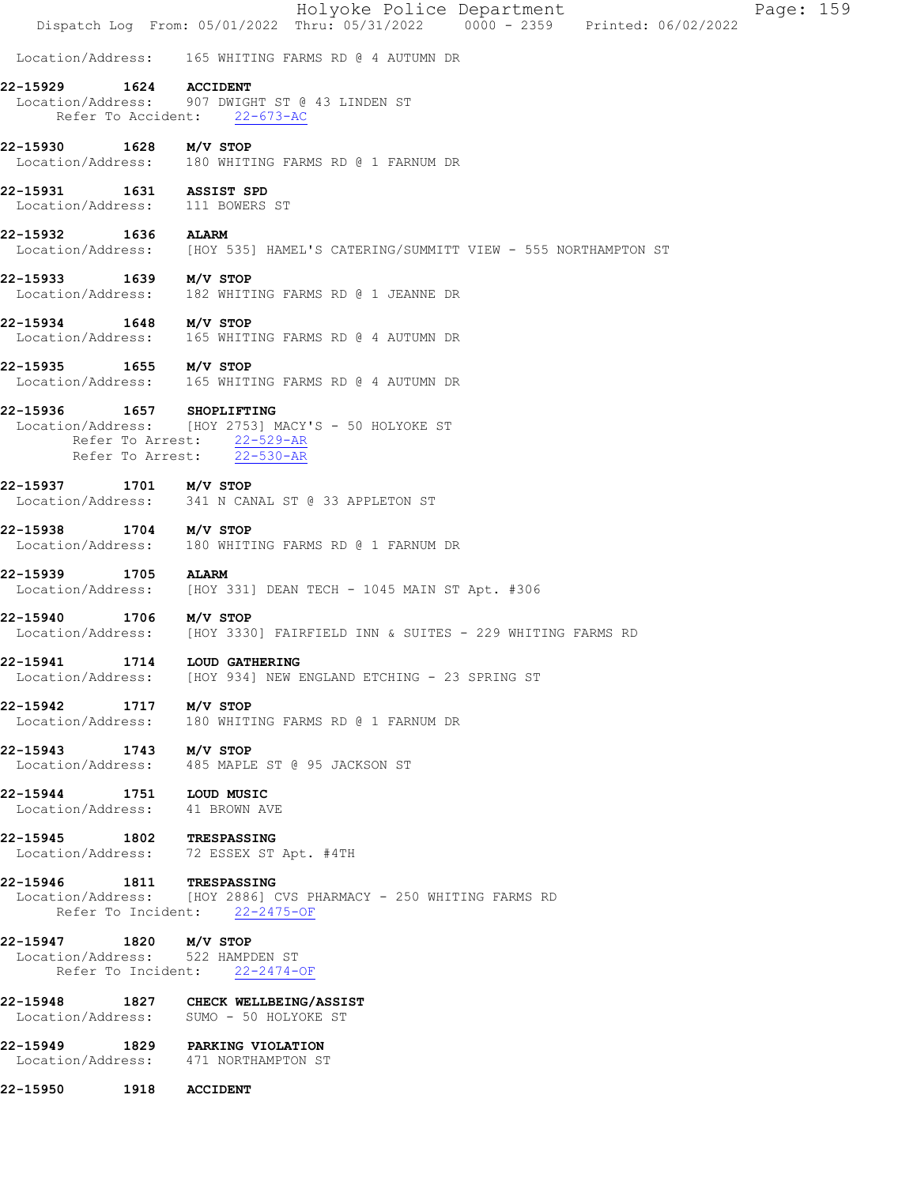|                                                            |      |                                                                                                                     | Holyoke Police Department | Dispatch Log From: 05/01/2022 Thru: 05/31/2022 0000 - 2359 Printed: 06/02/2022 | Page: 159 |  |
|------------------------------------------------------------|------|---------------------------------------------------------------------------------------------------------------------|---------------------------|--------------------------------------------------------------------------------|-----------|--|
|                                                            |      | Location/Address: 165 WHITING FARMS RD @ 4 AUTUMN DR                                                                |                           |                                                                                |           |  |
| 22-15929                                                   | 1624 | <b>ACCIDENT</b><br>Location/Address: 907 DWIGHT ST @ 43 LINDEN ST<br>Refer To Accident: 22-673-AC                   |                           |                                                                                |           |  |
| 22-15930                                                   | 1628 | M/V STOP<br>Location/Address: 180 WHITING FARMS RD @ 1 FARNUM DR                                                    |                           |                                                                                |           |  |
| 22-15931<br>Location/Address: 111 BOWERS ST                | 1631 | ASSIST SPD                                                                                                          |                           |                                                                                |           |  |
| 22-15932<br>1636                                           |      | <b>ALARM</b><br>Location/Address: [HOY 535] HAMEL'S CATERING/SUMMITT VIEW - 555 NORTHAMPTON ST                      |                           |                                                                                |           |  |
| 22-15933<br>Location/Address:                              | 1639 | M/V STOP<br>182 WHITING FARMS RD @ 1 JEANNE DR                                                                      |                           |                                                                                |           |  |
| 22-15934 1648                                              |      | M/V STOP<br>Location/Address: 165 WHITING FARMS RD @ 4 AUTUMN DR                                                    |                           |                                                                                |           |  |
| 22-15935                                                   |      | $1655$ $M/V$ STOP<br>Location/Address: 165 WHITING FARMS RD @ 4 AUTUMN DR                                           |                           |                                                                                |           |  |
| 22-15936<br>Location/Address:                              | 1657 | <b>SHOPLIFTING</b><br>[HOY 2753] MACY'S - 50 HOLYOKE ST<br>Refer To Arrest: 22-529-AR<br>Refer To Arrest: 22-530-AR |                           |                                                                                |           |  |
| 22-15937                                                   |      | $1701$ $M/V$ STOP<br>Location/Address: 341 N CANAL ST @ 33 APPLETON ST                                              |                           |                                                                                |           |  |
| 22-15938                                                   | 1704 | M/V STOP<br>Location/Address: 180 WHITING FARMS RD @ 1 FARNUM DR                                                    |                           |                                                                                |           |  |
| 22-15939                                                   | 1705 | <b>ALARM</b><br>Location/Address: [HOY 331] DEAN TECH - 1045 MAIN ST Apt. #306                                      |                           |                                                                                |           |  |
| 22-15940<br>Location/Address:                              | 1706 | M/V STOP<br>[HOY 3330] FAIRFIELD INN & SUITES - 229 WHITING FARMS RD                                                |                           |                                                                                |           |  |
| 22-15941                                                   | 1714 | <b>LOUD GATHERING</b><br>Location/Address: [HOY 934] NEW ENGLAND ETCHING - 23 SPRING ST                             |                           |                                                                                |           |  |
| 22-15942 1717 M/V STOP                                     |      | Location/Address: 180 WHITING FARMS RD @ 1 FARNUM DR                                                                |                           |                                                                                |           |  |
| 22-15943 1743 M/V STOP                                     |      | Location/Address: 485 MAPLE ST @ 95 JACKSON ST                                                                      |                           |                                                                                |           |  |
| 22-15944 1751 LOUD MUSIC<br>Location/Address: 41 BROWN AVE |      |                                                                                                                     |                           |                                                                                |           |  |
| 22-15945 1802 TRESPASSING                                  |      | Location/Address: 72 ESSEX ST Apt. #4TH                                                                             |                           |                                                                                |           |  |
| 22-15946 1811 TRESPASSING                                  |      | Location/Address: [HOY 2886] CVS PHARMACY - 250 WHITING FARMS RD<br>Refer To Incident: 22-2475-OF                   |                           |                                                                                |           |  |
| 22-15947 1820 M/V STOP<br>Location/Address: 522 HAMPDEN ST |      | Refer To Incident: 22-2474-OF                                                                                       |                           |                                                                                |           |  |
|                                                            |      | 22-15948 1827 CHECK WELLBEING/ASSIST<br>Location/Address: SUMO - 50 HOLYOKE ST                                      |                           |                                                                                |           |  |
|                                                            |      | 22-15949 1829 PARKING VIOLATION<br>Location/Address: 471 NORTHAMPTON ST                                             |                           |                                                                                |           |  |
| 22-15950 1918 ACCIDENT                                     |      |                                                                                                                     |                           |                                                                                |           |  |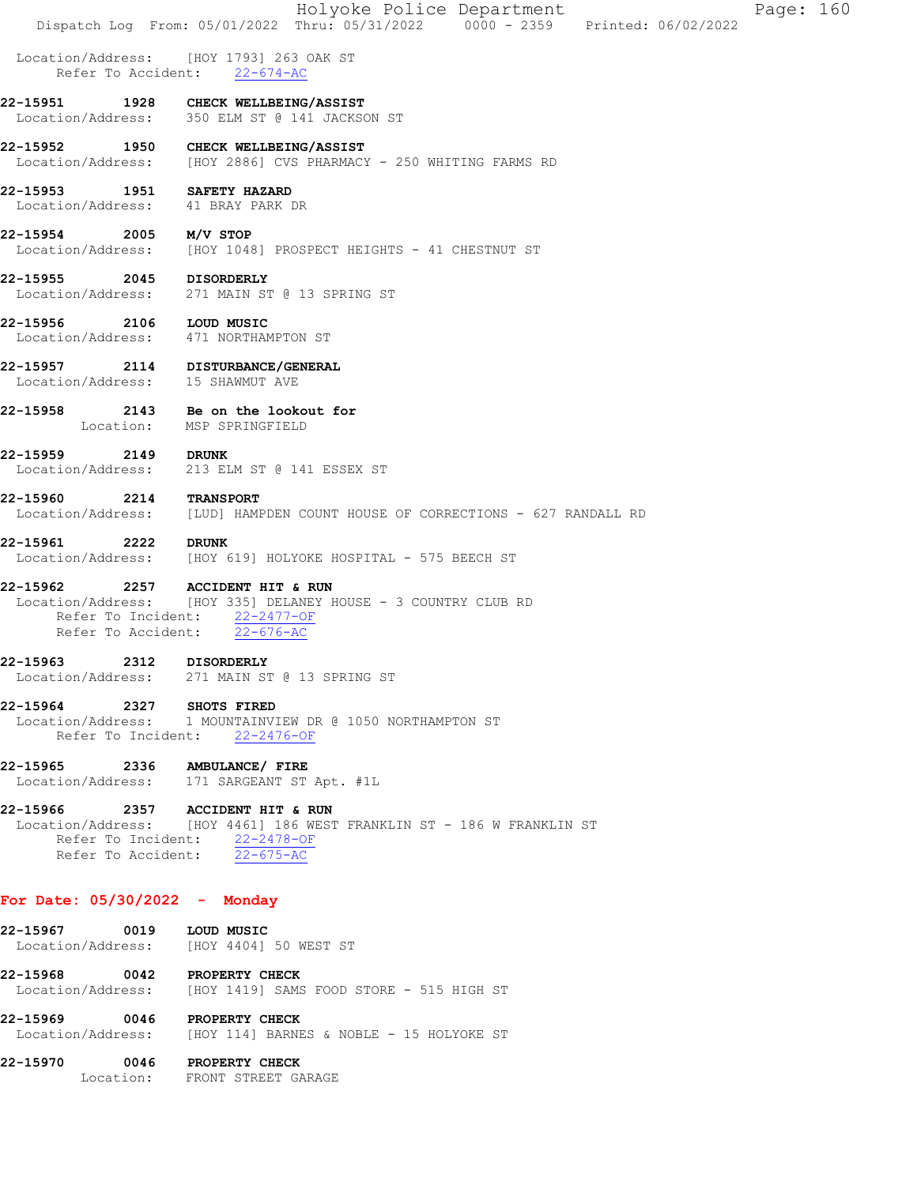|                                                                       | Page: 160<br>Holyoke Police Department<br>Dispatch Log From: 05/01/2022 Thru: 05/31/2022   0000 - 2359   Printed: 06/02/2022                                      |
|-----------------------------------------------------------------------|-------------------------------------------------------------------------------------------------------------------------------------------------------------------|
|                                                                       | Location/Address: [HOY 1793] 263 OAK ST<br>Refer To Accident: 22-674-AC                                                                                           |
|                                                                       | 22-15951 1928 CHECK WELLBEING/ASSIST<br>Location/Address: 350 ELM ST @ 141 JACKSON ST                                                                             |
|                                                                       | 22-15952 1950 CHECK WELLBEING/ASSIST<br>Location/Address: [HOY 2886] CVS PHARMACY - 250 WHITING FARMS RD                                                          |
| 22-15953 1951 SAFETY HAZARD<br>Location/Address: 41 BRAY PARK DR      |                                                                                                                                                                   |
| 22-15954 2005 M/V STOP                                                | Location/Address: [HOY 1048] PROSPECT HEIGHTS - 41 CHESTNUT ST                                                                                                    |
| 22-15955 2045 DISORDERLY                                              | Location/Address: 271 MAIN ST @ 13 SPRING ST                                                                                                                      |
| 22-15956 2106 LOUD MUSIC<br>Location/Address: 471 NORTHAMPTON ST      |                                                                                                                                                                   |
| 22-15957 2114 DISTURBANCE/GENERAL<br>Location/Address: 15 SHAWMUT AVE |                                                                                                                                                                   |
|                                                                       | 22-15958 2143 Be on the lookout for<br>Location: MSP SPRINGFIELD                                                                                                  |
| 22-15959 2149 DRUNK                                                   | Location/Address: 213 ELM ST @ 141 ESSEX ST                                                                                                                       |
| 22-15960 2214 TRANSPORT                                               | Location/Address: [LUD] HAMPDEN COUNT HOUSE OF CORRECTIONS - 627 RANDALL RD                                                                                       |
| 22-15961 2222 DRUNK                                                   | Location/Address: [HOY 619] HOLYOKE HOSPITAL - 575 BEECH ST                                                                                                       |
| 22-15962 2257 ACCIDENT HIT & RUN<br>Refer To Accident: 22-676-AC      | Location/Address: [HOY 335] DELANEY HOUSE - 3 COUNTRY CLUB RD<br>Refer To Incident: 22-2477-OF                                                                    |
| 22-15963 2312 DISORDERLY                                              | Location/Address: 271 MAIN ST @ 13 SPRING ST                                                                                                                      |
| 22-15964 2327 SHOTS FIRED                                             | Location/Address: 1 MOUNTAINVIEW DR @ 1050 NORTHAMPTON ST<br>Refer To Incident: 22-2476-OF                                                                        |
| 22-15965<br>2336                                                      | AMBULANCE/ FIRE<br>Location/Address: 171 SARGEANT ST Apt. #1L                                                                                                     |
| 22-15966                                                              | 2357 ACCIDENT HIT & RUN<br>Location/Address: [HOY 4461] 186 WEST FRANKLIN ST - 186 W FRANKLIN ST<br>Refer To Incident: 22-2478-OF<br>Refer To Accident: 22-675-AC |
| For Date: 05/30/2022 - Monday                                         |                                                                                                                                                                   |

- 22-15967 0019 LOUD MUSIC Location/Address: [HOY 4404] 50 WEST ST
- 22-15968 0042 PROPERTY CHECK Location/Address: [HOY 1419] SAMS FOOD STORE - 515 HIGH ST
- 22-15969 0046 PROPERTY CHECK Location/Address: [HOY 114] BARNES & NOBLE - 15 HOLYOKE ST
- 22-15970 0046 PROPERTY CHECK Location: FRONT STREET GARAGE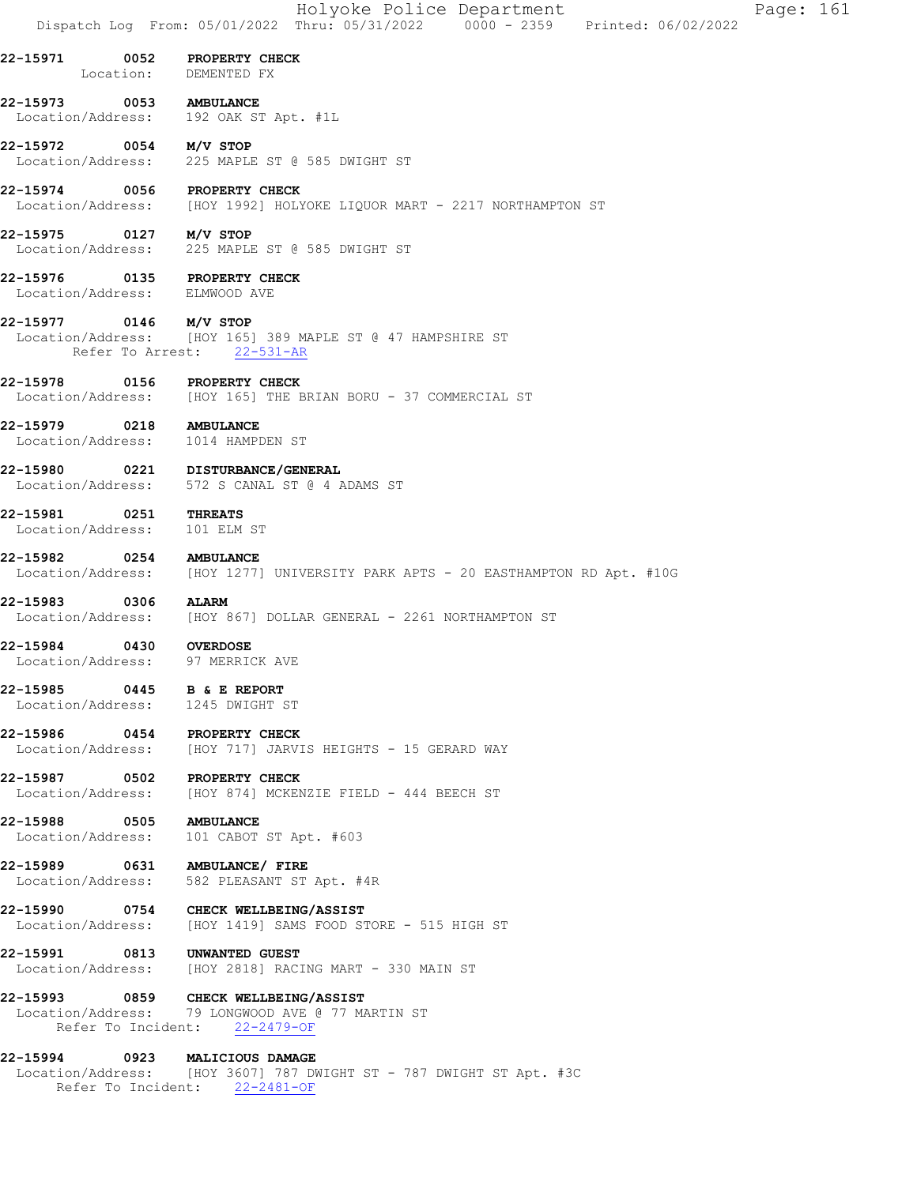|                                                                  | Holyoke Police Department<br>Dispatch Log From: 05/01/2022 Thru: 05/31/2022 0000 - 2359 Printed: 06/02/2022<br>Page: 161  |
|------------------------------------------------------------------|---------------------------------------------------------------------------------------------------------------------------|
| 22-15971 0052 PROPERTY CHECK<br>Location: DEMENTED FX            |                                                                                                                           |
| 22-15973 0053 AMBULANCE<br>Location/Address: 192 OAK ST Apt. #1L |                                                                                                                           |
| 22-15972 0054 M/V STOP                                           | Location/Address: 225 MAPLE ST @ 585 DWIGHT ST                                                                            |
| 22-15974 0056 PROPERTY CHECK                                     | Location/Address: [HOY 1992] HOLYOKE LIQUOR MART - 2217 NORTHAMPTON ST                                                    |
|                                                                  | 22-15975 0127 M/V STOP<br>Location/Address: 225 MAPLE ST @ 585 DWIGHT ST                                                  |
| 22-15976 0135 PROPERTY CHECK<br>Location/Address: ELMWOOD AVE    |                                                                                                                           |
| 22-15977 0146 M/V STOP                                           | Location/Address: [HOY 165] 389 MAPLE ST @ 47 HAMPSHIRE ST<br>Refer To Arrest: 22-531-AR                                  |
| 22-15978 0156 PROPERTY CHECK                                     | Location/Address: [HOY 165] THE BRIAN BORU - 37 COMMERCIAL ST                                                             |
| 22-15979 0218 AMBULANCE<br>Location/Address: 1014 HAMPDEN ST     |                                                                                                                           |
| 22-15980 0221 DISTURBANCE/GENERAL                                | Location/Address: 572 S CANAL ST @ 4 ADAMS ST                                                                             |
| 22-15981<br>0251 THREATS<br>Location/Address: 101 ELM ST         |                                                                                                                           |
| 22-15982 0254 AMBULANCE                                          | Location/Address: [HOY 1277] UNIVERSITY PARK APTS - 20 EASTHAMPTON RD Apt. #10G                                           |
| 22-15983<br>0306 ALARM                                           | Location/Address: [HOY 867] DOLLAR GENERAL - 2261 NORTHAMPTON ST                                                          |
| 22-15984 0430 OVERDOSE<br>Location/Address: 97 MERRICK AVE       |                                                                                                                           |
| 22-15985 0445 B & E REPORT<br>Location/Address: 1245 DWIGHT ST   |                                                                                                                           |
| 22-15986 0454 PROPERTY CHECK                                     | Location/Address: [HOY 717] JARVIS HEIGHTS - 15 GERARD WAY                                                                |
| 22-15987 0502 PROPERTY CHECK                                     | Location/Address: [HOY 874] MCKENZIE FIELD - 444 BEECH ST                                                                 |
| 22-15988 0505 AMBULANCE<br>Location/Address:                     | 101 CABOT ST Apt. #603                                                                                                    |
| 22-15989 0631 AMBULANCE/ FIRE<br>Location/Address:               | 582 PLEASANT ST Apt. #4R                                                                                                  |
| Location/Address:                                                | 22-15990 0754 CHECK WELLBEING/ASSIST<br>[HOY 1419] SAMS FOOD STORE - 515 HIGH ST                                          |
| 22-15991                                                         | 0813 UNWANTED GUEST<br>Location/Address: [HOY 2818] RACING MART - 330 MAIN ST                                             |
|                                                                  | 22-15993 0859 CHECK WELLBEING/ASSIST<br>Location/Address: 79 LONGWOOD AVE @ 77 MARTIN ST<br>Refer To Incident: 22-2479-OF |
| 22-15994 0923 MALICIOUS DAMAGE                                   | Location/Address: [HOY 3607] 787 DWIGHT ST - 787 DWIGHT ST Apt. #3C<br>Refer To Incident: 22-2481-OF                      |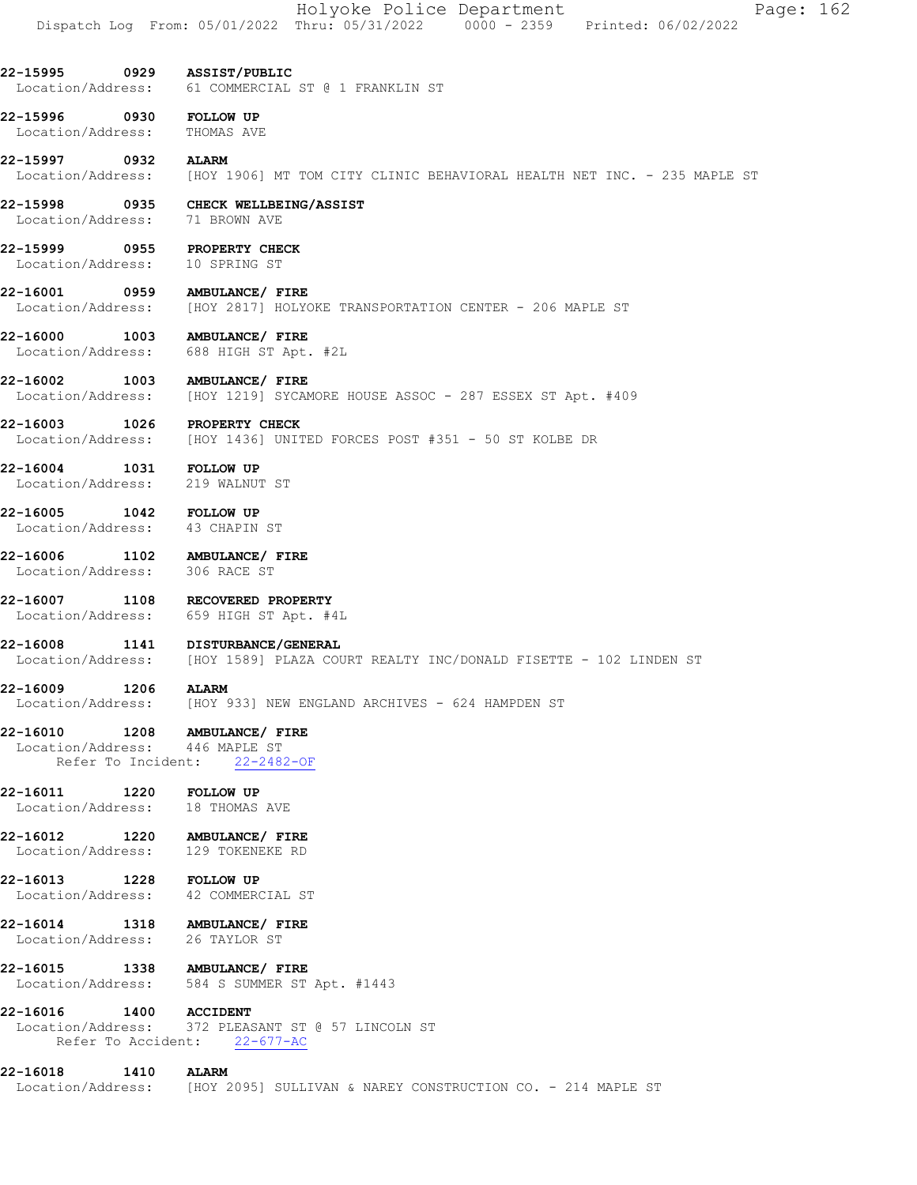|                                                                 |      | Holyoke Police Department<br>Page: 162<br>Dispatch Log From: 05/01/2022 Thru: 05/31/2022 0000 - 2359 Printed: 06/02/2022 |
|-----------------------------------------------------------------|------|--------------------------------------------------------------------------------------------------------------------------|
| 22-15995 0929 ASSIST/PUBLIC                                     |      | Location/Address: 61 COMMERCIAL ST @ 1 FRANKLIN ST                                                                       |
| 22-15996 0930<br>Location/Address: THOMAS AVE                   |      | FOLLOW UP                                                                                                                |
| 22-15997 0932 ALARM                                             |      | Location/Address: [HOY 1906] MT TOM CITY CLINIC BEHAVIORAL HEALTH NET INC. - 235 MAPLE ST                                |
| Location/Address: 71 BROWN AVE                                  |      | 22-15998 0935 CHECK WELLBEING/ASSIST                                                                                     |
| 22-15999 0955 PROPERTY CHECK<br>Location/Address: 10 SPRING ST  |      |                                                                                                                          |
| 22-16001 0959 AMBULANCE/ FIRE<br>Location/Address:              |      | [HOY 2817] HOLYOKE TRANSPORTATION CENTER - 206 MAPLE ST                                                                  |
| 22-16000<br>Location/Address:                                   | 1003 | AMBULANCE/ FIRE<br>688 HIGH ST Apt. #2L                                                                                  |
| 22-16002 1003 AMBULANCE/ FIRE                                   |      | Location/Address: [HOY 1219] SYCAMORE HOUSE ASSOC - 287 ESSEX ST Apt. #409                                               |
| 22-16003                                                        |      | 1026 PROPERTY CHECK<br>Location/Address: [HOY 1436] UNITED FORCES POST #351 - 50 ST KOLBE DR                             |
| 22-16004 1031 FOLLOW UP<br>Location/Address: 219 WALNUT ST      |      |                                                                                                                          |
| 22-16005<br>Location/Address: 43 CHAPIN ST                      |      | 1042 FOLLOW UP                                                                                                           |
| 22-16006 1102 AMBULANCE/ FIRE<br>Location/Address: 306 RACE ST  |      |                                                                                                                          |
|                                                                 |      | 22-16007 1108 RECOVERED PROPERTY<br>Location/Address: 659 HIGH ST Apt. #4L                                               |
| 22-16008                                                        |      | 1141 DISTURBANCE/GENERAL<br>Location/Address: [HOY 1589] PLAZA COURT REALTY INC/DONALD FISETTE - 102 LINDEN ST           |
| 22-16009 1206 ALARM                                             |      | Location/Address: [HOY 933] NEW ENGLAND ARCHIVES - 624 HAMPDEN ST                                                        |
| 22-16010 1208 AMBULANCE/ FIRE<br>Location/Address: 446 MAPLE ST |      | Refer To Incident: 22-2482-OF                                                                                            |
| 22-16011 1220 FOLLOW UP<br>Location/Address: 18 THOMAS AVE      |      |                                                                                                                          |
|                                                                 |      | 22-16012 1220 AMBULANCE/FIRE<br>Location/Address: 129 TOKENEKE RD                                                        |
| 22-16013 1228 FOLLOW UP                                         |      | Location/Address: 42 COMMERCIAL ST                                                                                       |
| 22-16014 1318 AMBULANCE/ FIRE<br>Location/Address: 26 TAYLOR ST |      |                                                                                                                          |
| 22-16015 1338 AMBULANCE/ FIRE                                   |      | Location/Address: 584 S SUMMER ST Apt. #1443                                                                             |
| 22-16016 1400 ACCIDENT                                          |      | Location/Address: 372 PLEASANT ST @ 57 LINCOLN ST<br>Refer To Accident: 22-677-AC                                        |
| 22-16018 1410 ALARM                                             |      | Location/Address: [HOY 2095] SULLIVAN & NAREY CONSTRUCTION CO. - 214 MAPLE ST                                            |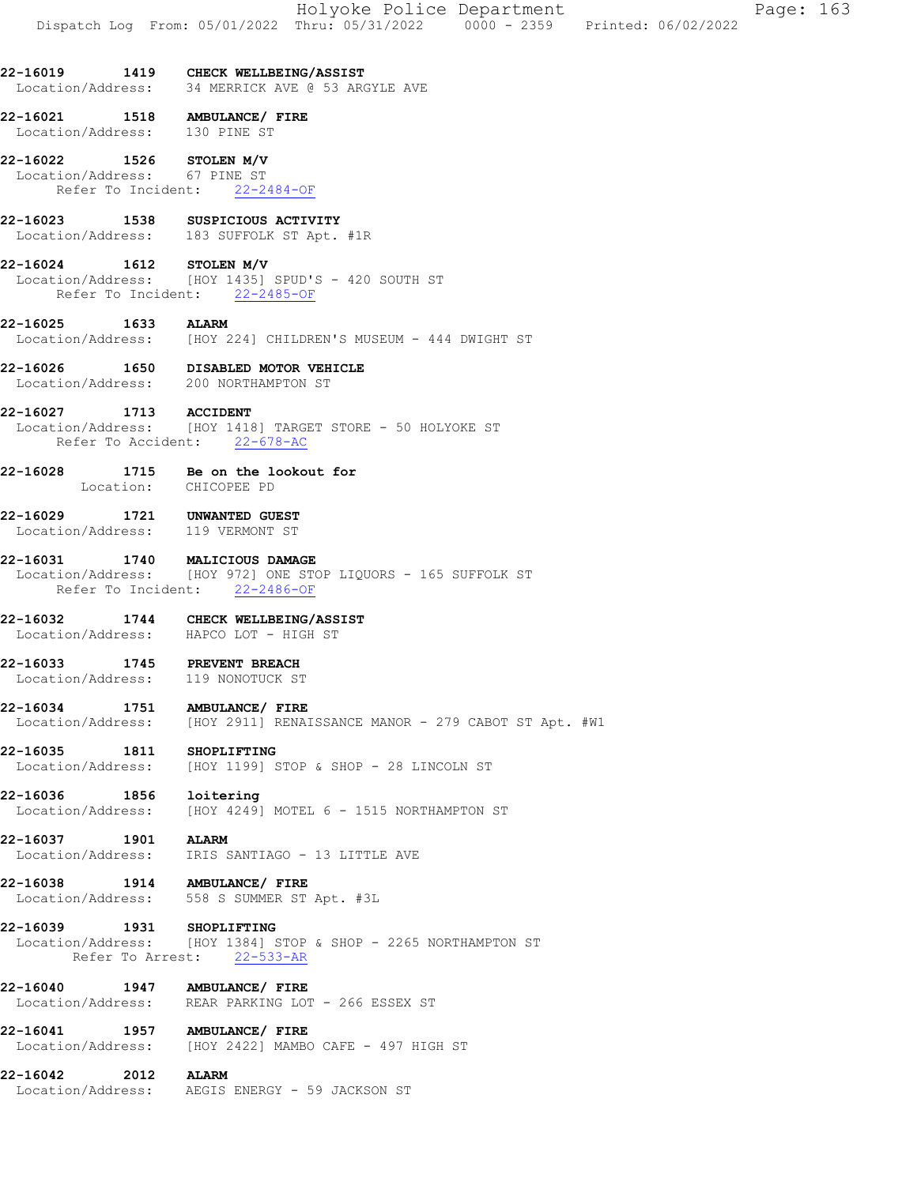22-16021 1518 AMBULANCE/ FIRE Location/Address: 130 PINE ST

#### 22-16022 1526 STOLEN M/V

 Location/Address: 67 PINE ST Refer To Incident: 22-2484-OF

- 22-16023 1538 SUSPICIOUS ACTIVITY Location/Address: 183 SUFFOLK ST Apt. #1R
- 22-16024 1612 STOLEN M/V Location/Address: [HOY 1435] SPUD'S - 420 SOUTH ST Refer To Incident: 22-2485-OF
- 22-16025 1633 ALARM Location/Address: [HOY 224] CHILDREN'S MUSEUM - 444 DWIGHT ST
- 22-16026 1650 DISABLED MOTOR VEHICLE Location/Address: 200 NORTHAMPTON ST
- 22-16027 1713 ACCIDENT<br>Location/Address: [HOY 1418
- $[HOY 1418]$  TARGET STORE 50 HOLYOKE ST<br>
ent: 22-678-AC Refer To Accident:
- 22-16028 1715 Be on the lookout for Location: CHICOPEE PD
- 22-16029 1721 UNWANTED GUEST Location/Address: 119 VERMONT ST

#### 22-16031 1740 MALICIOUS DAMAGE

Location/Address: [HOY 972] ONE STOP LIQUORS - 165 SUFFOLK ST Refer To Incident: 22-2486-OF

## 22-16032 1744 CHECK WELLBEING/ASSIST

Location/Address: HAPCO LOT - HIGH ST

- 22-16033 1745 PREVENT BREACH Location/Address: 119 NONOTUCK ST
- 

#### 22-16034 1751 AMBULANCE/ FIRE

Location/Address: [HOY 2911] RENAISSANCE MANOR - 279 CABOT ST Apt. #W1

#### 22-16035 1811 SHOPLIFTING

Location/Address: [HOY 1199] STOP & SHOP - 28 LINCOLN ST

22-16036 1856 loitering Location/Address: [HOY 4249] MOTEL 6 - 1515 NORTHAMPTON ST

# 22-16037 1901 ALARM

Location/Address: IRIS SANTIAGO - 13 LITTLE AVE

#### 22-16038 1914 AMBULANCE/ FIRE Location/Address: 558 S SUMMER ST Apt. #3L

#### 22-16039 1931 SHOPLIFTING

- Location/Address: [HOY 1384] STOP & SHOP 2265 NORTHAMPTON ST Refer To Arrest: 22-533-AR
- 22-16040 1947 AMBULANCE/ FIRE Location/Address: REAR PARKING LOT - 266 ESSEX ST
- 22-16041 1957 AMBULANCE/ FIRE Location/Address: [HOY 2422] MAMBO CAFE - 497 HIGH ST

#### 22-16042 2012 ALARM<br>Location/Address: AEGIS AEGIS ENERGY - 59 JACKSON ST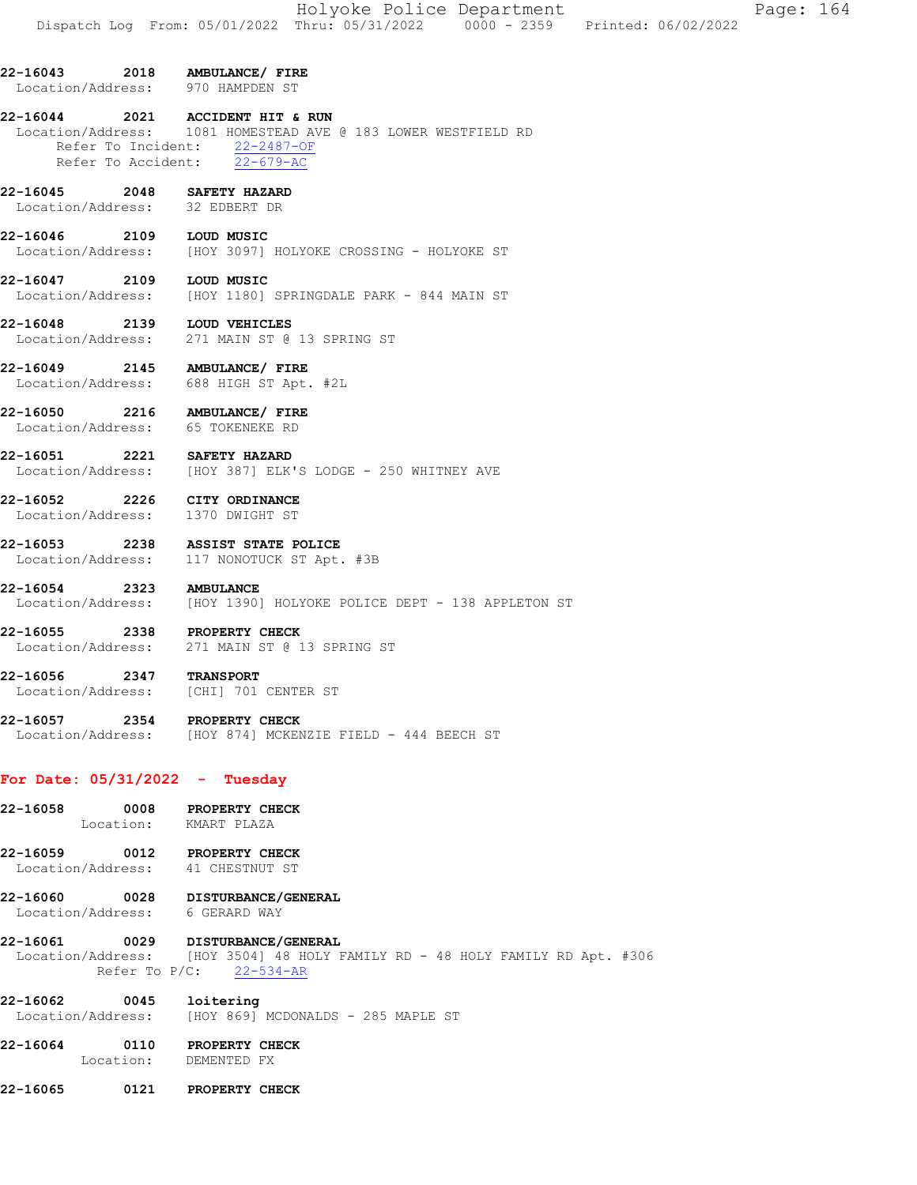22-16043 2018 AMBULANCE/ FIRE Location/Address: 970 HAMPDEN ST

#### 22-16044 2021 ACCIDENT HIT & RUN Location/Address: 1081 HOMESTEAD AVE @ 183 LOWER WESTFIELD RD Refer To Incident: 22-2487-OF Refer To Accident: 22-679-AC

22-16045 2048 SAFETY HAZARD Location/Address: 32 EDBERT DR

- **22-16046 2109 LOUD MUSIC**<br>
Location/Address: [HOY 3097] [HOY 3097] HOLYOKE CROSSING - HOLYOKE ST
- 22-16047 2109 LOUD MUSIC Location/Address: [HOY 1180] SPRINGDALE PARK - 844 MAIN ST
- 22-16048 2139 LOUD VEHICLES Location/Address: 271 MAIN ST @ 13 SPRING ST
- 22-16049 2145 AMBULANCE/ FIRE Location/Address: 688 HIGH ST Apt. #2L
- 22-16050 2216 AMBULANCE/FIRE<br>Location/Address: 65 TOKENEKE RD Location/Address:
- 22-16051 2221 SAFETY HAZARD Location/Address: [HOY 387] ELK'S LODGE - 250 WHITNEY AVE
- 22-16052 2226 CITY ORDINANCE Location/Address: 1370 DWIGHT ST
- 22-16053 2238 ASSIST STATE POLICE Location/Address: 117 NONOTUCK ST Apt. #3B
- 22-16054 2323 AMBULANCE Location/Address: [HOY 1390] HOLYOKE POLICE DEPT - 138 APPLETON ST
- 22-16055 2338 PROPERTY CHECK<br>Location/Address: 271 MAIN ST @ 1 271 MAIN ST @ 13 SPRING ST
- 22-16056 2347 TRANSPORT Location/Address: [CHI] 701 CENTER ST
- 22-16057 2354 PROPERTY CHECK Location/Address: [HOY 874] MCKENZIE FIELD - 444 BEECH ST

#### For Date: 05/31/2022 - Tuesday

- 22-16058 0008 PROPERTY CHECK Location: KMART PLAZA
- 22-16059 0012 PROPERTY CHECK Location/Address: 41 CHESTNUT ST
- 22-16060 0028 DISTURBANCE/GENERAL Location/Address: 6 GERARD WAY

#### 22-16061 0029 DISTURBANCE/GENERAL

- Location/Address: [HOY 3504] 48 HOLY FAMILY RD 48 HOLY FAMILY RD Apt. #306 Refer To P/C: 22-534-AR
- 22-16062 0045 loitering<br>
Location/Address: [HOY 869] [HOY 869] MCDONALDS - 285 MAPLE ST
- 22-16064 0110 PROPERTY CHECK Location: DEMENTED FX
- 22-16065 0121 PROPERTY CHECK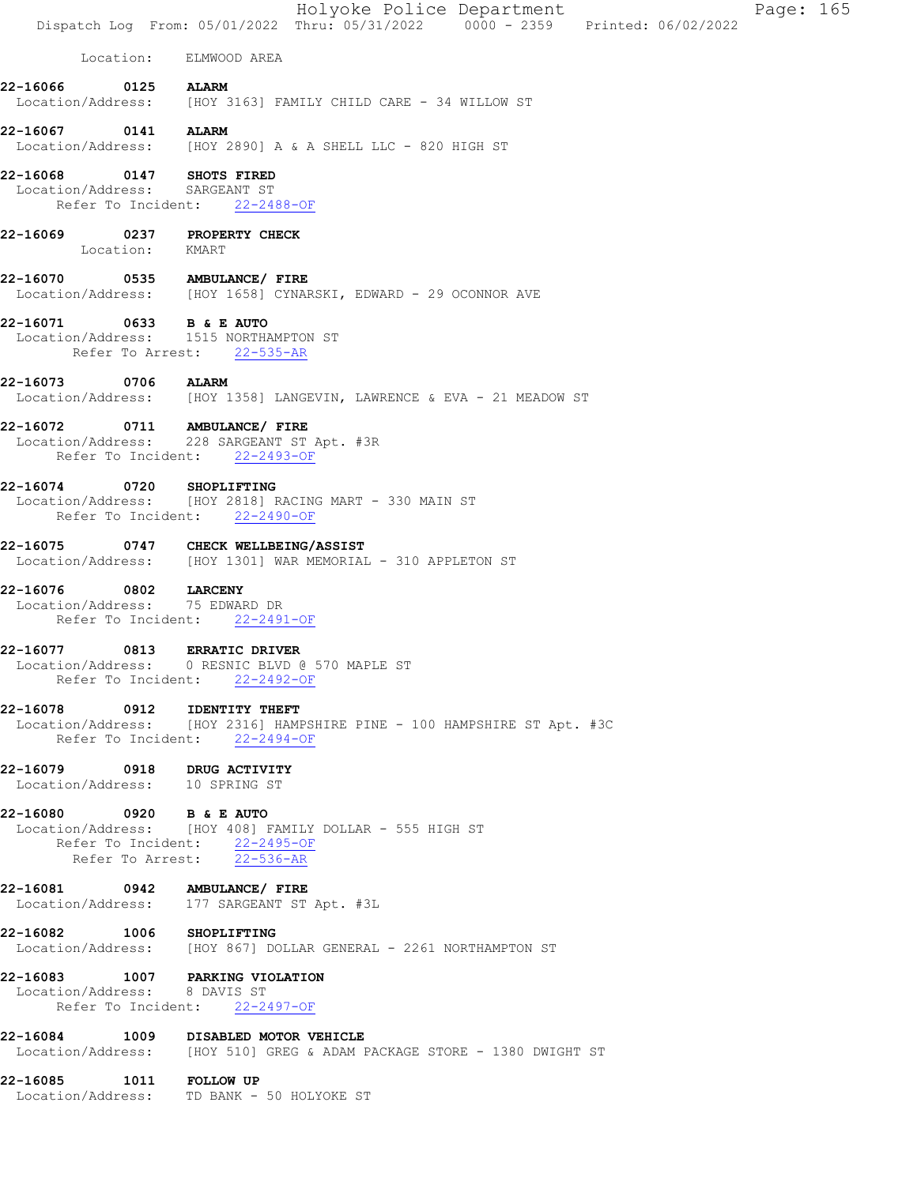|                                                                   | Holyoke Police Department<br>Page: 165<br>Dispatch Log From: 05/01/2022 Thru: 05/31/2022 0000 - 2359 Printed: 06/02/2022 |
|-------------------------------------------------------------------|--------------------------------------------------------------------------------------------------------------------------|
| Location: ELMWOOD AREA                                            |                                                                                                                          |
| 22-16066 0125 ALARM                                               | Location/Address: [HOY 3163] FAMILY CHILD CARE - 34 WILLOW ST                                                            |
| 22-16067 0141 ALARM                                               | Location/Address: [HOY 2890] A & A SHELL LLC - 820 HIGH ST                                                               |
| 22-16068 0147 SHOTS FIRED<br>Location/Address: SARGEANT ST        | Refer To Incident: 22-2488-OF                                                                                            |
| 22-16069 0237 PROPERTY CHECK<br>Location: KMART                   |                                                                                                                          |
|                                                                   | 22-16070 0535 AMBULANCE/FIRE<br>Location/Address: [HOY 1658] CYNARSKI, EDWARD - 29 OCONNOR AVE                           |
| 22-16071 0633 B & E AUTO<br>Location/Address: 1515 NORTHAMPTON ST | Refer To Arrest: 22-535-AR                                                                                               |
| 22-16073 0706 ALARM                                               | Location/Address: [HOY 1358] LANGEVIN, LAWRENCE & EVA - 21 MEADOW ST                                                     |
| 22-16072 0711 AMBULANCE/ FIRE                                     | Location/Address: 228 SARGEANT ST Apt. #3R<br>Refer To Incident: 22-2493-OF                                              |
|                                                                   | 22-16074 0720 SHOPLIFTING<br>Location/Address: [HOY 2818] RACING MART - 330 MAIN ST<br>Refer To Incident: 22-2490-OF     |
| 22-16075                                                          | 0747 CHECK WELLBEING/ASSIST<br>Location/Address: [HOY 1301] WAR MEMORIAL - 310 APPLETON ST                               |
| 22-16076 0802 LARCENY<br>Location/Address: 75 EDWARD DR           | Refer To Incident: 22-2491-OF                                                                                            |
| 22-16077 0813 ERRATIC DRIVER                                      | Location/Address: 0 RESNIC BLVD @ 570 MAPLE ST<br>Refer To Incident: 22-2492-OF                                          |
| 22-16078 0912 IDENTITY THEFT                                      | Location/Address: [HOY 2316] HAMPSHIRE PINE - 100 HAMPSHIRE ST Apt. #3C<br>Refer To Incident: 22-2494-OF                 |
| 22-16079 0918 DRUG ACTIVITY<br>Location/Address: 10 SPRING ST     |                                                                                                                          |
| 22-16080 0920 B & E AUTO                                          | Location/Address: [HOY 408] FAMILY DOLLAR - 555 HIGH ST<br>Refer To Incident: 22-2495-OF<br>Refer To Arrest: 22-536-AR   |
| 22-16081 0942 AMBULANCE/ FIRE                                     | Location/Address: 177 SARGEANT ST Apt. #3L                                                                               |
| 22-16082 1006 SHOPLIFTING                                         | Location/Address: [HOY 867] DOLLAR GENERAL - 2261 NORTHAMPTON ST                                                         |
| 22-16083 1007 PARKING VIOLATION<br>Location/Address: 8 DAVIS ST   | Refer To Incident: 22-2497-OF                                                                                            |
|                                                                   | 22-16084 1009 DISABLED MOTOR VEHICLE<br>Location/Address: [HOY 510] GREG & ADAM PACKAGE STORE - 1380 DWIGHT ST           |
| 22-16085 1011 FOLLOW UP                                           | Location/Address: TD BANK - 50 HOLYOKE ST                                                                                |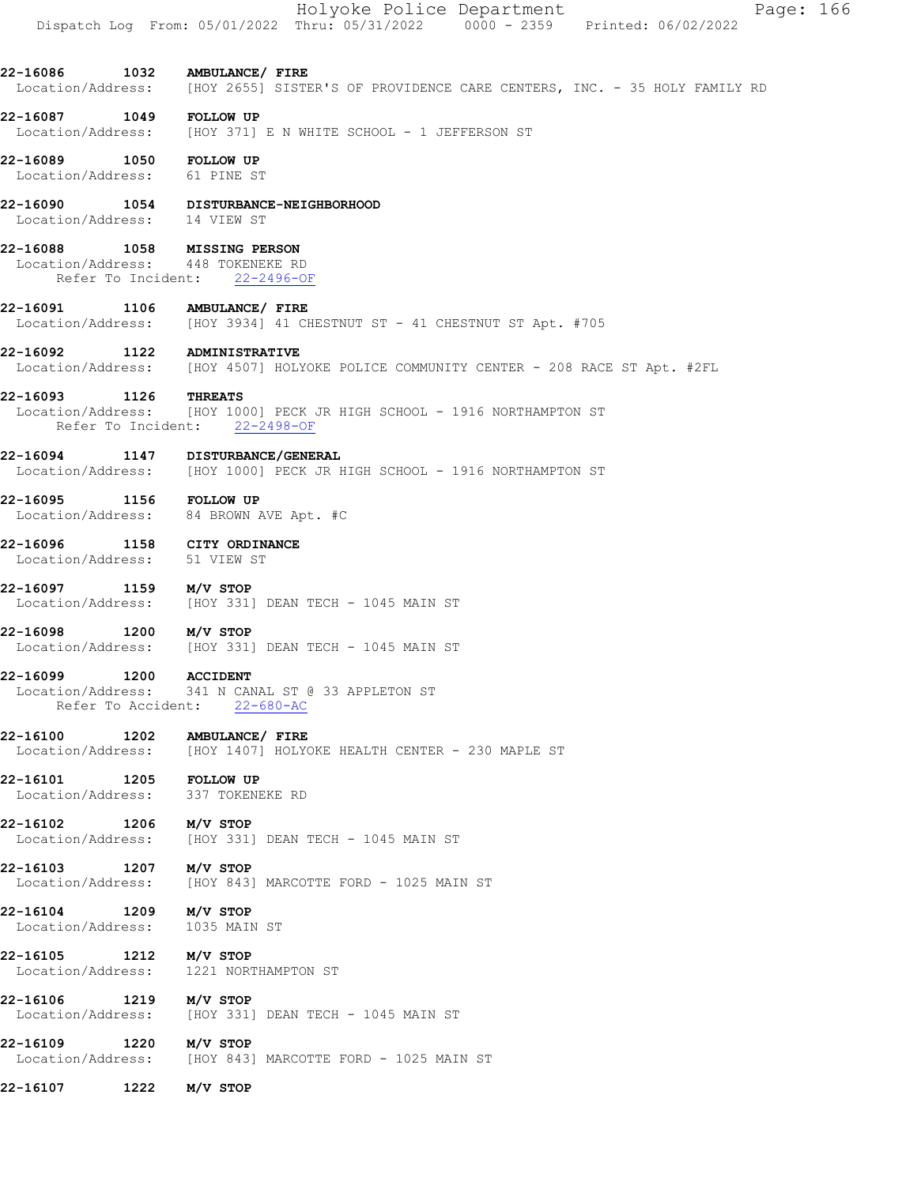|                                                              |      | Holyoke Police Department<br>Page: 166<br>Dispatch Log From: 05/01/2022 Thru: 05/31/2022 0000 - 2359 Printed: 06/02/2022         |
|--------------------------------------------------------------|------|----------------------------------------------------------------------------------------------------------------------------------|
|                                                              |      | 22-16086 1032 AMBULANCE/ FIRE<br>Location/Address: [HOY 2655] SISTER'S OF PROVIDENCE CARE CENTERS, INC. - 35 HOLY FAMILY RD      |
| 22-16087 1049 FOLLOW UP                                      |      | Location/Address: [HOY 371] E N WHITE SCHOOL - 1 JEFFERSON ST                                                                    |
| 22-16089 1050 FOLLOW UP<br>Location/Address: 61 PINE ST      |      |                                                                                                                                  |
| Location/Address: 14 VIEW ST                                 |      | 22-16090 1054 DISTURBANCE-NEIGHBORHOOD                                                                                           |
| 22-16088 1058 MISSING PERSON                                 |      | Location/Address: 448 TOKENEKE RD<br>Refer To Incident: 22-2496-OF                                                               |
|                                                              |      | 22-16091 1106 AMBULANCE/ FIRE<br>Location/Address: [HOY 3934] 41 CHESTNUT ST - 41 CHESTNUT ST Apt. #705                          |
| 22-16092 1122 ADMINISTRATIVE                                 |      | Location/Address: [HOY 4507] HOLYOKE POLICE COMMUNITY CENTER - 208 RACE ST Apt. #2FL                                             |
|                                                              |      | 22-16093 1126 THREATS<br>Location/Address: [HOY 1000] PECK JR HIGH SCHOOL - 1916 NORTHAMPTON ST<br>Refer To Incident: 22-2498-OF |
|                                                              |      | 22-16094 1147 DISTURBANCE/GENERAL<br>Location/Address: [HOY 1000] PECK JR HIGH SCHOOL - 1916 NORTHAMPTON ST                      |
| 22-16095 1156 FOLLOW UP                                      |      | Location/Address: 84 BROWN AVE Apt. #C                                                                                           |
| 22-16096 1158 CITY ORDINANCE<br>Location/Address: 51 VIEW ST |      |                                                                                                                                  |
| 22-16097 1159 M/V STOP                                       |      | Location/Address: [HOY 331] DEAN TECH - 1045 MAIN ST                                                                             |
| 22-16098 1200 M/V STOP                                       |      | Location/Address: [HOY 331] DEAN TECH - 1045 MAIN ST                                                                             |
| 22-16099                                                     | 1200 | <b>ACCIDENT</b><br>Location/Address: 341 N CANAL ST @ 33 APPLETON ST<br>Refer To Accident: 22-680-AC                             |
|                                                              |      | 22-16100 1202 AMBULANCE/ FIRE<br>Location/Address: [HOY 1407] HOLYOKE HEALTH CENTER - 230 MAPLE ST                               |
| 22-16101 1205 FOLLOW UP                                      |      | Location/Address: 337 TOKENEKE RD                                                                                                |
| 22-16102 1206 M/V STOP                                       |      | Location/Address: [HOY 331] DEAN TECH - 1045 MAIN ST                                                                             |
| 22-16103<br>Location/Address:                                |      | $1207$ $M/V$ STOP<br>[HOY 843] MARCOTTE FORD - 1025 MAIN ST                                                                      |
| 22-16104 1209 M/V STOP<br>Location/Address:                  |      | 1035 MAIN ST                                                                                                                     |
| 22-16105<br>Location/Address:                                |      | $1212$ $M/V$ STOP<br>1221 NORTHAMPTON ST                                                                                         |
| 22-16106 1219<br>Location/Address:                           |      | M/V STOP<br>[HOY 331] DEAN TECH - 1045 MAIN ST                                                                                   |
| 22-16109<br>1220                                             |      | M/V STOP<br>Location/Address: [HOY 843] MARCOTTE FORD - 1025 MAIN ST                                                             |
| 22-16107                                                     | 1222 | M/V STOP                                                                                                                         |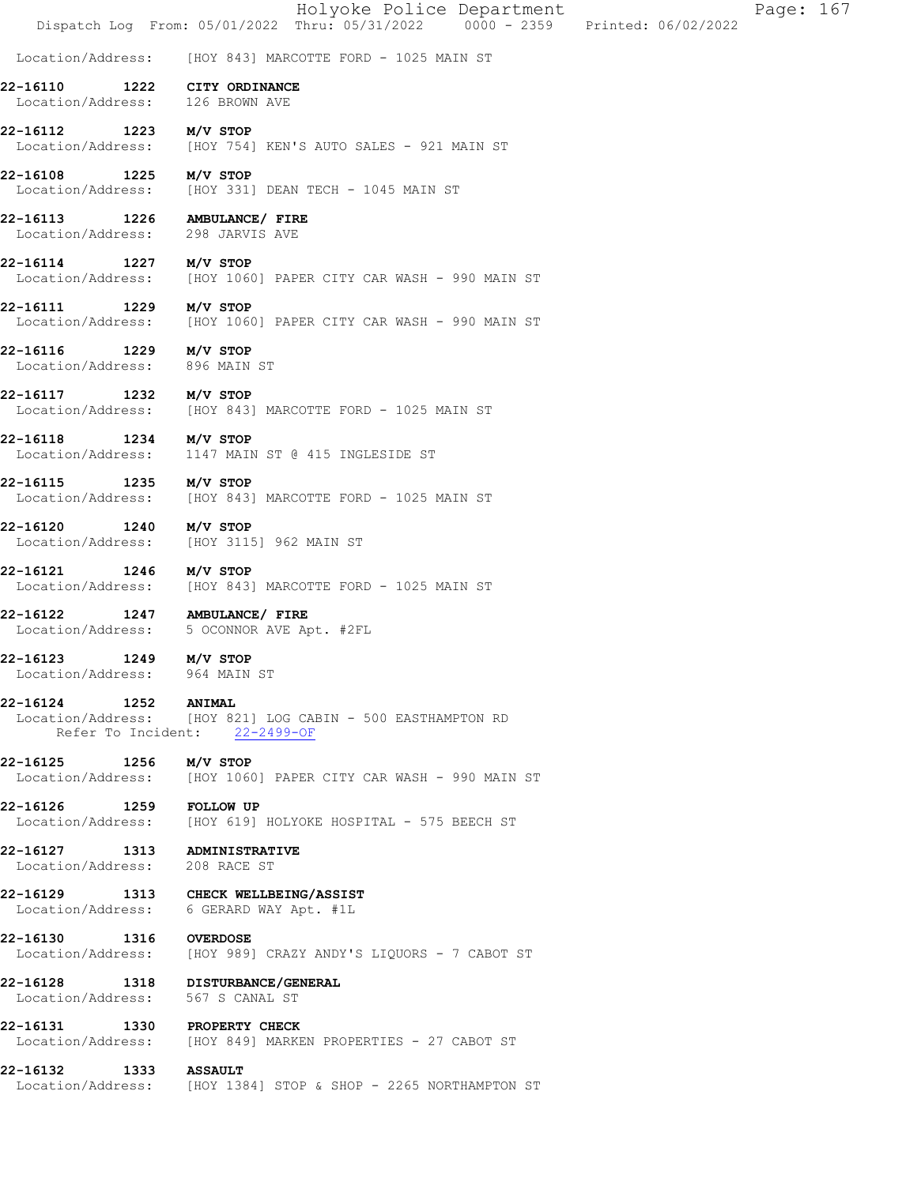|                                                               |                                                                                 | Holyoke Police Department<br>Dispatch Log From: 05/01/2022 Thru: 05/31/2022 0000 - 2359 Printed: 06/02/2022 |  | Page: 167 |  |
|---------------------------------------------------------------|---------------------------------------------------------------------------------|-------------------------------------------------------------------------------------------------------------|--|-----------|--|
|                                                               |                                                                                 | Location/Address: [HOY 843] MARCOTTE FORD - 1025 MAIN ST                                                    |  |           |  |
| 22-16110<br>Location/Address:                                 | 1222 CITY ORDINANCE<br>126 BROWN AVE                                            |                                                                                                             |  |           |  |
| 22-16112 1223 M/V STOP<br>Location/Address:                   |                                                                                 | [HOY 754] KEN'S AUTO SALES - 921 MAIN ST                                                                    |  |           |  |
| 22-16108<br>1225                                              | M/V STOP                                                                        | Location/Address: [HOY 331] DEAN TECH - 1045 MAIN ST                                                        |  |           |  |
| Location/Address:                                             | 22-16113 1226 AMBULANCE/ FIRE<br>298 JARVIS AVE                                 |                                                                                                             |  |           |  |
| 22-16114 1227 M/V STOP                                        |                                                                                 | Location/Address: [HOY 1060] PAPER CITY CAR WASH - 990 MAIN ST                                              |  |           |  |
| 22-16111 1229<br>Location/Address:                            | M/V STOP                                                                        | [HOY 1060] PAPER CITY CAR WASH - 990 MAIN ST                                                                |  |           |  |
| 22-16116 1229 M/V STOP<br>Location/Address:                   | 896 MAIN ST                                                                     |                                                                                                             |  |           |  |
| 22-16117                                                      | 1232 M/V STOP                                                                   | Location/Address: [HOY 843] MARCOTTE FORD - 1025 MAIN ST                                                    |  |           |  |
| 22-16118  1234  M/V STOP<br>Location/Address:                 |                                                                                 | 1147 MAIN ST @ 415 INGLESIDE ST                                                                             |  |           |  |
| 22-16115                                                      | $1235$ $M/V$ STOP                                                               | Location/Address: [HOY 843] MARCOTTE FORD - 1025 MAIN ST                                                    |  |           |  |
| 22-16120 1240 M/V STOP<br>Location/Address:                   | [HOY 3115] 962 MAIN ST                                                          |                                                                                                             |  |           |  |
| 22-16121<br>1246<br>Location/Address:                         | M/V STOP                                                                        | [HOY 843] MARCOTTE FORD - 1025 MAIN ST                                                                      |  |           |  |
|                                                               | 22-16122 1247 AMBULANCE/ FIRE<br>Location/Address: 5 OCONNOR AVE Apt. #2FL      |                                                                                                             |  |           |  |
| 22-16123<br>1249<br>Location/Address: 964 MAIN ST             | M/V STOP                                                                        |                                                                                                             |  |           |  |
| 22-16124 1252                                                 | <b>ANIMAL</b><br>Refer To Incident: 22-2499-OF                                  | Location/Address: [HOY 821] LOG CABIN - 500 EASTHAMPTON RD                                                  |  |           |  |
|                                                               |                                                                                 | Location/Address: [HOY 1060] PAPER CITY CAR WASH - 990 MAIN ST                                              |  |           |  |
| 22-16126 1259 FOLLOW UP                                       |                                                                                 | Location/Address: [HOY 619] HOLYOKE HOSPITAL - 575 BEECH ST                                                 |  |           |  |
| 22-16127 1313 ADMINISTRATIVE<br>Location/Address: 208 RACE ST |                                                                                 |                                                                                                             |  |           |  |
|                                                               | 22-16129 1313 CHECK WELLBEING/ASSIST<br>Location/Address: 6 GERARD WAY Apt. #1L |                                                                                                             |  |           |  |
| 22-16130 1316 OVERDOSE                                        |                                                                                 | Location/Address: [HOY 989] CRAZY ANDY'S LIQUORS - 7 CABOT ST                                               |  |           |  |
| Location/Address:                                             | 22-16128 1318 DISTURBANCE/GENERAL<br>567 S CANAL ST                             |                                                                                                             |  |           |  |
| 22-16131 1330 PROPERTY CHECK                                  |                                                                                 | Location/Address: [HOY 849] MARKEN PROPERTIES - 27 CABOT ST                                                 |  |           |  |
|                                                               |                                                                                 | 22-16132 1333 ASSAULT<br>Location/Address: [HOY 1384] STOP & SHOP - 2265 NORTHAMPTON ST                     |  |           |  |
|                                                               |                                                                                 |                                                                                                             |  |           |  |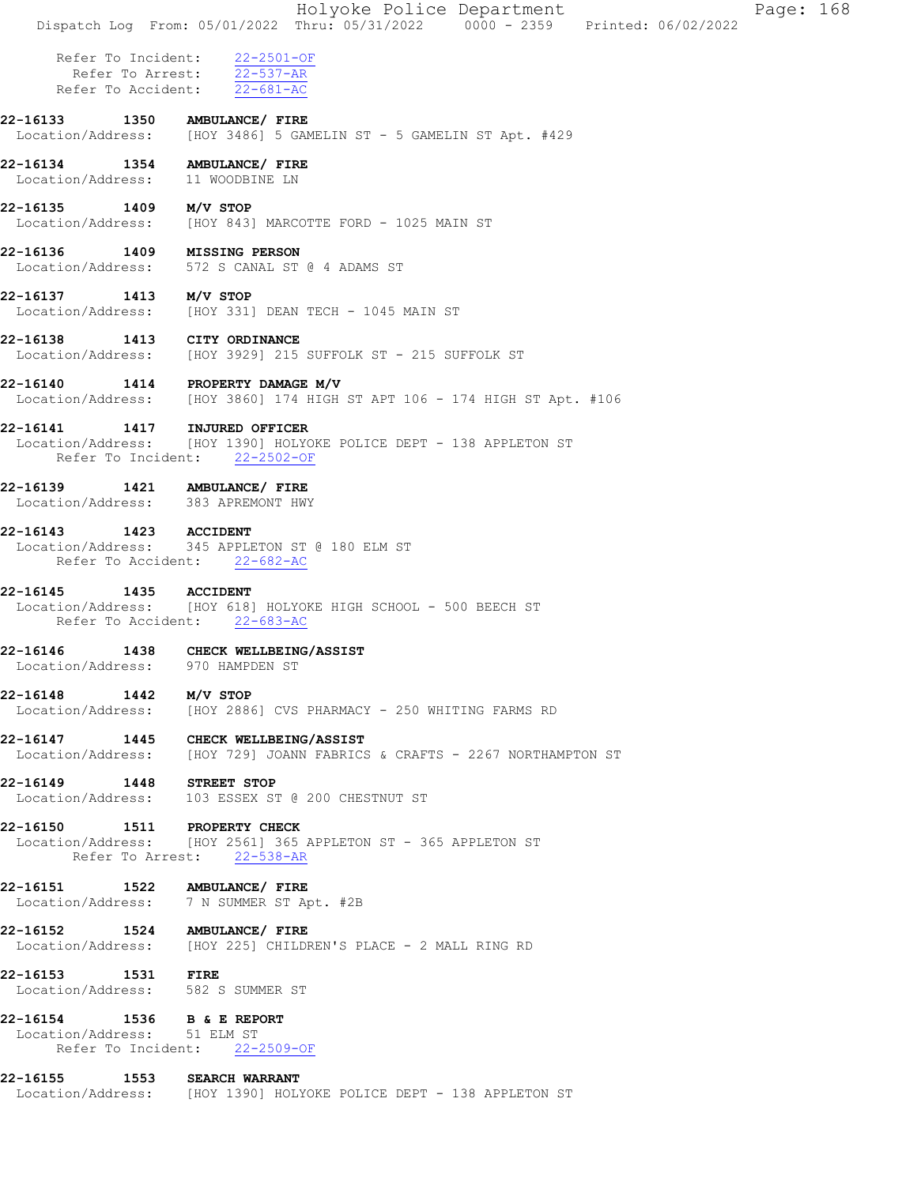| Refer To Incident: $\frac{22-2501-OF}{22-537-AR}$<br>Refer To Accident: $22-681-AC$<br>1350 AMBULANCE/ FIRE<br>22-16133<br>Location/Address: [HOY 3486] 5 GAMELIN ST - 5 GAMELIN ST Apt. #429<br>Location/Address: 11 WOODBINE LN<br>Location/Address: [HOY 843] MARCOTTE FORD - 1025 MAIN ST<br>1413 M/V STOP<br>Location/Address: [HOY 331] DEAN TECH - 1045 MAIN ST |  |
|------------------------------------------------------------------------------------------------------------------------------------------------------------------------------------------------------------------------------------------------------------------------------------------------------------------------------------------------------------------------|--|
|                                                                                                                                                                                                                                                                                                                                                                        |  |
| 22-16134   1354   AMBULANCE/ FIRE<br>22-16135 1409 M/V STOP<br>22-16136  1409  MISSING PERSON<br>Location/Address: 572 S CANAL ST @ 4 ADAMS ST<br>22-16137<br>22-16138 1413 CITY ORDINANCE                                                                                                                                                                             |  |
|                                                                                                                                                                                                                                                                                                                                                                        |  |
|                                                                                                                                                                                                                                                                                                                                                                        |  |
|                                                                                                                                                                                                                                                                                                                                                                        |  |
|                                                                                                                                                                                                                                                                                                                                                                        |  |
| Location/Address: [HOY 3929] 215 SUFFOLK ST - 215 SUFFOLK ST                                                                                                                                                                                                                                                                                                           |  |
| 1414 PROPERTY DAMAGE M/V<br>22-16140<br>Location/Address: [HOY 3860] 174 HIGH ST APT 106 - 174 HIGH ST Apt. #106                                                                                                                                                                                                                                                       |  |
| 22-16141 1417 INJURED OFFICER<br>Location/Address: [HOY 1390] HOLYOKE POLICE DEPT - 138 APPLETON ST<br>Refer To Incident: 22-2502-OF                                                                                                                                                                                                                                   |  |
| 22-16139   1421   AMBULANCE/ FIRE<br>Location/Address: 383 APREMONT HWY                                                                                                                                                                                                                                                                                                |  |
| 22-16143 1423 ACCIDENT<br>Location/Address: 345 APPLETON ST @ 180 ELM ST<br>Refer To Accident: 22-682-AC                                                                                                                                                                                                                                                               |  |
| 1435 ACCIDENT<br>22-16145<br>Location/Address: [HOY 618] HOLYOKE HIGH SCHOOL - 500 BEECH ST<br>Refer To Accident: 22-683-AC                                                                                                                                                                                                                                            |  |
| 22-16146<br><b>1438 CHECK WELLBEING/ASSIST</b><br>Location/Address: 970 HAMPDEN ST                                                                                                                                                                                                                                                                                     |  |
| 22-16148 1442<br>M/V STOP<br>Location/Address: [HOY 2886] CVS PHARMACY - 250 WHITING FARMS RD                                                                                                                                                                                                                                                                          |  |
| 22-16147 1445 CHECK WELLBEING/ASSIST<br>Location/Address: [HOY 729] JOANN FABRICS & CRAFTS - 2267 NORTHAMPTON ST                                                                                                                                                                                                                                                       |  |
| 22-16149  1448  STREET STOP<br>Location/Address: 103 ESSEX ST @ 200 CHESTNUT ST                                                                                                                                                                                                                                                                                        |  |
| 22-16150   1511   PROPERTY CHECK<br>Location/Address: [HOY 2561] 365 APPLETON ST - 365 APPLETON ST<br>Refer To Arrest: 22-538-AR                                                                                                                                                                                                                                       |  |
| 22-16151   1522   AMBULANCE/ FIRE<br>Location/Address: 7 N SUMMER ST Apt. #2B                                                                                                                                                                                                                                                                                          |  |
| 22-16152 1524 AMBULANCE/ FIRE<br>Location/Address: [HOY 225] CHILDREN'S PLACE - 2 MALL RING RD                                                                                                                                                                                                                                                                         |  |
| 22-16153 1531 FIRE<br>Location/Address: 582 S SUMMER ST                                                                                                                                                                                                                                                                                                                |  |
| 22-16154 1536 B & E REPORT<br>Location/Address: 51 ELM ST<br>Refer To Incident: 22-2509-OF                                                                                                                                                                                                                                                                             |  |
| 22-16155<br>1553 SEARCH WARRANT<br>Location/Address: [HOY 1390] HOLYOKE POLICE DEPT - 138 APPLETON ST                                                                                                                                                                                                                                                                  |  |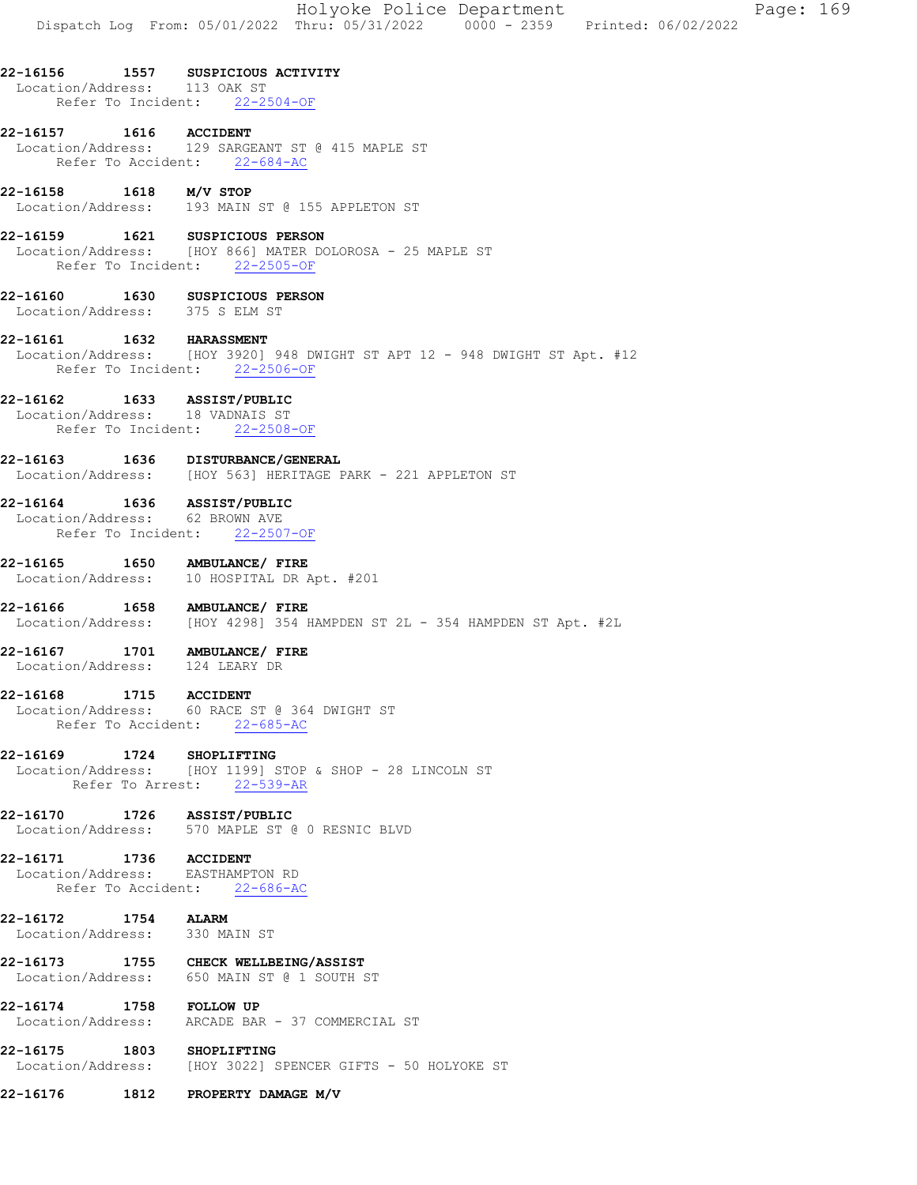#### 22-16156 1557 SUSPICIOUS ACTIVITY

 Location/Address: 113 OAK ST Refer To Incident: 22-2504-OF

#### 22-16157 1616 ACCIDENT Location/Address: 129 SARGEANT ST @ 415 MAPLE ST Refer To Accident: 22-684-AC

22-16158 1618 M/V STOP Location/Address: 193 MAIN ST @ 155 APPLETON ST

# 22-16159 1621 SUSPICIOUS PERSON

 Location/Address: [HOY 866] MATER DOLOROSA - 25 MAPLE ST Refer To Incident: 22-2505-OF

#### 22-16160 1630 SUSPICIOUS PERSON Location/Address: 375 S ELM ST

#### 22-16161 1632 HARASSMENT Location/Address: [HOY 3920] 948 DWIGHT ST APT 12 - 948 DWIGHT ST Apt. #12 Refer To Incident: 22-2506-OF

#### 22-16162 1633 ASSIST/PUBLIC

 Location/Address: 18 VADNAIS ST Refer To Incident: 22-2508-OF

### 22-16163 1636 DISTURBANCE/GENERAL

Location/Address: [HOY 563] HERITAGE PARK - 221 APPLETON ST

#### 22-16164 1636 ASSIST/PUBLIC

 Location/Address: 62 BROWN AVE Refer To Incident: 22-2507-OF

#### 22-16165 1650 AMBULANCE/ FIRE Location/Address: 10 HOSPITAL DR Apt. #201

22-16166 1658 AMBULANCE/ FIRE Location/Address: [HOY 4298] 354 HAMPDEN ST 2L - 354 HAMPDEN ST Apt. #2L

# 22-16167 1701 AMBULANCE/ FIRE

Location/Address: 124 LEARY DR

## 22-16168 1715 ACCIDENT

 Location/Address: 60 RACE ST @ 364 DWIGHT ST Refer To Accident: 22-685-AC

#### 22-16169 1724 SHOPLIFTING

 Location/Address: [HOY 1199] STOP & SHOP - 28 LINCOLN ST Refer To Arrest: 22-539-AR

## 22-16170 1726 ASSIST/PUBLIC

Location/Address: 570 MAPLE ST @ 0 RESNIC BLVD

#### 22-16171 1736 ACCIDENT Location/Address: EASTHAMPTON RD

Refer To Accident: 22-686-AC

# 22-16172 1754 ALARM Location/Address: 330 MAIN ST

22-16173 1755 CHECK WELLBEING/ASSIST Location/Address: 650 MAIN ST @ 1 SOUTH ST

22-16174 1758 FOLLOW UP Location/Address: ARCADE BAR - 37 COMMERCIAL ST

# 22-16175 1803 SHOPLIFTING Location/Address: [HOY 3022] SPENCER GIFTS - 50 HOLYOKE ST

# 22-16176 1812 PROPERTY DAMAGE M/V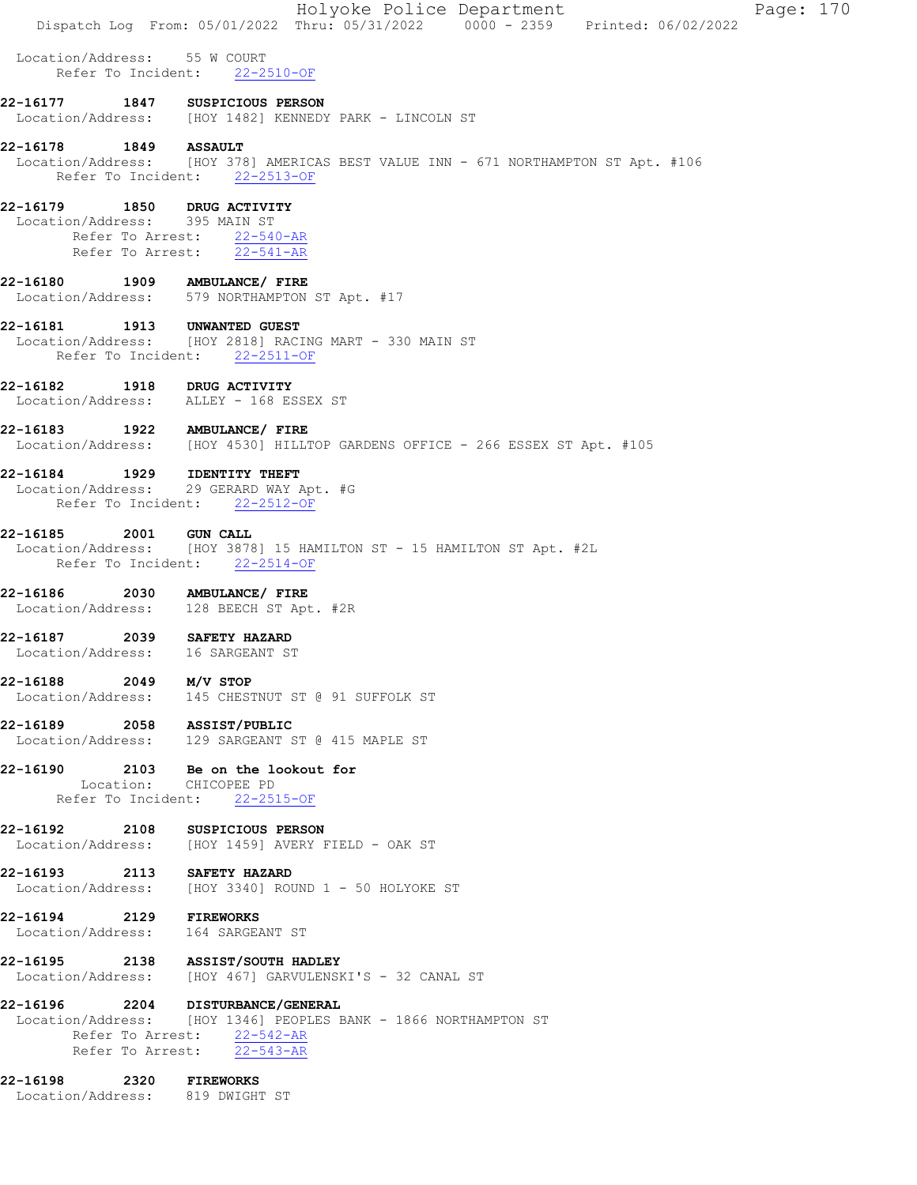|                                              |                    | Page: 170<br>Holyoke Police Department<br>Dispatch Log From: 05/01/2022 Thru: 05/31/2022 0000 - 2359 Printed: 06/02/2022                                         |
|----------------------------------------------|--------------------|------------------------------------------------------------------------------------------------------------------------------------------------------------------|
| Location/Address: 55 W COURT                 |                    | Refer To Incident: 22-2510-OF                                                                                                                                    |
| 22-16177                                     |                    | 1847 SUSPICIOUS PERSON<br>Location/Address: [HOY 1482] KENNEDY PARK - LINCOLN ST                                                                                 |
| 22-16178 1849 ASSAULT                        |                    | Location/Address: [HOY 378] AMERICAS BEST VALUE INN - 671 NORTHAMPTON ST Apt. #106<br>Refer To Incident: 22-2513-OF                                              |
| 22-16179<br>Location/Address: 395 MAIN ST    |                    | 1850 DRUG ACTIVITY<br>Refer To Arrest: 22-540-AR<br>Refer To Arrest: 22-541-AR                                                                                   |
|                                              |                    | 22-16180 1909 AMBULANCE/ FIRE<br>Location/Address: 579 NORTHAMPTON ST Apt. #17                                                                                   |
| 22-16181 1913 UNWANTED GUEST                 |                    | Location/Address: [HOY 2818] RACING MART - 330 MAIN ST<br>Refer To Incident: 22-2511-OF                                                                          |
| 22-16182                                     |                    | 1918 DRUG ACTIVITY<br>Location/Address: ALLEY - 168 ESSEX ST                                                                                                     |
|                                              |                    | 22-16183 1922 AMBULANCE/ FIRE<br>Location/Address: [HOY 4530] HILLTOP GARDENS OFFICE - 266 ESSEX ST Apt. #105                                                    |
| 22-16184 1929 IDENTITY THEFT                 |                    | Location/Address: 29 GERARD WAY Apt. #G<br>Refer To Incident: 22-2512-OF                                                                                         |
| 22-16185                                     | 2001               | <b>GUN CALL</b><br>Location/Address: [HOY 3878] 15 HAMILTON ST - 15 HAMILTON ST Apt. #2L<br>Refer To Incident: 22-2514-OF                                        |
| 22-16186                                     |                    | 2030 AMBULANCE/ FIRE<br>Location/Address: 128 BEECH ST Apt. #2R                                                                                                  |
| 22-16187<br>Location/Address: 16 SARGEANT ST |                    | 2039 SAFETY HAZARD                                                                                                                                               |
| 22-16188                                     |                    | 2049 M/V STOP<br>Location/Address: 145 CHESTNUT ST @ 91 SUFFOLK ST                                                                                               |
| 22-16189 2058 ASSIST/PUBLIC                  |                    | Location/Address: 129 SARGEANT ST @ 415 MAPLE ST                                                                                                                 |
|                                              | Refer To Incident: | 22-16190 2103 Be on the lookout for<br>Location: CHICOPEE PD<br>$22 - 2515 - OF$                                                                                 |
| 22-16192                                     | 2108               | SUSPICIOUS PERSON<br>Location/Address: [HOY 1459] AVERY FIELD - OAK ST                                                                                           |
| 22-16193 2113 SAFETY HAZARD                  |                    | $Location/Address:$ [HOY 3340] ROUND $1 - 50$ HOLYOKE ST                                                                                                         |
| 22-16194 2129 FIREWORKS<br>Location/Address: |                    | 164 SARGEANT ST                                                                                                                                                  |
|                                              |                    | 22-16195 2138 ASSIST/SOUTH HADLEY<br>Location/Address: [HOY 467] GARVULENSKI'S - 32 CANAL ST                                                                     |
|                                              |                    | 22-16196 2204 DISTURBANCE/GENERAL<br>Location/Address: [HOY 1346] PEOPLES BANK - 1866 NORTHAMPTON ST<br>Refer To Arrest: 22-542-AR<br>Refer To Arrest: 22-543-AR |
| 22-16198<br>Location/Address: 819 DWIGHT ST  |                    | 2320 FIREWORKS                                                                                                                                                   |